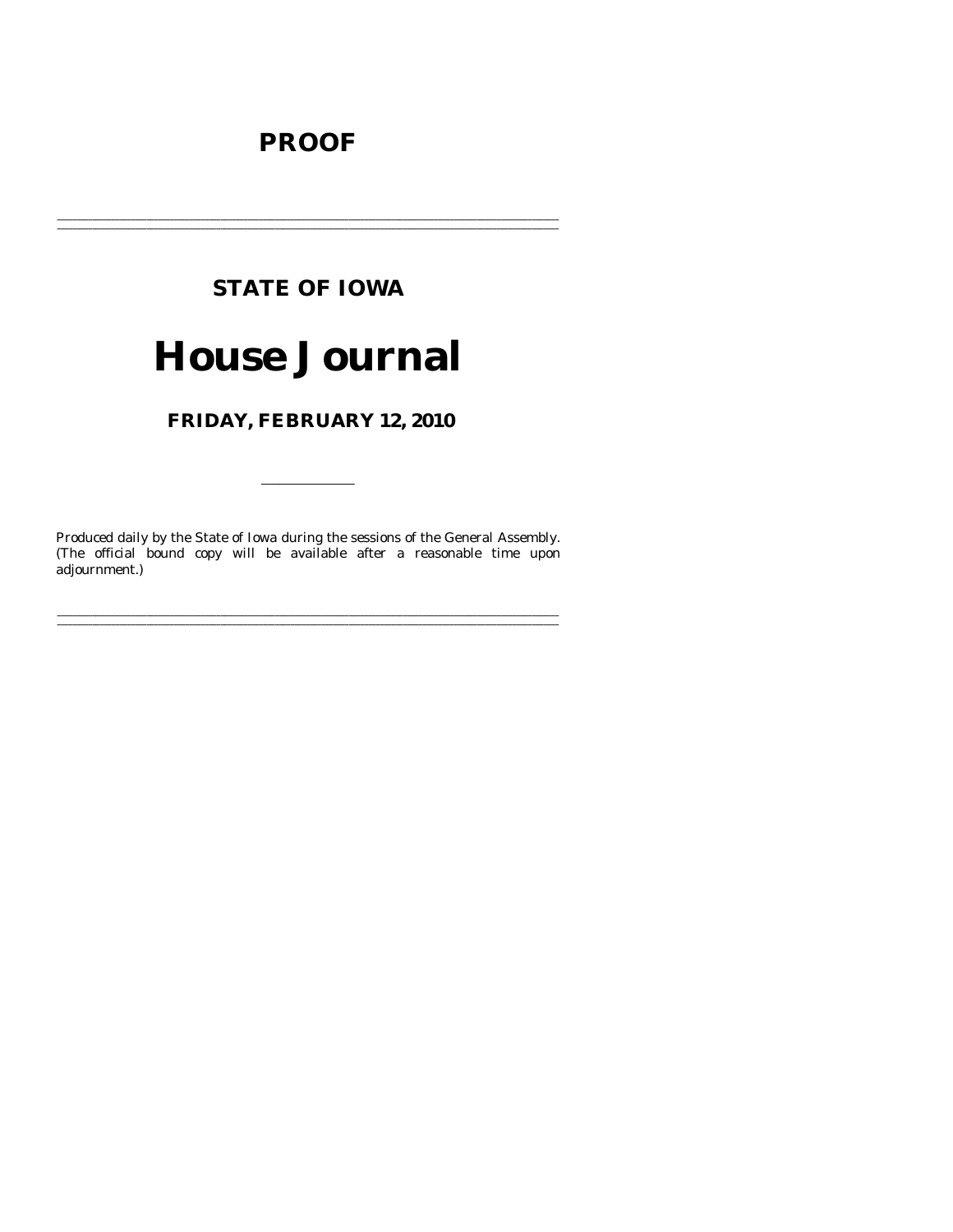# **PROOF**

# **STATE OF IOWA**

# **House Journal**

# FRIDAY, FEBRUARY 12, 2010

Produced daily by the State of Iowa during the sessions of the General Assembly. (The official bound copy will be available after a reasonable time upon adjournment.)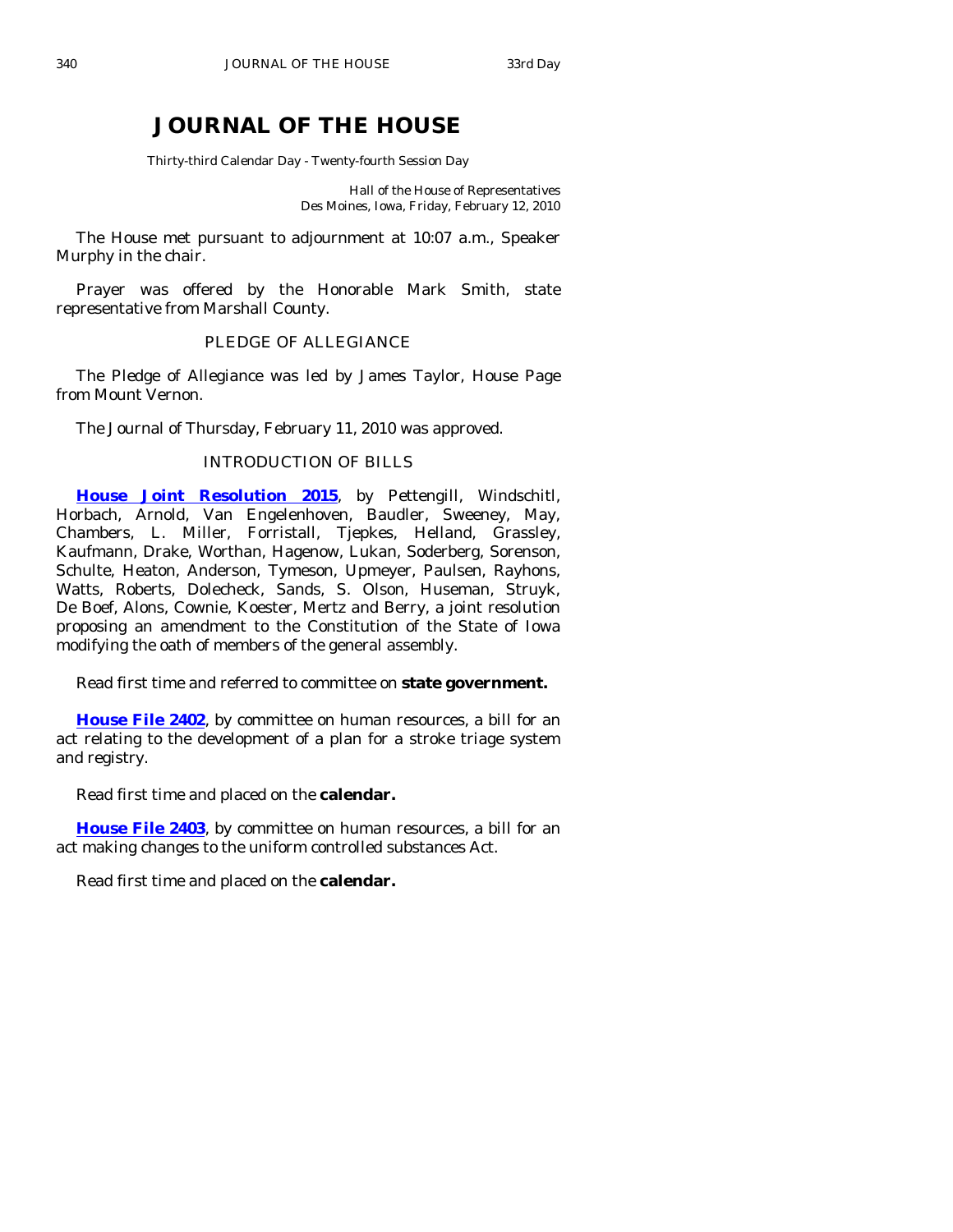# **JOURNAL OF THE HOUSE**

Thirty-third Calendar Day - Twenty-fourth Session Day

Hall of the House of Representatives Des Moines, Iowa, Friday, February 12, 2010

 The House met pursuant to adjournment at 10:07 a.m., Speaker Murphy in the chair.

 Prayer was offered by the Honorable Mark Smith, state representative from Marshall County.

# PLEDGE OF ALLEGIANCE

 The Pledge of Allegiance was led by James Taylor, House Page from Mount Vernon.

The Journal of Thursday, February 11, 2010 was approved.

## INTRODUCTION OF BILLS

**[House Joint Resolution 2015](http://coolice.legis.state.ia.us/Cool-ICE/default.asp?Category=billinfo&Service=Billbook&frame=1&GA=83&hbill=HJR2015)**, by Pettengill, Windschitl, Horbach, Arnold, Van Engelenhoven, Baudler, Sweeney, May, Chambers, L. Miller, Forristall, Tjepkes, Helland, Grassley, Kaufmann, Drake, Worthan, Hagenow, Lukan, Soderberg, Sorenson, Schulte, Heaton, Anderson, Tymeson, Upmeyer, Paulsen, Rayhons, Watts, Roberts, Dolecheck, Sands, S. Olson, Huseman, Struyk, De Boef, Alons, Cownie, Koester, Mertz and Berry, a joint resolution proposing an amendment to the Constitution of the State of Iowa modifying the oath of members of the general assembly.

Read first time and referred to committee on **state government.** 

**[House File 2402](http://coolice.legis.state.ia.us/Cool-ICE/default.asp?Category=billinfo&Service=Billbook&frame=1&GA=83&hbill=HF2402)**, by committee on human resources, a bill for an act relating to the development of a plan for a stroke triage system and registry.

Read first time and placed on the **calendar.** 

**[House File 2403](http://coolice.legis.state.ia.us/Cool-ICE/default.asp?Category=billinfo&Service=Billbook&frame=1&GA=83&hbill=HF2403)**, by committee on human resources, a bill for an act making changes to the uniform controlled substances Act.

Read first time and placed on the **calendar.**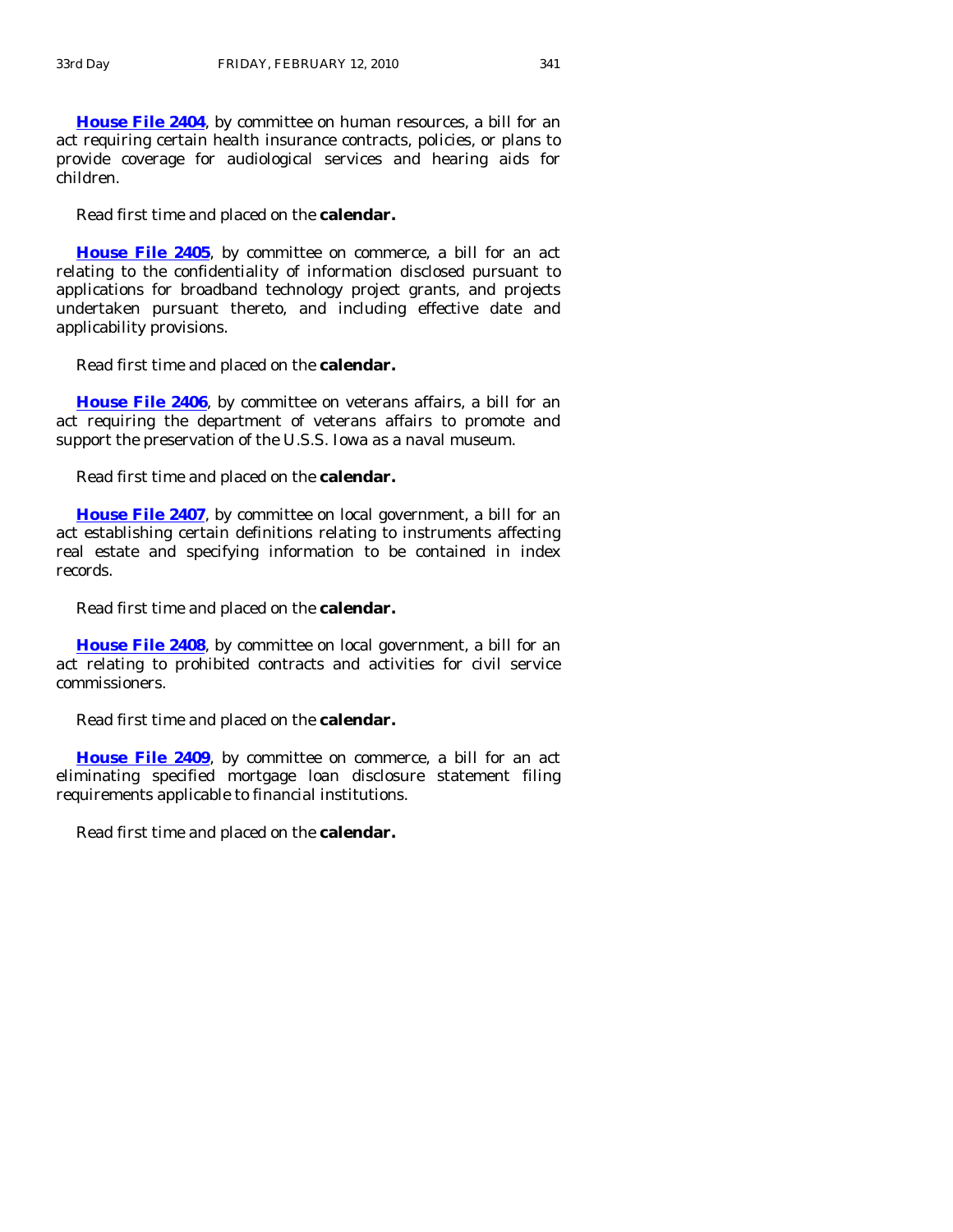**[House File 2404](http://coolice.legis.state.ia.us/Cool-ICE/default.asp?Category=billinfo&Service=Billbook&frame=1&GA=83&hbill=HF2404)**, by committee on human resources, a bill for an act requiring certain health insurance contracts, policies, or plans to provide coverage for audiological services and hearing aids for children.

Read first time and placed on the **calendar.** 

**[House File 2405](http://coolice.legis.state.ia.us/Cool-ICE/default.asp?Category=billinfo&Service=Billbook&frame=1&GA=83&hbill=HF2405)**, by committee on commerce, a bill for an act relating to the confidentiality of information disclosed pursuant to applications for broadband technology project grants, and projects undertaken pursuant thereto, and including effective date and applicability provisions.

Read first time and placed on the **calendar.** 

**[House File 2406](http://coolice.legis.state.ia.us/Cool-ICE/default.asp?Category=billinfo&Service=Billbook&frame=1&GA=83&hbill=HF2406)**, by committee on veterans affairs, a bill for an act requiring the department of veterans affairs to promote and support the preservation of the U.S.S. Iowa as a naval museum.

Read first time and placed on the **calendar.** 

**[House File 2407](http://coolice.legis.state.ia.us/Cool-ICE/default.asp?Category=billinfo&Service=Billbook&frame=1&GA=83&hbill=HF2407)**, by committee on local government, a bill for an act establishing certain definitions relating to instruments affecting real estate and specifying information to be contained in index records.

Read first time and placed on the **calendar.** 

**[House File 2408](http://coolice.legis.state.ia.us/Cool-ICE/default.asp?Category=billinfo&Service=Billbook&frame=1&GA=83&hbill=HF2408)**, by committee on local government, a bill for an act relating to prohibited contracts and activities for civil service commissioners.

Read first time and placed on the **calendar.** 

**[House File 2409](http://coolice.legis.state.ia.us/Cool-ICE/default.asp?Category=billinfo&Service=Billbook&frame=1&GA=83&hbill=HF2409)**, by committee on commerce, a bill for an act eliminating specified mortgage loan disclosure statement filing requirements applicable to financial institutions.

Read first time and placed on the **calendar.**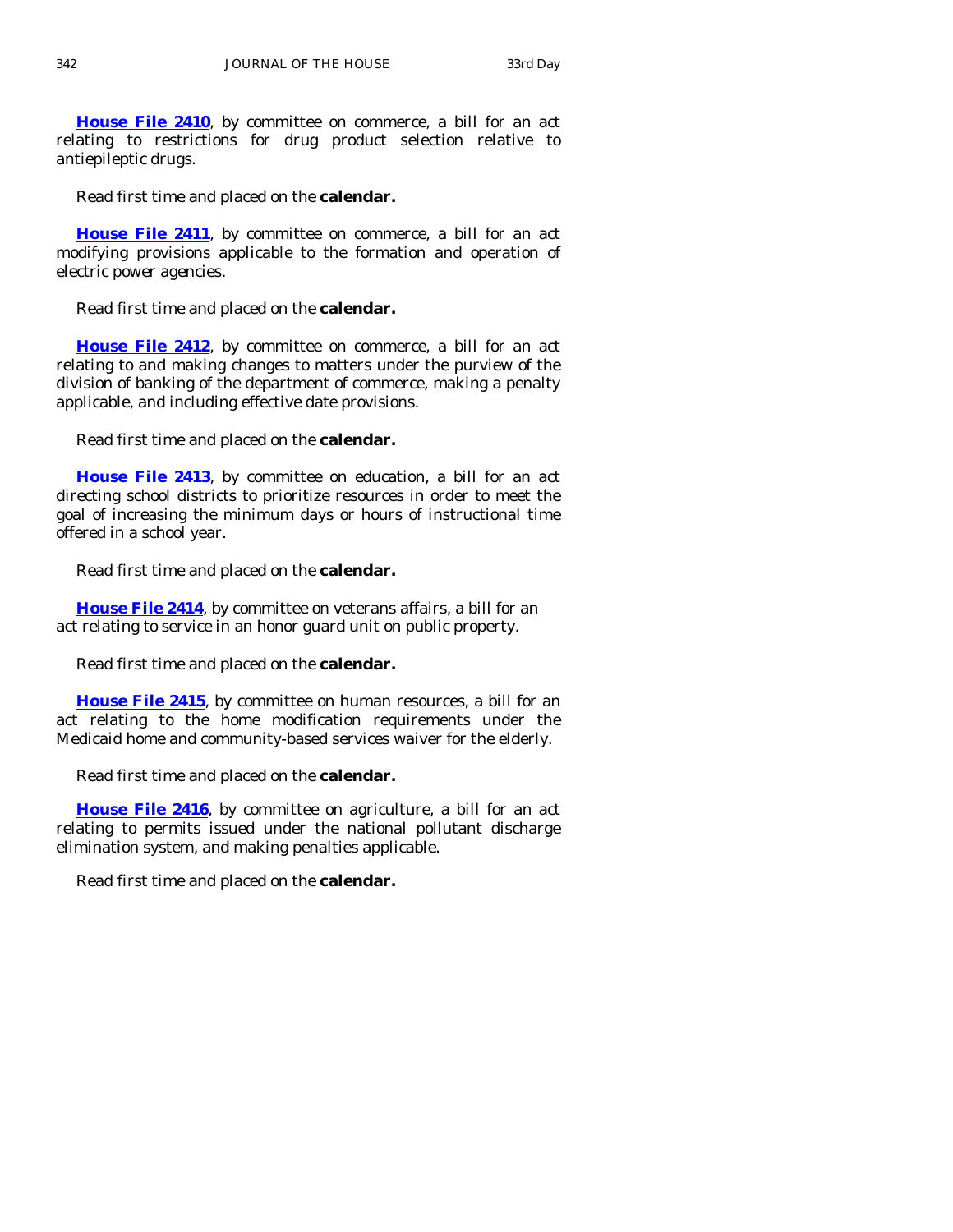**[House File 2410](http://coolice.legis.state.ia.us/Cool-ICE/default.asp?Category=billinfo&Service=Billbook&frame=1&GA=83&hbill=HF2410)**, by committee on commerce, a bill for an act relating to restrictions for drug product selection relative to antiepileptic drugs.

Read first time and placed on the **calendar.** 

**[House File 2411](http://coolice.legis.state.ia.us/Cool-ICE/default.asp?Category=billinfo&Service=Billbook&frame=1&GA=83&hbill=HF2411)**, by committee on commerce, a bill for an act modifying provisions applicable to the formation and operation of electric power agencies.

Read first time and placed on the **calendar.** 

**[House File 2412](http://coolice.legis.state.ia.us/Cool-ICE/default.asp?Category=billinfo&Service=Billbook&frame=1&GA=83&hbill=HF2412)**, by committee on commerce, a bill for an act relating to and making changes to matters under the purview of the division of banking of the department of commerce, making a penalty applicable, and including effective date provisions.

Read first time and placed on the **calendar.** 

**[House File 2413](http://coolice.legis.state.ia.us/Cool-ICE/default.asp?Category=billinfo&Service=Billbook&frame=1&GA=83&hbill=HF2413)**, by committee on education, a bill for an act directing school districts to prioritize resources in order to meet the goal of increasing the minimum days or hours of instructional time offered in a school year.

Read first time and placed on the **calendar.** 

**[House File 2414](http://coolice.legis.state.ia.us/Cool-ICE/default.asp?Category=billinfo&Service=Billbook&frame=1&GA=83&hbill=HF2414)**, by committee on veterans affairs, a bill for an act relating to service in an honor guard unit on public property.

Read first time and placed on the **calendar.** 

**[House File 2415](http://coolice.legis.state.ia.us/Cool-ICE/default.asp?Category=billinfo&Service=Billbook&frame=1&GA=83&hbill=HF2415)**, by committee on human resources, a bill for an act relating to the home modification requirements under the Medicaid home and community-based services waiver for the elderly.

Read first time and placed on the **calendar.** 

**[House File 2416](http://coolice.legis.state.ia.us/Cool-ICE/default.asp?Category=billinfo&Service=Billbook&frame=1&GA=83&hbill=HF2416)**, by committee on agriculture, a bill for an act relating to permits issued under the national pollutant discharge elimination system, and making penalties applicable.

Read first time and placed on the **calendar.**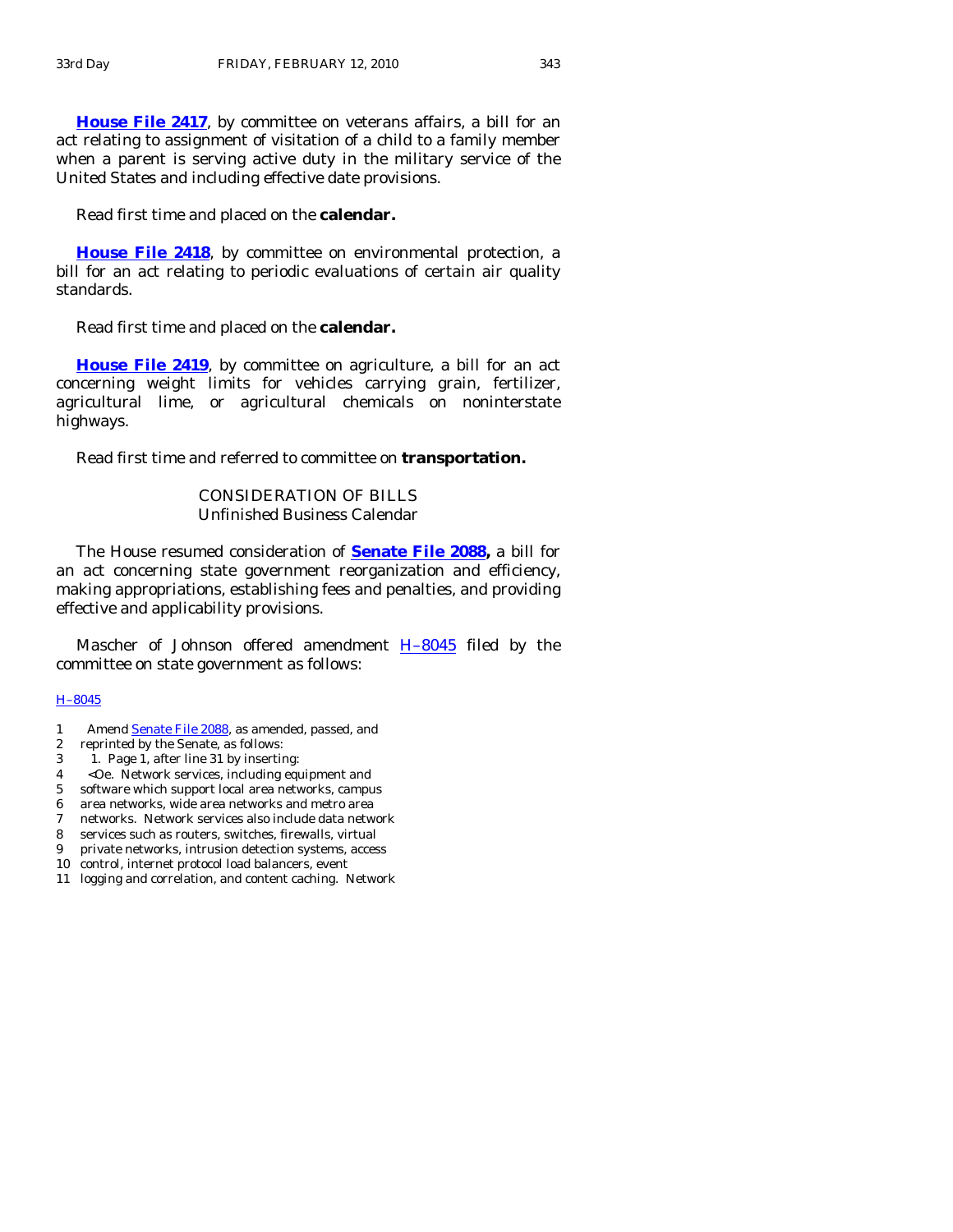**[House File 2417](http://coolice.legis.state.ia.us/Cool-ICE/default.asp?Category=billinfo&Service=Billbook&frame=1&GA=83&hbill=HF2417)**, by committee on veterans affairs, a bill for an act relating to assignment of visitation of a child to a family member when a parent is serving active duty in the military service of the United States and including effective date provisions.

Read first time and placed on the **calendar.** 

**[House File 2418](http://coolice.legis.state.ia.us/Cool-ICE/default.asp?Category=billinfo&Service=Billbook&frame=1&GA=83&hbill=HF2418)**, by committee on environmental protection, a bill for an act relating to periodic evaluations of certain air quality standards.

Read first time and placed on the **calendar.** 

**[House File 2419](http://coolice.legis.state.ia.us/Cool-ICE/default.asp?Category=billinfo&Service=Billbook&frame=1&GA=83&hbill=HF2419)**, by committee on agriculture, a bill for an act concerning weight limits for vehicles carrying grain, fertilizer, agricultural lime, or agricultural chemicals on noninterstate highways.

Read first time and referred to committee on **transportation.** 

## CONSIDERATION OF BILLS Unfinished Business Calendar

The House resumed consideration of **[Senate File 2088](http://coolice.legis.state.ia.us/Cool-ICE/default.asp?Category=billinfo&Service=Billbook&frame=1&GA=83&hbill=SF2088),** a bill for an act concerning state government reorganization and efficiency, making appropriations, establishing fees and penalties, and providing effective and applicability provisions.

Mascher of Johnson offered amendment  $H-8045$  filed by the committee on state government as follows:

#### [H–8045](http://coolice.legis.state.ia.us/Cool-ICE/default.asp?Category=billinfo&Service=Billbook&frame=1&GA=83&hbill=H8045)

- 1 Amend [Senate File 2088,](http://coolice.legis.state.ia.us/Cool-ICE/default.asp?Category=billinfo&Service=Billbook&frame=1&GA=83&hbill=SF2088) as amended, passed, and
- 2 reprinted by the Senate, as follows:
- 3 1. Page 1, after line 31 by inserting:
- 4 <Oe. Network services, including equipment and
- 5 software which support local area networks, campus
- 6 area networks, wide area networks and metro area
- 7 networks. Network services also include data network
- 8 services such as routers, switches, firewalls, virtual
- 9 private networks, intrusion detection systems, access
- 10 control, internet protocol load balancers, event
- 11 logging and correlation, and content caching. Network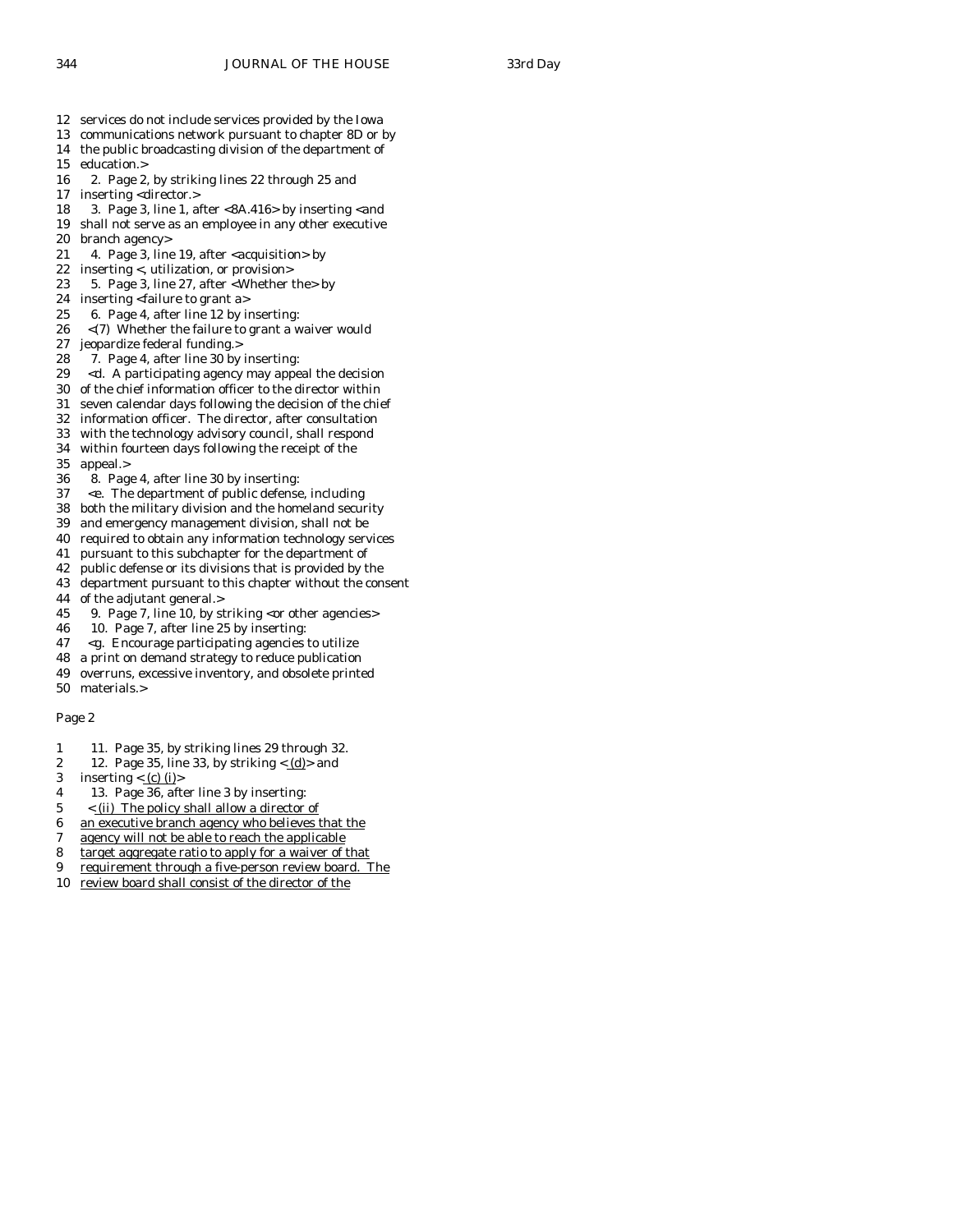- 12 services do not include services provided by the Iowa
- 13 communications network pursuant to chapter 8D or by 14 the public broadcasting division of the department of
- 15 education.>
- 16 2. Page 2, by striking lines 22 through 25 and
- 17 inserting <director.>
- 18 3. Page 3, line 1, after  $< 8A.416>$  by inserting  $<$  and 19 shall not serve as an employee in any other executive
- branch agency>
- 21 4. Page 3, line 19, after <acquisition> by
- 22 inserting <, utilization, or provision>
- 23 5. Page 3, line 27, after <Whether the> by
- 24 inserting <failure to grant a>
- 25 6. Page 4, after line 12 by inserting:
- 26 <(7) Whether the failure to grant a waiver would
- 27 jeopardize federal funding.>
- 28 7. Page 4, after line 30 by inserting:
- 29 <d. A participating agency may appeal the decision
- 30 of the chief information officer to the director within
- 31 seven calendar days following the decision of the chief 32 information officer. The director, after consultation
- 33 with the technology advisory council, shall respond
- 34 within fourteen days following the receipt of the
- 35 appeal.>
- 36 8. Page 4, after line 30 by inserting:
- 37 <e. The department of public defense, including
- 38 both the military division and the homeland security
- 39 and emergency management division, shall not be
- 40 required to obtain any information technology services
- 41 pursuant to this subchapter for the department of
- 42 public defense or its divisions that is provided by the
- 43 department pursuant to this chapter without the consent
- 44 of the adjutant general.>
- 45 9. Page 7, line 10, by striking <or other agencies>
- 46 10. Page 7, after line 25 by inserting:
- 47 <g. Encourage participating agencies to utilize
- 48 a print on demand strategy to reduce publication
- 49 overruns, excessive inventory, and obsolete printed 50 materials.>
- Page 2
- 1 11. Page 35, by striking lines 29 through 32.
- 2 12. Page 35, line 33, by striking  $\langle \underline{d} \rangle$  and
- 3 inserting  $\langle$  (c) (i) >
- 4 13. Page 36, after line 3 by inserting:
- 5 < (ii) The policy shall allow a director of  $\frac{6}{10}$  an executive branch agency who believes to
- an executive branch agency who believes that the
- 7 agency will not be able to reach the applicable
- 8 target aggregate ratio to apply for a waiver of that
- 9 requirement through a five-person review board. The
- 10 review board shall consist of the director of the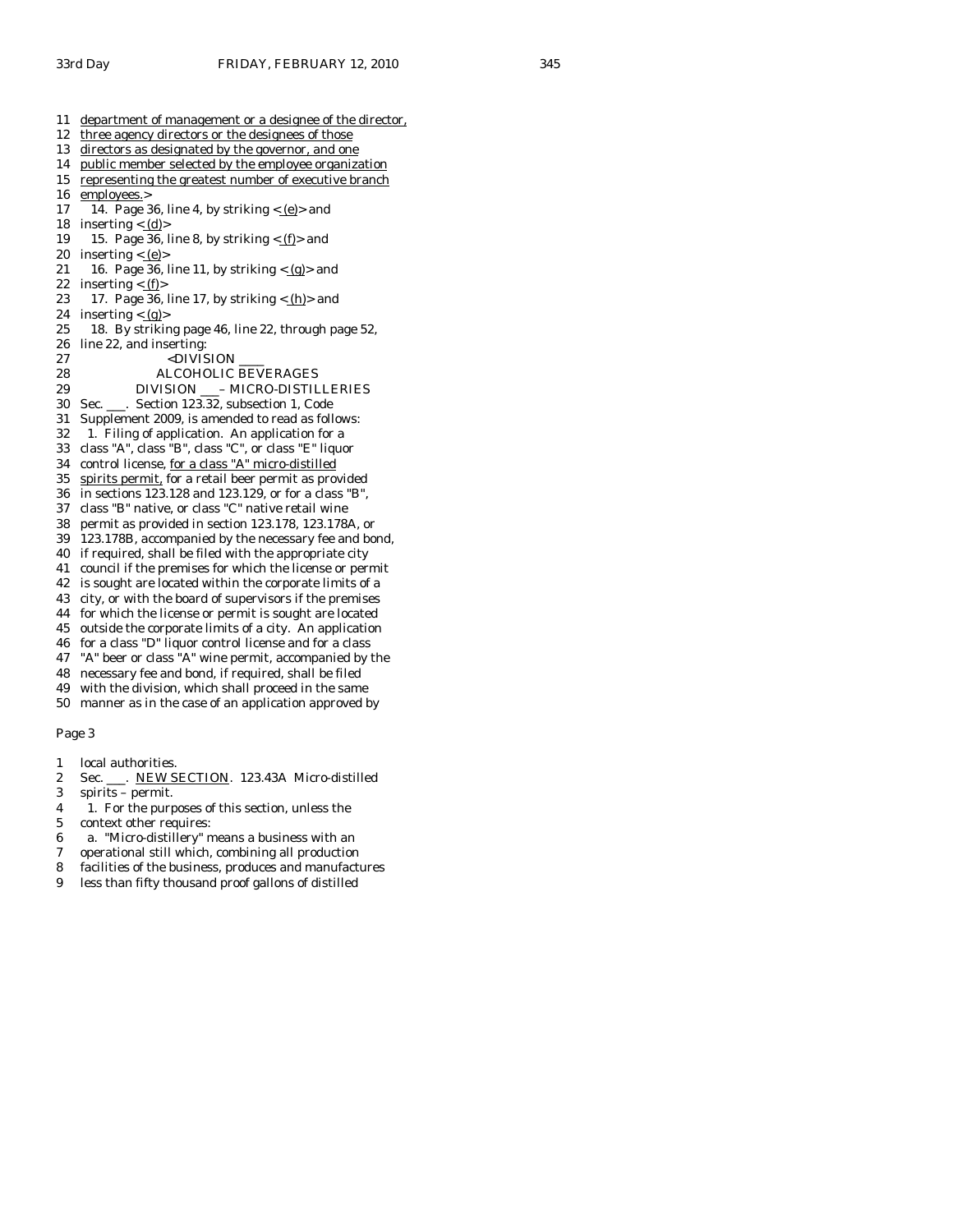- 11 department of management or a designee of the director,
- 12 three agency directors or the designees of those
- 13 directors as designated by the governor, and one
- 14 public member selected by the employee organization
- 15 representing the greatest number of executive branch
- 16 employees.>
- 17 14. Page 36, line 4, by striking  $\langle e \rangle$  and 18 inserting  $\langle \underline{d} \rangle$
- 19 15. Page 36, line 8, by striking  $\langle f$  and
- 20 inserting  $\lt$  <u>(e)</u>>
- 21 16. Page 36, line 11, by striking  $\langle \underline{\mathbf{g}} \rangle$  and 22 inserting  $\langle f$  = 12 inserting  $\langle f$  = 12 inserting  $\langle f$  = 12 inserting  $\langle f$  = 12 inserting  $\langle f \rangle$
- 23 17. Page 36, line 17, by striking  $\langle h \rangle$  and
- 24 inserting  $\langle \underline{g} \rangle$
- 25 18. By striking page 46, line 22, through page 52, 26 line 22, and inserting:
- 27 <DIVISION

28 ALCOHOLIC BEVERAGES

- 
- 29 DIVISION \_\_- MICRO-DISTILLERIES<br>30 Sec. Section 123.32. subsection 1. Code Sec. \_\_\_. Section 123.32, subsection 1, Code
- 31 Supplement 2009, is amended to read as follows:
- 32 1. Filing of application. An application for a
- 33 class "A", class "B", class "C", or class "E" liquor
- 34 control license, for a class "A" micro-distilled
- 35 spirits permit, for a retail beer permit as provided
- 36 in sections 123.128 and 123.129, or for a class "B",
- 37 class "B" native, or class "C" native retail wine
- 38 permit as provided in section 123.178, 123.178A, or
- 39 123.178B, accompanied by the necessary fee and bond,
- 40 if required, shall be filed with the appropriate city
- 41 council if the premises for which the license or permit
- 42 is sought are located within the corporate limits of a
- 43 city, or with the board of supervisors if the premises 44 for which the license or permit is sought are located
- 45 outside the corporate limits of a city. An application
- 46 for a class "D" liquor control license and for a class
- 47 "A" beer or class "A" wine permit, accompanied by the
- 48 necessary fee and bond, if required, shall be filed
- 49 with the division, which shall proceed in the same
- 50 manner as in the case of an application approved by

- 1 local authorities.
- 2 Sec. \_\_\_. NEW SECTION. 123.43A Micro-distilled
- 3 spirits permit.
- 4 1. For the purposes of this section, unless the
- 5 context other requires:
- 6 a. "Micro-distillery" means a business with an
- 7 operational still which, combining all production
- 8 facilities of the business, produces and manufactures
- 9 less than fifty thousand proof gallons of distilled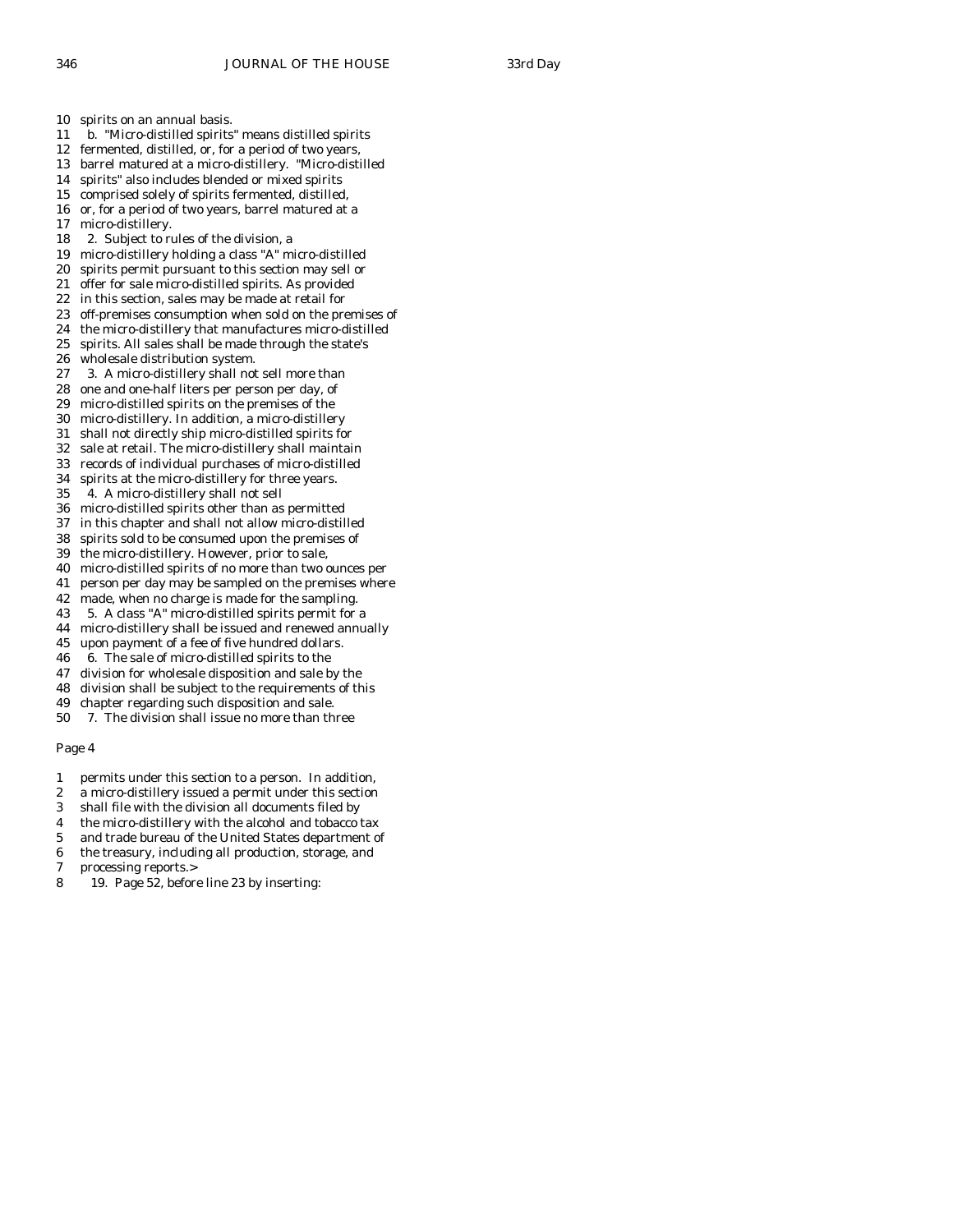10 spirits on an annual basis.

- 11 b. "Micro-distilled spirits" means distilled spirits
- 12 fermented, distilled, or, for a period of two years, 13 barrel matured at a micro-distillery. "Micro-distilled
- 
- 14 spirits" also includes blended or mixed spirits
- 15 comprised solely of spirits fermented, distilled, 16 or, for a period of two years, barrel matured at a
- 17 micro-distillery.
- 18 2. Subject to rules of the division, a
- 19 micro-distillery holding a class "A" micro-distilled
- 20 spirits permit pursuant to this section may sell or
- 21 offer for sale micro-distilled spirits. As provided
- 22 in this section, sales may be made at retail for
- 23 off-premises consumption when sold on the premises of
- 24 the micro-distillery that manufactures micro-distilled 25 spirits. All sales shall be made through the state's
- 26 wholesale distribution system.
- 27 3. A micro-distillery shall not sell more than
- 28 one and one-half liters per person per day, of
- 29 micro-distilled spirits on the premises of the
- 30 micro-distillery. In addition, a micro-distillery
- 31 shall not directly ship micro-distilled spirits for
- 32 sale at retail. The micro-distillery shall maintain
- 33 records of individual purchases of micro-distilled 34 spirits at the micro-distillery for three years.
- 35 4. A micro-distillery shall not sell
- 36 micro-distilled spirits other than as permitted
- 37 in this chapter and shall not allow micro-distilled
- 38 spirits sold to be consumed upon the premises of
- 39 the micro-distillery. However, prior to sale,
- 40 micro-distilled spirits of no more than two ounces per
- 41 person per day may be sampled on the premises where
- 42 made, when no charge is made for the sampling.
- 43 5. A class "A" micro-distilled spirits permit for a
- 44 micro-distillery shall be issued and renewed annually
- 45 upon payment of a fee of five hundred dollars. 46 6. The sale of micro-distilled spirits to the
- 47 division for wholesale disposition and sale by the
- 48 division shall be subject to the requirements of this
- 49 chapter regarding such disposition and sale.
- 50 7. The division shall issue no more than three

- 1 permits under this section to a person. In addition,
- 2 a micro-distillery issued a permit under this section
- 3 shall file with the division all documents filed by
- 4 the micro-distillery with the alcohol and tobacco tax
- 5 and trade bureau of the United States department of
- 6 the treasury, including all production, storage, and
- 7 processing reports.>
- 8 19. Page 52, before line 23 by inserting: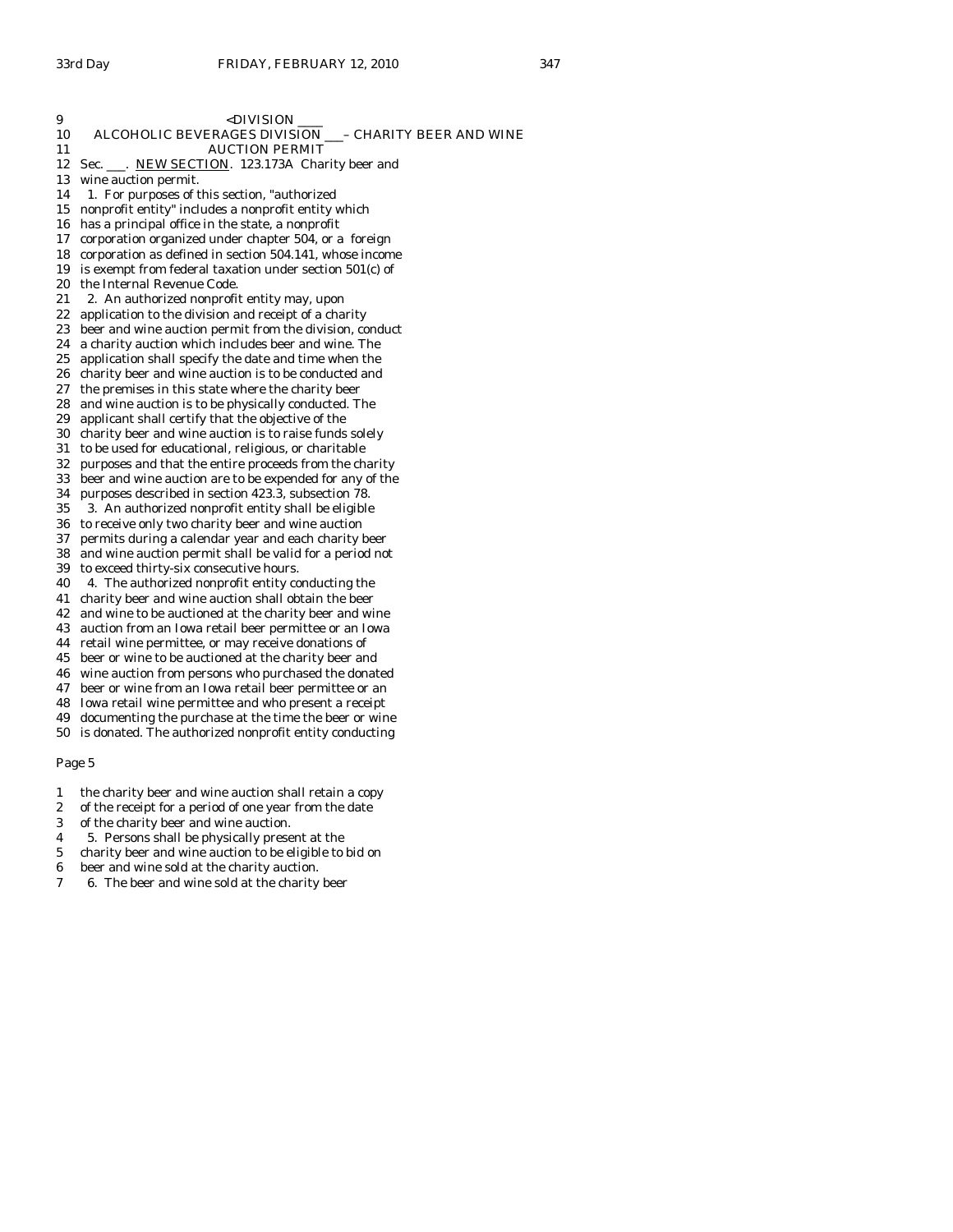| 9        | <division _<="" th=""></division>                                                                             |
|----------|---------------------------------------------------------------------------------------------------------------|
| 10       | ALCOHOLIC BEVERAGES DIVISION __- CHARITY BEER AND WINE                                                        |
| 11       | <b>AUCTION PERMIT</b>                                                                                         |
| 12       | Sec. ___. NEW SECTION. 123.173A Charity beer and                                                              |
| 13       | wine auction permit.                                                                                          |
| 14       | 1. For purposes of this section, "authorized                                                                  |
| 15       | nonprofit entity" includes a nonprofit entity which                                                           |
| 16       | has a principal office in the state, a nonprofit                                                              |
| 17       | corporation organized under chapter 504, or a foreign                                                         |
| 18       | corporation as defined in section 504.141, whose income                                                       |
| 19       | is exempt from federal taxation under section 501(c) of                                                       |
| 20       | the Internal Revenue Code.                                                                                    |
| 21       | 2. An authorized nonprofit entity may, upon                                                                   |
| 22       | application to the division and receipt of a charity                                                          |
| 23       | beer and wine auction permit from the division, conduct                                                       |
| 24       | a charity auction which includes beer and wine. The                                                           |
| 25       | application shall specify the date and time when the                                                          |
| 26       | charity beer and wine auction is to be conducted and                                                          |
| 27       | the premises in this state where the charity beer                                                             |
| 28       | and wine auction is to be physically conducted. The                                                           |
| 29       | applicant shall certify that the objective of the                                                             |
| 30       | charity beer and wine auction is to raise funds solely                                                        |
| 31       | to be used for educational, religious, or charitable                                                          |
| 32       | purposes and that the entire proceeds from the charity                                                        |
| 33       | beer and wine auction are to be expended for any of the                                                       |
| 34       | purposes described in section 423.3, subsection 78.                                                           |
| 35       | 3. An authorized nonprofit entity shall be eligible                                                           |
| 36       | to receive only two charity beer and wine auction                                                             |
| 37       | permits during a calendar year and each charity beer                                                          |
| 38       | and wine auction permit shall be valid for a period not                                                       |
| 39       | to exceed thirty-six consecutive hours.                                                                       |
| 40       | 4. The authorized nonprofit entity conducting the                                                             |
| 41       | charity beer and wine auction shall obtain the beer                                                           |
| 42       | and wine to be auctioned at the charity beer and wine                                                         |
| 43       | auction from an Iowa retail beer permittee or an Iowa                                                         |
| 44       | retail wine permittee, or may receive donations of                                                            |
| 45       | beer or wine to be auctioned at the charity beer and                                                          |
| 46<br>47 | wine auction from persons who purchased the donated                                                           |
| 48       | beer or wine from an Iowa retail beer permittee or an<br>Iowa retail wine permittee and who present a receipt |
|          |                                                                                                               |

49 documenting the purchase at the time the beer or wine 50 is donated. The authorized nonprofit entity conducting

- 1 the charity beer and wine auction shall retain a copy
- 2 of the receipt for a period of one year from the date<br>3 of the charity beer and wine auction.
- of the charity beer and wine auction.
- 4 5. Persons shall be physically present at the
- 5 charity beer and wine auction to be eligible to bid on
- 6 beer and wine sold at the charity auction.
- 7 6. The beer and wine sold at the charity beer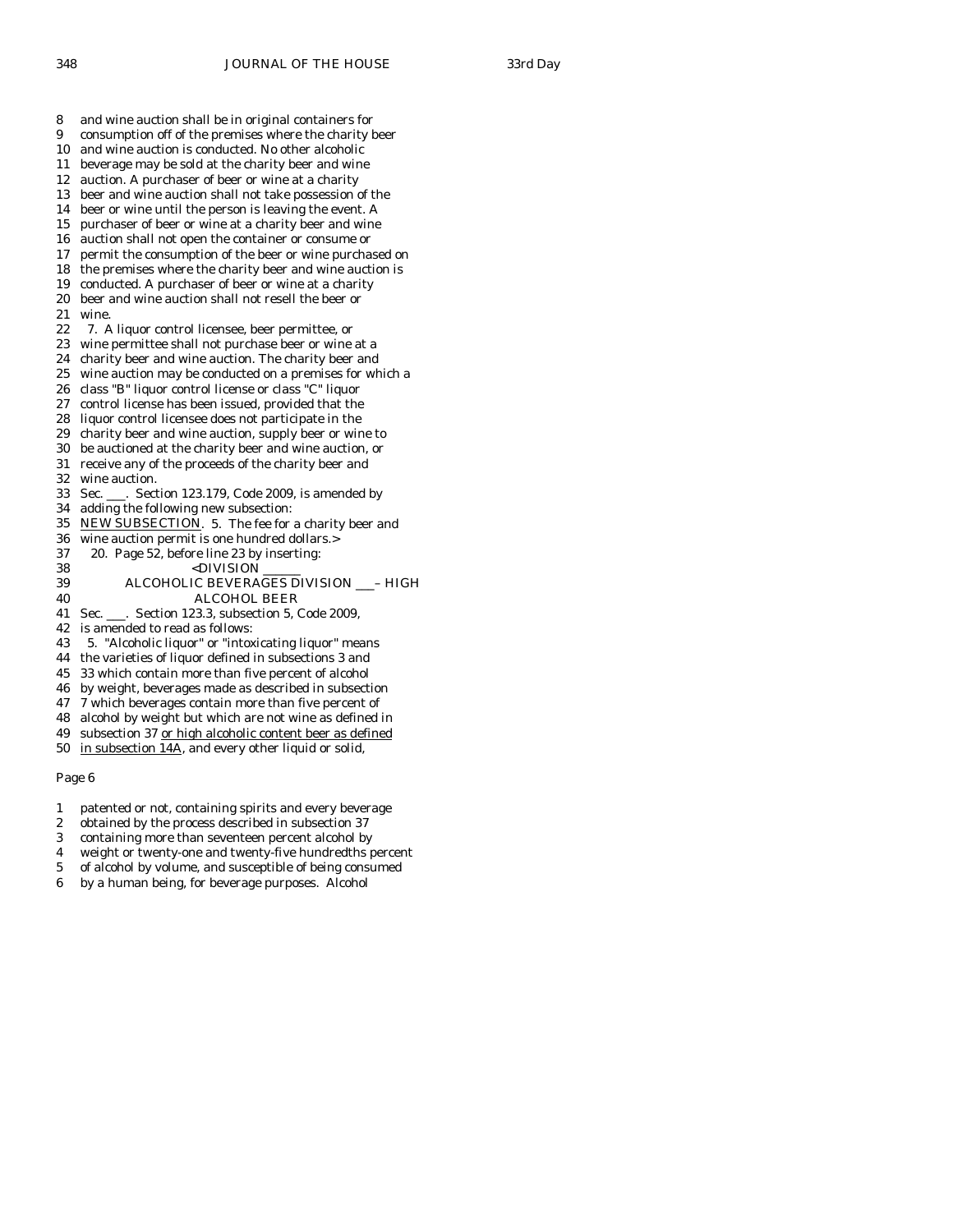8 and wine auction shall be in original containers for 9 consumption off of the premises where the charity beer 10 and wine auction is conducted. No other alcoholic 11 beverage may be sold at the charity beer and wine 12 auction. A purchaser of beer or wine at a charity 13 beer and wine auction shall not take possession of the 14 beer or wine until the person is leaving the event. A 15 purchaser of beer or wine at a charity beer and wine 16 auction shall not open the container or consume or 17 permit the consumption of the beer or wine purchased on 18 the premises where the charity beer and wine auction is 19 conducted. A purchaser of beer or wine at a charity 20 beer and wine auction shall not resell the beer or 21 wine. 22 7. A liquor control licensee, beer permittee, or 23 wine permittee shall not purchase beer or wine at a 24 charity beer and wine auction. The charity beer and 25 wine auction may be conducted on a premises for which a 26 class "B" liquor control license or class "C" liquor 27 control license has been issued, provided that the 28 liquor control licensee does not participate in the 29 charity beer and wine auction, supply beer or wine to 30 be auctioned at the charity beer and wine auction, or 31 receive any of the proceeds of the charity beer and 32 wine auction. 33 Sec. \_\_\_. Section 123.179, Code 2009, is amended by 34 adding the following new subsection: 35 NEW SUBSECTION. 5. The fee for a charity beer and 36 wine auction permit is one hundred dollars.> 37 20. Page 52, before line 23 by inserting: 38 <DIVISION \_\_\_\_\_\_ 39 ALCOHOLIC BEVERAGES DIVISION \_\_\_– HIGH 40 ALCOHOL BEER 41 Sec. \_\_\_. Section 123.3, subsection 5, Code 2009, 42 is amended to read as follows: 43 5. "Alcoholic liquor" or "intoxicating liquor" means 44 the varieties of liquor defined in subsections 3 and 45 33 which contain more than five percent of alcohol 46 by weight, beverages made as described in subsection 47 7 which beverages contain more than five percent of 48 alcohol by weight but which are not wine as defined in 49 subsection 37 or high alcoholic content beer as defined 50 in subsection 14A, and every other liquid or solid,

- 1 patented or not, containing spirits and every beverage
- 2 obtained by the process described in subsection 37
- 3 containing more than seventeen percent alcohol by
- 4 weight or twenty-one and twenty-five hundredths percent
- 5 of alcohol by volume, and susceptible of being consumed
- 6 by a human being, for beverage purposes. Alcohol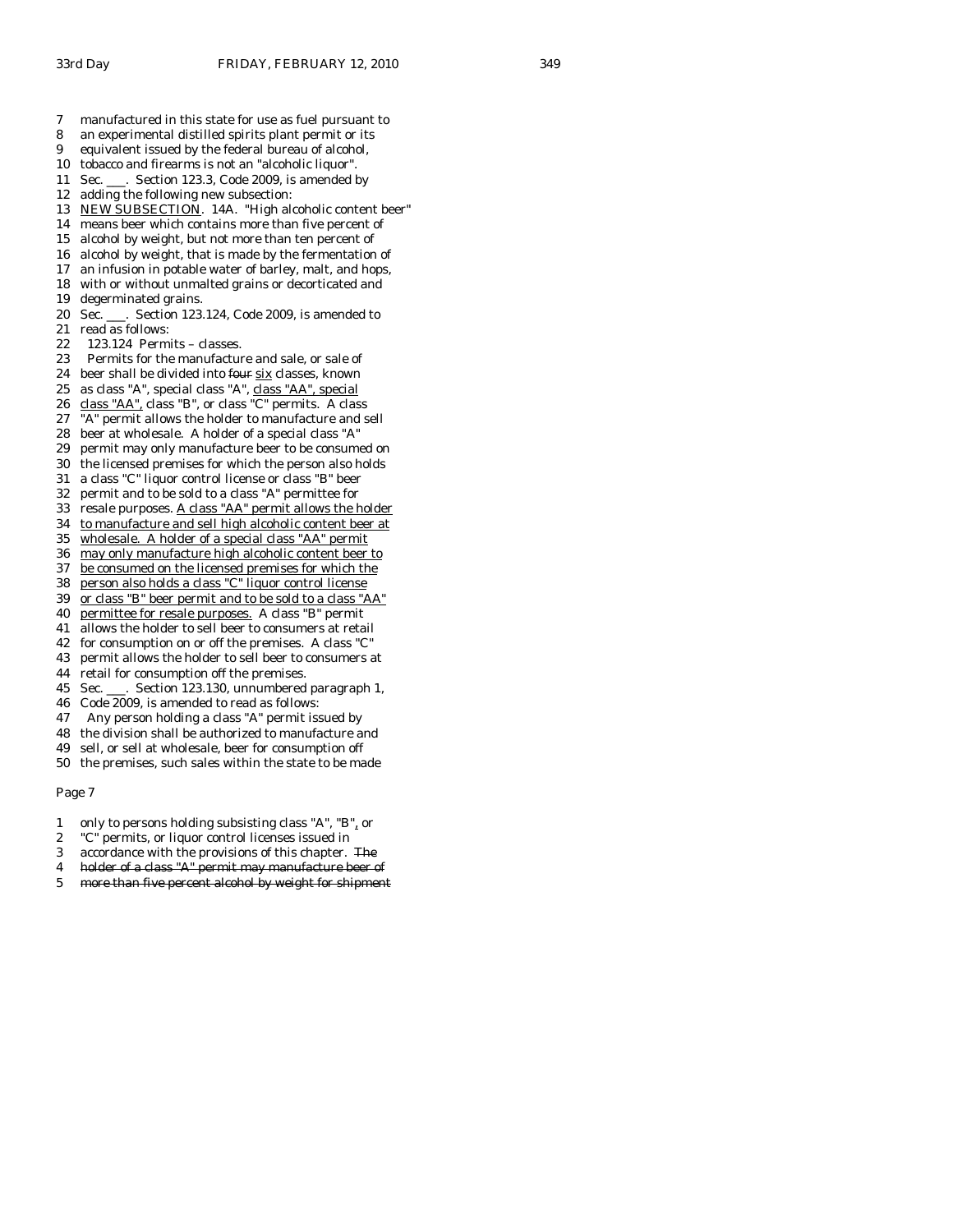- 7 manufactured in this state for use as fuel pursuant to
- 8 an experimental distilled spirits plant permit or its
- 9 equivalent issued by the federal bureau of alcohol,
- 10 tobacco and firearms is not an "alcoholic liquor".
- 11 Sec. \_\_\_. Section 123.3, Code 2009, is amended by
- 12 adding the following new subsection:
- 13 NEW SUBSECTION. 14A. "High alcoholic content beer"
- 14 means beer which contains more than five percent of
- 15 alcohol by weight, but not more than ten percent of
- 16 alcohol by weight, that is made by the fermentation of
- 17 an infusion in potable water of barley, malt, and hops, 18 with or without unmalted grains or decorticated and
- 19 degerminated grains.
- 20 Sec. \_\_\_. Section 123.124, Code 2009, is amended to 21 read as follows:
- 22 123.124 Permits classes.
- 
- 23 Permits for the manufacture and sale, or sale of 24 beer shall be divided into four six classes, known
- 25 as class "A", special class "A", class "AA", special
- 26 class "AA", class "B", or class "C" permits. A class
- 27 "A" permit allows the holder to manufacture and sell
- 28 beer at wholesale. A holder of a special class "A"
- 29 permit may only manufacture beer to be consumed on
- 30 the licensed premises for which the person also holds
- 31 a class "C" liquor control license or class "B" beer
- 32 permit and to be sold to a class "A" permittee for
- 33 resale purposes. A class "AA" permit allows the holder
- 34 to manufacture and sell high alcoholic content beer at
- 35 wholesale. A holder of a special class "AA" permit
- 36 may only manufacture high alcoholic content beer to
- 37 be consumed on the licensed premises for which the
- 38 person also holds a class "C" liquor control license
- 39 or class "B" beer permit and to be sold to a class "AA"
- 40 permittee for resale purposes. A class "B" permit
- 41 allows the holder to sell beer to consumers at retail
- 42 for consumption on or off the premises. A class "C"
- 43 permit allows the holder to sell beer to consumers at
- 44 retail for consumption off the premises.
- 45 Sec. \_\_\_. Section 123.130, unnumbered paragraph 1,
- 46 Code 2009, is amended to read as follows:
- 47 Any person holding a class "A" permit issued by
- 48 the division shall be authorized to manufacture and
- 49 sell, or sell at wholesale, beer for consumption off
- 50 the premises, such sales within the state to be made

- 1 only to persons holding subsisting class "A", "B", or
- 2 "C" permits, or liquor control licenses issued in
- 3 accordance with the provisions of this chapter. The
- 4 holder of a class "A" permit may manufacture beer of
- 5 more than five percent alcohol by weight for shipment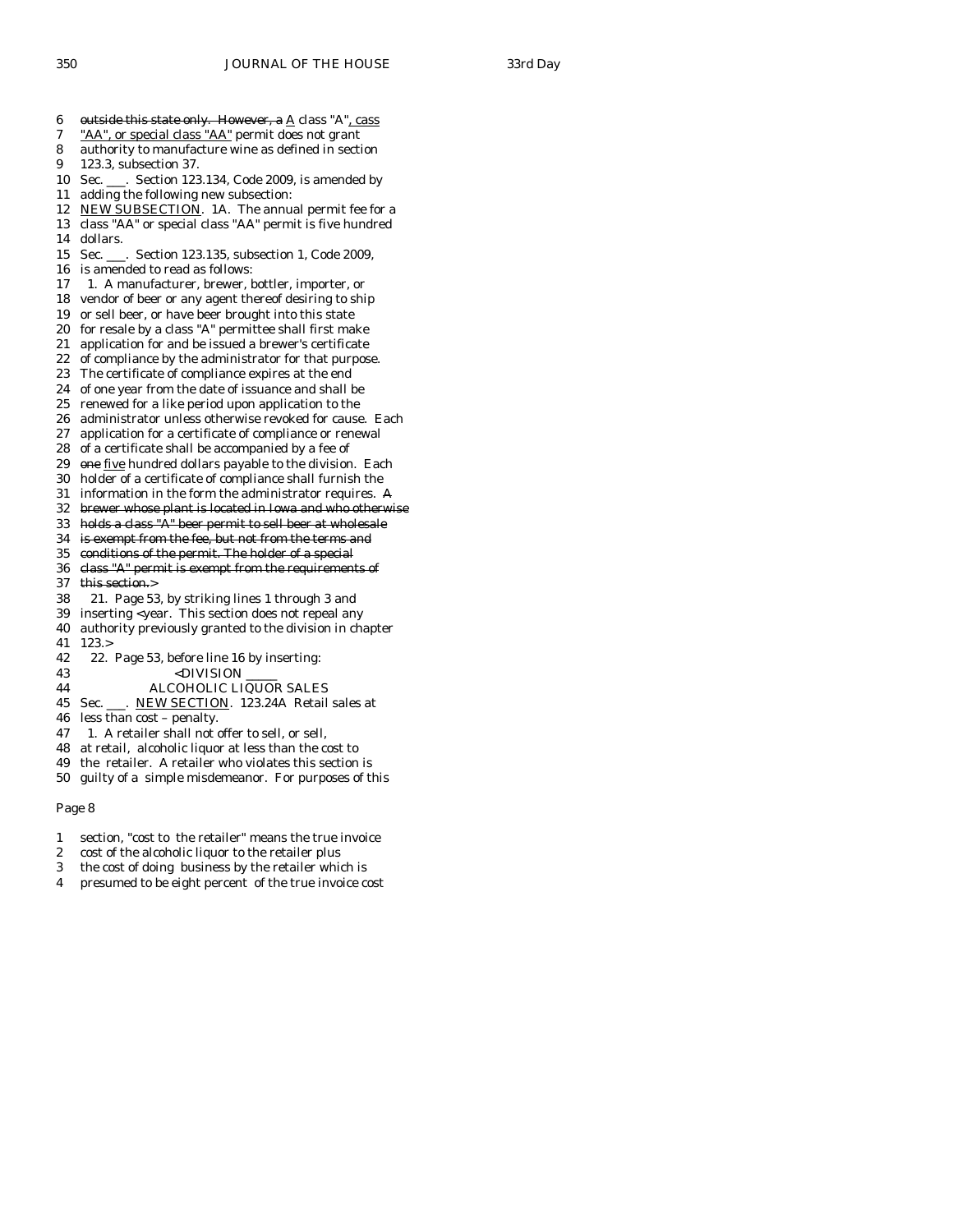- 6 outside this state only. However, a  $\underline{A}$  class "A", cass
- 7 "AA", or special class "AA" permit does not grant
- 8 authority to manufacture wine as defined in section
- 9 123.3, subsection 37.
- 10 Sec. \_\_\_. Section 123.134, Code 2009, is amended by
- 11 adding the following new subsection:
- 12 NEW SUBSECTION. 1A. The annual permit fee for a
- 13 class "AA" or special class "AA" permit is five hundred 14 dollars.
- 15 Sec. \_\_\_. Section 123.135, subsection 1, Code 2009,
- 16 is amended to read as follows:
- 17 1. A manufacturer, brewer, bottler, importer, or
- 18 vendor of beer or any agent thereof desiring to ship
- 19 or sell beer, or have beer brought into this state
- 20 for resale by a class "A" permittee shall first make
- 21 application for and be issued a brewer's certificate
- 22 of compliance by the administrator for that purpose.
- 23 The certificate of compliance expires at the end
- 24 of one year from the date of issuance and shall be
- 25 renewed for a like period upon application to the
- 26 administrator unless otherwise revoked for cause. Each
- 27 application for a certificate of compliance or renewal
- 28 of a certificate shall be accompanied by a fee of
- 29 one five hundred dollars payable to the division. Each
- 30 holder of a certificate of compliance shall furnish the
- 31 information in the form the administrator requires. A
- 32 brewer whose plant is located in Iowa and who otherwise
- 33 holds a class "A" beer permit to sell beer at wholesale
- 34 is exempt from the fee, but not from the terms and
- 35 conditions of the permit. The holder of a special
- 36 class "A" permit is exempt from the requirements of 37 this section.>
- 38 21. Page 53, by striking lines 1 through 3 and
- 39 inserting <year. This section does not repeal any
- 40 authority previously granted to the division in chapter
- 41 123.>
- 42 22. Page 53, before line 16 by inserting:
- 43 <DIVISION \_\_\_\_\_
- 44 ALCOHOLIC LIQUOR SALES
- 45 Sec. \_\_\_. NEW SECTION. 123.24A Retail sales at
- 46 less than cost penalty.
- 47 1. A retailer shall not offer to sell, or sell,
- 48 at retail, alcoholic liquor at less than the cost to
- 49 the retailer. A retailer who violates this section is
- 50 guilty of a simple misdemeanor. For purposes of this

- 1 section, "cost to the retailer" means the true invoice
- 2 cost of the alcoholic liquor to the retailer plus
- 3 the cost of doing business by the retailer which is
- 4 presumed to be eight percent of the true invoice cost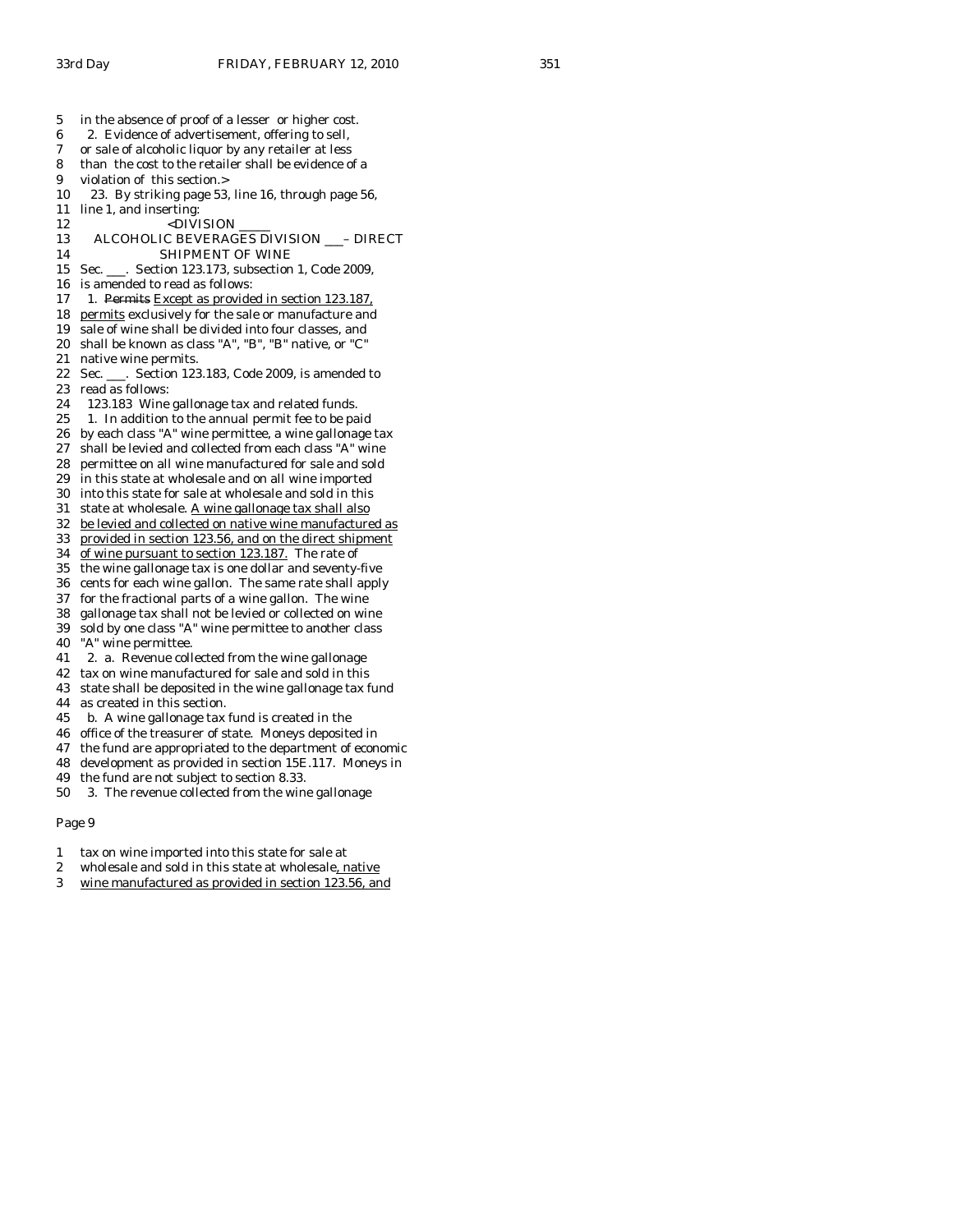- 5 in the absence of proof of a lesser or higher cost. 6 2. Evidence of advertisement, offering to sell,
- 7 or sale of alcoholic liquor by any retailer at less
- 8 than the cost to the retailer shall be evidence of a
- 9 violation of this section.>
- 10 23. By striking page 53, line 16, through page 56,
- 11 line 1, and inserting:
- 12 <DIVISION<br>13 ALCOHOLIC BEVERAG
- 13 ALCOHOLIC BEVERAGES DIVISION \_\_\_– DIRECT 14 SHIPMENT OF WINE
- 15 Sec. \_\_\_. Section 123.173, subsection 1, Code 2009,
- 16 is amended to read as follows:
- 17 1. Permits Except as provided in section 123.187.
- 18 permits exclusively for the sale or manufacture and
- 19 sale of wine shall be divided into four classes, and
- 20 shall be known as class "A", "B", "B" native, or "C"
- 21 native wine permits.
- 22 Sec. \_\_\_. Section 123.183, Code 2009, is amended to 23 read as follows:<br>24 123.183 Wine
- 123.183 Wine gallonage tax and related funds.
- 25 1. In addition to the annual permit fee to be paid
- 26 by each class "A" wine permittee, a wine gallonage tax
- 27 shall be levied and collected from each class "A" wine
- 28 permittee on all wine manufactured for sale and sold
- 29 in this state at wholesale and on all wine imported
- 30 into this state for sale at wholesale and sold in this
- 31 state at wholesale. A wine gallonage tax shall also
- 32 be levied and collected on native wine manufactured as
- 33 provided in section 123.56, and on the direct shipment
- 34 of wine pursuant to section 123.187. The rate of
- 35 the wine gallonage tax is one dollar and seventy-five 36 cents for each wine gallon. The same rate shall apply
- 37 for the fractional parts of a wine gallon. The wine
- 38 gallonage tax shall not be levied or collected on wine
- 39 sold by one class "A" wine permittee to another class
- 40 "A" wine permittee.
- 41 2. a. Revenue collected from the wine gallonage
- 42 tax on wine manufactured for sale and sold in this
- 43 state shall be deposited in the wine gallonage tax fund
- 44 as created in this section.
- 45 b. A wine gallonage tax fund is created in the
- 46 office of the treasurer of state. Moneys deposited in
- 47 the fund are appropriated to the department of economic
- 48 development as provided in section 15E.117. Moneys in
- 49 the fund are not subject to section 8.33.
- 50 3. The revenue collected from the wine gallonage

- 1 tax on wine imported into this state for sale at
- 2 wholesale and sold in this state at wholesale, native
- 3 wine manufactured as provided in section 123.56, and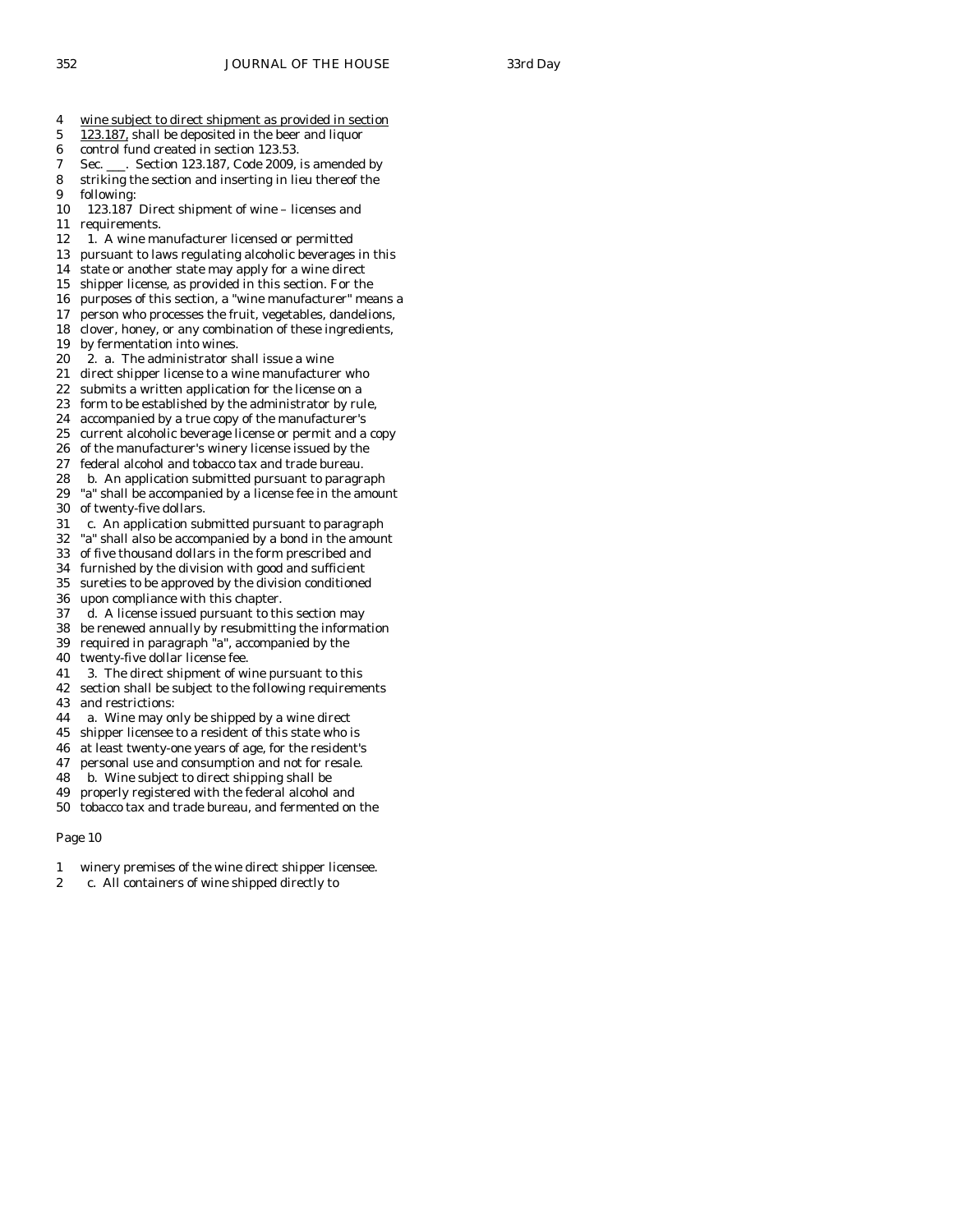- 4 wine subject to direct shipment as provided in section
- 5 123.187, shall be deposited in the beer and liquor
- 6 control fund created in section 123.53.
- 7 Sec. \_\_\_. Section 123.187, Code 2009, is amended by
- 8 striking the section and inserting in lieu thereof the
- 9 following:
- 10 123.187 Direct shipment of wine licenses and
- 11 requirements.
- 12 1. A wine manufacturer licensed or permitted
- 13 pursuant to laws regulating alcoholic beverages in this
- 14 state or another state may apply for a wine direct
- 15 shipper license, as provided in this section. For the
- 16 purposes of this section, a "wine manufacturer" means a
- 17 person who processes the fruit, vegetables, dandelions,
- 18 clover, honey, or any combination of these ingredients,
- 19 by fermentation into wines.
- 20 2. a. The administrator shall issue a wine
- 21 direct shipper license to a wine manufacturer who
- 22 submits a written application for the license on a 23 form to be established by the administrator by rule,
- 24 accompanied by a true copy of the manufacturer's
- 25 current alcoholic beverage license or permit and a copy
- 26 of the manufacturer's winery license issued by the
- 27 federal alcohol and tobacco tax and trade bureau.
- 28 b. An application submitted pursuant to paragraph
- 29 "a" shall be accompanied by a license fee in the amount 30 of twenty-five dollars.
- 31 c. An application submitted pursuant to paragraph
- 32 "a" shall also be accompanied by a bond in the amount
- 33 of five thousand dollars in the form prescribed and
- 34 furnished by the division with good and sufficient
- 35 sureties to be approved by the division conditioned
- 36 upon compliance with this chapter.
- 37 d. A license issued pursuant to this section may 38 be renewed annually by resubmitting the information
- 39 required in paragraph "a", accompanied by the
- 40 twenty-five dollar license fee.
- 41 3. The direct shipment of wine pursuant to this
- 42 section shall be subject to the following requirements
- 43 and restrictions:
- 44 a. Wine may only be shipped by a wine direct
- 45 shipper licensee to a resident of this state who is
- 46 at least twenty-one years of age, for the resident's
- 47 personal use and consumption and not for resale.
- 48 b. Wine subject to direct shipping shall be
- 49 properly registered with the federal alcohol and 50 tobacco tax and trade bureau, and fermented on the

- 1 winery premises of the wine direct shipper licensee.
- 2 c. All containers of wine shipped directly to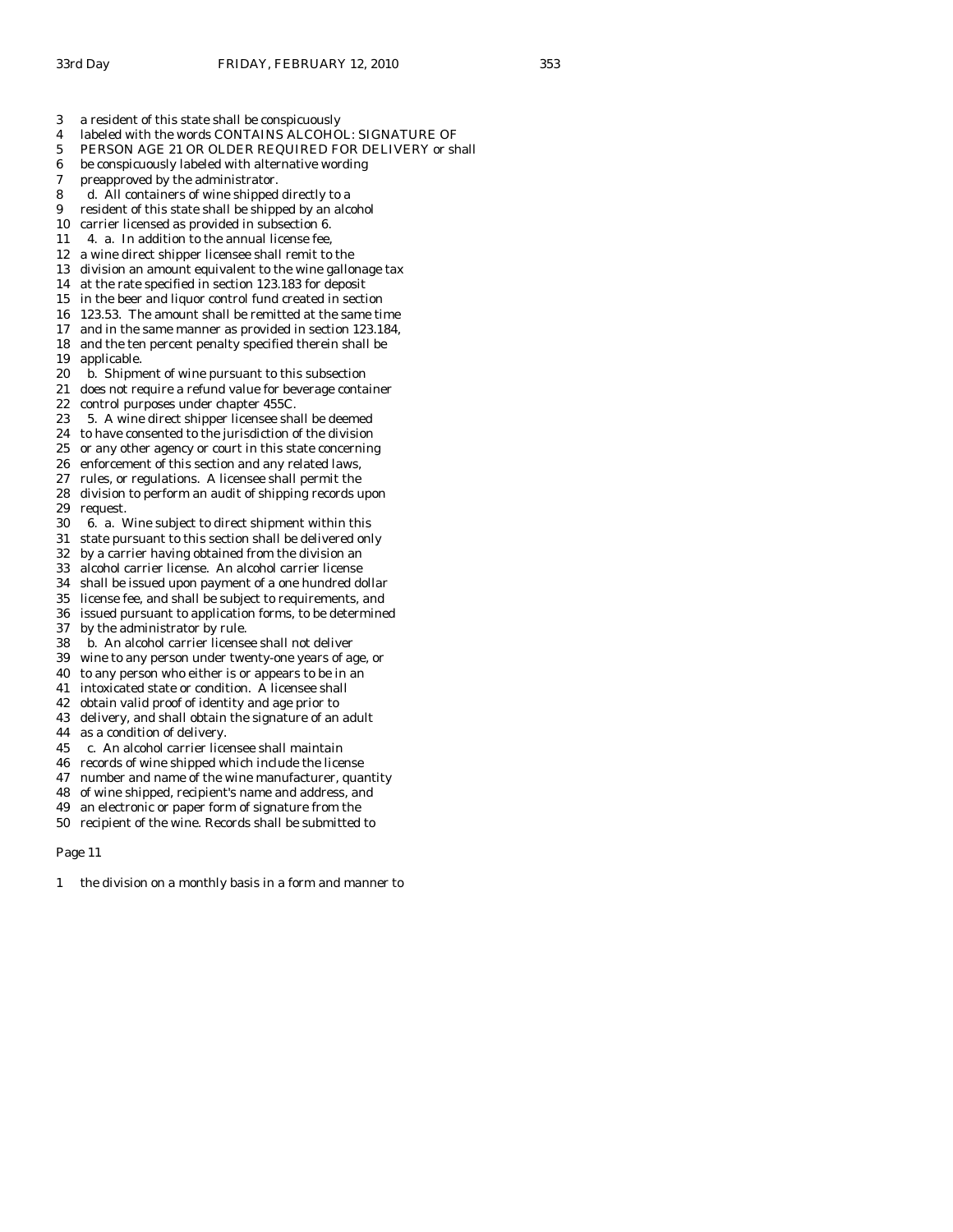- 3 a resident of this state shall be conspicuously
- 4 labeled with the words CONTAINS ALCOHOL: SIGNATURE OF
- 5 PERSON AGE 21 OR OLDER REQUIRED FOR DELIVERY or shall
- 6 be conspicuously labeled with alternative wording
- 7 preapproved by the administrator.
- 8 d. All containers of wine shipped directly to a
- 9 resident of this state shall be shipped by an alcohol
- 10 carrier licensed as provided in subsection 6.
- 11 4. a. In addition to the annual license fee,
- 12 a wine direct shipper licensee shall remit to the
- 13 division an amount equivalent to the wine gallonage tax
- 14 at the rate specified in section 123.183 for deposit
- 15 in the beer and liquor control fund created in section
- 16 123.53. The amount shall be remitted at the same time
- 17 and in the same manner as provided in section 123.184,
- 18 and the ten percent penalty specified therein shall be
- 19 applicable.
- 20 b. Shipment of wine pursuant to this subsection
- 21 does not require a refund value for beverage container<br>22 control purposes under chapter 455C. control purposes under chapter 455C.
- 23 5. A wine direct shipper licensee shall be deemed
- 24 to have consented to the jurisdiction of the division
- 25 or any other agency or court in this state concerning
- 26 enforcement of this section and any related laws,
- 27 rules, or regulations. A licensee shall permit the
- 28 division to perform an audit of shipping records upon 29 request.
- 30 6. a. Wine subject to direct shipment within this
- 31 state pursuant to this section shall be delivered only
- 32 by a carrier having obtained from the division an
- 33 alcohol carrier license. An alcohol carrier license
- 34 shall be issued upon payment of a one hundred dollar
- 35 license fee, and shall be subject to requirements, and 36 issued pursuant to application forms, to be determined
- 37 by the administrator by rule.
- 
- 38 b. An alcohol carrier licensee shall not deliver
- 39 wine to any person under twenty-one years of age, or
- 40 to any person who either is or appears to be in an
- 41 intoxicated state or condition. A licensee shall 42 obtain valid proof of identity and age prior to
- 43 delivery, and shall obtain the signature of an adult
- 44 as a condition of delivery.
- 45 c. An alcohol carrier licensee shall maintain
- 46 records of wine shipped which include the license
- 47 number and name of the wine manufacturer, quantity
- 48 of wine shipped, recipient's name and address, and
- 49 an electronic or paper form of signature from the
- 50 recipient of the wine. Records shall be submitted to

1 the division on a monthly basis in a form and manner to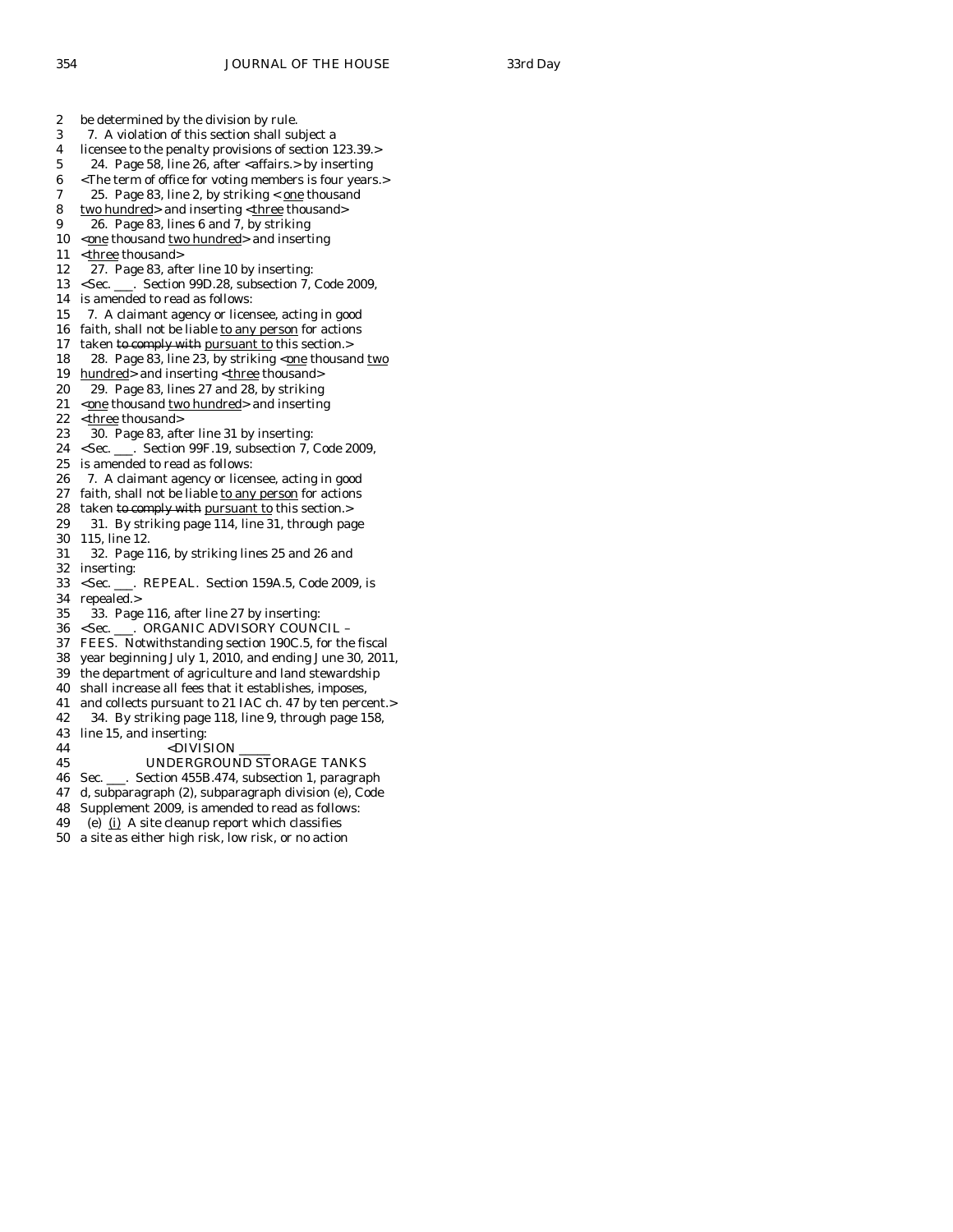2 be determined by the division by rule. 3 7. A violation of this section shall subject a 4 licensee to the penalty provisions of section 123.39.> 5 24. Page 58, line 26, after <alignaries.> by inserting 6 <The term of office for voting members is four years.> 7 25. Page 83, line 2, by striking  $<$  one thousand 8 two hundred> and inserting <three thousand> 9 26. Page 83, lines 6 and 7, by striking 10  $\leq$   $\frac{10}{2}$  thousand two hundred > and inserting 11 <three thousand> 12 27. Page 83, after line 10 by inserting: 13 <Sec. \_\_\_. Section 99D.28, subsection 7, Code 2009, 14 is amended to read as follows: 15 7. A claimant agency or licensee, acting in good 16 faith, shall not be liable to any person for actions 17 taken to comply with pursuant to this section.> 18 28. Page 83, line 23, by striking <one thousand two 19 hundred> and inserting <three thousand> 20 29. Page 83, lines 27 and 28, by striking 21  $\leq$   $\frac{1}{2}$   $\leq$   $\frac{1}{2}$   $\leq$   $\frac{1}{2}$   $\leq$   $\frac{1}{2}$   $\leq$   $\frac{1}{2}$   $\leq$   $\frac{1}{2}$   $\leq$   $\frac{1}{2}$   $\leq$   $\frac{1}{2}$   $\leq$   $\frac{1}{2}$   $\leq$   $\frac{1}{2}$   $\leq$   $\frac{1}{2}$   $\leq$   $\frac{1}{2}$   $\leq$   $\frac{1}{2}$   $\leq$   $\frac{$ 22 <three thousand> 23 30. Page 83, after line 31 by inserting: 24 <Sec. \_\_\_. Section 99F.19, subsection 7, Code 2009, 25 is amended to read as follows: 26 7. A claimant agency or licensee, acting in good 27 faith, shall not be liable to any person for actions 28 taken to comply with pursuant to this section.> 29 31. By striking page 114, line 31, through page 30 115, line 12. 31 32. Page 116, by striking lines 25 and 26 and 32 inserting: 33 <Sec. \_\_\_. REPEAL. Section 159A.5, Code 2009, is 34 repealed.> 35 33. Page 116, after line 27 by inserting: 36 <Sec. \_\_\_. ORGANIC ADVISORY COUNCIL – 37 FEES. Notwithstanding section 190C.5, for the fiscal 38 year beginning July 1, 2010, and ending June 30, 2011, 39 the department of agriculture and land stewardship 40 shall increase all fees that it establishes, imposes, 41 and collects pursuant to 21 IAC ch. 47 by ten percent.> 42 34. By striking page 118, line 9, through page 158, 43 line 15, and inserting: 44 <DIVISION 45 UNDERGROUND STORAGE TANKS 46 Sec. \_\_\_. Section 455B.474, subsection 1, paragraph 47 d, subparagraph (2), subparagraph division (e), Code 48 Supplement 2009, is amended to read as follows: 49 (e)  $(i)$  A site cleanup report which classifies 50 a site as either high risk, low risk, or no action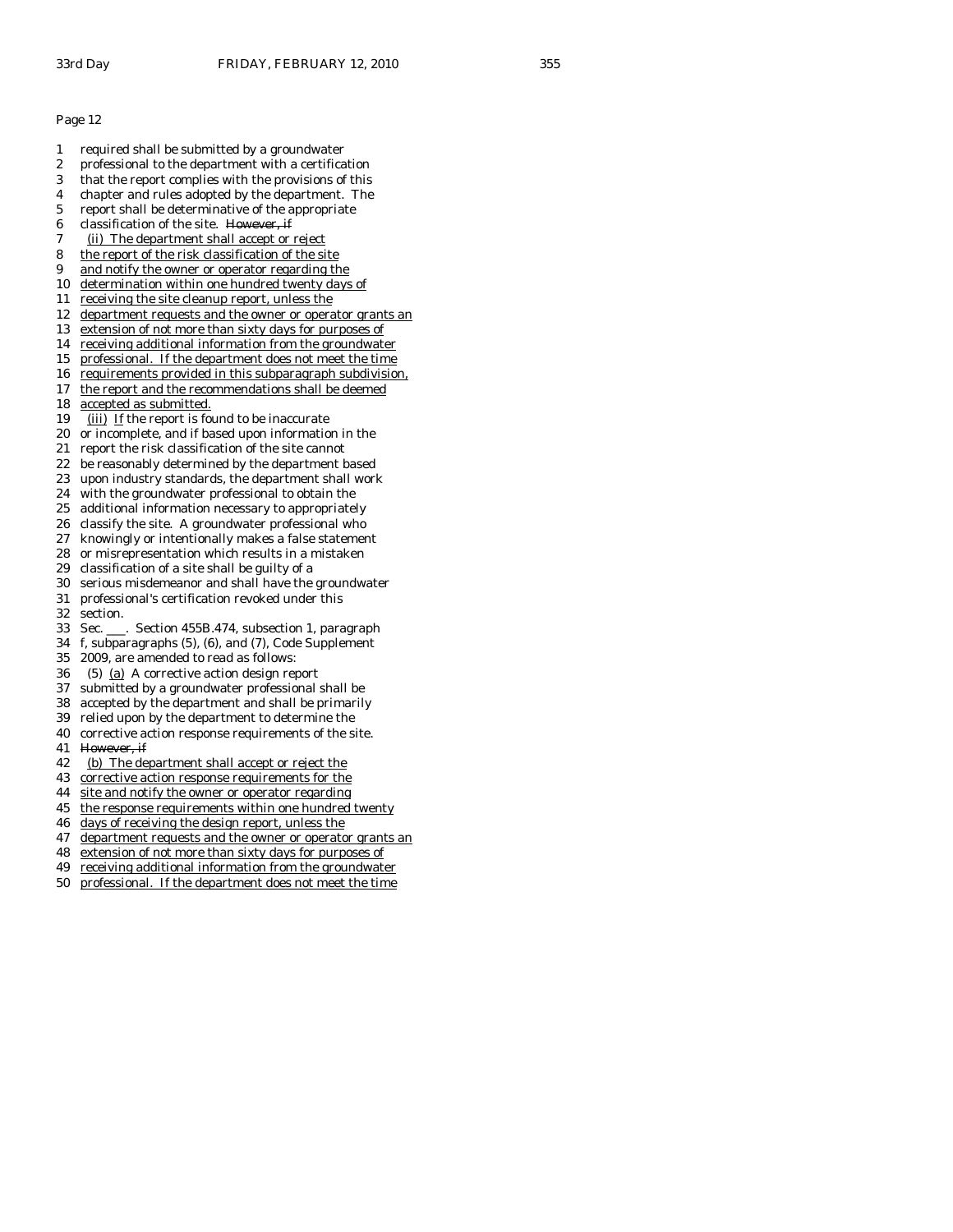- 1 required shall be submitted by a groundwater
- 2 professional to the department with a certification
- 3 that the report complies with the provisions of this
- 4 chapter and rules adopted by the department. The
- 5 report shall be determinative of the appropriate
- 6 classification of the site. However, if
- 7 (ii) The department shall accept or reject
- 8 the report of the risk classification of the site
- 9 and notify the owner or operator regarding the
- 10 determination within one hundred twenty days of 11 receiving the site cleanup report, unless the
- 
- 12 department requests and the owner or operator grants an
- 13 extension of not more than sixty days for purposes of 14 receiving additional information from the groundwater
- 
- 15 professional. If the department does not meet the time 16 requirements provided in this subparagraph subdivision,
- 17 the report and the recommendations shall be deemed
- 18 accepted as submitted.
- 19 (iii) If the report is found to be inaccurate
- 20 or incomplete, and if based upon information in the
- 21 report the risk classification of the site cannot
- 22 be reasonably determined by the department based
- 23 upon industry standards, the department shall work
- 24 with the groundwater professional to obtain the
- 25 additional information necessary to appropriately
- 26 classify the site. A groundwater professional who
- 27 knowingly or intentionally makes a false statement
- 28 or misrepresentation which results in a mistaken
- 29 classification of a site shall be guilty of a
- 30 serious misdemeanor and shall have the groundwater
- 31 professional's certification revoked under this
- 32 section.
- 33 Sec. \_\_\_. Section 455B.474, subsection 1, paragraph
- 34 f, subparagraphs (5), (6), and (7), Code Supplement
- 35 2009, are amended to read as follows:
- 36 (5) (a) A corrective action design report
- 37 submitted by a groundwater professional shall be
- 38 accepted by the department and shall be primarily
- 39 relied upon by the department to determine the
- 40 corrective action response requirements of the site.
- 41 However, if
- 42 (b) The department shall accept or reject the
- 43 corrective action response requirements for the
- 44 site and notify the owner or operator regarding
- 45 the response requirements within one hundred twenty
- 46 days of receiving the design report, unless the
- 47 department requests and the owner or operator grants an
- 48 extension of not more than sixty days for purposes of
- 49 receiving additional information from the groundwater
- 50 professional. If the department does not meet the time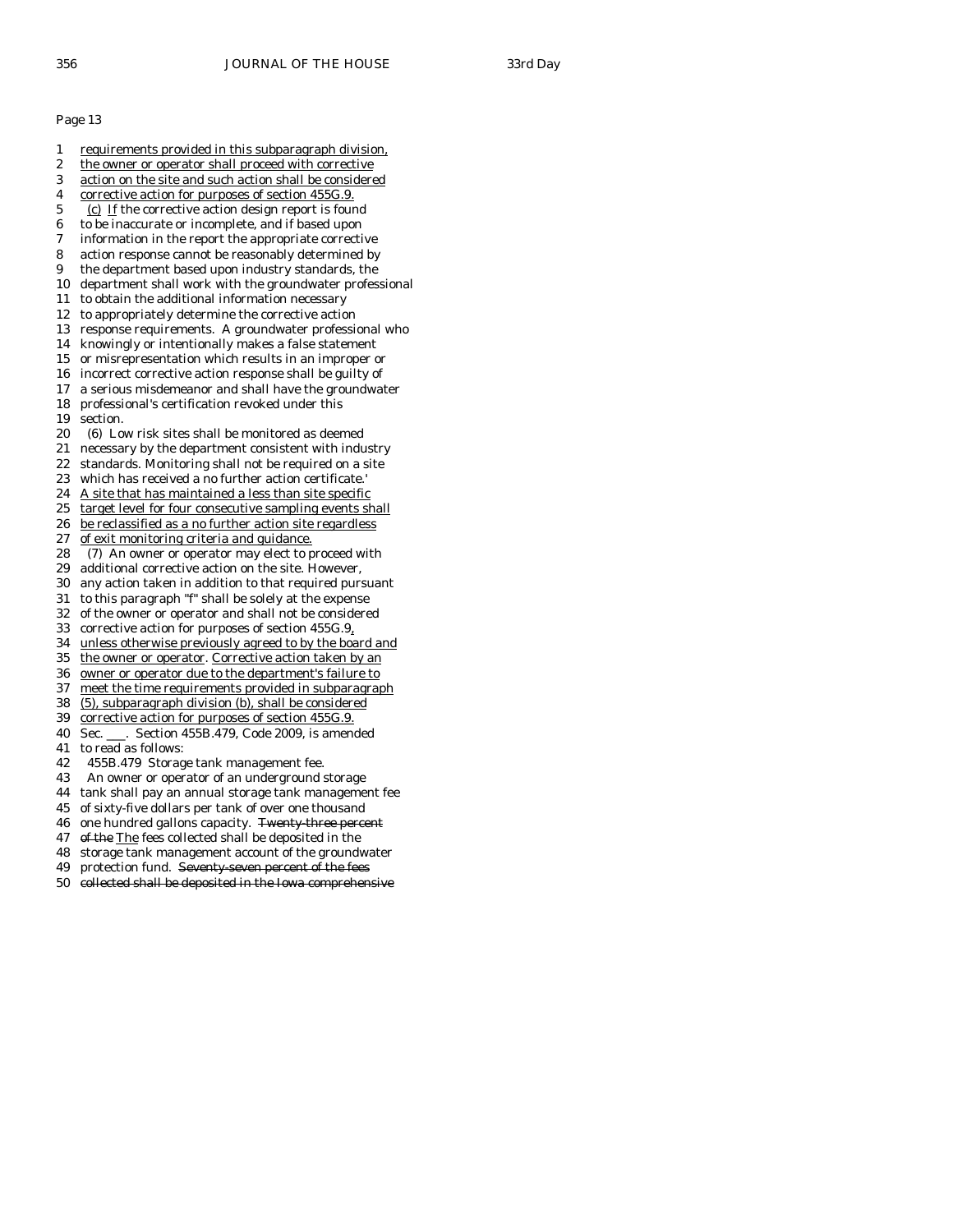- 1 requirements provided in this subparagraph division,
- 2 the owner or operator shall proceed with corrective
- 3 action on the site and such action shall be considered
- 4 corrective action for purposes of section 455G.9. 5 (c) If the corrective action design report is found
- 6 to be inaccurate or incomplete, and if based upon
- 7 information in the report the appropriate corrective
- 8 action response cannot be reasonably determined by
- 9 the department based upon industry standards, the
- 10 department shall work with the groundwater professional
- 11 to obtain the additional information necessary
- 12 to appropriately determine the corrective action
- 13 response requirements. A groundwater professional who
- 14 knowingly or intentionally makes a false statement
- 15 or misrepresentation which results in an improper or
- 16 incorrect corrective action response shall be guilty of
- 17 a serious misdemeanor and shall have the groundwater 18 professional's certification revoked under this
- 19 section.
- 20 (6) Low risk sites shall be monitored as deemed
- 21 necessary by the department consistent with industry
- 22 standards. Monitoring shall not be required on a site
- 23 which has received a no further action certificate.'
- 24 A site that has maintained a less than site specific
- 25 target level for four consecutive sampling events shall
- 26 be reclassified as a no further action site regardless
- 27 of exit monitoring criteria and guidance.
- 28 (7) An owner or operator may elect to proceed with
- 29 additional corrective action on the site. However,
- 30 any action taken in addition to that required pursuant
- 31 to this paragraph "f" shall be solely at the expense
- 32 of the owner or operator and shall not be considered 33 corrective action for purposes of section 455G.9,
- 
- 34 unless otherwise previously agreed to by the board and
- 35 the owner or operator. Corrective action taken by an
- 36 owner or operator due to the department's failure to
- 37 meet the time requirements provided in subparagraph
- 38 (5), subparagraph division (b), shall be considered 39 corrective action for purposes of section 455G.9.
- 40 Sec. \_\_\_. Section 455B.479, Code 2009, is amended
- 41 to read as follows:
- 42 455B.479 Storage tank management fee.
- 43 An owner or operator of an underground storage
- 44 tank shall pay an annual storage tank management fee
- 45 of sixty-five dollars per tank of over one thousand
- 46 one hundred gallons capacity. Twenty three percent
- 47 of the The fees collected shall be deposited in the
- 48 storage tank management account of the groundwater
- 49 protection fund. Seventy seven percent of the fees
- 50 collected shall be deposited in the Iowa comprehensive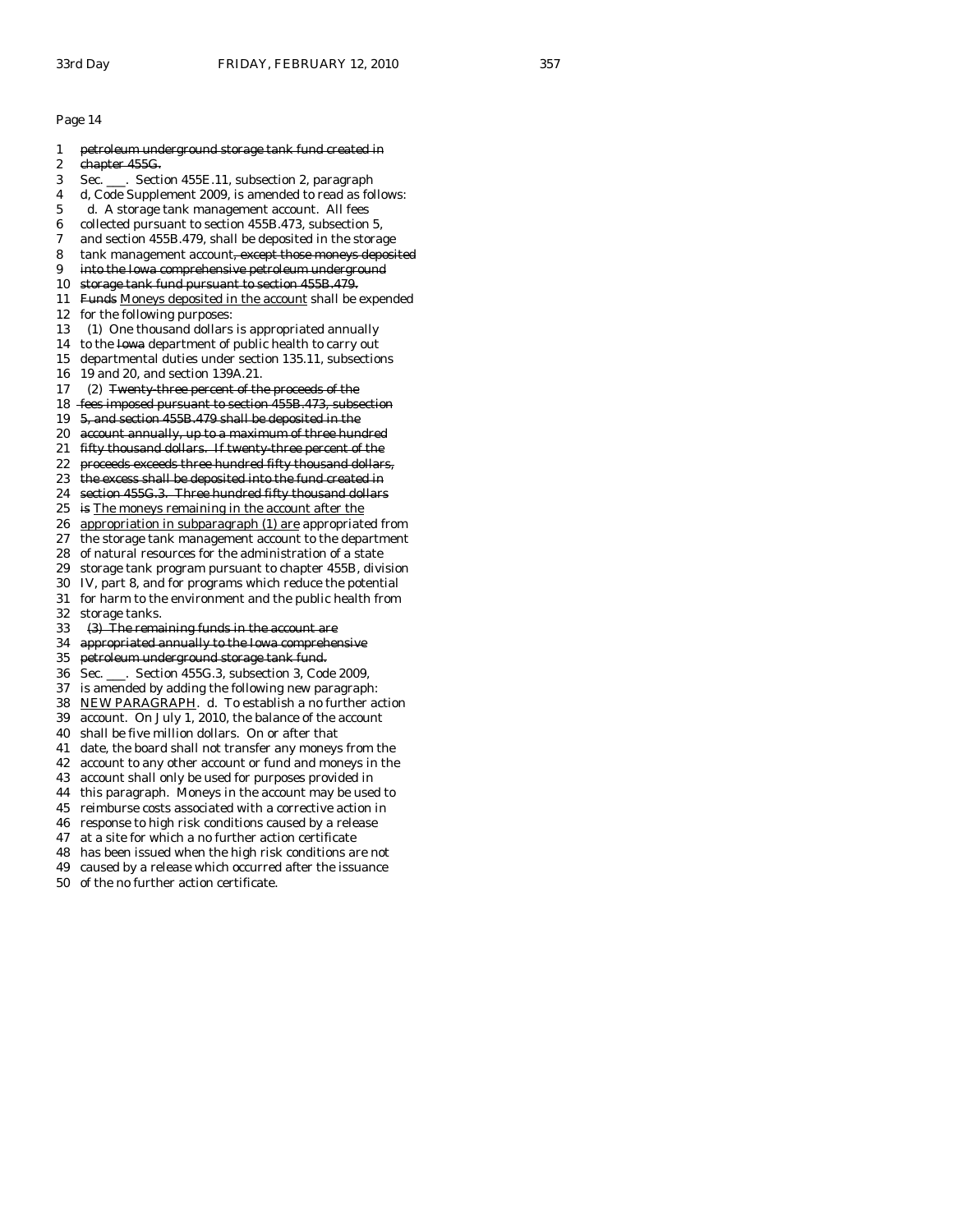| 1                | petroleum underground storage tank fund created in      |
|------------------|---------------------------------------------------------|
| $\boldsymbol{2}$ | chapter 455G.                                           |
| 3                | Sec. ___. Section 455E.11, subsection 2, paragraph      |
| 4                | d, Code Supplement 2009, is amended to read as follows: |
| 5                | d. A storage tank management account. All fees          |
| 6                | collected pursuant to section 455B.473, subsection 5,   |
| 7                | and section 455B.479, shall be deposited in the storage |
| 8                | tank management account, except those moneys deposited  |
| 9                | into the Iowa comprehensive petroleum underground       |
| 10               | storage tank fund pursuant to section 455B.479.         |
| 11               | Funds Moneys deposited in the account shall be expended |
| 12               | for the following purposes:                             |
| 13               | (1) One thousand dollars is appropriated annually       |
| 14               | to the lowa department of public health to carry out    |
| 15               | departmental duties under section 135.11, subsections   |
| 16               | 19 and 20, and section 139A.21.                         |
| 17               | (2) Twenty three percent of the proceeds of the         |
| 18               | fees imposed pursuant to section 455B.473, subsection   |
| 19               | 5, and section 455B.479 shall be deposited in the       |
| 20               | account annually, up to a maximum of three hundred      |
| 21               | fifty thousand dollars. If twenty three percent of the  |
| 22               | proceeds exceeds three hundred fifty thousand dollars,  |
| 23               | the excess shall be deposited into the fund created in  |
| 24               | section 455G.3. Three hundred fifty thousand dollars    |
| 25               | is The moneys remaining in the account after the        |
| 26               | appropriation in subparagraph (1) are appropriated from |
| 27               | the storage tank management account to the department   |
| 28               | of natural resources for the administration of a state  |
| 29               | storage tank program pursuant to chapter 455B, division |
| 30               | IV, part 8, and for programs which reduce the potential |
| 31               | for harm to the environment and the public health from  |
| 32               | storage tanks.                                          |
| 33               | (3) The remaining funds in the account are              |
| 34               | appropriated annually to the Iowa comprehensive         |
| 35               | petroleum underground storage tank fund.                |
| 36               | Sec. ___. Section 455G.3, subsection 3, Code 2009,      |
| 37               | is amended by adding the following new paragraph:       |
| 38               | NEW PARAGRAPH. d. To establish a no further action      |
| 39               | account. On July 1, 2010, the balance of the account    |
| 40               | shall be five million dollars. On or after that         |
| 41               | date, the board shall not transfer any moneys from the  |
| 42               | account to any other account or fund and moneys in the  |
| 43               | account shall only be used for purposes provided in     |

- 44 this paragraph. Moneys in the account may be used to
- 45 reimburse costs associated with a corrective action in
- 46 response to high risk conditions caused by a release
- 47 at a site for which a no further action certificate
- 48 has been issued when the high risk conditions are not
- 49 caused by a release which occurred after the issuance
- 50 of the no further action certificate.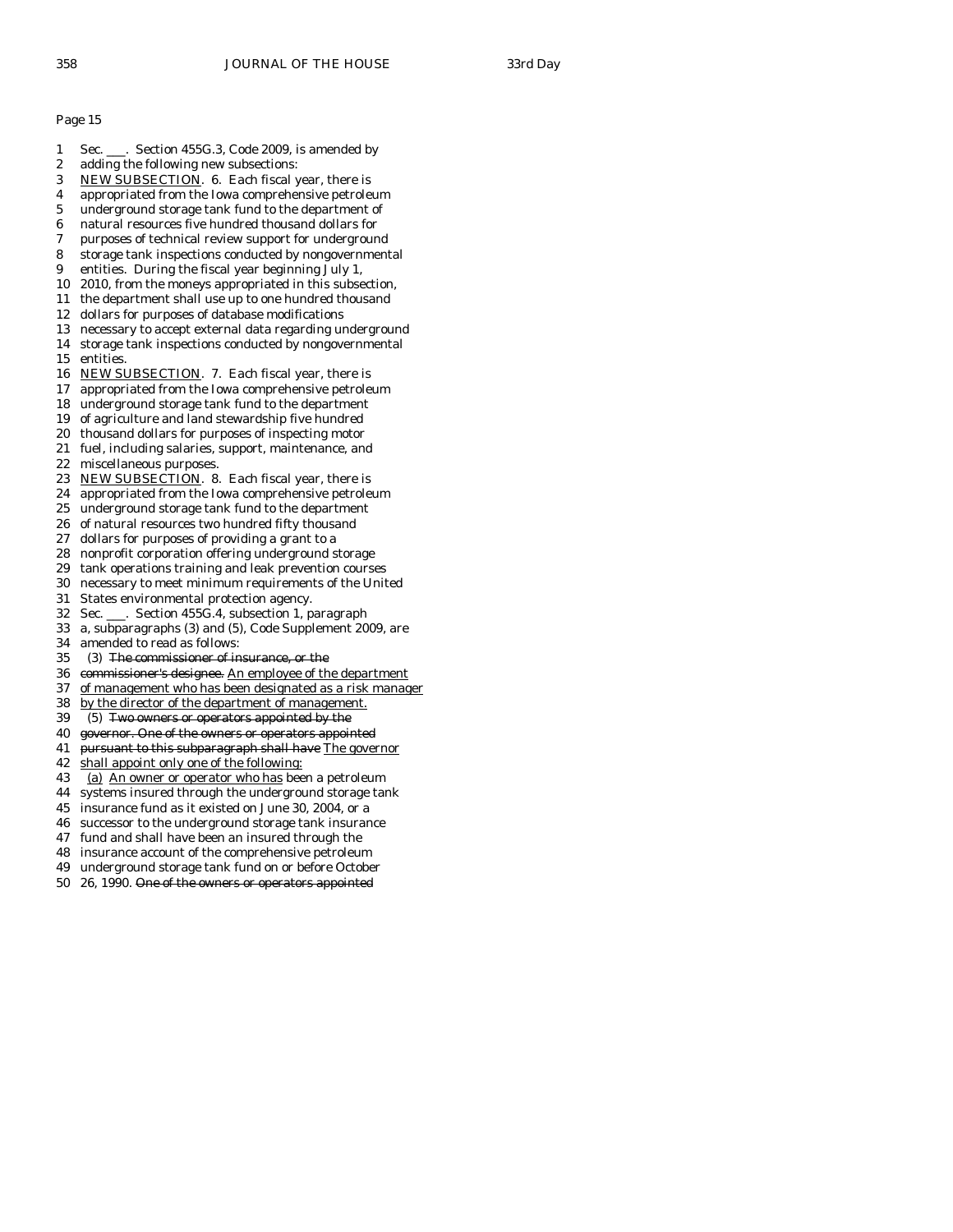- 1 Sec. \_\_\_. Section 455G.3, Code 2009, is amended by
- 2 adding the following new subsections:
- 3 NEW SUBSECTION. 6. Each fiscal year, there is
- 4 appropriated from the Iowa comprehensive petroleum
- 5 underground storage tank fund to the department of
- 6 natural resources five hundred thousand dollars for
- 7 purposes of technical review support for underground
- 8 storage tank inspections conducted by nongovernmental
- 9 entities. During the fiscal year beginning July 1,
- 10 2010, from the moneys appropriated in this subsection,
- 11 the department shall use up to one hundred thousand
- 12 dollars for purposes of database modifications
- 13 necessary to accept external data regarding underground
- 14 storage tank inspections conducted by nongovernmental 15 entities.
- 16 NEW SUBSECTION. 7. Each fiscal year, there is
- 17 appropriated from the Iowa comprehensive petroleum
- 18 underground storage tank fund to the department
- 19 of agriculture and land stewardship five hundred
- 20 thousand dollars for purposes of inspecting motor
- 21 fuel, including salaries, support, maintenance, and
- 22 miscellaneous purposes.
- 23 NEW SUBSECTION. 8. Each fiscal year, there is
- 24 appropriated from the Iowa comprehensive petroleum
- 25 underground storage tank fund to the department
- 26 of natural resources two hundred fifty thousand
- 27 dollars for purposes of providing a grant to a
- 28 nonprofit corporation offering underground storage
- 29 tank operations training and leak prevention courses
- 30 necessary to meet minimum requirements of the United
- 31 States environmental protection agency.
- 32 Sec. \_\_\_. Section 455G.4, subsection 1, paragraph
- 33 a, subparagraphs (3) and (5), Code Supplement 2009, are
- 34 amended to read as follows:<br>35 (3) The commissioner of in
- (3) The commissioner of insurance, or the
- 36 commissioner's designee. An employee of the department
- 37 of management who has been designated as a risk manager
- 38 by the director of the department of management.
- 39 (5) Two owners or operators appointed by the
- 40 governor. One of the owners or operators appointed
- 41 pursuant to this subparagraph shall have The governor
- 42 shall appoint only one of the following:
- 43 (a) An owner or operator who has been a petroleum
- 44 systems insured through the underground storage tank
- 45 insurance fund as it existed on June 30, 2004, or a
- 46 successor to the underground storage tank insurance
- 47 fund and shall have been an insured through the
- 48 insurance account of the comprehensive petroleum
- 49 underground storage tank fund on or before October
- 50 26, 1990. One of the owners or operators appointed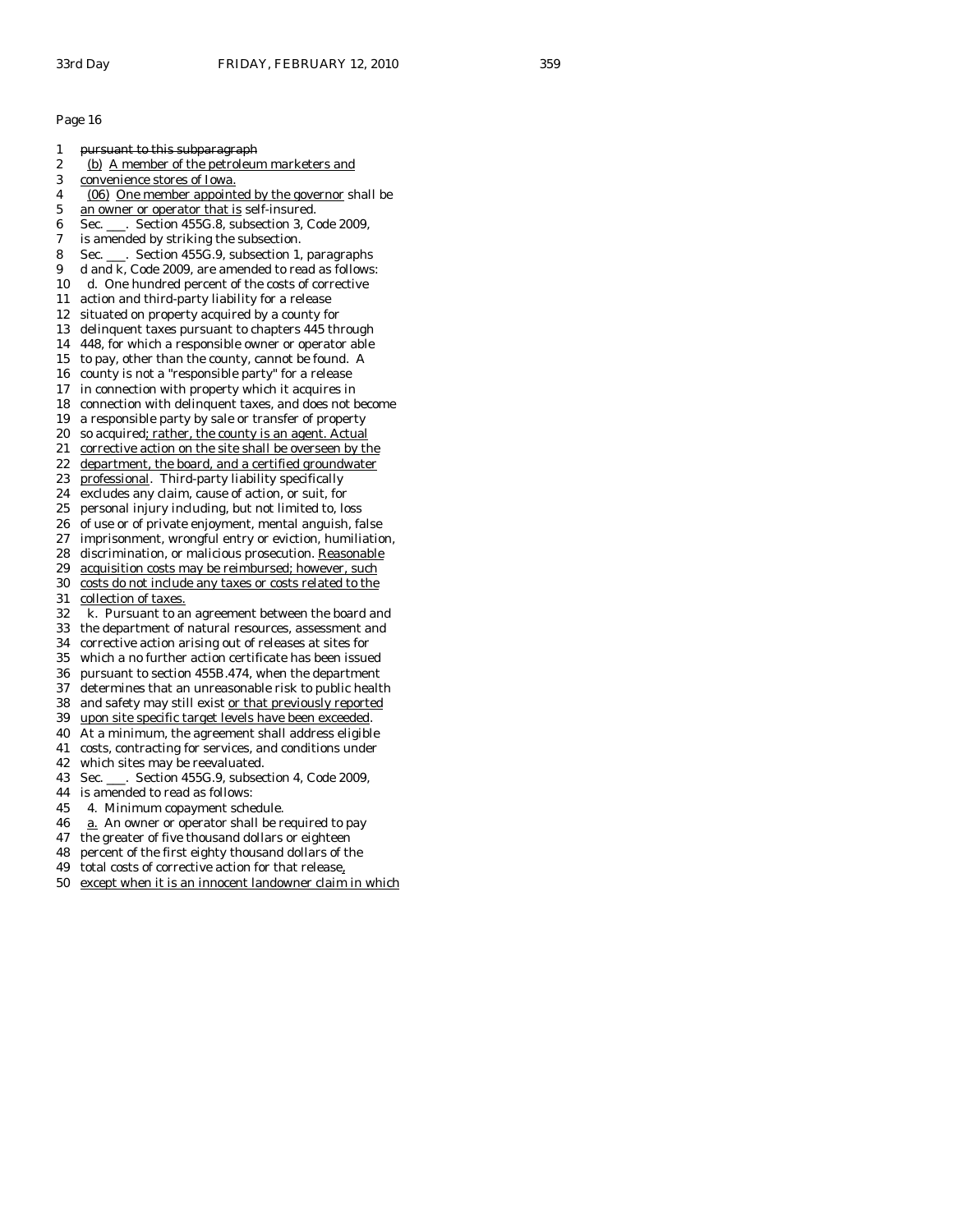- 1 pursuant to this subparagraph
- 2 (b) A member of the petroleum marketers and
- 3 convenience stores of Iowa.
- 4 (06) One member appointed by the governor shall be
- 5 an owner or operator that is self-insured.
- 6 Sec. \_\_\_. Section 455G.8, subsection 3, Code 2009,
- 7 is amended by striking the subsection.
- 8 Sec. \_\_\_. Section 455G.9, subsection 1, paragraphs
- 9 d and k, Code 2009, are amended to read as follows:
- 10 d. One hundred percent of the costs of corrective
- 11 action and third-party liability for a release
- 12 situated on property acquired by a county for
- 13 delinquent taxes pursuant to chapters 445 through
- 14 448, for which a responsible owner or operator able
- 15 to pay, other than the county, cannot be found. A 16 county is not a "responsible party" for a release
- 17 in connection with property which it acquires in
- 18 connection with delinquent taxes, and does not become
- 19 a responsible party by sale or transfer of property
- 20 so acquired; rather, the county is an agent. Actual
- 21 corrective action on the site shall be overseen by the
- 22 department, the board, and a certified groundwater
- 23 professional. Third-party liability specifically
- 24 excludes any claim, cause of action, or suit, for
- 25 personal injury including, but not limited to, loss
- 26 of use or of private enjoyment, mental anguish, false
- 27 imprisonment, wrongful entry or eviction, humiliation,
- 28 discrimination, or malicious prosecution. Reasonable
- 29 acquisition costs may be reimbursed; however, such
- 30 costs do not include any taxes or costs related to the
- 31 collection of taxes.
- 32 k. Pursuant to an agreement between the board and
- 33 the department of natural resources, assessment and
- 34 corrective action arising out of releases at sites for
- which a no further action certificate has been issued
- 36 pursuant to section 455B.474, when the department
- 37 determines that an unreasonable risk to public health 38 and safety may still exist or that previously reported
- 39 upon site specific target levels have been exceeded.
- 40 At a minimum, the agreement shall address eligible
- 41 costs, contracting for services, and conditions under
- 42 which sites may be reevaluated.
- 
- 43 Sec. \_\_\_. Section 455G.9, subsection 4, Code 2009,
- 44 is amended to read as follows:
- 45 4. Minimum copayment schedule.
- 46 a. An owner or operator shall be required to pay
- 47 the greater of five thousand dollars or eighteen
- 48 percent of the first eighty thousand dollars of the
- 49 total costs of corrective action for that release,
- 50 except when it is an innocent landowner claim in which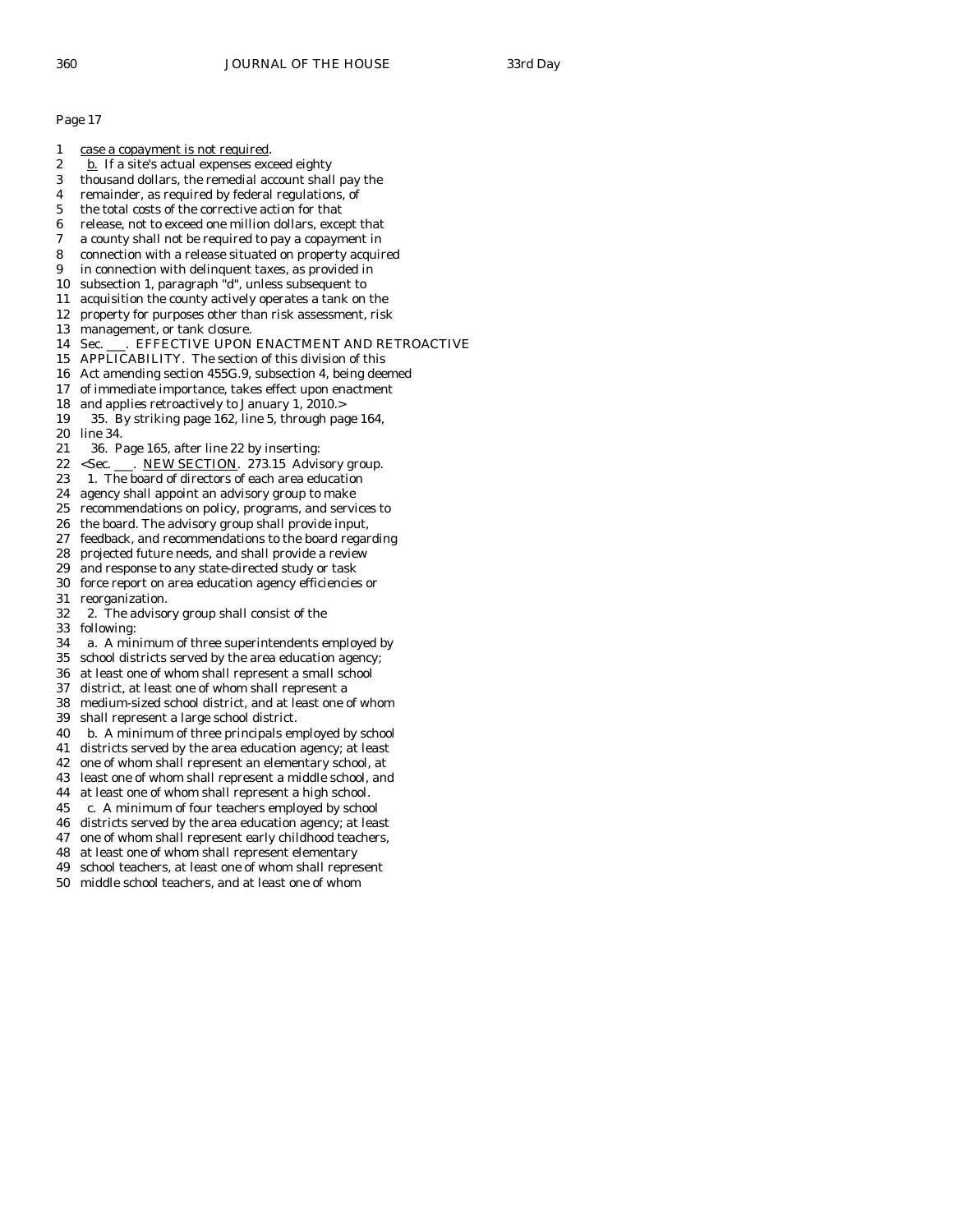| 1  | case a copayment is not required.                                               |
|----|---------------------------------------------------------------------------------|
| 2  | <u>b.</u> If a site's actual expenses exceed eighty                             |
| 3  | thousand dollars, the remedial account shall pay the                            |
| 4  | remainder, as required by federal regulations, of                               |
| 5  | the total costs of the corrective action for that                               |
| 6  | release, not to exceed one million dollars, except that                         |
| 7  | a county shall not be required to pay a copayment in                            |
| 8  | connection with a release situated on property acquired                         |
| 9  | in connection with delinquent taxes, as provided in                             |
| 10 | subsection 1, paragraph "d", unless subsequent to                               |
| 11 | acquisition the county actively operates a tank on the                          |
| 12 | property for purposes other than risk assessment, risk                          |
| 13 | management, or tank closure.                                                    |
| 14 | Sec. ___. EFFECTIVE UPON ENACTMENT AND RETROACTIVE                              |
| 15 | APPLICABILITY. The section of this division of this                             |
| 16 | Act amending section 455G.9, subsection 4, being deemed                         |
| 17 | of immediate importance, takes effect upon enactment                            |
| 18 | and applies retroactively to January 1, 2010.>                                  |
| 19 | 35. By striking page 162, line 5, through page 164,                             |
| 20 | line 34.                                                                        |
| 21 | 36. Page 165, after line 22 by inserting:                                       |
| 22 | <sec. 273.15="" ___.="" advisory="" group.<="" new="" section.="" td=""></sec.> |
| 23 | 1. The board of directors of each area education                                |
| 24 | agency shall appoint an advisory group to make                                  |
| 25 | recommendations on policy, programs, and services to                            |
| 26 | the board. The advisory group shall provide input,                              |
| 27 | feedback, and recommendations to the board regarding                            |
| 28 | projected future needs, and shall provide a review                              |
| 29 | and response to any state-directed study or task                                |
| 30 | force report on area education agency efficiencies or                           |
| 31 | reorganization.                                                                 |
| 32 | 2. The advisory group shall consist of the                                      |
| 33 | following:                                                                      |
| 34 | a. A minimum of three superintendents employed by                               |
| 35 | school districts served by the area education agency;                           |
| 36 | at least one of whom shall represent a small school                             |
| 37 | district, at least one of whom shall represent a                                |
| 38 | medium-sized school district, and at least one of whom                          |
| 39 | shall represent a large school district.                                        |
| 40 | b. A minimum of three principals employed by school                             |
| 41 | districts served by the area education agency; at least                         |
| 42 | one of whom shall represent an elementary school, at                            |
| 43 | least one of whom shall represent a middle school, and                          |
| 44 | at least one of whom shall represent a high school.                             |
| 45 | c. A minimum of four teachers employed by school                                |
| 46 | districts served by the area education agency; at least                         |
| 47 | one of whom shall represent early childhood teachers,                           |
| 48 | at least one of whom shall represent elementary                                 |

49 school teachers, at least one of whom shall represent

50 middle school teachers, and at least one of whom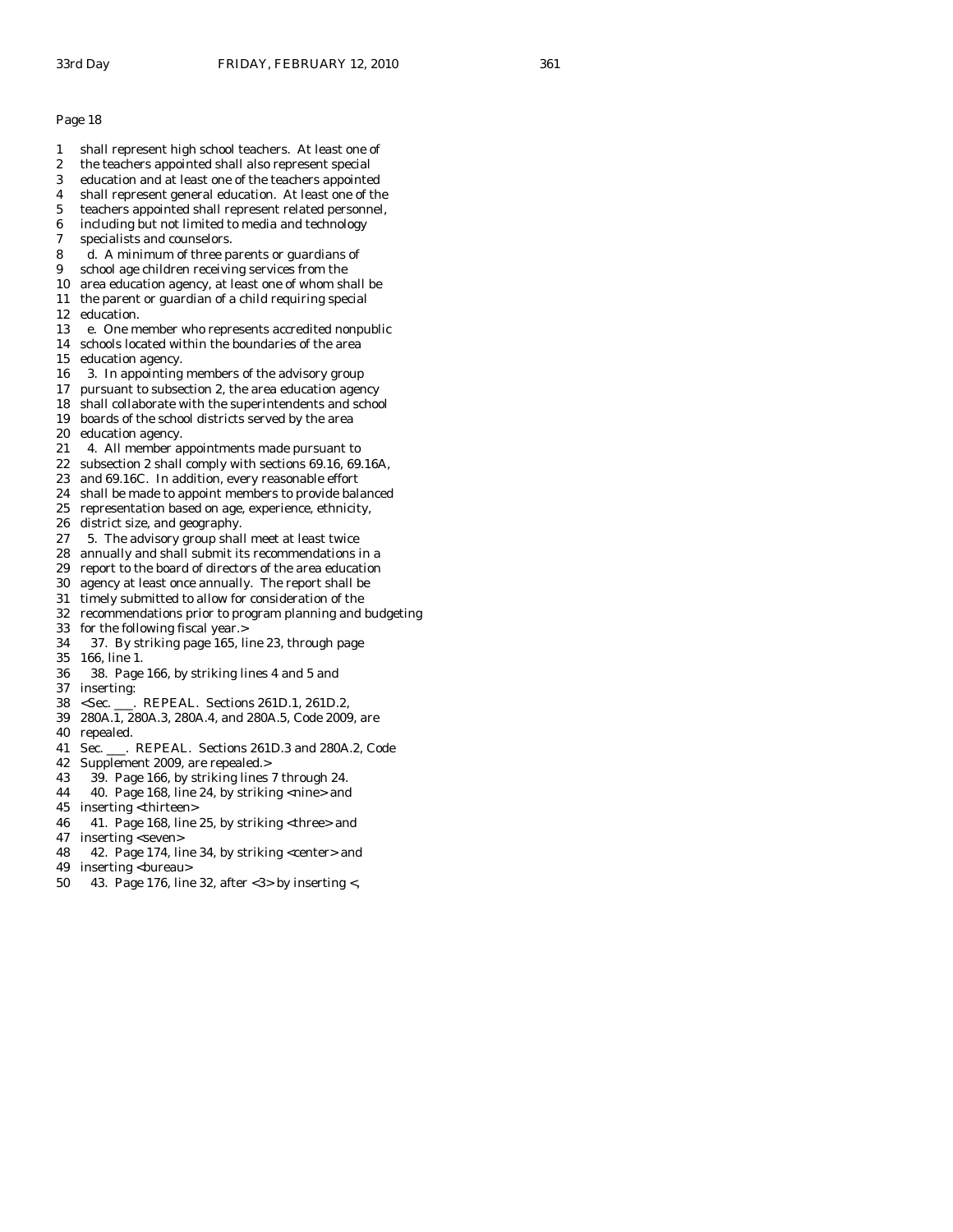- 1 shall represent high school teachers. At least one of 2 the teachers appointed shall also represent special 3 education and at least one of the teachers appointed 4 shall represent general education. At least one of the 5 teachers appointed shall represent related personnel, 6 including but not limited to media and technology 7 specialists and counselors. 8 d. A minimum of three parents or guardians of 9 school age children receiving services from the 10 area education agency, at least one of whom shall be 11 the parent or guardian of a child requiring special 12 education. 13 e. One member who represents accredited nonpublic 14 schools located within the boundaries of the area 15 education agency. 16 3. In appointing members of the advisory group 17 pursuant to subsection 2, the area education agency 18 shall collaborate with the superintendents and school 19 boards of the school districts served by the area 20 education agency. 21 4. All member appointments made pursuant to 22 subsection 2 shall comply with sections 69.16, 69.16A, 23 and 69.16C. In addition, every reasonable effort 24 shall be made to appoint members to provide balanced 25 representation based on age, experience, ethnicity, 26 district size, and geography. 27 5. The advisory group shall meet at least twice 28 annually and shall submit its recommendations in a 29 report to the board of directors of the area education
- 30 agency at least once annually. The report shall be
- 31 timely submitted to allow for consideration of the
- 32 recommendations prior to program planning and budgeting
- 33 for the following fiscal year.>
- 34 37. By striking page 165, line 23, through page
- 35 166, line 1.
- 36 38. Page 166, by striking lines 4 and 5 and 37 inserting:
- 38 <Sec. \_\_\_. REPEAL. Sections 261D.1, 261D.2,
- 39 280A.1, 280A.3, 280A.4, and 280A.5, Code 2009, are
- 40 repealed.
- 41 Sec. \_\_\_. REPEAL. Sections 261D.3 and 280A.2, Code
- 42 Supplement 2009, are repealed.>
- 43 39. Page 166, by striking lines 7 through 24.
- 44 40. Page 168, line 24, by striking <nine> and
- 45 inserting <thirteen>
- 46 41. Page 168, line 25, by striking <three> and
- 47 inserting <seven>
- 48 42. Page 174, line 34, by striking <center> and
- 49 inserting <br/>bureau>
- 50 43. Page 176, line 32, after <3> by inserting <,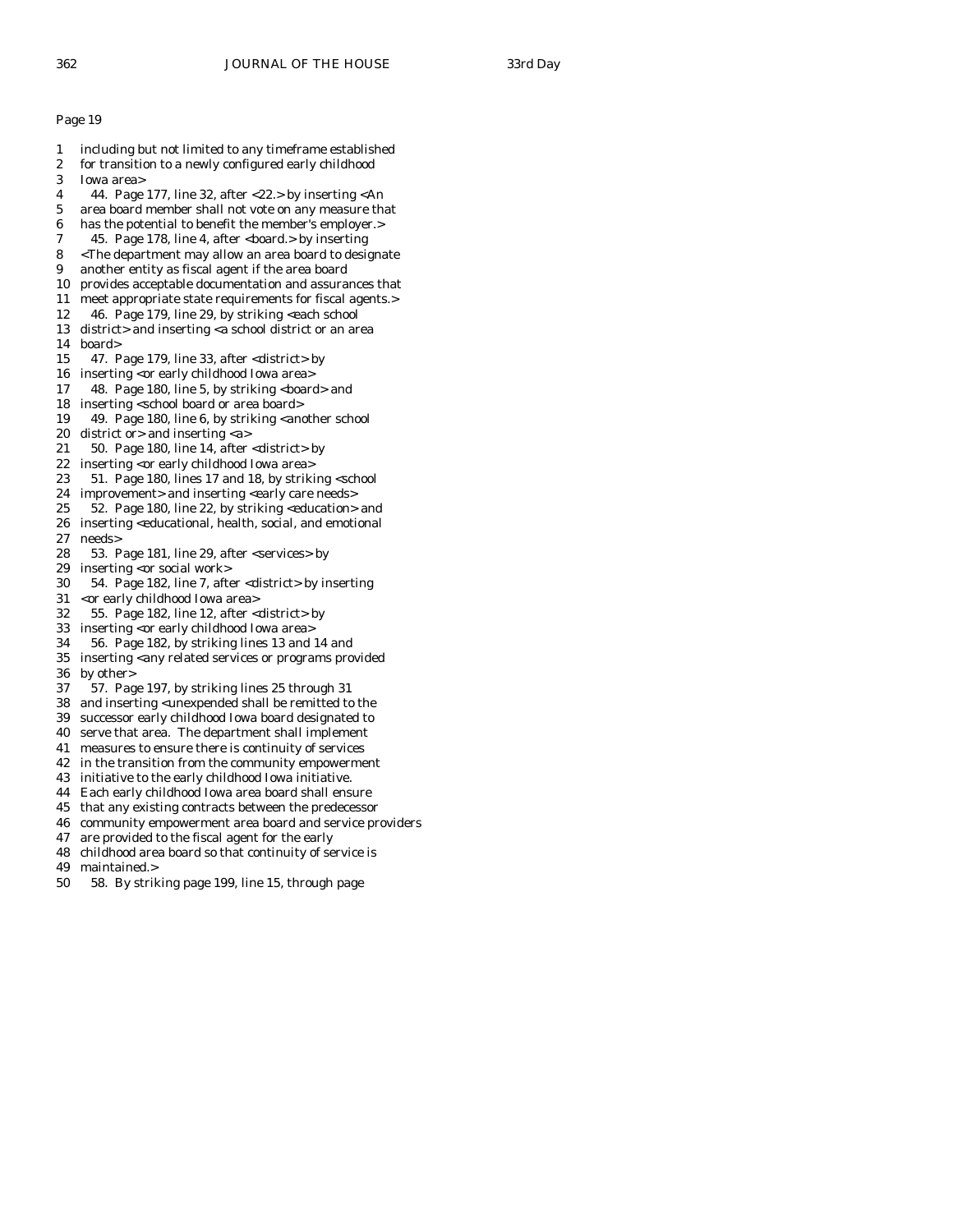- 1 including but not limited to any timeframe established
- 2 for transition to a newly configured early childhood
- 3 Iowa area>
- 4 44. Page 177, line 32, after <22.> by inserting <An
- 5 area board member shall not vote on any measure that
- 6 has the potential to benefit the member's employer.>
- 7 45. Page 178, line 4, after <board.> by inserting
- 8 <The department may allow an area board to designate
- 9 another entity as fiscal agent if the area board
- 10 provides acceptable documentation and assurances that
- 11 meet appropriate state requirements for fiscal agents.>
- 12 46. Page 179, line 29, by striking <each school 13 district> and inserting <a school district or an area
- 14 board>
- 15 47. Page 179, line 33, after <district> by
- 16 inserting <or early childhood Iowa area>
- 17 48. Page 180, line 5, by striking <br/>board> and
- 18 inserting <school board or area board>
- 19 49. Page 180, line 6, by striking <another school 20 district or> and inserting <a>
- 21 50. Page 180, line 14, after <district> by
- 22 inserting <or early childhood Iowa area>
- 23 51. Page 180, lines 17 and 18, by striking <school
- 24 improvement> and inserting <early care needs>
- 25 52. Page 180, line 22, by striking <education> and
- 26 inserting <educational, health, social, and emotional 27 needs>
- 28 53. Page 181, line 29, after <services> by
- 29 inserting <or social work>
- 30 54. Page 182, line 7, after <district> by inserting
- 31 <or early childhood Iowa area>
- 32 55. Page 182, line 12, after <district> by
- 33 inserting <or early childhood Iowa area>
- 34 56. Page 182, by striking lines 13 and 14 and
- inserting <any related services or programs provided 36 by other>
- 37 57. Page 197, by striking lines 25 through 31
- 38 and inserting <unexpended shall be remitted to the
- 39 successor early childhood Iowa board designated to
- 40 serve that area. The department shall implement
- 41 measures to ensure there is continuity of services
- 42 in the transition from the community empowerment
- 43 initiative to the early childhood Iowa initiative.
- 44 Each early childhood Iowa area board shall ensure
- 45 that any existing contracts between the predecessor
- 46 community empowerment area board and service providers
- 47 are provided to the fiscal agent for the early
- 48 childhood area board so that continuity of service is
- 49 maintained.>
- 50 58. By striking page 199, line 15, through page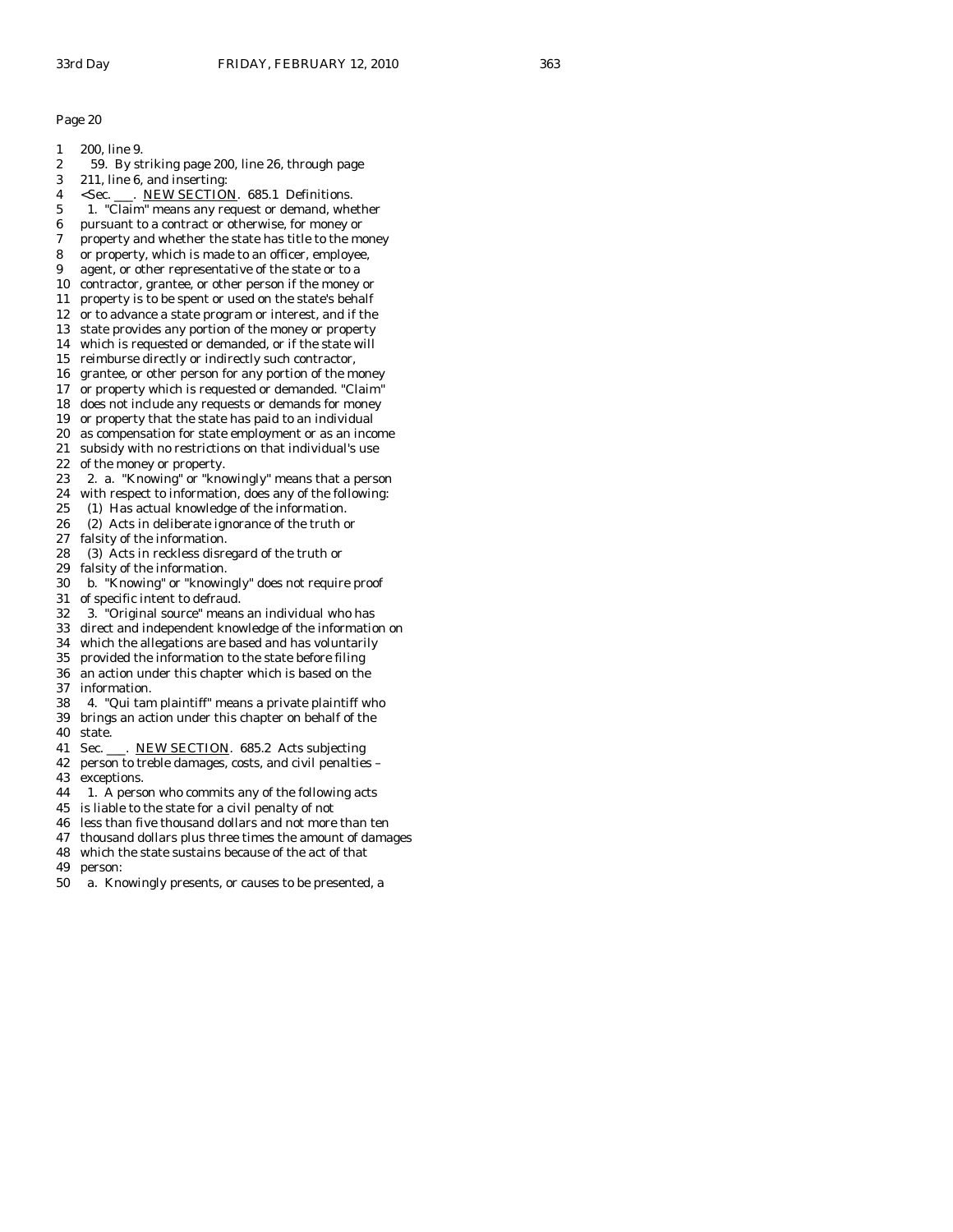- 1 200, line 9.
- 2 59. By striking page 200, line 26, through page
- 3 211, line 6, and inserting:
- 4 <Sec. \_\_\_. NEW SECTION. 685.1 Definitions.
- 5 1. "Claim" means any request or demand, whether
- 6 pursuant to a contract or otherwise, for money or
- 7 property and whether the state has title to the money
- 8 or property, which is made to an officer, employee,
- 9 agent, or other representative of the state or to a 10 contractor, grantee, or other person if the money or
- 11 property is to be spent or used on the state's behalf
- 12 or to advance a state program or interest, and if the
- 13 state provides any portion of the money or property
- 14 which is requested or demanded, or if the state will
- 15 reimburse directly or indirectly such contractor,
- 16 grantee, or other person for any portion of the money
- 17 or property which is requested or demanded. "Claim"
- 18 does not include any requests or demands for money
- 19 or property that the state has paid to an individual
- 20 as compensation for state employment or as an income
- 21 subsidy with no restrictions on that individual's use
- 22 of the money or property.
- 23 2. a. "Knowing" or "knowingly" means that a person
- 24 with respect to information, does any of the following:
- 25 (1) Has actual knowledge of the information.
- 26 (2) Acts in deliberate ignorance of the truth or
- 27 falsity of the information.
- 28 (3) Acts in reckless disregard of the truth or
- 29 falsity of the information.
- 30 b. "Knowing" or "knowingly" does not require proof
- 31 of specific intent to defraud.
- 32 3. "Original source" means an individual who has
- 33 direct and independent knowledge of the information on
- 34 which the allegations are based and has voluntarily
- provided the information to the state before filing
- 36 an action under this chapter which is based on the 37 information.
- 38 4. "Qui tam plaintiff" means a private plaintiff who 39 brings an action under this chapter on behalf of the
- 40 state.
- 41 Sec. \_\_\_. NEW SECTION. 685.2 Acts subjecting
- 42 person to treble damages, costs, and civil penalties –
- 43 exceptions.
- 44 1. A person who commits any of the following acts
- 45 is liable to the state for a civil penalty of not
- 46 less than five thousand dollars and not more than ten
- 47 thousand dollars plus three times the amount of damages
- 48 which the state sustains because of the act of that
- 49 person:
- 50 a. Knowingly presents, or causes to be presented, a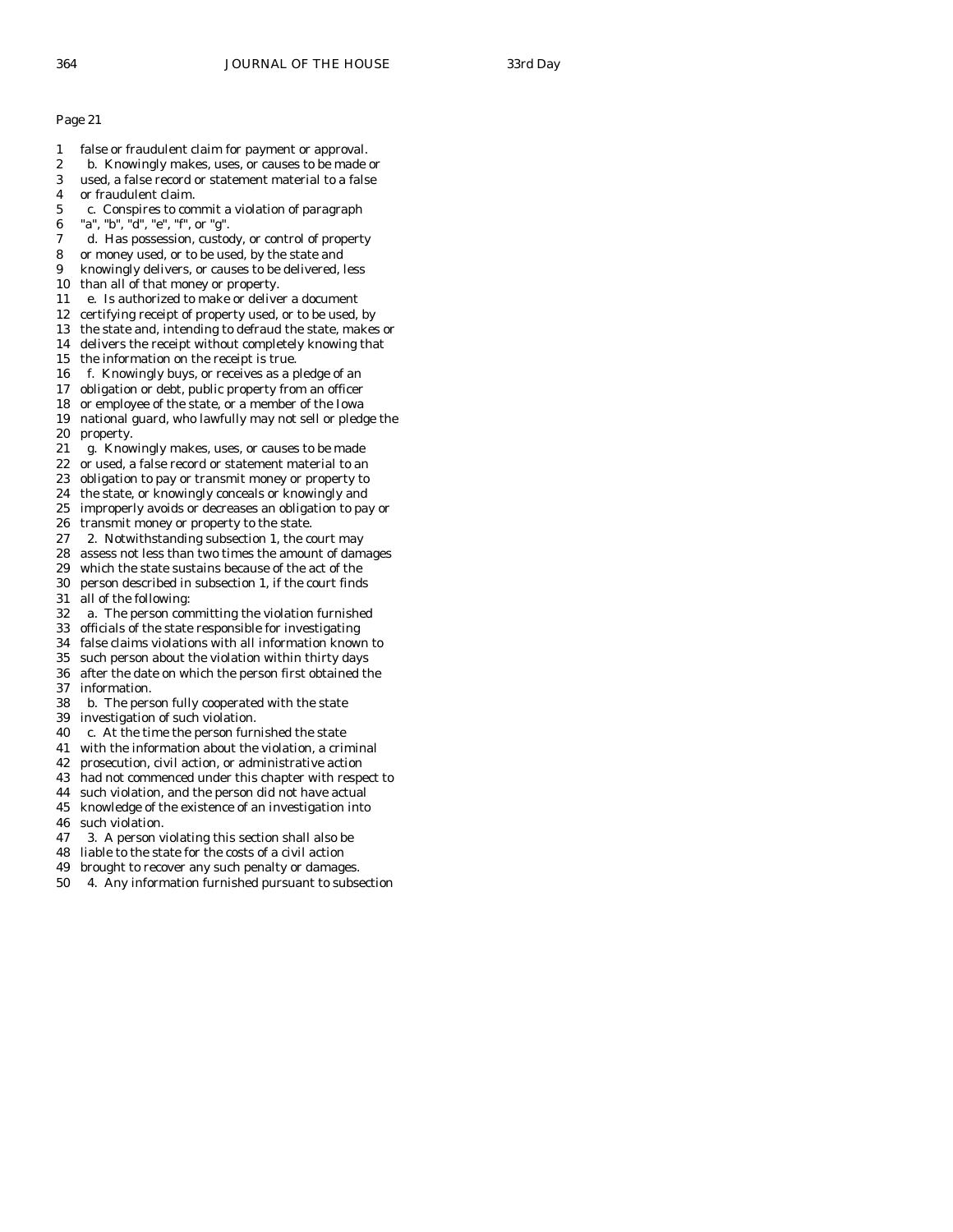- 1 false or fraudulent claim for payment or approval.
- 2 b. Knowingly makes, uses, or causes to be made or
- 3 used, a false record or statement material to a false
- 4 or fraudulent claim.
- 5 c. Conspires to commit a violation of paragraph
- 6 "a", "b", "d", "e", "f", or "g".
- 7 d. Has possession, custody, or control of property
- 8 or money used, or to be used, by the state and
- 9 knowingly delivers, or causes to be delivered, less
- 10 than all of that money or property.
- 11 e. Is authorized to make or deliver a document
- 12 certifying receipt of property used, or to be used, by
- 13 the state and, intending to defraud the state, makes or
- 14 delivers the receipt without completely knowing that
- 15 the information on the receipt is true.
- 16 f. Knowingly buys, or receives as a pledge of an
- 17 obligation or debt, public property from an officer
- 18 or employee of the state, or a member of the Iowa
- 19 national guard, who lawfully may not sell or pledge the 20 property.
- 21 g. Knowingly makes, uses, or causes to be made
- 22 or used, a false record or statement material to an
- 23 obligation to pay or transmit money or property to
- 24 the state, or knowingly conceals or knowingly and
- 25 improperly avoids or decreases an obligation to pay or
- 26 transmit money or property to the state.
- 27 2. Notwithstanding subsection 1, the court may
- 28 assess not less than two times the amount of damages
- 29 which the state sustains because of the act of the
- 30 person described in subsection 1, if the court finds
- 31 all of the following:
- 32 a. The person committing the violation furnished 33 officials of the state responsible for investigating
- 
- 34 false claims violations with all information known to
- such person about the violation within thirty days 36 after the date on which the person first obtained the 37 information.
- 38 b. The person fully cooperated with the state
- 39 investigation of such violation.
- 40 c. At the time the person furnished the state
- 41 with the information about the violation, a criminal
- 42 prosecution, civil action, or administrative action
- 43 had not commenced under this chapter with respect to
- 44 such violation, and the person did not have actual
- 45 knowledge of the existence of an investigation into
- 46 such violation.
- 47 3. A person violating this section shall also be
- 48 liable to the state for the costs of a civil action
- 49 brought to recover any such penalty or damages.
- 50 4. Any information furnished pursuant to subsection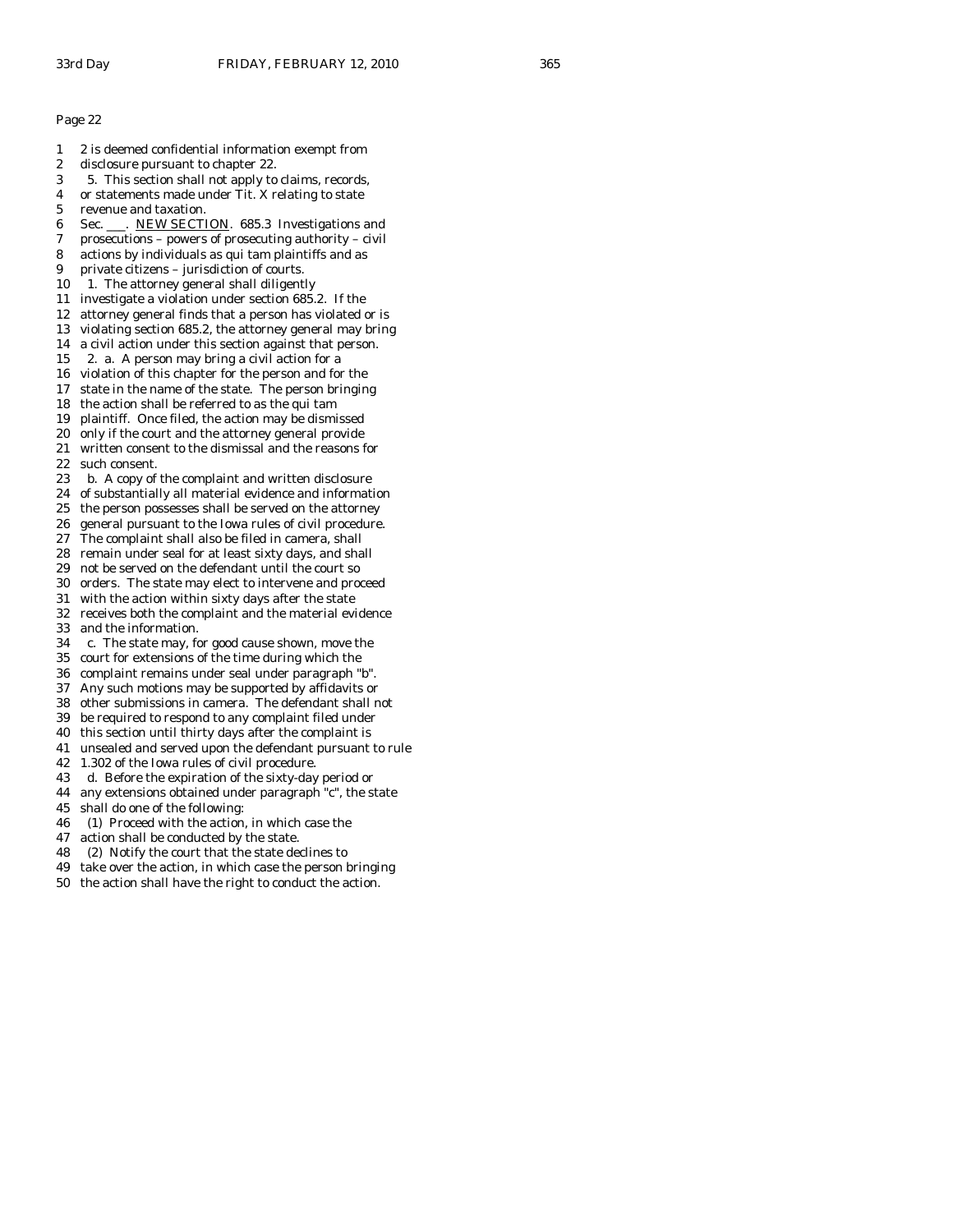- 1 2 is deemed confidential information exempt from
- 2 disclosure pursuant to chapter 22.
- 3 5. This section shall not apply to claims, records,
- 4 or statements made under Tit. X relating to state
- 5 revenue and taxation.
- 6 Sec. \_\_\_. NEW SECTION. 685.3 Investigations and
- 7 prosecutions powers of prosecuting authority civil
- 8 actions by individuals as qui tam plaintiffs and as
- 9 private citizens jurisdiction of courts.
- 10 1. The attorney general shall diligently
- 11 investigate a violation under section 685.2. If the
- 12 attorney general finds that a person has violated or is
- 13 violating section 685.2, the attorney general may bring
- 14 a civil action under this section against that person.
- 15 2. a. A person may bring a civil action for a
- 16 violation of this chapter for the person and for the
- 17 state in the name of the state. The person bringing
- 18 the action shall be referred to as the qui tam
- 19 plaintiff. Once filed, the action may be dismissed
- 20 only if the court and the attorney general provide
- 21 written consent to the dismissal and the reasons for 22 such consent.
- 23 b. A copy of the complaint and written disclosure
- 24 of substantially all material evidence and information
- 25 the person possesses shall be served on the attorney
- 26 general pursuant to the Iowa rules of civil procedure.
- 27 The complaint shall also be filed in camera, shall
- 28 remain under seal for at least sixty days, and shall
- 29 not be served on the defendant until the court so
- 30 orders. The state may elect to intervene and proceed
- 31 with the action within sixty days after the state
- 32 receives both the complaint and the material evidence 33 and the information.
- 
- 34 c. The state may, for good cause shown, move the court for extensions of the time during which the
- 36 complaint remains under seal under paragraph "b".
- 37 Any such motions may be supported by affidavits or
- 38 other submissions in camera. The defendant shall not
- 39 be required to respond to any complaint filed under
- 40 this section until thirty days after the complaint is
- 41 unsealed and served upon the defendant pursuant to rule
- 42 1.302 of the Iowa rules of civil procedure.
- 43 d. Before the expiration of the sixty-day period or
- 44 any extensions obtained under paragraph "c", the state
- 45 shall do one of the following:
- 46 (1) Proceed with the action, in which case the
- 47 action shall be conducted by the state.
- 48 (2) Notify the court that the state declines to
- 49 take over the action, in which case the person bringing
- 50 the action shall have the right to conduct the action.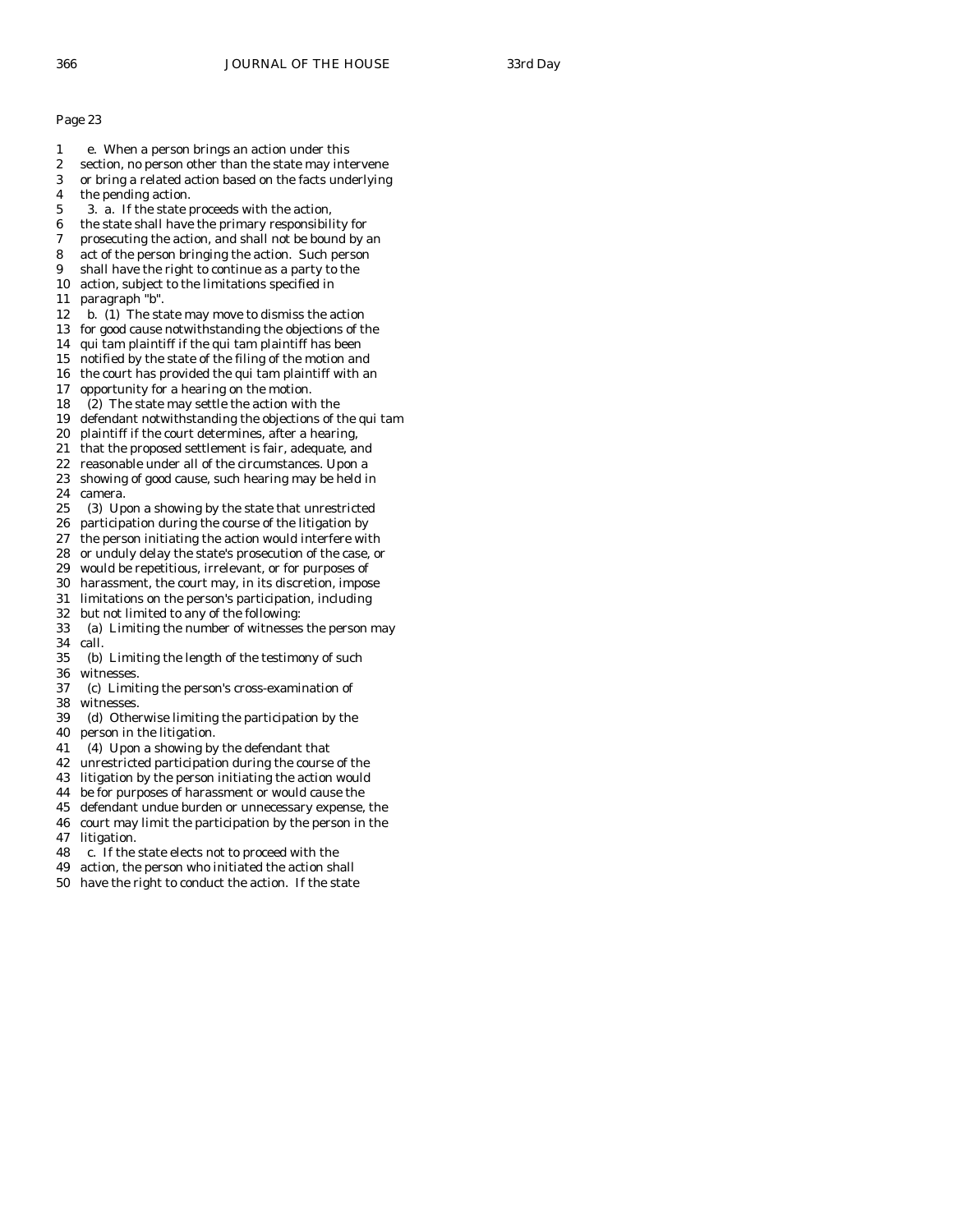- 1 e. When a person brings an action under this
- 2 section, no person other than the state may intervene
- 3 or bring a related action based on the facts underlying
- 4 the pending action. 5 3. a. If the state proceeds with the action,
- 6 the state shall have the primary responsibility for
- 7 prosecuting the action, and shall not be bound by an
- 8 act of the person bringing the action. Such person
- 9 shall have the right to continue as a party to the
- 10 action, subject to the limitations specified in
- 11 paragraph "b".
- 12 b. (1) The state may move to dismiss the action
- 13 for good cause notwithstanding the objections of the
- 14 qui tam plaintiff if the qui tam plaintiff has been
- 15 notified by the state of the filing of the motion and
- 16 the court has provided the qui tam plaintiff with an
- 17 opportunity for a hearing on the motion.
- 18 (2) The state may settle the action with the
- 19 defendant notwithstanding the objections of the qui tam
- 20 plaintiff if the court determines, after a hearing,
- 21 that the proposed settlement is fair, adequate, and
- 22 reasonable under all of the circumstances. Upon a
- 23 showing of good cause, such hearing may be held in 24 camera.
- 25 (3) Upon a showing by the state that unrestricted
- 26 participation during the course of the litigation by
- 27 the person initiating the action would interfere with
- 28 or unduly delay the state's prosecution of the case, or
- 29 would be repetitious, irrelevant, or for purposes of
- 30 harassment, the court may, in its discretion, impose
- 31 limitations on the person's participation, including
- 32 but not limited to any of the following:
- 33 (a) Limiting the number of witnesses the person may 34 call.<br>35 (b)
- (b) Limiting the length of the testimony of such 36 witnesses.
- 37 (c) Limiting the person's cross-examination of 38 witnesses.
- 39 (d) Otherwise limiting the participation by the
- 40 person in the litigation.
- 41 (4) Upon a showing by the defendant that
- 42 unrestricted participation during the course of the
- 43 litigation by the person initiating the action would
- 44 be for purposes of harassment or would cause the
- 45 defendant undue burden or unnecessary expense, the
- 46 court may limit the participation by the person in the 47 litigation.
- 48 c. If the state elects not to proceed with the
- 49 action, the person who initiated the action shall
- 50 have the right to conduct the action. If the state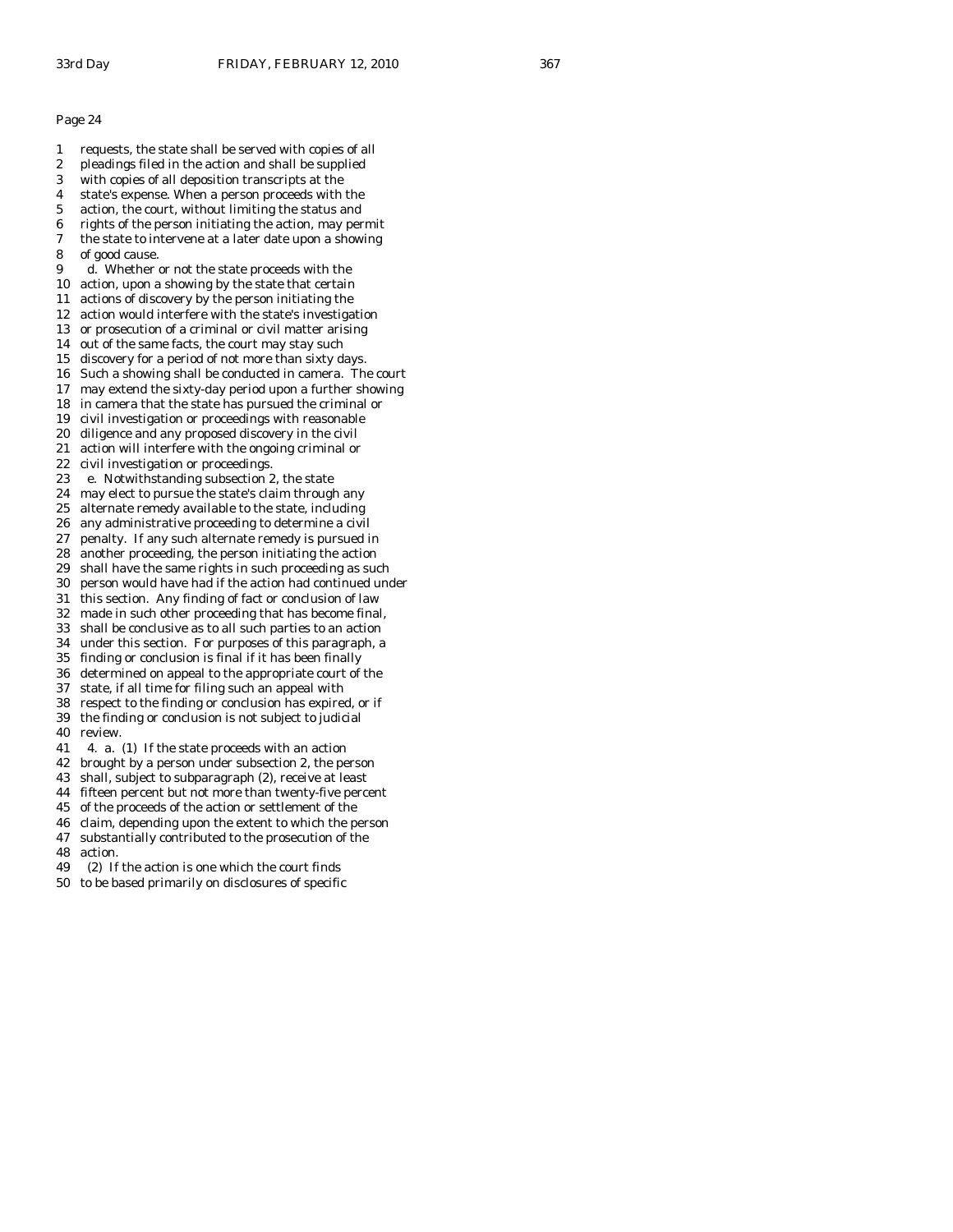- 1 requests, the state shall be served with copies of all
- 2 pleadings filed in the action and shall be supplied
- 3 with copies of all deposition transcripts at the
- 4 state's expense. When a person proceeds with the 5 action, the court, without limiting the status and
- 6 rights of the person initiating the action, may permit
- 7 the state to intervene at a later date upon a showing
- 8 of good cause.
- 9 d. Whether or not the state proceeds with the
- 10 action, upon a showing by the state that certain
- 11 actions of discovery by the person initiating the
- 12 action would interfere with the state's investigation
- 13 or prosecution of a criminal or civil matter arising
- 14 out of the same facts, the court may stay such
- 15 discovery for a period of not more than sixty days. 16 Such a showing shall be conducted in camera. The court
- 17 may extend the sixty-day period upon a further showing
- 18 in camera that the state has pursued the criminal or
- 19 civil investigation or proceedings with reasonable
- 20 diligence and any proposed discovery in the civil
- 21 action will interfere with the ongoing criminal or
- 22 civil investigation or proceedings.
- 23 e. Notwithstanding subsection 2, the state
- 24 may elect to pursue the state's claim through any
- 25 alternate remedy available to the state, including
- 26 any administrative proceeding to determine a civil
- 27 penalty. If any such alternate remedy is pursued in
- 28 another proceeding, the person initiating the action
- 29 shall have the same rights in such proceeding as such
- 30 person would have had if the action had continued under
- 31 this section. Any finding of fact or conclusion of law 32 made in such other proceeding that has become final,
- 33 shall be conclusive as to all such parties to an action
- 
- 34 under this section. For purposes of this paragraph, a finding or conclusion is final if it has been finally
- 36 determined on appeal to the appropriate court of the
- 37 state, if all time for filing such an appeal with
- 38 respect to the finding or conclusion has expired, or if 39 the finding or conclusion is not subject to judicial
- 40 review.
- 41 4. a. (1) If the state proceeds with an action
- 42 brought by a person under subsection 2, the person
- 43 shall, subject to subparagraph (2), receive at least
- 44 fifteen percent but not more than twenty-five percent
- 45 of the proceeds of the action or settlement of the
- 46 claim, depending upon the extent to which the person
- 47 substantially contributed to the prosecution of the
- 48 action.
- 49 (2) If the action is one which the court finds
- 50 to be based primarily on disclosures of specific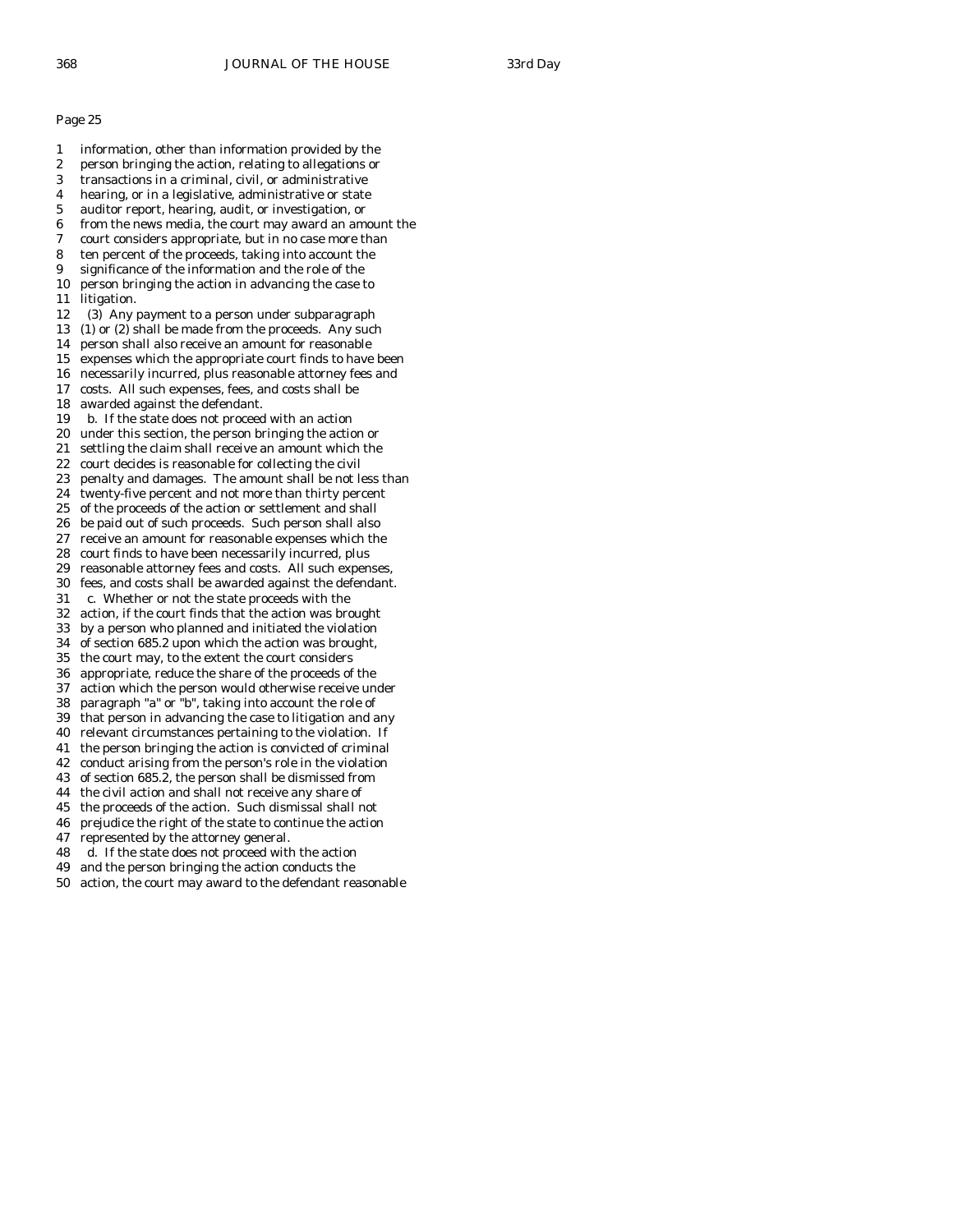1 information, other than information provided by the 2 person bringing the action, relating to allegations or 3 transactions in a criminal, civil, or administrative 4 hearing, or in a legislative, administrative or state 5 auditor report, hearing, audit, or investigation, or 6 from the news media, the court may award an amount the 7 court considers appropriate, but in no case more than 8 ten percent of the proceeds, taking into account the 9 significance of the information and the role of the 10 person bringing the action in advancing the case to 11 litigation. 12 (3) Any payment to a person under subparagraph 13 (1) or (2) shall be made from the proceeds. Any such 14 person shall also receive an amount for reasonable 15 expenses which the appropriate court finds to have been 16 necessarily incurred, plus reasonable attorney fees and 17 costs. All such expenses, fees, and costs shall be 18 awarded against the defendant. 19 b. If the state does not proceed with an action 20 under this section, the person bringing the action or 21 settling the claim shall receive an amount which the 22 court decides is reasonable for collecting the civil 23 penalty and damages. The amount shall be not less than 24 twenty-five percent and not more than thirty percent 25 of the proceeds of the action or settlement and shall 26 be paid out of such proceeds. Such person shall also 27 receive an amount for reasonable expenses which the 28 court finds to have been necessarily incurred, plus 29 reasonable attorney fees and costs. All such expenses, 30 fees, and costs shall be awarded against the defendant. 31 c. Whether or not the state proceeds with the 32 action, if the court finds that the action was brought 33 by a person who planned and initiated the violation 34 of section 685.2 upon which the action was brought, the court may, to the extent the court considers 36 appropriate, reduce the share of the proceeds of the 37 action which the person would otherwise receive under 38 paragraph "a" or "b", taking into account the role of 39 that person in advancing the case to litigation and any 40 relevant circumstances pertaining to the violation. If 41 the person bringing the action is convicted of criminal 42 conduct arising from the person's role in the violation 43 of section 685.2, the person shall be dismissed from 44 the civil action and shall not receive any share of 45 the proceeds of the action. Such dismissal shall not 46 prejudice the right of the state to continue the action 47 represented by the attorney general. 48 d. If the state does not proceed with the action 49 and the person bringing the action conducts the 50 action, the court may award to the defendant reasonable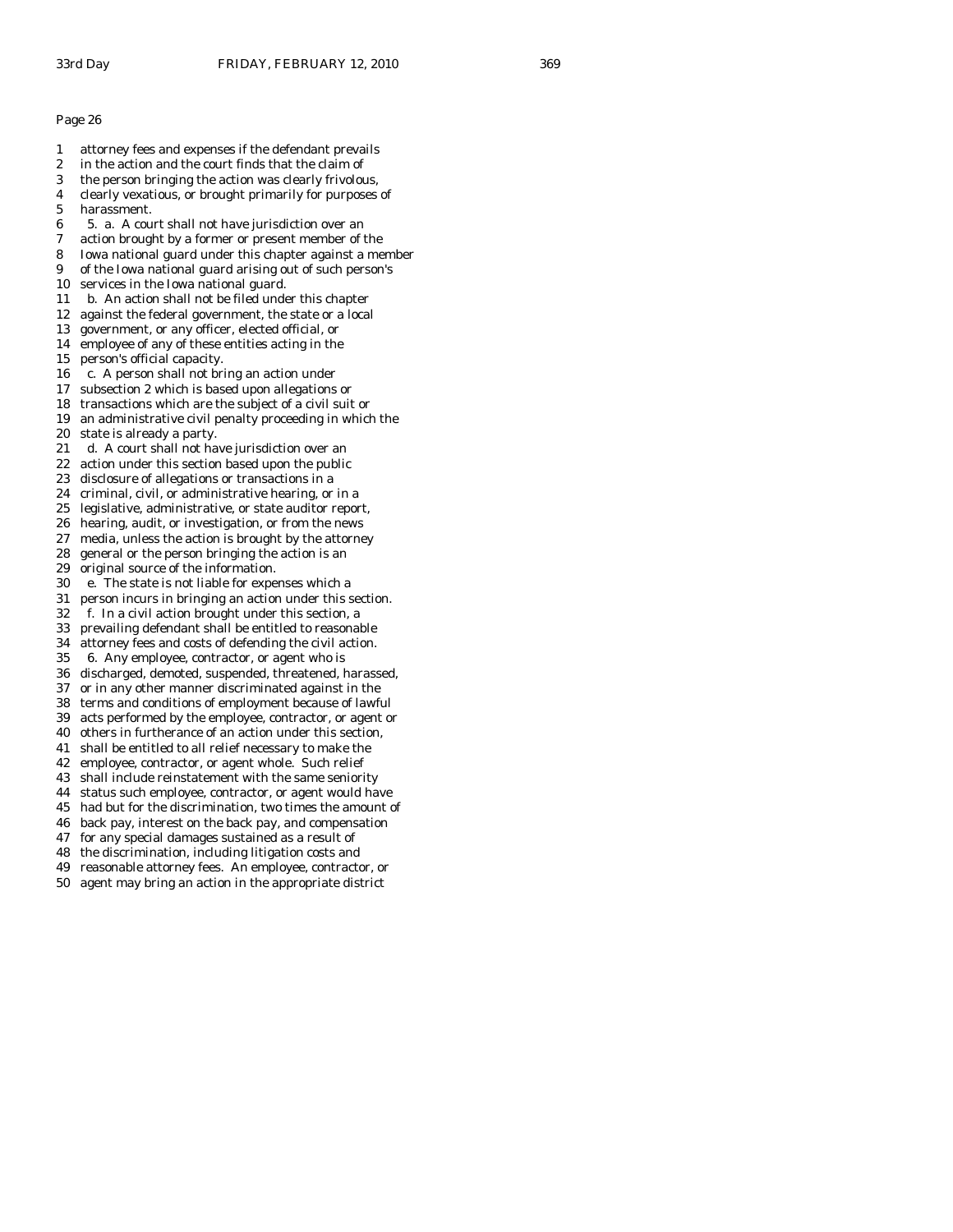- 1 attorney fees and expenses if the defendant prevails
- 2 in the action and the court finds that the claim of
- 3 the person bringing the action was clearly frivolous,
- 4 clearly vexatious, or brought primarily for purposes of
- 5 harassment.
- 6 5. a. A court shall not have jurisdiction over an
- 7 action brought by a former or present member of the
- 8 Iowa national guard under this chapter against a member
- 9 of the Iowa national guard arising out of such person's 10 services in the Iowa national guard.
- 11 b. An action shall not be filed under this chapter
- 12 against the federal government, the state or a local
- 13 government, or any officer, elected official, or
- 14 employee of any of these entities acting in the
- 15 person's official capacity.
- 16 c. A person shall not bring an action under
- 17 subsection 2 which is based upon allegations or
- 18 transactions which are the subject of a civil suit or
- 19 an administrative civil penalty proceeding in which the
- 20 state is already a party.
- 21 d. A court shall not have jurisdiction over an
- 22 action under this section based upon the public
- 23 disclosure of allegations or transactions in a
- 24 criminal, civil, or administrative hearing, or in a
- 25 legislative, administrative, or state auditor report,
- 26 hearing, audit, or investigation, or from the news
- 27 media, unless the action is brought by the attorney
- 28 general or the person bringing the action is an
- 29 original source of the information.
- 30 e. The state is not liable for expenses which a
- 31 person incurs in bringing an action under this section.
- 32 f. In a civil action brought under this section, a 33 prevailing defendant shall be entitled to reasonable
- 
- 34 attorney fees and costs of defending the civil action.<br>35 6. Anv employee, contractor, or agent who is 35 6. Any employee, contractor, or agent who is
- 36 discharged, demoted, suspended, threatened, harassed,
- 37 or in any other manner discriminated against in the
- 38 terms and conditions of employment because of lawful
- 39 acts performed by the employee, contractor, or agent or
- 40 others in furtherance of an action under this section,
- 41 shall be entitled to all relief necessary to make the
- 42 employee, contractor, or agent whole. Such relief
- 43 shall include reinstatement with the same seniority
- 44 status such employee, contractor, or agent would have
- 45 had but for the discrimination, two times the amount of
- 46 back pay, interest on the back pay, and compensation
- 47 for any special damages sustained as a result of
- 48 the discrimination, including litigation costs and
- 49 reasonable attorney fees. An employee, contractor, or
- 50 agent may bring an action in the appropriate district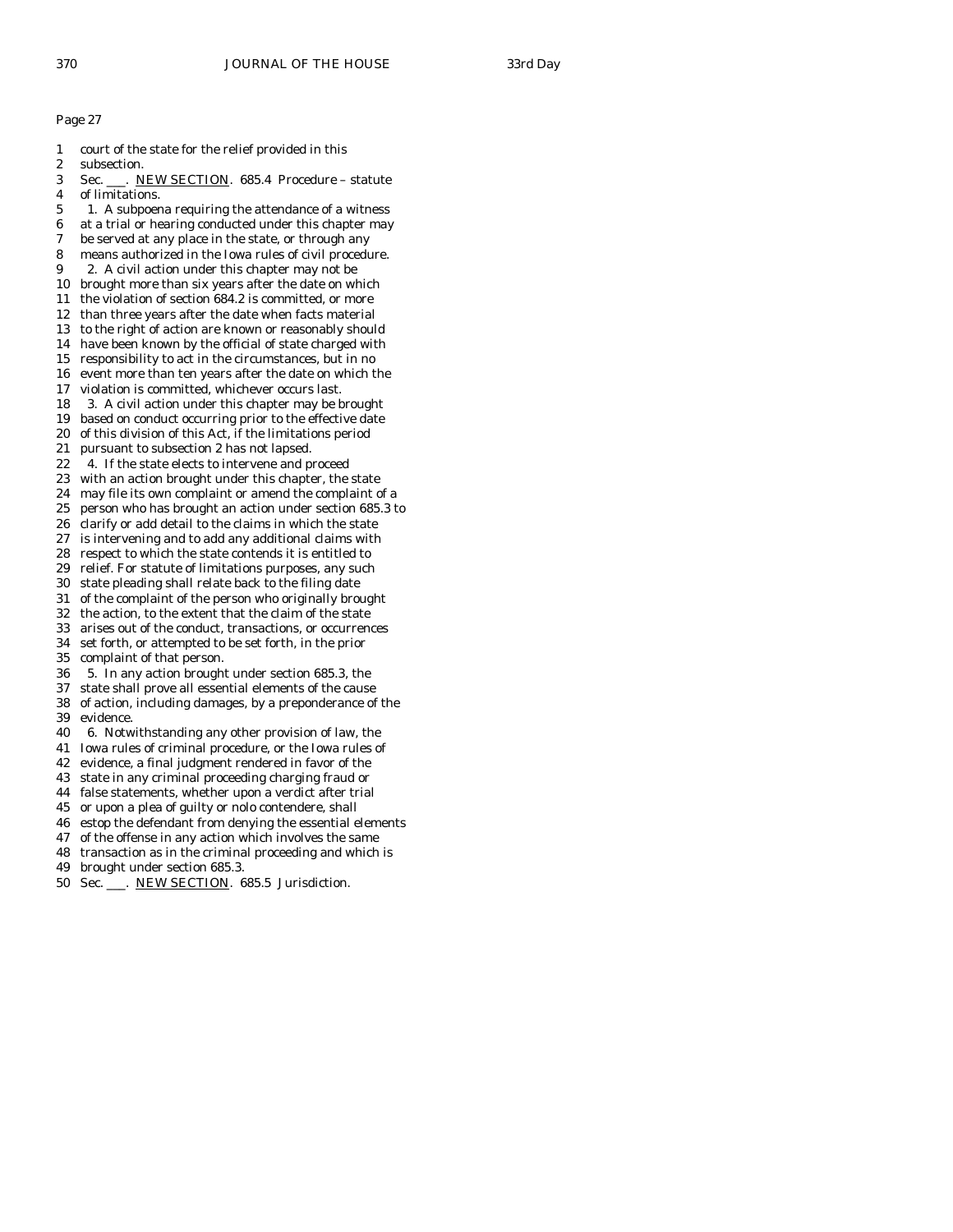- 1 court of the state for the relief provided in this 2 subsection. 3 Sec. \_\_\_. NEW SECTION. 685.4 Procedure – statute 4 of limitations. 5 1. A subpoena requiring the attendance of a witness 6 at a trial or hearing conducted under this chapter may 7 be served at any place in the state, or through any 8 means authorized in the Iowa rules of civil procedure. 9 2. A civil action under this chapter may not be 10 brought more than six years after the date on which 11 the violation of section 684.2 is committed, or more 12 than three years after the date when facts material 13 to the right of action are known or reasonably should 14 have been known by the official of state charged with 15 responsibility to act in the circumstances, but in no 16 event more than ten years after the date on which the 17 violation is committed, whichever occurs last. 18 3. A civil action under this chapter may be brought 19 based on conduct occurring prior to the effective date 20 of this division of this Act, if the limitations period 21 pursuant to subsection 2 has not lapsed. 22 4. If the state elects to intervene and proceed 23 with an action brought under this chapter, the state 24 may file its own complaint or amend the complaint of a 25 person who has brought an action under section 685.3 to 26 clarify or add detail to the claims in which the state 27 is intervening and to add any additional claims with 28 respect to which the state contends it is entitled to 29 relief. For statute of limitations purposes, any such 30 state pleading shall relate back to the filing date 31 of the complaint of the person who originally brought 32 the action, to the extent that the claim of the state 33 arises out of the conduct, transactions, or occurrences 34 set forth, or attempted to be set forth, in the prior complaint of that person. 36 5. In any action brought under section 685.3, the 37 state shall prove all essential elements of the cause 38 of action, including damages, by a preponderance of the 39 evidence. 40 6. Notwithstanding any other provision of law, the 41 Iowa rules of criminal procedure, or the Iowa rules of 42 evidence, a final judgment rendered in favor of the 43 state in any criminal proceeding charging fraud or 44 false statements, whether upon a verdict after trial 45 or upon a plea of guilty or nolo contendere, shall 46 estop the defendant from denying the essential elements 47 of the offense in any action which involves the same 48 transaction as in the criminal proceeding and which is
- 49 brought under section 685.3.
- 50 Sec. \_\_\_. NEW SECTION. 685.5 Jurisdiction.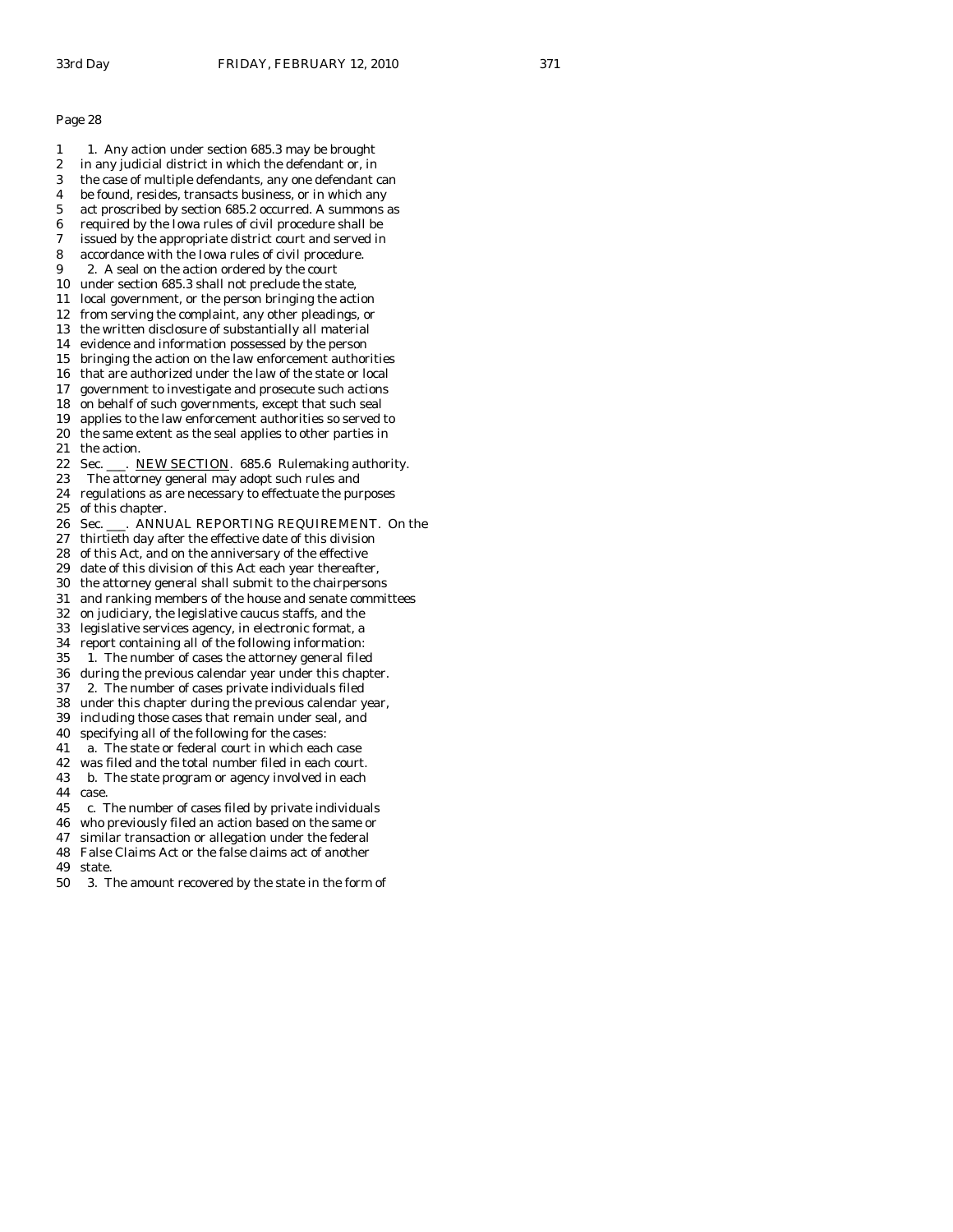- 1 1. Any action under section 685.3 may be brought
- 2 in any judicial district in which the defendant or, in
- 3 the case of multiple defendants, any one defendant can 4 be found, resides, transacts business, or in which any
- 5 act proscribed by section 685.2 occurred. A summons as
- 6 required by the Iowa rules of civil procedure shall be
- 7 issued by the appropriate district court and served in
- 8 accordance with the Iowa rules of civil procedure.
- 9 2. A seal on the action ordered by the court
- 10 under section 685.3 shall not preclude the state,
- 11 local government, or the person bringing the action
- 12 from serving the complaint, any other pleadings, or
- 13 the written disclosure of substantially all material
- 14 evidence and information possessed by the person 15 bringing the action on the law enforcement authorities
- 16 that are authorized under the law of the state or local
- 17 government to investigate and prosecute such actions
- 18 on behalf of such governments, except that such seal
- 19 applies to the law enforcement authorities so served to
- 20 the same extent as the seal applies to other parties in 21 the action.
- 22 Sec. \_\_\_. NEW SECTION. 685.6 Rulemaking authority.
- 23 The attorney general may adopt such rules and
- 24 regulations as are necessary to effectuate the purposes 25 of this chapter.
- 26 Sec. \_\_\_. ANNUAL REPORTING REQUIREMENT. On the
- 27 thirtieth day after the effective date of this division
- 28 of this Act, and on the anniversary of the effective
- 29 date of this division of this Act each year thereafter,
- 30 the attorney general shall submit to the chairpersons
- 31 and ranking members of the house and senate committees
- 32 on judiciary, the legislative caucus staffs, and the
- 33 legislative services agency, in electronic format, a
- 34 report containing all of the following information:<br>35 1. The number of cases the attorney general file
- 1. The number of cases the attorney general filed
- 36 during the previous calendar year under this chapter.
- 37 2. The number of cases private individuals filed
- 38 under this chapter during the previous calendar year,
- 39 including those cases that remain under seal, and
- 40 specifying all of the following for the cases:
- 41 a. The state or federal court in which each case
- 42 was filed and the total number filed in each court.
- 43 b. The state program or agency involved in each 44 case.
- 45 c. The number of cases filed by private individuals
- 46 who previously filed an action based on the same or
- 47 similar transaction or allegation under the federal
- 48 False Claims Act or the false claims act of another
- 49 state.
- 50 3. The amount recovered by the state in the form of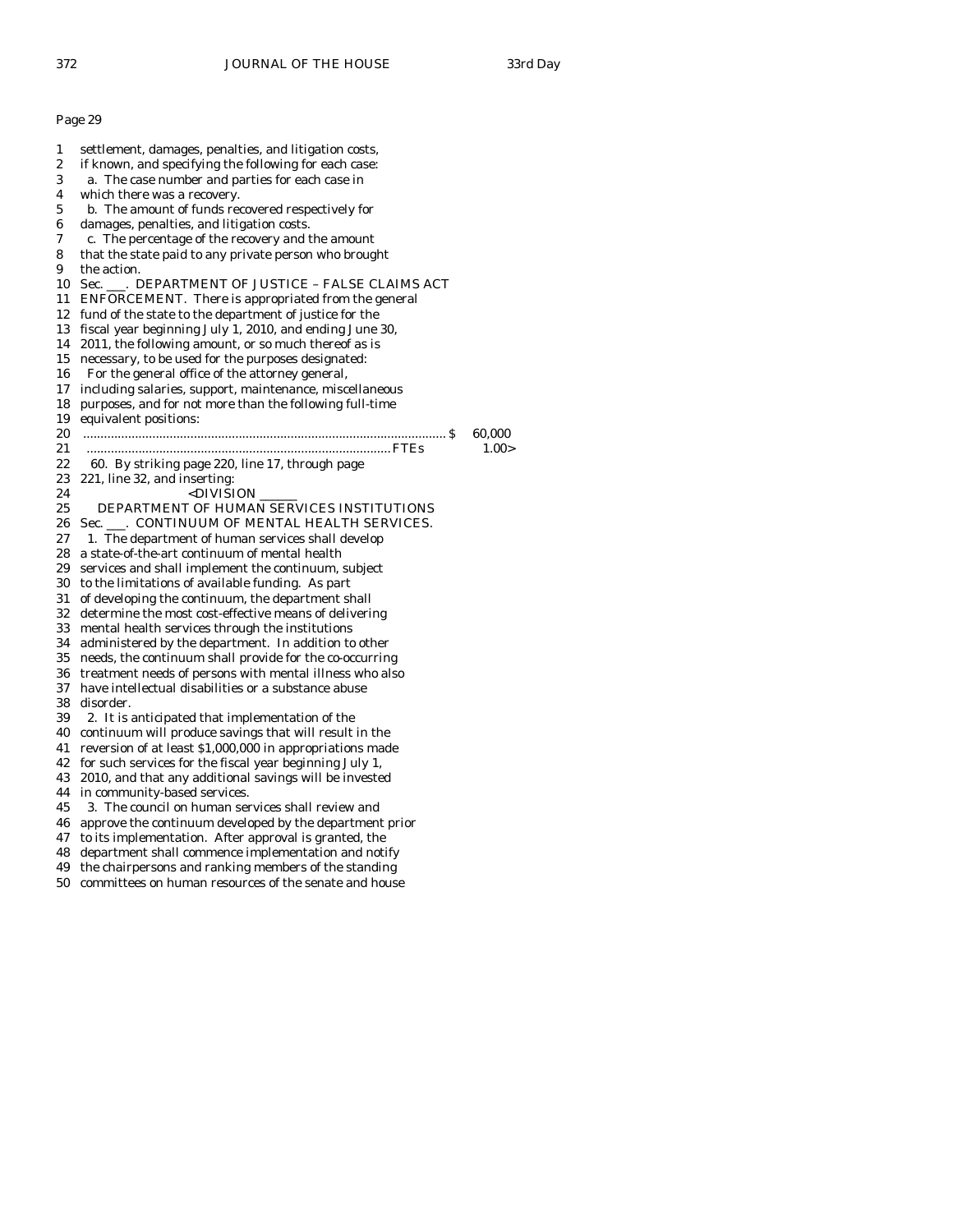1 settlement, damages, penalties, and litigation costs, 2 if known, and specifying the following for each case: 3 a. The case number and parties for each case in 4 which there was a recovery. 5 b. The amount of funds recovered respectively for 6 damages, penalties, and litigation costs. 7 c. The percentage of the recovery and the amount 8 that the state paid to any private person who brought 9 the action. 10 Sec. . DEPARTMENT OF JUSTICE - FALSE CLAIMS ACT 11 ENFORCEMENT. There is appropriated from the general 12 fund of the state to the department of justice for the 13 fiscal year beginning July 1, 2010, and ending June 30, 14 2011, the following amount, or so much thereof as is 15 necessary, to be used for the purposes designated: 16 For the general office of the attorney general, 17 including salaries, support, maintenance, miscellaneous 18 purposes, and for not more than the following full-time 19 equivalent positions: 20 ......................................................................................................... \$ 60,000 21 ........................................................................................ FTEs 1.00> 22 60. By striking page 220, line 17, through page 23 221, line 32, and inserting: 24 <DIVISION \_\_\_\_\_\_ 25 DEPARTMENT OF HUMAN SERVICES INSTITUTIONS 26 Sec. \_\_\_. CONTINUUM OF MENTAL HEALTH SERVICES. 27 1. The department of human services shall develop 28 a state-of-the-art continuum of mental health 29 services and shall implement the continuum, subject 30 to the limitations of available funding. As part 31 of developing the continuum, the department shall 32 determine the most cost-effective means of delivering 33 mental health services through the institutions 34 administered by the department. In addition to other needs, the continuum shall provide for the co-occurring 36 treatment needs of persons with mental illness who also 37 have intellectual disabilities or a substance abuse 38 disorder. 39 2. It is anticipated that implementation of the 40 continuum will produce savings that will result in the 41 reversion of at least \$1,000,000 in appropriations made 42 for such services for the fiscal year beginning July 1, 43 2010, and that any additional savings will be invested 44 in community-based services. 45 3. The council on human services shall review and 46 approve the continuum developed by the department prior 47 to its implementation. After approval is granted, the 48 department shall commence implementation and notify 49 the chairpersons and ranking members of the standing

50 committees on human resources of the senate and house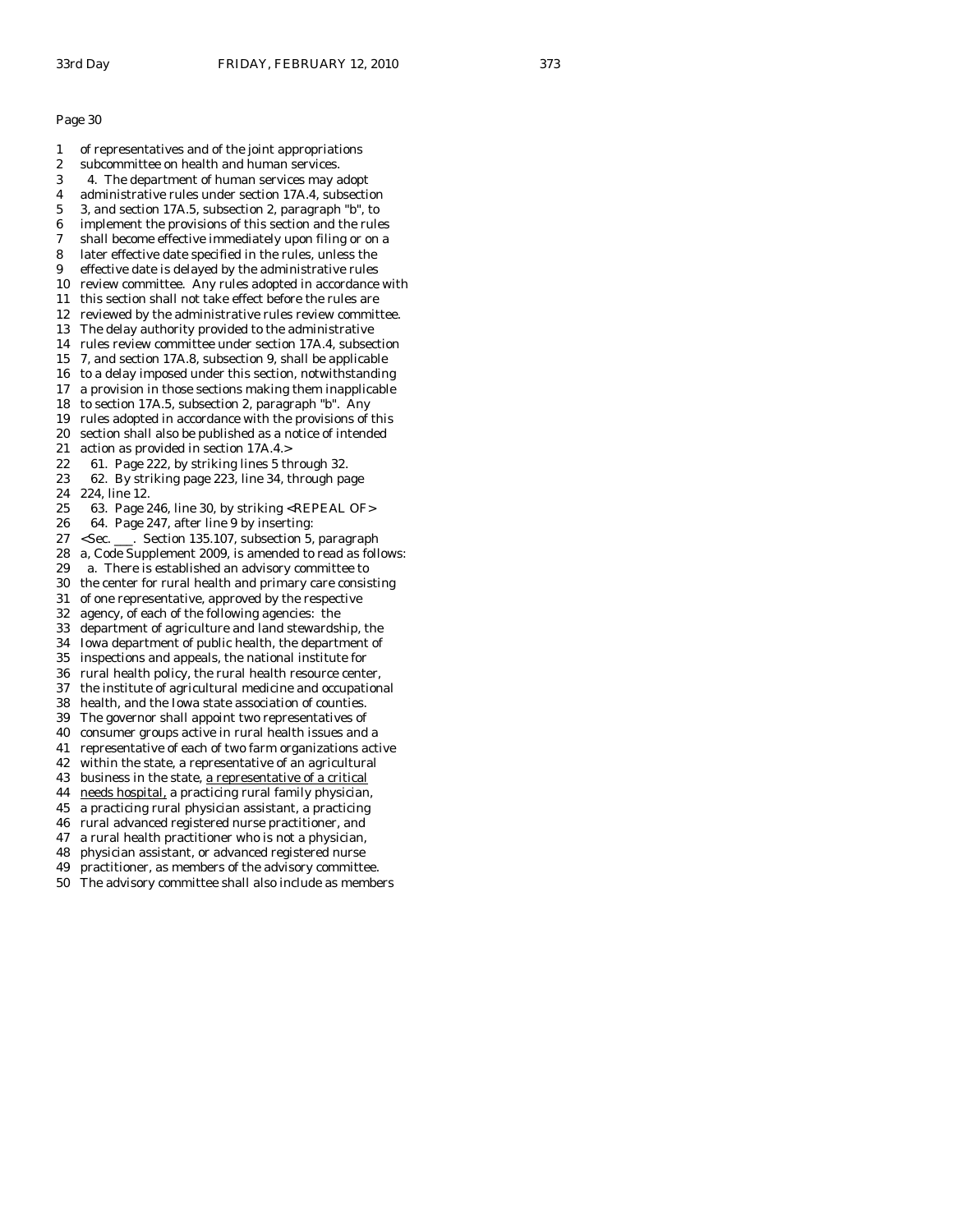1 of representatives and of the joint appropriations 2 subcommittee on health and human services. 3 4. The department of human services may adopt 4 administrative rules under section 17A.4, subsection 5 3, and section 17A.5, subsection 2, paragraph "b", to 6 implement the provisions of this section and the rules 7 shall become effective immediately upon filing or on a 8 later effective date specified in the rules, unless the 9 effective date is delayed by the administrative rules 10 review committee. Any rules adopted in accordance with 11 this section shall not take effect before the rules are 12 reviewed by the administrative rules review committee. 13 The delay authority provided to the administrative 14 rules review committee under section 17A.4, subsection 15 7, and section 17A.8, subsection 9, shall be applicable 16 to a delay imposed under this section, notwithstanding 17 a provision in those sections making them inapplicable 18 to section 17A.5, subsection 2, paragraph "b". Any 19 rules adopted in accordance with the provisions of this 20 section shall also be published as a notice of intended 21 action as provided in section 17A.4.> 22 61. Page 222, by striking lines 5 through 32. 23 62. By striking page 223, line 34, through page 24 224, line 12. 25 63. Page 246, line 30, by striking <REPEAL OF> 26 64. Page 247, after line 9 by inserting: 27 <Sec. \_\_\_. Section 135.107, subsection 5, paragraph 28 a, Code Supplement 2009, is amended to read as follows: 29 a. There is established an advisory committee to 30 the center for rural health and primary care consisting 31 of one representative, approved by the respective 32 agency, of each of the following agencies: the 33 department of agriculture and land stewardship, the 34 Iowa department of public health, the department of 35 inspections and appeals, the national institute for 36 rural health policy, the rural health resource center, 37 the institute of agricultural medicine and occupational 38 health, and the Iowa state association of counties. 39 The governor shall appoint two representatives of 40 consumer groups active in rural health issues and a 41 representative of each of two farm organizations active 42 within the state, a representative of an agricultural 43 business in the state, a representative of a critical 44 needs hospital, a practicing rural family physician, 45 a practicing rural physician assistant, a practicing 46 rural advanced registered nurse practitioner, and 47 a rural health practitioner who is not a physician, 48 physician assistant, or advanced registered nurse 49 practitioner, as members of the advisory committee. 50 The advisory committee shall also include as members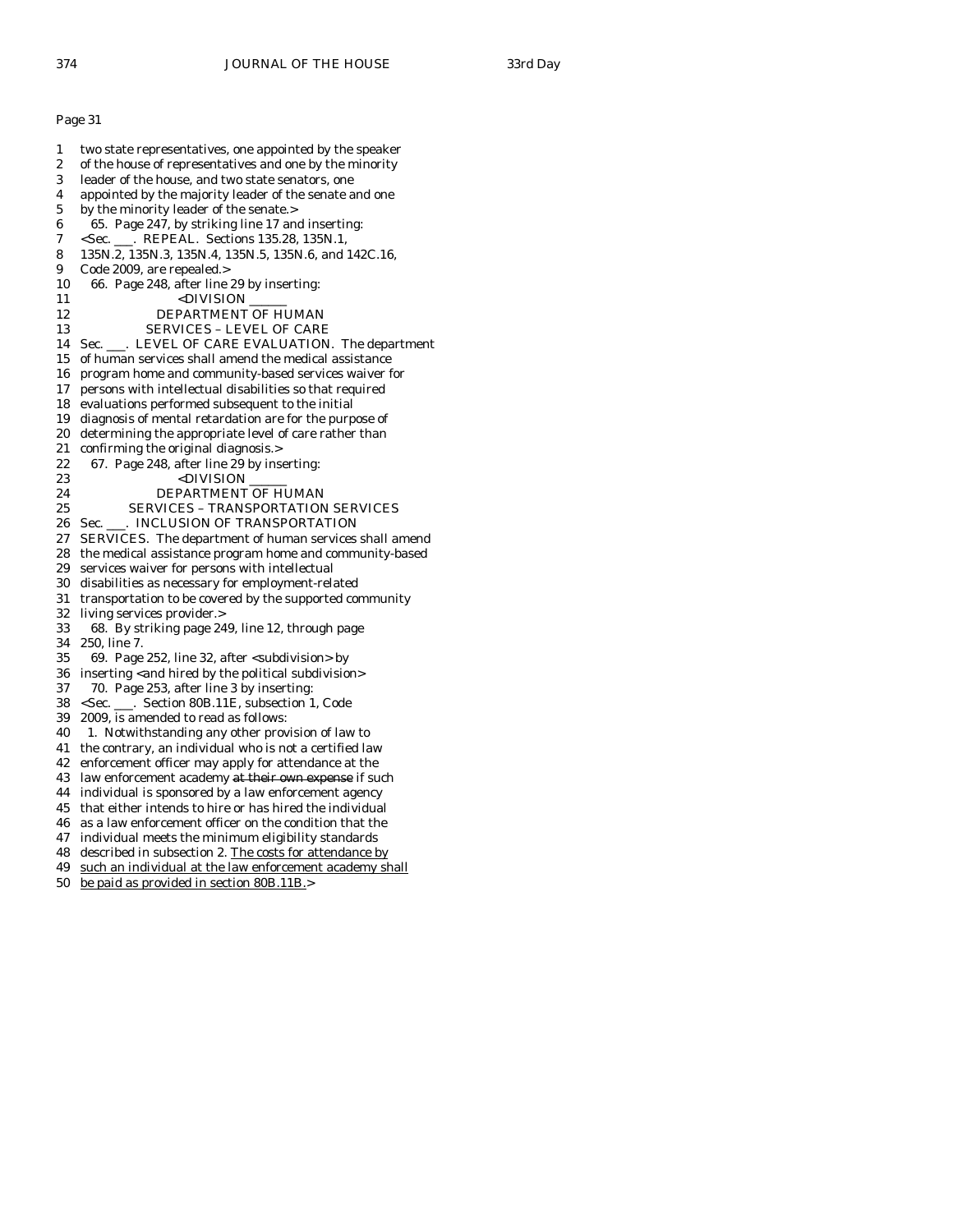| o<br>Ξ |
|--------|
|--------|

1 two state representatives, one appointed by the speaker 2 of the house of representatives and one by the minority 3 leader of the house, and two state senators, one 4 appointed by the majority leader of the senate and one 5 by the minority leader of the senate.> 6 65. Page 247, by striking line 17 and inserting: 7 <Sec. \_\_\_. REPEAL. Sections 135.28, 135N.1, 8 135N.2, 135N.3, 135N.4, 135N.5, 135N.6, and 142C.16, 9 Code 2009, are repealed.> 10 66. Page 248, after line 29 by inserting: 11 <DIVISION 12 DEPARTMENT OF HUMAN 13 SERVICES – LEVEL OF CARE 14 Sec. \_\_\_. LEVEL OF CARE EVALUATION. The department 15 of human services shall amend the medical assistance 16 program home and community-based services waiver for 17 persons with intellectual disabilities so that required 18 evaluations performed subsequent to the initial 19 diagnosis of mental retardation are for the purpose of 20 determining the appropriate level of care rather than 21 confirming the original diagnosis.> 22 67. Page 248, after line 29 by inserting:<br> $\frac{\text{23}}{\text{23}}$  <DIVISION 23 <DIVISION \_\_\_\_\_\_ 24 DEPARTMENT OF HUMAN 25 SERVICES – TRANSPORTATION SERVICES 26 Sec. \_\_\_. INCLUSION OF TRANSPORTATION 27 SERVICES. The department of human services shall amend 28 the medical assistance program home and community-based 29 services waiver for persons with intellectual 30 disabilities as necessary for employment-related 31 transportation to be covered by the supported community 32 living services provider.> 33 68. By striking page 249, line 12, through page 34 250, line 7. 35 69. Page 252, line 32, after <subdivision> by 36 inserting <and hired by the political subdivision> 37 70. Page 253, after line 3 by inserting: 38 <Sec. \_\_\_. Section 80B.11E, subsection 1, Code 39 2009, is amended to read as follows: 40 1. Notwithstanding any other provision of law to 41 the contrary, an individual who is not a certified law 42 enforcement officer may apply for attendance at the 43 law enforcement academy at their own expense if such 44 individual is sponsored by a law enforcement agency 45 that either intends to hire or has hired the individual 46 as a law enforcement officer on the condition that the 47 individual meets the minimum eligibility standards 48 described in subsection 2. The costs for attendance by 49 such an individual at the law enforcement academy shall 50 be paid as provided in section 80B.11B.>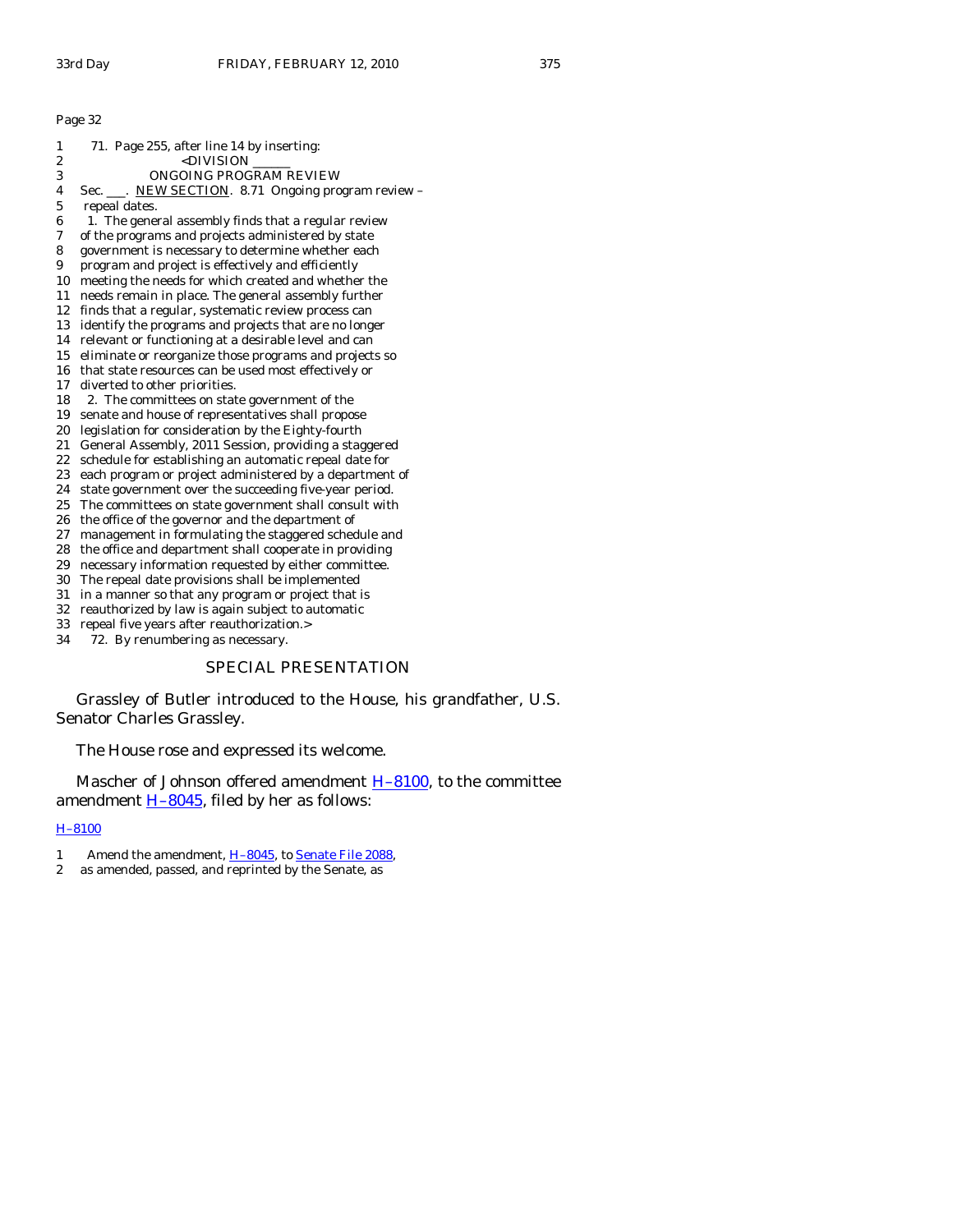| 1  | 71. Page 255, after line 14 by inserting:               |
|----|---------------------------------------------------------|
| 2  | <division< td=""></division<>                           |
| 3  | ONGOING PROGRAM REVIEW                                  |
| 4  | Sec. ___. NEW SECTION. 8.71 Ongoing program review -    |
| 5  | repeal dates.                                           |
| 6  | 1. The general assembly finds that a regular review     |
| 7  | of the programs and projects administered by state      |
| 8  | government is necessary to determine whether each       |
| 9  | program and project is effectively and efficiently      |
| 10 | meeting the needs for which created and whether the     |
| 11 | needs remain in place. The general assembly further     |
| 12 | finds that a regular, systematic review process can     |
| 13 | identify the programs and projects that are no longer   |
| 14 | relevant or functioning at a desirable level and can    |
| 15 | eliminate or reorganize those programs and projects so  |
| 16 | that state resources can be used most effectively or    |
| 17 | diverted to other priorities.                           |
| 18 | 2. The committees on state government of the            |
| 19 | senate and house of representatives shall propose       |
| 20 | legislation for consideration by the Eighty-fourth      |
| 21 | General Assembly, 2011 Session, providing a staggered   |
| 22 | schedule for establishing an automatic repeal date for  |
| 23 | each program or project administered by a department of |
| 24 | state government over the succeeding five-year period.  |
| 25 | The committees on state government shall consult with   |
| 26 | the office of the governor and the department of        |
| 27 | management in formulating the staggered schedule and    |
| 28 | the office and department shall cooperate in providing  |
| 29 | necessary information requested by either committee.    |
| 30 | The repeal date provisions shall be implemented         |
| 31 | in a manner so that any program or project that is      |
| 32 | reauthorized by law is again subject to automatic       |
| 33 | repeal five years after reauthorization.>               |
| 34 | 72. By renumbering as necessary.                        |
|    |                                                         |

# SPECIAL PRESENTATION

 Grassley of Butler introduced to the House, his grandfather, U.S. Senator Charles Grassley.

The House rose and expressed its welcome.

Mascher of Johnson offered amendment **H-8100**, to the committee amendment  $H$ -8045, filed by her as follows:

# [H–8100](http://coolice.legis.state.ia.us/Cool-ICE/default.asp?Category=billinfo&Service=Billbook&frame=1&GA=83&hbill=H8100)

- 1 Amend the amendment, H-8045, to [Senate File 2088](http://coolice.legis.state.ia.us/Cool-ICE/default.asp?Category=billinfo&Service=Billbook&frame=1&GA=83&hbill=SF2088),
- 2 as amended, passed, and reprinted by the Senate, as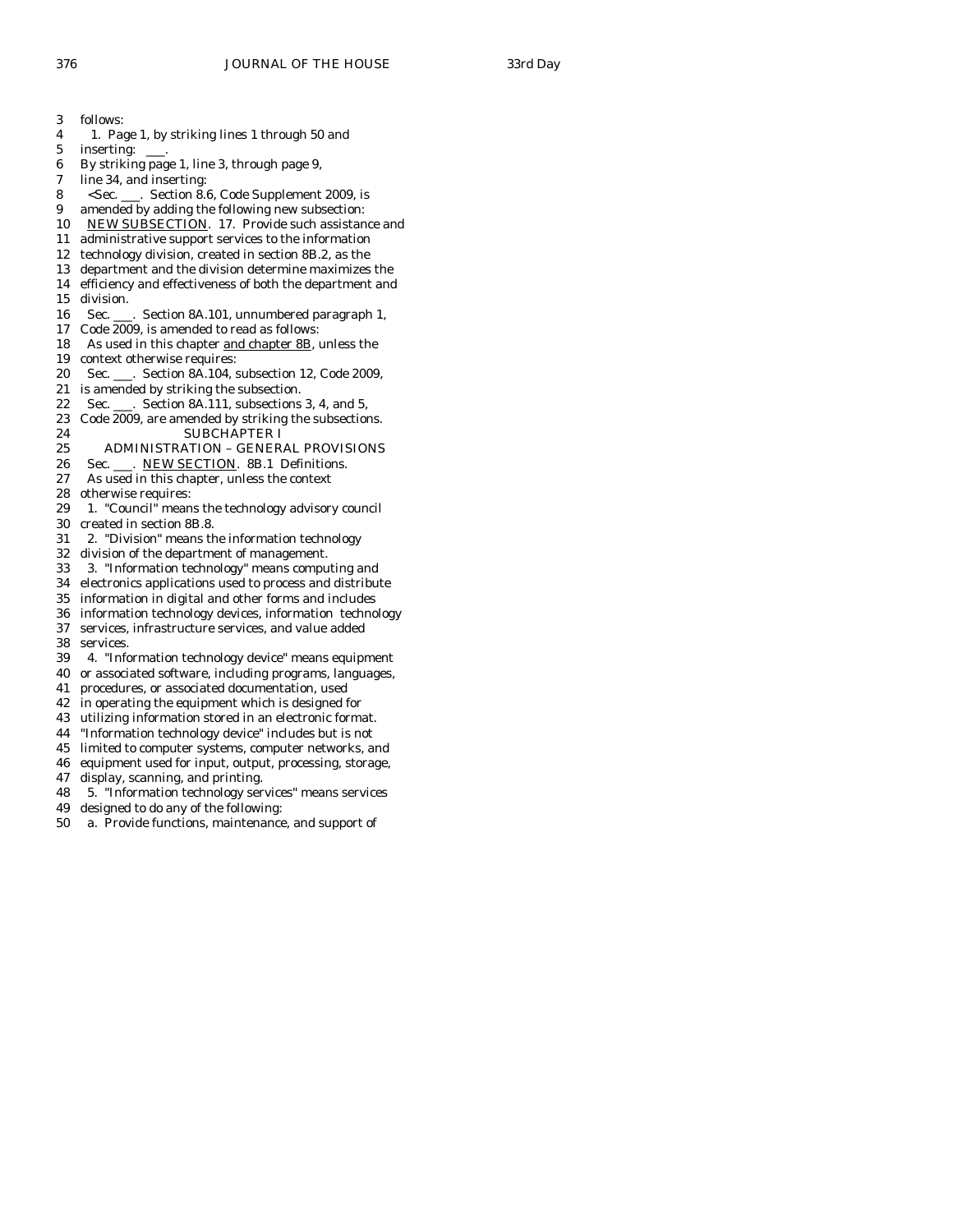3 follows: 4 1. Page 1, by striking lines 1 through 50 and 5 inserting: 6 By striking page 1, line 3, through page 9, 7 line 34, and inserting: 8 <Sec. \_\_\_. Section 8.6, Code Supplement 2009, is 9 amended by adding the following new subsection: 10 NEW SUBSECTION. 17. Provide such assistance and 11 administrative support services to the information 12 technology division, created in section 8B.2, as the 13 department and the division determine maximizes the 14 efficiency and effectiveness of both the department and 15 division. 16 Sec. \_\_\_. Section 8A.101, unnumbered paragraph 1, 17 Code 2009, is amended to read as follows: 18 As used in this chapter and chapter 8B, unless the 19 context otherwise requires: 20 Sec. \_\_\_. Section 8A.104, subsection 12, Code 2009, 21 is amended by striking the subsection. 22 Sec. \_\_\_. Section 8A.111, subsections 3, 4, and 5, 23 Code 2009, are amended by striking the subsections. 24 SUBCHAPTER I 25 ADMINISTRATION – GENERAL PROVISIONS 26 Sec. \_\_\_. NEW SECTION. 8B.1 Definitions. 27 As used in this chapter, unless the context 28 otherwise requires: 29 1. "Council" means the technology advisory council 30 created in section 8B.8. 31 2. "Division" means the information technology 32 division of the department of management. 33 3. "Information technology" means computing and 34 electronics applications used to process and distribute 35 information in digital and other forms and includes 36 information technology devices, information technology 37 services, infrastructure services, and value added 38 services.<br>39 4. "Info 39 4. "Information technology device" means equipment 40 or associated software, including programs, languages, 41 procedures, or associated documentation, used 42 in operating the equipment which is designed for 43 utilizing information stored in an electronic format. 44 "Information technology device" includes but is not 45 limited to computer systems, computer networks, and 46 equipment used for input, output, processing, storage, 47 display, scanning, and printing. 48 5. "Information technology services" means services 49 designed to do any of the following: 50 a. Provide functions, maintenance, and support of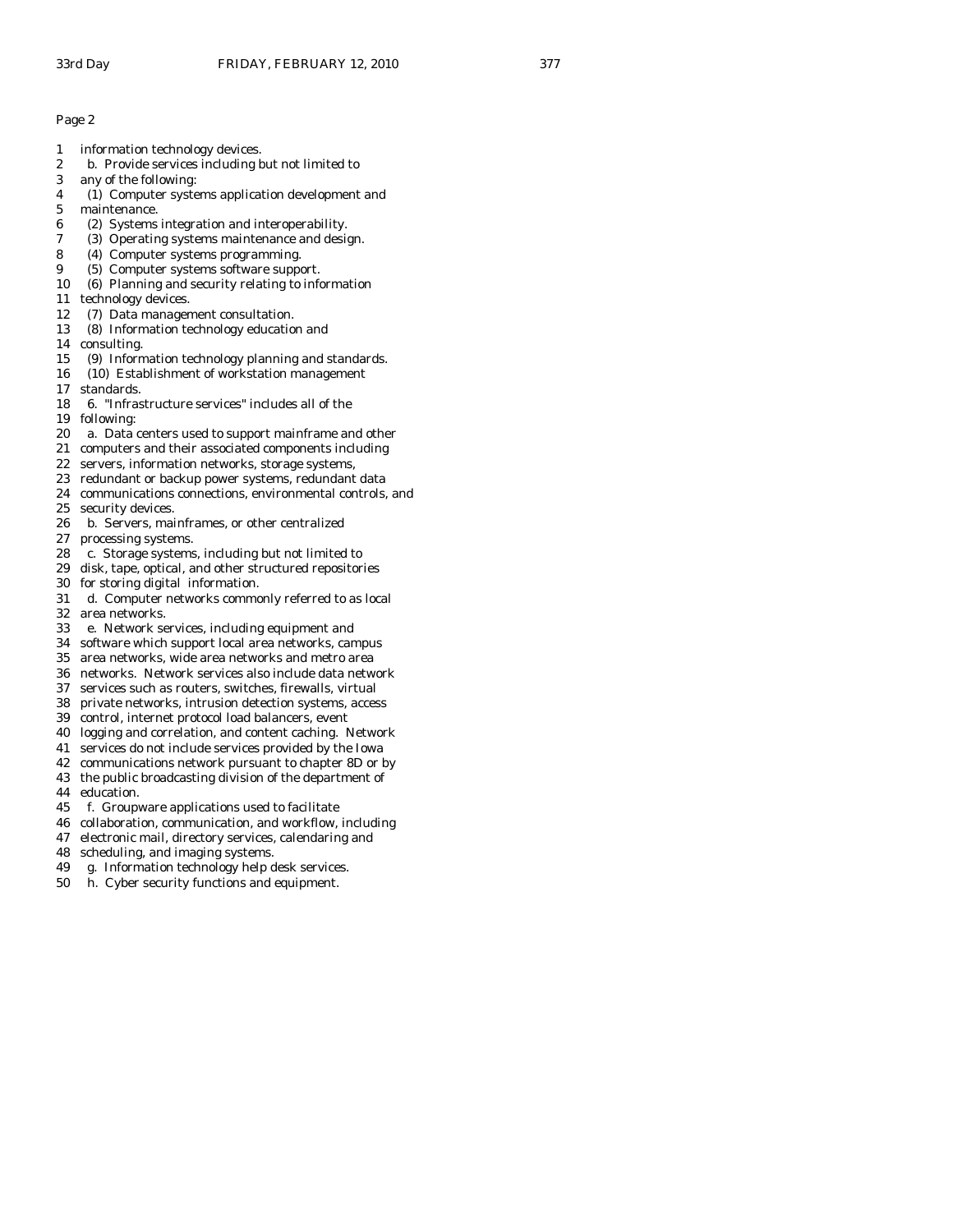- 1 information technology devices.
- 2 b. Provide services including but not limited to
- 3 any of the following:
- 4 (1) Computer systems application development and
- 5 maintenance.
- 6 (2) Systems integration and interoperability.
- 7 (3) Operating systems maintenance and design.
- 8 (4) Computer systems programming.
- 9 (5) Computer systems software support.
- 10 (6) Planning and security relating to information
- 11 technology devices.
- 12 (7) Data management consultation.
- 13 (8) Information technology education and
- 14 consulting.
- 15 (9) Information technology planning and standards.
- 16 (10) Establishment of workstation management
- 17 standards.
- 18 6. "Infrastructure services" includes all of the
- 19 following:
- 20 a. Data centers used to support mainframe and other
- 21 computers and their associated components including
- 22 servers, information networks, storage systems,
- 23 redundant or backup power systems, redundant data
- 24 communications connections, environmental controls, and
- 25 security devices.
- 26 b. Servers, mainframes, or other centralized
- 27 processing systems.
- 28 c. Storage systems, including but not limited to
- 29 disk, tape, optical, and other structured repositories
- 30 for storing digital information.
- 31 d. Computer networks commonly referred to as local
- 32 area networks. 33 e. Network services, including equipment and
- 
- 34 software which support local area networks, campus area networks, wide area networks and metro area
- 36 networks. Network services also include data network
- 37 services such as routers, switches, firewalls, virtual
- 38 private networks, intrusion detection systems, access
- 39 control, internet protocol load balancers, event
- 40 logging and correlation, and content caching. Network
- 41 services do not include services provided by the Iowa
- 42 communications network pursuant to chapter 8D or by
- 43 the public broadcasting division of the department of 44 education.
- 45 f. Groupware applications used to facilitate
- 46 collaboration, communication, and workflow, including
- 47 electronic mail, directory services, calendaring and
- 48 scheduling, and imaging systems.
- 49 g. Information technology help desk services.
- 50 h. Cyber security functions and equipment.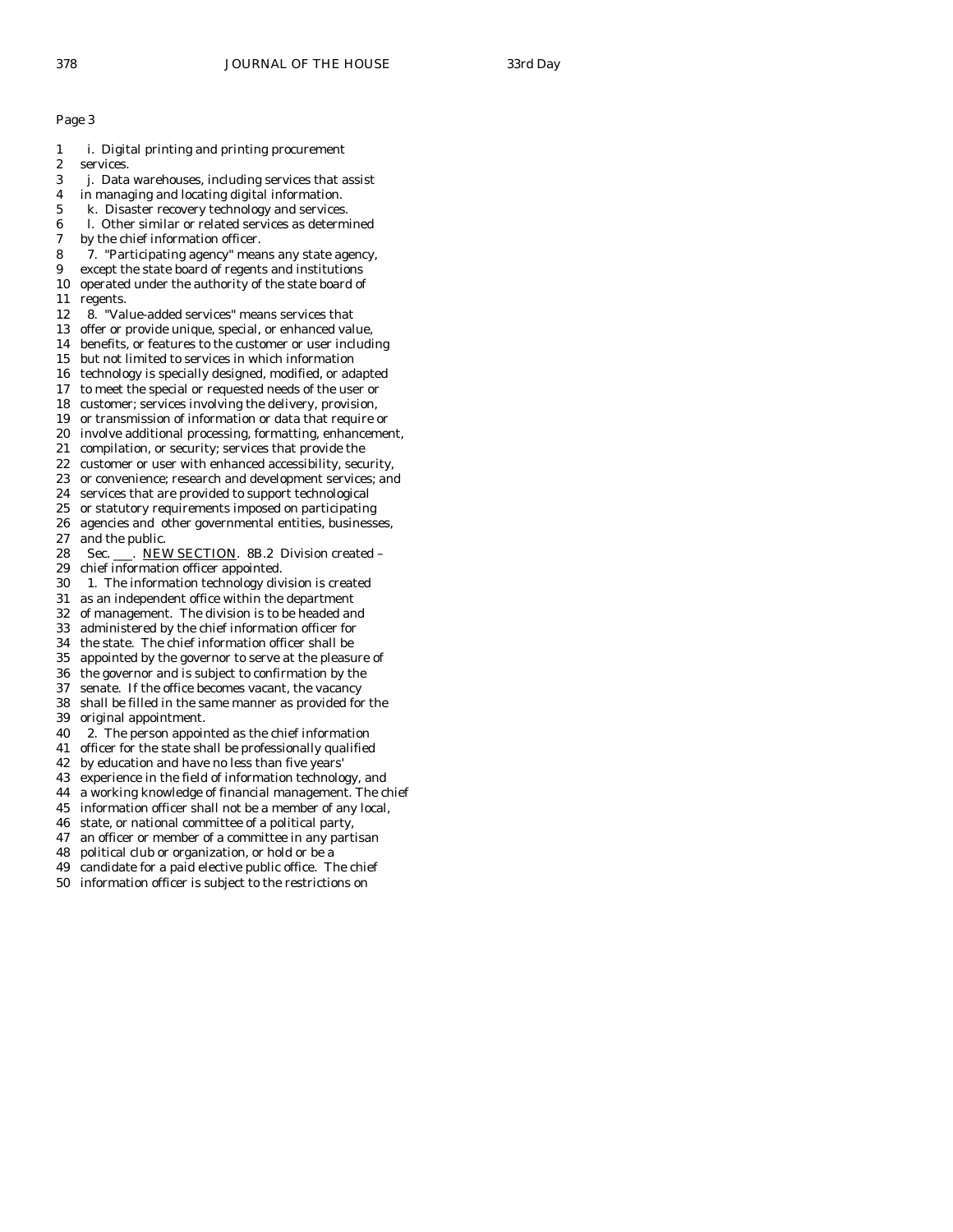- 1 i. Digital printing and printing procurement 2 services. 3 j. Data warehouses, including services that assist 4 in managing and locating digital information. 5 k. Disaster recovery technology and services. 6 l. Other similar or related services as determined by the chief information officer. 8 7. "Participating agency" means any state agency, 9 except the state board of regents and institutions 10 operated under the authority of the state board of
- 11 regents.
- 12 8. "Value-added services" means services that
- 13 offer or provide unique, special, or enhanced value,
- 14 benefits, or features to the customer or user including
- 15 but not limited to services in which information
- 16 technology is specially designed, modified, or adapted
- 17 to meet the special or requested needs of the user or
- 18 customer; services involving the delivery, provision,
- 19 or transmission of information or data that require or
- 20 involve additional processing, formatting, enhancement,
- 21 compilation, or security; services that provide the
- 22 customer or user with enhanced accessibility, security, 23 or convenience; research and development services; and
- 24 services that are provided to support technological
- 25 or statutory requirements imposed on participating
- 26 agencies and other governmental entities, businesses,
- 27 and the public.
- 28 Sec. \_\_\_. NEW SECTION. 8B.2 Division created -
- 29 chief information officer appointed.
- 30 1. The information technology division is created
- 31 as an independent office within the department
- 32 of management. The division is to be headed and
- 33 administered by the chief information officer for
- 34 the state. The chief information officer shall be
- appointed by the governor to serve at the pleasure of
- 36 the governor and is subject to confirmation by the
- 37 senate. If the office becomes vacant, the vacancy
- 38 shall be filled in the same manner as provided for the 39 original appointment.
- 40 2. The person appointed as the chief information
- 41 officer for the state shall be professionally qualified
- 42 by education and have no less than five years'
- 43 experience in the field of information technology, and
- 44 a working knowledge of financial management. The chief
- 45 information officer shall not be a member of any local,
- 46 state, or national committee of a political party,
- 47 an officer or member of a committee in any partisan
- 48 political club or organization, or hold or be a
- 49 candidate for a paid elective public office. The chief
- 50 information officer is subject to the restrictions on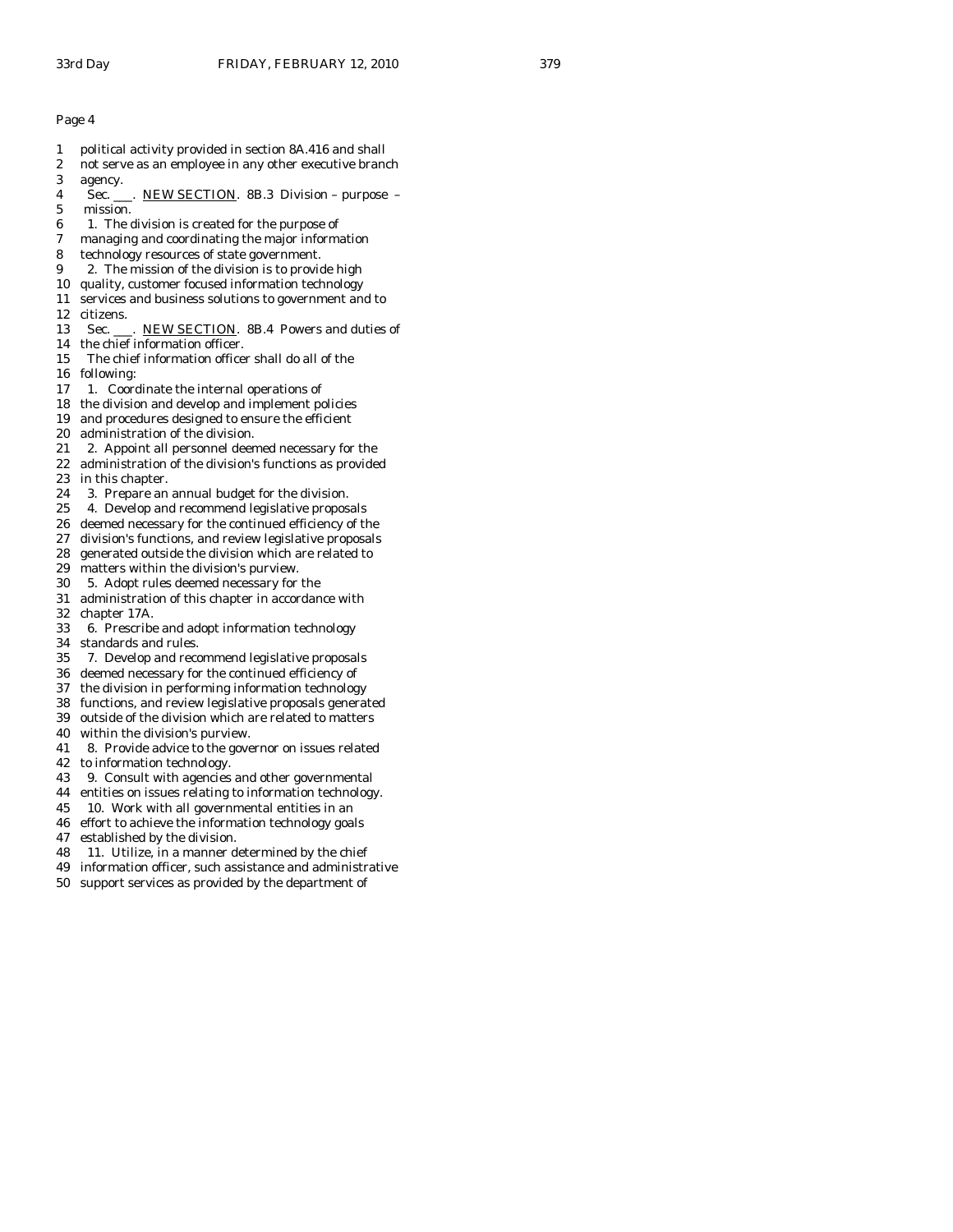- 1 political activity provided in section 8A.416 and shall
- 2 not serve as an employee in any other executive branch 3 agency.
- 4 Sec. \_\_\_. NEW SECTION. 8B.3 Division purpose 5 mission.
- 6 1. The division is created for the purpose of
- 7 managing and coordinating the major information
- 8 technology resources of state government.
- 9 2. The mission of the division is to provide high
- 10 quality, customer focused information technology
- 11 services and business solutions to government and to
- 12 citizens.
- 13 Sec. \_\_\_. NEW SECTION. 8B.4 Powers and duties of
- 14 the chief information officer.
- 15 The chief information officer shall do all of the 16 following:
- 17 1. Coordinate the internal operations of
- 18 the division and develop and implement policies
- 19 and procedures designed to ensure the efficient
- 20 administration of the division.
- 21 2. Appoint all personnel deemed necessary for the
- 22 administration of the division's functions as provided 23 in this chapter.
- 24 3. Prepare an annual budget for the division.
- 25 4. Develop and recommend legislative proposals
- 26 deemed necessary for the continued efficiency of the
- 27 division's functions, and review legislative proposals
- 28 generated outside the division which are related to
- 29 matters within the division's purview.
- 30 5. Adopt rules deemed necessary for the
- 31 administration of this chapter in accordance with 32 chapter 17A.
- 33 6. Prescribe and adopt information technology
- 34 standards and rules.<br>35 7. Develop and reco
- 35 7. Develop and recommend legislative proposals
- 36 deemed necessary for the continued efficiency of
- 37 the division in performing information technology
- 38 functions, and review legislative proposals generated
- 39 outside of the division which are related to matters
- 40 within the division's purview.
- 41 8. Provide advice to the governor on issues related
- 42 to information technology.
- 43 9. Consult with agencies and other governmental
- 44 entities on issues relating to information technology.
- 45 10. Work with all governmental entities in an
- 46 effort to achieve the information technology goals
- 47 established by the division.
- 48 11. Utilize, in a manner determined by the chief
- 49 information officer, such assistance and administrative
- 50 support services as provided by the department of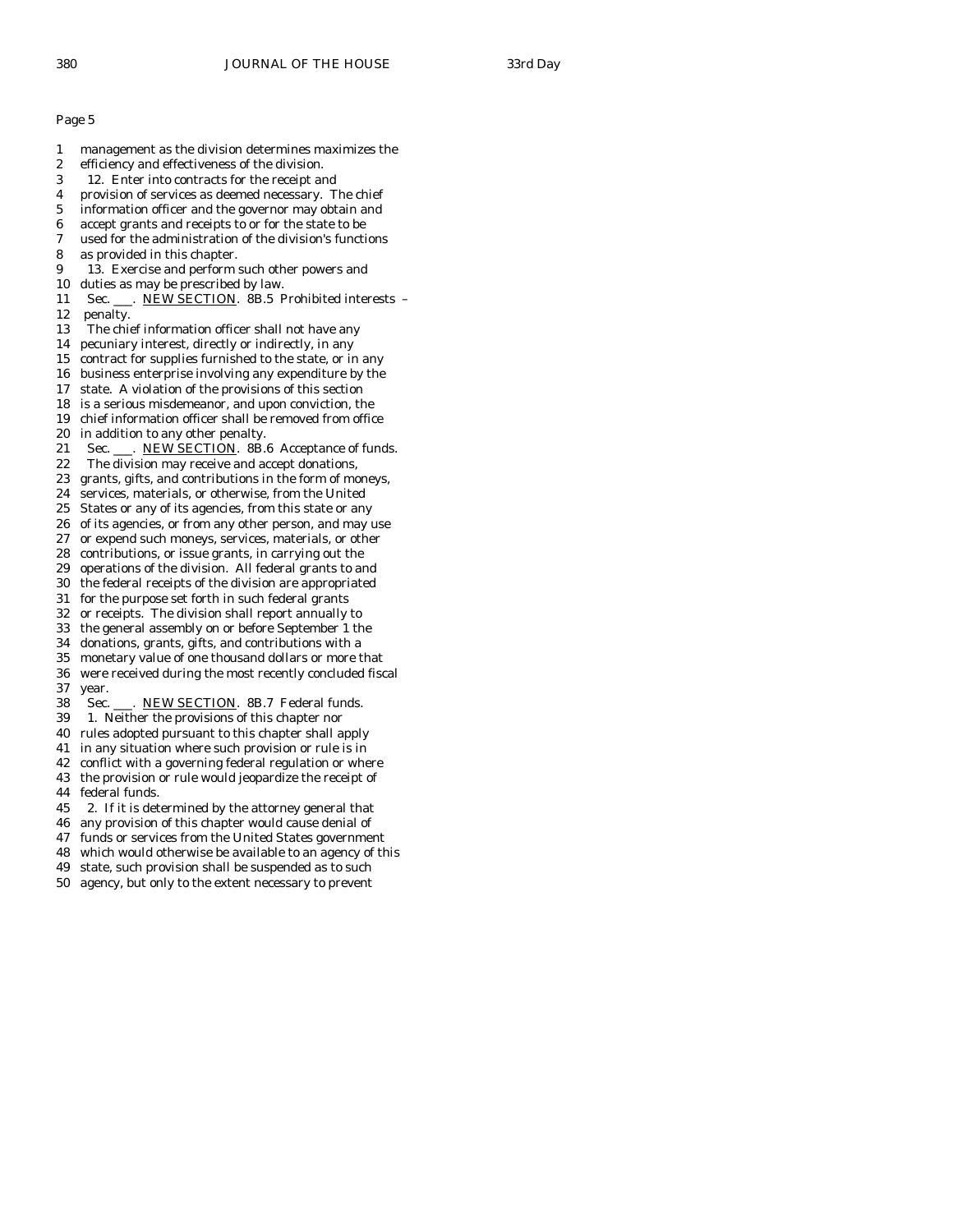1 management as the division determines maximizes the 2 efficiency and effectiveness of the division. 3 12. Enter into contracts for the receipt and 4 provision of services as deemed necessary. The chief 5 information officer and the governor may obtain and 6 accept grants and receipts to or for the state to be 7 used for the administration of the division's functions 8 as provided in this chapter. 9 13. Exercise and perform such other powers and 10 duties as may be prescribed by law. 11 Sec. \_\_\_. NEW SECTION. 8B.5 Prohibited interests -12 penalty. 13 The chief information officer shall not have any 14 pecuniary interest, directly or indirectly, in any 15 contract for supplies furnished to the state, or in any 16 business enterprise involving any expenditure by the 17 state. A violation of the provisions of this section 18 is a serious misdemeanor, and upon conviction, the 19 chief information officer shall be removed from office 20 in addition to any other penalty. 21 Sec. \_\_\_. NEW SECTION. 8B.6 Acceptance of funds. 22 The division may receive and accept donations, 23 grants, gifts, and contributions in the form of moneys, 24 services, materials, or otherwise, from the United 25 States or any of its agencies, from this state or any 26 of its agencies, or from any other person, and may use 27 or expend such moneys, services, materials, or other 28 contributions, or issue grants, in carrying out the 29 operations of the division. All federal grants to and 30 the federal receipts of the division are appropriated 31 for the purpose set forth in such federal grants 32 or receipts. The division shall report annually to 33 the general assembly on or before September 1 the 34 donations, grants, gifts, and contributions with a monetary value of one thousand dollars or more that 36 were received during the most recently concluded fiscal 37 year. 38 Sec. \_\_\_. NEW SECTION. 8B.7 Federal funds. 39 1. Neither the provisions of this chapter nor 40 rules adopted pursuant to this chapter shall apply 41 in any situation where such provision or rule is in 42 conflict with a governing federal regulation or where 43 the provision or rule would jeopardize the receipt of 44 federal funds.

- 45 2. If it is determined by the attorney general that
- 46 any provision of this chapter would cause denial of
- 47 funds or services from the United States government
- 48 which would otherwise be available to an agency of this
- 49 state, such provision shall be suspended as to such
- 50 agency, but only to the extent necessary to prevent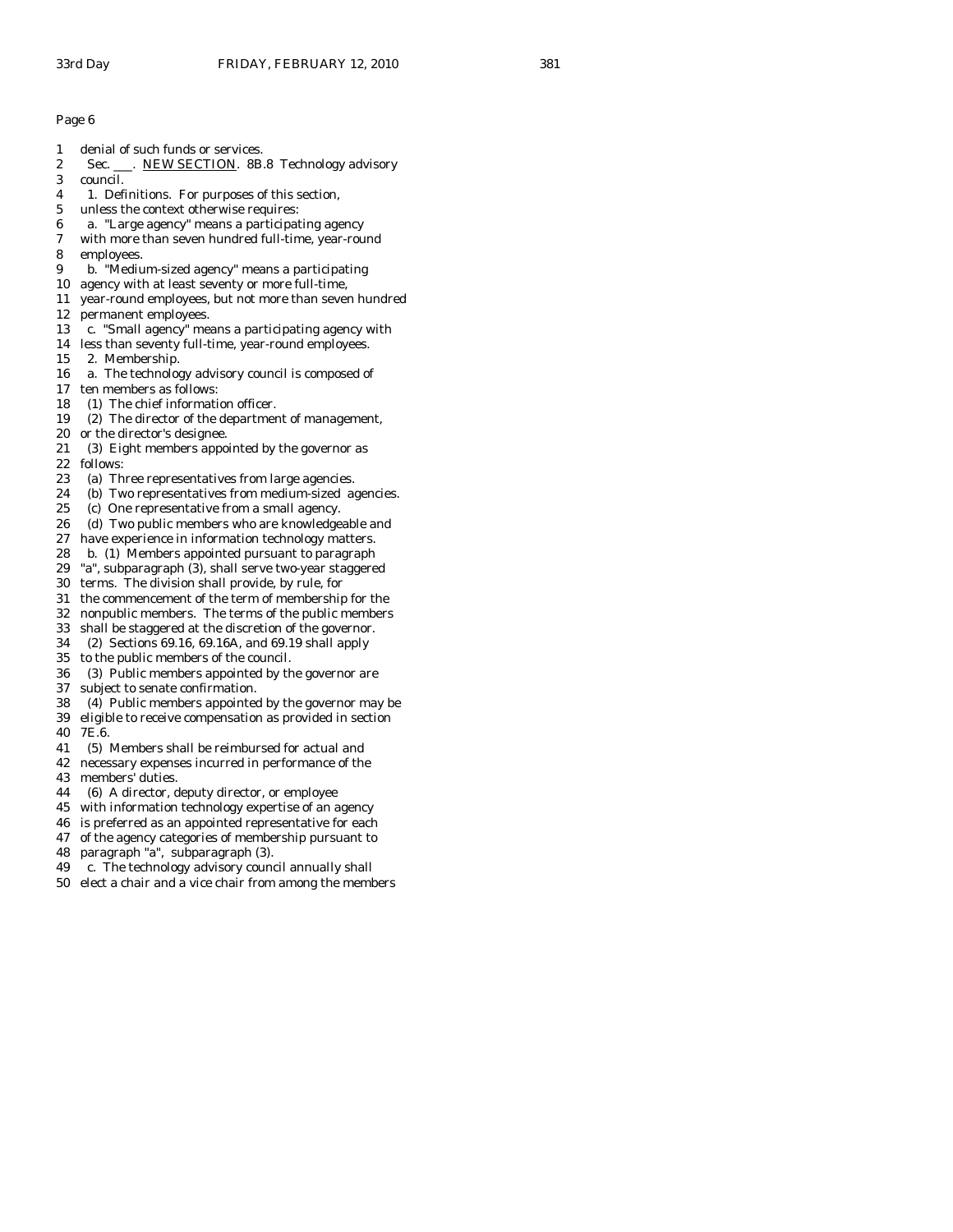- 1 denial of such funds or services.
- 2 Sec. \_\_\_. NEW SECTION. 8B.8 Technology advisory
- 3 council.
- 4 1. Definitions. For purposes of this section,
- 5 unless the context otherwise requires:
- 6 a. "Large agency" means a participating agency
- 7 with more than seven hundred full-time, year-round
- 8 employees.
- 9 b. "Medium-sized agency" means a participating
- 10 agency with at least seventy or more full-time,
- 11 year-round employees, but not more than seven hundred
- 12 permanent employees.
- 13 c. "Small agency" means a participating agency with
- 14 less than seventy full-time, year-round employees.
- 15 2. Membership.
- 16 a. The technology advisory council is composed of
- 17 ten members as follows:
- 18 (1) The chief information officer.
- 19 (2) The director of the department of management,
- 20 or the director's designee.
- 21 (3) Eight members appointed by the governor as
- 22 follows:
- 23 (a) Three representatives from large agencies.
- 24 (b) Two representatives from medium-sized agencies.
- 25 (c) One representative from a small agency.
- 26 (d) Two public members who are knowledgeable and
- 27 have experience in information technology matters.
- 28 b. (1) Members appointed pursuant to paragraph
- 29 "a", subparagraph (3), shall serve two-year staggered
- 30 terms. The division shall provide, by rule, for
- 31 the commencement of the term of membership for the
- 32 nonpublic members. The terms of the public members
- 33 shall be staggered at the discretion of the governor.
- 34 (2) Sections 69.16, 69.16A, and 69.19 shall apply
- 35 to the public members of the council.
- 36 (3) Public members appointed by the governor are
- 37 subject to senate confirmation.
- 38 (4) Public members appointed by the governor may be 39 eligible to receive compensation as provided in section
- 40 7E.6.
- 41 (5) Members shall be reimbursed for actual and
- 42 necessary expenses incurred in performance of the
- 43 members' duties.
- 44 (6) A director, deputy director, or employee
- 45 with information technology expertise of an agency
- 46 is preferred as an appointed representative for each
- 47 of the agency categories of membership pursuant to
- 48 paragraph "a", subparagraph (3).
- 49 c. The technology advisory council annually shall
- 50 elect a chair and a vice chair from among the members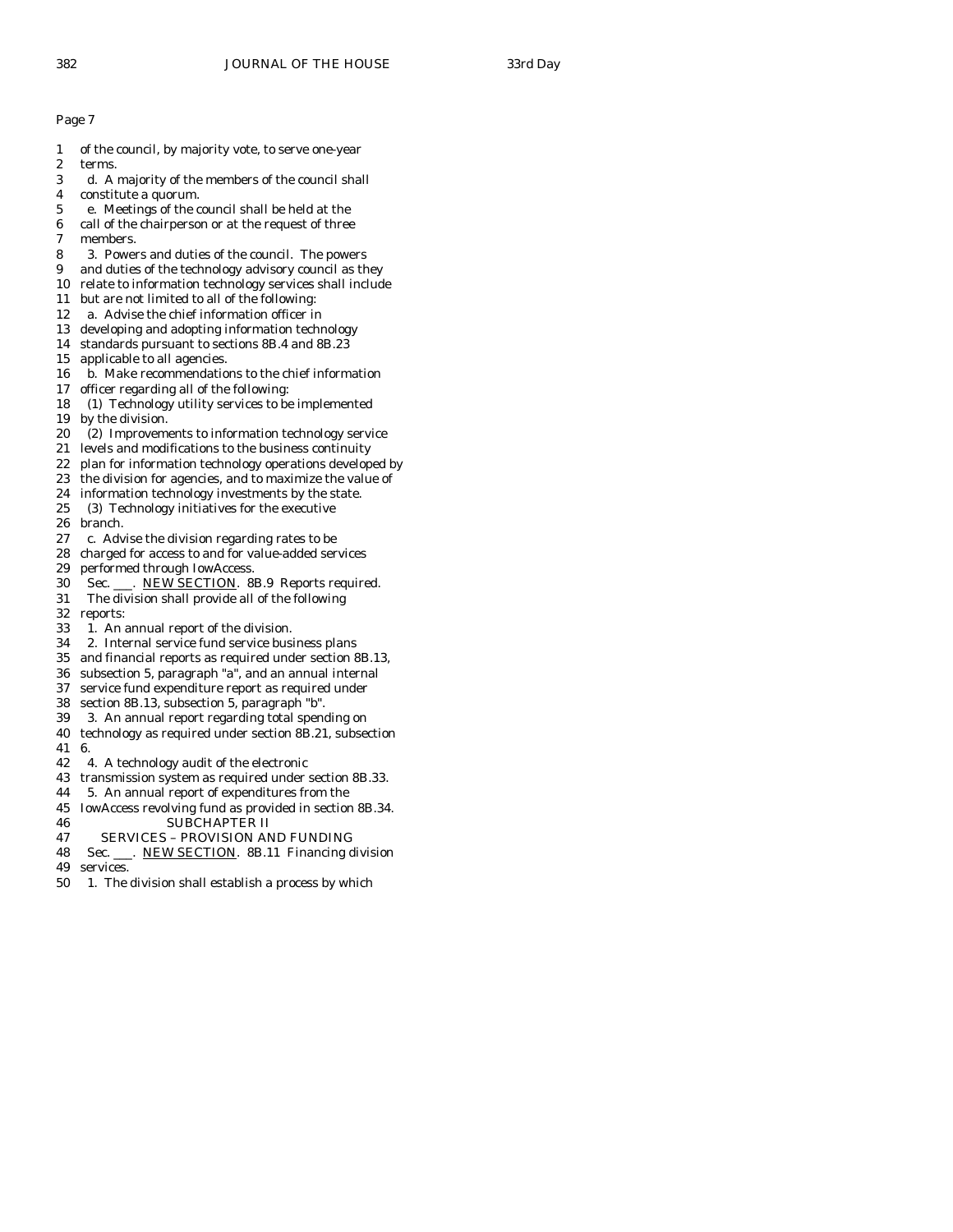- 1 of the council, by majority vote, to serve one-year
- 2 terms.
- 3 d. A majority of the members of the council shall
- 4 constitute a quorum.
- 5 e. Meetings of the council shall be held at the
- 6 call of the chairperson or at the request of three
- 7 members.
- 8 3. Powers and duties of the council. The powers
- 9 and duties of the technology advisory council as they
- 10 relate to information technology services shall include
- 11 but are not limited to all of the following:
- 12 a. Advise the chief information officer in
- 13 developing and adopting information technology
- 14 standards pursuant to sections 8B.4 and 8B.23
- 15 applicable to all agencies.
- 16 b. Make recommendations to the chief information
- 17 officer regarding all of the following:
- 18 (1) Technology utility services to be implemented
- 19 by the division.
- 20 (2) Improvements to information technology service
- 21 levels and modifications to the business continuity
- 22 plan for information technology operations developed by
- 23 the division for agencies, and to maximize the value of
- 24 information technology investments by the state.
- 25 (3) Technology initiatives for the executive
- 26 branch.
- 27 c. Advise the division regarding rates to be
- 28 charged for access to and for value-added services
- 29 performed through IowAccess.
- 30 Sec. \_\_\_. NEW SECTION. 8B.9 Reports required.
- 31 The division shall provide all of the following
- 32 reports:
- 33 1. An annual report of the division.
- 34 2. Internal service fund service business plans
- 35 and financial reports as required under section 8B.13,
- 36 subsection 5, paragraph "a", and an annual internal
- 37 service fund expenditure report as required under
- 38 section 8B.13, subsection 5, paragraph "b".
- 39 3. An annual report regarding total spending on
- 40 technology as required under section 8B.21, subsection
- 41 6.
- 42 4. A technology audit of the electronic
- 43 transmission system as required under section 8B.33.
- 44 5. An annual report of expenditures from the
- 45 IowAccess revolving fund as provided in section 8B.34. 46 SUBCHAPTER II
- 
- 47 SERVICES PROVISION AND FUNDING
- 48 Sec. \_\_\_. NEW SECTION. 8B.11 Financing division
- 49 services.
- 50 1. The division shall establish a process by which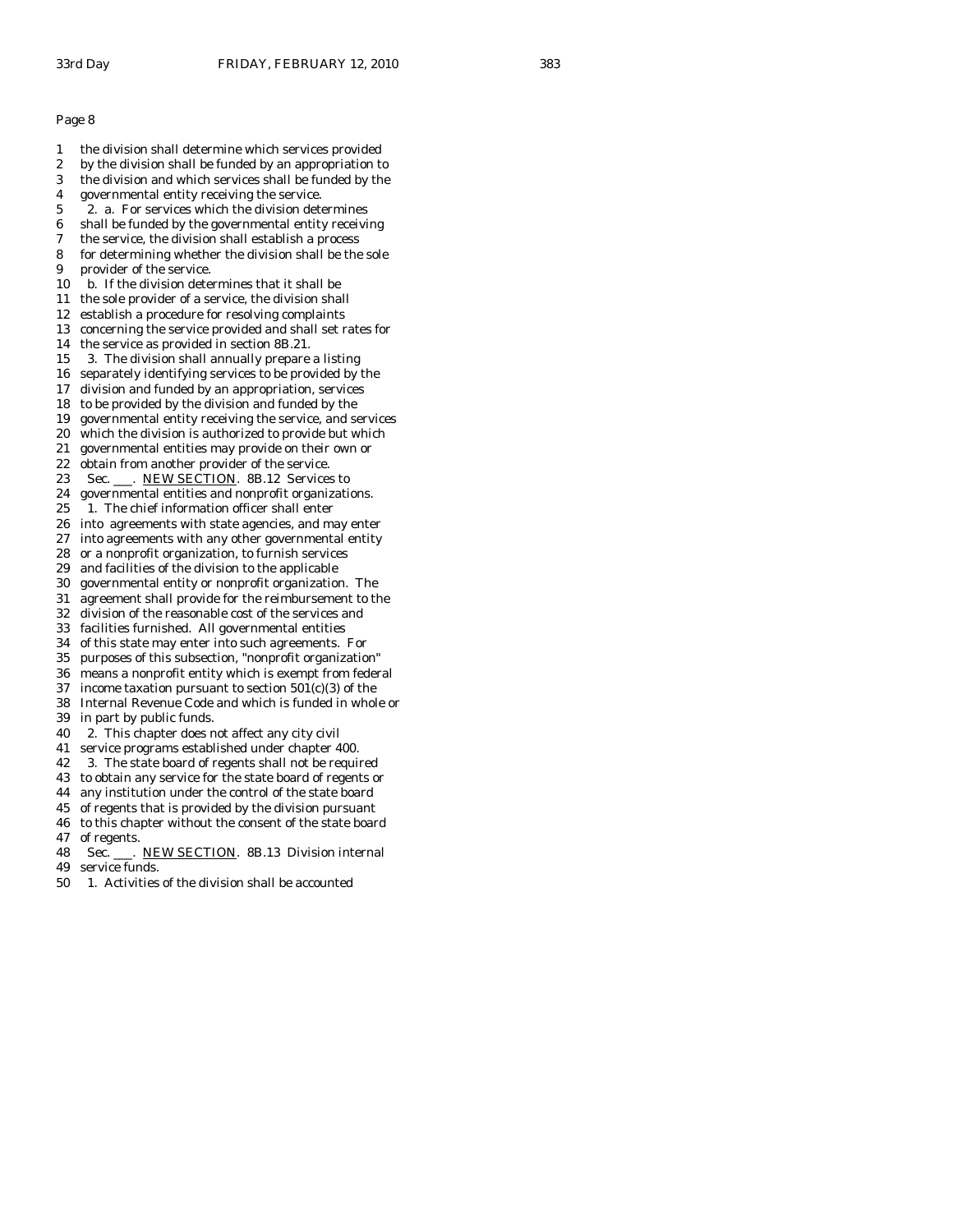- 1 the division shall determine which services provided
- 2 by the division shall be funded by an appropriation to
- 3 the division and which services shall be funded by the
- 4 governmental entity receiving the service.
- 5 2. a. For services which the division determines
- 6 shall be funded by the governmental entity receiving 7 the service, the division shall establish a process
- 8 for determining whether the division shall be the sole
- 9 provider of the service.
- 10 b. If the division determines that it shall be
- 11 the sole provider of a service, the division shall
- 12 establish a procedure for resolving complaints
- 13 concerning the service provided and shall set rates for
- 14 the service as provided in section 8B.21.
- 15 3. The division shall annually prepare a listing
- 16 separately identifying services to be provided by the
- 17 division and funded by an appropriation, services
- 18 to be provided by the division and funded by the
- 19 governmental entity receiving the service, and services
- 20 which the division is authorized to provide but which 21 governmental entities may provide on their own or
- 22 obtain from another provider of the service.
- 23 Sec. \_\_\_. NEW SECTION. 8B.12 Services to
- 24 governmental entities and nonprofit organizations.
- 25 1. The chief information officer shall enter
- 26 into agreements with state agencies, and may enter
- 27 into agreements with any other governmental entity
- 28 or a nonprofit organization, to furnish services
- 29 and facilities of the division to the applicable
- 30 governmental entity or nonprofit organization. The
- 31 agreement shall provide for the reimbursement to the
- 32 division of the reasonable cost of the services and 33 facilities furnished. All governmental entities
- 34 of this state may enter into such agreements. For
- 35 purposes of this subsection, "nonprofit organization"
- 36 means a nonprofit entity which is exempt from federal
- 37 income taxation pursuant to section  $501(c)(3)$  of the
- 38 Internal Revenue Code and which is funded in whole or
- 39 in part by public funds.
- 40 2. This chapter does not affect any city civil
- 41 service programs established under chapter 400.
- 42 3. The state board of regents shall not be required
- 43 to obtain any service for the state board of regents or
- 44 any institution under the control of the state board
- 45 of regents that is provided by the division pursuant
- 46 to this chapter without the consent of the state board 47 of regents.
- 48 Sec. \_\_\_. NEW SECTION. 8B.13 Division internal 49 service funds.
- 50 1. Activities of the division shall be accounted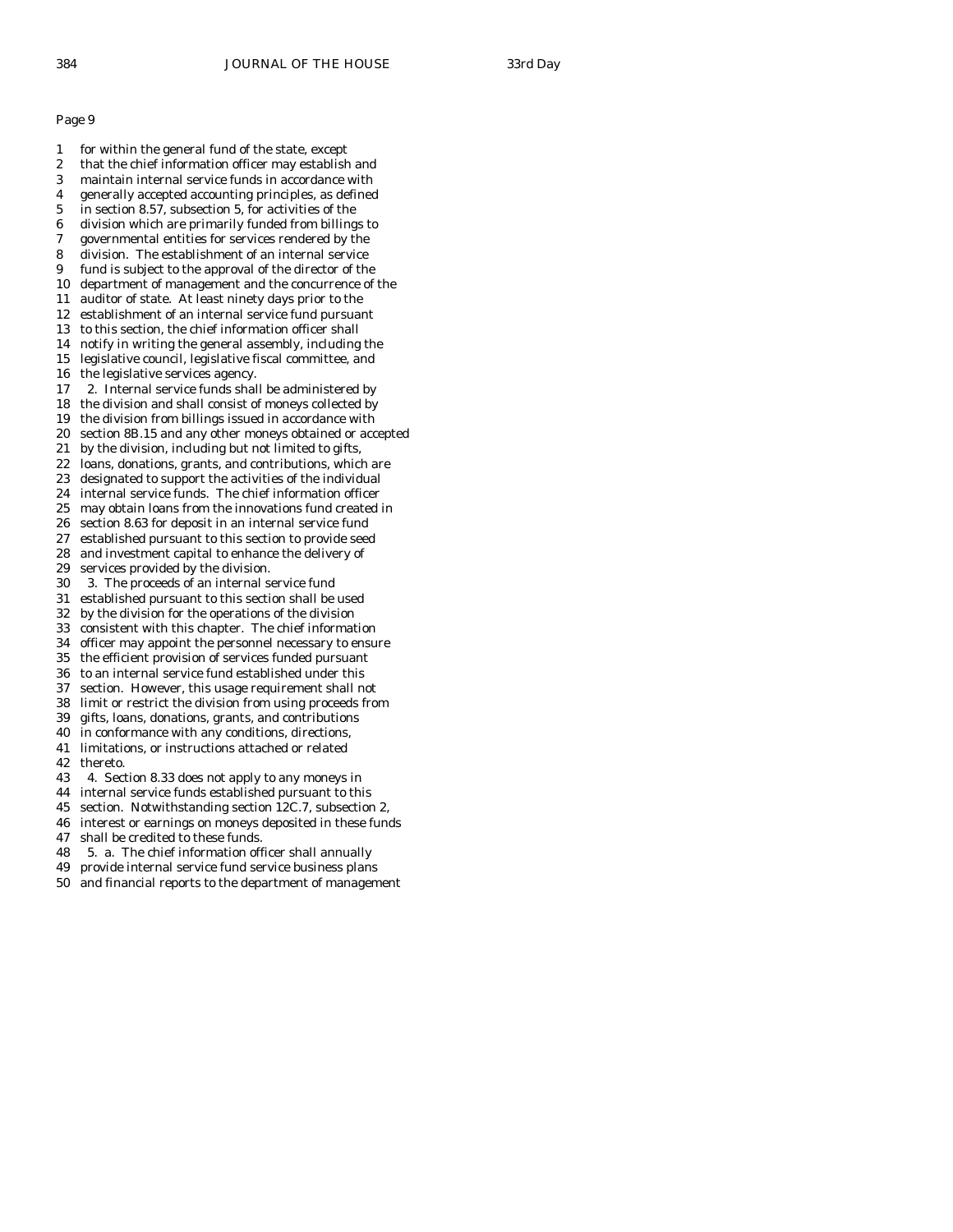- 1 for within the general fund of the state, except
- 2 that the chief information officer may establish and 3 maintain internal service funds in accordance with
- 4 generally accepted accounting principles, as defined
- 5 in section 8.57, subsection 5, for activities of the
- 6 division which are primarily funded from billings to
- 7 governmental entities for services rendered by the
- 8 division. The establishment of an internal service
- 9 fund is subject to the approval of the director of the
- 10 department of management and the concurrence of the
- 11 auditor of state. At least ninety days prior to the
- 12 establishment of an internal service fund pursuant
- 13 to this section, the chief information officer shall 14 notify in writing the general assembly, including the
- 15 legislative council, legislative fiscal committee, and
- 16 the legislative services agency.
- 17 2. Internal service funds shall be administered by
- 18 the division and shall consist of moneys collected by
- 19 the division from billings issued in accordance with
- 20 section 8B.15 and any other moneys obtained or accepted
- 21 by the division, including but not limited to gifts,
- 22 loans, donations, grants, and contributions, which are
- 23 designated to support the activities of the individual
- 24 internal service funds. The chief information officer
- 25 may obtain loans from the innovations fund created in
- 26 section 8.63 for deposit in an internal service fund 27 established pursuant to this section to provide seed
- 28 and investment capital to enhance the delivery of
- 29 services provided by the division.
- 30 3. The proceeds of an internal service fund
- 31 established pursuant to this section shall be used
- 32 by the division for the operations of the division
- 33 consistent with this chapter. The chief information
- 34 officer may appoint the personnel necessary to ensure
- 35 the efficient provision of services funded pursuant
- 36 to an internal service fund established under this
- 37 section. However, this usage requirement shall not 38 limit or restrict the division from using proceeds from
- 39 gifts, loans, donations, grants, and contributions
- 40 in conformance with any conditions, directions,
- 41 limitations, or instructions attached or related
- 42 thereto.
- 43 4. Section 8.33 does not apply to any moneys in
- 44 internal service funds established pursuant to this
- 45 section. Notwithstanding section 12C.7, subsection 2,
- 46 interest or earnings on moneys deposited in these funds 47 shall be credited to these funds.
- 48 5. a. The chief information officer shall annually
- 49 provide internal service fund service business plans
- 50 and financial reports to the department of management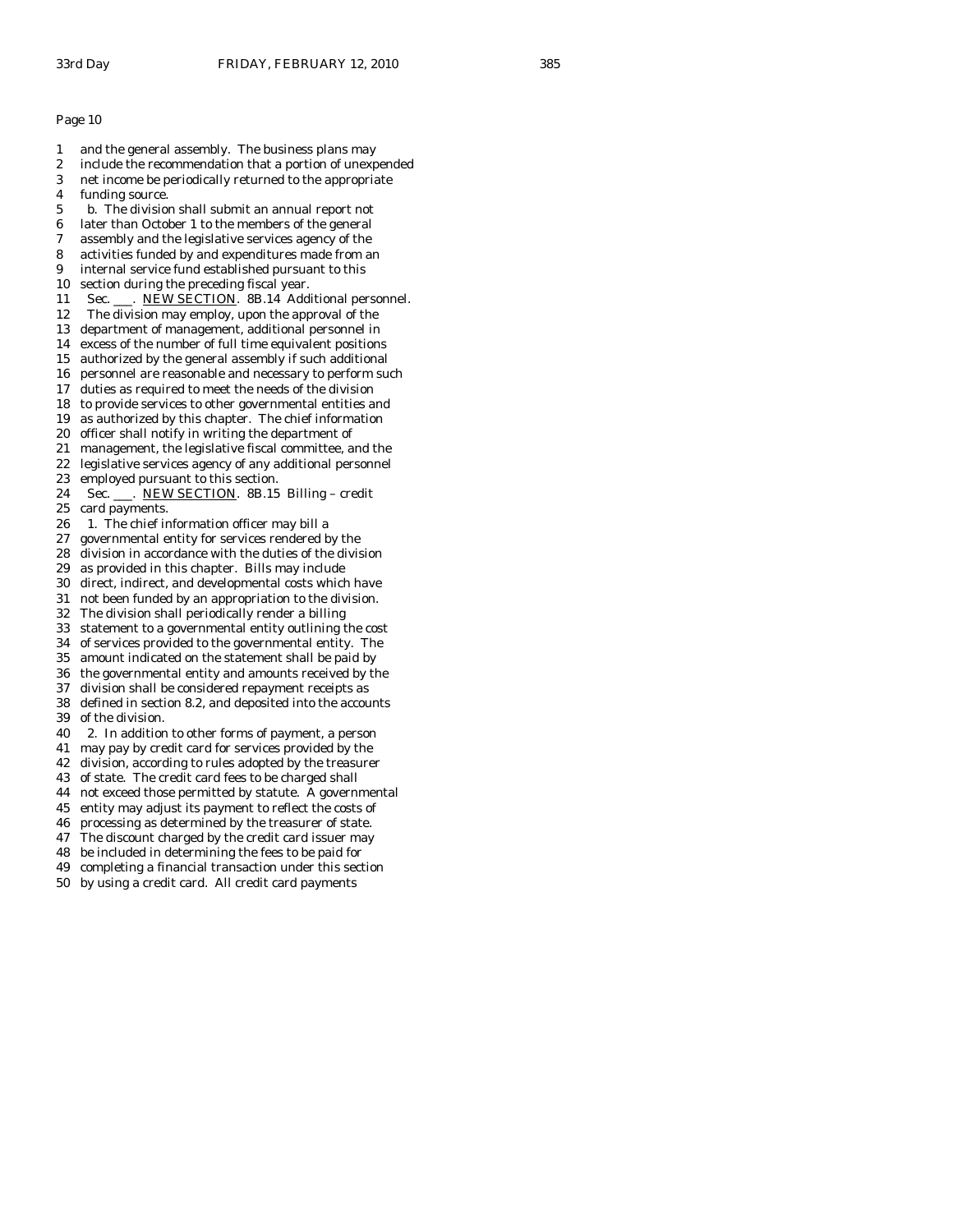1 and the general assembly. The business plans may 2 include the recommendation that a portion of unexpended 3 net income be periodically returned to the appropriate 4 funding source. 5 b. The division shall submit an annual report not 6 later than October 1 to the members of the general 7 assembly and the legislative services agency of the 8 activities funded by and expenditures made from an 9 internal service fund established pursuant to this 10 section during the preceding fiscal year. 11 Sec. \_\_\_. NEW SECTION. 8B.14 Additional personnel. 12 The division may employ, upon the approval of the 13 department of management, additional personnel in 14 excess of the number of full time equivalent positions 15 authorized by the general assembly if such additional 16 personnel are reasonable and necessary to perform such 17 duties as required to meet the needs of the division 18 to provide services to other governmental entities and 19 as authorized by this chapter. The chief information 20 officer shall notify in writing the department of 21 management, the legislative fiscal committee, and the 22 legislative services agency of any additional personnel 23 employed pursuant to this section. 24 Sec. \_\_\_. NEW SECTION. 8B.15 Billing – credit 25 card payments. 26 1. The chief information officer may bill a 27 governmental entity for services rendered by the 28 division in accordance with the duties of the division 29 as provided in this chapter. Bills may include 30 direct, indirect, and developmental costs which have 31 not been funded by an appropriation to the division. 32 The division shall periodically render a billing 33 statement to a governmental entity outlining the cost 34 of services provided to the governmental entity. The amount indicated on the statement shall be paid by 36 the governmental entity and amounts received by the 37 division shall be considered repayment receipts as 38 defined in section 8.2, and deposited into the accounts 39 of the division. 40 2. In addition to other forms of payment, a person 41 may pay by credit card for services provided by the 42 division, according to rules adopted by the treasurer 43 of state. The credit card fees to be charged shall 44 not exceed those permitted by statute. A governmental 45 entity may adjust its payment to reflect the costs of 46 processing as determined by the treasurer of state. 47 The discount charged by the credit card issuer may 48 be included in determining the fees to be paid for 49 completing a financial transaction under this section

50 by using a credit card. All credit card payments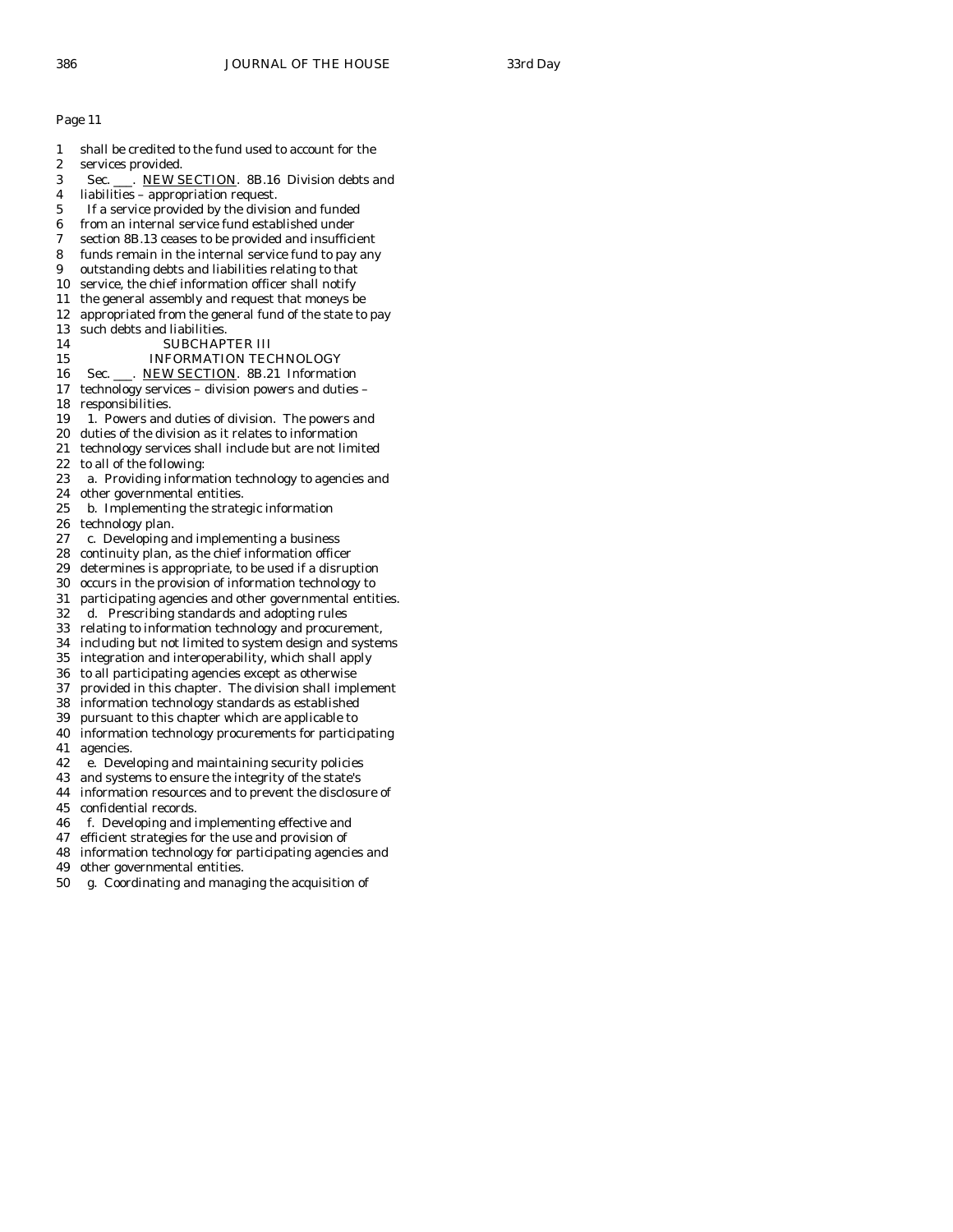1 shall be credited to the fund used to account for the 2 services provided. 3 Sec. \_\_\_. NEW SECTION. 8B.16 Division debts and 4 liabilities – appropriation request. 5 If a service provided by the division and funded 6 from an internal service fund established under 7 section 8B.13 ceases to be provided and insufficient 8 funds remain in the internal service fund to pay any 9 outstanding debts and liabilities relating to that 10 service, the chief information officer shall notify 11 the general assembly and request that moneys be 12 appropriated from the general fund of the state to pay 13 such debts and liabilities. 14 SUBCHAPTER III 15 INFORMATION TECHNOLOGY 16 Sec. . NEW SECTION. 8B.21 Information 17 technology services – division powers and duties – 18 responsibilities. 19 1. Powers and duties of division. The powers and 20 duties of the division as it relates to information 21 technology services shall include but are not limited 22 to all of the following: 23 a. Providing information technology to agencies and 24 other governmental entities. 25 b. Implementing the strategic information 26 technology plan. 27 c. Developing and implementing a business 28 continuity plan, as the chief information officer 29 determines is appropriate, to be used if a disruption 30 occurs in the provision of information technology to 31 participating agencies and other governmental entities. 32 d. Prescribing standards and adopting rules 33 relating to information technology and procurement, 34 including but not limited to system design and systems integration and interoperability, which shall apply 36 to all participating agencies except as otherwise 37 provided in this chapter. The division shall implement 38 information technology standards as established 39 pursuant to this chapter which are applicable to 40 information technology procurements for participating 41 agencies. 42 e. Developing and maintaining security policies 43 and systems to ensure the integrity of the state's 44 information resources and to prevent the disclosure of 45 confidential records. 46 f. Developing and implementing effective and 47 efficient strategies for the use and provision of 48 information technology for participating agencies and 49 other governmental entities. 50 g. Coordinating and managing the acquisition of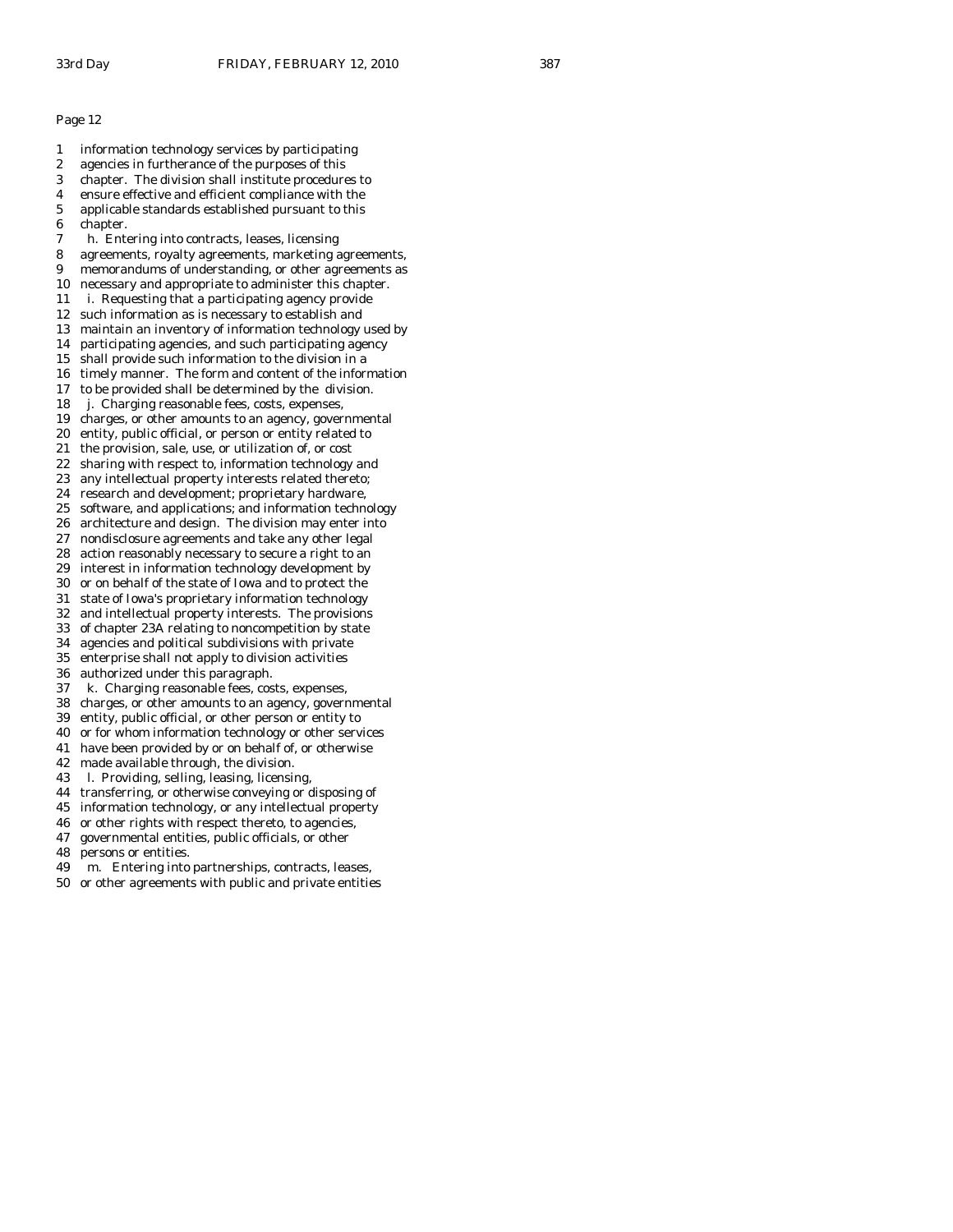1 information technology services by participating 2 agencies in furtherance of the purposes of this 3 chapter. The division shall institute procedures to 4 ensure effective and efficient compliance with the 5 applicable standards established pursuant to this 6 chapter. 7 h. Entering into contracts, leases, licensing 8 agreements, royalty agreements, marketing agreements, 9 memorandums of understanding, or other agreements as 10 necessary and appropriate to administer this chapter. 11 i. Requesting that a participating agency provide 12 such information as is necessary to establish and 13 maintain an inventory of information technology used by 14 participating agencies, and such participating agency 15 shall provide such information to the division in a 16 timely manner. The form and content of the information 17 to be provided shall be determined by the division. 18 j. Charging reasonable fees, costs, expenses, 19 charges, or other amounts to an agency, governmental 20 entity, public official, or person or entity related to 21 the provision, sale, use, or utilization of, or cost 22 sharing with respect to, information technology and 23 any intellectual property interests related thereto; 24 research and development; proprietary hardware, 25 software, and applications; and information technology 26 architecture and design. The division may enter into 27 nondisclosure agreements and take any other legal 28 action reasonably necessary to secure a right to an 29 interest in information technology development by 30 or on behalf of the state of Iowa and to protect the 31 state of Iowa's proprietary information technology 32 and intellectual property interests. The provisions 33 of chapter 23A relating to noncompetition by state 34 agencies and political subdivisions with private enterprise shall not apply to division activities 36 authorized under this paragraph. 37 k. Charging reasonable fees, costs, expenses, 38 charges, or other amounts to an agency, governmental 39 entity, public official, or other person or entity to 40 or for whom information technology or other services 41 have been provided by or on behalf of, or otherwise 42 made available through, the division. 43 l. Providing, selling, leasing, licensing, 44 transferring, or otherwise conveying or disposing of 45 information technology, or any intellectual property

- 
- 46 or other rights with respect thereto, to agencies, 47 governmental entities, public officials, or other
- 48 persons or entities.
- 49 m. Entering into partnerships, contracts, leases,
- 50 or other agreements with public and private entities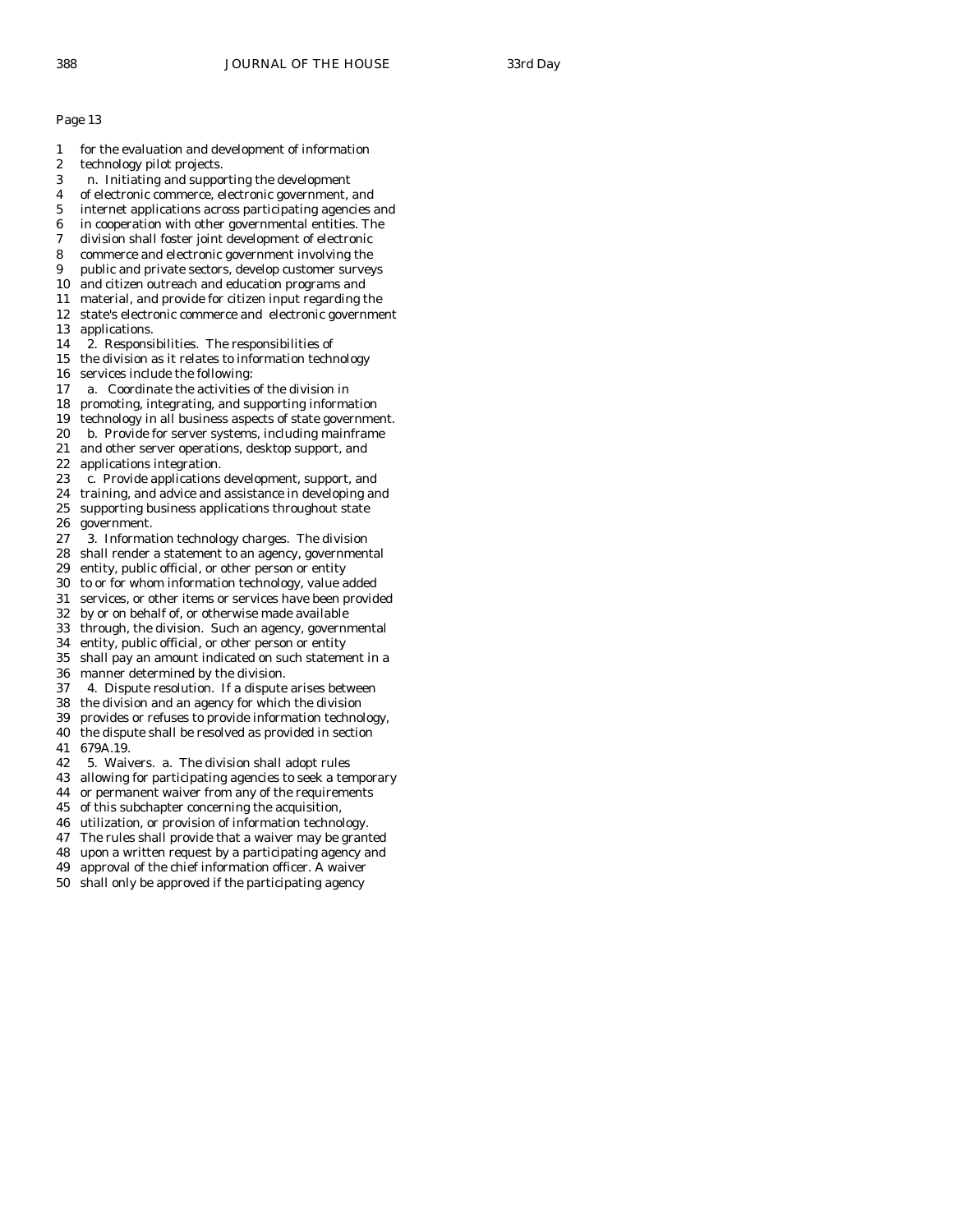- 1 for the evaluation and development of information
- 2 technology pilot projects.
- 3 n. Initiating and supporting the development
- 4 of electronic commerce, electronic government, and
- 5 internet applications across participating agencies and
- 6 in cooperation with other governmental entities. The
- 7 division shall foster joint development of electronic
- 8 commerce and electronic government involving the
- 9 public and private sectors, develop customer surveys 10 and citizen outreach and education programs and
- 11 material, and provide for citizen input regarding the
- 12 state's electronic commerce and electronic government
- 13 applications.
- 14 2. Responsibilities. The responsibilities of
- 15 the division as it relates to information technology
- 16 services include the following:
- 17 a. Coordinate the activities of the division in
- 18 promoting, integrating, and supporting information
- 19 technology in all business aspects of state government.
- 20 b. Provide for server systems, including mainframe
- 21 and other server operations, desktop support, and
- 22 applications integration.
- 23 c. Provide applications development, support, and
- 24 training, and advice and assistance in developing and 25 supporting business applications throughout state 26 government.
- 27 3. Information technology charges. The division
- 28 shall render a statement to an agency, governmental
- 29 entity, public official, or other person or entity
- 30 to or for whom information technology, value added
- 31 services, or other items or services have been provided
- 32 by or on behalf of, or otherwise made available
- 33 through, the division. Such an agency, governmental
- 34 entity, public official, or other person or entity shall pay an amount indicated on such statement in a
- 36 manner determined by the division.
- 37 4. Dispute resolution. If a dispute arises between
- 38 the division and an agency for which the division
- 39 provides or refuses to provide information technology,
- 40 the dispute shall be resolved as provided in section 41 679A.19.
- 
- 42 5. Waivers. a. The division shall adopt rules
- 43 allowing for participating agencies to seek a temporary 44 or permanent waiver from any of the requirements
- 45 of this subchapter concerning the acquisition,
- 46 utilization, or provision of information technology.
- 47 The rules shall provide that a waiver may be granted
- 48 upon a written request by a participating agency and
- 49 approval of the chief information officer. A waiver
- 50 shall only be approved if the participating agency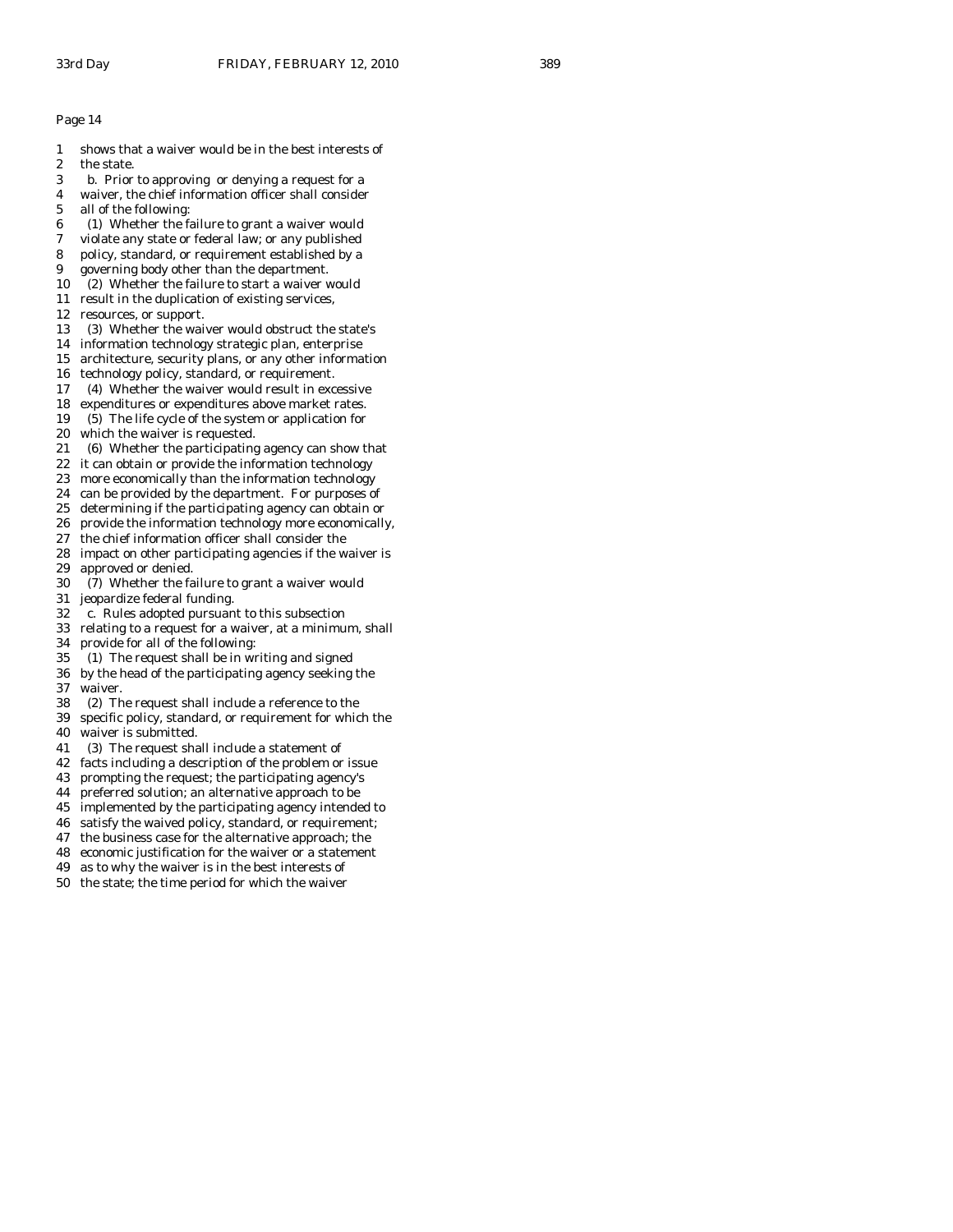- 1 shows that a waiver would be in the best interests of
- 2 the state.
- 3 b. Prior to approving or denying a request for a
- 4 waiver, the chief information officer shall consider
- 5 all of the following:
- 6 (1) Whether the failure to grant a waiver would
- 7 violate any state or federal law; or any published
- 8 policy, standard, or requirement established by a
- 9 governing body other than the department.
- 10 (2) Whether the failure to start a waiver would
- 11 result in the duplication of existing services,
- 12 resources, or support.
- 13 (3) Whether the waiver would obstruct the state's
- 14 information technology strategic plan, enterprise
- 15 architecture, security plans, or any other information
- 16 technology policy, standard, or requirement.
- 17 (4) Whether the waiver would result in excessive
- 18 expenditures or expenditures above market rates.
- 19 (5) The life cycle of the system or application for
- 20 which the waiver is requested.
- 21 (6) Whether the participating agency can show that
- 22 it can obtain or provide the information technology
- 23 more economically than the information technology
- 24 can be provided by the department. For purposes of
- 25 determining if the participating agency can obtain or
- 26 provide the information technology more economically,
- 27 the chief information officer shall consider the
- 28 impact on other participating agencies if the waiver is 29 approved or denied.
- 30 (7) Whether the failure to grant a waiver would
- 31 jeopardize federal funding.
- 32 c. Rules adopted pursuant to this subsection
- 33 relating to a request for a waiver, at a minimum, shall
- 34 provide for all of the following:<br>35 (1) The request shall be in wr
- 35 (1) The request shall be in writing and signed
- 36 by the head of the participating agency seeking the 37 waiver.
- 38 (2) The request shall include a reference to the
- 39 specific policy, standard, or requirement for which the
- 40 waiver is submitted.
- 41 (3) The request shall include a statement of
- 42 facts including a description of the problem or issue
- 43 prompting the request; the participating agency's
- 44 preferred solution; an alternative approach to be
- 45 implemented by the participating agency intended to
- 46 satisfy the waived policy, standard, or requirement;
- 47 the business case for the alternative approach; the
- 48 economic justification for the waiver or a statement
- 49 as to why the waiver is in the best interests of
- 50 the state; the time period for which the waiver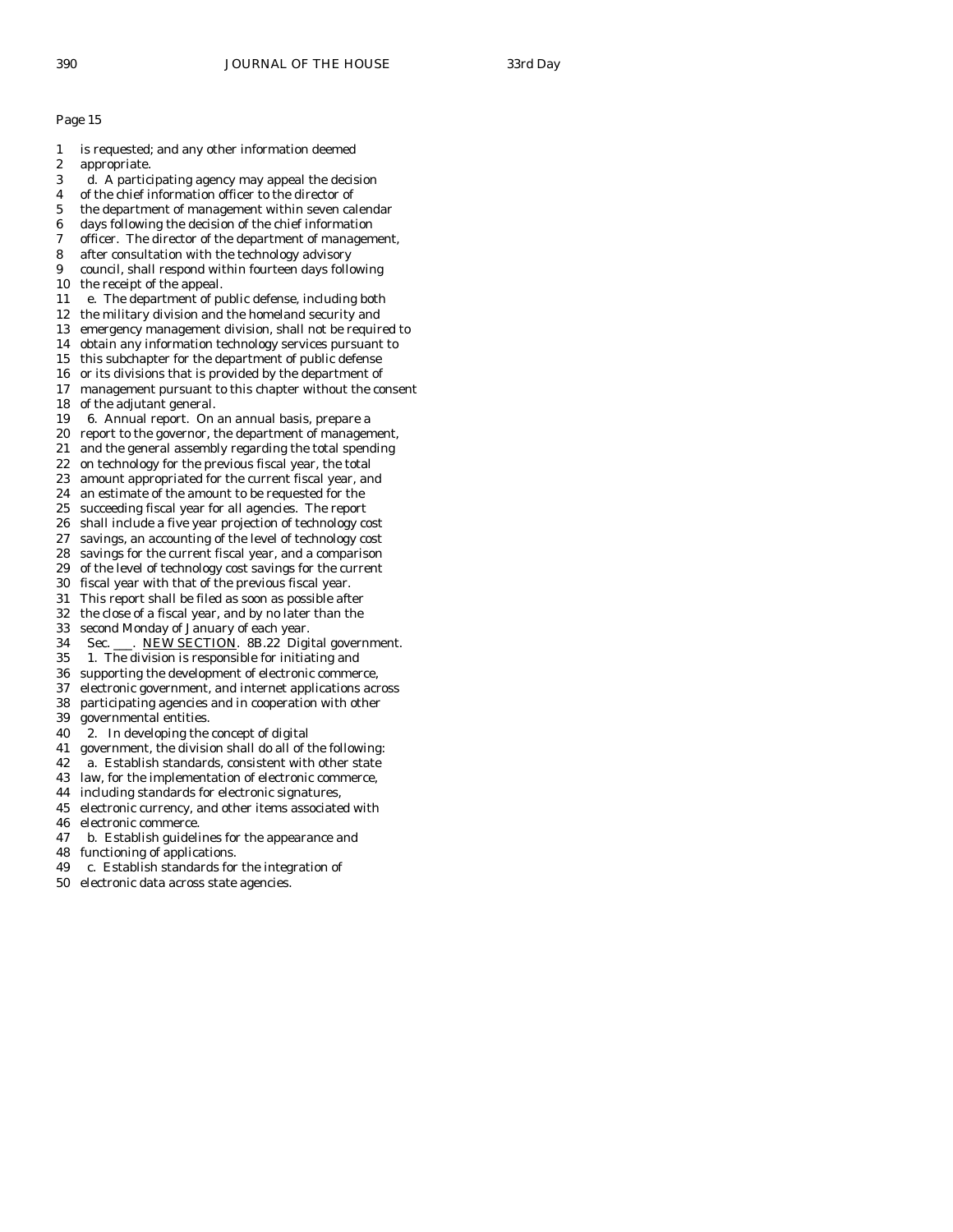1 is requested; and any other information deemed 2 appropriate. 3 d. A participating agency may appeal the decision 4 of the chief information officer to the director of 5 the department of management within seven calendar 6 days following the decision of the chief information 7 officer. The director of the department of management, 8 after consultation with the technology advisory 9 council, shall respond within fourteen days following 10 the receipt of the appeal. 11 e. The department of public defense, including both 12 the military division and the homeland security and 13 emergency management division, shall not be required to 14 obtain any information technology services pursuant to 15 this subchapter for the department of public defense 16 or its divisions that is provided by the department of 17 management pursuant to this chapter without the consent 18 of the adjutant general. 19 6. Annual report. On an annual basis, prepare a 20 report to the governor, the department of management, 21 and the general assembly regarding the total spending 22 on technology for the previous fiscal year, the total 23 amount appropriated for the current fiscal year, and 24 an estimate of the amount to be requested for the 25 succeeding fiscal year for all agencies. The report 26 shall include a five year projection of technology cost 27 savings, an accounting of the level of technology cost 28 savings for the current fiscal year, and a comparison 29 of the level of technology cost savings for the current 30 fiscal year with that of the previous fiscal year. 31 This report shall be filed as soon as possible after 32 the close of a fiscal year, and by no later than the 33 second Monday of January of each year. 34 Sec. \_\_\_. NEW SECTION. 8B.22 Digital government.<br>35 1. The division is responsible for initiating and 1. The division is responsible for initiating and 36 supporting the development of electronic commerce, 37 electronic government, and internet applications across 38 participating agencies and in cooperation with other 39 governmental entities. 40 2. In developing the concept of digital 41 government, the division shall do all of the following: 42 a. Establish standards, consistent with other state 43 law, for the implementation of electronic commerce, 44 including standards for electronic signatures, 45 electronic currency, and other items associated with 46 electronic commerce. 47 b. Establish guidelines for the appearance and 48 functioning of applications. 49 c. Establish standards for the integration of 50 electronic data across state agencies.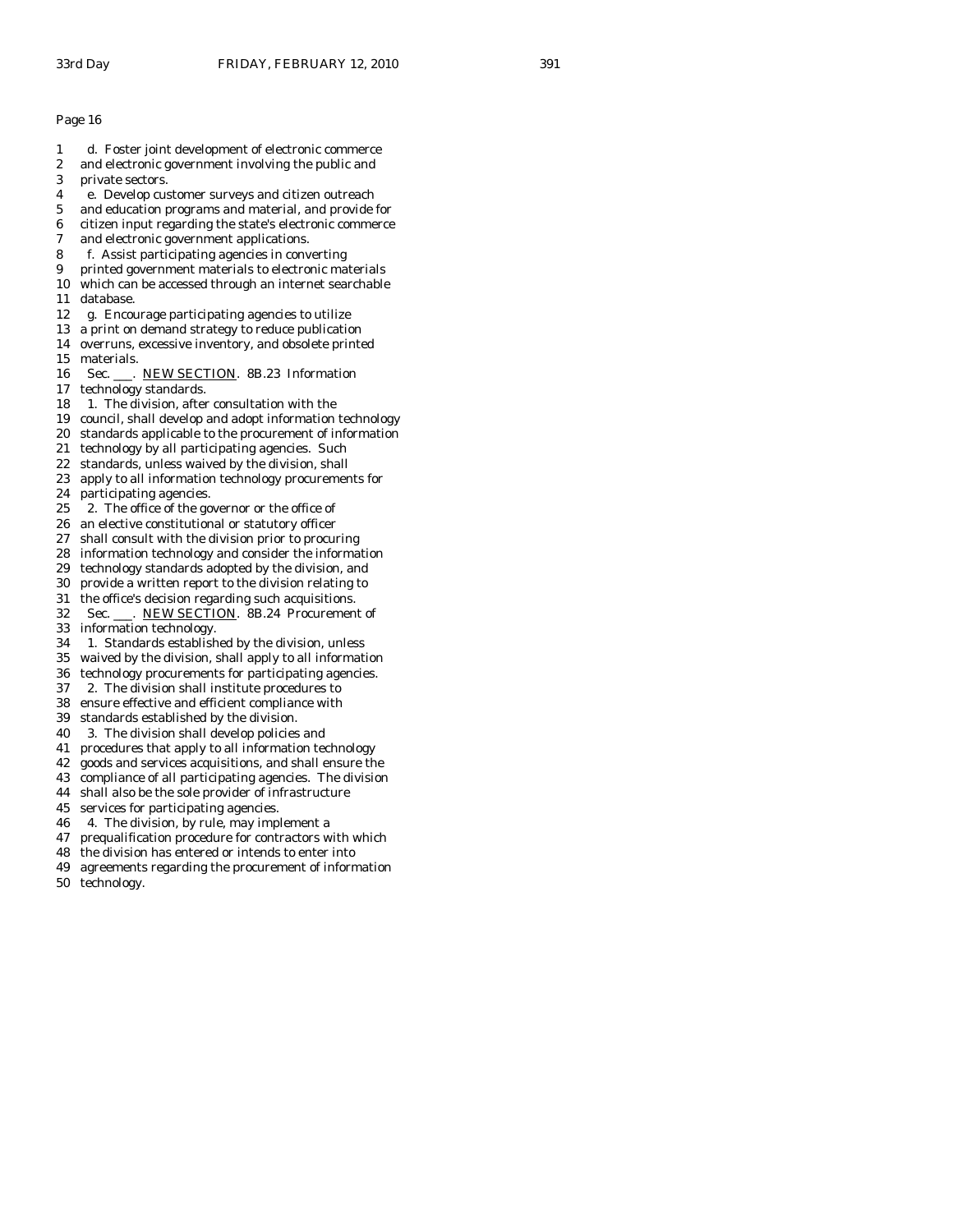- 1 d. Foster joint development of electronic commerce
- 2 and electronic government involving the public and
- 3 private sectors.
- 4 e. Develop customer surveys and citizen outreach
- 5 and education programs and material, and provide for
- 6 citizen input regarding the state's electronic commerce
- 7 and electronic government applications.
- 8 f. Assist participating agencies in converting
- 9 printed government materials to electronic materials
- 10 which can be accessed through an internet searchable 11 database.
- 12 g. Encourage participating agencies to utilize
- 13 a print on demand strategy to reduce publication
- 14 overruns, excessive inventory, and obsolete printed 15 materials.
- 16 Sec. . NEW SECTION. 8B.23 Information
- 17 technology standards.
- 18 1. The division, after consultation with the
- 19 council, shall develop and adopt information technology
- 20 standards applicable to the procurement of information
- 21 technology by all participating agencies. Such
- 22 standards, unless waived by the division, shall
- 23 apply to all information technology procurements for
- 24 participating agencies.
- 25 2. The office of the governor or the office of
- 26 an elective constitutional or statutory officer
- 27 shall consult with the division prior to procuring
- 28 information technology and consider the information
- 29 technology standards adopted by the division, and
- 30 provide a written report to the division relating to
- 31 the office's decision regarding such acquisitions. 32 Sec. \_\_\_. NEW SECTION. 8B.24 Procurement of
- 33 information technology.
- 
- 34 1. Standards established by the division, unless waived by the division, shall apply to all information
- 36 technology procurements for participating agencies.
- 37 2. The division shall institute procedures to
- 38 ensure effective and efficient compliance with
- 39 standards established by the division.
- 40 3. The division shall develop policies and
- 41 procedures that apply to all information technology
- 42 goods and services acquisitions, and shall ensure the
- 43 compliance of all participating agencies. The division
- 44 shall also be the sole provider of infrastructure
- 45 services for participating agencies.
- 46 4. The division, by rule, may implement a
- 47 prequalification procedure for contractors with which
- 48 the division has entered or intends to enter into
- 49 agreements regarding the procurement of information
- 50 technology.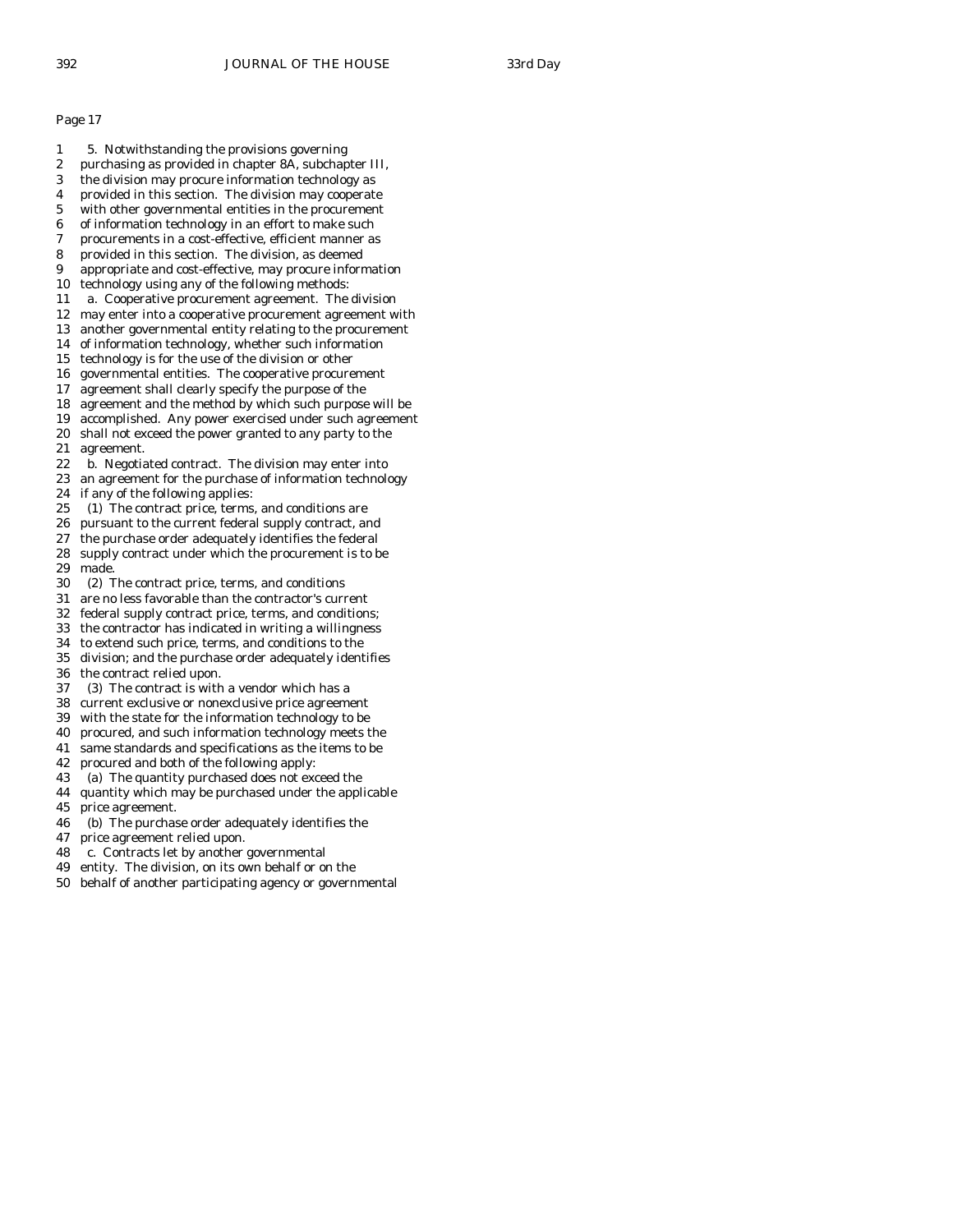- 1 5. Notwithstanding the provisions governing
- 2 purchasing as provided in chapter 8A, subchapter III,
- 3 the division may procure information technology as
- 4 provided in this section. The division may cooperate
- 5 with other governmental entities in the procurement
- 6 of information technology in an effort to make such
- 7 procurements in a cost-effective, efficient manner as 8 provided in this section. The division, as deemed
- 
- 9 appropriate and cost-effective, may procure information 10 technology using any of the following methods:
- 11 a. Cooperative procurement agreement. The division
- 12 may enter into a cooperative procurement agreement with
- 13 another governmental entity relating to the procurement
- 14 of information technology, whether such information
- 15 technology is for the use of the division or other
- 16 governmental entities. The cooperative procurement
- 17 agreement shall clearly specify the purpose of the
- 18 agreement and the method by which such purpose will be
- 19 accomplished. Any power exercised under such agreement
- 20 shall not exceed the power granted to any party to the 21 agreement.
- 22 b. Negotiated contract. The division may enter into
- 23 an agreement for the purchase of information technology 24 if any of the following applies:
- 25 (1) The contract price, terms, and conditions are
- 26 pursuant to the current federal supply contract, and
- 27 the purchase order adequately identifies the federal
- 28 supply contract under which the procurement is to be made.
- 30 (2) The contract price, terms, and conditions
- 31 are no less favorable than the contractor's current
- 32 federal supply contract price, terms, and conditions;
- 33 the contractor has indicated in writing a willingness
- 34 to extend such price, terms, and conditions to the
- division; and the purchase order adequately identifies
- 36 the contract relied upon.
- 37 (3) The contract is with a vendor which has a
- 38 current exclusive or nonexclusive price agreement
- 39 with the state for the information technology to be
- 40 procured, and such information technology meets the
- 41 same standards and specifications as the items to be
- 42 procured and both of the following apply:
- 43 (a) The quantity purchased does not exceed the
- 44 quantity which may be purchased under the applicable 45 price agreement.
- 46 (b) The purchase order adequately identifies the
- 47 price agreement relied upon.
- 48 c. Contracts let by another governmental
- 49 entity. The division, on its own behalf or on the
- 50 behalf of another participating agency or governmental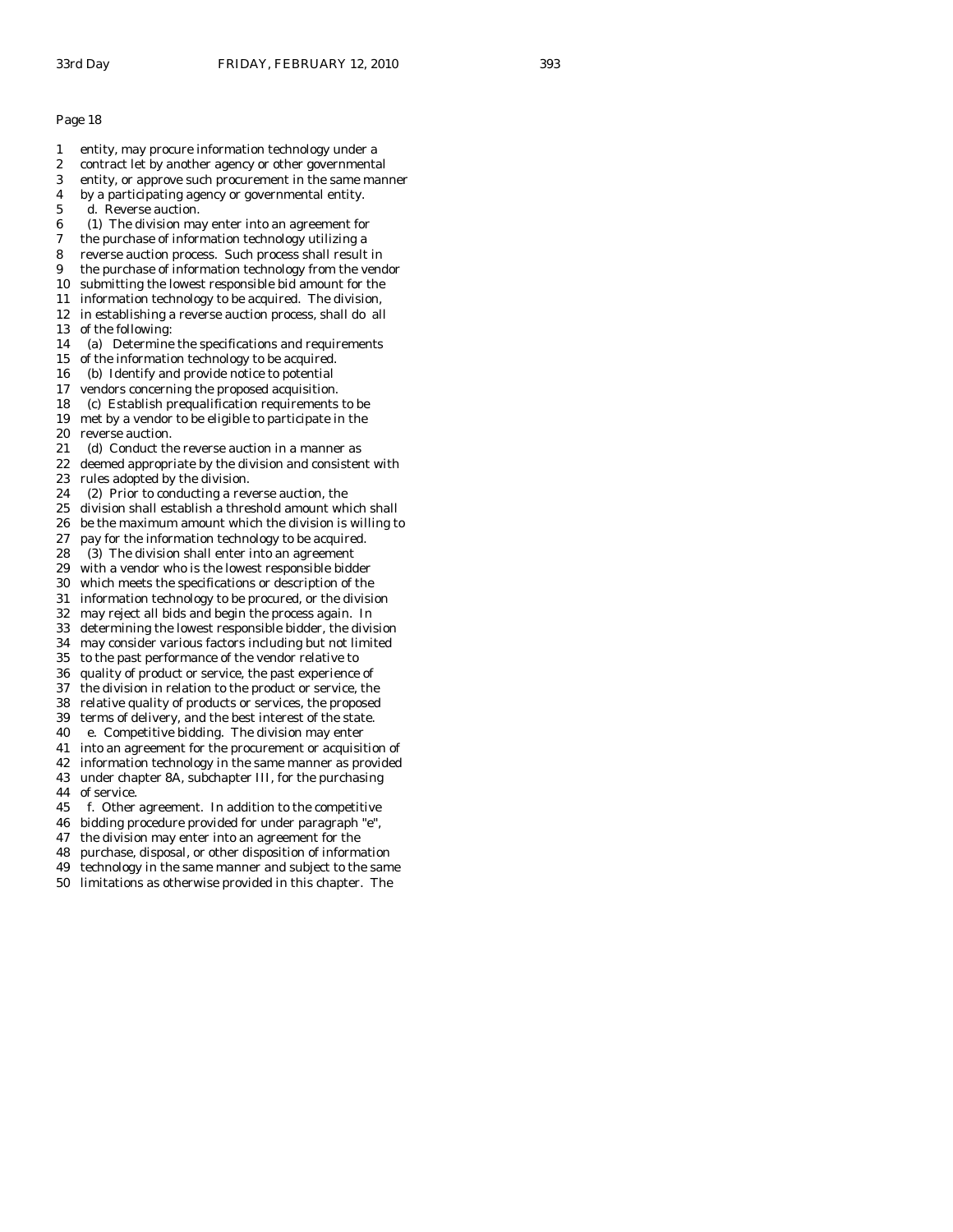- 1 entity, may procure information technology under a
- 2 contract let by another agency or other governmental
- 3 entity, or approve such procurement in the same manner
- 4 by a participating agency or governmental entity.
- 5 d. Reverse auction.
- 6 (1) The division may enter into an agreement for
- 7 the purchase of information technology utilizing a
- 8 reverse auction process. Such process shall result in
- 9 the purchase of information technology from the vendor
- 10 submitting the lowest responsible bid amount for the
- 11 information technology to be acquired. The division,
- 12 in establishing a reverse auction process, shall do all 13 of the following:
- 14 (a) Determine the specifications and requirements
- 15 of the information technology to be acquired.
- 16 (b) Identify and provide notice to potential
- 17 vendors concerning the proposed acquisition.
- 18 (c) Establish prequalification requirements to be
- 19 met by a vendor to be eligible to participate in the
- 20 reverse auction.
- 21 (d) Conduct the reverse auction in a manner as
- 22 deemed appropriate by the division and consistent with 23 rules adopted by the division.
- 24 (2) Prior to conducting a reverse auction, the
- 25 division shall establish a threshold amount which shall
- 26 be the maximum amount which the division is willing to
- 27 pay for the information technology to be acquired.
- 28 (3) The division shall enter into an agreement
- 29 with a vendor who is the lowest responsible bidder
- 30 which meets the specifications or description of the
- 31 information technology to be procured, or the division
- 32 may reject all bids and begin the process again. In
- 33 determining the lowest responsible bidder, the division
- 34 may consider various factors including but not limited
- to the past performance of the vendor relative to
- 36 quality of product or service, the past experience of
- 37 the division in relation to the product or service, the
- 38 relative quality of products or services, the proposed
- 39 terms of delivery, and the best interest of the state. 40 e. Competitive bidding. The division may enter
- 41 into an agreement for the procurement or acquisition of
- 42 information technology in the same manner as provided
- 43 under chapter 8A, subchapter III, for the purchasing 44 of service.
- 
- 45 f. Other agreement. In addition to the competitive
- 46 bidding procedure provided for under paragraph "e",
- 47 the division may enter into an agreement for the
- 48 purchase, disposal, or other disposition of information
- 49 technology in the same manner and subject to the same
- 50 limitations as otherwise provided in this chapter. The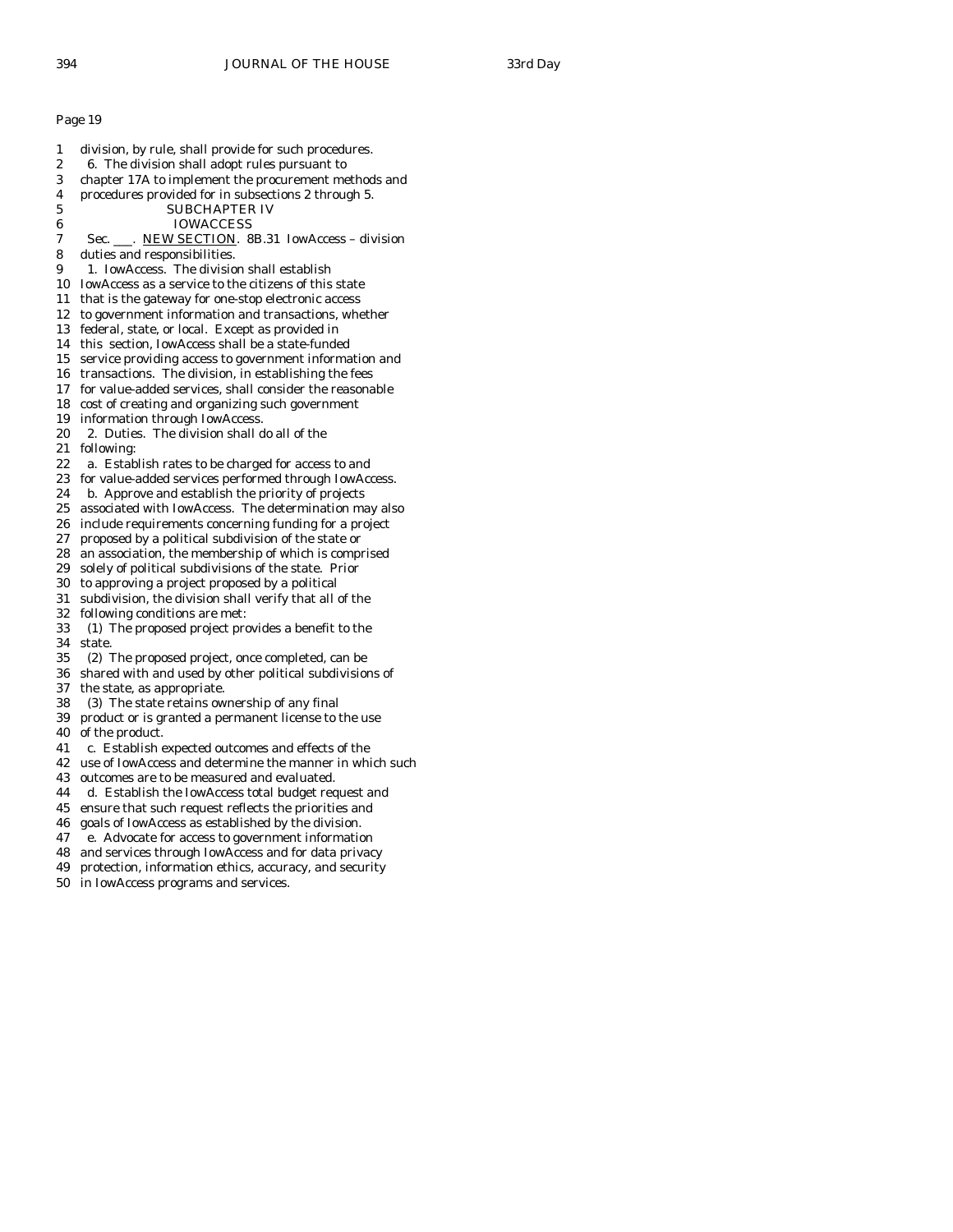| 1  | division, by rule, shall provide for such procedures.   |
|----|---------------------------------------------------------|
| 2  | 6. The division shall adopt rules pursuant to           |
| 3  | chapter 17A to implement the procurement methods and    |
| 4  | procedures provided for in subsections 2 through 5.     |
| 5  | <b>SUBCHAPTER IV</b>                                    |
| 6  | IOWACCESS                                               |
| 7  | Sec. ___. NEW SECTION. 8B.31 IowAccess – division       |
| 8  | duties and responsibilities.                            |
| 9  | 1. IowAccess. The division shall establish              |
| 10 | IowAccess as a service to the citizens of this state    |
| 11 | that is the gateway for one-stop electronic access      |
| 12 | to government information and transactions, whether     |
| 13 | federal, state, or local. Except as provided in         |
| 14 | this section, IowAccess shall be a state-funded         |
| 15 | service providing access to government information and  |
| 16 | transactions. The division, in establishing the fees    |
| 17 | for value-added services, shall consider the reasonable |
| 18 | cost of creating and organizing such government         |
| 19 | information through IowAccess.                          |
| 20 | 2. Duties. The division shall do all of the             |
| 21 | following:                                              |
| 22 | a. Establish rates to be charged for access to and      |
| 23 | for value-added services performed through IowAccess.   |
| 24 | b. Approve and establish the priority of projects       |
| 25 | associated with IowAccess. The determination may also   |
| 26 | include requirements concerning funding for a project   |
| 27 | proposed by a political subdivision of the state or     |
| 28 | an association, the membership of which is comprised    |
| 29 | solely of political subdivisions of the state. Prior    |
| 30 | to approving a project proposed by a political          |
| 31 | subdivision, the division shall verify that all of the  |
| 32 | following conditions are met:                           |
| 33 | (1) The proposed project provides a benefit to the      |
| 34 | state.                                                  |
| 35 | (2) The proposed project, once completed, can be        |
| 36 | shared with and used by other political subdivisions of |
| 37 | the state, as appropriate.                              |
| 38 | (3) The state retains ownership of any final            |
| 39 | product or is granted a permanent license to the use    |
| 40 | of the product.                                         |
| 41 | c. Establish expected outcomes and effects of the       |
| 42 | use of IowAccess and determine the manner in which such |
| 43 | outcomes are to be measured and evaluated.              |
| 44 | d. Establish the IowAccess total budget request and     |
| 45 | ensure that such request reflects the priorities and    |
| 46 | goals of IowAccess as established by the division.      |
| 47 | e. Advocate for access to government information        |
| 48 | and services through IowAccess and for data privacy     |

- 49 protection, information ethics, accuracy, and security
- 50 in IowAccess programs and services.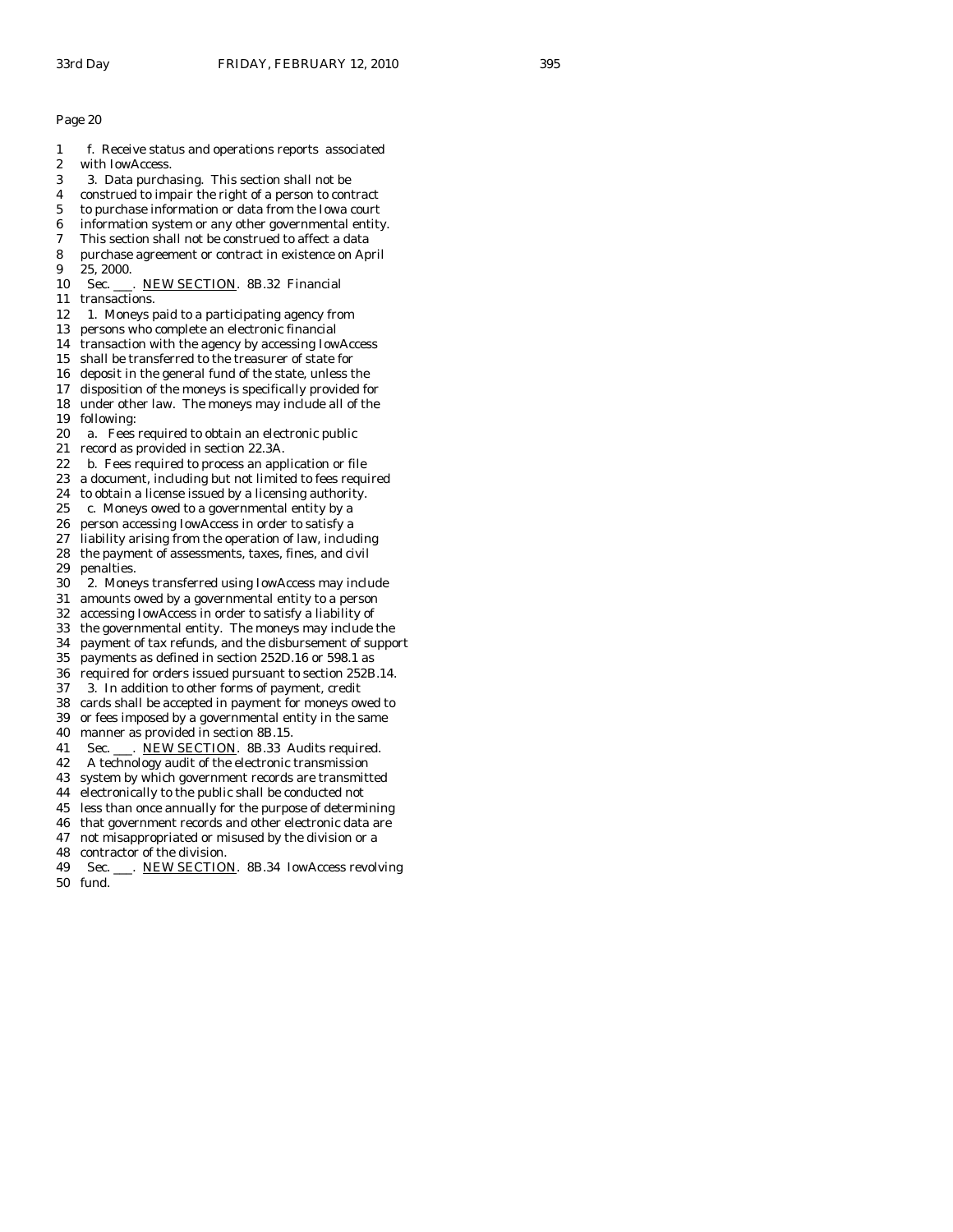- 1 f. Receive status and operations reports associated
- 2 with IowAccess.
- 3 3. Data purchasing. This section shall not be
- 4 construed to impair the right of a person to contract
- 5 to purchase information or data from the Iowa court
- 6 information system or any other governmental entity.
- 7 This section shall not be construed to affect a data
- 8 purchase agreement or contract in existence on April 9 25, 2000.
- 10 Sec. \_\_\_. NEW SECTION. 8B.32 Financial
- 11 transactions.
- 12 1. Moneys paid to a participating agency from
- 13 persons who complete an electronic financial
- 14 transaction with the agency by accessing IowAccess
- 15 shall be transferred to the treasurer of state for
- 16 deposit in the general fund of the state, unless the
- 17 disposition of the moneys is specifically provided for 18 under other law. The moneys may include all of the
- 19 following:
- 20 a. Fees required to obtain an electronic public
- 21 record as provided in section 22.3A.
- 22 b. Fees required to process an application or file
- 23 a document, including but not limited to fees required
- 24 to obtain a license issued by a licensing authority.
- 25 c. Moneys owed to a governmental entity by a
- 26 person accessing IowAccess in order to satisfy a
- 27 liability arising from the operation of law, including
- 28 the payment of assessments, taxes, fines, and civil 29 penalties.
- 30 2. Moneys transferred using IowAccess may include
- 31 amounts owed by a governmental entity to a person
- 32 accessing IowAccess in order to satisfy a liability of
- 33 the governmental entity. The moneys may include the
- 34 payment of tax refunds, and the disbursement of support
- payments as defined in section 252D.16 or 598.1 as
- 36 required for orders issued pursuant to section 252B.14.
- 37 3. In addition to other forms of payment, credit
- 38 cards shall be accepted in payment for moneys owed to 39 or fees imposed by a governmental entity in the same
- 40 manner as provided in section 8B.15.
- 41 Sec. \_\_\_. NEW SECTION. 8B.33 Audits required.
- 42 A technology audit of the electronic transmission
- 43 system by which government records are transmitted
- 44 electronically to the public shall be conducted not
- 45 less than once annually for the purpose of determining
- 46 that government records and other electronic data are
- 47 not misappropriated or misused by the division or a
- 48 contractor of the division.
- 49 Sec. \_\_\_. NEW SECTION. 8B.34 IowAccess revolving
- 50 fund.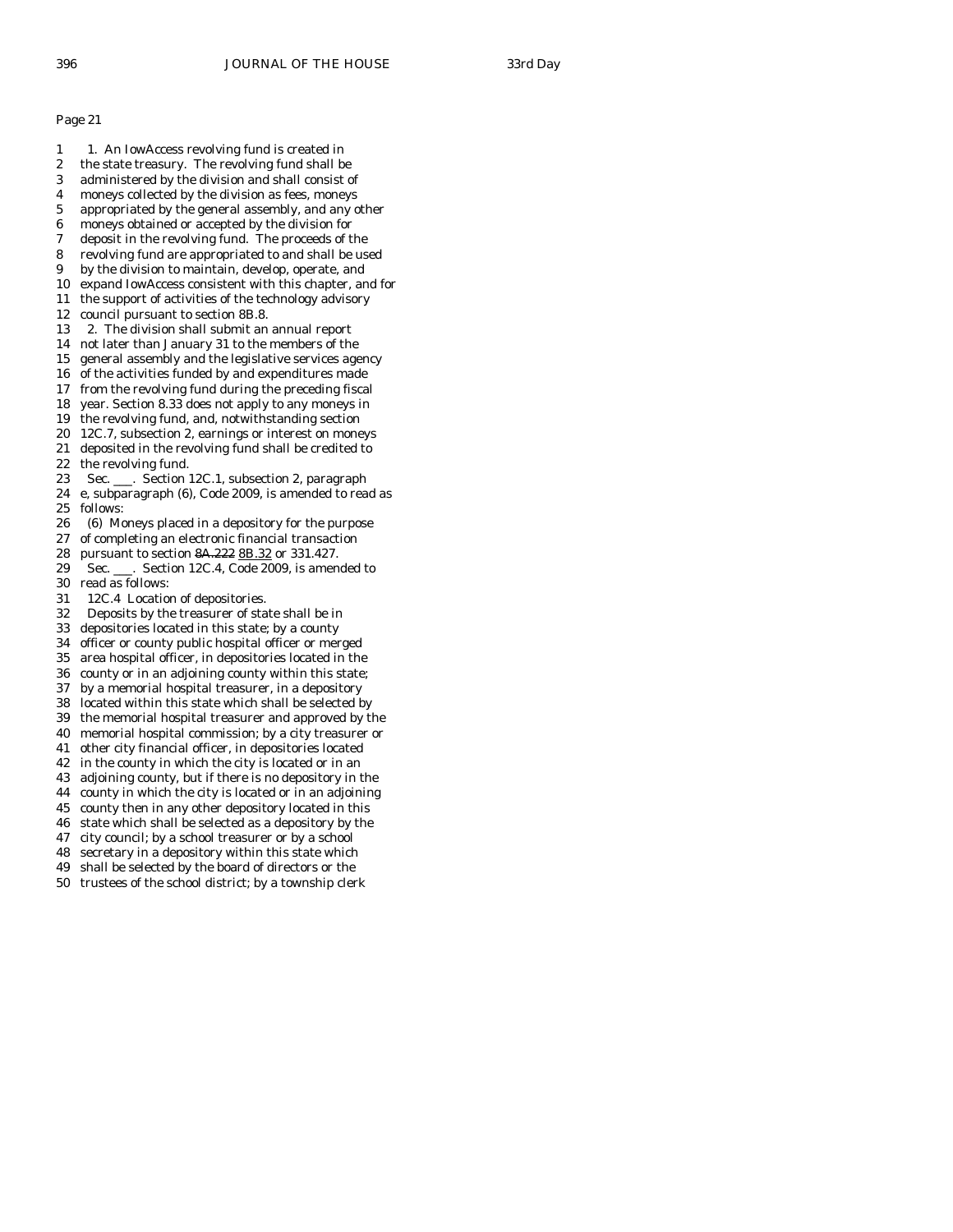- 1 1. An IowAccess revolving fund is created in
- 2 the state treasury. The revolving fund shall be
- 3 administered by the division and shall consist of
- 4 moneys collected by the division as fees, moneys
- 5 appropriated by the general assembly, and any other 6 moneys obtained or accepted by the division for
- 7 deposit in the revolving fund. The proceeds of the
- 8 revolving fund are appropriated to and shall be used
- 9 by the division to maintain, develop, operate, and
- 10 expand IowAccess consistent with this chapter, and for
- 11 the support of activities of the technology advisory
- 12 council pursuant to section 8B.8.
- 13 2. The division shall submit an annual report
- 14 not later than January 31 to the members of the
- 15 general assembly and the legislative services agency
- 16 of the activities funded by and expenditures made
- 17 from the revolving fund during the preceding fiscal
- 18 year. Section 8.33 does not apply to any moneys in
- 19 the revolving fund, and, notwithstanding section
- 20 12C.7, subsection 2, earnings or interest on moneys
- 21 deposited in the revolving fund shall be credited to
- 22 the revolving fund. 23 Sec. \_\_\_. Section 12C.1, subsection 2, paragraph
- 24 e, subparagraph (6), Code 2009, is amended to read as
- 25 follows:
- 26 (6) Moneys placed in a depository for the purpose
- 27 of completing an electronic financial transaction
- 28 pursuant to section 8A.222 8B.32 or 331.427.
- 29 Sec. \_\_\_. Section 12C.4, Code 2009, is amended to 30 read as follows:
- 31 12C.4 Location of depositories.
- 32 Deposits by the treasurer of state shall be in
- 33 depositories located in this state; by a county
- 34 officer or county public hospital officer or merged
- 35 area hospital officer, in depositories located in the
- 36 county or in an adjoining county within this state;
- 37 by a memorial hospital treasurer, in a depository
- 38 located within this state which shall be selected by 39 the memorial hospital treasurer and approved by the
- 40 memorial hospital commission; by a city treasurer or
- 41 other city financial officer, in depositories located
- 42 in the county in which the city is located or in an
- 43 adjoining county, but if there is no depository in the
- 44 county in which the city is located or in an adjoining
- 45 county then in any other depository located in this
- 46 state which shall be selected as a depository by the
- 47 city council; by a school treasurer or by a school
- 48 secretary in a depository within this state which
- 49 shall be selected by the board of directors or the
- 50 trustees of the school district; by a township clerk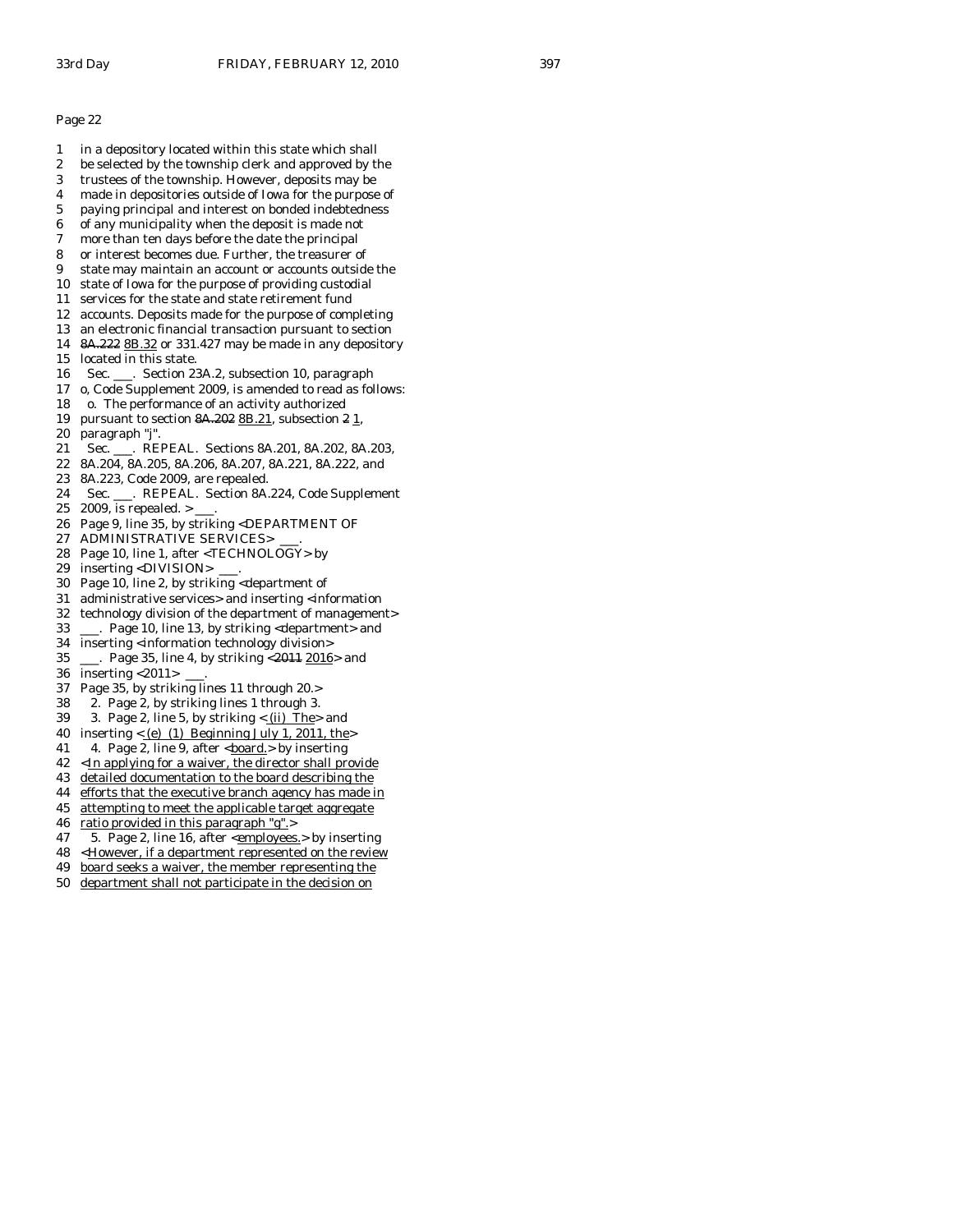- 1 in a depository located within this state which shall
- 2 be selected by the township clerk and approved by the
- 3 trustees of the township. However, deposits may be
- 4 made in depositories outside of Iowa for the purpose of 5 paying principal and interest on bonded indebtedness
- 6 of any municipality when the deposit is made not
- 7 more than ten days before the date the principal
- 8 or interest becomes due. Further, the treasurer of
- 9 state may maintain an account or accounts outside the
- 10 state of Iowa for the purpose of providing custodial
- 11 services for the state and state retirement fund
- 12 accounts. Deposits made for the purpose of completing
- 13 an electronic financial transaction pursuant to section
- 14 8A.222 8B.32 or 331.427 may be made in any depository 15 located in this state.
- 16 Sec. \_\_\_. Section 23A.2, subsection 10, paragraph
- 17 o, Code Supplement 2009, is amended to read as follows:
- 18 o. The performance of an activity authorized
- 19 pursuant to section  $8A.20288B.21$ , subsection  $21$ ,
- 20 paragraph "j".
- 21 Sec. \_\_\_. REPEAL. Sections 8A.201, 8A.202, 8A.203,
- 22 8A.204, 8A.205, 8A.206, 8A.207, 8A.221, 8A.222, and
- 23 8A.223, Code 2009, are repealed.
- 24 Sec. \_\_\_. REPEAL. Section 8A.224, Code Supplement
- 25 2009, is repealed. > \_\_\_.
- 26 Page 9, line 35, by striking <DEPARTMENT OF
- 27 ADMINISTRATIVE SERVICES>
- 28 Page 10, line 1, after <TECHNOLOGY> by
- 29 inserting <DIVISION> \_\_\_.
- 30 Page 10, line 2, by striking <department of
- 31 administrative services> and inserting <information
- 32 technology division of the department of management>
- 33 \_\_\_. Page 10, line 13, by striking <department> and
- 34 inserting <information technology division><br>35 . Page 35. line 4. by striking  $\leq$  2014 2016
- $\frac{1}{2}$ . Page 35, line 4, by striking <2011 2016 > and 36 inserting <2011> \_\_\_.
- 37 Page 35, by striking lines 11 through 20.>
- 38 2. Page 2, by striking lines 1 through 3.
- 39 3. Page 2, line 5, by striking  $\lt$  (ii) The > and
- 40 inserting  $<$  (e) (1) Beginning July 1, 2011, the
- 41 4. Page 2, line 9, after <br/>board.> by inserting
- $42$  <In applying for a waiver, the director shall provide
- 43 detailed documentation to the board describing the
- 44 efforts that the executive branch agency has made in
- 45 attempting to meet the applicable target aggregate
- 46 ratio provided in this paragraph "g".>
- 47 5. Page 2, line 16, after <employees.> by inserting
- 48 <However, if a department represented on the review
- 49 board seeks a waiver, the member representing the
- 50 department shall not participate in the decision on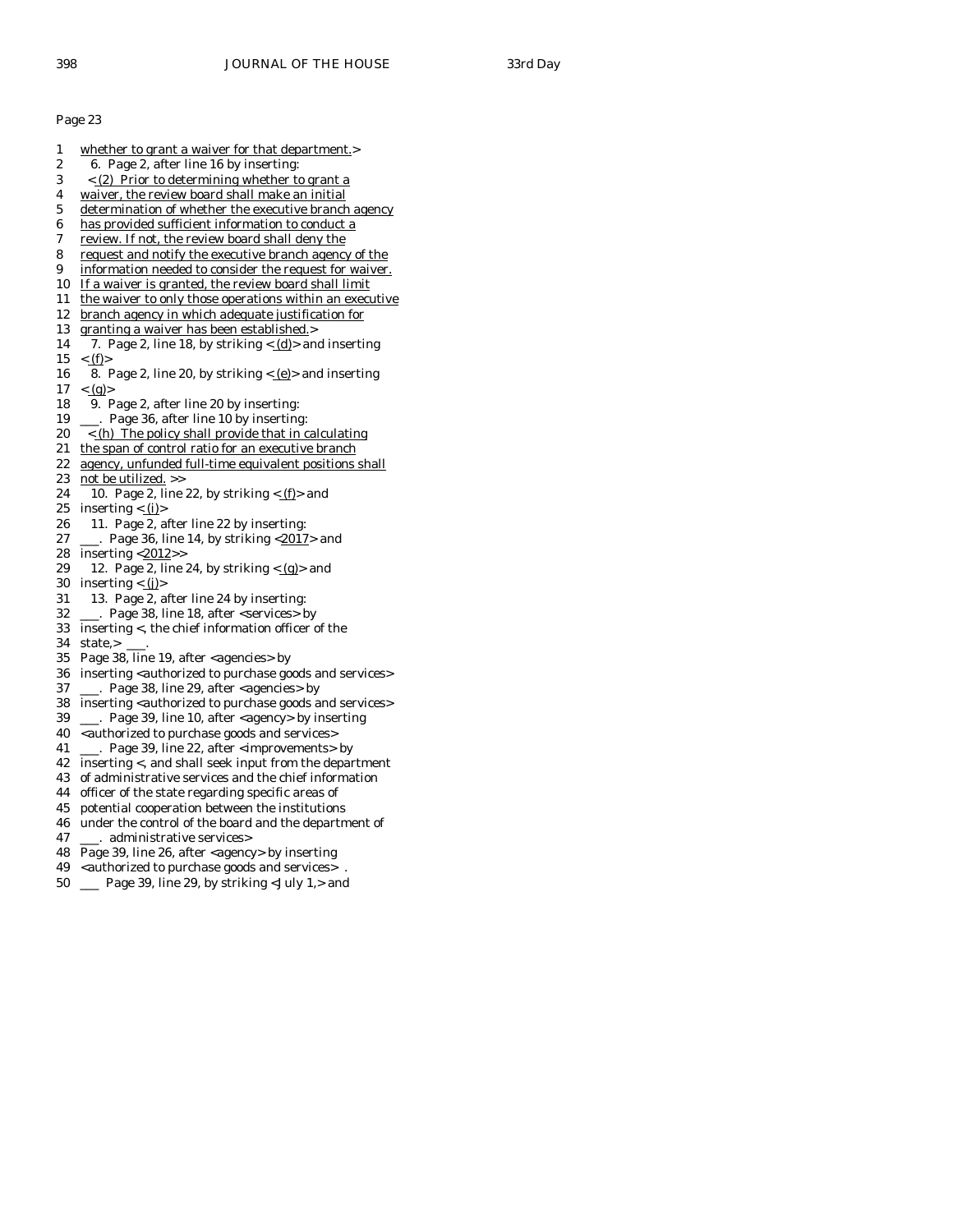- 1 whether to grant a waiver for that department.> 2 6. Page 2, after line 16 by inserting: 3 < (2) Prior to determining whether to grant a 4 waiver, the review board shall make an initial 5 determination of whether the executive branch agency 6 has provided sufficient information to conduct a 7 review. If not, the review board shall deny the 8 request and notify the executive branch agency of the 9 information needed to consider the request for waiver. 10 If a waiver is granted, the review board shall limit 11 the waiver to only those operations within an executive 12 branch agency in which adequate justification for 13 granting a waiver has been established.> 14 7. Page 2, line 18, by striking  $\langle d \rangle$  and inserting  $15 \leq (f)$ 16 8. Page 2, line 20, by striking  $\langle e|$  and inserting  $17 \le (g)$ 18 9. Page 2, after line 20 by inserting: 19 \_\_\_. Page 36, after line 10 by inserting:  $20 \leq h$ ) The policy shall provide that in calculating 21 the span of control ratio for an executive branch 22 agency, unfunded full-time equivalent positions shall 23 not be utilized. >> 24 10. Page 2, line 22, by striking  $\langle f$  and 25 inserting  $\langle$  (i)> 26 11. Page 2, after line 22 by inserting: 27 \_\_\_. Page 36, line 14, by striking <2017> and 28 inserting  $\langle \frac{2012}{2} \rangle$ 29 12. Page 2, line 24, by striking  $\langle \underline{g} \rangle$  and 30 inserting  $\langle \underline{\mathbf{j}} \rangle$ 31 13. Page 2, after line 24 by inserting: 32 \_\_\_. Page 38, line 18, after <services> by 33 inserting <, the chief information officer of the 34 state,> \_\_\_. 35 Page 38, line 19, after <agencies> by 36 inserting <authorized to purchase goods and services> 37 \_\_\_. Page 38, line 29, after <agencies> by 38 inserting <authorized to purchase goods and services> 39 \_\_\_. Page 39, line 10, after <agency> by inserting 40 <authorized to purchase goods and services> 41 \_\_\_. Page 39, line 22, after <improvements> by 42 inserting <, and shall seek input from the department 43 of administrative services and the chief information 44 officer of the state regarding specific areas of
- 45 potential cooperation between the institutions
- 46 under the control of the board and the department of
- 47 \_\_\_. administrative services>
- 48 Page 39, line 26, after <agency> by inserting
- 49 <authorized to purchase goods and services>
- 50 \_\_\_ Page 39, line 29, by striking <July 1,> and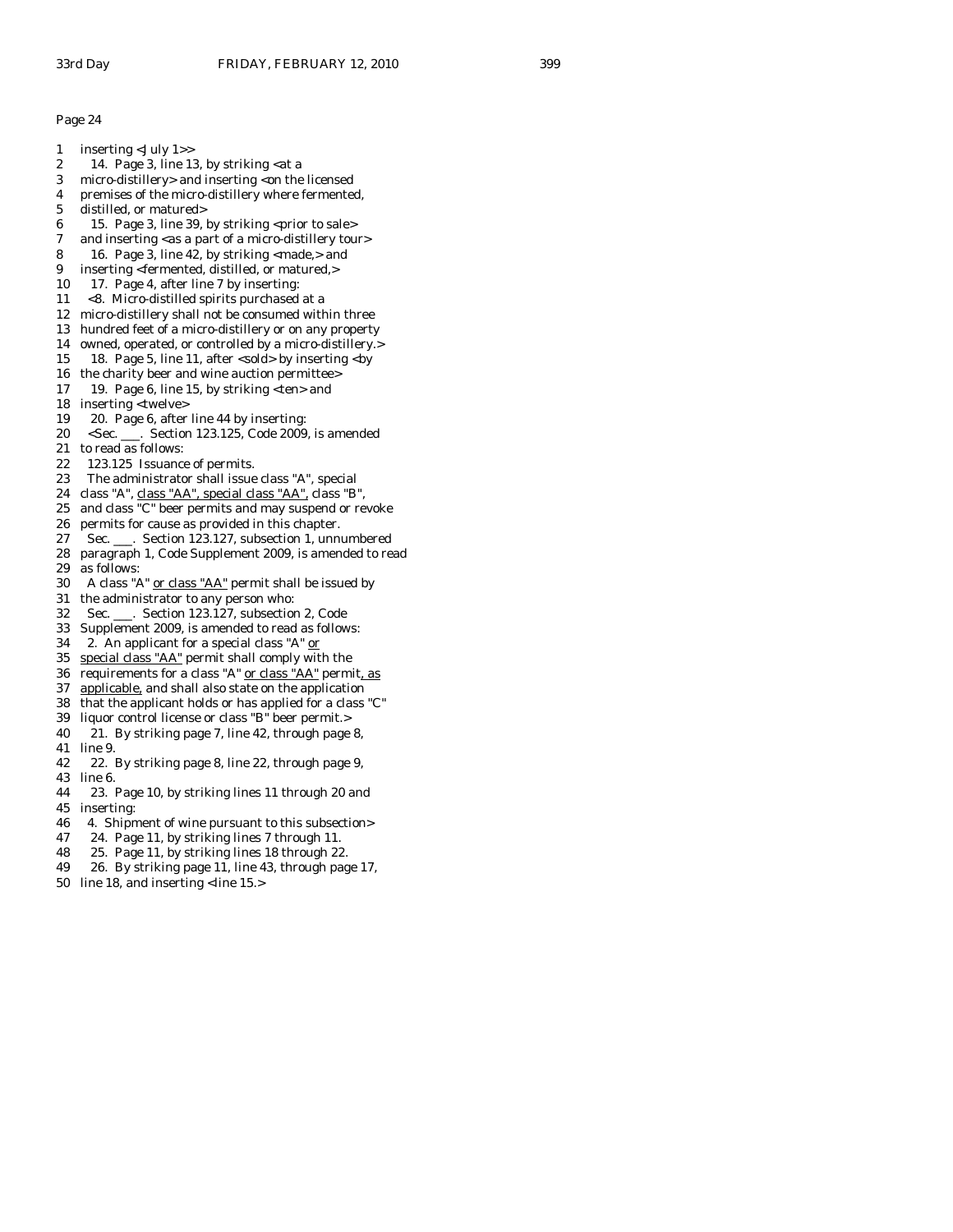1 inserting <July 1>> 2 14. Page 3, line 13, by striking  $\lt$ at a 3 micro-distillery> and inserting <on the licensed 4 premises of the micro-distillery where fermented, 5 distilled, or matured> 6 15. Page 3, line 39, by striking <prior to sale> 7 and inserting <as a part of a micro-distillery tour> 8 16. Page 3, line 42, by striking  $\langle$  made, $>$  and 9 inserting <fermented, distilled, or matured,> 10 17. Page 4, after line 7 by inserting: 11 <8. Micro-distilled spirits purchased at a 12 micro-distillery shall not be consumed within three 13 hundred feet of a micro-distillery or on any property 14 owned, operated, or controlled by a micro-distillery.> 15 18. Page 5, line 11, after <sold> by inserting <by 16 the charity beer and wine auction permittee> 17 19. Page 6, line 15, by striking <ten> and 18 inserting <twelve> 19 20. Page 6, after line 44 by inserting: 20 <Sec. \_\_\_. Section 123.125, Code 2009, is amended 21 to read as follows: 22 123.125 Issuance of permits. 23 The administrator shall issue class "A", special 24 class "A", class "AA", special class "AA", class "B", 25 and class "C" beer permits and may suspend or revoke 26 permits for cause as provided in this chapter. 27 Sec. \_\_\_. Section 123.127, subsection 1, unnumbered 28 paragraph 1, Code Supplement 2009, is amended to read 29 as follows: 30 A class "A" or class "AA" permit shall be issued by 31 the administrator to any person who: 32 Sec. \_\_\_. Section 123.127, subsection 2, Code 33 Supplement 2009, is amended to read as follows: 34 2. An applicant for a special class "A" or 35 special class "AA" permit shall comply with the 36 requirements for a class "A" or class "AA" permit, as 37 applicable, and shall also state on the application 38 that the applicant holds or has applied for a class "C" 39 liquor control license or class "B" beer permit.> 40 21. By striking page 7, line 42, through page 8, 41 line 9. 42 22. By striking page 8, line 22, through page 9, 43 line 6.

44 23. Page 10, by striking lines 11 through 20 and 45 inserting:

46 4. Shipment of wine pursuant to this subsection>

- 47 24. Page 11, by striking lines 7 through 11.
- 48 25. Page 11, by striking lines 18 through 22.
- 49 26. By striking page 11, line 43, through page 17,
- 50 line 18, and inserting <line 15.>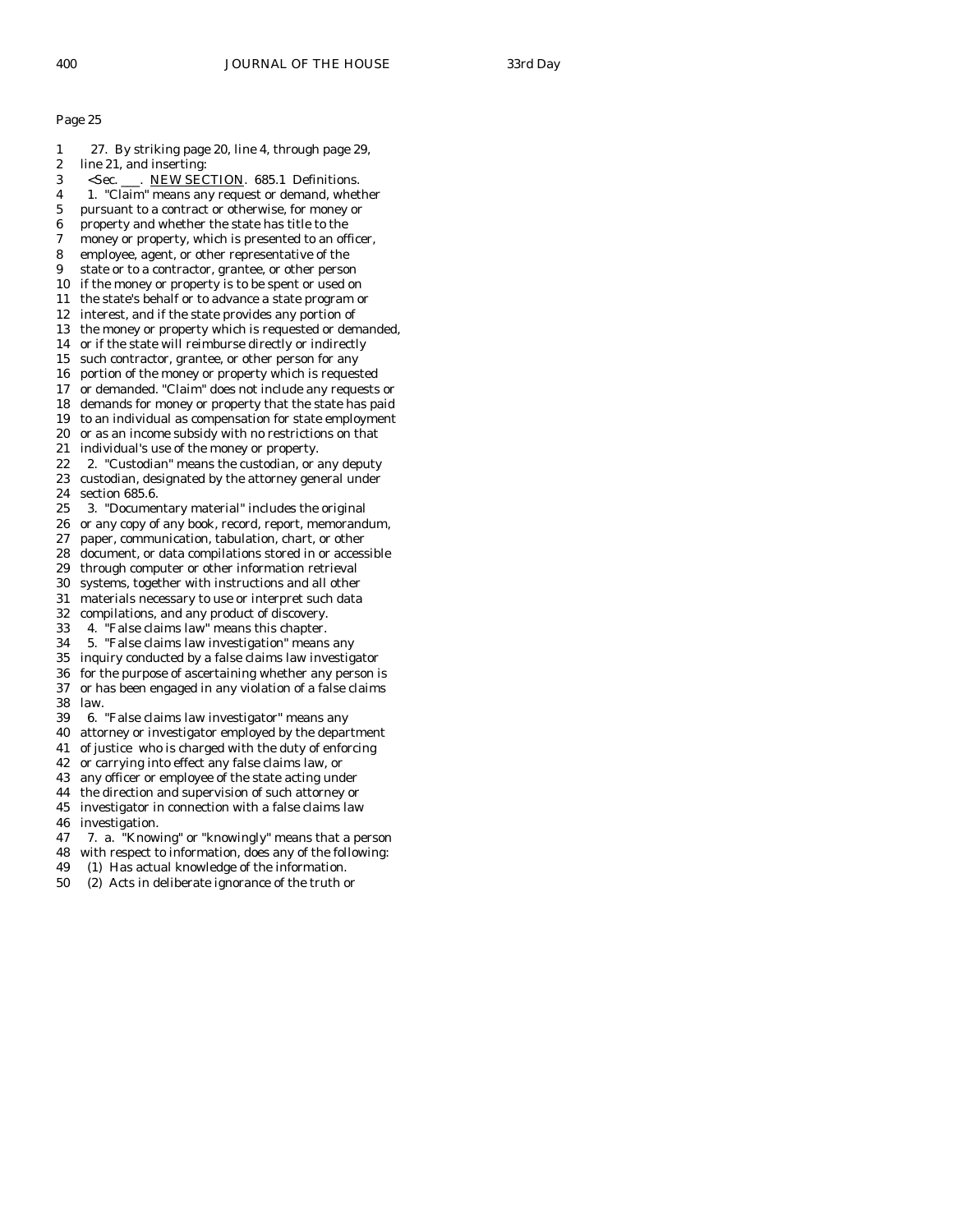- 1 27. By striking page 20, line 4, through page 29,
- 2 line 21, and inserting:
- 3 <Sec. \_\_\_. NEW SECTION. 685.1 Definitions.
- 4 1. "Claim" means any request or demand, whether 5 pursuant to a contract or otherwise, for money or
- 6 property and whether the state has title to the
- 7 money or property, which is presented to an officer,
- 8 employee, agent, or other representative of the
- 9 state or to a contractor, grantee, or other person
- 10 if the money or property is to be spent or used on
- 11 the state's behalf or to advance a state program or
- 12 interest, and if the state provides any portion of
- 13 the money or property which is requested or demanded,
- 14 or if the state will reimburse directly or indirectly
- 15 such contractor, grantee, or other person for any
- 16 portion of the money or property which is requested
- 17 or demanded. "Claim" does not include any requests or
- 18 demands for money or property that the state has paid 19 to an individual as compensation for state employment
- 20 or as an income subsidy with no restrictions on that
- 21 individual's use of the money or property.
- 22 2. "Custodian" means the custodian, or any deputy
- 23 custodian, designated by the attorney general under 24 section 685.6.
- 25 3. "Documentary material" includes the original
- 26 or any copy of any book, record, report, memorandum,
- 27 paper, communication, tabulation, chart, or other
- 28 document, or data compilations stored in or accessible
- 29 through computer or other information retrieval
- 30 systems, together with instructions and all other
- 31 materials necessary to use or interpret such data
- 32 compilations, and any product of discovery.
- 33 4. "False claims law" means this chapter.
- 34 5. "False claims law investigation" means any
- 35 inquiry conducted by a false claims law investigator
- 36 for the purpose of ascertaining whether any person is 37 or has been engaged in any violation of a false claims 38 law.
- 39 6. "False claims law investigator" means any
- 40 attorney or investigator employed by the department
- 41 of justice who is charged with the duty of enforcing
- 42 or carrying into effect any false claims law, or
- 43 any officer or employee of the state acting under
- 44 the direction and supervision of such attorney or
- 45 investigator in connection with a false claims law
- 46 investigation.
- 47 7. a. "Knowing" or "knowingly" means that a person
- 48 with respect to information, does any of the following:
- 49 (1) Has actual knowledge of the information.
- 50 (2) Acts in deliberate ignorance of the truth or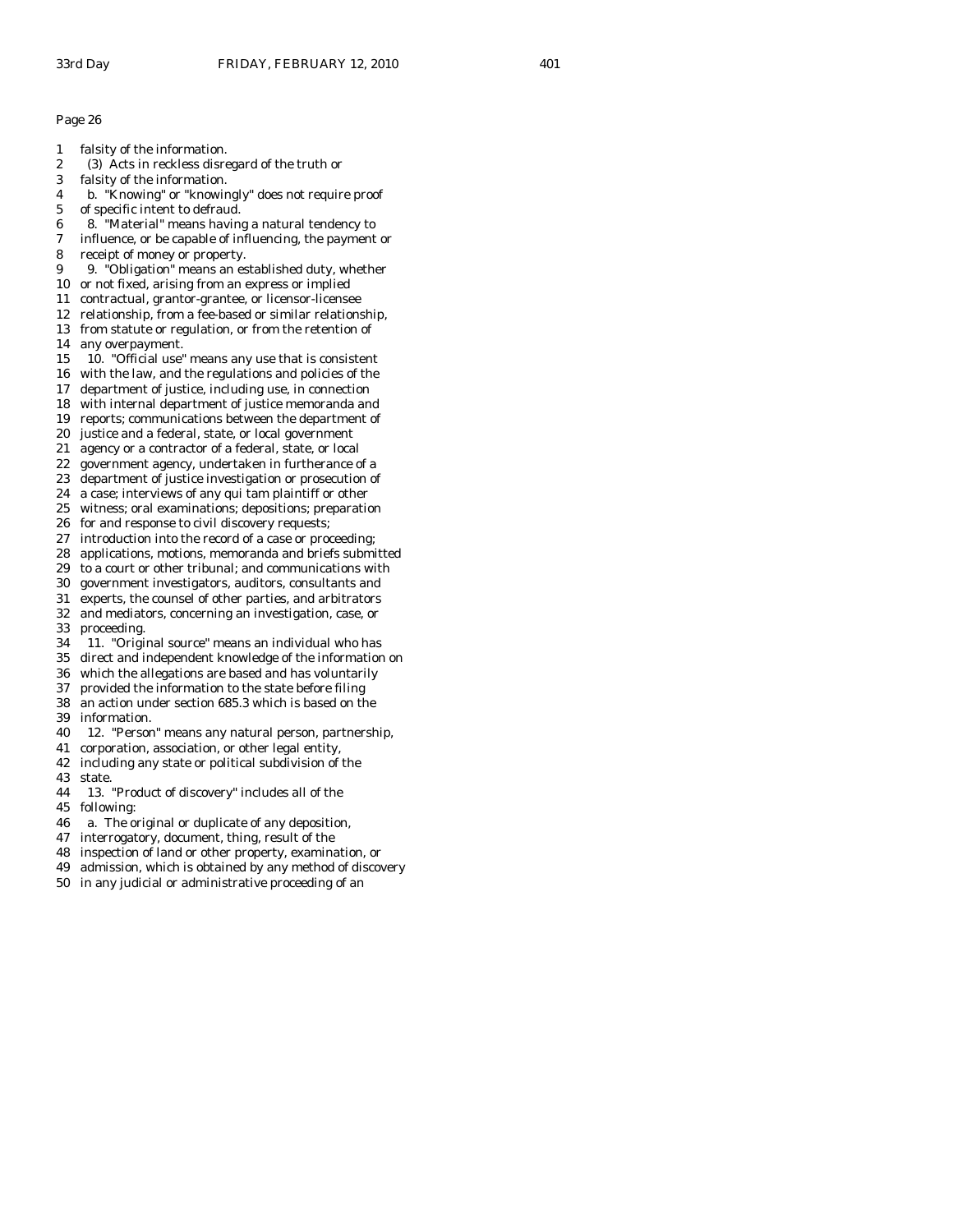- 1 falsity of the information.
- 2 (3) Acts in reckless disregard of the truth or
- 3 falsity of the information.
- 4 b. "Knowing" or "knowingly" does not require proof
- 5 of specific intent to defraud.
- 6 8. "Material" means having a natural tendency to
- 7 influence, or be capable of influencing, the payment or
- 8 receipt of money or property.
- 9 9. "Obligation" means an established duty, whether
- 10 or not fixed, arising from an express or implied
- 11 contractual, grantor-grantee, or licensor-licensee
- 12 relationship, from a fee-based or similar relationship, 13 from statute or regulation, or from the retention of
- 14 any overpayment.
- 15 10. "Official use" means any use that is consistent
- 16 with the law, and the regulations and policies of the
- 17 department of justice, including use, in connection
- 18 with internal department of justice memoranda and
- 19 reports; communications between the department of
- 20 justice and a federal, state, or local government
- 21 agency or a contractor of a federal, state, or local
- 22 government agency, undertaken in furtherance of a
- 23 department of justice investigation or prosecution of
- 24 a case; interviews of any qui tam plaintiff or other
- 25 witness; oral examinations; depositions; preparation
- 26 for and response to civil discovery requests;
- 27 introduction into the record of a case or proceeding;
- 28 applications, motions, memoranda and briefs submitted
- 29 to a court or other tribunal; and communications with
- 30 government investigators, auditors, consultants and
- 31 experts, the counsel of other parties, and arbitrators
- 32 and mediators, concerning an investigation, case, or 33 proceeding.
- 34 11. "Original source" means an individual who has
- direct and independent knowledge of the information on
- 36 which the allegations are based and has voluntarily
- 37 provided the information to the state before filing
- 38 an action under section 685.3 which is based on the 39 information.
- 40 12. "Person" means any natural person, partnership,
- 41 corporation, association, or other legal entity,
- 42 including any state or political subdivision of the
- 43 state.
- 44 13. "Product of discovery" includes all of the
- 45 following:
- 46 a. The original or duplicate of any deposition,
- 47 interrogatory, document, thing, result of the
- 48 inspection of land or other property, examination, or
- 49 admission, which is obtained by any method of discovery
- 50 in any judicial or administrative proceeding of an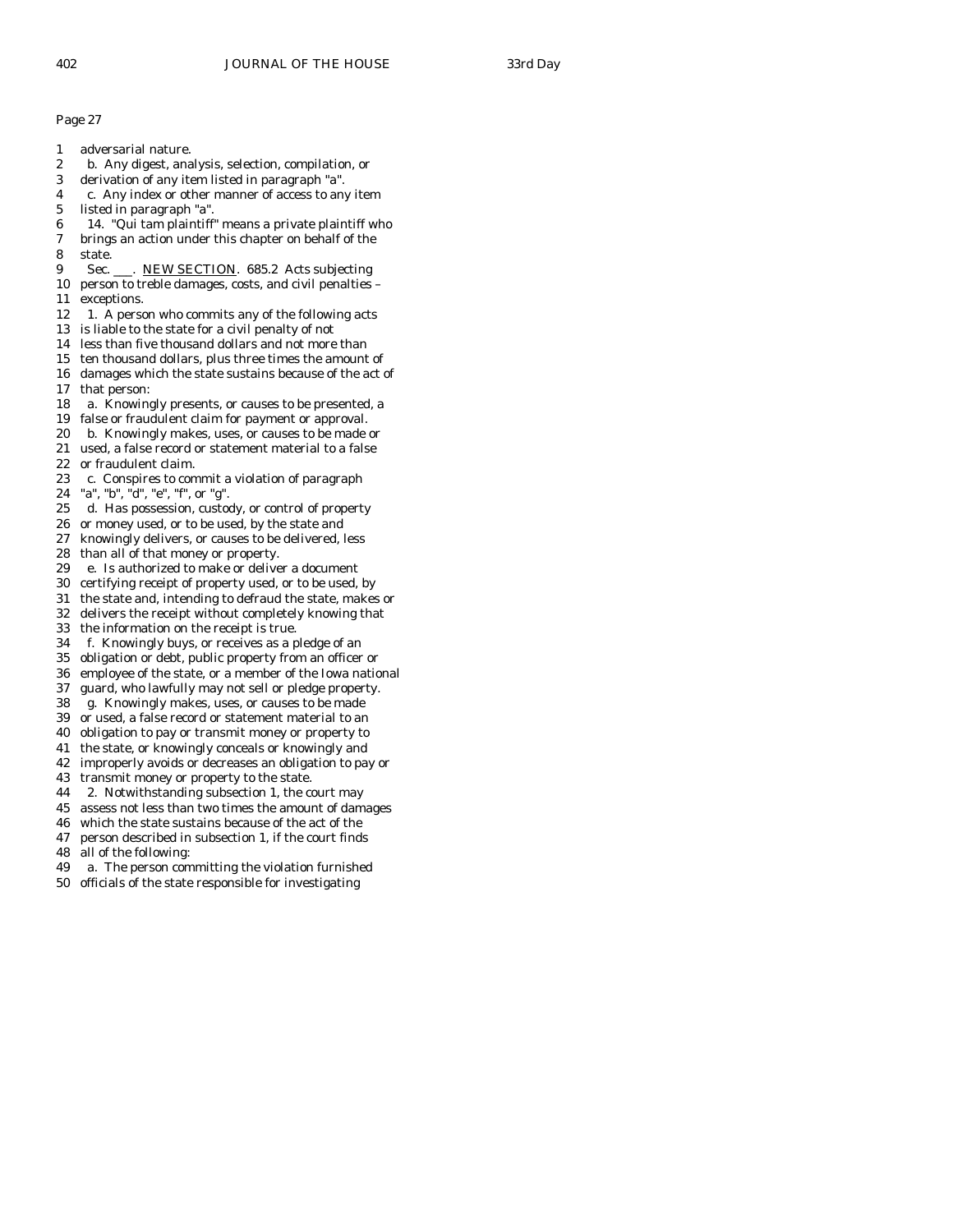- 1 adversarial nature.
- 2 b. Any digest, analysis, selection, compilation, or
- 3 derivation of any item listed in paragraph "a".
- 4 c. Any index or other manner of access to any item
- 5 listed in paragraph "a".
- 6 14. "Qui tam plaintiff" means a private plaintiff who
- brings an action under this chapter on behalf of the 8 state.
- 9 Sec. \_\_\_. NEW SECTION. 685.2 Acts subjecting
- 10 person to treble damages, costs, and civil penalties 11 exceptions.
- 12 1. A person who commits any of the following acts
- 13 is liable to the state for a civil penalty of not
- 14 less than five thousand dollars and not more than
- 15 ten thousand dollars, plus three times the amount of
- 16 damages which the state sustains because of the act of 17 that person:
- 18 a. Knowingly presents, or causes to be presented, a
- 19 false or fraudulent claim for payment or approval.
- 20 b. Knowingly makes, uses, or causes to be made or
- 21 used, a false record or statement material to a false
- 22 or fraudulent claim.
- 23 c. Conspires to commit a violation of paragraph
- 24 "a", "b", "d", "e", "f", or "g".
- 25 d. Has possession, custody, or control of property
- 26 or money used, or to be used, by the state and
- 27 knowingly delivers, or causes to be delivered, less
- 28 than all of that money or property.
- 29 e. Is authorized to make or deliver a document
- 30 certifying receipt of property used, or to be used, by
- 31 the state and, intending to defraud the state, makes or
- 32 delivers the receipt without completely knowing that
- 33 the information on the receipt is true.
- 34 f. Knowingly buys, or receives as a pledge of an
- 35 obligation or debt, public property from an officer or
- 36 employee of the state, or a member of the Iowa national
- 37 guard, who lawfully may not sell or pledge property.
- 38 g. Knowingly makes, uses, or causes to be made
- 39 or used, a false record or statement material to an
- 40 obligation to pay or transmit money or property to
- 41 the state, or knowingly conceals or knowingly and
- 42 improperly avoids or decreases an obligation to pay or
- 43 transmit money or property to the state.
- 44 2. Notwithstanding subsection 1, the court may
- 45 assess not less than two times the amount of damages
- 46 which the state sustains because of the act of the
- 47 person described in subsection 1, if the court finds
- 48 all of the following:
- 49 a. The person committing the violation furnished
- 50 officials of the state responsible for investigating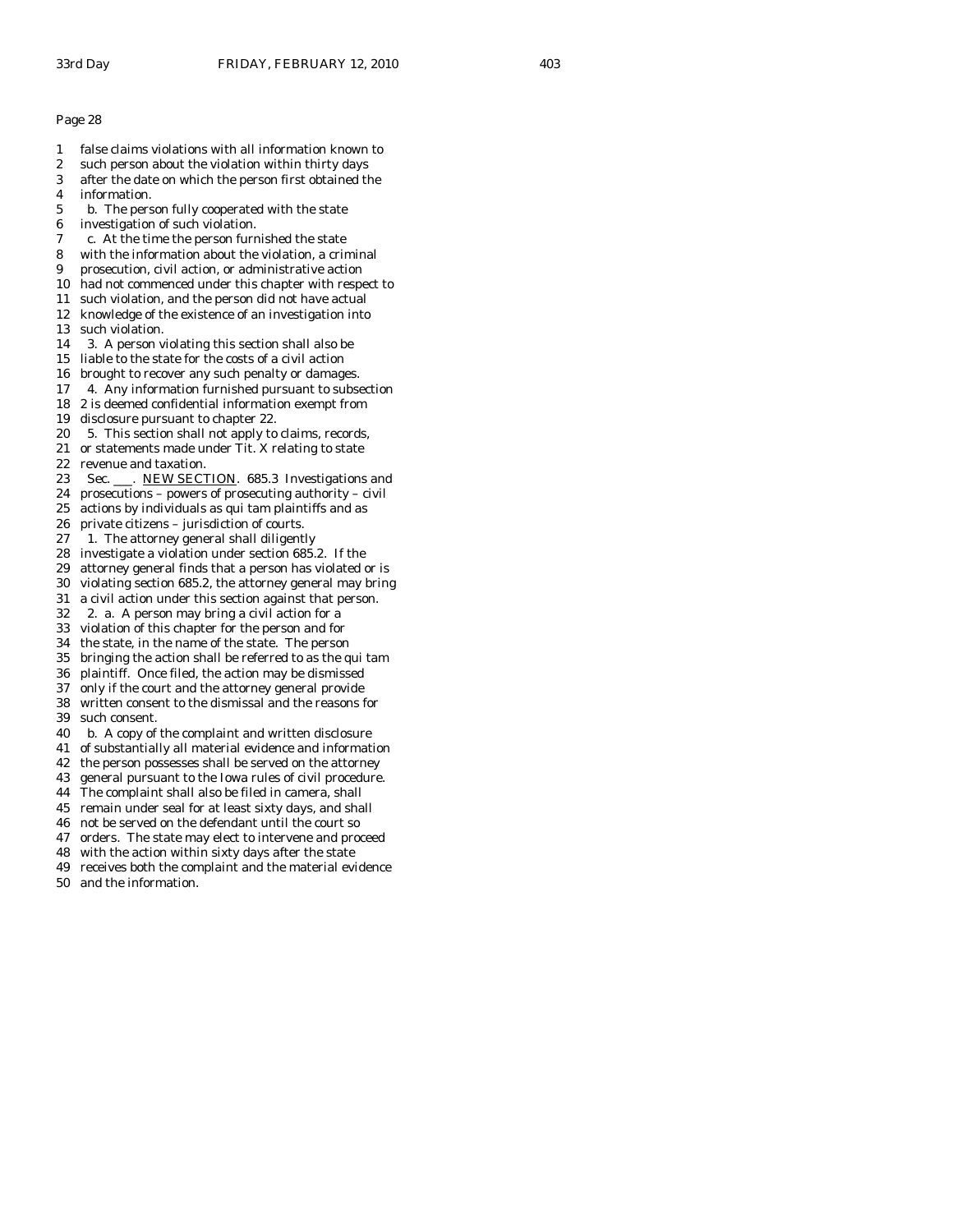- 1 false claims violations with all information known to
- 2 such person about the violation within thirty days
- 3 after the date on which the person first obtained the
- 4 information.
- 5 b. The person fully cooperated with the state
- 6 investigation of such violation.
- 7 c. At the time the person furnished the state
- 8 with the information about the violation, a criminal
- 9 prosecution, civil action, or administrative action
- 10 had not commenced under this chapter with respect to
- 11 such violation, and the person did not have actual
- 12 knowledge of the existence of an investigation into
- 13 such violation.
- 14 3. A person violating this section shall also be
- 15 liable to the state for the costs of a civil action
- 16 brought to recover any such penalty or damages.
- 17 4. Any information furnished pursuant to subsection
- 18 2 is deemed confidential information exempt from
- 19 disclosure pursuant to chapter 22.
- 20 5. This section shall not apply to claims, records,
- 21 or statements made under Tit. X relating to state
- 22 revenue and taxation.
- 23 Sec. \_\_\_. NEW SECTION. 685.3 Investigations and
- 24 prosecutions powers of prosecuting authority civil
- 25 actions by individuals as qui tam plaintiffs and as
- 26 private citizens jurisdiction of courts.
- 27 1. The attorney general shall diligently 28 investigate a violation under section 685.2. If the
- 29 attorney general finds that a person has violated or is
- 30 violating section 685.2, the attorney general may bring
- 31 a civil action under this section against that person.
- 32 2. a. A person may bring a civil action for a
- 33 violation of this chapter for the person and for
- 
- 34 the state, in the name of the state. The person bringing the action shall be referred to as the qui tam
- 36 plaintiff. Once filed, the action may be dismissed
- 37 only if the court and the attorney general provide
- 38 written consent to the dismissal and the reasons for 39 such consent.
- 40 b. A copy of the complaint and written disclosure
- 41 of substantially all material evidence and information
- 42 the person possesses shall be served on the attorney
- 43 general pursuant to the Iowa rules of civil procedure.
- 44 The complaint shall also be filed in camera, shall
- 45 remain under seal for at least sixty days, and shall
- 46 not be served on the defendant until the court so
- 47 orders. The state may elect to intervene and proceed
- 48 with the action within sixty days after the state
- 49 receives both the complaint and the material evidence
- 50 and the information.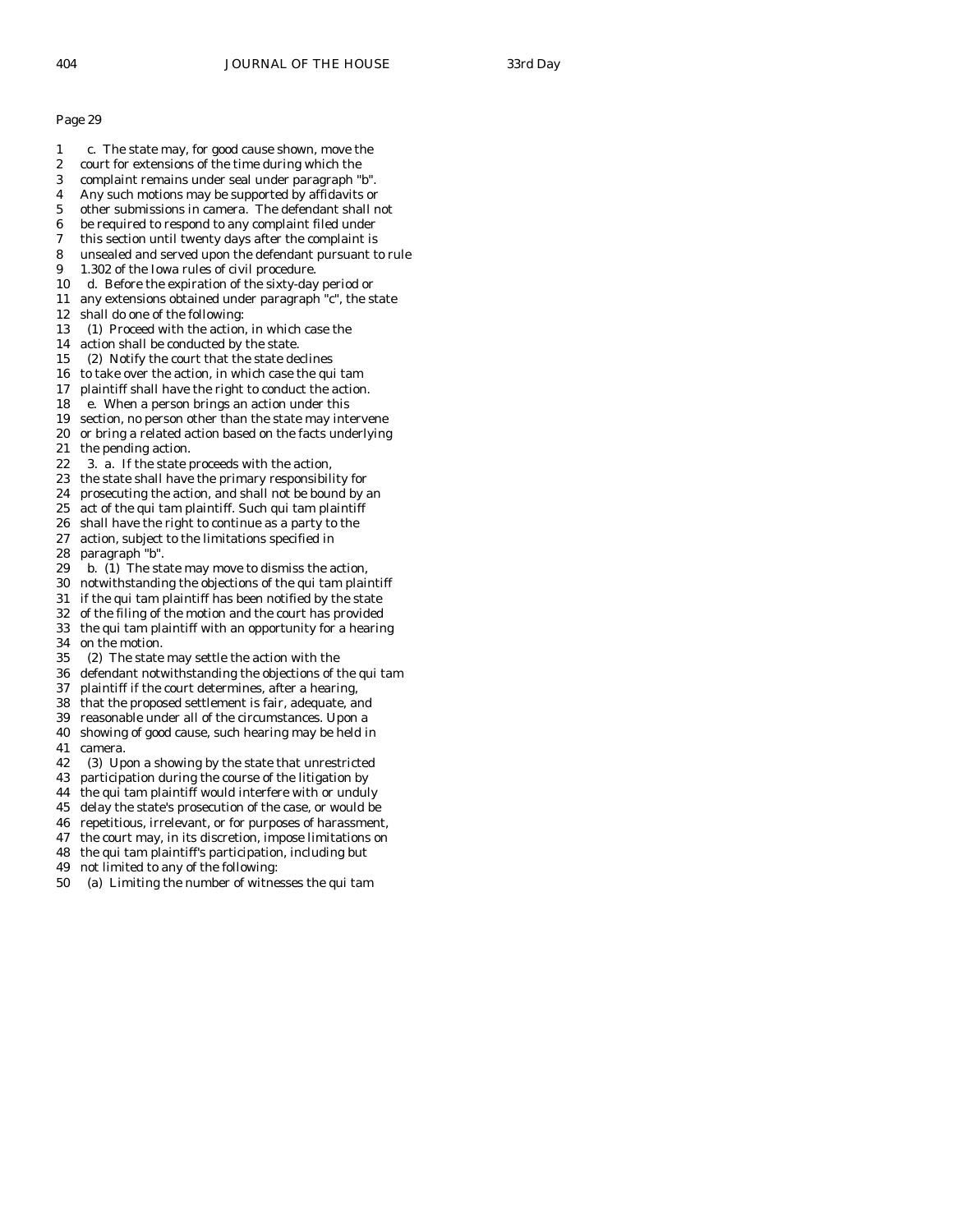- 1 c. The state may, for good cause shown, move the
- 2 court for extensions of the time during which the
- 3 complaint remains under seal under paragraph "b".
- 4 Any such motions may be supported by affidavits or
- 5 other submissions in camera. The defendant shall not
- 6 be required to respond to any complaint filed under
- 7 this section until twenty days after the complaint is 8 unsealed and served upon the defendant pursuant to rule
- 9 1.302 of the Iowa rules of civil procedure.
- 10 d. Before the expiration of the sixty-day period or
- 11 any extensions obtained under paragraph "c", the state
- 12 shall do one of the following:
- 13 (1) Proceed with the action, in which case the
- 14 action shall be conducted by the state.
- 15 (2) Notify the court that the state declines
- 16 to take over the action, in which case the qui tam
- 17 plaintiff shall have the right to conduct the action.
- 18 e. When a person brings an action under this
- 19 section, no person other than the state may intervene
- 20 or bring a related action based on the facts underlying
- 21 the pending action.
- 22 3. a. If the state proceeds with the action,
- 23 the state shall have the primary responsibility for
- 24 prosecuting the action, and shall not be bound by an
- 25 act of the qui tam plaintiff. Such qui tam plaintiff
- 26 shall have the right to continue as a party to the 27 action, subject to the limitations specified in
- 28 paragraph "b".
- 29 b. (1) The state may move to dismiss the action,
- 30 notwithstanding the objections of the qui tam plaintiff
- 31 if the qui tam plaintiff has been notified by the state
- 32 of the filing of the motion and the court has provided
- 33 the qui tam plaintiff with an opportunity for a hearing
- 34 on the motion.<br>35 (2) The state (2) The state may settle the action with the
- 36 defendant notwithstanding the objections of the qui tam
- 37 plaintiff if the court determines, after a hearing,
- 38 that the proposed settlement is fair, adequate, and
- 39 reasonable under all of the circumstances. Upon a
- 40 showing of good cause, such hearing may be held in
- 41 camera.
- 42 (3) Upon a showing by the state that unrestricted
- 43 participation during the course of the litigation by
- 44 the qui tam plaintiff would interfere with or unduly
- 45 delay the state's prosecution of the case, or would be
- 46 repetitious, irrelevant, or for purposes of harassment,
- 47 the court may, in its discretion, impose limitations on
- 48 the qui tam plaintiff's participation, including but
- 49 not limited to any of the following:
- 50 (a) Limiting the number of witnesses the qui tam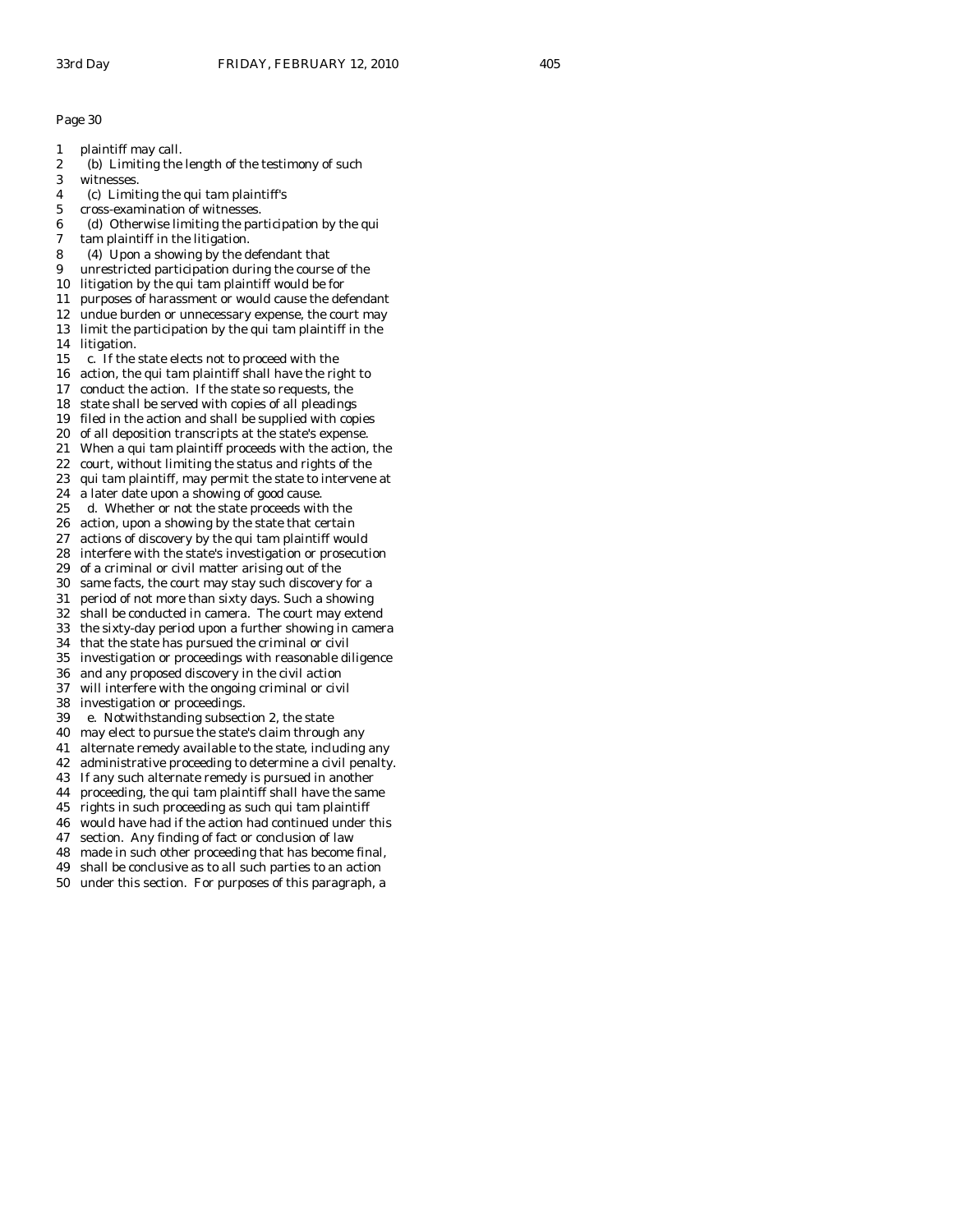- 1 plaintiff may call.
- 2 (b) Limiting the length of the testimony of such
- 3 witnesses.
- 4 (c) Limiting the qui tam plaintiff's
- 5 cross-examination of witnesses.
- 6 (d) Otherwise limiting the participation by the qui
- 7 tam plaintiff in the litigation.
- 8 (4) Upon a showing by the defendant that
- 9 unrestricted participation during the course of the
- 10 litigation by the qui tam plaintiff would be for
- 11 purposes of harassment or would cause the defendant 12 undue burden or unnecessary expense, the court may
- 13 limit the participation by the qui tam plaintiff in the
- 14 litigation.
- 15 c. If the state elects not to proceed with the
- 16 action, the qui tam plaintiff shall have the right to
- 17 conduct the action. If the state so requests, the
- 18 state shall be served with copies of all pleadings
- 19 filed in the action and shall be supplied with copies
- 20 of all deposition transcripts at the state's expense.
- 21 When a qui tam plaintiff proceeds with the action, the
- 22 court, without limiting the status and rights of the
- 23 qui tam plaintiff, may permit the state to intervene at
- 24 a later date upon a showing of good cause.
- 25 d. Whether or not the state proceeds with the
- 26 action, upon a showing by the state that certain
- 27 actions of discovery by the qui tam plaintiff would
- 28 interfere with the state's investigation or prosecution
- 29 of a criminal or civil matter arising out of the
- 30 same facts, the court may stay such discovery for a
- 31 period of not more than sixty days. Such a showing
- 32 shall be conducted in camera. The court may extend
- 33 the sixty-day period upon a further showing in camera
- 34 that the state has pursued the criminal or civil
- 35 investigation or proceedings with reasonable diligence
- 36 and any proposed discovery in the civil action
- 37 will interfere with the ongoing criminal or civil 38 investigation or proceedings.
- 
- 39 e. Notwithstanding subsection 2, the state
- 40 may elect to pursue the state's claim through any
- 41 alternate remedy available to the state, including any
- 42 administrative proceeding to determine a civil penalty.
- 43 If any such alternate remedy is pursued in another
- 44 proceeding, the qui tam plaintiff shall have the same
- 45 rights in such proceeding as such qui tam plaintiff
- 46 would have had if the action had continued under this
- 47 section. Any finding of fact or conclusion of law
- 48 made in such other proceeding that has become final,
- 49 shall be conclusive as to all such parties to an action
- 50 under this section. For purposes of this paragraph, a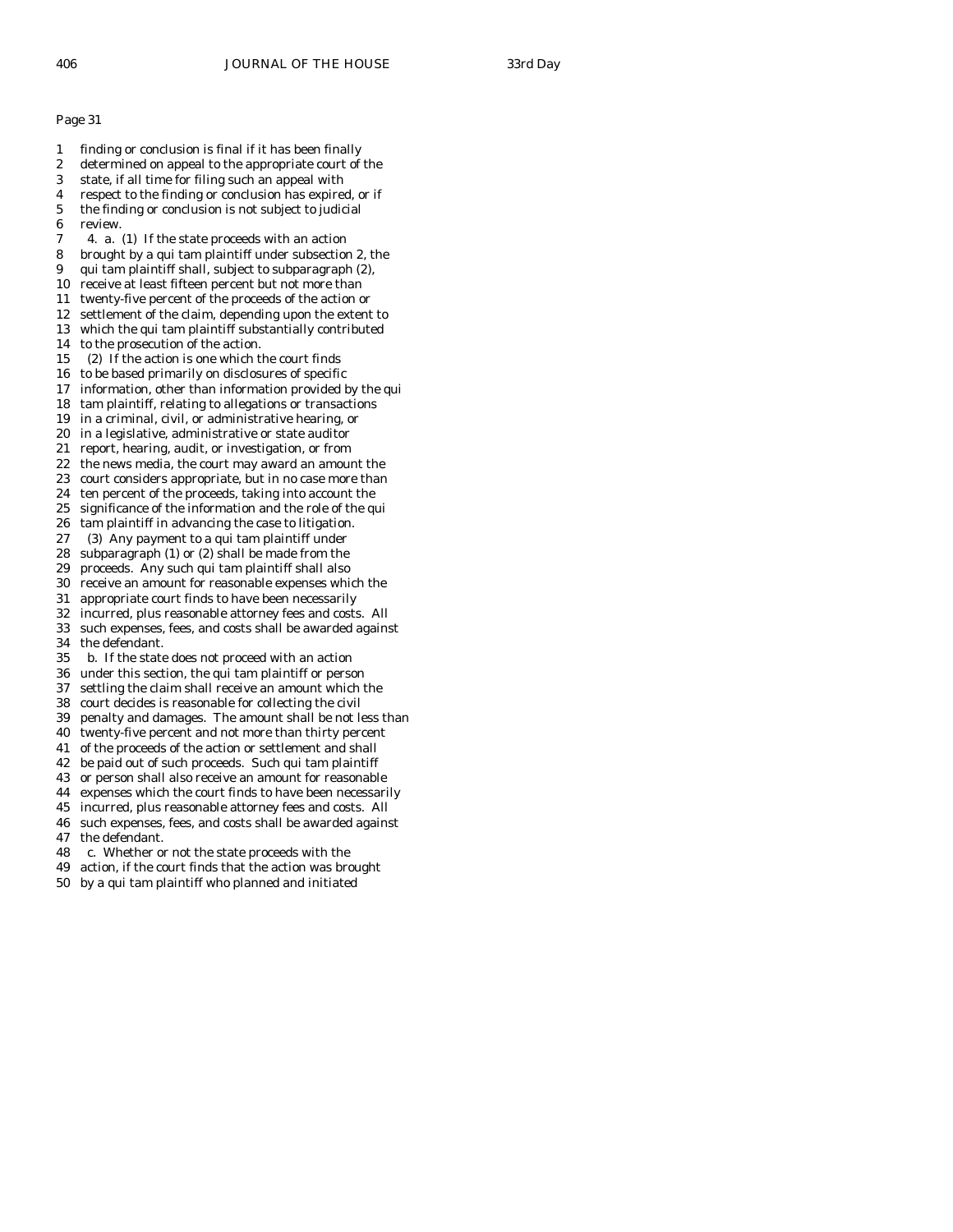- 1 finding or conclusion is final if it has been finally 2 determined on appeal to the appropriate court of the 3 state, if all time for filing such an appeal with 4 respect to the finding or conclusion has expired, or if 5 the finding or conclusion is not subject to judicial 6 review. 7 4. a. (1) If the state proceeds with an action 8 brought by a qui tam plaintiff under subsection 2, the 9 qui tam plaintiff shall, subject to subparagraph (2), 10 receive at least fifteen percent but not more than 11 twenty-five percent of the proceeds of the action or 12 settlement of the claim, depending upon the extent to 13 which the qui tam plaintiff substantially contributed 14 to the prosecution of the action. 15 (2) If the action is one which the court finds 16 to be based primarily on disclosures of specific 17 information, other than information provided by the qui 18 tam plaintiff, relating to allegations or transactions 19 in a criminal, civil, or administrative hearing, or 20 in a legislative, administrative or state auditor 21 report, hearing, audit, or investigation, or from 22 the news media, the court may award an amount the 23 court considers appropriate, but in no case more than 24 ten percent of the proceeds, taking into account the 25 significance of the information and the role of the qui 26 tam plaintiff in advancing the case to litigation. 27 (3) Any payment to a qui tam plaintiff under 28 subparagraph (1) or (2) shall be made from the 29 proceeds. Any such qui tam plaintiff shall also 30 receive an amount for reasonable expenses which the 31 appropriate court finds to have been necessarily 32 incurred, plus reasonable attorney fees and costs. All 33 such expenses, fees, and costs shall be awarded against 34 the defendant.<br>35 b. If the state b. If the state does not proceed with an action 36 under this section, the qui tam plaintiff or person 37 settling the claim shall receive an amount which the 38 court decides is reasonable for collecting the civil 39 penalty and damages. The amount shall be not less than 40 twenty-five percent and not more than thirty percent 41 of the proceeds of the action or settlement and shall 42 be paid out of such proceeds. Such qui tam plaintiff 43 or person shall also receive an amount for reasonable
- 44 expenses which the court finds to have been necessarily
- 45 incurred, plus reasonable attorney fees and costs. All
- 46 such expenses, fees, and costs shall be awarded against 47 the defendant.
- 48 c. Whether or not the state proceeds with the
- 49 action, if the court finds that the action was brought
- 50 by a qui tam plaintiff who planned and initiated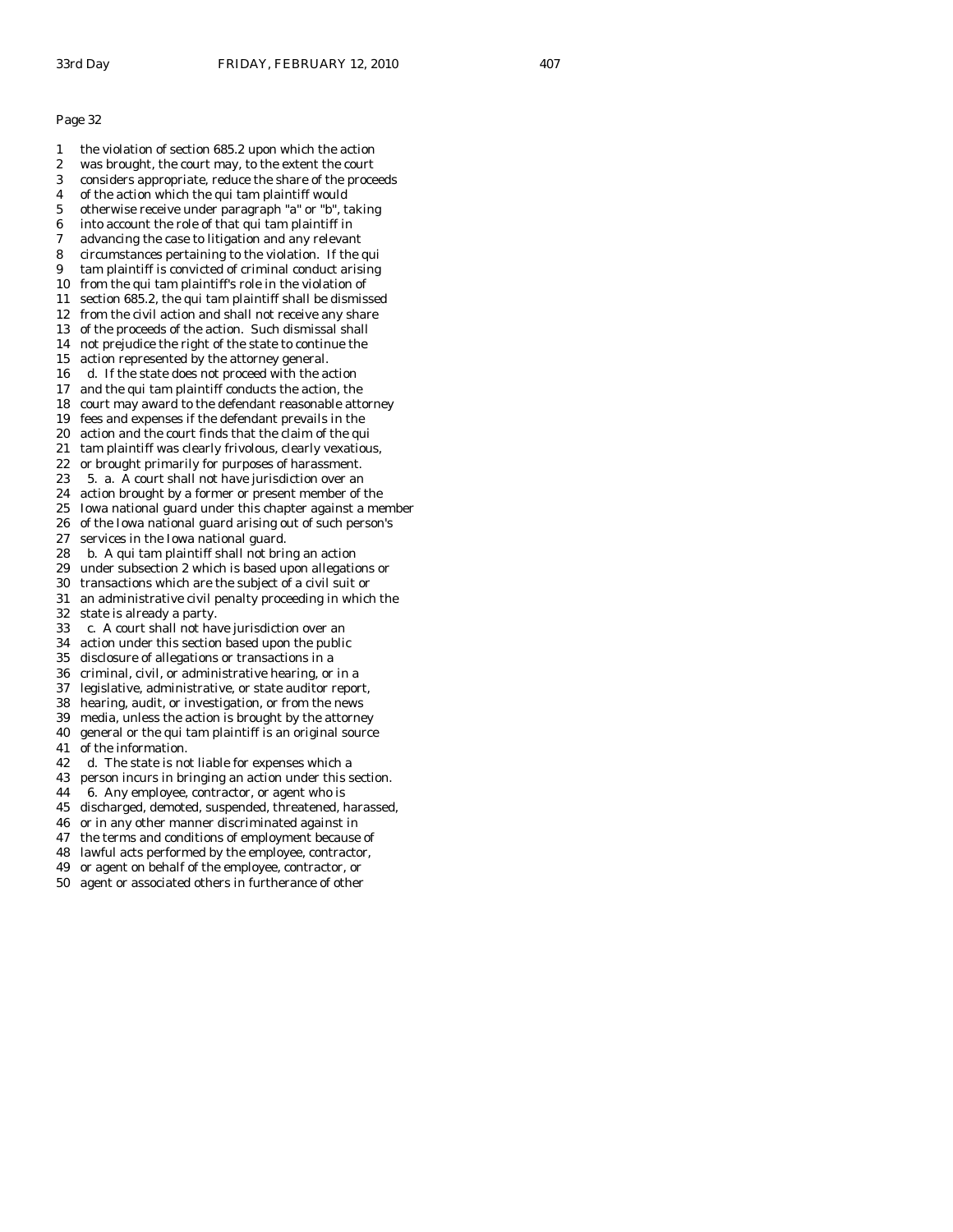1 the violation of section 685.2 upon which the action 2 was brought, the court may, to the extent the court 3 considers appropriate, reduce the share of the proceeds 4 of the action which the qui tam plaintiff would 5 otherwise receive under paragraph "a" or "b", taking 6 into account the role of that qui tam plaintiff in 7 advancing the case to litigation and any relevant 8 circumstances pertaining to the violation. If the qui 9 tam plaintiff is convicted of criminal conduct arising 10 from the qui tam plaintiff's role in the violation of 11 section 685.2, the qui tam plaintiff shall be dismissed 12 from the civil action and shall not receive any share 13 of the proceeds of the action. Such dismissal shall 14 not prejudice the right of the state to continue the 15 action represented by the attorney general. 16 d. If the state does not proceed with the action 17 and the qui tam plaintiff conducts the action, the 18 court may award to the defendant reasonable attorney 19 fees and expenses if the defendant prevails in the 20 action and the court finds that the claim of the qui 21 tam plaintiff was clearly frivolous, clearly vexatious, 22 or brought primarily for purposes of harassment. 23 5. a. A court shall not have jurisdiction over an 24 action brought by a former or present member of the 25 Iowa national guard under this chapter against a member 26 of the Iowa national guard arising out of such person's 27 services in the Iowa national guard. 28 b. A qui tam plaintiff shall not bring an action 29 under subsection 2 which is based upon allegations or 30 transactions which are the subject of a civil suit or 31 an administrative civil penalty proceeding in which the 32 state is already a party. 33 c. A court shall not have jurisdiction over an 34 action under this section based upon the public disclosure of allegations or transactions in a 36 criminal, civil, or administrative hearing, or in a 37 legislative, administrative, or state auditor report, 38 hearing, audit, or investigation, or from the news 39 media, unless the action is brought by the attorney 40 general or the qui tam plaintiff is an original source 41 of the information. 42 d. The state is not liable for expenses which a 43 person incurs in bringing an action under this section. 44 6. Any employee, contractor, or agent who is 45 discharged, demoted, suspended, threatened, harassed, 46 or in any other manner discriminated against in 47 the terms and conditions of employment because of

- 
- 48 lawful acts performed by the employee, contractor,
- 49 or agent on behalf of the employee, contractor, or
- 50 agent or associated others in furtherance of other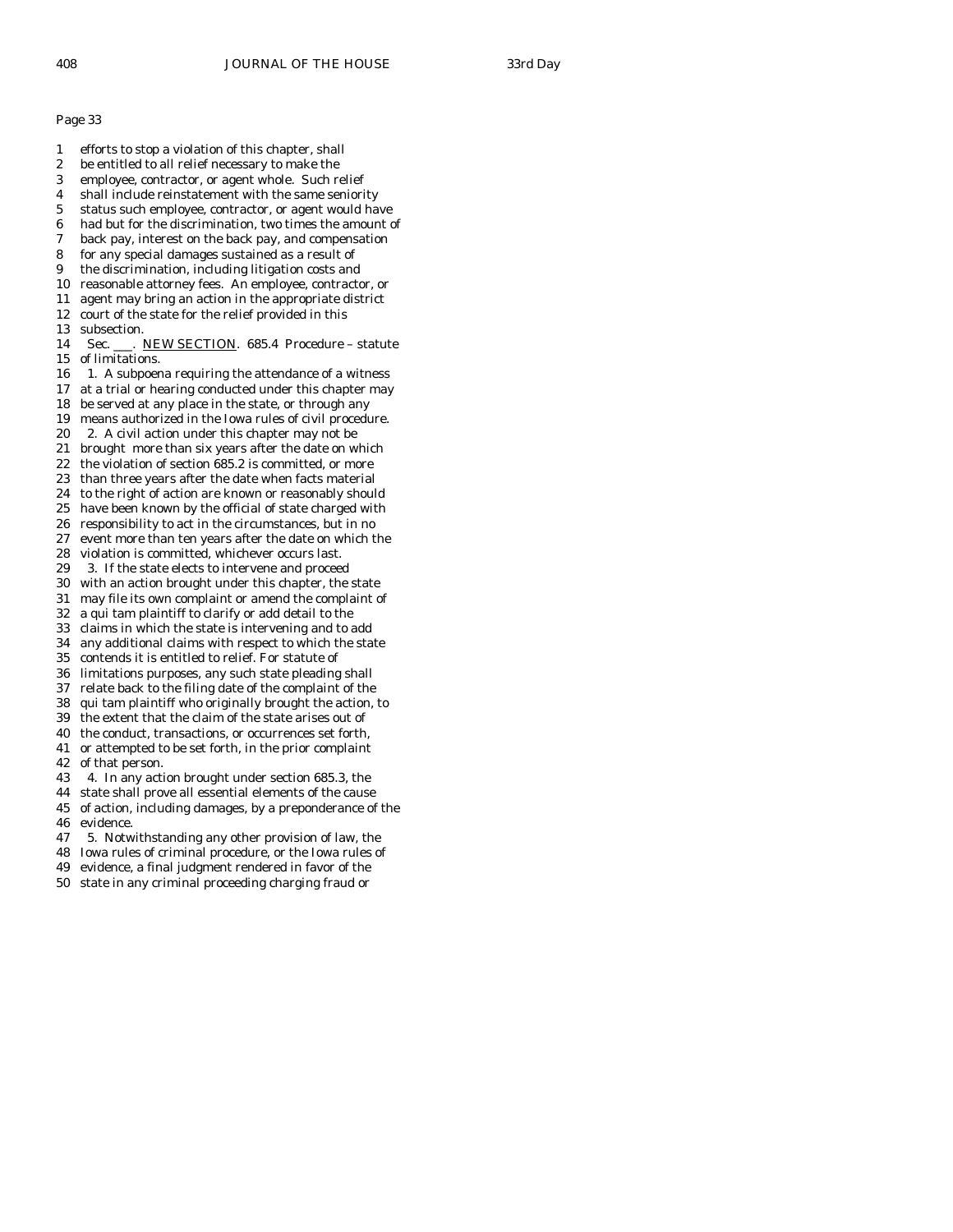- 1 efforts to stop a violation of this chapter, shall
- 2 be entitled to all relief necessary to make the
- 3 employee, contractor, or agent whole. Such relief
- 4 shall include reinstatement with the same seniority
- 5 status such employee, contractor, or agent would have
- 6 had but for the discrimination, two times the amount of
- 7 back pay, interest on the back pay, and compensation
- 8 for any special damages sustained as a result of
- 9 the discrimination, including litigation costs and 10 reasonable attorney fees. An employee, contractor, or
- 11 agent may bring an action in the appropriate district
- 12 court of the state for the relief provided in this
- 13 subsection.
- 14 Sec. \_\_\_. NEW SECTION. 685.4 Procedure statute 15 of limitations.
- 16 1. A subpoena requiring the attendance of a witness
- 17 at a trial or hearing conducted under this chapter may
- 18 be served at any place in the state, or through any
- 19 means authorized in the Iowa rules of civil procedure.
- 20 2. A civil action under this chapter may not be
- 21 brought more than six years after the date on which 22 the violation of section 685.2 is committed, or more
- 23 than three years after the date when facts material
- 24 to the right of action are known or reasonably should
- 25 have been known by the official of state charged with
- 26 responsibility to act in the circumstances, but in no
- 27 event more than ten years after the date on which the
- 28 violation is committed, whichever occurs last.<br>29 3. If the state elects to intervene and procee
- 3. If the state elects to intervene and proceed
- 30 with an action brought under this chapter, the state
- 31 may file its own complaint or amend the complaint of
- 32 a qui tam plaintiff to clarify or add detail to the 33 claims in which the state is intervening and to add
- 
- 34 any additional claims with respect to which the state contends it is entitled to relief. For statute of
- 36 limitations purposes, any such state pleading shall
- 37 relate back to the filing date of the complaint of the
- 38 qui tam plaintiff who originally brought the action, to
- 39 the extent that the claim of the state arises out of
- 40 the conduct, transactions, or occurrences set forth,
- 41 or attempted to be set forth, in the prior complaint 42 of that person.
- 43 4. In any action brought under section 685.3, the
- 44 state shall prove all essential elements of the cause
- 45 of action, including damages, by a preponderance of the 46 evidence.
- 47 5. Notwithstanding any other provision of law, the
- 48 Iowa rules of criminal procedure, or the Iowa rules of
- 49 evidence, a final judgment rendered in favor of the
- 50 state in any criminal proceeding charging fraud or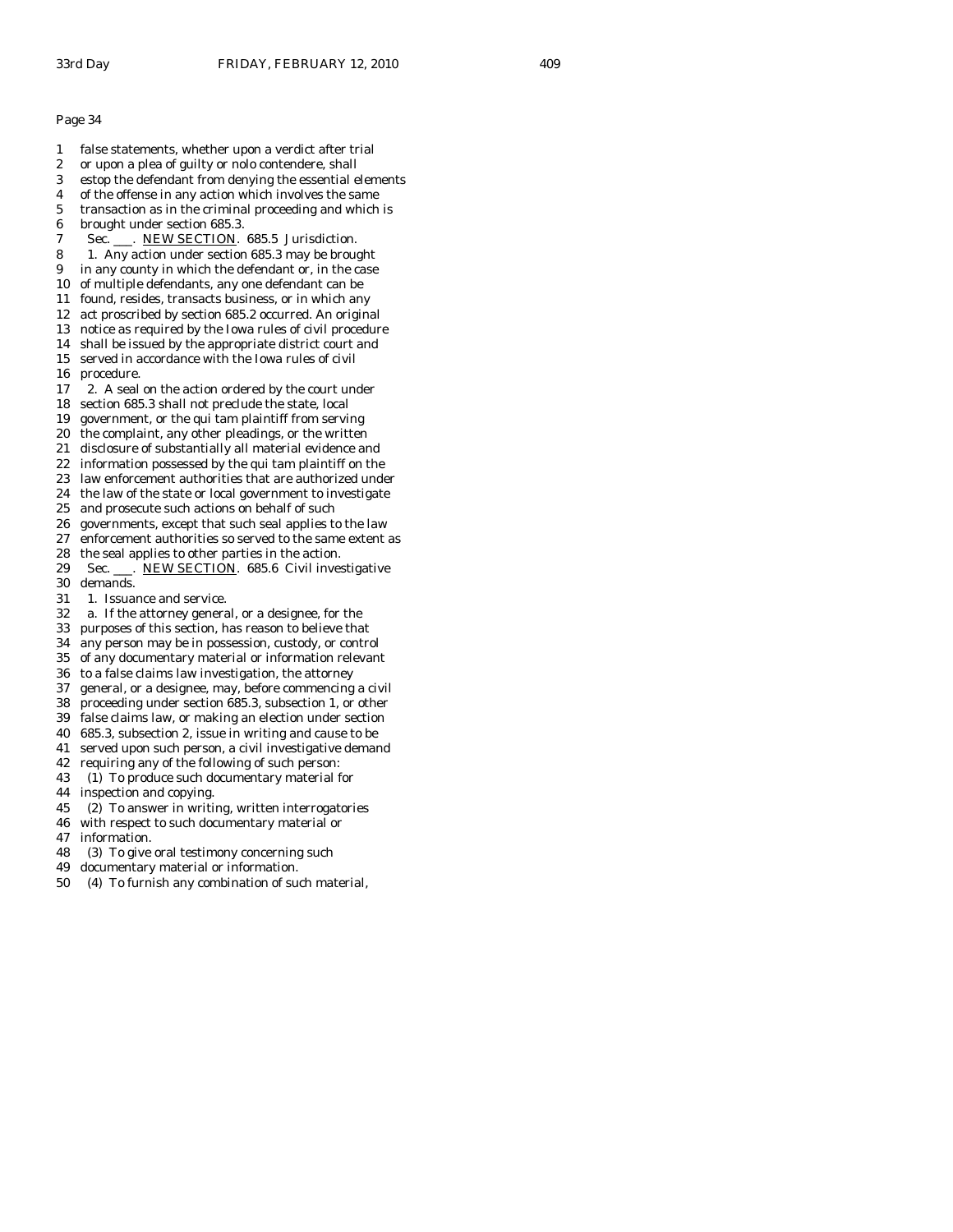- 1 false statements, whether upon a verdict after trial 2 or upon a plea of guilty or nolo contendere, shall 3 estop the defendant from denying the essential elements 4 of the offense in any action which involves the same 5 transaction as in the criminal proceeding and which is 6 brought under section 685.3. 7 Sec. \_\_\_. NEW SECTION. 685.5 Jurisdiction. 8 1. Any action under section 685.3 may be brought 9 in any county in which the defendant or, in the case 10 of multiple defendants, any one defendant can be 11 found, resides, transacts business, or in which any 12 act proscribed by section 685.2 occurred. An original 13 notice as required by the Iowa rules of civil procedure 14 shall be issued by the appropriate district court and 15 served in accordance with the Iowa rules of civil 16 procedure. 17 2. A seal on the action ordered by the court under 18 section 685.3 shall not preclude the state, local 19 government, or the qui tam plaintiff from serving 20 the complaint, any other pleadings, or the written 21 disclosure of substantially all material evidence and 22 information possessed by the qui tam plaintiff on the 23 law enforcement authorities that are authorized under 24 the law of the state or local government to investigate 25 and prosecute such actions on behalf of such 26 governments, except that such seal applies to the law 27 enforcement authorities so served to the same extent as 28 the seal applies to other parties in the action. 29 Sec. \_\_\_. NEW SECTION. 685.6 Civil investigative 30 demands. 31 1. Issuance and service. 32 a. If the attorney general, or a designee, for the 33 purposes of this section, has reason to believe that 34 any person may be in possession, custody, or control of any documentary material or information relevant 36 to a false claims law investigation, the attorney 37 general, or a designee, may, before commencing a civil 38 proceeding under section 685.3, subsection 1, or other 39 false claims law, or making an election under section 40 685.3, subsection 2, issue in writing and cause to be 41 served upon such person, a civil investigative demand 42 requiring any of the following of such person: 43 (1) To produce such documentary material for 44 inspection and copying. 45 (2) To answer in writing, written interrogatories 46 with respect to such documentary material or 47 information. 48 (3) To give oral testimony concerning such
- 
- 49 documentary material or information.
- 50 (4) To furnish any combination of such material,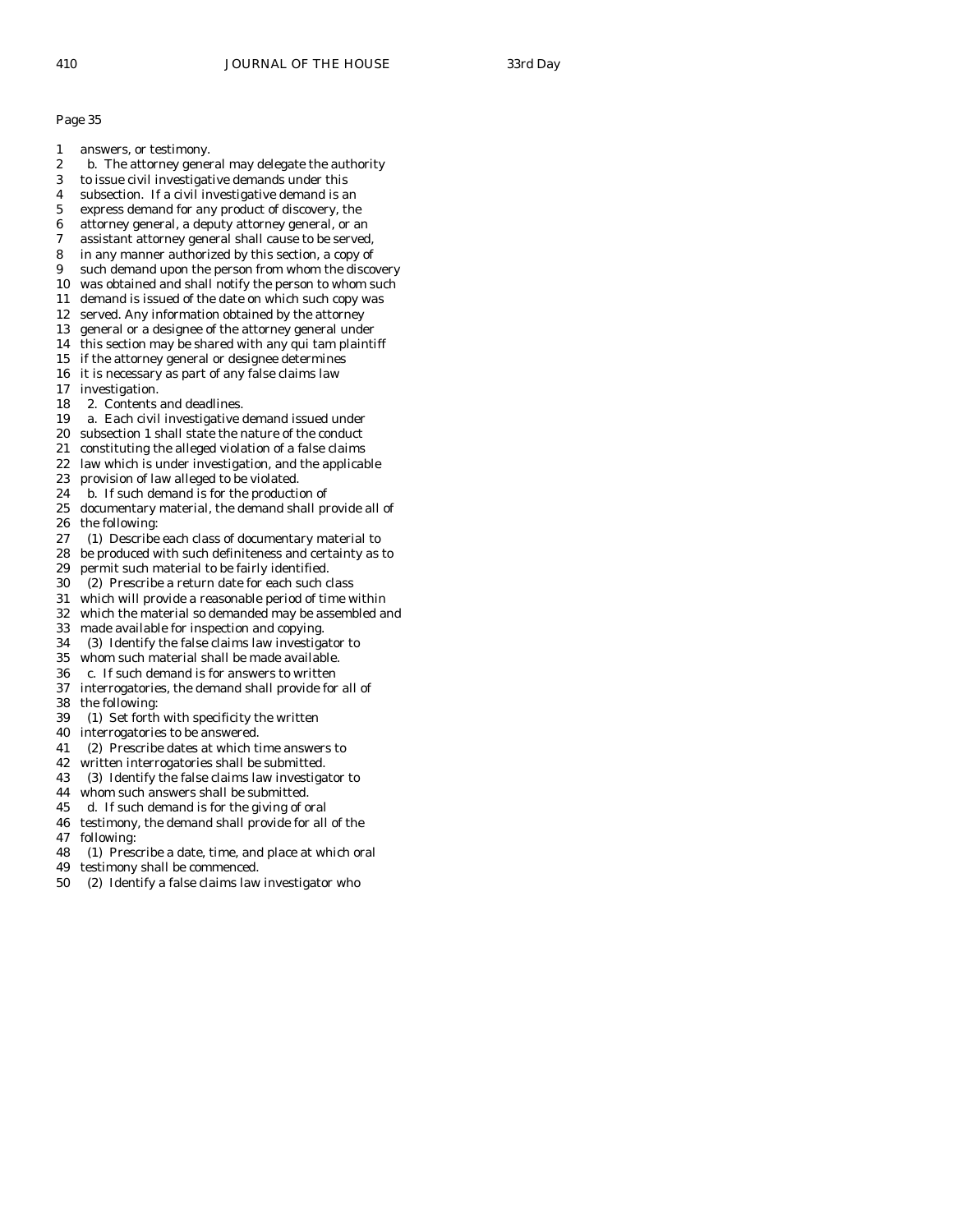- 1 answers, or testimony.
- 2 b. The attorney general may delegate the authority
- 3 to issue civil investigative demands under this
- 4 subsection. If a civil investigative demand is an
- 5 express demand for any product of discovery, the
- 6 attorney general, a deputy attorney general, or an
- 7 assistant attorney general shall cause to be served, 8 in any manner authorized by this section, a copy of
- 
- 9 such demand upon the person from whom the discovery 10 was obtained and shall notify the person to whom such
- 11 demand is issued of the date on which such copy was
- 12 served. Any information obtained by the attorney
- 13 general or a designee of the attorney general under
- 14 this section may be shared with any qui tam plaintiff
- 15 if the attorney general or designee determines
- 16 it is necessary as part of any false claims law
- 17 investigation.
- 18 2. Contents and deadlines.
- 19 a. Each civil investigative demand issued under
- 20 subsection 1 shall state the nature of the conduct
- 21 constituting the alleged violation of a false claims
- 22 law which is under investigation, and the applicable
- 23 provision of law alleged to be violated.
- 24 b. If such demand is for the production of
- 25 documentary material, the demand shall provide all of 26 the following:
- 27 (1) Describe each class of documentary material to
- 28 be produced with such definiteness and certainty as to
- 29 permit such material to be fairly identified.
- 30 (2) Prescribe a return date for each such class
- 31 which will provide a reasonable period of time within
- 32 which the material so demanded may be assembled and
- 33 made available for inspection and copying.
- 34 (3) Identify the false claims law investigator to
- whom such material shall be made available.
- 36 c. If such demand is for answers to written
- 37 interrogatories, the demand shall provide for all of 38 the following:
- 39 (1) Set forth with specificity the written
- 40 interrogatories to be answered.
- 41 (2) Prescribe dates at which time answers to
- 42 written interrogatories shall be submitted.
- 43 (3) Identify the false claims law investigator to
- 44 whom such answers shall be submitted.
- 45 d. If such demand is for the giving of oral
- 46 testimony, the demand shall provide for all of the 47 following:
- 48 (1) Prescribe a date, time, and place at which oral
- 49 testimony shall be commenced.
- 50 (2) Identify a false claims law investigator who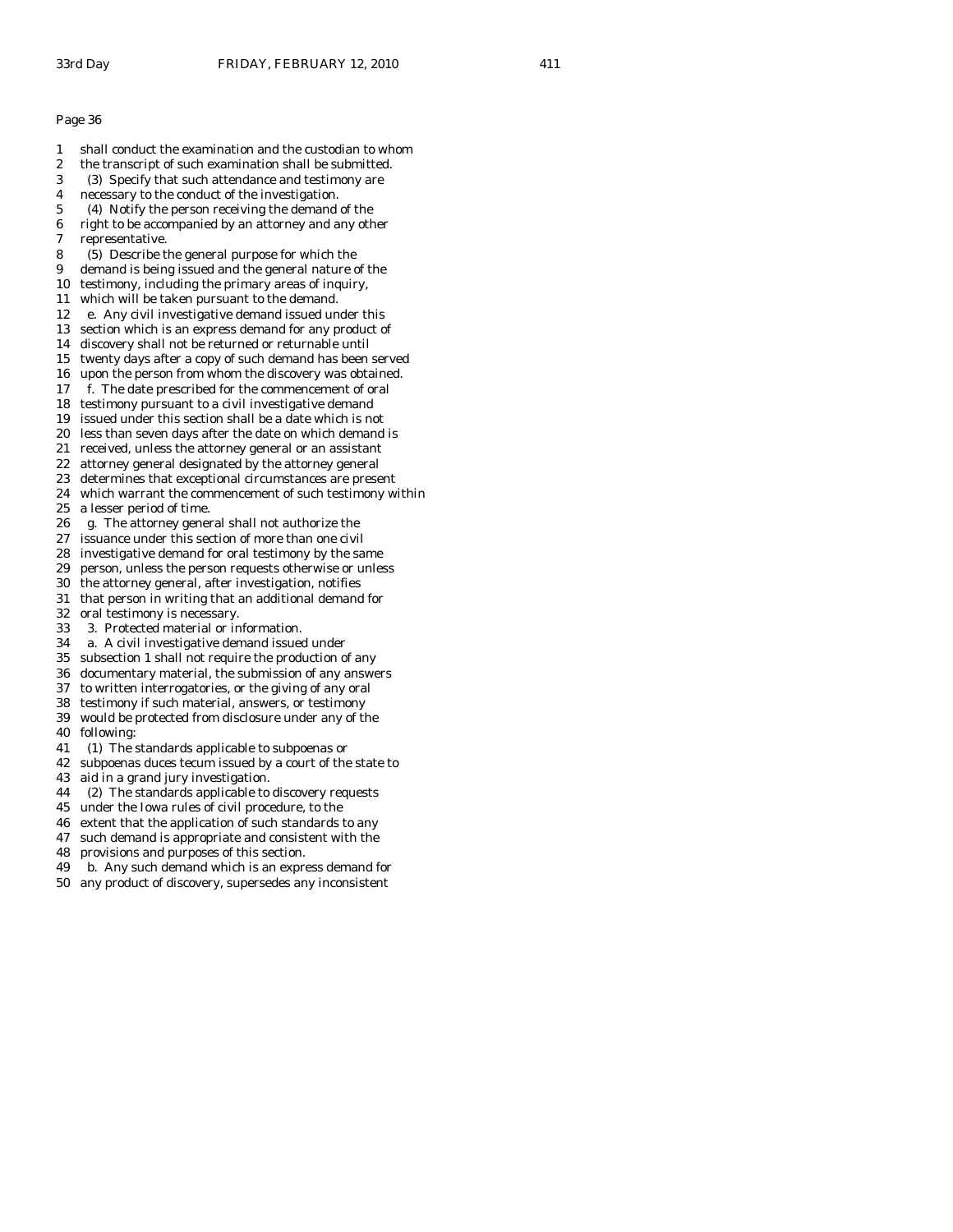- 1 shall conduct the examination and the custodian to whom
- 2 the transcript of such examination shall be submitted.
- 3 (3) Specify that such attendance and testimony are
- 4 necessary to the conduct of the investigation. 5 (4) Notify the person receiving the demand of the
- 6 right to be accompanied by an attorney and any other
- 7 representative.
- 8 (5) Describe the general purpose for which the
- 9 demand is being issued and the general nature of the
- 10 testimony, including the primary areas of inquiry,
- 11 which will be taken pursuant to the demand.
- 12 e. Any civil investigative demand issued under this
- 13 section which is an express demand for any product of
- 14 discovery shall not be returned or returnable until
- 15 twenty days after a copy of such demand has been served
- 16 upon the person from whom the discovery was obtained.
- 17 f. The date prescribed for the commencement of oral
- 18 testimony pursuant to a civil investigative demand 19 issued under this section shall be a date which is not
- 20 less than seven days after the date on which demand is
- 21 received, unless the attorney general or an assistant
- 22 attorney general designated by the attorney general
- 23 determines that exceptional circumstances are present
- 24 which warrant the commencement of such testimony within
- 25 a lesser period of time.
- 26 g. The attorney general shall not authorize the
- 27 issuance under this section of more than one civil
- 28 investigative demand for oral testimony by the same
- 29 person, unless the person requests otherwise or unless
- 30 the attorney general, after investigation, notifies 31 that person in writing that an additional demand for
- 32 oral testimony is necessary.
- 33 3. Protected material or information.
- 
- 34 a. A civil investigative demand issued under subsection 1 shall not require the production of any
- 36 documentary material, the submission of any answers
- 37 to written interrogatories, or the giving of any oral
- 38 testimony if such material, answers, or testimony
- 39 would be protected from disclosure under any of the
- 40 following:
- 41 (1) The standards applicable to subpoenas or
- 42 subpoenas duces tecum issued by a court of the state to
- 43 aid in a grand jury investigation.
- 44 (2) The standards applicable to discovery requests
- 45 under the Iowa rules of civil procedure, to the
- 46 extent that the application of such standards to any
- 47 such demand is appropriate and consistent with the
- 48 provisions and purposes of this section.
- 49 b. Any such demand which is an express demand for
- 50 any product of discovery, supersedes any inconsistent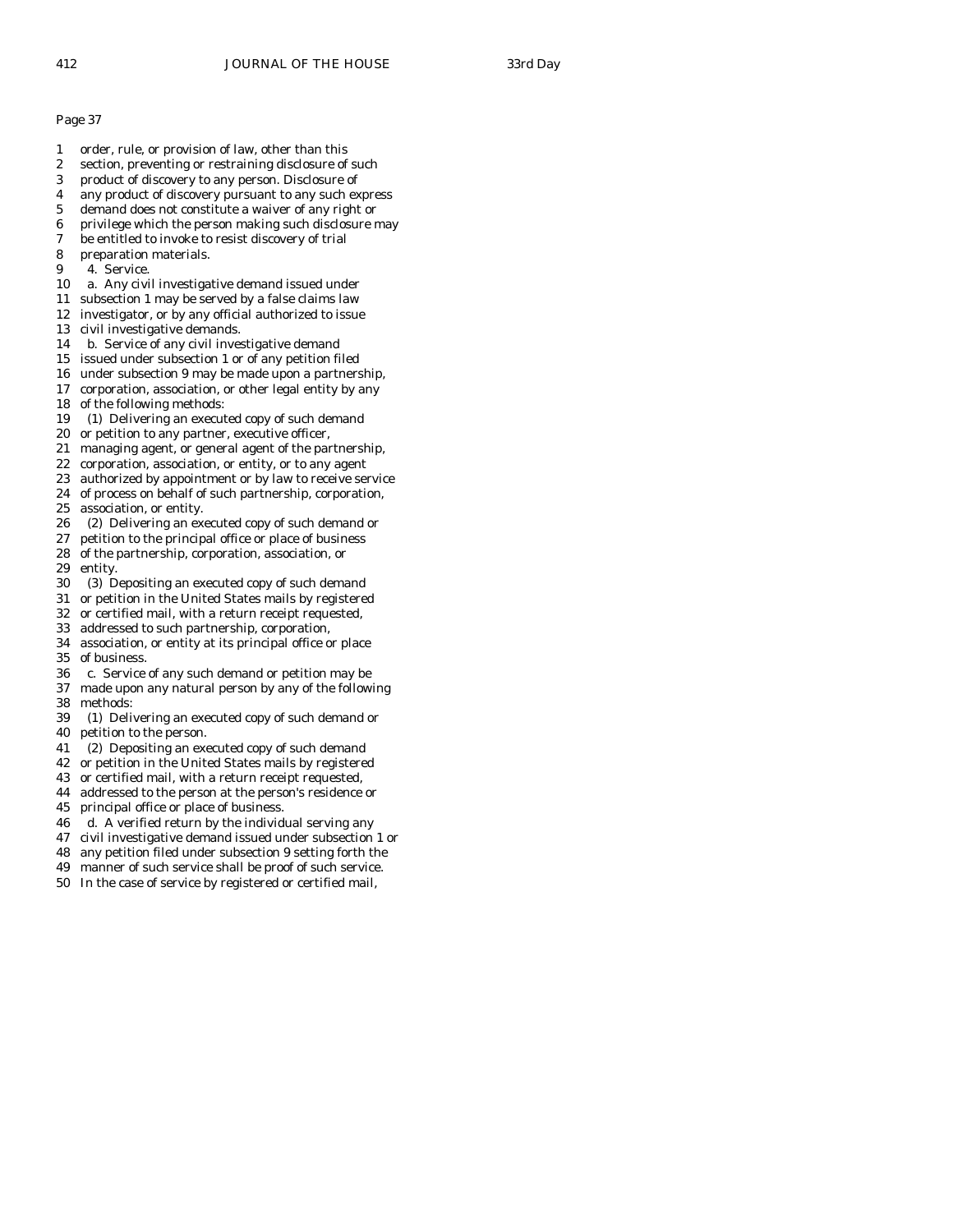- 1 order, rule, or provision of law, other than this
- 2 section, preventing or restraining disclosure of such
- 3 product of discovery to any person. Disclosure of
- 4 any product of discovery pursuant to any such express
- 5 demand does not constitute a waiver of any right or
- 6 privilege which the person making such disclosure may
- 7 be entitled to invoke to resist discovery of trial
- 8 preparation materials.
- 9 4. Service.
- 10 a. Any civil investigative demand issued under
- 11 subsection 1 may be served by a false claims law
- 12 investigator, or by any official authorized to issue
- 13 civil investigative demands.
- 14 b. Service of any civil investigative demand
- 15 issued under subsection 1 or of any petition filed 16 under subsection 9 may be made upon a partnership,
- 17 corporation, association, or other legal entity by any
- 18 of the following methods:
- 19 (1) Delivering an executed copy of such demand
- 20 or petition to any partner, executive officer,
- 21 managing agent, or general agent of the partnership,
- 22 corporation, association, or entity, or to any agent
- 23 authorized by appointment or by law to receive service
- 24 of process on behalf of such partnership, corporation, 25 association, or entity.
- 26 (2) Delivering an executed copy of such demand or
- 27 petition to the principal office or place of business
- 28 of the partnership, corporation, association, or
- entity.
- 30 (3) Depositing an executed copy of such demand
- 31 or petition in the United States mails by registered
- 32 or certified mail, with a return receipt requested,
- 33 addressed to such partnership, corporation,
- 34 association, or entity at its principal office or place of business.
- 36 c. Service of any such demand or petition may be
- 37 made upon any natural person by any of the following 38 methods:
- 39 (1) Delivering an executed copy of such demand or 40 petition to the person.
- 41 (2) Depositing an executed copy of such demand
- 42 or petition in the United States mails by registered
- 43 or certified mail, with a return receipt requested,
- 44 addressed to the person at the person's residence or
- 45 principal office or place of business.
- 46 d. A verified return by the individual serving any
- 47 civil investigative demand issued under subsection 1 or
- 48 any petition filed under subsection 9 setting forth the
- 49 manner of such service shall be proof of such service.
- 50 In the case of service by registered or certified mail,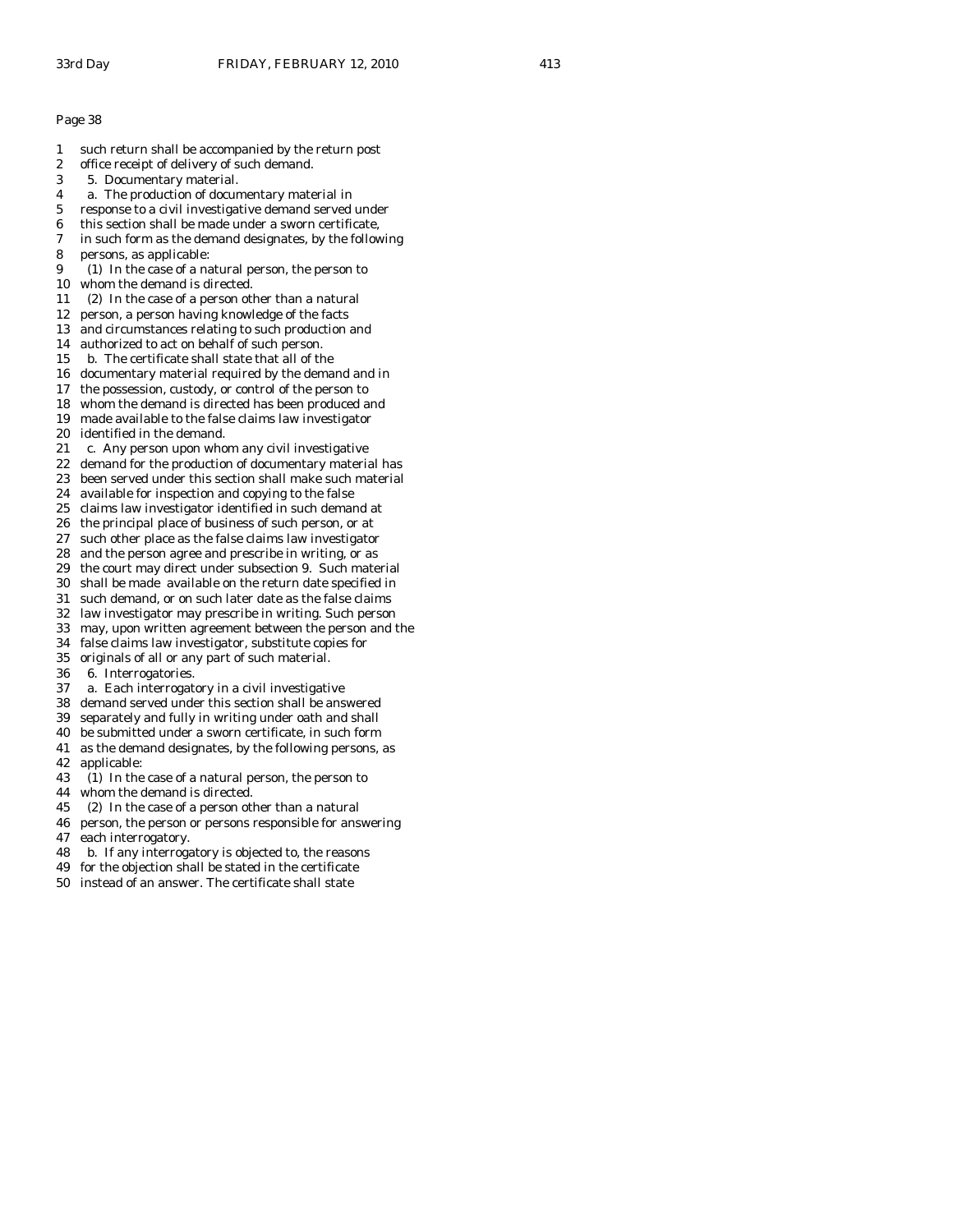- 1 such return shall be accompanied by the return post
- 2 office receipt of delivery of such demand.
- 3 5. Documentary material.
- 4 a. The production of documentary material in
- 5 response to a civil investigative demand served under
- 6 this section shall be made under a sworn certificate,
- 7 in such form as the demand designates, by the following
- 8 persons, as applicable:
- 9 (1) In the case of a natural person, the person to
- 10 whom the demand is directed.
- 11 (2) In the case of a person other than a natural
- 12 person, a person having knowledge of the facts 13 and circumstances relating to such production and
- 
- 14 authorized to act on behalf of such person.
- 15 b. The certificate shall state that all of the
- 16 documentary material required by the demand and in
- 17 the possession, custody, or control of the person to
- 18 whom the demand is directed has been produced and 19 made available to the false claims law investigator
- 
- 20 identified in the demand.
- 21 c. Any person upon whom any civil investigative
- 22 demand for the production of documentary material has
- 23 been served under this section shall make such material
- 24 available for inspection and copying to the false
- 25 claims law investigator identified in such demand at
- 26 the principal place of business of such person, or at 27 such other place as the false claims law investigator
- 28 and the person agree and prescribe in writing, or as
- 29 the court may direct under subsection 9. Such material
- 30 shall be made available on the return date specified in
- 31 such demand, or on such later date as the false claims
- 32 law investigator may prescribe in writing. Such person
- 33 may, upon written agreement between the person and the
- 
- 34 false claims law investigator, substitute copies for originals of all or any part of such material.
- 36 6. Interrogatories.
- 37 a. Each interrogatory in a civil investigative
- 38 demand served under this section shall be answered
- 39 separately and fully in writing under oath and shall
- 40 be submitted under a sworn certificate, in such form
- 41 as the demand designates, by the following persons, as 42 applicable:
- 43 (1) In the case of a natural person, the person to
- 44 whom the demand is directed.
- 45 (2) In the case of a person other than a natural
- 46 person, the person or persons responsible for answering 47 each interrogatory.
- 48 b. If any interrogatory is objected to, the reasons
- 49 for the objection shall be stated in the certificate
- 50 instead of an answer. The certificate shall state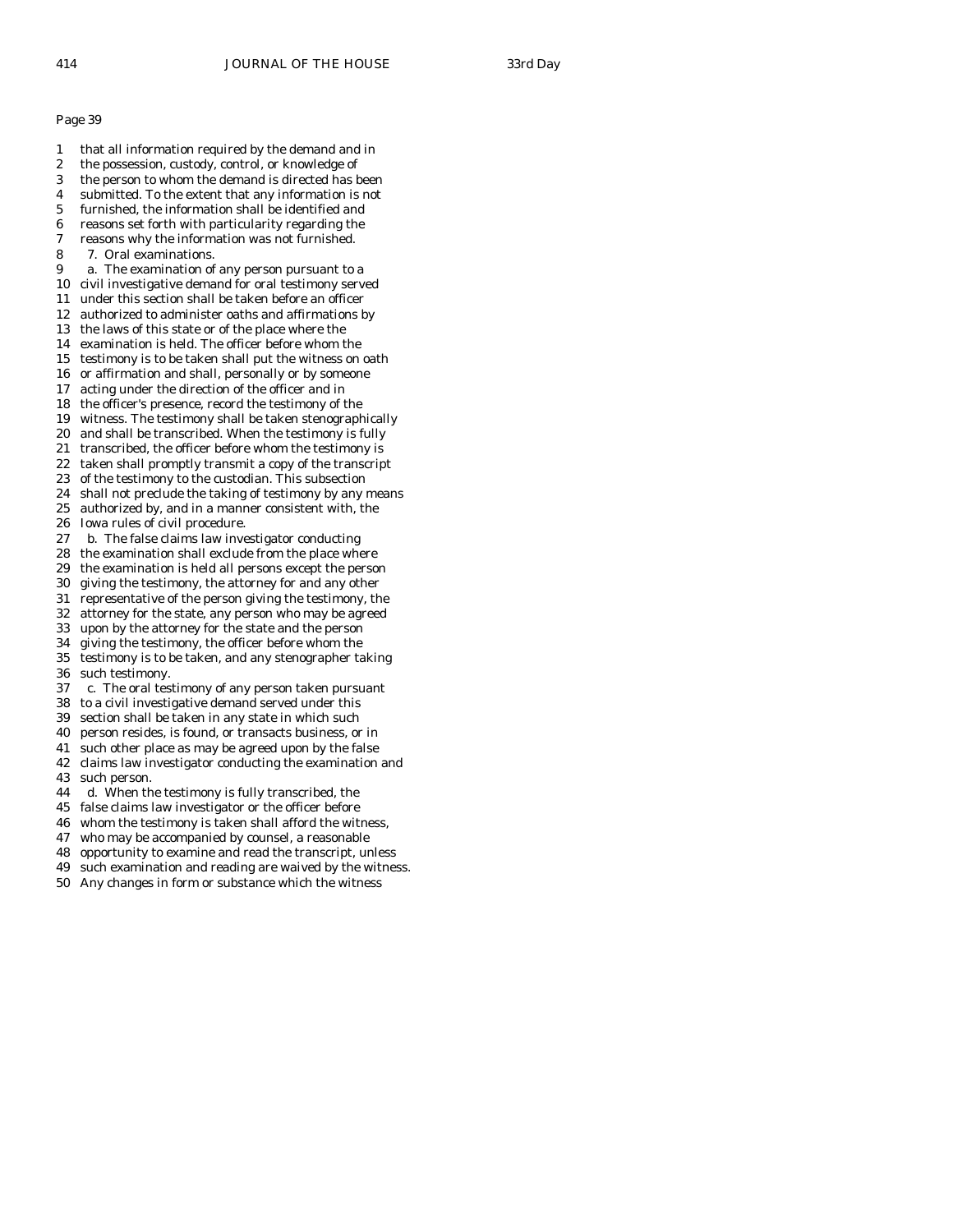- 1 that all information required by the demand and in 2 the possession, custody, control, or knowledge of 3 the person to whom the demand is directed has been 4 submitted. To the extent that any information is not 5 furnished, the information shall be identified and 6 reasons set forth with particularity regarding the 7 reasons why the information was not furnished. 8 7. Oral examinations. 9 a. The examination of any person pursuant to a 10 civil investigative demand for oral testimony served 11 under this section shall be taken before an officer 12 authorized to administer oaths and affirmations by 13 the laws of this state or of the place where the 14 examination is held. The officer before whom the 15 testimony is to be taken shall put the witness on oath 16 or affirmation and shall, personally or by someone 17 acting under the direction of the officer and in 18 the officer's presence, record the testimony of the 19 witness. The testimony shall be taken stenographically 20 and shall be transcribed. When the testimony is fully 21 transcribed, the officer before whom the testimony is 22 taken shall promptly transmit a copy of the transcript 23 of the testimony to the custodian. This subsection 24 shall not preclude the taking of testimony by any means 25 authorized by, and in a manner consistent with, the 26 Iowa rules of civil procedure. 27 b. The false claims law investigator conducting 28 the examination shall exclude from the place where 29 the examination is held all persons except the person 30 giving the testimony, the attorney for and any other 31 representative of the person giving the testimony, the 32 attorney for the state, any person who may be agreed 33 upon by the attorney for the state and the person 34 giving the testimony, the officer before whom the testimony is to be taken, and any stenographer taking 36 such testimony. 37 c. The oral testimony of any person taken pursuant 38 to a civil investigative demand served under this 39 section shall be taken in any state in which such 40 person resides, is found, or transacts business, or in 41 such other place as may be agreed upon by the false 42 claims law investigator conducting the examination and
- 43 such person.
- 44 d. When the testimony is fully transcribed, the
- 45 false claims law investigator or the officer before
- 46 whom the testimony is taken shall afford the witness,
- 47 who may be accompanied by counsel, a reasonable
- 48 opportunity to examine and read the transcript, unless
- 49 such examination and reading are waived by the witness.
- 50 Any changes in form or substance which the witness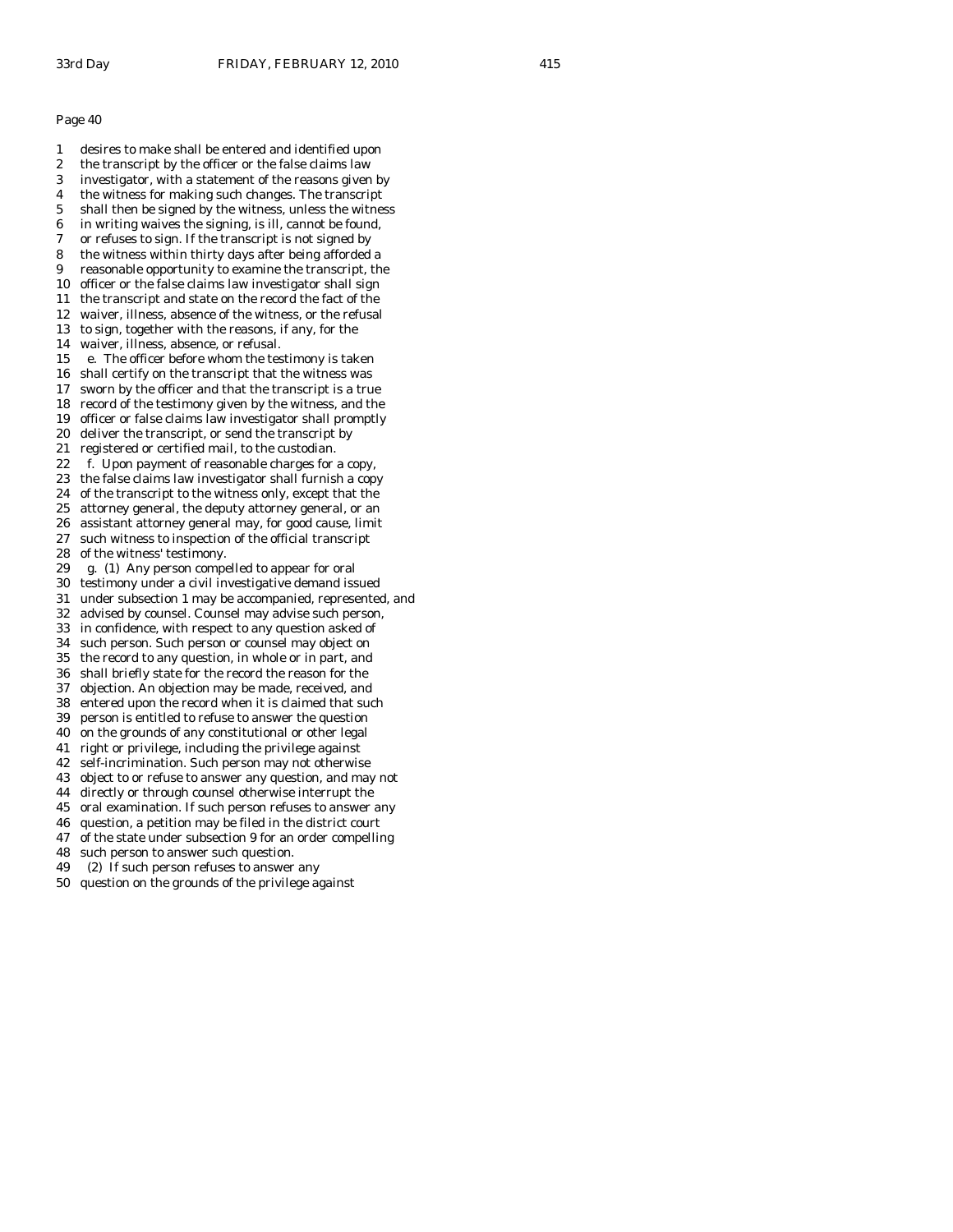1 desires to make shall be entered and identified upon 2 the transcript by the officer or the false claims law 3 investigator, with a statement of the reasons given by 4 the witness for making such changes. The transcript 5 shall then be signed by the witness, unless the witness 6 in writing waives the signing, is ill, cannot be found, 7 or refuses to sign. If the transcript is not signed by 8 the witness within thirty days after being afforded a 9 reasonable opportunity to examine the transcript, the 10 officer or the false claims law investigator shall sign 11 the transcript and state on the record the fact of the 12 waiver, illness, absence of the witness, or the refusal 13 to sign, together with the reasons, if any, for the 14 waiver, illness, absence, or refusal. 15 e. The officer before whom the testimony is taken 16 shall certify on the transcript that the witness was 17 sworn by the officer and that the transcript is a true 18 record of the testimony given by the witness, and the 19 officer or false claims law investigator shall promptly 20 deliver the transcript, or send the transcript by 21 registered or certified mail, to the custodian. 22 f. Upon payment of reasonable charges for a copy, 23 the false claims law investigator shall furnish a copy 24 of the transcript to the witness only, except that the 25 attorney general, the deputy attorney general, or an 26 assistant attorney general may, for good cause, limit 27 such witness to inspection of the official transcript 28 of the witness' testimony. 29 g. (1) Any person compelled to appear for oral 30 testimony under a civil investigative demand issued 31 under subsection 1 may be accompanied, represented, and 32 advised by counsel. Counsel may advise such person, 33 in confidence, with respect to any question asked of 34 such person. Such person or counsel may object on the record to any question, in whole or in part, and 36 shall briefly state for the record the reason for the 37 objection. An objection may be made, received, and 38 entered upon the record when it is claimed that such 39 person is entitled to refuse to answer the question 40 on the grounds of any constitutional or other legal 41 right or privilege, including the privilege against 42 self-incrimination. Such person may not otherwise 43 object to or refuse to answer any question, and may not 44 directly or through counsel otherwise interrupt the 45 oral examination. If such person refuses to answer any 46 question, a petition may be filed in the district court 47 of the state under subsection 9 for an order compelling 48 such person to answer such question. 49 (2) If such person refuses to answer any 50 question on the grounds of the privilege against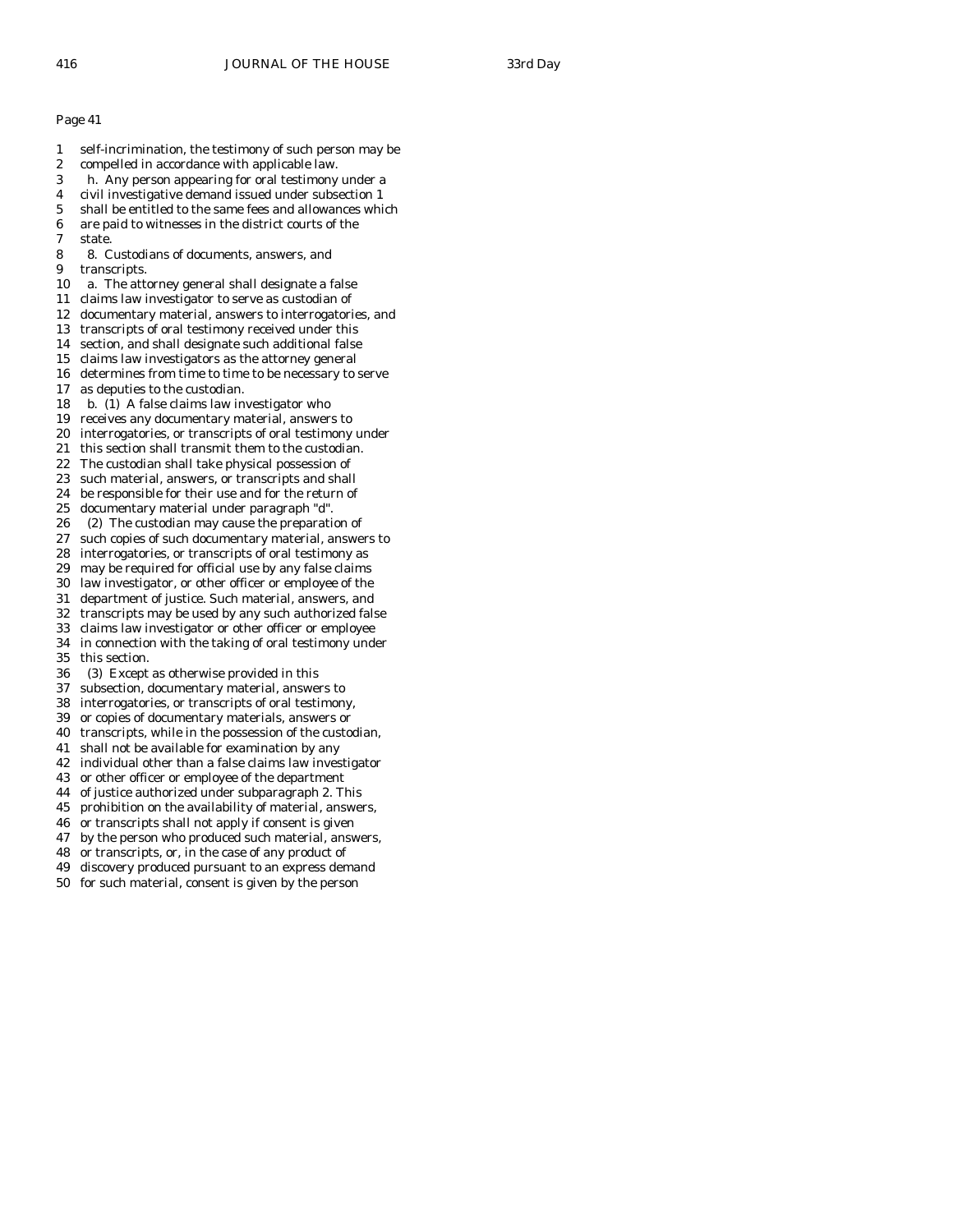- 1 self-incrimination, the testimony of such person may be
- 2 compelled in accordance with applicable law.
- 3 h. Any person appearing for oral testimony under a
- 4 civil investigative demand issued under subsection 1
- 5 shall be entitled to the same fees and allowances which
- 6 are paid to witnesses in the district courts of the
- 7 state.
- 8 8. Custodians of documents, answers, and 9 transcripts.
- 10 a. The attorney general shall designate a false
- 11 claims law investigator to serve as custodian of
- 12 documentary material, answers to interrogatories, and
- 13 transcripts of oral testimony received under this
- 14 section, and shall designate such additional false
- 15 claims law investigators as the attorney general
- 16 determines from time to time to be necessary to serve
- 17 as deputies to the custodian.
- 18 b. (1) A false claims law investigator who
- 19 receives any documentary material, answers to
- 20 interrogatories, or transcripts of oral testimony under
- 21 this section shall transmit them to the custodian.
- 22 The custodian shall take physical possession of
- 23 such material, answers, or transcripts and shall
- 24 be responsible for their use and for the return of
- 25 documentary material under paragraph "d".
- 26 (2) The custodian may cause the preparation of
- 27 such copies of such documentary material, answers to
- 28 interrogatories, or transcripts of oral testimony as 29 may be required for official use by any false claims
- 30 law investigator, or other officer or employee of the
- 31 department of justice. Such material, answers, and
- 32 transcripts may be used by any such authorized false
- 33 claims law investigator or other officer or employee
- 34 in connection with the taking of oral testimony under this section.
- 36 (3) Except as otherwise provided in this
- 37 subsection, documentary material, answers to
- 38 interrogatories, or transcripts of oral testimony,
- 39 or copies of documentary materials, answers or
- 40 transcripts, while in the possession of the custodian,
- 41 shall not be available for examination by any
- 42 individual other than a false claims law investigator
- 43 or other officer or employee of the department
- 44 of justice authorized under subparagraph 2. This
- 45 prohibition on the availability of material, answers,
- 46 or transcripts shall not apply if consent is given
- 47 by the person who produced such material, answers,
- 48 or transcripts, or, in the case of any product of
- 49 discovery produced pursuant to an express demand
- 50 for such material, consent is given by the person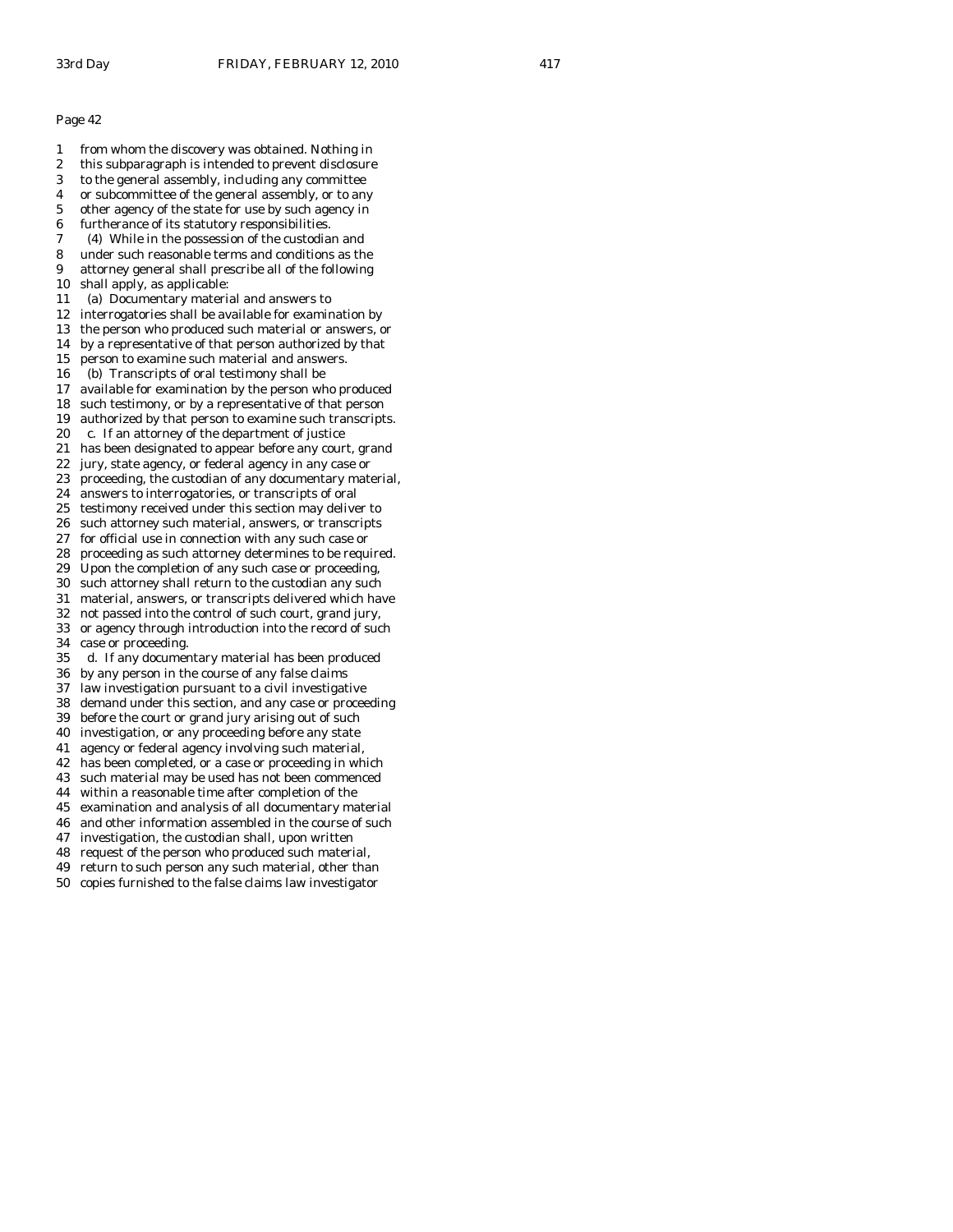1 from whom the discovery was obtained. Nothing in 2 this subparagraph is intended to prevent disclosure 3 to the general assembly, including any committee 4 or subcommittee of the general assembly, or to any 5 other agency of the state for use by such agency in 6 furtherance of its statutory responsibilities. 7 (4) While in the possession of the custodian and 8 under such reasonable terms and conditions as the 9 attorney general shall prescribe all of the following 10 shall apply, as applicable: 11 (a) Documentary material and answers to 12 interrogatories shall be available for examination by 13 the person who produced such material or answers, or 14 by a representative of that person authorized by that 15 person to examine such material and answers. 16 (b) Transcripts of oral testimony shall be 17 available for examination by the person who produced 18 such testimony, or by a representative of that person 19 authorized by that person to examine such transcripts. 20 c. If an attorney of the department of justice 21 has been designated to appear before any court, grand 22 jury, state agency, or federal agency in any case or 23 proceeding, the custodian of any documentary material, 24 answers to interrogatories, or transcripts of oral 25 testimony received under this section may deliver to 26 such attorney such material, answers, or transcripts 27 for official use in connection with any such case or 28 proceeding as such attorney determines to be required. 29 Upon the completion of any such case or proceeding, 30 such attorney shall return to the custodian any such 31 material, answers, or transcripts delivered which have 32 not passed into the control of such court, grand jury, 33 or agency through introduction into the record of such 34 case or proceeding.<br>35 d. If any documer d. If any documentary material has been produced 36 by any person in the course of any false claims 37 law investigation pursuant to a civil investigative 38 demand under this section, and any case or proceeding 39 before the court or grand jury arising out of such 40 investigation, or any proceeding before any state 41 agency or federal agency involving such material, 42 has been completed, or a case or proceeding in which 43 such material may be used has not been commenced 44 within a reasonable time after completion of the 45 examination and analysis of all documentary material 46 and other information assembled in the course of such 47 investigation, the custodian shall, upon written

48 request of the person who produced such material,

49 return to such person any such material, other than

50 copies furnished to the false claims law investigator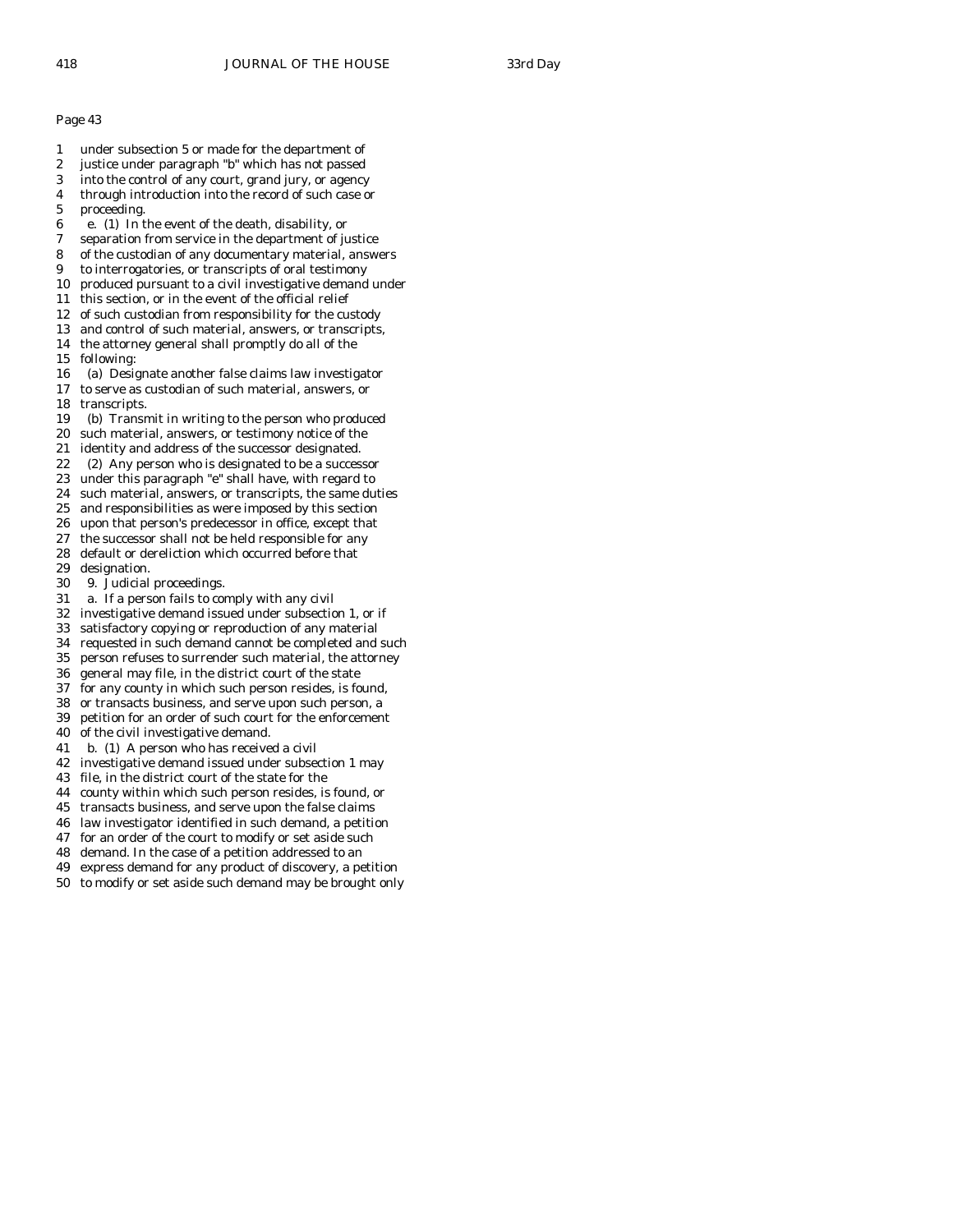- 1 under subsection 5 or made for the department of
- 2 justice under paragraph "b" which has not passed
- 3 into the control of any court, grand jury, or agency
- 4 through introduction into the record of such case or
- 5 proceeding.
- 6 e. (1) In the event of the death, disability, or
- 7 separation from service in the department of justice
- 8 of the custodian of any documentary material, answers
- 9 to interrogatories, or transcripts of oral testimony
- 10 produced pursuant to a civil investigative demand under
- 11 this section, or in the event of the official relief
- 12 of such custodian from responsibility for the custody
- 13 and control of such material, answers, or transcripts,
- 14 the attorney general shall promptly do all of the
- 15 following:
- 16 (a) Designate another false claims law investigator 17 to serve as custodian of such material, answers, or
- 18 transcripts.
- 19 (b) Transmit in writing to the person who produced
- 20 such material, answers, or testimony notice of the
- 21 identity and address of the successor designated.
- 22 (2) Any person who is designated to be a successor
- 23 under this paragraph "e" shall have, with regard to
- 24 such material, answers, or transcripts, the same duties
- 25 and responsibilities as were imposed by this section
- 26 upon that person's predecessor in office, except that
- 27 the successor shall not be held responsible for any 28 default or dereliction which occurred before that
- 29 designation.
- 30 9. Judicial proceedings.
- 31 a. If a person fails to comply with any civil
- 32 investigative demand issued under subsection 1, or if
- 33 satisfactory copying or reproduction of any material
- 34 requested in such demand cannot be completed and such
- person refuses to surrender such material, the attorney
- 36 general may file, in the district court of the state
- 37 for any county in which such person resides, is found,
- 38 or transacts business, and serve upon such person, a
- 39 petition for an order of such court for the enforcement
- 40 of the civil investigative demand.
- 41 b. (1) A person who has received a civil
- 42 investigative demand issued under subsection 1 may
- 43 file, in the district court of the state for the
- 44 county within which such person resides, is found, or
- 45 transacts business, and serve upon the false claims
- 46 law investigator identified in such demand, a petition
- 47 for an order of the court to modify or set aside such
- 48 demand. In the case of a petition addressed to an
- 49 express demand for any product of discovery, a petition
- 50 to modify or set aside such demand may be brought only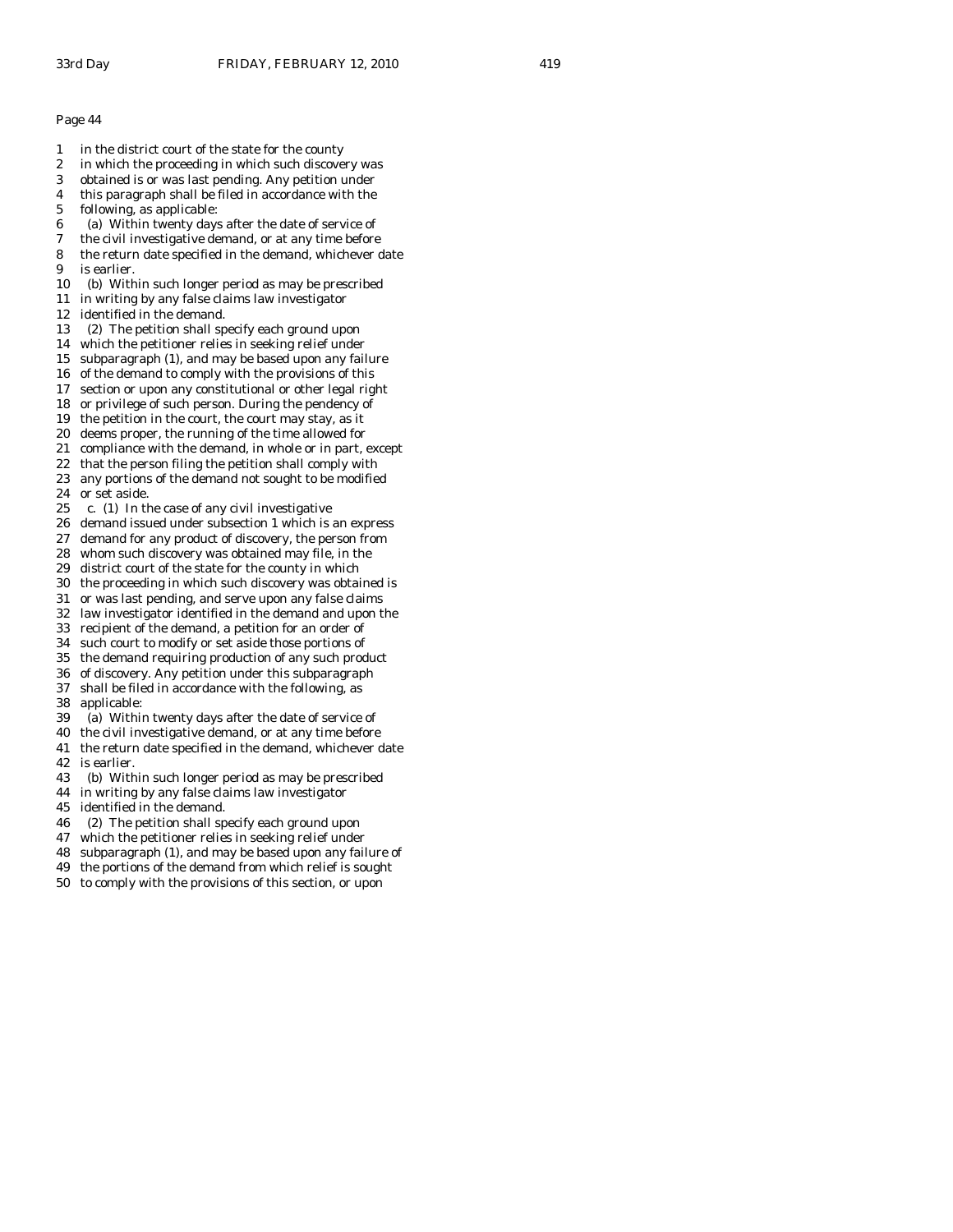- 1 in the district court of the state for the county
- 2 in which the proceeding in which such discovery was
- 3 obtained is or was last pending. Any petition under
- 4 this paragraph shall be filed in accordance with the
- 5 following, as applicable:
- 6 (a) Within twenty days after the date of service of
- 7 the civil investigative demand, or at any time before
- 8 the return date specified in the demand, whichever date 9 is earlier.
- 10 (b) Within such longer period as may be prescribed
- 11 in writing by any false claims law investigator
- 12 identified in the demand.
- 13 (2) The petition shall specify each ground upon
- 14 which the petitioner relies in seeking relief under
- 15 subparagraph (1), and may be based upon any failure
- 16 of the demand to comply with the provisions of this
- 17 section or upon any constitutional or other legal right 18 or privilege of such person. During the pendency of
- 19 the petition in the court, the court may stay, as it
- 20 deems proper, the running of the time allowed for
- 21 compliance with the demand, in whole or in part, except
- 22 that the person filing the petition shall comply with
- 23 any portions of the demand not sought to be modified
- 24 or set aside.
- 25 c. (1) In the case of any civil investigative
- 26 demand issued under subsection 1 which is an express
- 27 demand for any product of discovery, the person from
- 28 whom such discovery was obtained may file, in the
- 29 district court of the state for the county in which
- 30 the proceeding in which such discovery was obtained is
- 31 or was last pending, and serve upon any false claims 32 law investigator identified in the demand and upon the
- 33 recipient of the demand, a petition for an order of
- 34 such court to modify or set aside those portions of
- 35 the demand requiring production of any such product
- 36 of discovery. Any petition under this subparagraph
- 37 shall be filed in accordance with the following, as
- 38 applicable:
- 39 (a) Within twenty days after the date of service of
- 40 the civil investigative demand, or at any time before
- 41 the return date specified in the demand, whichever date 42 is earlier.
- 43 (b) Within such longer period as may be prescribed
- 44 in writing by any false claims law investigator
- 45 identified in the demand.
- 46 (2) The petition shall specify each ground upon
- 47 which the petitioner relies in seeking relief under
- 48 subparagraph (1), and may be based upon any failure of
- 49 the portions of the demand from which relief is sought
- 50 to comply with the provisions of this section, or upon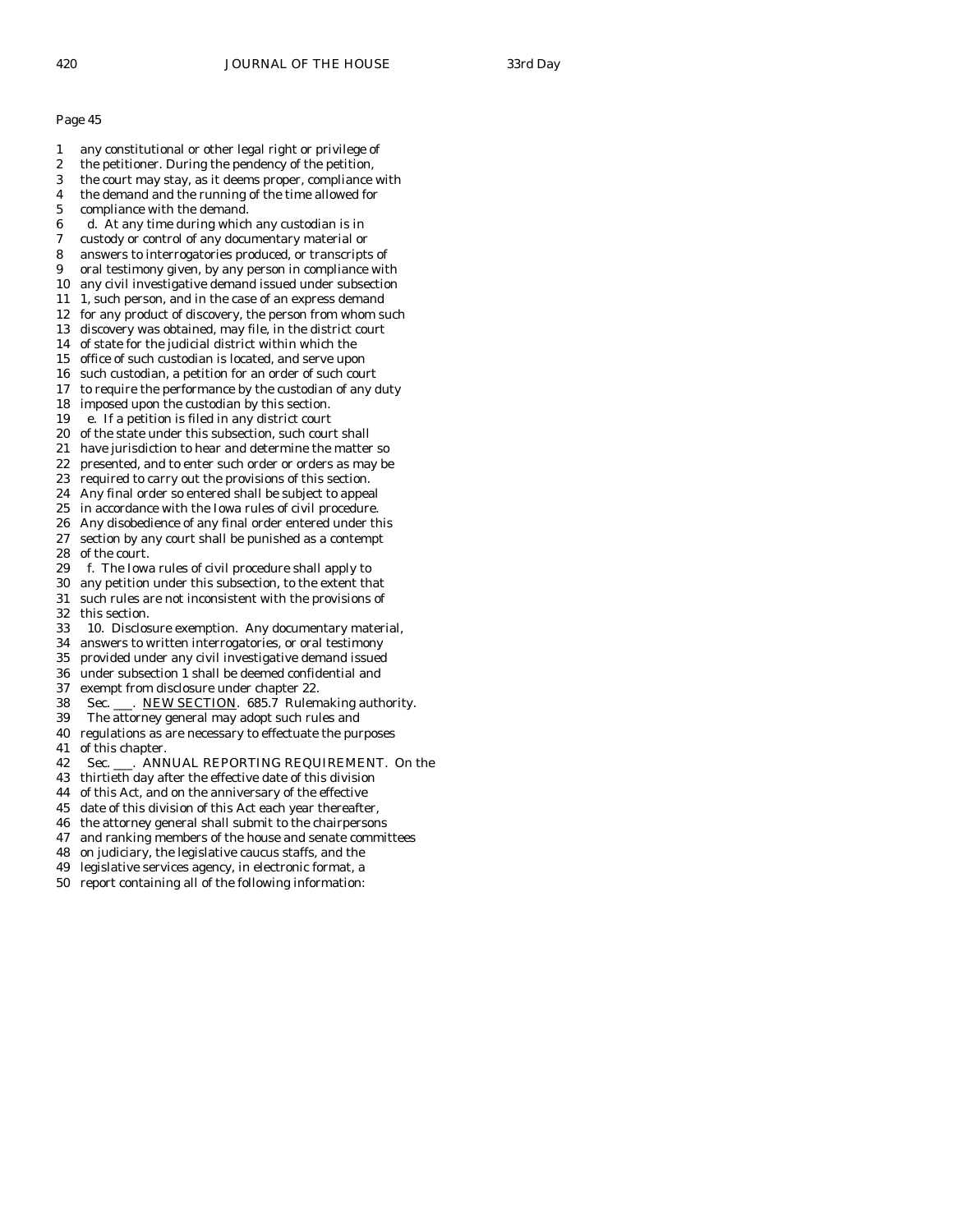- 1 any constitutional or other legal right or privilege of
- 2 the petitioner. During the pendency of the petition,
- 3 the court may stay, as it deems proper, compliance with
- 4 the demand and the running of the time allowed for
- 5 compliance with the demand.
- 6 d. At any time during which any custodian is in
- 7 custody or control of any documentary material or
- 8 answers to interrogatories produced, or transcripts of
- 9 oral testimony given, by any person in compliance with
- 10 any civil investigative demand issued under subsection
- 11 1, such person, and in the case of an express demand
- 12 for any product of discovery, the person from whom such
- 13 discovery was obtained, may file, in the district court
- 14 of state for the judicial district within which the
- 15 office of such custodian is located, and serve upon 16 such custodian, a petition for an order of such court
- 17 to require the performance by the custodian of any duty
- 18 imposed upon the custodian by this section.
- 19 e. If a petition is filed in any district court
- 20 of the state under this subsection, such court shall
- 21 have jurisdiction to hear and determine the matter so
- 22 presented, and to enter such order or orders as may be
- 23 required to carry out the provisions of this section.
- 24 Any final order so entered shall be subject to appeal
- 25 in accordance with the Iowa rules of civil procedure.
- 26 Any disobedience of any final order entered under this 27 section by any court shall be punished as a contempt
- 28 of the court.
- 29 f. The Iowa rules of civil procedure shall apply to
- 30 any petition under this subsection, to the extent that
- 31 such rules are not inconsistent with the provisions of 32 this section.
- 33 10. Disclosure exemption. Any documentary material,
- 34 answers to written interrogatories, or oral testimony
- provided under any civil investigative demand issued
- 36 under subsection 1 shall be deemed confidential and
- 37 exempt from disclosure under chapter 22.
- 38 Sec. \_\_\_. NEW SECTION. 685.7 Rulemaking authority.
- 39 The attorney general may adopt such rules and
- 40 regulations as are necessary to effectuate the purposes
- 41 of this chapter.
- 42 Sec. \_\_\_. ANNUAL REPORTING REQUIREMENT. On the
- 43 thirtieth day after the effective date of this division
- 44 of this Act, and on the anniversary of the effective
- 45 date of this division of this Act each year thereafter,
- 46 the attorney general shall submit to the chairpersons
- 47 and ranking members of the house and senate committees
- 48 on judiciary, the legislative caucus staffs, and the
- 49 legislative services agency, in electronic format, a
- 50 report containing all of the following information: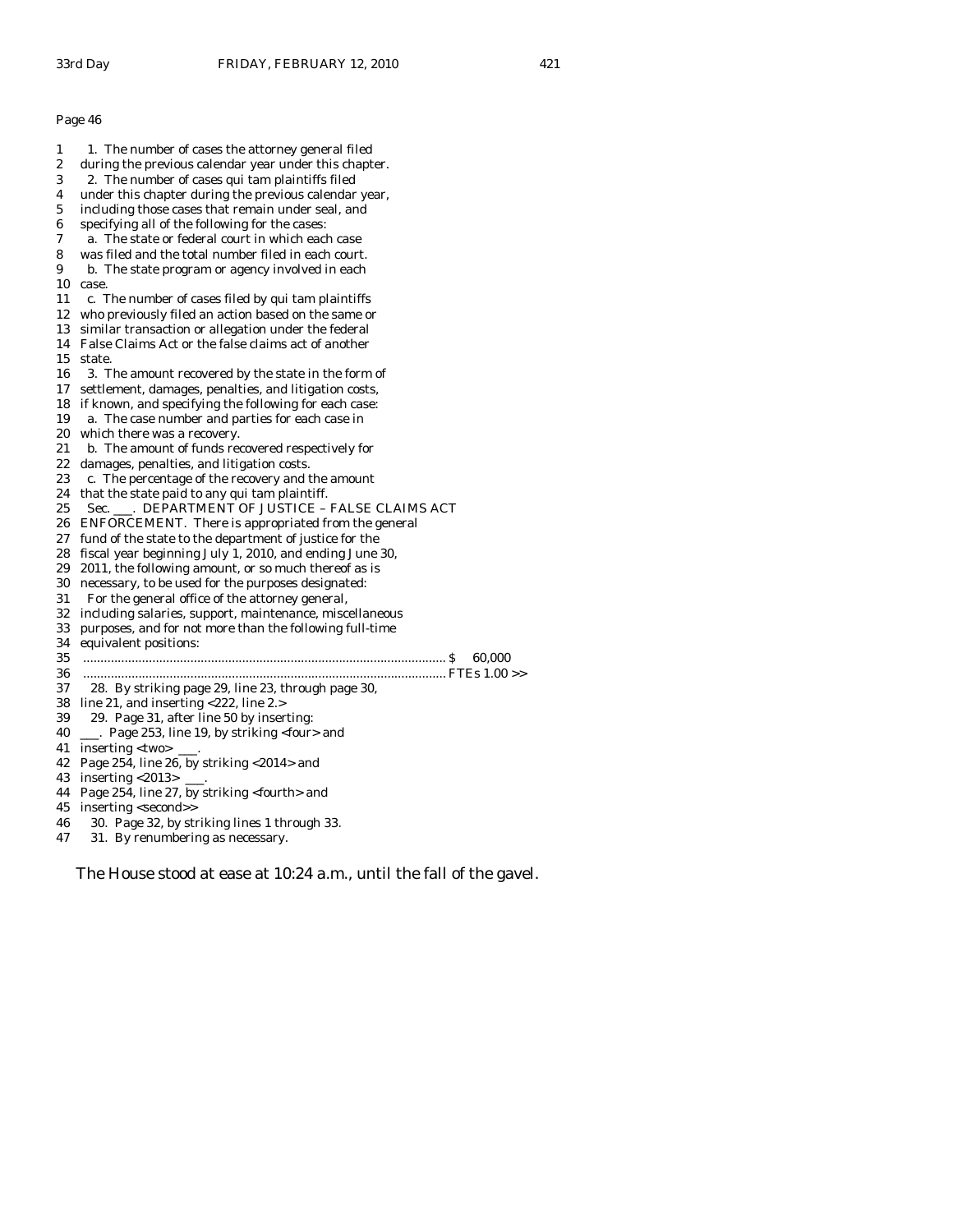1 1. The number of cases the attorney general filed 2 during the previous calendar year under this chapter. 3 2. The number of cases qui tam plaintiffs filed 4 under this chapter during the previous calendar year, 5 including those cases that remain under seal, and 6 specifying all of the following for the cases: 7 a. The state or federal court in which each case 8 was filed and the total number filed in each court. 9 b. The state program or agency involved in each 10 case. 11 c. The number of cases filed by qui tam plaintiffs 12 who previously filed an action based on the same or 13 similar transaction or allegation under the federal 14 False Claims Act or the false claims act of another 15 state. 16 3. The amount recovered by the state in the form of 17 settlement, damages, penalties, and litigation costs, 18 if known, and specifying the following for each case: 19 a. The case number and parties for each case in 20 which there was a recovery. 21 b. The amount of funds recovered respectively for 22 damages, penalties, and litigation costs. 23 c. The percentage of the recovery and the amount 24 that the state paid to any qui tam plaintiff. 25 Sec. \_\_\_. DEPARTMENT OF JUSTICE – FALSE CLAIMS ACT 26 ENFORCEMENT. There is appropriated from the general 27 fund of the state to the department of justice for the 28 fiscal year beginning July 1, 2010, and ending June 30, 29 2011, the following amount, or so much thereof as is 30 necessary, to be used for the purposes designated: 31 For the general office of the attorney general, 32 including salaries, support, maintenance, miscellaneous 33 purposes, and for not more than the following full-time 34 equivalent positions: 35 ......................................................................................................... \$ 60,000 36 ......................................................................................................... FTEs 1.00 >> 37 28. By striking page 29, line 23, through page 30, 38 line 21, and inserting <222, line 2.> 39 29. Page 31, after line 50 by inserting: 40 \_\_\_. Page 253, line 19, by striking <four> and 41 inserting <two> \_\_\_. 42 Page 254, line 26, by striking <2014> and 43 inserting <2013> \_\_\_. 44 Page 254, line 27, by striking <fourth> and 45 inserting <second>> 46 30. Page 32, by striking lines 1 through 33. 47 31. By renumbering as necessary.

The House stood at ease at 10:24 a.m., until the fall of the gavel.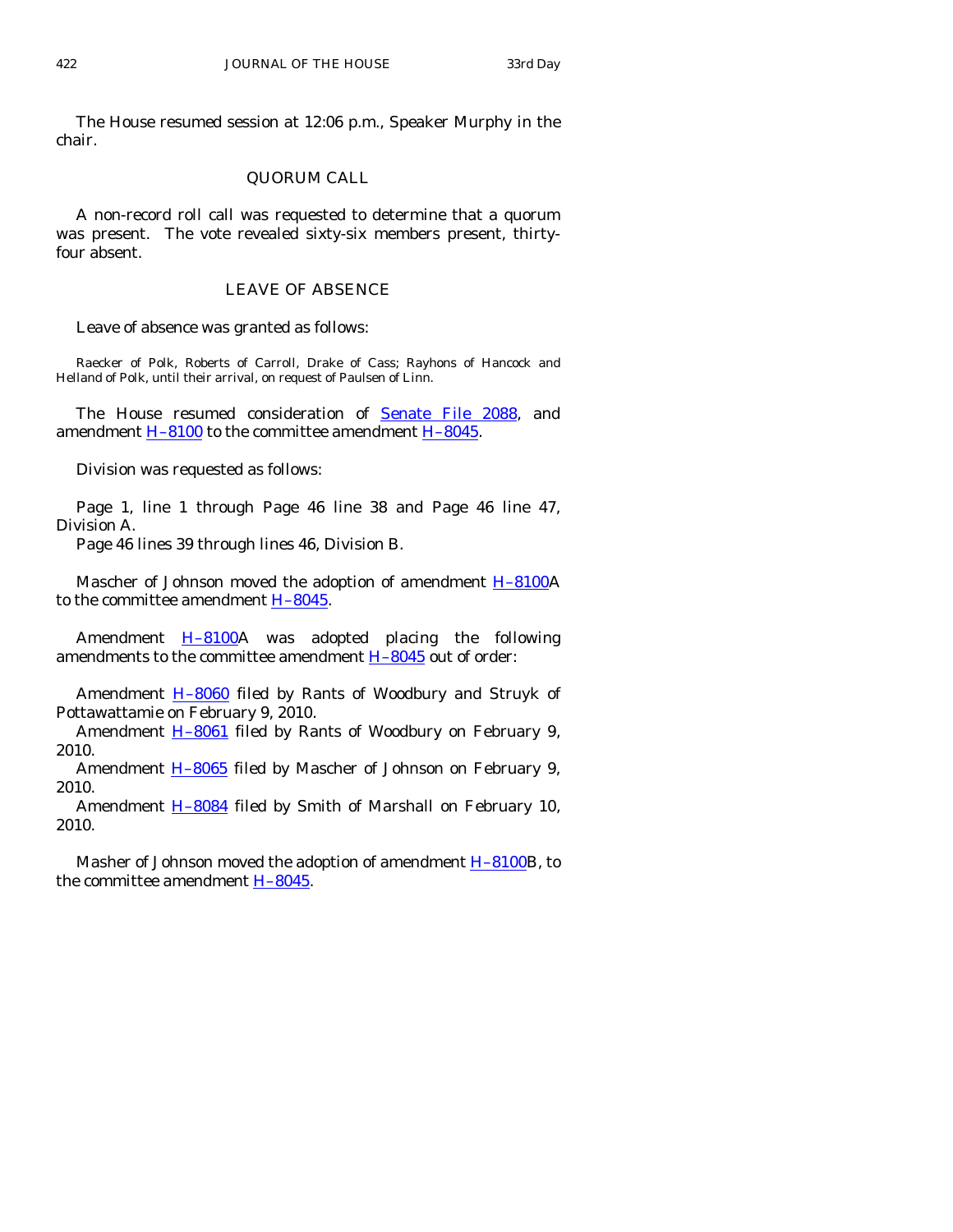The House resumed session at 12:06 p.m., Speaker Murphy in the chair.

# QUORUM CALL

 A non-record roll call was requested to determine that a quorum was present. The vote revealed sixty-six members present, thirtyfour absent.

## LEAVE OF ABSENCE

Leave of absence was granted as follows:

Raecker of Polk, Roberts of Carroll, Drake of Cass; Rayhons of Hancock and Helland of Polk, until their arrival, on request of Paulsen of Linn.

 The House resumed consideration of [Senate File 2088](http://coolice.legis.state.ia.us/Cool-ICE/default.asp?Category=billinfo&Service=Billbook&frame=1&GA=83&hbill=SF2088), and amendment [H–8100](http://coolice.legis.state.ia.us/Cool-ICE/default.asp?Category=billinfo&Service=Billbook&frame=1&GA=83&hbill=H8100) to the committee amendment [H–8045](http://coolice.legis.state.ia.us/Cool-ICE/default.asp?Category=billinfo&Service=Billbook&frame=1&GA=83&hbill=H8045).

Division was requested as follows:

 Page 1, line 1 through Page 46 line 38 and Page 46 line 47, Division A.

Page 46 lines 39 through lines 46, Division B.

 Mascher of Johnson moved the adoption of amendment [H–8100A](http://coolice.legis.state.ia.us/Cool-ICE/default.asp?Category=billinfo&Service=Billbook&frame=1&GA=83&hbill=H8100) to the committee amendment [H–8045.](http://coolice.legis.state.ia.us/Cool-ICE/default.asp?Category=billinfo&Service=Billbook&frame=1&GA=83&hbill=H8045)

Amendment  $H-8100A$  was adopted placing the following amendments to the committee amendment  $H-8045$  out of order:

Amendment **H-8060** filed by Rants of Woodbury and Struyk of Pottawattamie on February 9, 2010.

Amendment **H-8061** filed by Rants of Woodbury on February 9, 2010.

Amendment H-8065 filed by Mascher of Johnson on February 9, 2010.

Amendment **H-8084** filed by Smith of Marshall on February 10, 2010.

Masher of Johnson moved the adoption of amendment **H-8100B**, to the committee amendment  $H-8045$ .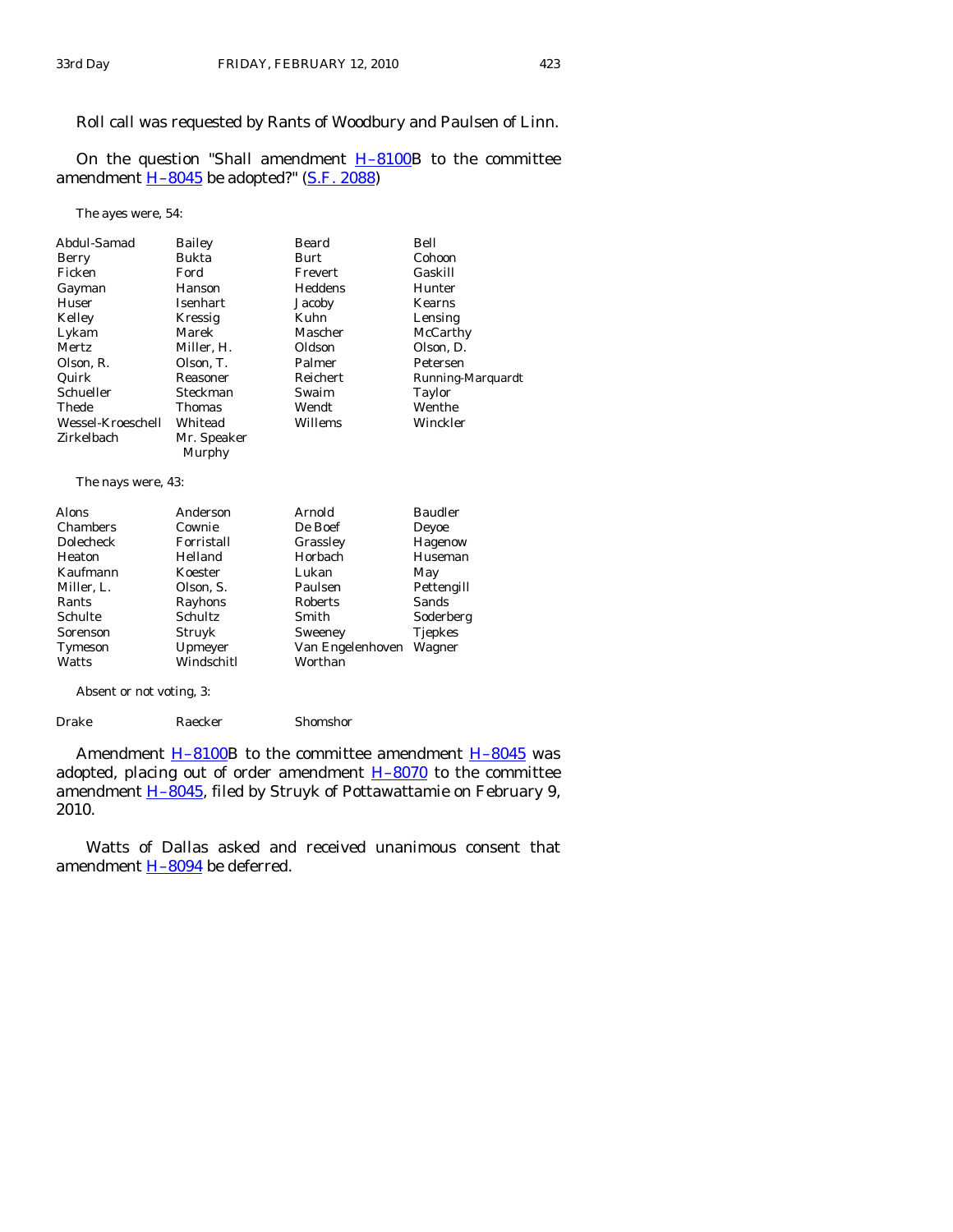# Roll call was requested by Rants of Woodbury and Paulsen of Linn.

On the question "Shall amendment  $H-8100B$  to the committee amendment **H-8045** be adopted?" [\(S.F. 2088\)](http://coolice.legis.state.ia.us/Cool-ICE/default.asp?Category=billinfo&Service=Billbook&frame=1&GA=83&hbill=SF2088)

The ayes were, 54:

| Abdul-Samad        | Bailey          | Beard            | Bell              |
|--------------------|-----------------|------------------|-------------------|
| Berry              | Bukta           | Burt             | Cohoon            |
| Ficken             | Ford            | Frevert          | Gaskill           |
| Gayman             | Hanson          | Heddens          | Hunter            |
| Huser              | <b>Isenhart</b> | Jacoby           | <b>Kearns</b>     |
| Kelley             | Kressig         | Kuhn             | Lensing           |
| Lykam              | Marek           | Mascher          | McCarthy          |
| Mertz              | Miller, H.      | Oldson           | Olson, D.         |
| Olson, R.          | Olson, T.       | Palmer           | Petersen          |
| Quirk              | Reasoner        | Reichert         | Running-Marquardt |
| Schueller          | Steckman        | Swaim            | <b>Taylor</b>     |
| Thede              | Thomas          | Wendt            | Wenthe            |
| Wessel-Kroeschell  | Whitead         | Willems          | Winckler          |
| Zirkelbach         | Mr. Speaker     |                  |                   |
|                    | Murphy          |                  |                   |
|                    |                 |                  |                   |
| The nays were, 43: |                 |                  |                   |
| Alons              | Anderson        | Arnold           | <b>Baudler</b>    |
| <b>Chambers</b>    | Cownie          | De Boef          | Deyoe             |
| Dolecheck          | Forristall      | Grassley         | Hagenow           |
| Heaton             | Helland         | Horbach          | Huseman           |
| Kaufmann           | Koester         | Lukan            | May               |
| Miller, L.         | Olson, S.       | Paulsen          | Pettengill        |
| Rants              | Rayhons         | Roberts          | Sands             |
| Schulte            | Schultz         | Smith            | Soderberg         |
| Sorenson           | Struyk          | Sweeney          | <b>Tjepkes</b>    |
| Tymeson            | Upmeyer         | Van Engelenhoven | Wagner            |
| Watts              | Windschitl      | Worthan          |                   |
|                    |                 |                  |                   |

Absent or not voting, 3:

Drake Raecker Shomshor

Amendment  $H-8100B$  to the committee amendment  $H-8045$  was adopted, placing out of order amendment  $H-8070$  to the committee amendment [H–8045](http://coolice.legis.state.ia.us/Cool-ICE/default.asp?Category=billinfo&Service=Billbook&frame=1&GA=83&hbill=H8045), filed by Struyk of Pottawattamie on February 9, 2010.

 Watts of Dallas asked and received unanimous consent that amendment [H–8094](http://coolice.legis.state.ia.us/Cool-ICE/default.asp?Category=billinfo&Service=Billbook&frame=1&GA=83&hbill=H8094) be deferred.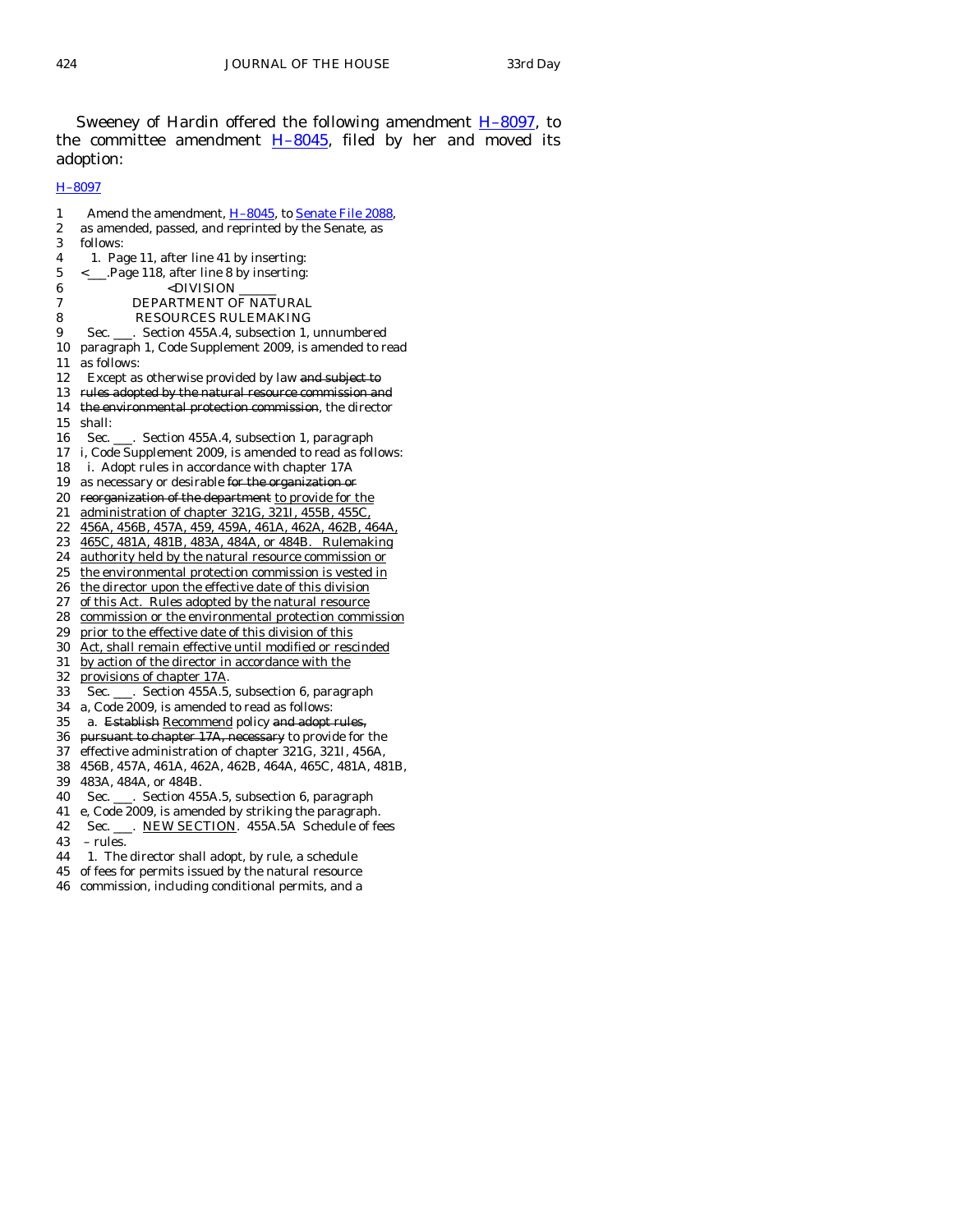Sweeney of Hardin offered the following amendment [H–8097,](http://coolice.legis.state.ia.us/Cool-ICE/default.asp?Category=billinfo&Service=Billbook&frame=1&GA=83&hbill=H8097) to the committee amendment [H–8045,](http://coolice.legis.state.ia.us/Cool-ICE/default.asp?Category=billinfo&Service=Billbook&frame=1&GA=83&hbill=H8045) filed by her and moved its adoption:

# [H–8097](http://coolice.legis.state.ia.us/Cool-ICE/default.asp?Category=billinfo&Service=Billbook&frame=1&GA=83&hbill=H8097)

1 Amend the amendment, H-8045, to [Senate File 2088](http://coolice.legis.state.ia.us/Cool-ICE/default.asp?Category=billinfo&Service=Billbook&frame=1&GA=83&hbill=SF2088), 2 as amended, passed, and reprinted by the Senate, as 3 follows: 4 1. Page 11, after line 41 by inserting: 5 <\_\_\_.Page 118, after line 8 by inserting: 6 <DIVISION 7 DEPARTMENT OF NATURAL 8 RESOURCES RULEMAKING 9 Sec. \_\_\_. Section 455A.4, subsection 1, unnumbered 10 paragraph 1, Code Supplement 2009, is amended to read 11 as follows: 12 Except as otherwise provided by law and subject to 13 rules adopted by the natural resource commission and 14 the environmental protection commission, the director 15 shall: 16 Sec. \_\_\_. Section 455A.4, subsection 1, paragraph 17 i, Code Supplement 2009, is amended to read as follows: 18 i. Adopt rules in accordance with chapter 17A 19 as necessary or desirable for the organization or 20 reorganization of the department to provide for the 21 administration of chapter 321G, 321I, 455B, 455C, 22 456A, 456B, 457A, 459, 459A, 461A, 462A, 462B, 464A, 23 465C, 481A, 481B, 483A, 484A, or 484B. Rulemaking 24 authority held by the natural resource commission or 25 the environmental protection commission is vested in 26 the director upon the effective date of this division 27 of this Act. Rules adopted by the natural resource 28 commission or the environmental protection commission 29 prior to the effective date of this division of this 30 Act, shall remain effective until modified or rescinded 31 by action of the director in accordance with the 32 provisions of chapter 17A. 33 Sec. \_\_\_. Section 455A.5, subsection 6, paragraph 34 a, Code 2009, is amended to read as follows: 35 a. Establish Recommend policy and adopt rules, 36 pursuant to chapter 17A, necessary to provide for the 37 effective administration of chapter 321G, 321I, 456A, 38 456B, 457A, 461A, 462A, 462B, 464A, 465C, 481A, 481B, 39 483A, 484A, or 484B. 40 Sec. \_\_\_. Section 455A.5, subsection 6, paragraph 41 e, Code 2009, is amended by striking the paragraph. 42 Sec. \_\_\_. NEW SECTION. 455A.5A Schedule of fees 43 – rules. 44 1. The director shall adopt, by rule, a schedule 45 of fees for permits issued by the natural resource 46 commission, including conditional permits, and a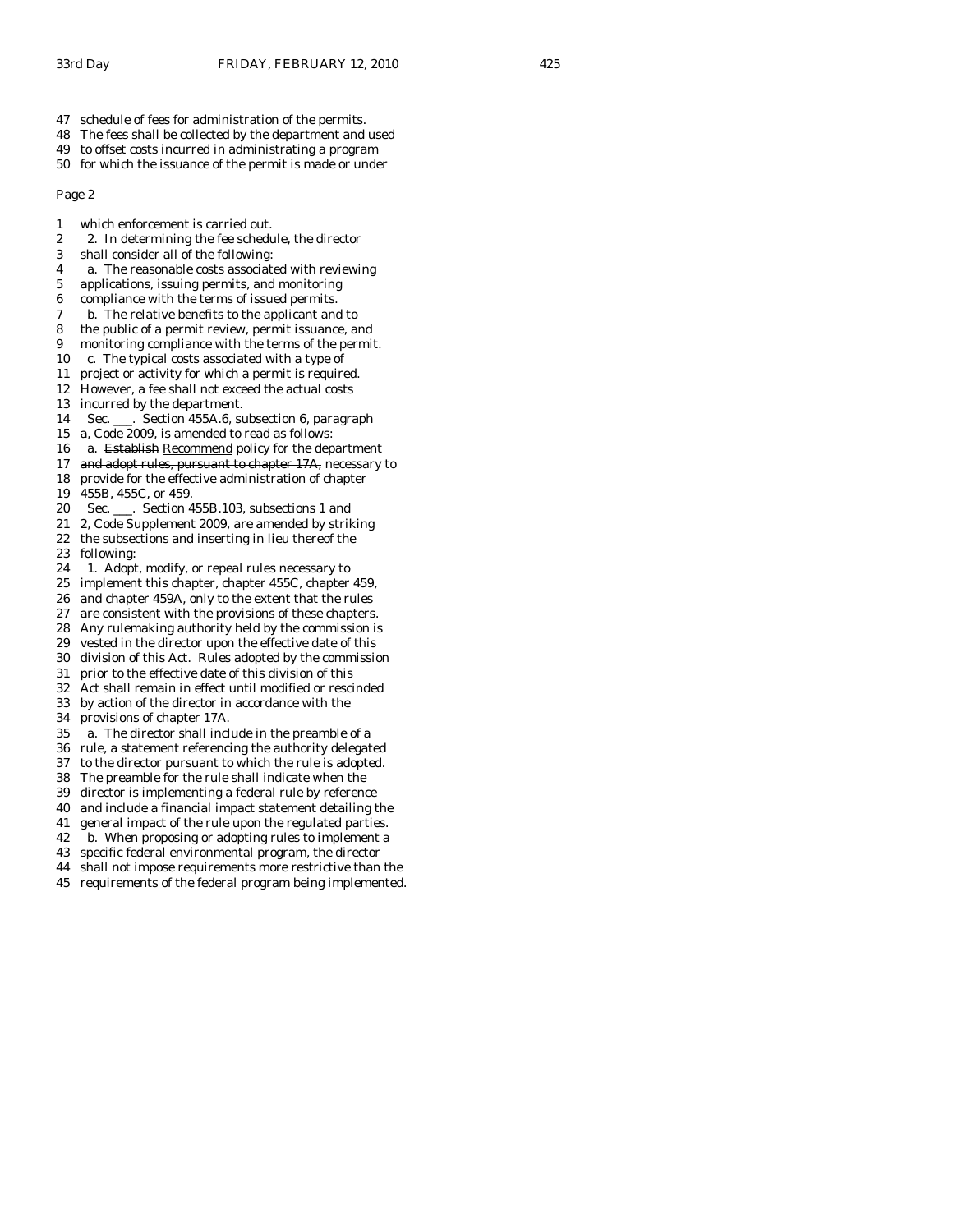- 47 schedule of fees for administration of the permits.
- 48 The fees shall be collected by the department and used
- 49 to offset costs incurred in administrating a program
- 50 for which the issuance of the permit is made or under

- 1 which enforcement is carried out.
- 2 2. In determining the fee schedule, the director
- 3 shall consider all of the following:
- 4 a. The reasonable costs associated with reviewing
- 5 applications, issuing permits, and monitoring
- 6 compliance with the terms of issued permits.
- 7 b. The relative benefits to the applicant and to
- 8 the public of a permit review, permit issuance, and
- 9 monitoring compliance with the terms of the permit.
- 10 c. The typical costs associated with a type of
- 11 project or activity for which a permit is required.
- 12 However, a fee shall not exceed the actual costs
- 13 incurred by the department.
- 14 Sec. \_\_\_. Section 455A.6, subsection 6, paragraph
- 15 a, Code 2009, is amended to read as follows:
- 16 a. Establish Recommend policy for the department
- 17 and adopt rules, pursuant to chapter 17A, necessary to
- 18 provide for the effective administration of chapter
- 19 455B, 455C, or 459.
- 20 Sec. \_\_\_. Section 455B.103, subsections 1 and
- 21 2, Code Supplement 2009, are amended by striking
- 22 the subsections and inserting in lieu thereof the 23 following:
- 24 1. Adopt, modify, or repeal rules necessary to
- 25 implement this chapter, chapter 455C, chapter 459,
- 26 and chapter 459A, only to the extent that the rules
- 27 are consistent with the provisions of these chapters.
- 28 Any rulemaking authority held by the commission is
- 29 vested in the director upon the effective date of this 30 division of this Act. Rules adopted by the commission
- 31 prior to the effective date of this division of this
- 32 Act shall remain in effect until modified or rescinded
- 33 by action of the director in accordance with the
- 34 provisions of chapter 17A.
- 35 a. The director shall include in the preamble of a
- 36 rule, a statement referencing the authority delegated
- 37 to the director pursuant to which the rule is adopted.
- 38 The preamble for the rule shall indicate when the
- 39 director is implementing a federal rule by reference
- 40 and include a financial impact statement detailing the
- 41 general impact of the rule upon the regulated parties.
- 42 b. When proposing or adopting rules to implement a
- 43 specific federal environmental program, the director
- 44 shall not impose requirements more restrictive than the
- 45 requirements of the federal program being implemented.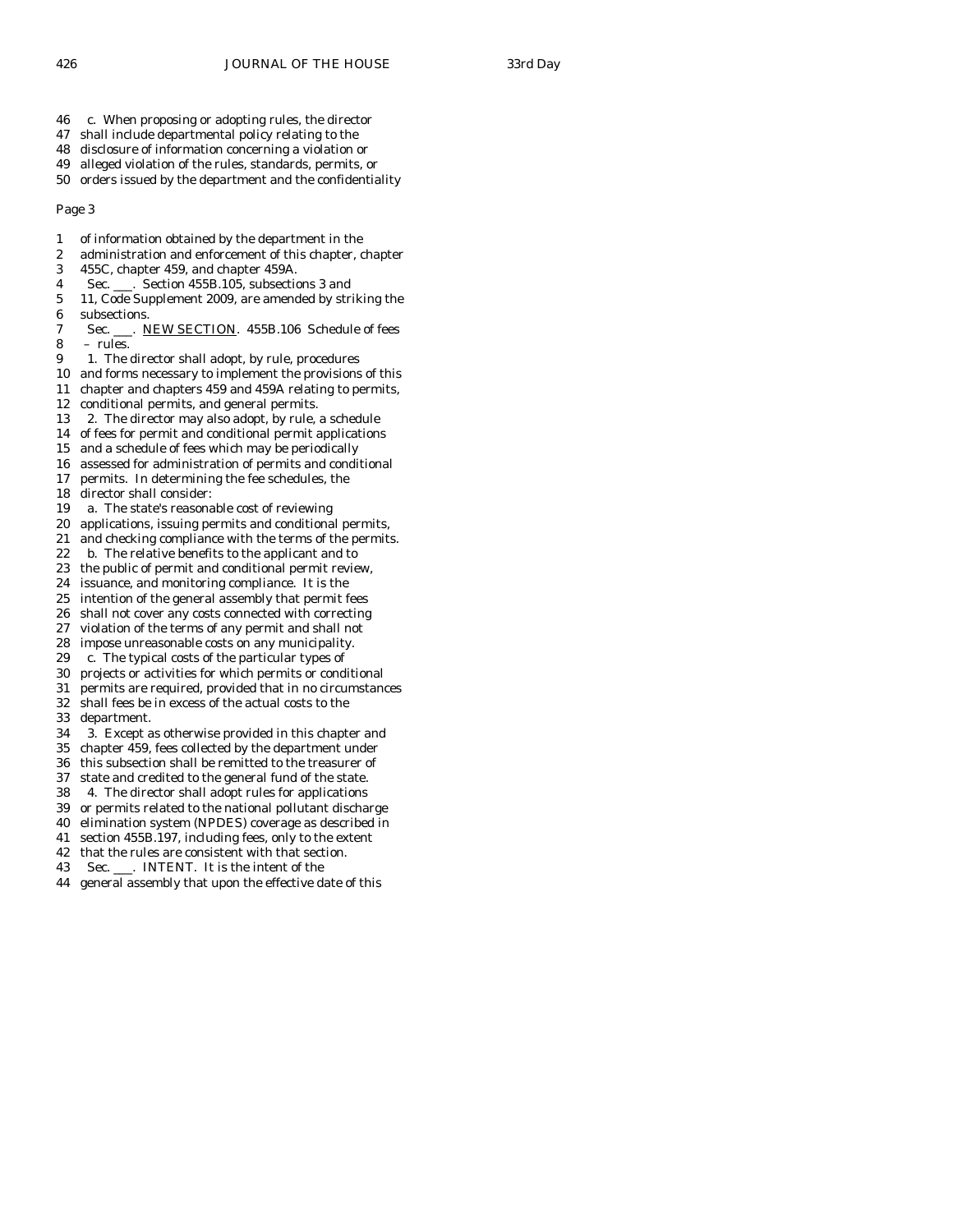- 46 c. When proposing or adopting rules, the director
- 47 shall include departmental policy relating to the
- 48 disclosure of information concerning a violation or
- 49 alleged violation of the rules, standards, permits, or
- 50 orders issued by the department and the confidentiality

- 1 of information obtained by the department in the
- 2 administration and enforcement of this chapter, chapter
- 3 455C, chapter 459, and chapter 459A.
- 4 Sec. \_\_\_. Section 455B.105, subsections 3 and
- 5 11, Code Supplement 2009, are amended by striking the 6 subsections.
- 7 Sec. \_\_\_. NEW SECTION. 455B.106 Schedule of fees 8 – rules.
- 9 1. The director shall adopt, by rule, procedures
- 10 and forms necessary to implement the provisions of this
- 11 chapter and chapters 459 and 459A relating to permits,
- 12 conditional permits, and general permits.
- 13 2. The director may also adopt, by rule, a schedule
- 14 of fees for permit and conditional permit applications
- 15 and a schedule of fees which may be periodically
- 16 assessed for administration of permits and conditional
- 17 permits. In determining the fee schedules, the 18 director shall consider:
- 19 a. The state's reasonable cost of reviewing
- 20 applications, issuing permits and conditional permits,
- 21 and checking compliance with the terms of the permits.
- 22 b. The relative benefits to the applicant and to
- 23 the public of permit and conditional permit review,
- 24 issuance, and monitoring compliance. It is the
- 25 intention of the general assembly that permit fees
- 26 shall not cover any costs connected with correcting
- 27 violation of the terms of any permit and shall not
- 28 impose unreasonable costs on any municipality.<br>29 c. The typical costs of the particular types of
- c. The typical costs of the particular types of
- 30 projects or activities for which permits or conditional
- 31 permits are required, provided that in no circumstances
- 32 shall fees be in excess of the actual costs to the 33 department.
- 34 3. Except as otherwise provided in this chapter and
- 35 chapter 459, fees collected by the department under
- 36 this subsection shall be remitted to the treasurer of
- 37 state and credited to the general fund of the state.
- 38 4. The director shall adopt rules for applications
- 39 or permits related to the national pollutant discharge
- 40 elimination system (NPDES) coverage as described in
- 41 section 455B.197, including fees, only to the extent
- 42 that the rules are consistent with that section.
- 43 Sec. \_\_\_. INTENT. It is the intent of the
- 44 general assembly that upon the effective date of this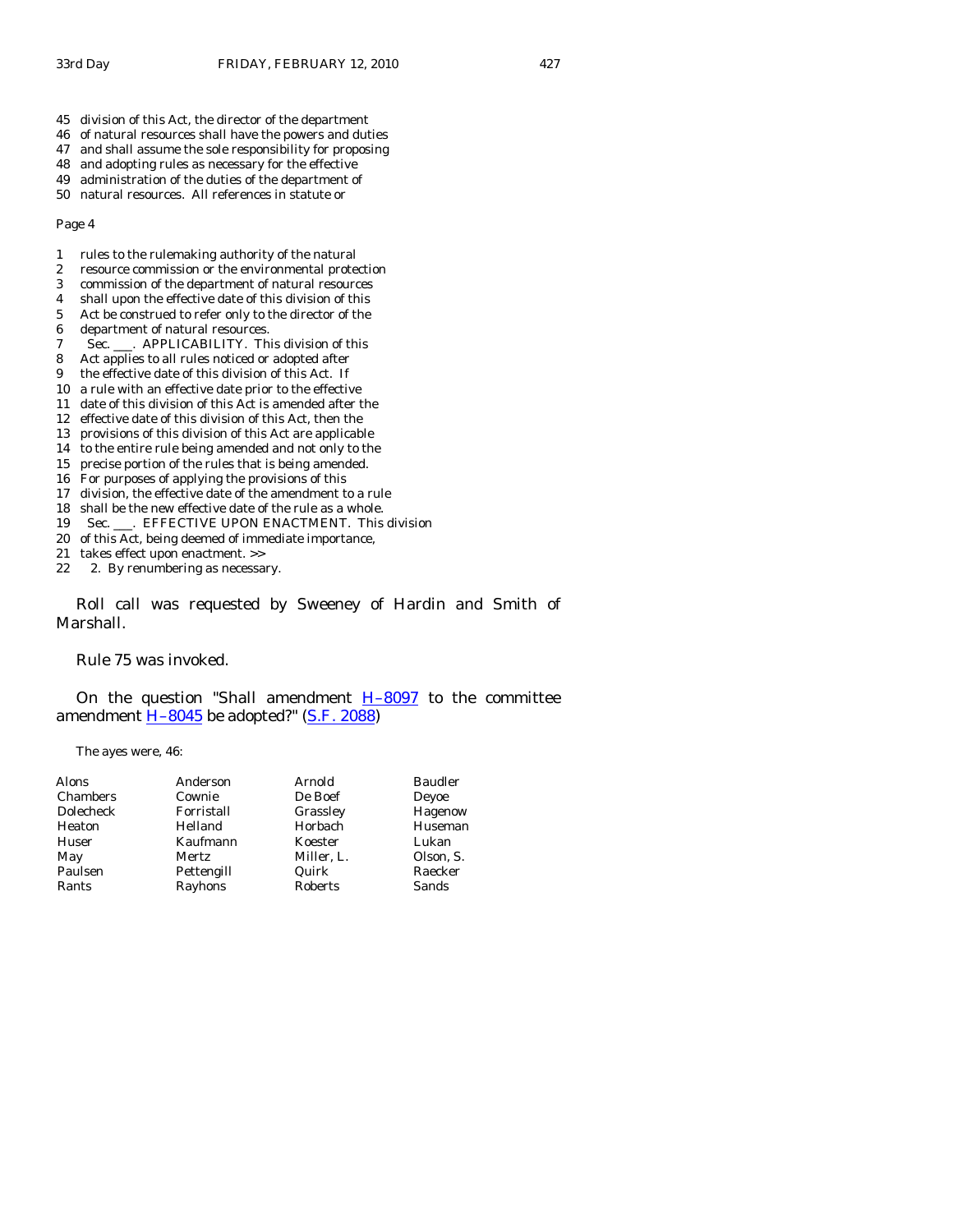- 45 division of this Act, the director of the department
- 46 of natural resources shall have the powers and duties
- 47 and shall assume the sole responsibility for proposing
- 48 and adopting rules as necessary for the effective
- 49 administration of the duties of the department of 50 natural resources. All references in statute or

- 1 rules to the rulemaking authority of the natural
- 2 resource commission or the environmental protection
- 3 commission of the department of natural resources
- 4 shall upon the effective date of this division of this 5 Act be construed to refer only to the director of the
- 6 department of natural resources.
- 7 Sec. \_\_\_. APPLICABILITY. This division of this
- 8 Act applies to all rules noticed or adopted after
- 9 the effective date of this division of this Act. If
- 10 a rule with an effective date prior to the effective
- 11 date of this division of this Act is amended after the
- 12 effective date of this division of this Act, then the
- 13 provisions of this division of this Act are applicable
- 14 to the entire rule being amended and not only to the
- 15 precise portion of the rules that is being amended.
- 16 For purposes of applying the provisions of this
- 17 division, the effective date of the amendment to a rule
- 18 shall be the new effective date of the rule as a whole.
- 19 Sec. \_\_\_. EFFECTIVE UPON ENACTMENT. This division
- 20 of this Act, being deemed of immediate importance,
- 21 takes effect upon enactment. >>
- 22 2. By renumbering as necessary.

 Roll call was requested by Sweeney of Hardin and Smith of Marshall.

Rule 75 was invoked.

On the question "Shall amendment  $H-8097$  to the committee amendment  $H-8045$  be adopted?" [\(S.F. 2088\)](http://coolice.legis.state.ia.us/Cool-ICE/default.asp?Category=billinfo&Service=Billbook&frame=1&GA=83&hbill=SF2088)

The ayes were, 46:

| Alons     | Anderson   | Arnold         | <b>Baudler</b> |
|-----------|------------|----------------|----------------|
| Chambers  | Cownie     | De Boef        | Deyoe          |
| Dolecheck | Forristall | Grassley       | Hagenow        |
| Heaton    | Helland    | Horbach        | Huseman        |
| Huser     | Kaufmann   | Koester        | Lukan          |
| May       | Mertz      | Miller, L.     | Olson, S.      |
| Paulsen   | Pettengill | Quirk          | Raecker        |
| Rants     | Rayhons    | <b>Roberts</b> | Sands          |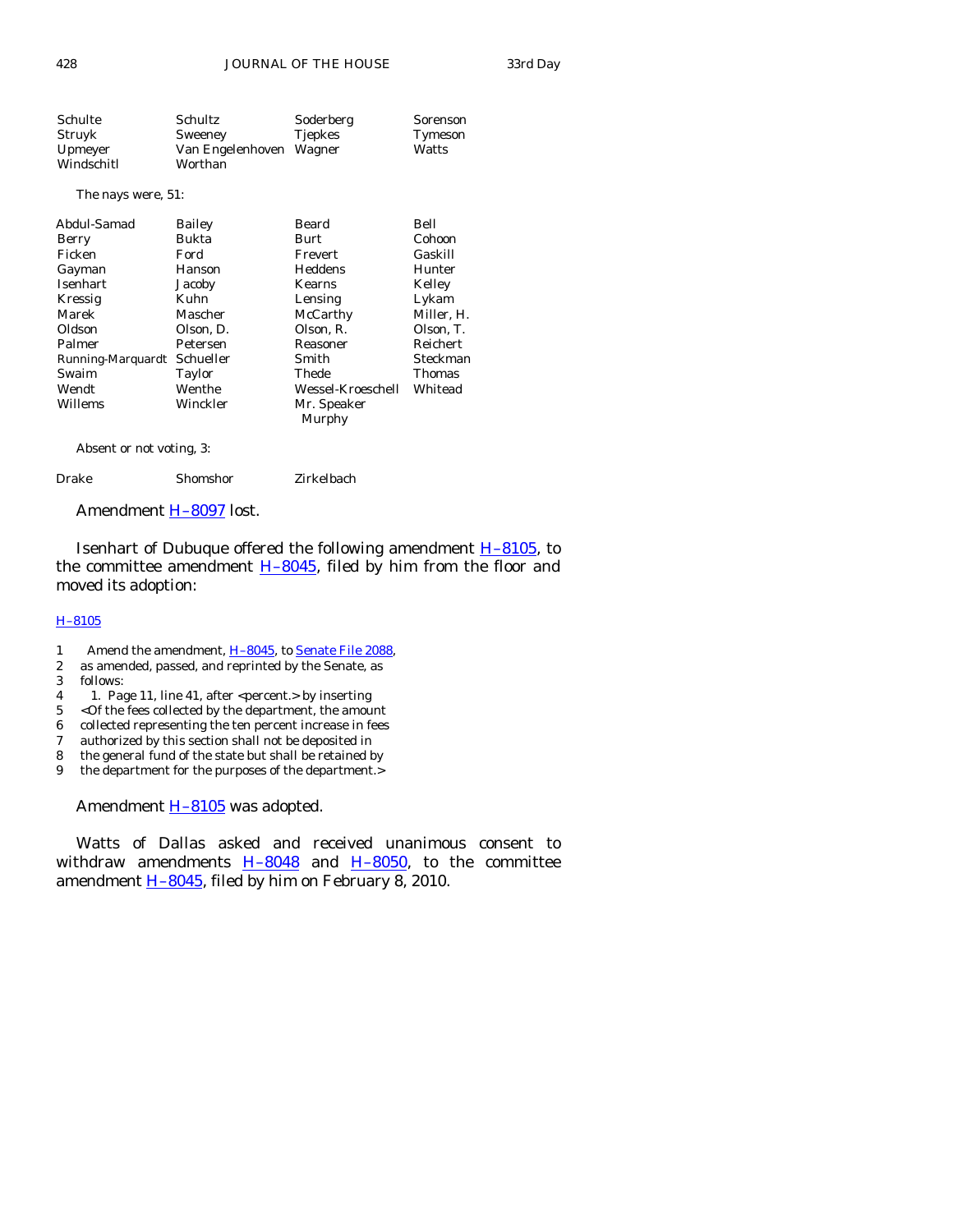| Schulte    | Schultz                 | Soderberg      | Sorenson       |
|------------|-------------------------|----------------|----------------|
| Struyk     | Sweeney                 | <b>Tjepkes</b> | <b>Tymeson</b> |
| Upmeyer    | Van Engelenhoven Wagner |                | Watts          |
| Windschitl | Worthan                 |                |                |

## The nays were, 51:

| Abdul-Samad       | <b>Bailey</b> | Beard             | Bell            |
|-------------------|---------------|-------------------|-----------------|
| Berry             | Bukta         | Burt              | Cohoon          |
| Ficken            | Ford          | Frevert           | Gaskill         |
| Gayman            | Hanson        | Heddens           | Hunter          |
| Isenhart          | Jacoby        | Kearns            | Kelley          |
| Kressig           | Kuhn          | Lensing           | Lykam           |
| Marek             | Mascher       | McCarthy          | Miller, H.      |
| Oldson            | Olson, D.     | Olson, R.         | Olson, T.       |
| Palmer            | Petersen      | Reasoner          | <b>Reichert</b> |
| Running-Marquardt | Schueller     | Smith             | Steckman        |
| Swaim             | Taylor        | Thede             | Thomas          |
| Wendt             | Wenthe        | Wessel-Kroeschell | Whitead         |
| Willems           | Winckler      | Mr. Speaker       |                 |
|                   |               | Murphy            |                 |

Absent or not voting, 3:

Drake Shomshor Zirkelbach

Amendment [H–8097](http://coolice.legis.state.ia.us/Cool-ICE/default.asp?Category=billinfo&Service=Billbook&frame=1&GA=83&hbill=H8097) lost.

Isenhart of Dubuque offered the following amendment  $H-8105$ , to the committee amendment  $H-8045$ , filed by him from the floor and moved its adoption:

# [H–8105](http://coolice.legis.state.ia.us/Cool-ICE/default.asp?Category=billinfo&Service=Billbook&frame=1&GA=83&hbill=H8105)

- 1 Amend the amendment,  $\underline{H}$ –8045, to <u>Senate File 2088</u>, 2 as amended, passed, and reprinted by the Senate, as
- as amended, passed, and reprinted by the Senate, as
- 3 follows:
- 4 1. Page 11, line 41, after <percent.> by inserting
- 5 <Of the fees collected by the department, the amount
- 6 collected representing the ten percent increase in fees
- 7 authorized by this section shall not be deposited in
- 8 the general fund of the state but shall be retained by
- 9 the department for the purposes of the department.>

Amendment **H-8105** was adopted.

 Watts of Dallas asked and received unanimous consent to withdraw amendments  $H-8048$  and  $H-8050$ , to the committee amendment  $\underline{H-8045}$ , filed by him on February 8, 2010.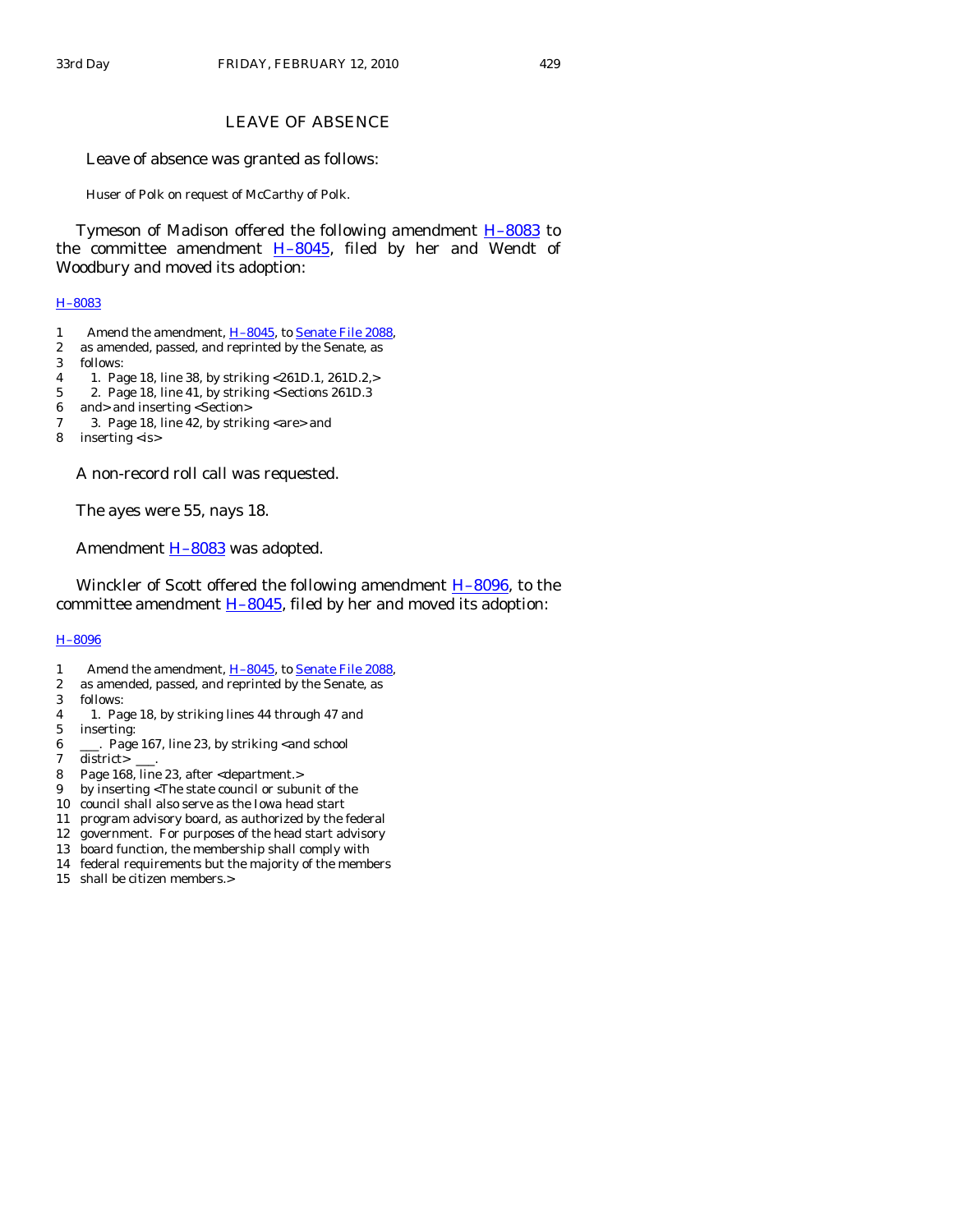# LEAVE OF ABSENCE

Leave of absence was granted as follows:

Huser of Polk on request of McCarthy of Polk.

Tymeson of Madison offered the following amendment **H-8083** to the committee amendment  $H-8045$ , filed by her and Wendt of Woodbury and moved its adoption:

#### [H–8083](http://coolice.legis.state.ia.us/Cool-ICE/default.asp?Category=billinfo&Service=Billbook&frame=1&GA=83&hbill=H8083)

- 1 Amend the amendment, H-8045, to [Senate File 2088](http://coolice.legis.state.ia.us/Cool-ICE/default.asp?Category=billinfo&Service=Billbook&frame=1&GA=83&hbill=SF2088),
- 2 as amended, passed, and reprinted by the Senate, as
- 3 follows:
- 4 1. Page 18, line 38, by striking <261D.1, 261D.2,>
- 5 2. Page 18, line 41, by striking <Sections 261D.3
- 6 and> and inserting <Section>
- 7 3. Page 18, line 42, by striking <are> and
- 8 inserting <is>

A non-record roll call was requested.

The ayes were 55, nays 18.

Amendment **H-8083** was adopted.

Winckler of Scott offered the following amendment  $H-8096$ , to the committee amendment  $H-8045$ , filed by her and moved its adoption:

## [H–8096](http://coolice.legis.state.ia.us/Cool-ICE/default.asp?Category=billinfo&Service=Billbook&frame=1&GA=83&hbill=H8096)

- 1 Amend the amendment, H-8045, to [Senate File 2088](http://coolice.legis.state.ia.us/Cool-ICE/default.asp?Category=billinfo&Service=Billbook&frame=1&GA=83&hbill=SF2088),
- 2 as amended, passed, and reprinted by the Senate, as
- 3 follows:
- 4 1. Page 18, by striking lines 44 through 47 and
- 5 inserting:
- 6 \_\_\_. Page 167, line 23, by striking <and school
- 7 district> \_\_\_.
- 8 Page 168, line 23, after <department.>
- 9 by inserting <The state council or subunit of the
- 10 council shall also serve as the Iowa head start
- 11 program advisory board, as authorized by the federal
- 12 government. For purposes of the head start advisory
- 13 board function, the membership shall comply with
- 14 federal requirements but the majority of the members
- 15 shall be citizen members.>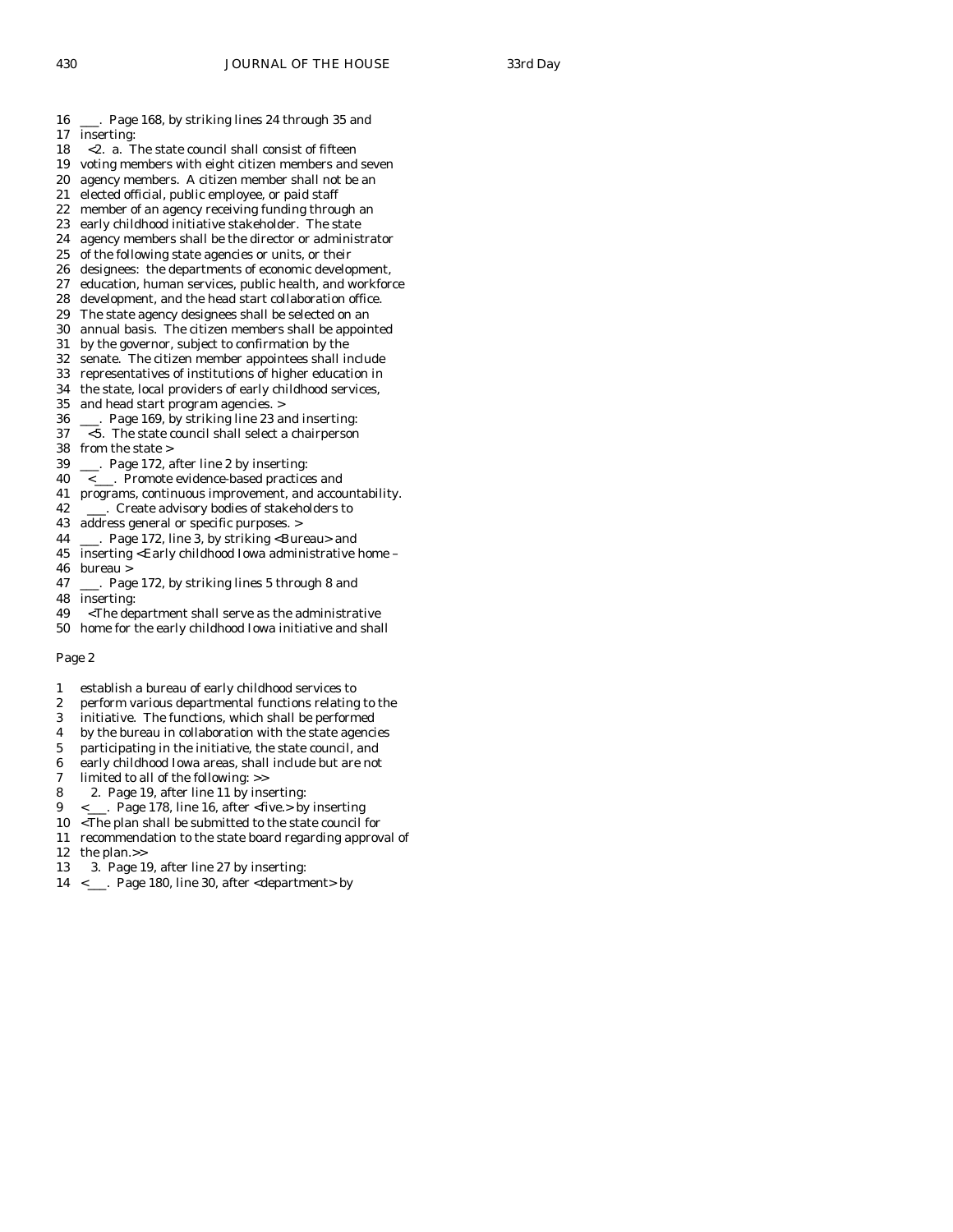- 16 \_\_\_. Page 168, by striking lines 24 through 35 and
- 17 inserting:
- 18 <2. a. The state council shall consist of fifteen
- 19 voting members with eight citizen members and seven
- 20 agency members. A citizen member shall not be an
- 21 elected official, public employee, or paid staff
- 22 member of an agency receiving funding through an
- 23 early childhood initiative stakeholder. The state 24 agency members shall be the director or administ agency members shall be the director or administrator
- 25 of the following state agencies or units, or their
- 26 designees: the departments of economic development,
- 27 education, human services, public health, and workforce
- 28 development, and the head start collaboration office.
- 29 The state agency designees shall be selected on an
- 30 annual basis. The citizen members shall be appointed
- 31 by the governor, subject to confirmation by the
- 32 senate. The citizen member appointees shall include
- 33 representatives of institutions of higher education in
- 34 the state, local providers of early childhood services, 35 and head start program agencies. >
- and head start program agencies. >
- 36 \_\_\_. Page 169, by striking line 23 and inserting:
- 37 <5. The state council shall select a chairperson
- 38 from the state >
- 39 \_\_\_. Page 172, after line 2 by inserting:
- 40 <\_\_\_. Promote evidence-based practices and
- 41 programs, continuous improvement, and accountability.
- 42 \_\_\_\_. Create advisory bodies of stakeholders to
- 43 address general or specific purposes. >
- 44 \_\_\_. Page 172, line 3, by striking <Bureau> and
- 45 inserting <Early childhood Iowa administrative home 46 bureau >
- 47 \_\_\_. Page 172, by striking lines 5 through 8 and
- 48 inserting:
- 49 <The department shall serve as the administrative
- 50 home for the early childhood Iowa initiative and shall

- 1 establish a bureau of early childhood services to
- 2 perform various departmental functions relating to the
- 3 initiative. The functions, which shall be performed
- 4 by the bureau in collaboration with the state agencies
- 5 participating in the initiative, the state council, and
- 6 early childhood Iowa areas, shall include but are not
- 7 limited to all of the following: >>
- 8 2. Page 19, after line 11 by inserting:
- 9 <\_\_\_. Page 178, line 16, after <five.> by inserting
- 10 <The plan shall be submitted to the state council for
- 11 recommendation to the state board regarding approval of
- 12 the plan.>>
- 13 3. Page 19, after line 27 by inserting:
- 14 <\_\_\_. Page 180, line 30, after <department> by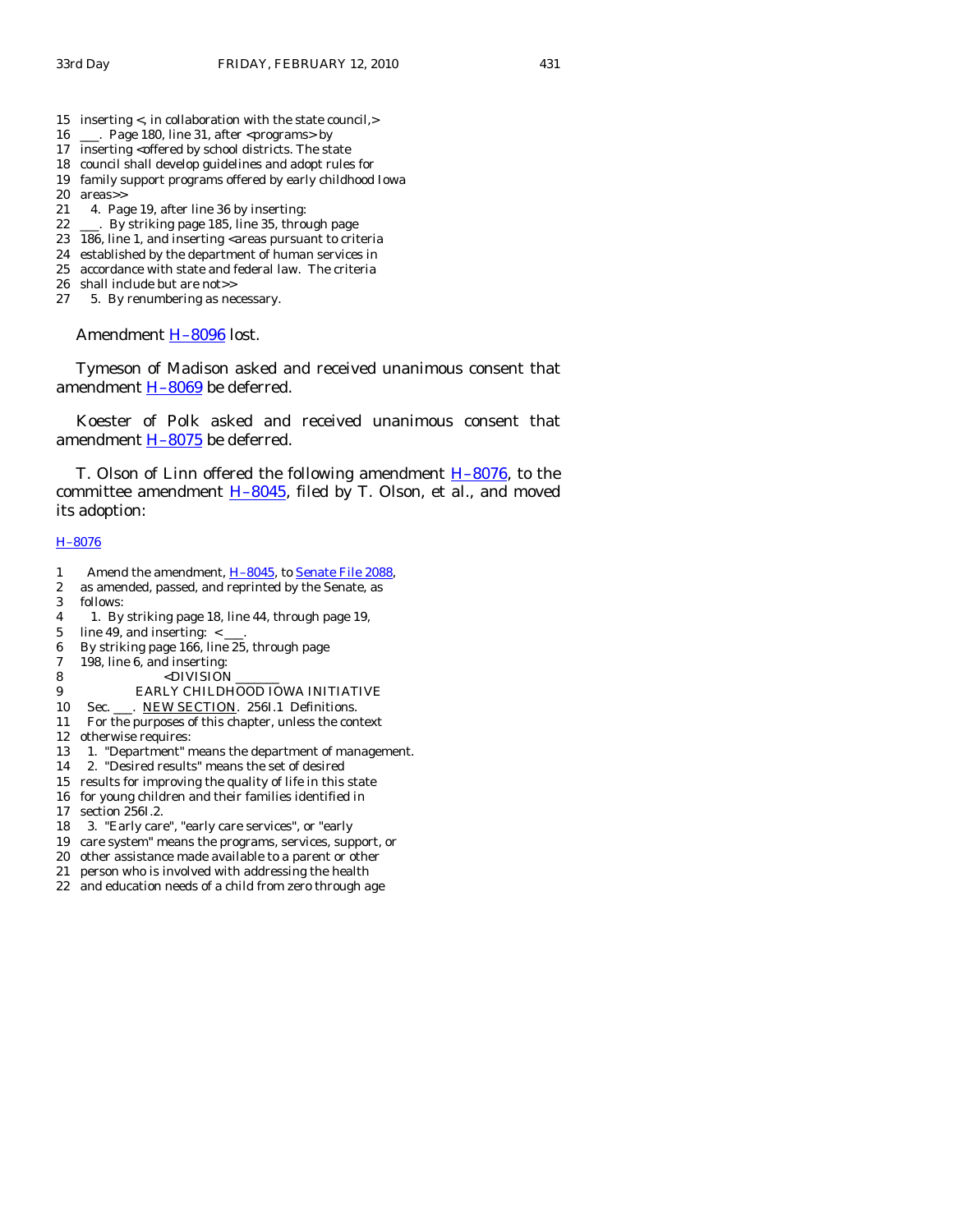- 15 inserting <, in collaboration with the state council,>
- 16 \_\_\_. Page 180, line 31, after <programs> by
- 17 inserting <offered by school districts. The state
- 18 council shall develop guidelines and adopt rules for
- 19 family support programs offered by early childhood Iowa 20 areas>>
- 21 4. Page 19, after line 36 by inserting:
- 
- 22 \_\_\_\_. By striking page 185, line 35, through page 23 186. line 1. and inserting <areas pursuant to crit 186, line 1, and inserting <areas pursuant to criteria
- 24 established by the department of human services in
- 25 accordance with state and federal law. The criteria
- 26 shall include but are not>>
- 27 5. By renumbering as necessary.

Amendment [H–8096](http://coolice.legis.state.ia.us/Cool-ICE/default.asp?Category=billinfo&Service=Billbook&frame=1&GA=83&hbill=H8096) lost.

 Tymeson of Madison asked and received unanimous consent that amendment [H–8069](http://coolice.legis.state.ia.us/Cool-ICE/default.asp?Category=billinfo&Service=Billbook&frame=1&GA=83&hbill=H8069) be deferred.

 Koester of Polk asked and received unanimous consent that amendment [H–8075](http://coolice.legis.state.ia.us/Cool-ICE/default.asp?Category=billinfo&Service=Billbook&frame=1&GA=83&hbill=H8075) be deferred.

T. Olson of Linn offered the following amendment  $H-8076$ , to the committee amendment [H–8045,](http://coolice.legis.state.ia.us/Cool-ICE/default.asp?Category=billinfo&Service=Billbook&frame=1&GA=83&hbill=H8045) filed by T. Olson, et al., and moved its adoption:

## [H–8076](http://coolice.legis.state.ia.us/Cool-ICE/default.asp?Category=billinfo&Service=Billbook&frame=1&GA=83&hbill=H8076)

- 1 Amend the amendment, [H–8045](http://coolice.legis.state.ia.us/Cool-ICE/default.asp?Category=billinfo&Service=Billbook&frame=1&GA=83&hbill=H8045), to [Senate File 2088](http://coolice.legis.state.ia.us/Cool-ICE/default.asp?Category=billinfo&Service=Billbook&frame=1&GA=83&hbill=SF2088),
- 2 as amended, passed, and reprinted by the Senate, as
- 3 follows:
- 4 1. By striking page 18, line 44, through page 19,
- 5 line 49, and inserting:  $\lt$  \_\_\_.
- 6 By striking page 166, line 25, through page
- 7 198, line 6, and inserting:
- 8 <DIVISION
- 9 EARLY CHILDHOOD IOWA INITIATIVE
- 10 Sec. \_\_\_. NEW SECTION. 256I.1 Definitions.
- 11 For the purposes of this chapter, unless the context
- 12 otherwise requires:
- 13 1. "Department" means the department of management.
- 14 2. "Desired results" means the set of desired
- 15 results for improving the quality of life in this state
- 16 for young children and their families identified in
- 17 section 256I.2.
- 18 3. "Early care", "early care services", or "early
- 19 care system" means the programs, services, support, or
- 20 other assistance made available to a parent or other
- 21 person who is involved with addressing the health
- 22 and education needs of a child from zero through age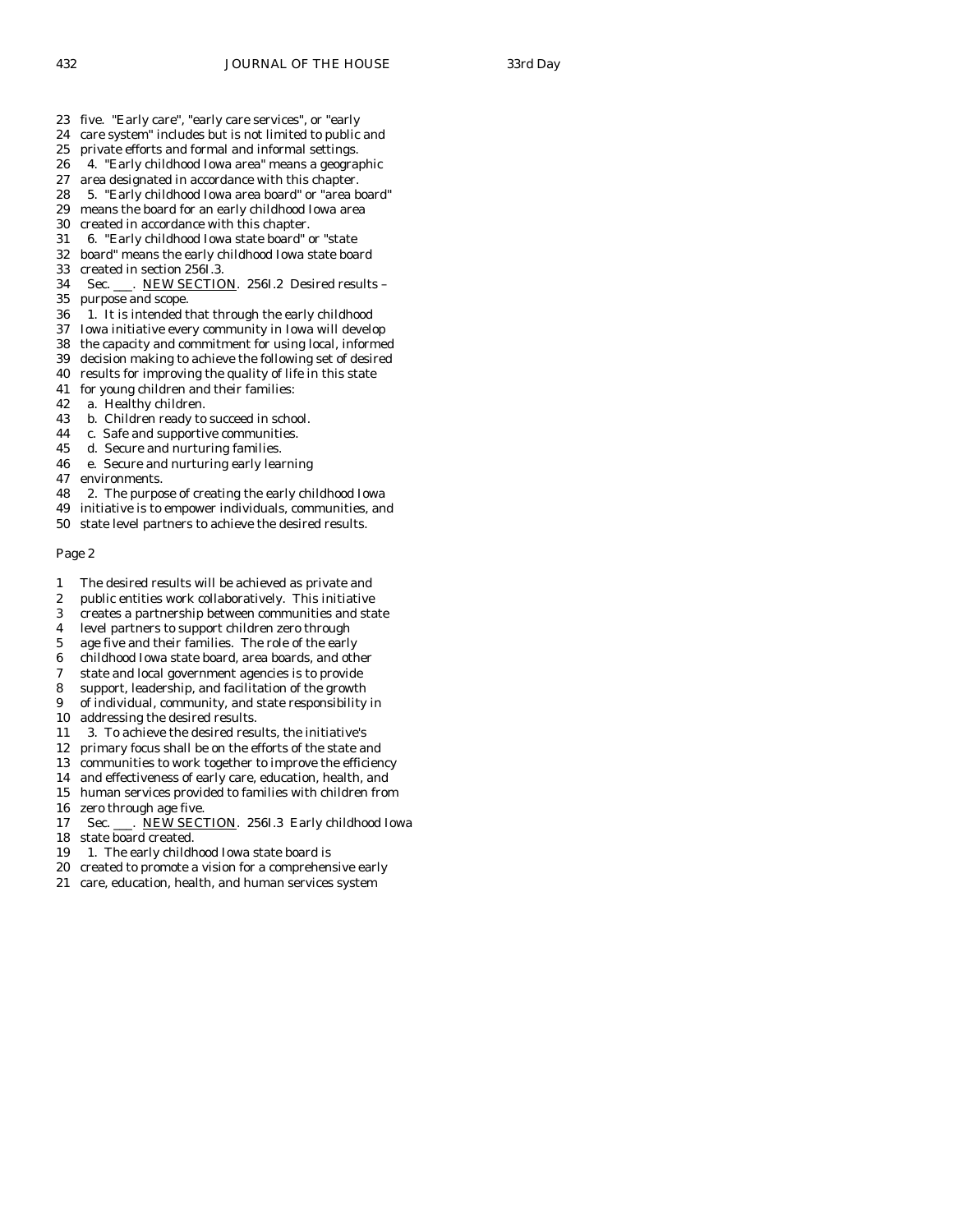- 23 five. "Early care", "early care services", or "early
- 24 care system" includes but is not limited to public and
- 25 private efforts and formal and informal settings.
- 26 4. "Early childhood Iowa area" means a geographic
- 27 area designated in accordance with this chapter.
- 28 5. "Early childhood Iowa area board" or "area board"
- 29 means the board for an early childhood Iowa area<br>30 created in accordance with this chapter.
- 30 created in accordance with this chapter.<br>31 6. "Early childhood Iowa state board"
- 31 6. "Early childhood Iowa state board" or "state
- 32 board" means the early childhood Iowa state board
- 33 created in section 256I.3.
- 34 Sec. \_\_\_. NEW SECTION. 256I.2 Desired results 35 purpose and scope.
- 36 1. It is intended that through the early childhood
- 37 Iowa initiative every community in Iowa will develop
- 38 the capacity and commitment for using local, informed
- 39 decision making to achieve the following set of desired
- 40 results for improving the quality of life in this state
- 41 for young children and their families:
- 42 a. Healthy children.
- 43 b. Children ready to succeed in school.
- 44 c. Safe and supportive communities.
- 45 d. Secure and nurturing families.
- 46 e. Secure and nurturing early learning
- 47 environments.
- 48 2. The purpose of creating the early childhood Iowa
- 49 initiative is to empower individuals, communities, and
- 50 state level partners to achieve the desired results.

- 1 The desired results will be achieved as private and
- 2 public entities work collaboratively. This initiative
- 3 creates a partnership between communities and state
- 4 level partners to support children zero through
- 5 age five and their families. The role of the early
- 6 childhood Iowa state board, area boards, and other
- 7 state and local government agencies is to provide
- 8 support, leadership, and facilitation of the growth
- 9 of individual, community, and state responsibility in 10 addressing the desired results.
- 
- 11 3. To achieve the desired results, the initiative's 12 primary focus shall be on the efforts of the state and
- 13 communities to work together to improve the efficiency
- 14 and effectiveness of early care, education, health, and
- 15 human services provided to families with children from
- 16 zero through age five.
- 17 Sec. \_\_\_. NEW SECTION. 256I.3 Early childhood Iowa
- 18 state board created.
- 19 1. The early childhood Iowa state board is
- 20 created to promote a vision for a comprehensive early
- 21 care, education, health, and human services system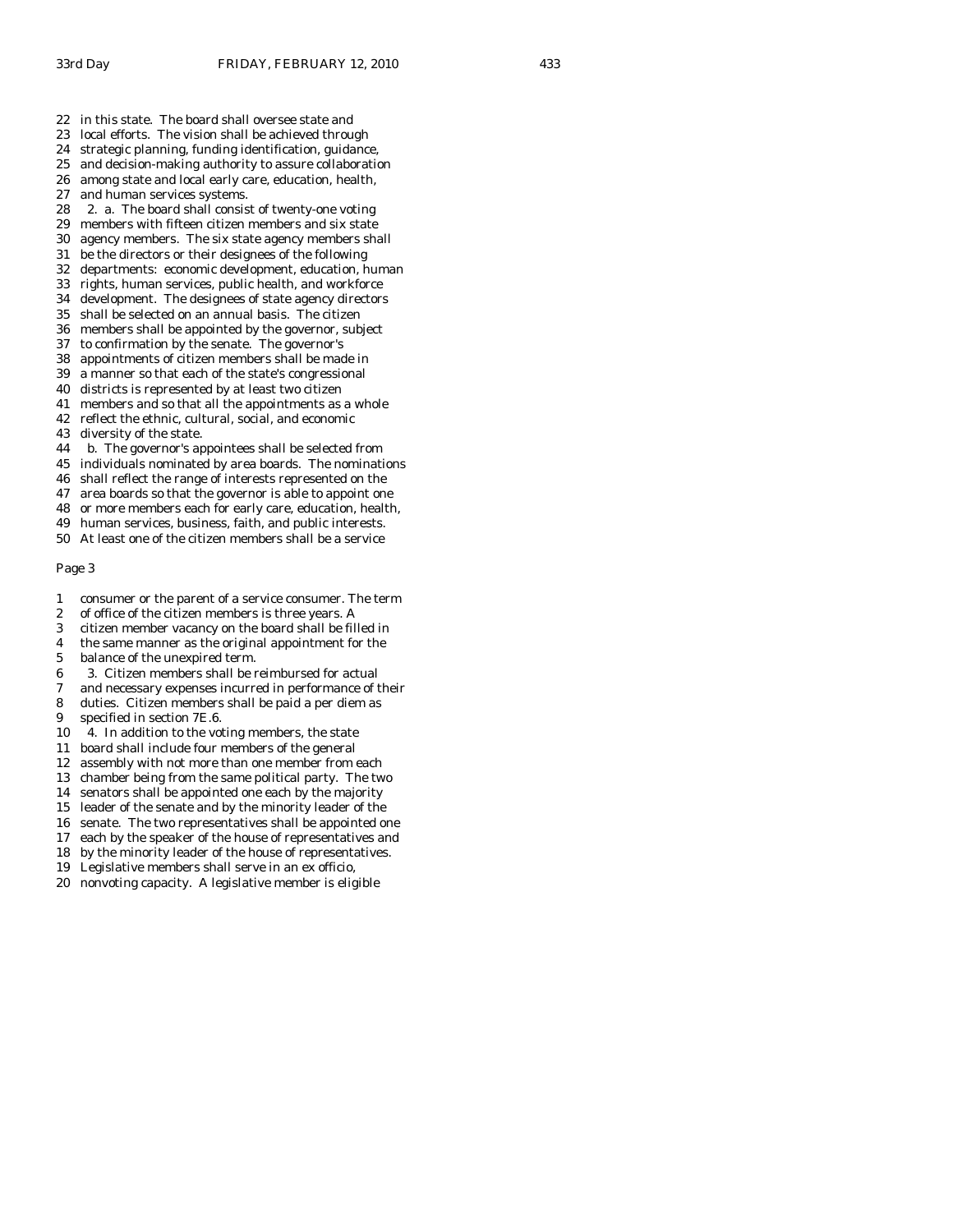- 22 in this state. The board shall oversee state and
- 23 local efforts. The vision shall be achieved through
- 24 strategic planning, funding identification, guidance,
- 25 and decision-making authority to assure collaboration
- 26 among state and local early care, education, health,
- 27 and human services systems.
- 28 2. a. The board shall consist of twenty-one voting
- 29 members with fifteen citizen members and six state<br>30 agency members. The six state agency members sha agency members. The six state agency members shall
- 31 be the directors or their designees of the following
- 32 departments: economic development, education, human
- 33 rights, human services, public health, and workforce
- 34 development. The designees of state agency directors
- 35 shall be selected on an annual basis. The citizen
- 36 members shall be appointed by the governor, subject
- 37 to confirmation by the senate. The governor's
- 38 appointments of citizen members shall be made in
- 39 a manner so that each of the state's congressional
- 40 districts is represented by at least two citizen
- 41 members and so that all the appointments as a whole
- 42 reflect the ethnic, cultural, social, and economic
- 43 diversity of the state.
- 44 b. The governor's appointees shall be selected from
- 45 individuals nominated by area boards. The nominations
- 46 shall reflect the range of interests represented on the
- 47 area boards so that the governor is able to appoint one
- 48 or more members each for early care, education, health,
- 49 human services, business, faith, and public interests.
- 50 At least one of the citizen members shall be a service

- 1 consumer or the parent of a service consumer. The term
- 2 of office of the citizen members is three years. A
- 3 citizen member vacancy on the board shall be filled in
- 4 the same manner as the original appointment for the
- 5 balance of the unexpired term.
- 6 3. Citizen members shall be reimbursed for actual
- 7 and necessary expenses incurred in performance of their
- 8 duties. Citizen members shall be paid a per diem as
- 9 specified in section 7E.6.
- 10 4. In addition to the voting members, the state
- 11 board shall include four members of the general
- 12 assembly with not more than one member from each
- 13 chamber being from the same political party. The two
- 14 senators shall be appointed one each by the majority
- 15 leader of the senate and by the minority leader of the
- 16 senate. The two representatives shall be appointed one
- 17 each by the speaker of the house of representatives and
- 18 by the minority leader of the house of representatives.
- 19 Legislative members shall serve in an ex officio,
- 20 nonvoting capacity. A legislative member is eligible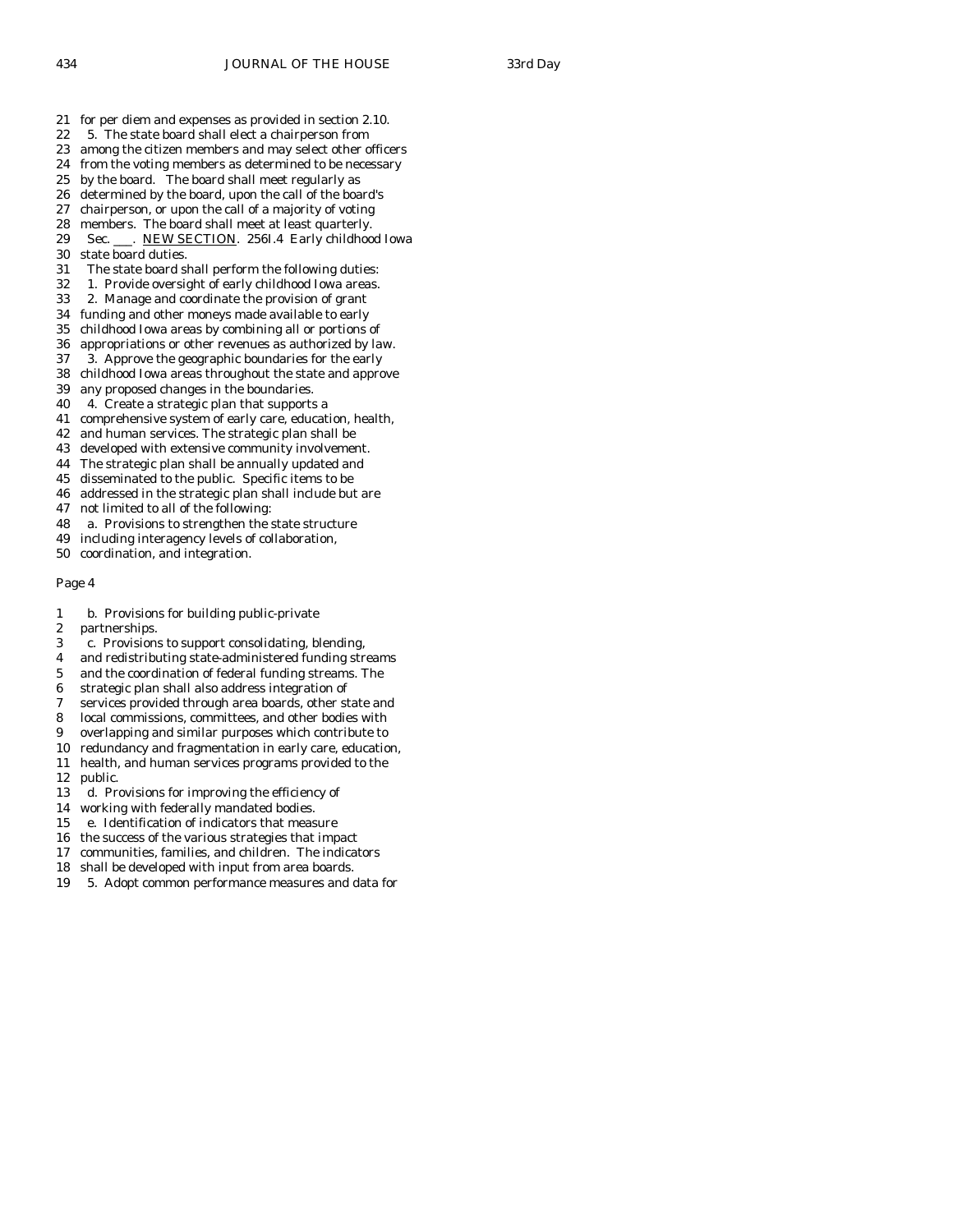- 21 for per diem and expenses as provided in section 2.10.
- 22 5. The state board shall elect a chairperson from
- 23 among the citizen members and may select other officers
- 24 from the voting members as determined to be necessary
- 25 by the board. The board shall meet regularly as
- 26 determined by the board, upon the call of the board's
- 27 chairperson, or upon the call of a majority of voting
- 28 members. The board shall meet at least quarterly.<br>29 Sec. NEW SECTION. 2561.4 Early childhoo
- Sec. \_\_\_. NEW SECTION. 256I.4 Early childhood Iowa 30 state board duties.
- 31 The state board shall perform the following duties:
- 32 1. Provide oversight of early childhood Iowa areas.
- 33 2. Manage and coordinate the provision of grant
- 34 funding and other moneys made available to early
- 35 childhood Iowa areas by combining all or portions of
- 36 appropriations or other revenues as authorized by law.
- 37 3. Approve the geographic boundaries for the early 38 childhood Iowa areas throughout the state and approve
- 39 any proposed changes in the boundaries.
- 40 4. Create a strategic plan that supports a
- 41 comprehensive system of early care, education, health,
- 42 and human services. The strategic plan shall be
- 43 developed with extensive community involvement.
- 44 The strategic plan shall be annually updated and
- 45 disseminated to the public. Specific items to be
- 46 addressed in the strategic plan shall include but are
- 47 not limited to all of the following:
- 48 a. Provisions to strengthen the state structure
- 49 including interagency levels of collaboration,
- 50 coordination, and integration.

- 1 b. Provisions for building public-private
- 2 partnerships.
- 3 c. Provisions to support consolidating, blending,
- 4 and redistributing state-administered funding streams
- 5 and the coordination of federal funding streams. The
- 6 strategic plan shall also address integration of
- 7 services provided through area boards, other state and
- 8 local commissions, committees, and other bodies with
- 9 overlapping and similar purposes which contribute to
- 10 redundancy and fragmentation in early care, education,
- 11 health, and human services programs provided to the
- 12 public.
- 13 d. Provisions for improving the efficiency of
- 14 working with federally mandated bodies.
- 15 e. Identification of indicators that measure
- 16 the success of the various strategies that impact
- 17 communities, families, and children. The indicators
- 18 shall be developed with input from area boards.
- 19 5. Adopt common performance measures and data for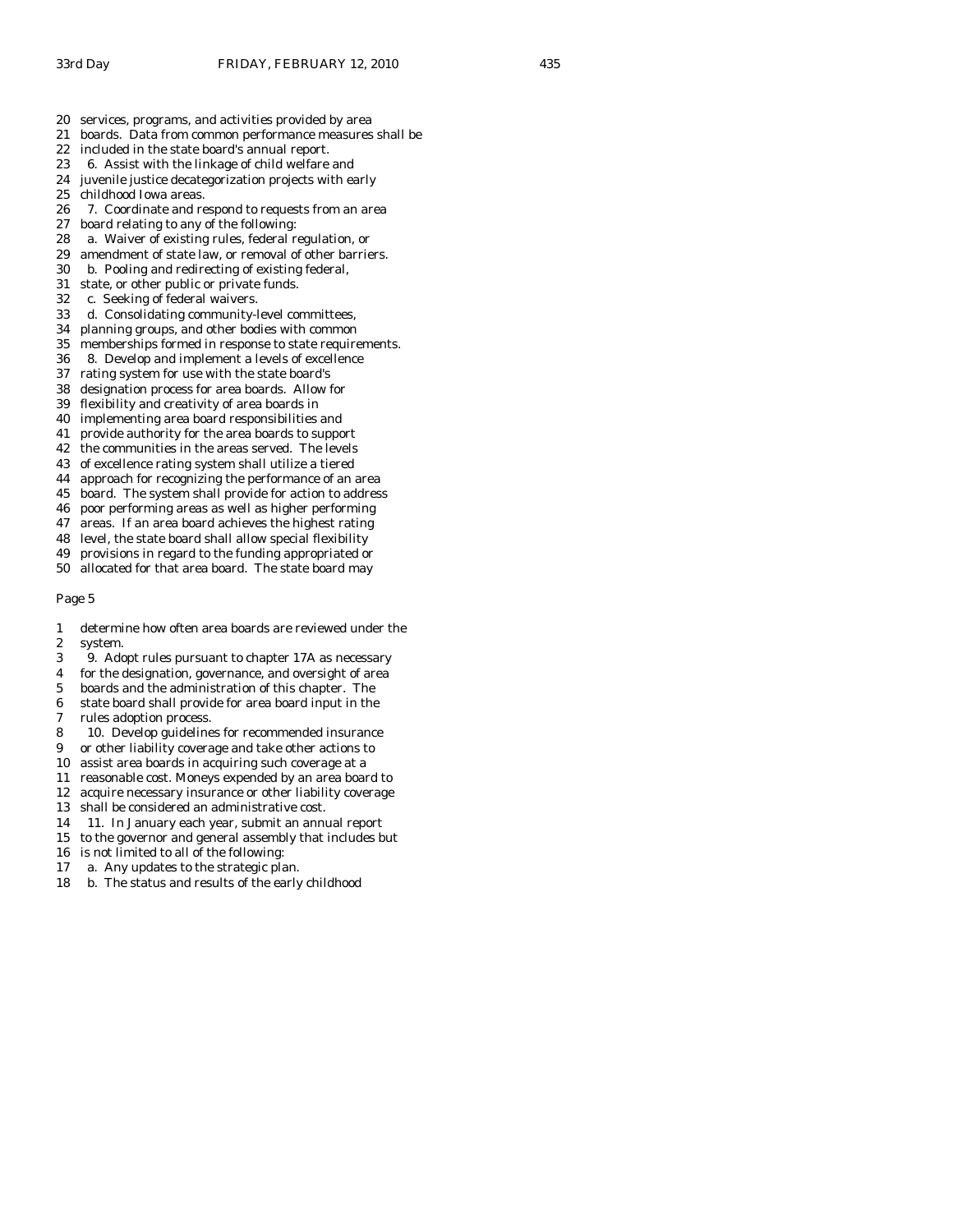- 20 services, programs, and activities provided by area
- 21 boards. Data from common performance measures shall be
- 22 included in the state board's annual report.
- 23 6. Assist with the linkage of child welfare and
- 24 juvenile justice decategorization projects with early
- 25 childhood Iowa areas.
- 26 7. Coordinate and respond to requests from an area
- 27 board relating to any of the following:<br>28 a. Waiver of existing rules, federal re
- a. Waiver of existing rules, federal regulation, or
- 29 amendment of state law, or removal of other barriers.
- 30 b. Pooling and redirecting of existing federal,
- 31 state, or other public or private funds.
- 32 c. Seeking of federal waivers.
- 33 d. Consolidating community-level committees,
- 34 planning groups, and other bodies with common
- 35 memberships formed in response to state requirements.
- 36 8. Develop and implement a levels of excellence
- 37 rating system for use with the state board's
- 38 designation process for area boards. Allow for
- 39 flexibility and creativity of area boards in
- 40 implementing area board responsibilities and
- 41 provide authority for the area boards to support
- 42 the communities in the areas served. The levels
- 43 of excellence rating system shall utilize a tiered
- 44 approach for recognizing the performance of an area
- 45 board. The system shall provide for action to address
- 46 poor performing areas as well as higher performing
- 47 areas. If an area board achieves the highest rating 48 level, the state board shall allow special flexibility
- 49 provisions in regard to the funding appropriated or
- 50 allocated for that area board. The state board may
- Page 5
- 1 determine how often area boards are reviewed under the 2 system.
- 3 9. Adopt rules pursuant to chapter 17A as necessary
- 4 for the designation, governance, and oversight of area
- 5 boards and the administration of this chapter. The
- 6 state board shall provide for area board input in the
- 7 rules adoption process.
- 8 10. Develop guidelines for recommended insurance
- 9 or other liability coverage and take other actions to
- 10 assist area boards in acquiring such coverage at a
- 11 reasonable cost. Moneys expended by an area board to
- 12 acquire necessary insurance or other liability coverage
- 13 shall be considered an administrative cost.
- 14 11. In January each year, submit an annual report
- 15 to the governor and general assembly that includes but
- 16 is not limited to all of the following:
- 17 a. Any updates to the strategic plan.
- 18 b. The status and results of the early childhood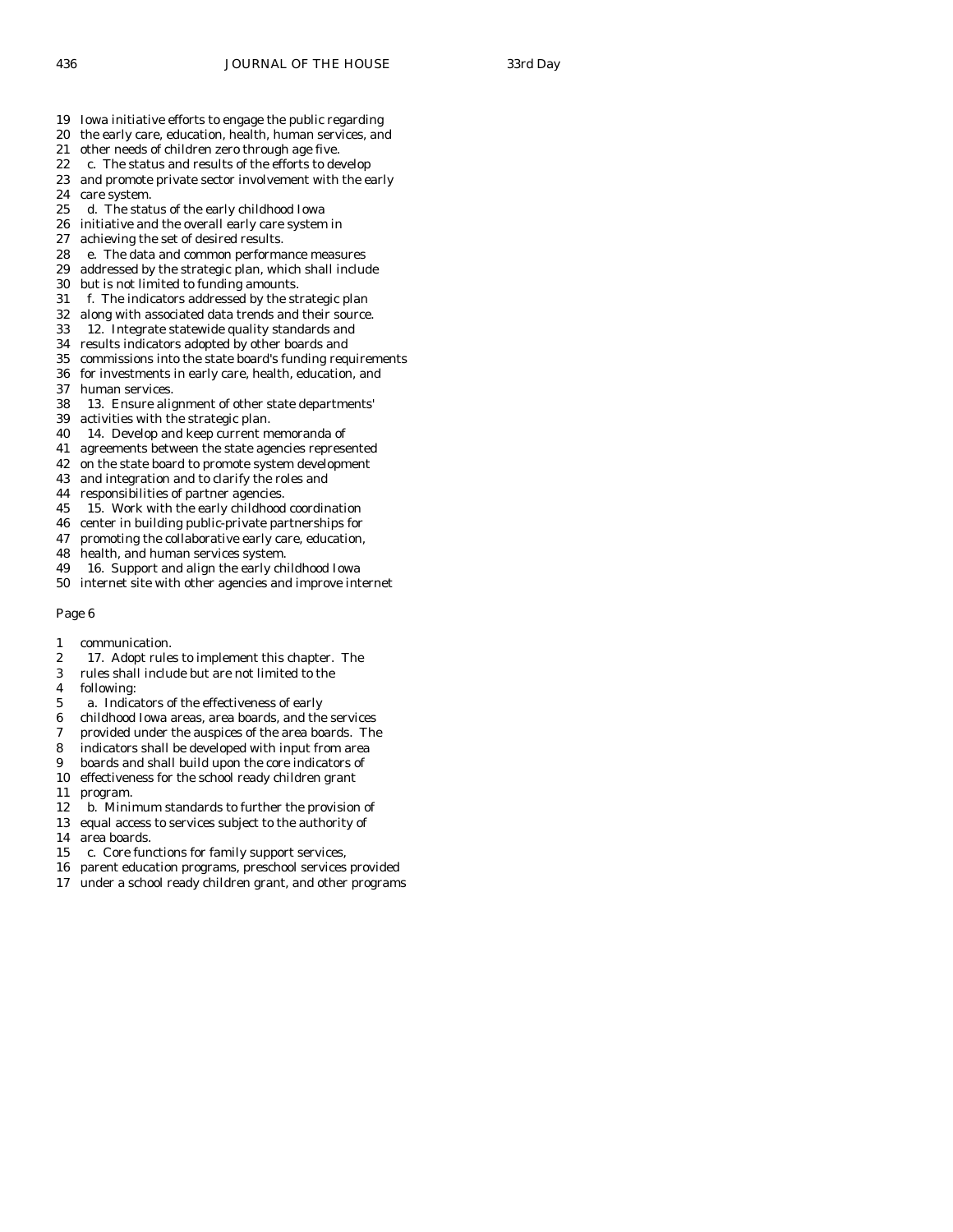- 19 Iowa initiative efforts to engage the public regarding
- 20 the early care, education, health, human services, and
- 21 other needs of children zero through age five.
- 22 c. The status and results of the efforts to develop
- 23 and promote private sector involvement with the early
- 24 care system.
- 25 d. The status of the early childhood Iowa
- 26 initiative and the overall early care system in<br>27 achieving the set of desired results.
- achieving the set of desired results.
- 28 e. The data and common performance measures
- 29 addressed by the strategic plan, which shall include
- 30 but is not limited to funding amounts.
- 31 f. The indicators addressed by the strategic plan
- 32 along with associated data trends and their source.
- 33 12. Integrate statewide quality standards and
- 34 results indicators adopted by other boards and
- 35 commissions into the state board's funding requirements 36 for investments in early care, health, education, and
- 37 human services.
- 38 13. Ensure alignment of other state departments'
- 39 activities with the strategic plan.
- 40 14. Develop and keep current memoranda of
- 41 agreements between the state agencies represented
- 42 on the state board to promote system development
- 43 and integration and to clarify the roles and
- 44 responsibilities of partner agencies.
- 45 15. Work with the early childhood coordination
- 46 center in building public-private partnerships for
- 47 promoting the collaborative early care, education,
- 48 health, and human services system.
- 49 16. Support and align the early childhood Iowa
- 50 internet site with other agencies and improve internet

- 1 communication.
- 2 17. Adopt rules to implement this chapter. The
- 3 rules shall include but are not limited to the
- 4 following:
- 5 a. Indicators of the effectiveness of early
- 6 childhood Iowa areas, area boards, and the services
- 7 provided under the auspices of the area boards. The
- 8 indicators shall be developed with input from area
- 9 boards and shall build upon the core indicators of
- 10 effectiveness for the school ready children grant
- 11 program.
- 12 b. Minimum standards to further the provision of
- 13 equal access to services subject to the authority of
- 14 area boards.
- 15 c. Core functions for family support services,
- 16 parent education programs, preschool services provided
- 17 under a school ready children grant, and other programs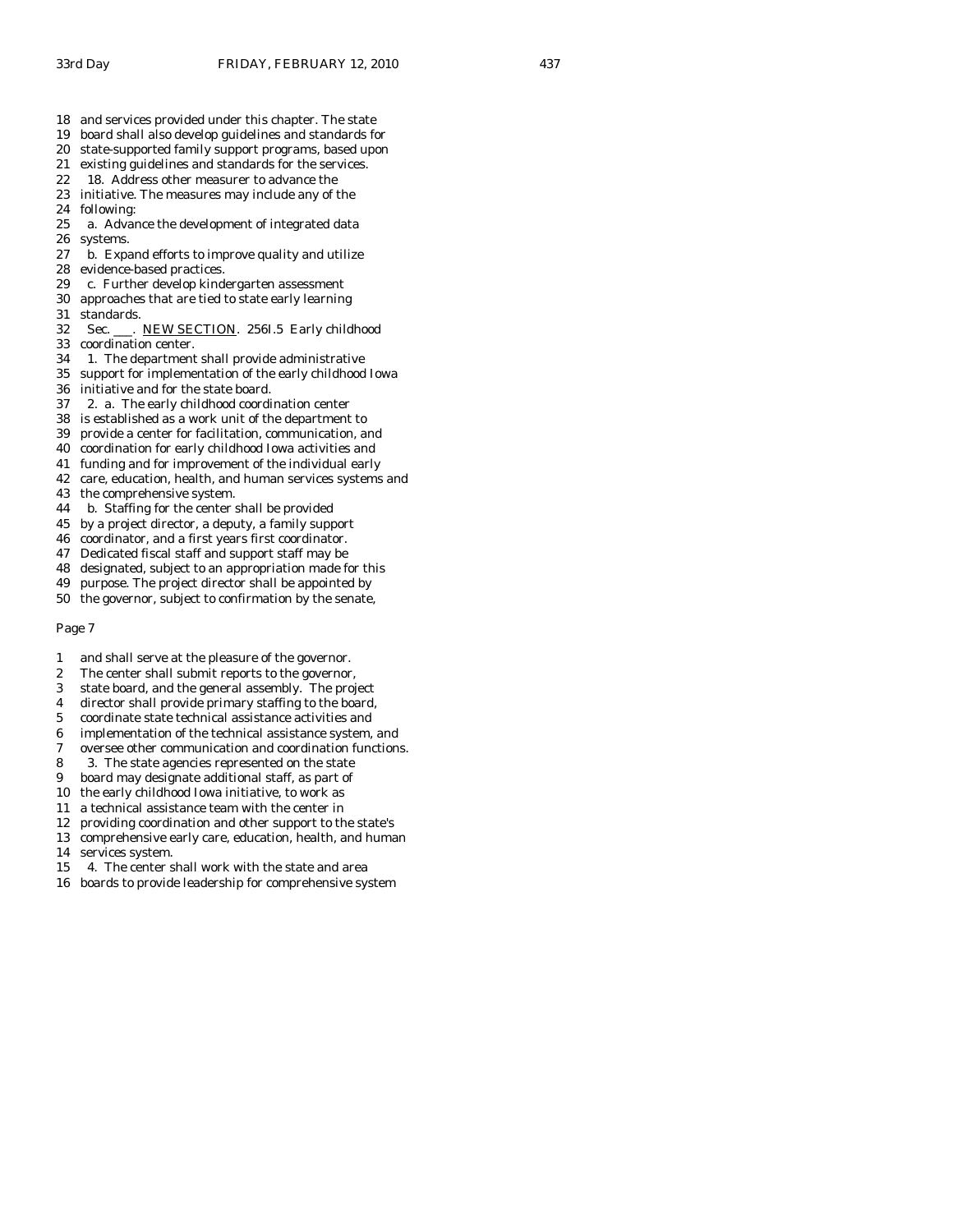- 18 and services provided under this chapter. The state
- 19 board shall also develop guidelines and standards for
- 20 state-supported family support programs, based upon
- 21 existing guidelines and standards for the services.
- 22 18. Address other measurer to advance the 23 initiative. The measures may include any of the
- 24 following:
- 25 a. Advance the development of integrated data 26 systems.
- 27 b. Expand efforts to improve quality and utilize
- 28 evidence-based practices.
- 29 c. Further develop kindergarten assessment
- 30 approaches that are tied to state early learning
- 31 standards.
- 32 Sec. \_\_\_. NEW SECTION. 256I.5 Early childhood
- 33 coordination center.
- 34 1. The department shall provide administrative
- 35 support for implementation of the early childhood Iowa
- 36 initiative and for the state board.<br>37 2. a. The early childhood coordi
- 2. a. The early childhood coordination center
- 38 is established as a work unit of the department to
- 39 provide a center for facilitation, communication, and
- 40 coordination for early childhood Iowa activities and
- 41 funding and for improvement of the individual early
- 42 care, education, health, and human services systems and
- 43 the comprehensive system.
- 44 b. Staffing for the center shall be provided
- 45 by a project director, a deputy, a family support
- 46 coordinator, and a first years first coordinator.
- 47 Dedicated fiscal staff and support staff may be
- 48 designated, subject to an appropriation made for this
- 49 purpose. The project director shall be appointed by
- 50 the governor, subject to confirmation by the senate,

- 1 and shall serve at the pleasure of the governor.
- 2 The center shall submit reports to the governor,
- 3 state board, and the general assembly. The project
- 4 director shall provide primary staffing to the board,
- 5 coordinate state technical assistance activities and
- 6 implementation of the technical assistance system, and
- 7 oversee other communication and coordination functions.
- 8 3. The state agencies represented on the state
- 9 board may designate additional staff, as part of
- 10 the early childhood Iowa initiative, to work as
- 11 a technical assistance team with the center in
- 12 providing coordination and other support to the state's
- 13 comprehensive early care, education, health, and human
- 14 services system.
- 15 4. The center shall work with the state and area
- 16 boards to provide leadership for comprehensive system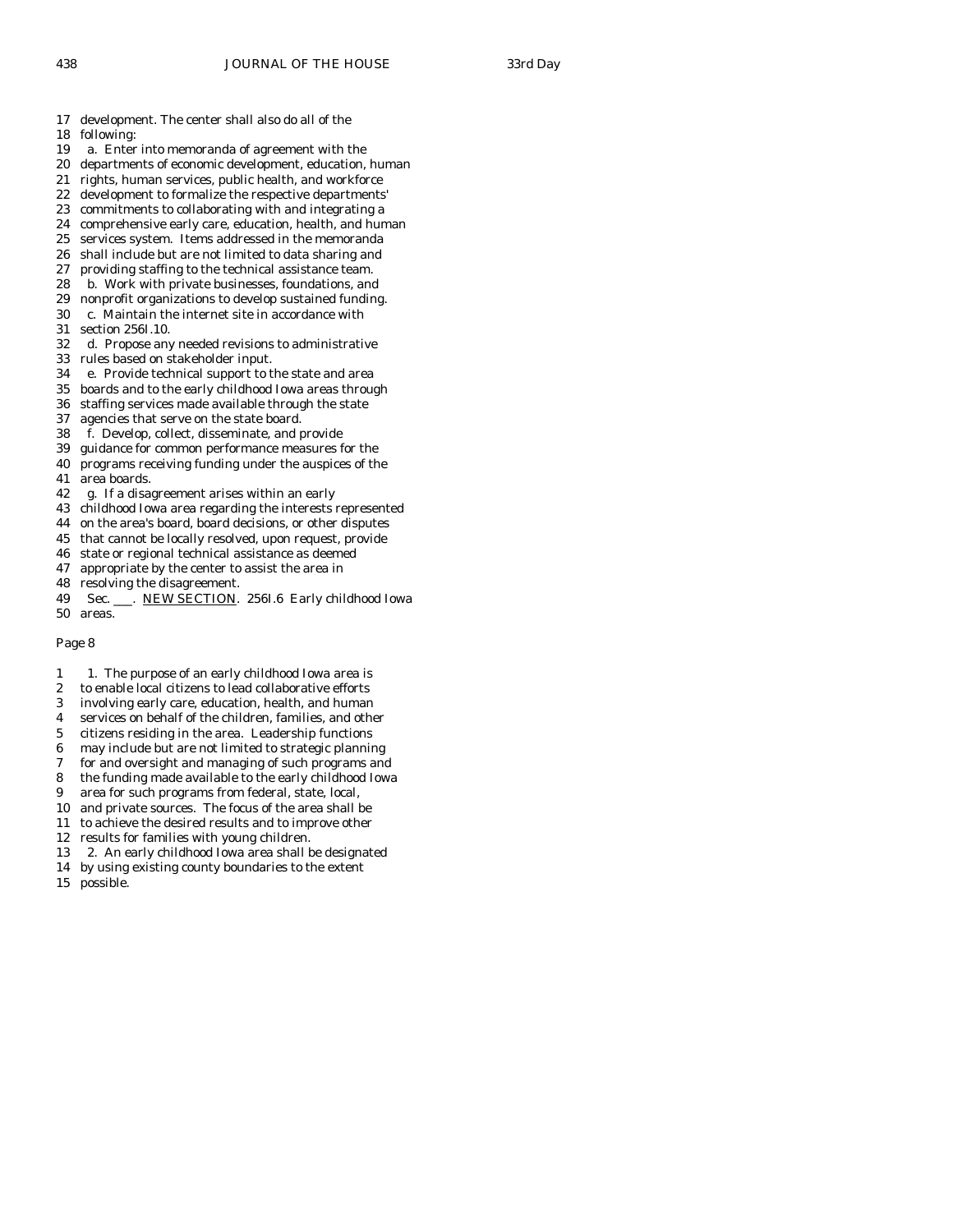17 development. The center shall also do all of the

- 18 following:
- 19 a. Enter into memoranda of agreement with the
- 20 departments of economic development, education, human
- 21 rights, human services, public health, and workforce
- 22 development to formalize the respective departments' 23 commitments to collaborating with and integrating a
- 
- 24 comprehensive early care, education, health, and human 25 services system. Items addressed in the memoranda services system. Items addressed in the memoranda
- 26 shall include but are not limited to data sharing and
- 27 providing staffing to the technical assistance team.
- 28 b. Work with private businesses, foundations, and
- 29 nonprofit organizations to develop sustained funding.
- 30 c. Maintain the internet site in accordance with
- 31 section 256I.10.
- 32 d. Propose any needed revisions to administrative
- 33 rules based on stakeholder input.
- 34 e. Provide technical support to the state and area
- 35 boards and to the early childhood Iowa areas through
- staffing services made available through the state
- 37 agencies that serve on the state board.
- 38 f. Develop, collect, disseminate, and provide
- 39 guidance for common performance measures for the
- 40 programs receiving funding under the auspices of the 41 area boards.
- 42 g. If a disagreement arises within an early
- 43 childhood Iowa area regarding the interests represented
- 44 on the area's board, board decisions, or other disputes
- 45 that cannot be locally resolved, upon request, provide
- 46 state or regional technical assistance as deemed
- 47 appropriate by the center to assist the area in
- 48 resolving the disagreement.
- 49 Sec. \_\_\_. NEW SECTION. 256I.6 Early childhood Iowa 50 areas.

- 1 1. The purpose of an early childhood Iowa area is
- 2 to enable local citizens to lead collaborative efforts
- 3 involving early care, education, health, and human
- 4 services on behalf of the children, families, and other
- 5 citizens residing in the area. Leadership functions
- 6 may include but are not limited to strategic planning
- 7 for and oversight and managing of such programs and
- 8 the funding made available to the early childhood Iowa
- 9 area for such programs from federal, state, local,
- 10 and private sources. The focus of the area shall be
- 11 to achieve the desired results and to improve other
- 12 results for families with young children.
- 13 2. An early childhood Iowa area shall be designated
- 14 by using existing county boundaries to the extent
- 15 possible.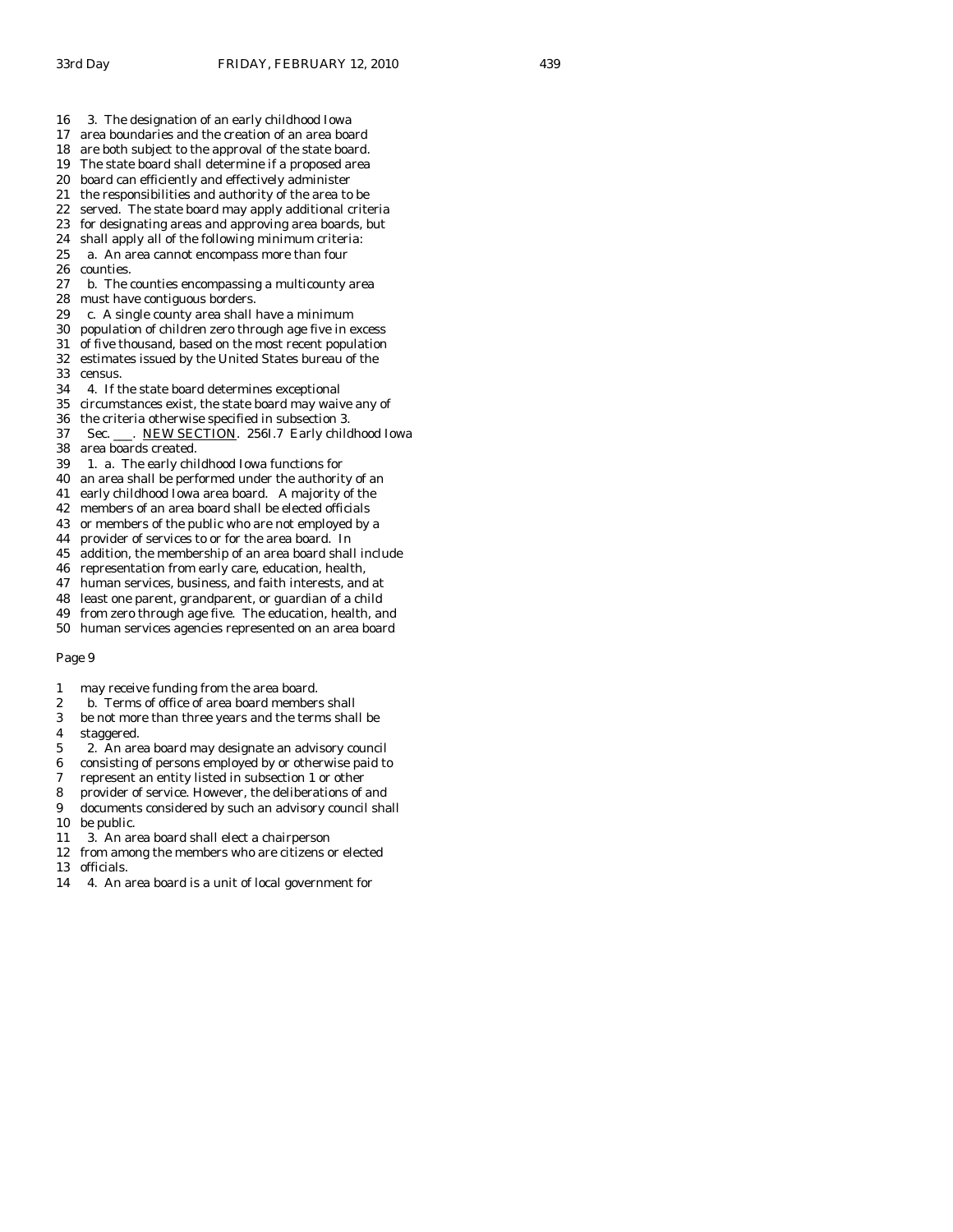- 16 3. The designation of an early childhood Iowa
- 17 area boundaries and the creation of an area board
- 18 are both subject to the approval of the state board.
- 19 The state board shall determine if a proposed area
- 20 board can efficiently and effectively administer
- 21 the responsibilities and authority of the area to be
- 22 served. The state board may apply additional criteria
- 23 for designating areas and approving area boards, but 24 shall apply all of the following minimum criteria: shall apply all of the following minimum criteria:
- 25 a. An area cannot encompass more than four
- 26 counties.
- 27 b. The counties encompassing a multicounty area
- 28 must have contiguous borders.
- 29 c. A single county area shall have a minimum
- 30 population of children zero through age five in excess
- 31 of five thousand, based on the most recent population
- 32 estimates issued by the United States bureau of the
- 33 census.
- 34 4. If the state board determines exceptional
- 35 circumstances exist, the state board may waive any of
- 36 the criteria otherwise specified in subsection 3.
- 37 Sec. \_\_\_. NEW SECTION. 256I.7 Early childhood Iowa 38 area boards created.
- 39 1. a. The early childhood Iowa functions for
- 40 an area shall be performed under the authority of an
- 41 early childhood Iowa area board. A majority of the
- 42 members of an area board shall be elected officials
- 43 or members of the public who are not employed by a
- 44 provider of services to or for the area board. In
- 45 addition, the membership of an area board shall include
- 46 representation from early care, education, health,
- 47 human services, business, and faith interests, and at
- 48 least one parent, grandparent, or guardian of a child
- 49 from zero through age five. The education, health, and
- 50 human services agencies represented on an area board

- 1 may receive funding from the area board.
- 2 b. Terms of office of area board members shall
- 3 be not more than three years and the terms shall be
- 4 staggered.
- 5 2. An area board may designate an advisory council
- 6 consisting of persons employed by or otherwise paid to
- 7 represent an entity listed in subsection 1 or other
- 8 provider of service. However, the deliberations of and
- 9 documents considered by such an advisory council shall
- 10 be public. 11 3. An area board shall elect a chairperson
- 12 from among the members who are citizens or elected
- 13 officials.
- 14 4. An area board is a unit of local government for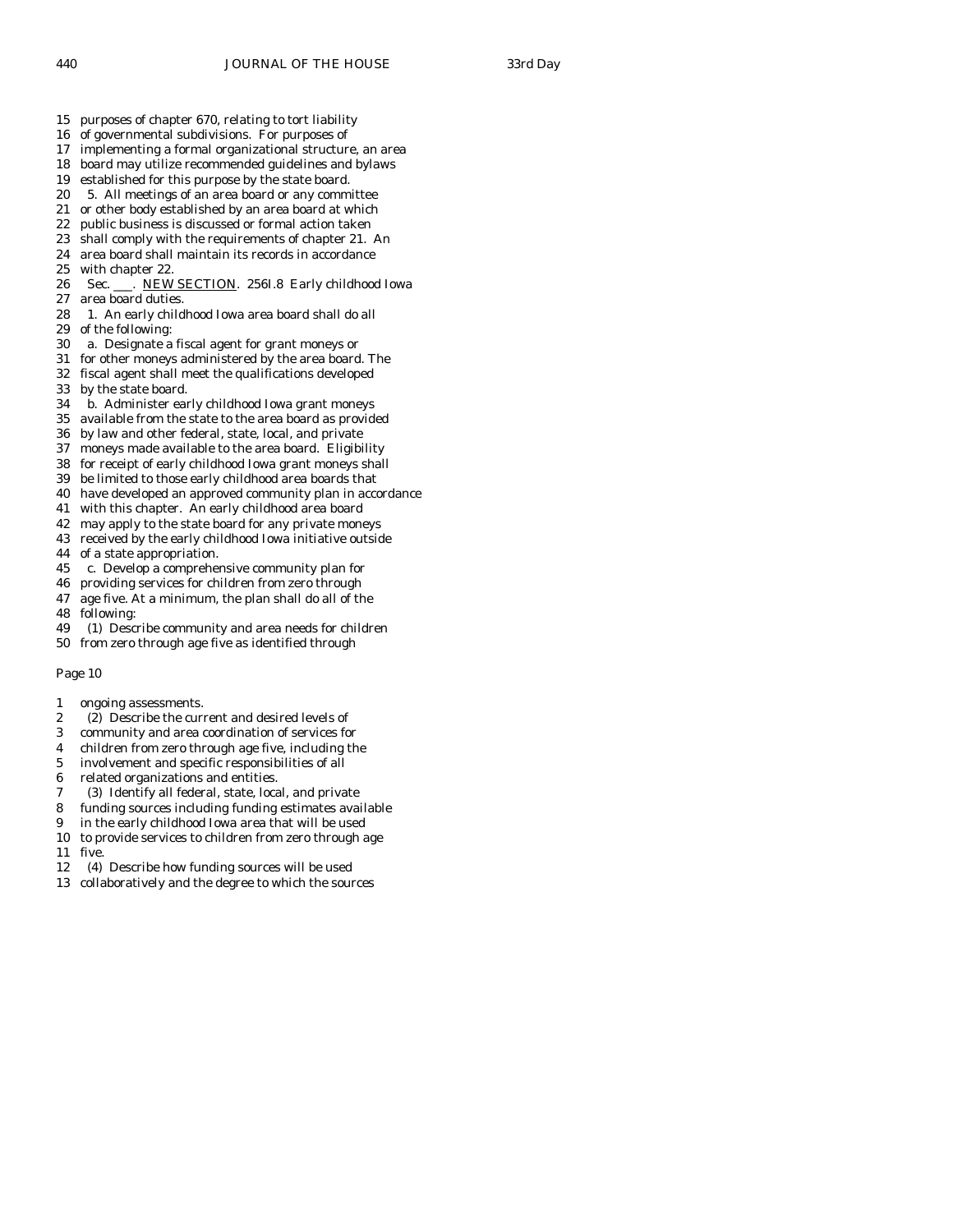- 15 purposes of chapter 670, relating to tort liability
- 16 of governmental subdivisions. For purposes of
- 17 implementing a formal organizational structure, an area
- 18 board may utilize recommended guidelines and bylaws
- 19 established for this purpose by the state board.
- 20 5. All meetings of an area board or any committee
- 21 or other body established by an area board at which
- 22 public business is discussed or formal action taken<br>23 shall comply with the requirements of chapter 21.
- shall comply with the requirements of chapter 21. An
- 24 area board shall maintain its records in accordance
- 25 with chapter 22.
- 26 Sec. NEW SECTION. 256I.8 Early childhood Iowa
- 27 area board duties. 28 1. An early childhood Iowa area board shall do all
- 29 of the following:
- 30 a. Designate a fiscal agent for grant moneys or
- 31 for other moneys administered by the area board. The
- 32 fiscal agent shall meet the qualifications developed
- 33 by the state board.
- 34 b. Administer early childhood Iowa grant moneys
- 35 available from the state to the area board as provided
- 36 by law and other federal, state, local, and private
- 37 moneys made available to the area board. Eligibility
- 38 for receipt of early childhood Iowa grant moneys shall
- 39 be limited to those early childhood area boards that
- 40 have developed an approved community plan in accordance
- 41 with this chapter. An early childhood area board
- 42 may apply to the state board for any private moneys
- 43 received by the early childhood Iowa initiative outside
- 44 of a state appropriation.
- 45 c. Develop a comprehensive community plan for
- 46 providing services for children from zero through
- 47 age five. At a minimum, the plan shall do all of the
- 48 following:
- 49 (1) Describe community and area needs for children
- 50 from zero through age five as identified through

- 1 ongoing assessments.
- 2 (2) Describe the current and desired levels of
- 3 community and area coordination of services for
- 4 children from zero through age five, including the
- 5 involvement and specific responsibilities of all
- 6 related organizations and entities.
- 7 (3) Identify all federal, state, local, and private
- 8 funding sources including funding estimates available
- 9 in the early childhood Iowa area that will be used
- 10 to provide services to children from zero through age 11 five.
- 12 (4) Describe how funding sources will be used
- 13 collaboratively and the degree to which the sources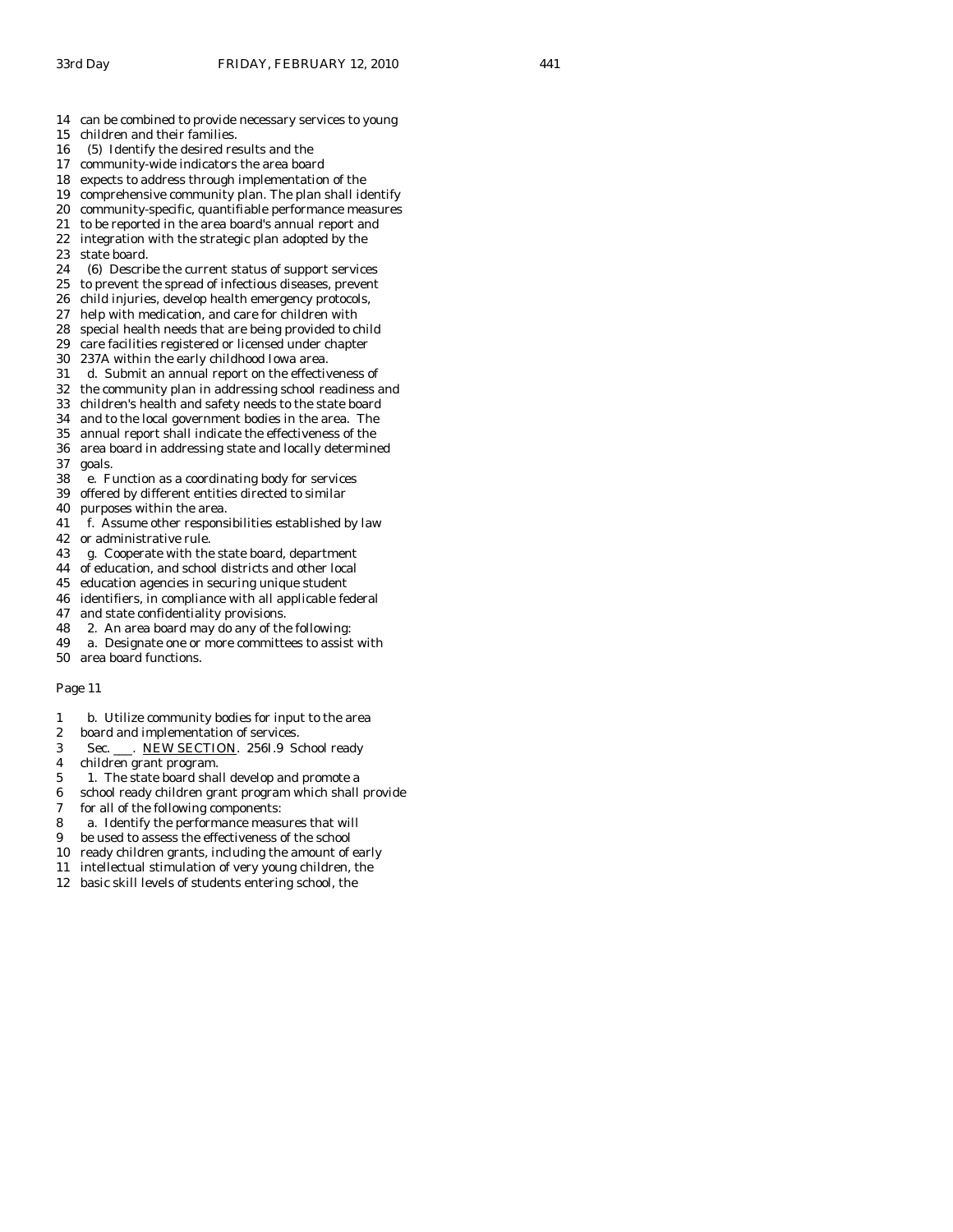- 14 can be combined to provide necessary services to young
- 15 children and their families.
- 16 (5) Identify the desired results and the
- 17 community-wide indicators the area board
- 18 expects to address through implementation of the
- 19 comprehensive community plan. The plan shall identify 20 community-specific, quantifiable performance measures
- 
- 21 to be reported in the area board's annual report and<br>22 integration with the strategic plan adopted by the integration with the strategic plan adopted by the
- 23 state board.
- 24 (6) Describe the current status of support services
- 25 to prevent the spread of infectious diseases, prevent
- 26 child injuries, develop health emergency protocols,
- 27 help with medication, and care for children with
- 28 special health needs that are being provided to child
- 29 care facilities registered or licensed under chapter
- 30 237A within the early childhood Iowa area.
- 31 d. Submit an annual report on the effectiveness of
- 32 the community plan in addressing school readiness and
- 33 children's health and safety needs to the state board 34 and to the local government bodies in the area. The
- 
- 35 annual report shall indicate the effectiveness of the 36 area board in addressing state and locally determined
- 37 goals.
- 38 e. Function as a coordinating body for services
- 39 offered by different entities directed to similar
- 40 purposes within the area.
- 41 f. Assume other responsibilities established by law
- 42 or administrative rule.
- 43 g. Cooperate with the state board, department
- 44 of education, and school districts and other local
- 45 education agencies in securing unique student
- 46 identifiers, in compliance with all applicable federal
- 47 and state confidentiality provisions.
- 48 2. An area board may do any of the following:
- 49 a. Designate one or more committees to assist with
- 50 area board functions.

- 1 b. Utilize community bodies for input to the area
- 2 board and implementation of services.
- 3 Sec. \_\_\_. NEW SECTION. 256I.9 School ready
- 4 children grant program.
- 5 1. The state board shall develop and promote a
- 6 school ready children grant program which shall provide
- 7 for all of the following components:
- 8 a. Identify the performance measures that will
- 9 be used to assess the effectiveness of the school
- 10 ready children grants, including the amount of early
- 11 intellectual stimulation of very young children, the
- 12 basic skill levels of students entering school, the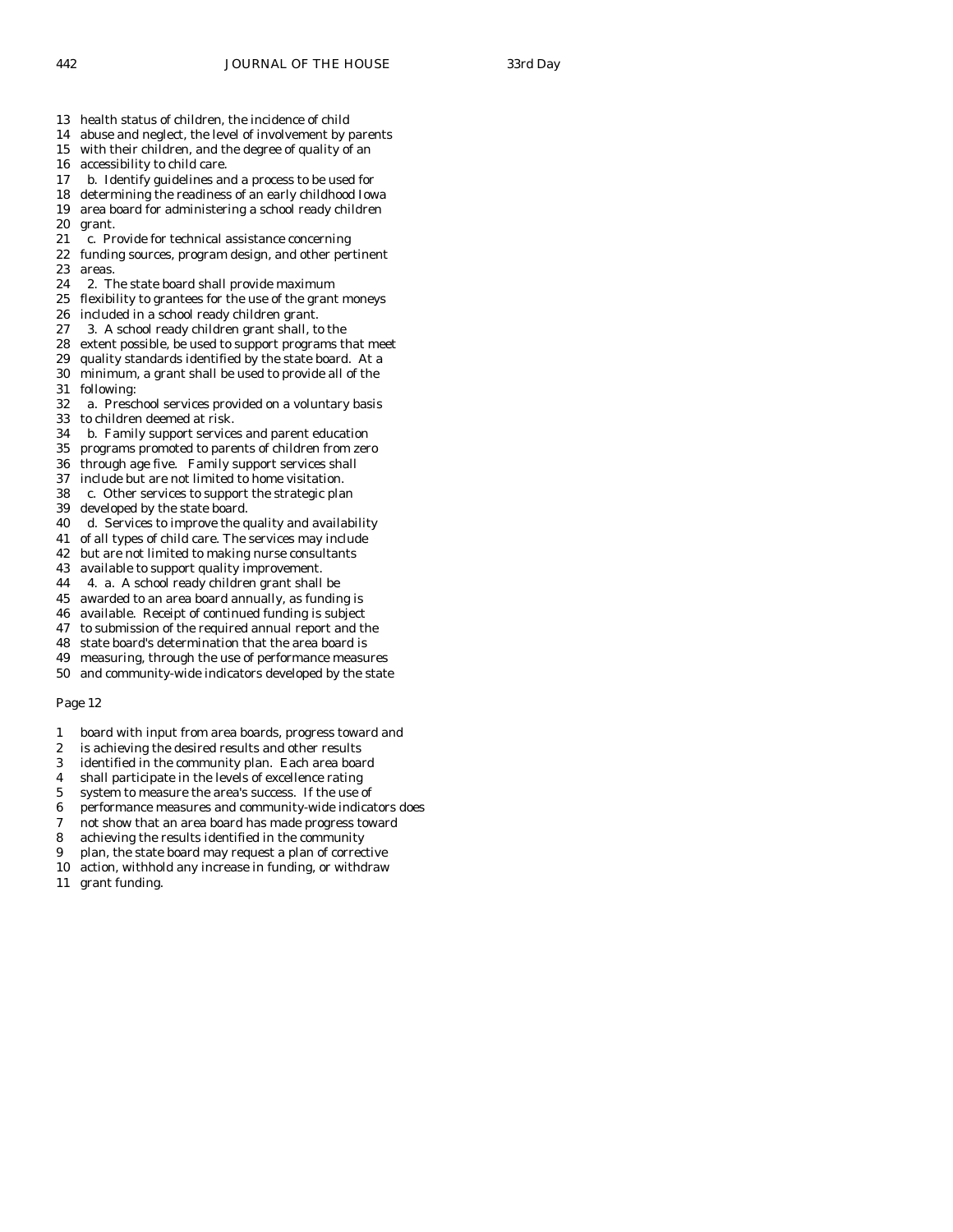- 13 health status of children, the incidence of child
- 14 abuse and neglect, the level of involvement by parents
- 15 with their children, and the degree of quality of an
- 16 accessibility to child care.
- 17 b. Identify guidelines and a process to be used for
- 18 determining the readiness of an early childhood Iowa 19 area board for administering a school ready children
- 20 grant.<br>21 c. Pr
- c. Provide for technical assistance concerning
- 22 funding sources, program design, and other pertinent 23 areas.
- 24 2. The state board shall provide maximum
- 25 flexibility to grantees for the use of the grant moneys
- 26 included in a school ready children grant.
- 27 3. A school ready children grant shall, to the
- 28 extent possible, be used to support programs that meet
- 29 quality standards identified by the state board. At a 30 minimum, a grant shall be used to provide all of the
- 
- 31 following: a. Preschool services provided on a voluntary basis
- 33 to children deemed at risk.
- 34 b. Family support services and parent education
- 35 programs promoted to parents of children from zero
- 36 through age five. Family support services shall
- 37 include but are not limited to home visitation.
- 38 c. Other services to support the strategic plan
- 39 developed by the state board.
- 40 d. Services to improve the quality and availability
- 41 of all types of child care. The services may include
- 42 but are not limited to making nurse consultants
- 43 available to support quality improvement.
- 44 4. a. A school ready children grant shall be
- 45 awarded to an area board annually, as funding is
- 46 available. Receipt of continued funding is subject
- 47 to submission of the required annual report and the
- 48 state board's determination that the area board is
- 49 measuring, through the use of performance measures
- 50 and community-wide indicators developed by the state

- 1 board with input from area boards, progress toward and
- 2 is achieving the desired results and other results
- 3 identified in the community plan. Each area board
- 4 shall participate in the levels of excellence rating
- 5 system to measure the area's success. If the use of
- 6 performance measures and community-wide indicators does
- 7 not show that an area board has made progress toward
- 8 achieving the results identified in the community
- 9 plan, the state board may request a plan of corrective
- 10 action, withhold any increase in funding, or withdraw
- 11 grant funding.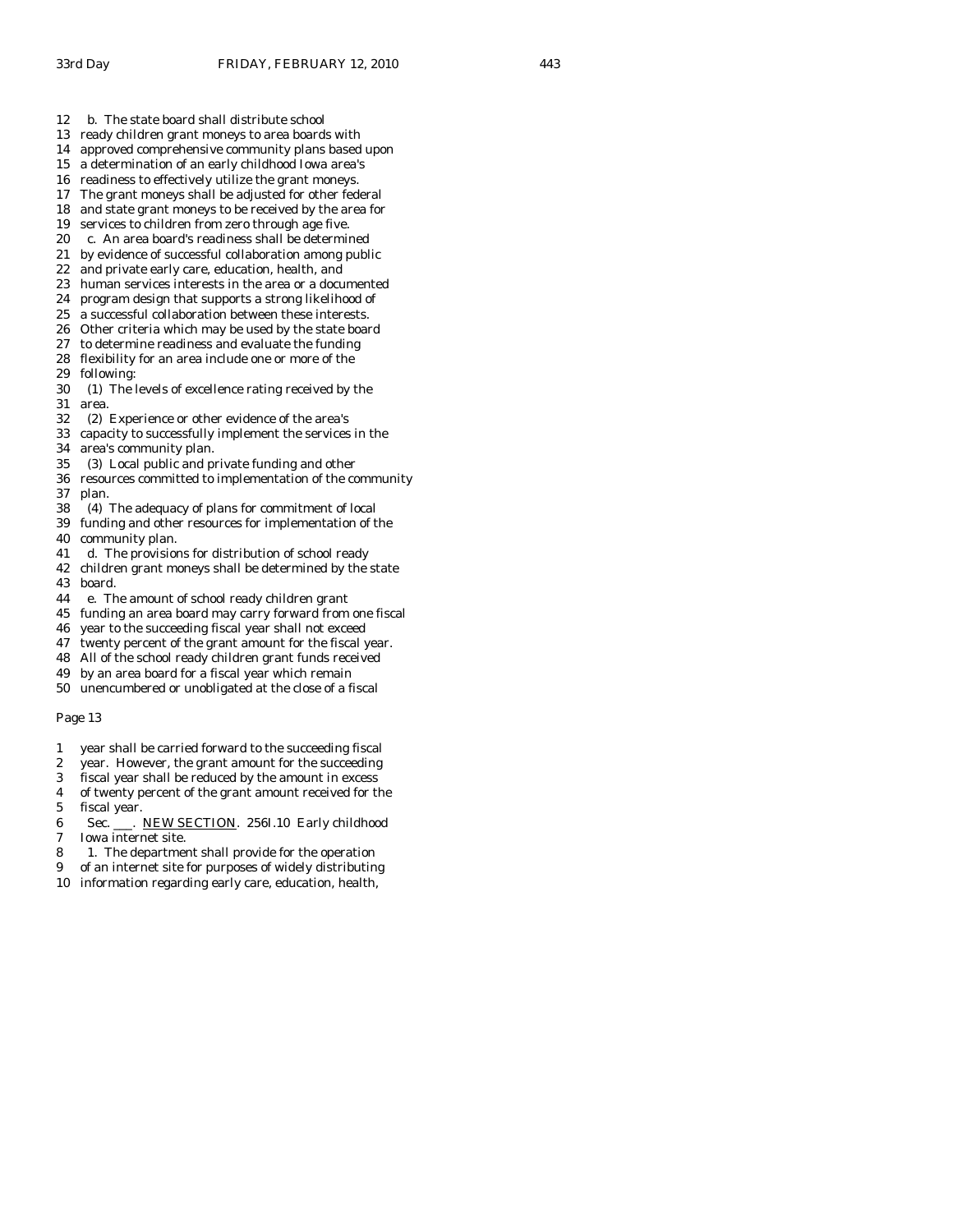- 12 b. The state board shall distribute school
- 13 ready children grant moneys to area boards with
- 14 approved comprehensive community plans based upon
- 15 a determination of an early childhood Iowa area's
- 16 readiness to effectively utilize the grant moneys.
- 17 The grant moneys shall be adjusted for other federal
- 18 and state grant moneys to be received by the area for
- 19 services to children from zero through age five.<br>20 c. An area board's readiness shall be determined
- c. An area board's readiness shall be determined 21 by evidence of successful collaboration among public
- 
- 22 and private early care, education, health, and 23 human services interests in the area or a documented
- 24 program design that supports a strong likelihood of
- 25 a successful collaboration between these interests.
- 26 Other criteria which may be used by the state board
- 27 to determine readiness and evaluate the funding
- 28 flexibility for an area include one or more of the
- 29 following:
- 30 (1) The levels of excellence rating received by the area.
- 32 (2) Experience or other evidence of the area's
- 33 capacity to successfully implement the services in the
- 34 area's community plan.
- 35 (3) Local public and private funding and other
- 36 resources committed to implementation of the community 37 plan.
- 38 (4) The adequacy of plans for commitment of local
- 39 funding and other resources for implementation of the
- 40 community plan.
- 41 d. The provisions for distribution of school ready
- 42 children grant moneys shall be determined by the state 43 board.
- 44 e. The amount of school ready children grant
- 45 funding an area board may carry forward from one fiscal
- 46 year to the succeeding fiscal year shall not exceed
- 47 twenty percent of the grant amount for the fiscal year.
- 48 All of the school ready children grant funds received
- 49 by an area board for a fiscal year which remain
- 50 unencumbered or unobligated at the close of a fiscal

- 1 year shall be carried forward to the succeeding fiscal
- 2 year. However, the grant amount for the succeeding
- 3 fiscal year shall be reduced by the amount in excess
- 4 of twenty percent of the grant amount received for the
- 5 fiscal year.
- 6 Sec. \_\_\_. NEW SECTION. 256I.10 Early childhood 7 Iowa internet site.
- 
- 8 1. The department shall provide for the operation
- 9 of an internet site for purposes of widely distributing
- 10 information regarding early care, education, health,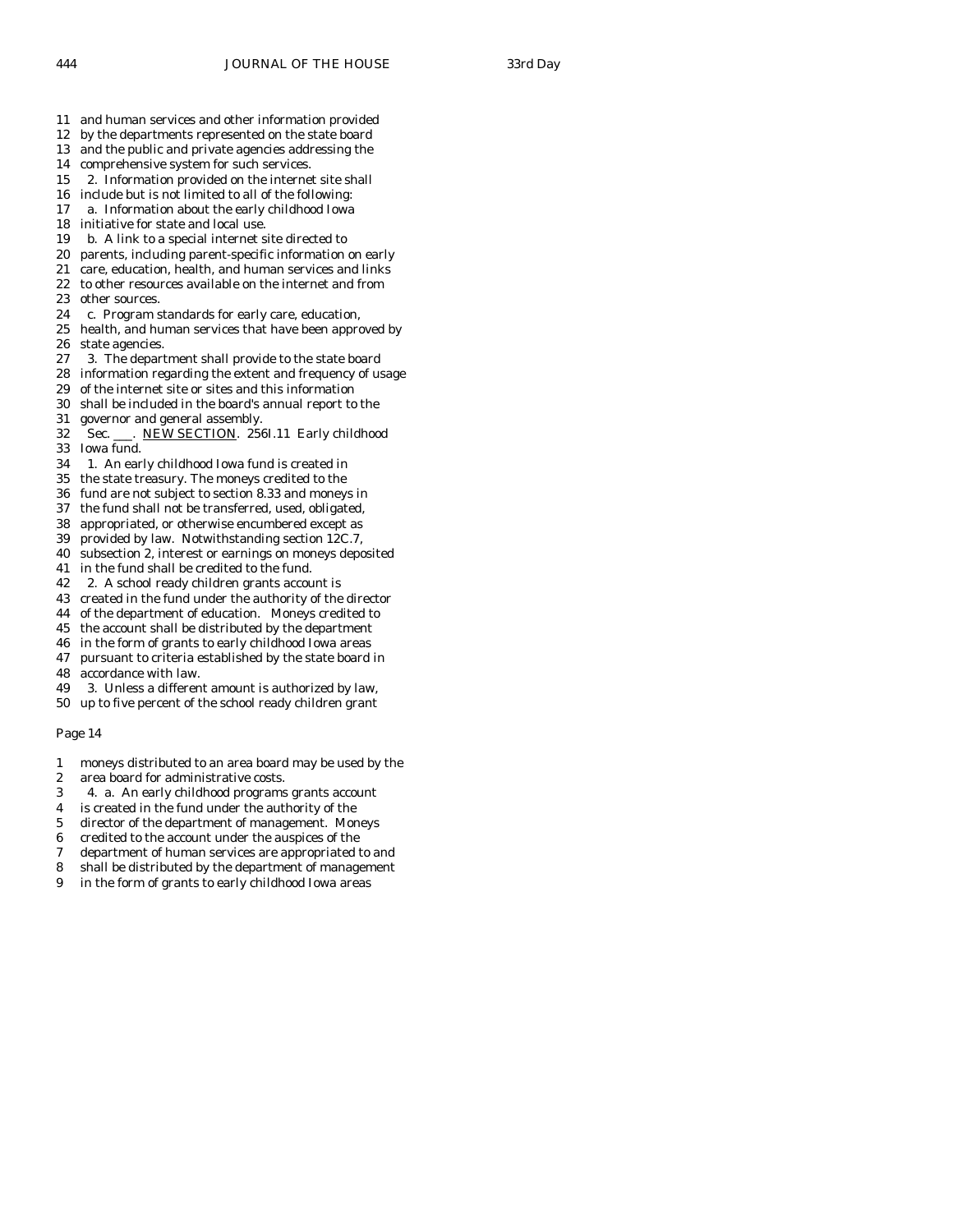- 11 and human services and other information provided
- 12 by the departments represented on the state board
- 13 and the public and private agencies addressing the
- 14 comprehensive system for such services.
- 15 2. Information provided on the internet site shall
- 16 include but is not limited to all of the following:
- 17 a. Information about the early childhood Iowa
- 18 initiative for state and local use.
- 19 b. A link to a special internet site directed to
- 20 parents, including parent-specific information on early
- 21 care, education, health, and human services and links 22 to other resources available on the internet and from
- 23 other sources.
- 24 c. Program standards for early care, education,
- 25 health, and human services that have been approved by 26 state agencies.
- 27 3. The department shall provide to the state board
- 28 information regarding the extent and frequency of usage
- 29 of the internet site or sites and this information
- 30 shall be included in the board's annual report to the
- 31 governor and general assembly.
- 32 Sec. \_\_\_. NEW SECTION. 256I.11 Early childhood 33 Iowa fund.
- 34 1. An early childhood Iowa fund is created in
- 35 the state treasury. The moneys credited to the
- 36 fund are not subject to section 8.33 and moneys in
- 37 the fund shall not be transferred, used, obligated,
- 38 appropriated, or otherwise encumbered except as
- 39 provided by law. Notwithstanding section 12C.7,
- 40 subsection 2, interest or earnings on moneys deposited
- 41 in the fund shall be credited to the fund.
- 42 2. A school ready children grants account is
- 43 created in the fund under the authority of the director
- 44 of the department of education. Moneys credited to
- 45 the account shall be distributed by the department
- 46 in the form of grants to early childhood Iowa areas
- 47 pursuant to criteria established by the state board in
- 48 accordance with law.
- 49 3. Unless a different amount is authorized by law, 50 up to five percent of the school ready children grant
- Page 14
- 
- 1 moneys distributed to an area board may be used by the
- 2 area board for administrative costs. 3 4. a. An early childhood programs grants account
- 
- 4 is created in the fund under the authority of the
- 5 director of the department of management. Moneys
- 6 credited to the account under the auspices of the
- 7 department of human services are appropriated to and
- 8 shall be distributed by the department of management
- 9 in the form of grants to early childhood Iowa areas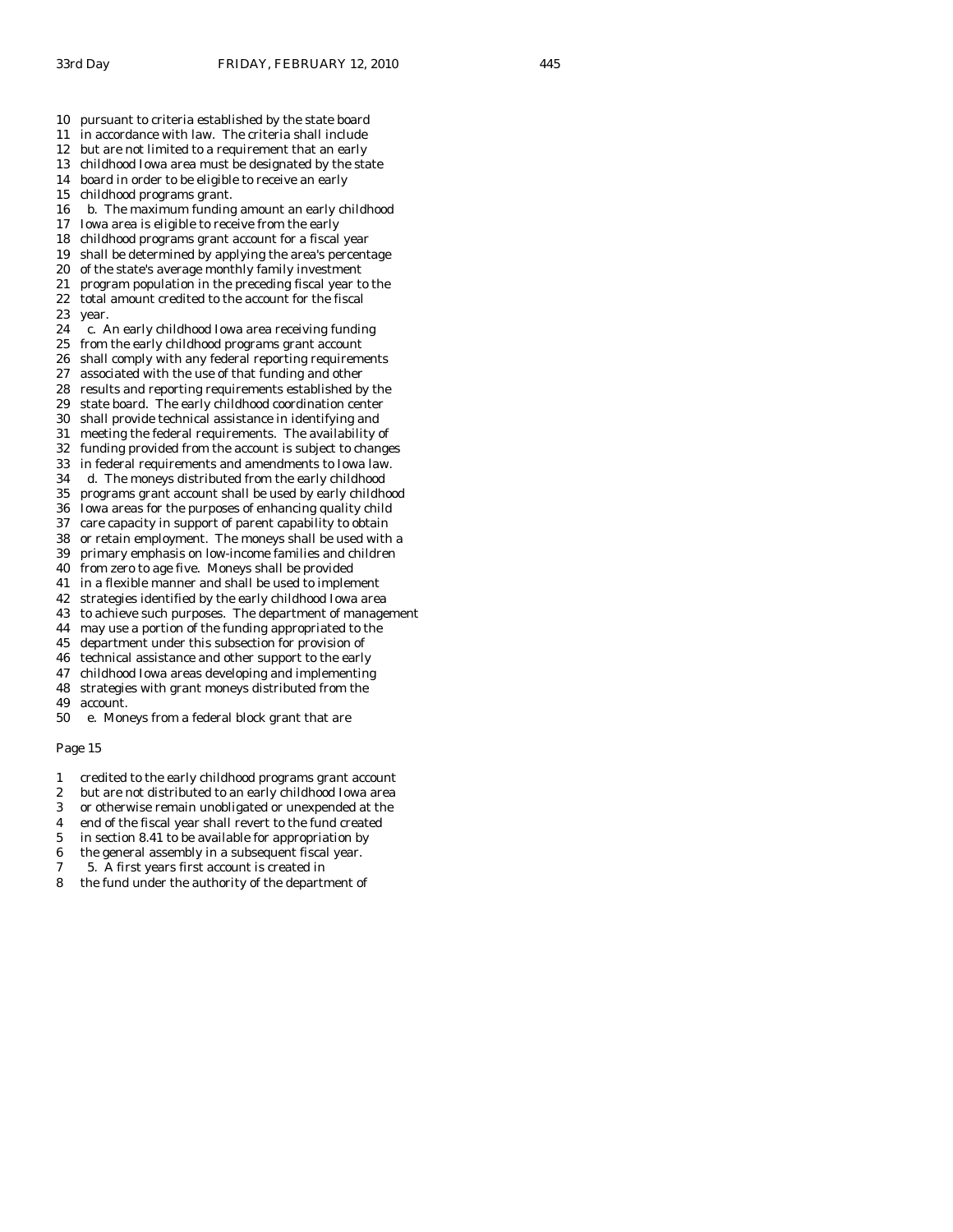- 11 in accordance with law. The criteria shall include
- 12 but are not limited to a requirement that an early
- 13 childhood Iowa area must be designated by the state
- 14 board in order to be eligible to receive an early
- 15 childhood programs grant.
- 16 b. The maximum funding amount an early childhood
- 17 Iowa area is eligible to receive from the early
- 18 childhood programs grant account for a fiscal year 19 shall be determined by applying the area's percentage
- 
- 20 of the state's average monthly family investment 21 program population in the preceding fiscal year to the
- 22 total amount credited to the account for the fiscal
- 23 year.
- 24 c. An early childhood Iowa area receiving funding
- 25 from the early childhood programs grant account
- 26 shall comply with any federal reporting requirements
- 27 associated with the use of that funding and other
- 28 results and reporting requirements established by the 29 state board. The early childhood coordination center
- 30 shall provide technical assistance in identifying and
- 31 meeting the federal requirements. The availability of
- 32 funding provided from the account is subject to changes
- 33 in federal requirements and amendments to Iowa law.
- 34 d. The moneys distributed from the early childhood
- 35 programs grant account shall be used by early childhood
- 36 Iowa areas for the purposes of enhancing quality child
- 37 care capacity in support of parent capability to obtain
- 38 or retain employment. The moneys shall be used with a
- 39 primary emphasis on low-income families and children
- 40 from zero to age five. Moneys shall be provided
- 41 in a flexible manner and shall be used to implement
- 42 strategies identified by the early childhood Iowa area
- 43 to achieve such purposes. The department of management
- 44 may use a portion of the funding appropriated to the
- 45 department under this subsection for provision of
- 46 technical assistance and other support to the early
- 47 childhood Iowa areas developing and implementing
- 48 strategies with grant moneys distributed from the
- 49 account.
- 50 e. Moneys from a federal block grant that are

- 1 credited to the early childhood programs grant account
- 2 but are not distributed to an early childhood Iowa area
- 3 or otherwise remain unobligated or unexpended at the
- 4 end of the fiscal year shall revert to the fund created
- 5 in section 8.41 to be available for appropriation by
- 6 the general assembly in a subsequent fiscal year.
- 7 5. A first years first account is created in
- 8 the fund under the authority of the department of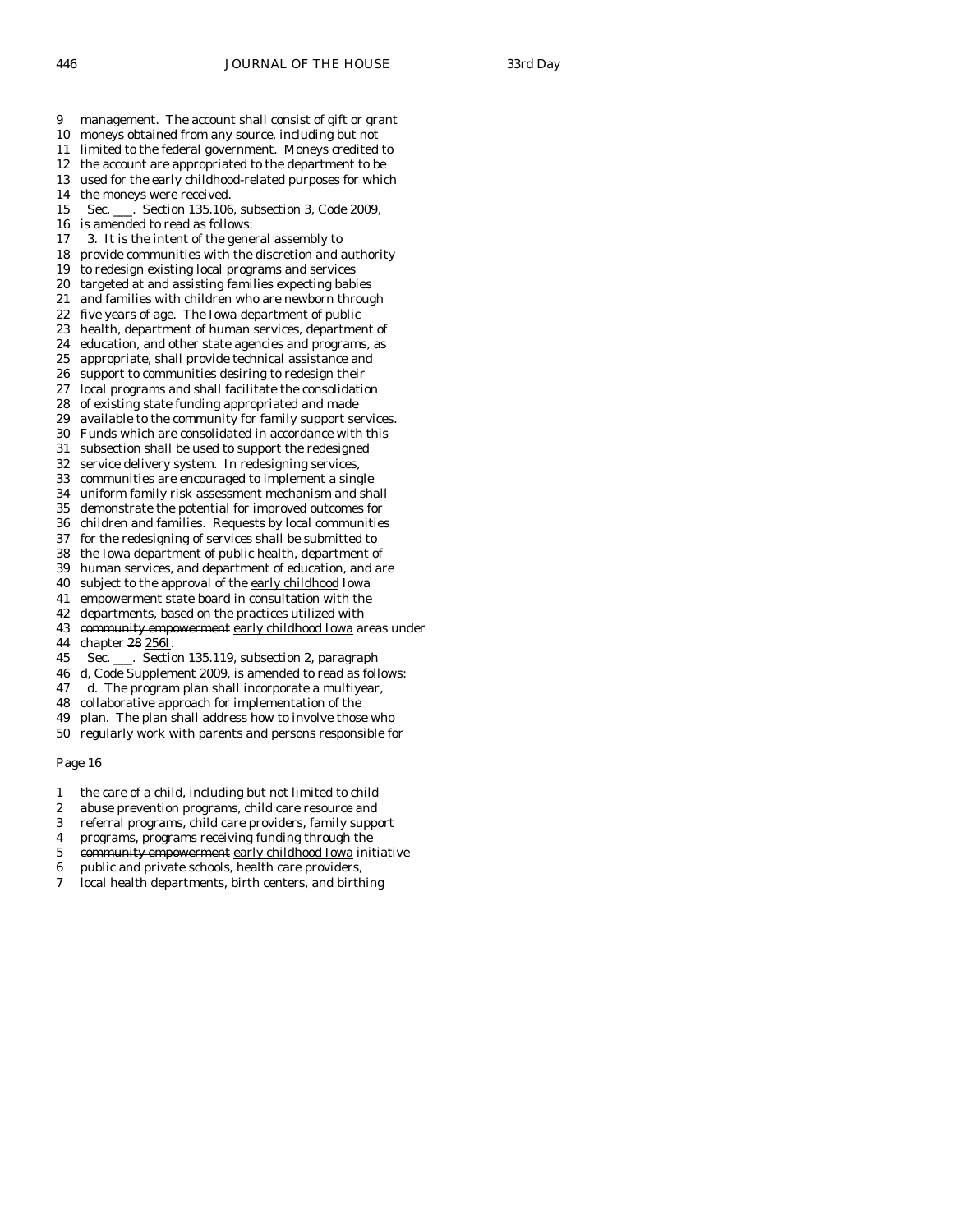- 9 management. The account shall consist of gift or grant
- 10 moneys obtained from any source, including but not
- 11 limited to the federal government. Moneys credited to
- 12 the account are appropriated to the department to be
- 13 used for the early childhood-related purposes for which
- 14 the moneys were received.
- 15 Sec. \_\_\_. Section 135.106, subsection 3, Code 2009,
- 16 is amended to read as follows:
- 17 3. It is the intent of the general assembly to
- 18 provide communities with the discretion and authority
- 19 to redesign existing local programs and services
- 20 targeted at and assisting families expecting babies
- 21 and families with children who are newborn through 22 five years of age. The Iowa department of public
- 23 health, department of human services, department of
- 24 education, and other state agencies and programs, as
- 25 appropriate, shall provide technical assistance and
- 26 support to communities desiring to redesign their
- 27 local programs and shall facilitate the consolidation
- 28 of existing state funding appropriated and made
- 29 available to the community for family support services.
- 30 Funds which are consolidated in accordance with this
- 31 subsection shall be used to support the redesigned
- 32 service delivery system. In redesigning services,
- 33 communities are encouraged to implement a single
- 34 uniform family risk assessment mechanism and shall
- 35 demonstrate the potential for improved outcomes for
- 36 children and families. Requests by local communities
- 37 for the redesigning of services shall be submitted to
- 38 the Iowa department of public health, department of
- 39 human services, and department of education, and are
- 40 subject to the approval of the early childhood Iowa
- 41 empowerment state board in consultation with the
- 42 departments, based on the practices utilized with 43 community empowerment early childhood Iowa areas under
- 44 chapter 28 256I.
- 45 Sec. \_\_\_. Section 135.119, subsection 2, paragraph
- 46 d, Code Supplement 2009, is amended to read as follows:
- 47 d. The program plan shall incorporate a multiyear,
- 48 collaborative approach for implementation of the
- 49 plan. The plan shall address how to involve those who
- 50 regularly work with parents and persons responsible for

- 1 the care of a child, including but not limited to child
- 2 abuse prevention programs, child care resource and
- 3 referral programs, child care providers, family support
- 4 programs, programs receiving funding through the
- 5 community empowerment early childhood Iowa initiative
- 6 public and private schools, health care providers,
- 7 local health departments, birth centers, and birthing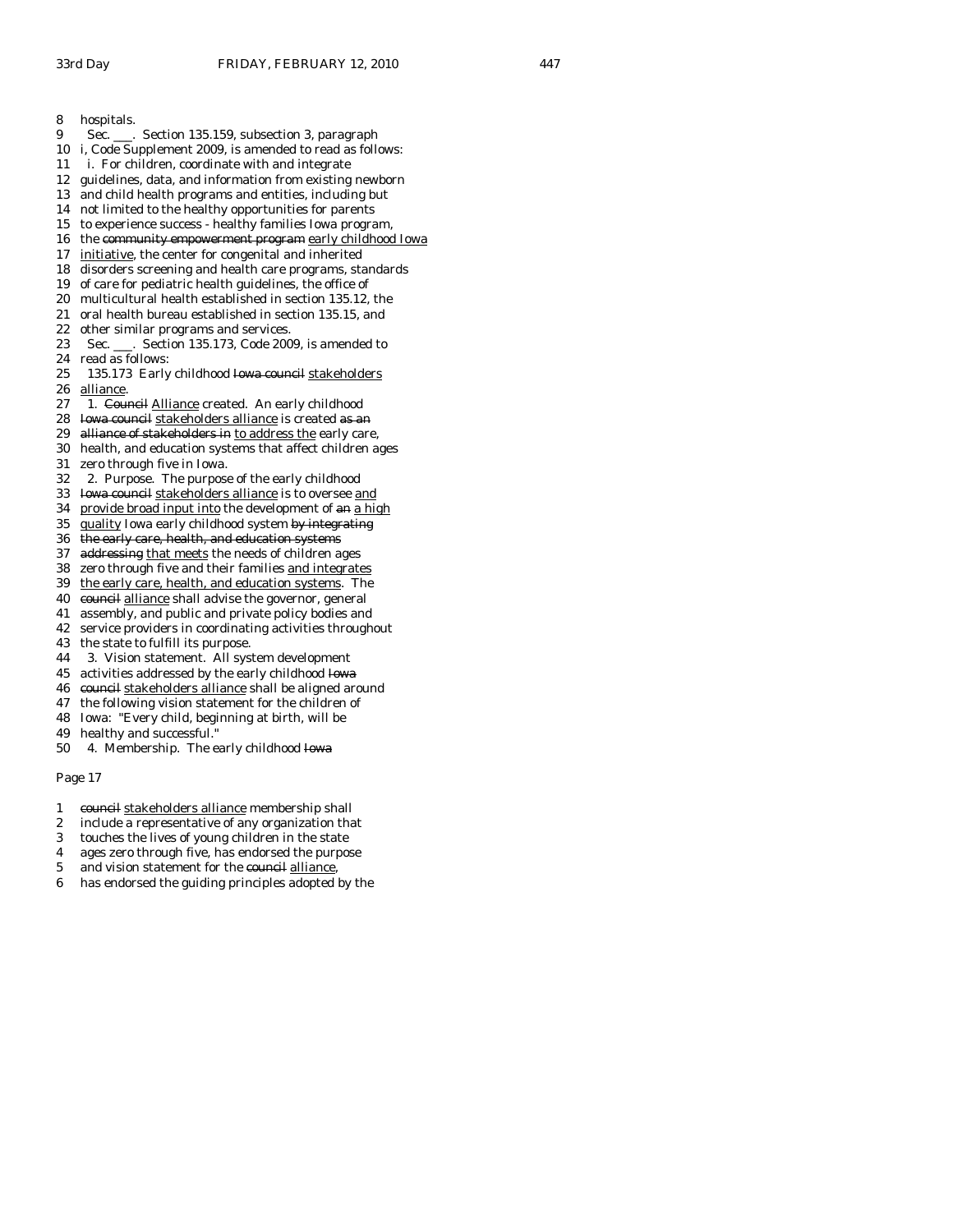- 8 hospitals.
- 9 Sec. \_\_\_. Section 135.159, subsection 3, paragraph
- 10 i, Code Supplement 2009, is amended to read as follows:
- 11 i. For children, coordinate with and integrate
- 12 guidelines, data, and information from existing newborn
- 13 and child health programs and entities, including but
- 14 not limited to the healthy opportunities for parents
- 15 to experience success healthy families Iowa program,
- 16 the community empowerment program early childhood Iowa
- 17 initiative, the center for congenital and inherited
- 18 disorders screening and health care programs, standards
- 19 of care for pediatric health guidelines, the office of
- 20 multicultural health established in section 135.12, the
- 21 oral health bureau established in section 135.15, and
- 22 other similar programs and services.
- 23 Sec. \_\_\_. Section 135.173, Code 2009, is amended to 24 read as follows:
- 25 135.173 Early childhood Iowa council stakeholders 26 alliance.<br>27 1. Cour
- 1. Council Alliance created. An early childhood
- 28 Iowa council stakeholders alliance is created as an
- 29 alliance of stakeholders in to address the early care,
- 30 health, and education systems that affect children ages 31 zero through five in Iowa.
- 
- 32 2. Purpose. The purpose of the early childhood 33 Iowa council stakeholders alliance is to oversee and
- 34 provide broad input into the development of an a high
- 35 quality Iowa early childhood system by integrating
- 36 the early care, health, and education systems
- 37 addressing that meets the needs of children ages
- 38 zero through five and their families and integrates
- 39 the early care, health, and education systems. The
- 40 council alliance shall advise the governor, general
- 41 assembly, and public and private policy bodies and
- 42 service providers in coordinating activities throughout
- 43 the state to fulfill its purpose.
- 44 3. Vision statement. All system development
- 45 activities addressed by the early childhood Iowa
- 46 council stakeholders alliance shall be aligned around
- 47 the following vision statement for the children of
- 48 Iowa: "Every child, beginning at birth, will be
- 49 healthy and successful."
- 50 4. Membership. The early childhood Iowa

- 1 council stakeholders alliance membership shall
- 2 include a representative of any organization that
- 3 touches the lives of young children in the state
- 4 ages zero through five, has endorsed the purpose
- 5 and vision statement for the council alliance,
- 6 has endorsed the guiding principles adopted by the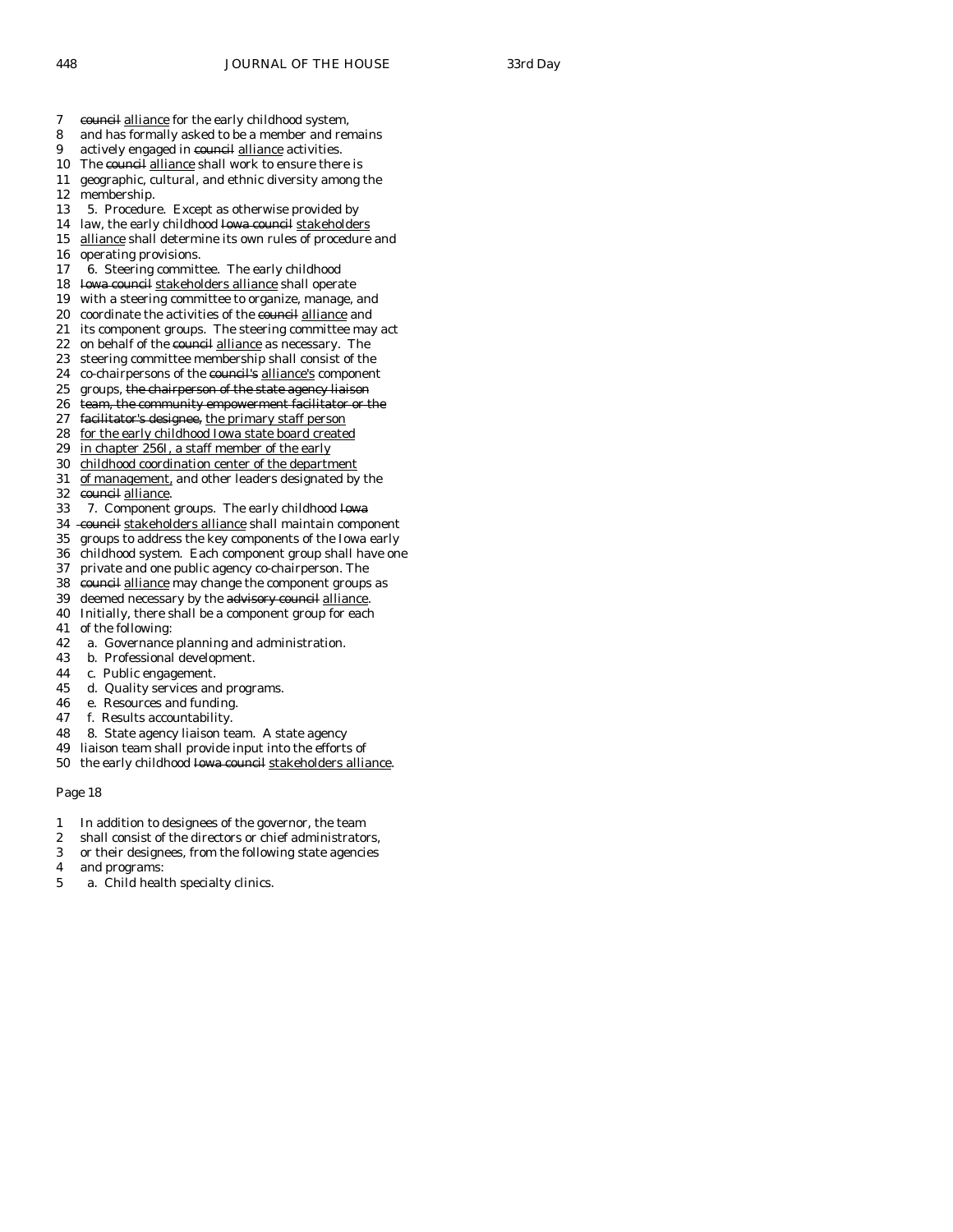- 7 council alliance for the early childhood system,
- 8 and has formally asked to be a member and remains
- 9 actively engaged in council alliance activities.
- 10 The council alliance shall work to ensure there is
- 11 geographic, cultural, and ethnic diversity among the 12 membership.
- 13 5. Procedure. Except as otherwise provided by
- 14 law, the early childhood Iowa council stakeholders
- 15 alliance shall determine its own rules of procedure and
- 16 operating provisions.
- 17 6. Steering committee. The early childhood
- 18 Iowa council stakeholders alliance shall operate
- 19 with a steering committee to organize, manage, and
- 20 coordinate the activities of the council alliance and
- 21 its component groups. The steering committee may act 22 on behalf of the council alliance as necessary. The
- 23 steering committee membership shall consist of the
- 24 co-chairpersons of the council's alliance's component
- 
- 25 groups, the chairperson of the state agency liaison<br>26 team, the community empowerment facilitator or t team, the community empowerment facilitator or the
- 27 facilitator's designee, the primary staff person
- 28 for the early childhood Iowa state board created
- 29 in chapter 256I, a staff member of the early
- 30 childhood coordination center of the department
- 31 of management, and other leaders designated by the 32 council alliance.
- 33 7. Component groups. The early childhood Iowa
- 34 council stakeholders alliance shall maintain component
- 35 groups to address the key components of the Iowa early
- 36 childhood system. Each component group shall have one
- 37 private and one public agency co-chairperson. The
- 38 council alliance may change the component groups as
- 39 deemed necessary by the advisory council alliance.
- 40 Initially, there shall be a component group for each
- 41 of the following:
- 42 a. Governance planning and administration.
- 43 b. Professional development.
- 44 c. Public engagement.
- 45 d. Quality services and programs.
- 46 e. Resources and funding.
- 47 f. Results accountability.
- 48 8. State agency liaison team. A state agency
- 49 liaison team shall provide input into the efforts of
- 50 the early childhood Iowa council stakeholders alliance.

- 1 In addition to designees of the governor, the team
- 2 shall consist of the directors or chief administrators,
- 3 or their designees, from the following state agencies
- 4 and programs:
- 5 a. Child health specialty clinics.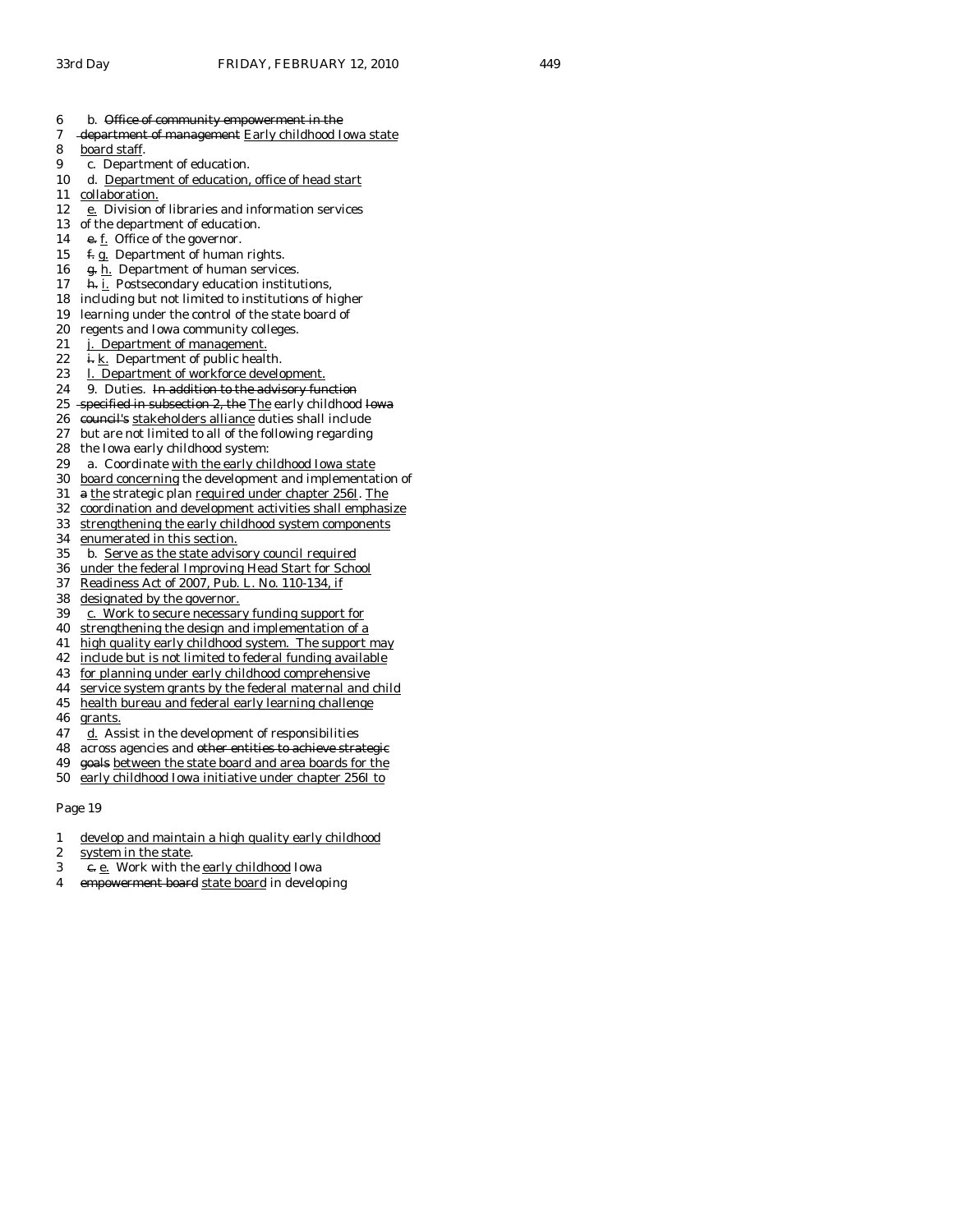- 6 b. Office of community empowerment in the
- 7 department of management Early childhood Iowa state
- 8 board staff.
- 9 c. Department of education.
- 10 d. Department of education, office of head start
- 11 collaboration.
- 12 e. Division of libraries and information services
- 13 of the department of education.<br>14  $\div$  f. Office of the governor.
- e. f. Office of the governor.
- 15  $f.g.$  Department of human rights.
- 16 g. h. Department of human services.
- 17 **h.** i. Postsecondary education institutions,
- 18 including but not limited to institutions of higher
- 19 learning under the control of the state board of
- 20 regents and Iowa community colleges.
- 21 j. Department of management.
- 22 i. k. Department of public health.
- 23 l. Department of workforce development.
- 24 9. Duties. In addition to the advisory function
- 25 specified in subsection 2, the The early childhood Iowa
- 26 council's stakeholders alliance duties shall include
- 27 but are not limited to all of the following regarding
- 28 the Iowa early childhood system:
- 29 a. Coordinate with the early childhood Iowa state
- 30 board concerning the development and implementation of
- 31 a the strategic plan required under chapter 256I. The
- 32 coordination and development activities shall emphasize
- 33 strengthening the early childhood system components
- 34 enumerated in this section.
- 35 b. Serve as the state advisory council required
- 36 under the federal Improving Head Start for School
- 37 Readiness Act of 2007, Pub. L. No. 110-134, if
- 38 designated by the governor.
- 39 c. Work to secure necessary funding support for
- 40 strengthening the design and implementation of a
- 41 high quality early childhood system. The support may
- 42 include but is not limited to federal funding available
- 43 for planning under early childhood comprehensive
- 44 service system grants by the federal maternal and child
- 45 health bureau and federal early learning challenge
- 46 grants.
- 47 d. Assist in the development of responsibilities
- 48 across agencies and other entities to achieve strategic
- 49 goals between the state board and area boards for the
- 50 early childhood Iowa initiative under chapter 256I to

- 1 develop and maintain a high quality early childhood
- 2 system in the state.
- 3 e. e. Work with the early childhood Iowa
- 4 empowerment board state board in developing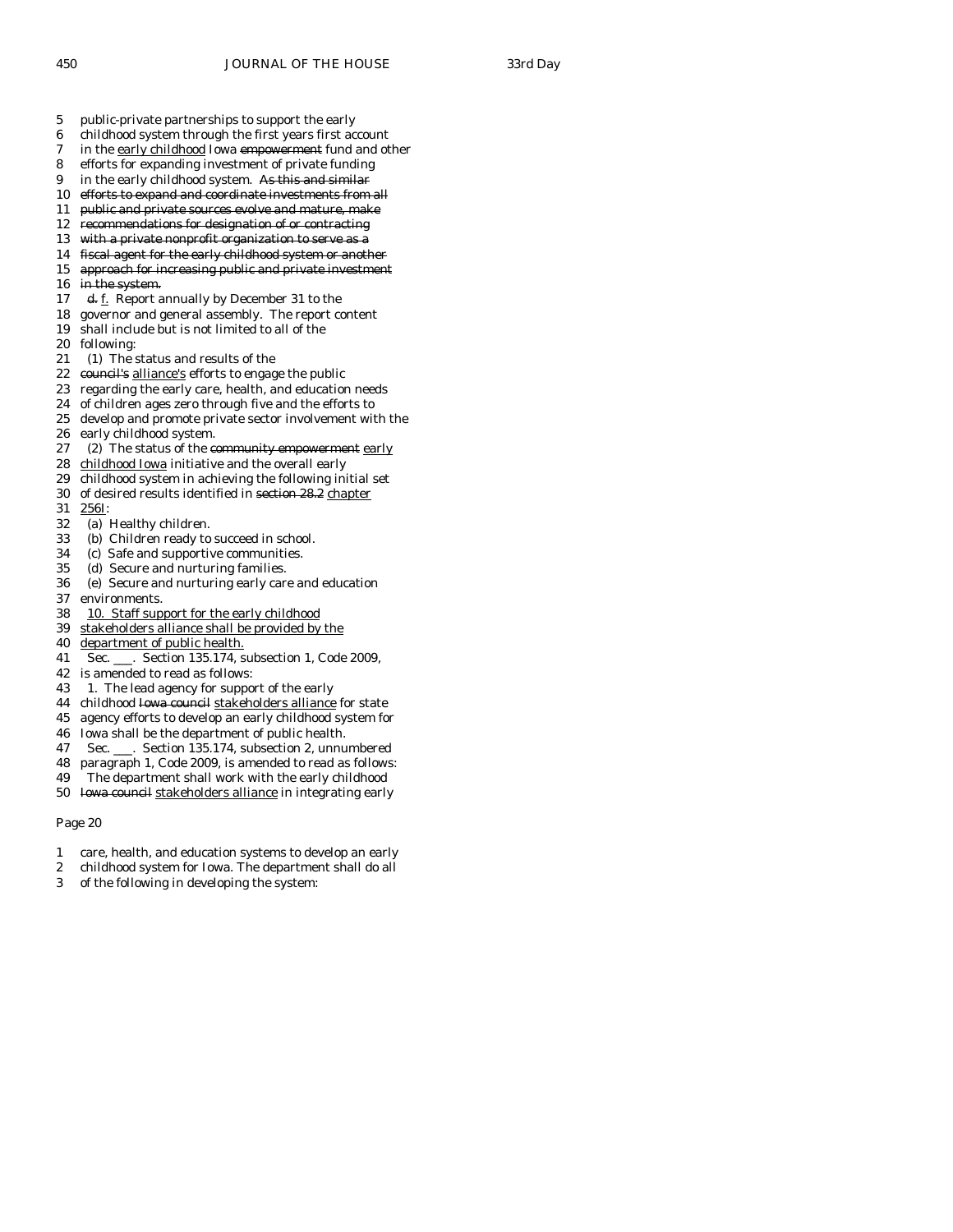- 5 public-private partnerships to support the early
- 6 childhood system through the first years first account
- 7 in the early childhood Iowa empowerment fund and other
- 8 efforts for expanding investment of private funding
- 9 in the early childhood system. As this and similar
- 10 efforts to expand and coordinate investments from all
- 11 public and private sources evolve and mature, make
- 12 recommendations for designation of or contracting
- 13 with a private nonprofit organization to serve as a
- 14 fiscal agent for the early childhood system or another
- 15 approach for increasing public and private investment
- 16 in the system.
- 17 d. f. Report annually by December 31 to the
- 18 governor and general assembly. The report content
- 19 shall include but is not limited to all of the
- 20 following:
- 21 (1) The status and results of the
- 22 council's alliance's efforts to engage the public
- 23 regarding the early care, health, and education needs
- 24 of children ages zero through five and the efforts to
- 25 develop and promote private sector involvement with the
- 26 early childhood system.
- 27 (2) The status of the community empowerment early
- 28 childhood Iowa initiative and the overall early
- 29 childhood system in achieving the following initial set
- 30 of desired results identified in section 28.2 chapter
- 31 256I:
- 32 (a) Healthy children.
- 33 (b) Children ready to succeed in school.
- 34 (c) Safe and supportive communities.
- 35 (d) Secure and nurturing families.
- 36 (e) Secure and nurturing early care and education 37 environments.
- 38 10. Staff support for the early childhood
- 39 stakeholders alliance shall be provided by the
- 40 department of public health.
- 41 Sec. \_\_\_. Section 135.174, subsection 1, Code 2009,
- 42 is amended to read as follows:
- 43 1. The lead agency for support of the early
- 44 childhood Iowa council stakeholders alliance for state
- 45 agency efforts to develop an early childhood system for
- 46 Iowa shall be the department of public health.
- 47 Sec. \_\_\_. Section 135.174, subsection 2, unnumbered
- 48 paragraph 1, Code 2009, is amended to read as follows:
- 49 The department shall work with the early childhood
- 50 Iowa council stakeholders alliance in integrating early

- 1 care, health, and education systems to develop an early
- 2 childhood system for Iowa. The department shall do all
- 3 of the following in developing the system: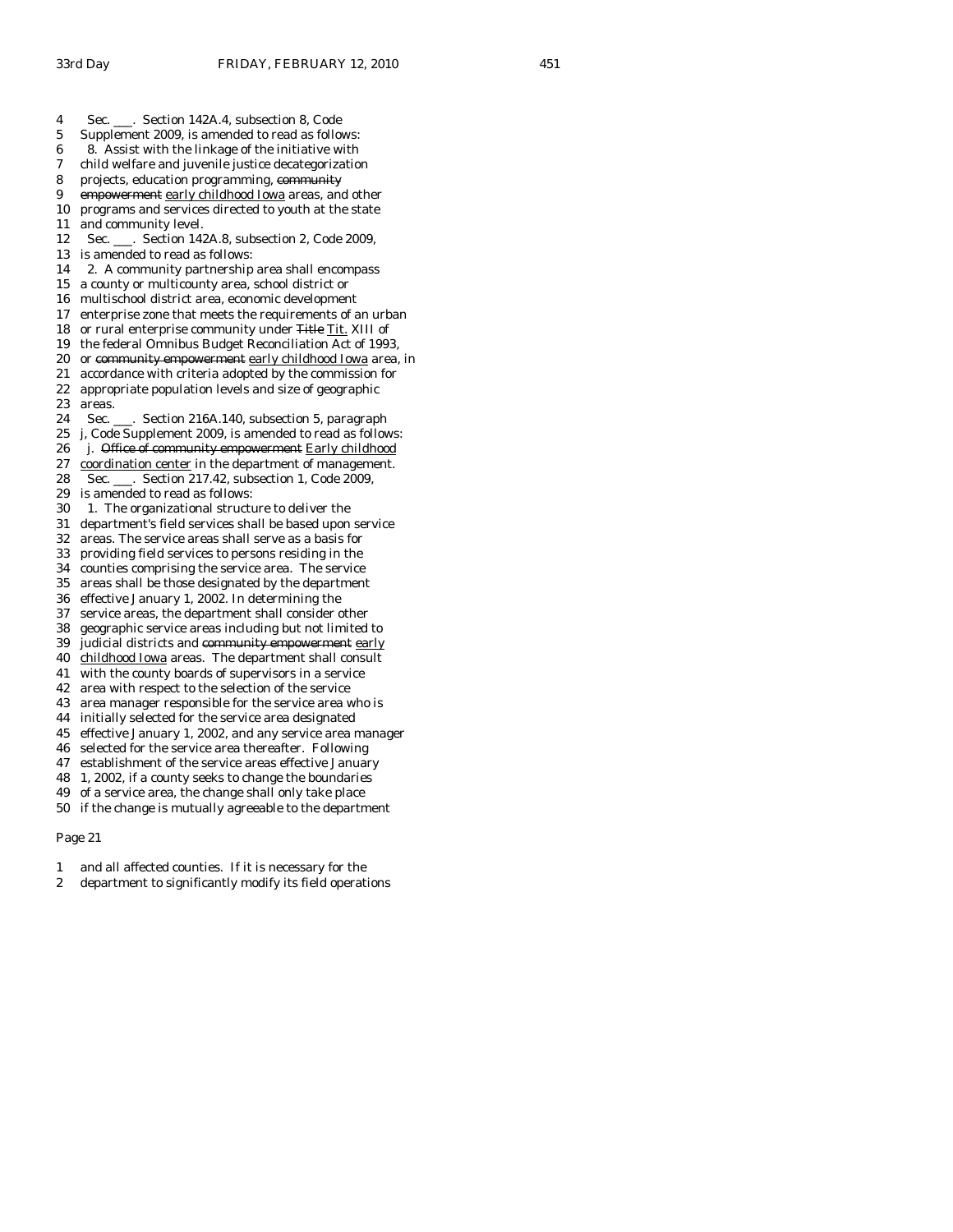4 Sec. \_\_\_. Section 142A.4, subsection 8, Code 5 Supplement 2009, is amended to read as follows: 6 8. Assist with the linkage of the initiative with 7 child welfare and juvenile justice decategorization 8 projects, education programming, community 9 empowerment early childhood Iowa areas, and other 10 programs and services directed to youth at the state 11 and community level. 12 Sec. \_\_\_. Section 142A.8, subsection 2, Code 2009, 13 is amended to read as follows: 14 2. A community partnership area shall encompass 15 a county or multicounty area, school district or 16 multischool district area, economic development 17 enterprise zone that meets the requirements of an urban 18 or rural enterprise community under Title Tit. XIII of 19 the federal Omnibus Budget Reconciliation Act of 1993, 20 or community empowerment early childhood Iowa area, in 21 accordance with criteria adopted by the commission for 22 appropriate population levels and size of geographic areas. 24 Sec. \_\_\_. Section 216A.140, subsection 5, paragraph 25 j, Code Supplement 2009, is amended to read as follows: 26 j. Office of community empowerment Early childhood 27 coordination center in the department of management. 28 Sec. \_\_\_. Section 217.42, subsection 1, Code 2009, 29 is amended to read as follows: 30 1. The organizational structure to deliver the 31 department's field services shall be based upon service 32 areas. The service areas shall serve as a basis for 33 providing field services to persons residing in the 34 counties comprising the service area. The service 35 areas shall be those designated by the department 36 effective January 1, 2002. In determining the 37 service areas, the department shall consider other 38 geographic service areas including but not limited to 39 judicial districts and community empowerment early 40 childhood Iowa areas. The department shall consult 41 with the county boards of supervisors in a service 42 area with respect to the selection of the service 43 area manager responsible for the service area who is 44 initially selected for the service area designated 45 effective January 1, 2002, and any service area manager 46 selected for the service area thereafter. Following 47 establishment of the service areas effective January 48 1, 2002, if a county seeks to change the boundaries 49 of a service area, the change shall only take place 50 if the change is mutually agreeable to the department

- 1 and all affected counties. If it is necessary for the
- 2 department to significantly modify its field operations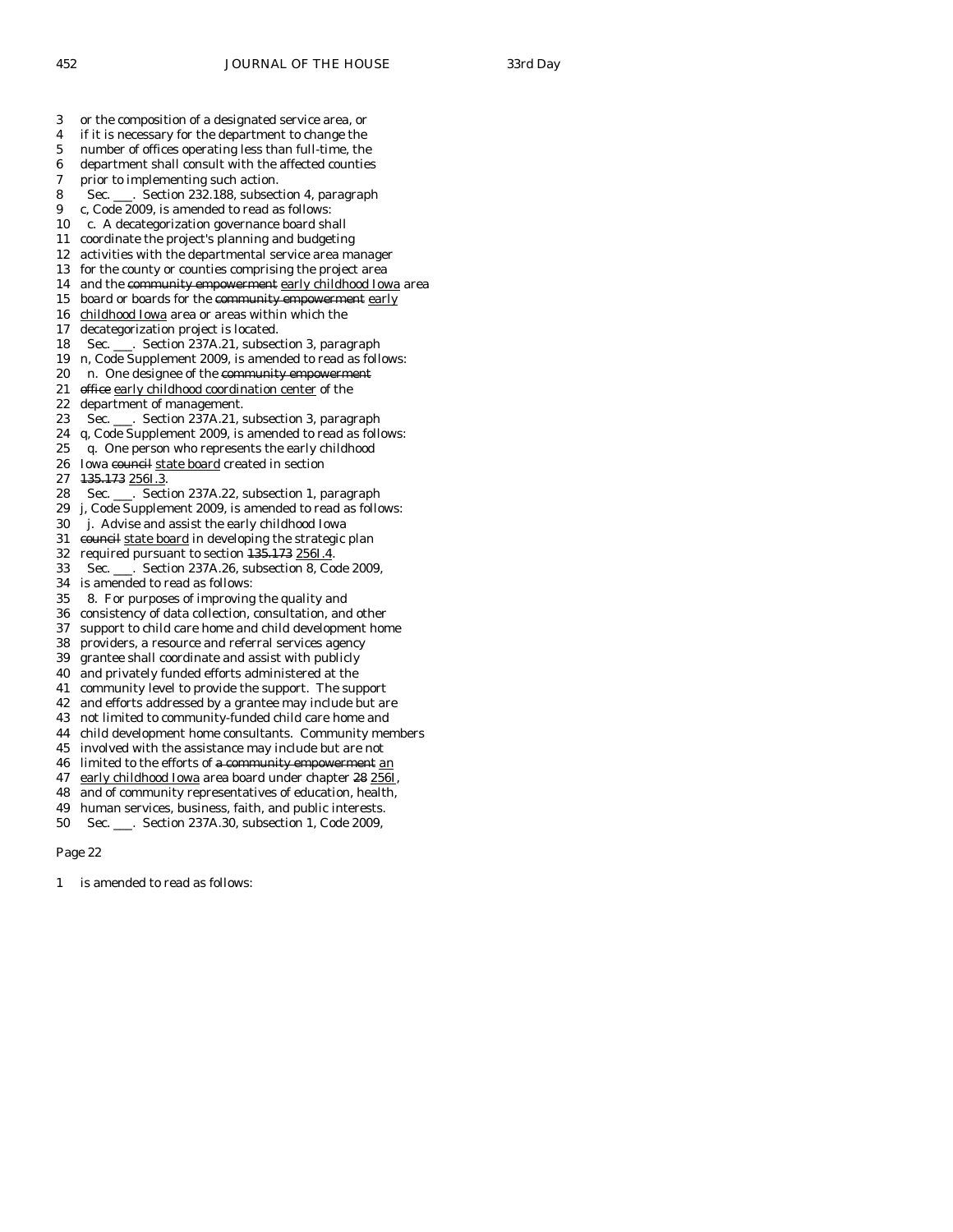3 or the composition of a designated service area, or 4 if it is necessary for the department to change the 5 number of offices operating less than full-time, the 6 department shall consult with the affected counties 7 prior to implementing such action. 8 Sec. \_\_\_. Section 232.188, subsection 4, paragraph 9 c, Code 2009, is amended to read as follows: 10 c. A decategorization governance board shall 11 coordinate the project's planning and budgeting 12 activities with the departmental service area manager 13 for the county or counties comprising the project area 14 and the community empowerment early childhood Iowa area 15 board or boards for the community empowerment early 16 childhood Iowa area or areas within which the 17 decategorization project is located. 18 Sec. \_\_\_. Section 237A.21, subsection 3, paragraph 19 n, Code Supplement 2009, is amended to read as follows: 20 n. One designee of the community empowerment 21 office early childhood coordination center of the<br>22 department of management. department of management. 23 Sec. \_\_\_. Section 237A.21, subsection 3, paragraph 24 q, Code Supplement 2009, is amended to read as follows: 25 q. One person who represents the early childhood 26 Iowa council state board created in section 27 135.173 256I.3. 28 Sec. \_\_\_. Section 237A.22, subsection 1, paragraph 29 j, Code Supplement 2009, is amended to read as follows: 30 j. Advise and assist the early childhood Iowa 31 council state board in developing the strategic plan 32 required pursuant to section 135.173 256I.4. 33 Sec. \_\_\_. Section 237A.26, subsection 8, Code 2009, 34 is amended to read as follows: 35 8. For purposes of improving the quality and 36 consistency of data collection, consultation, and other 37 support to child care home and child development home 38 providers, a resource and referral services agency grantee shall coordinate and assist with publicly 40 and privately funded efforts administered at the 41 community level to provide the support. The support 42 and efforts addressed by a grantee may include but are 43 not limited to community-funded child care home and 44 child development home consultants. Community members 45 involved with the assistance may include but are not 46 limited to the efforts of a community empowerment an 47 early childhood Iowa area board under chapter 28 256I, 48 and of community representatives of education, health, 49 human services, business, faith, and public interests.

50 Sec. \_\_\_. Section 237A.30, subsection 1, Code 2009,

Page 22

is amended to read as follows: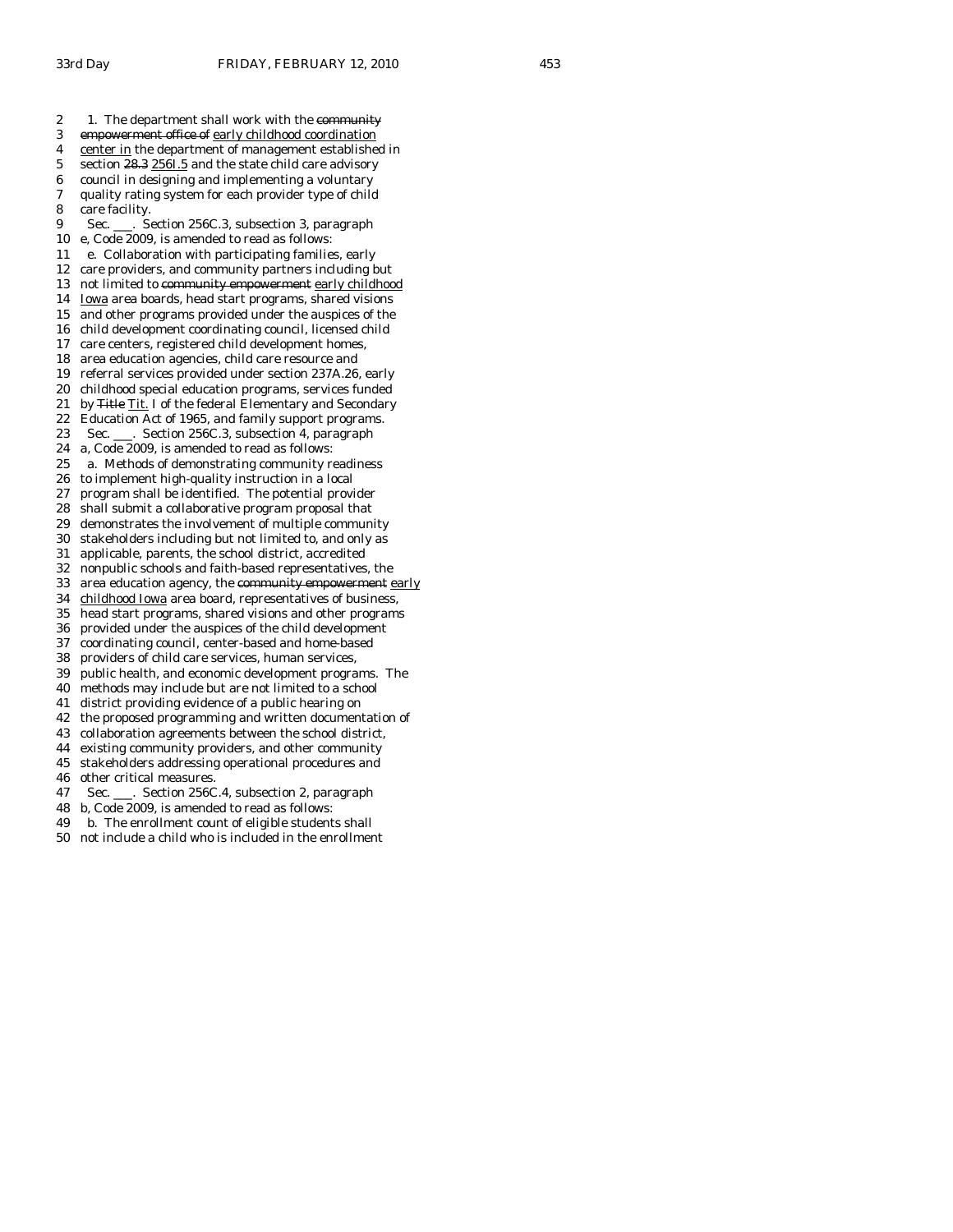2 1. The department shall work with the community 3 empowerment office of early childhood coordination 4 center in the department of management established in 5 section 28.3 256I.5 and the state child care advisory 6 council in designing and implementing a voluntary 7 quality rating system for each provider type of child 8 care facility. 9 Sec. \_\_\_. Section 256C.3, subsection 3, paragraph 10 e, Code 2009, is amended to read as follows: 11 e. Collaboration with participating families, early 12 care providers, and community partners including but 13 not limited to community empowerment early childhood 14 Iowa area boards, head start programs, shared visions 15 and other programs provided under the auspices of the 16 child development coordinating council, licensed child 17 care centers, registered child development homes, 18 area education agencies, child care resource and 19 referral services provided under section 237A.26, early 20 childhood special education programs, services funded 21 by Title Tit. I of the federal Elementary and Secondary 22 Education Act of 1965, and family support programs. 23 Sec. \_\_\_. Section 256C.3, subsection 4, paragraph 24 a, Code 2009, is amended to read as follows: 25 a. Methods of demonstrating community readiness 26 to implement high-quality instruction in a local 27 program shall be identified. The potential provider 28 shall submit a collaborative program proposal that 29 demonstrates the involvement of multiple community 30 stakeholders including but not limited to, and only as 31 applicable, parents, the school district, accredited 32 nonpublic schools and faith-based representatives, the 33 area education agency, the community empowerment early 34 childhood Iowa area board, representatives of business, 35 head start programs, shared visions and other programs 36 provided under the auspices of the child development 37 coordinating council, center-based and home-based 38 providers of child care services, human services, 39 public health, and economic development programs. The 40 methods may include but are not limited to a school 41 district providing evidence of a public hearing on 42 the proposed programming and written documentation of 43 collaboration agreements between the school district, 44 existing community providers, and other community 45 stakeholders addressing operational procedures and 46 other critical measures. 47 Sec. \_\_\_. Section 256C.4, subsection 2, paragraph 48 b, Code 2009, is amended to read as follows:

49 b. The enrollment count of eligible students shall

50 not include a child who is included in the enrollment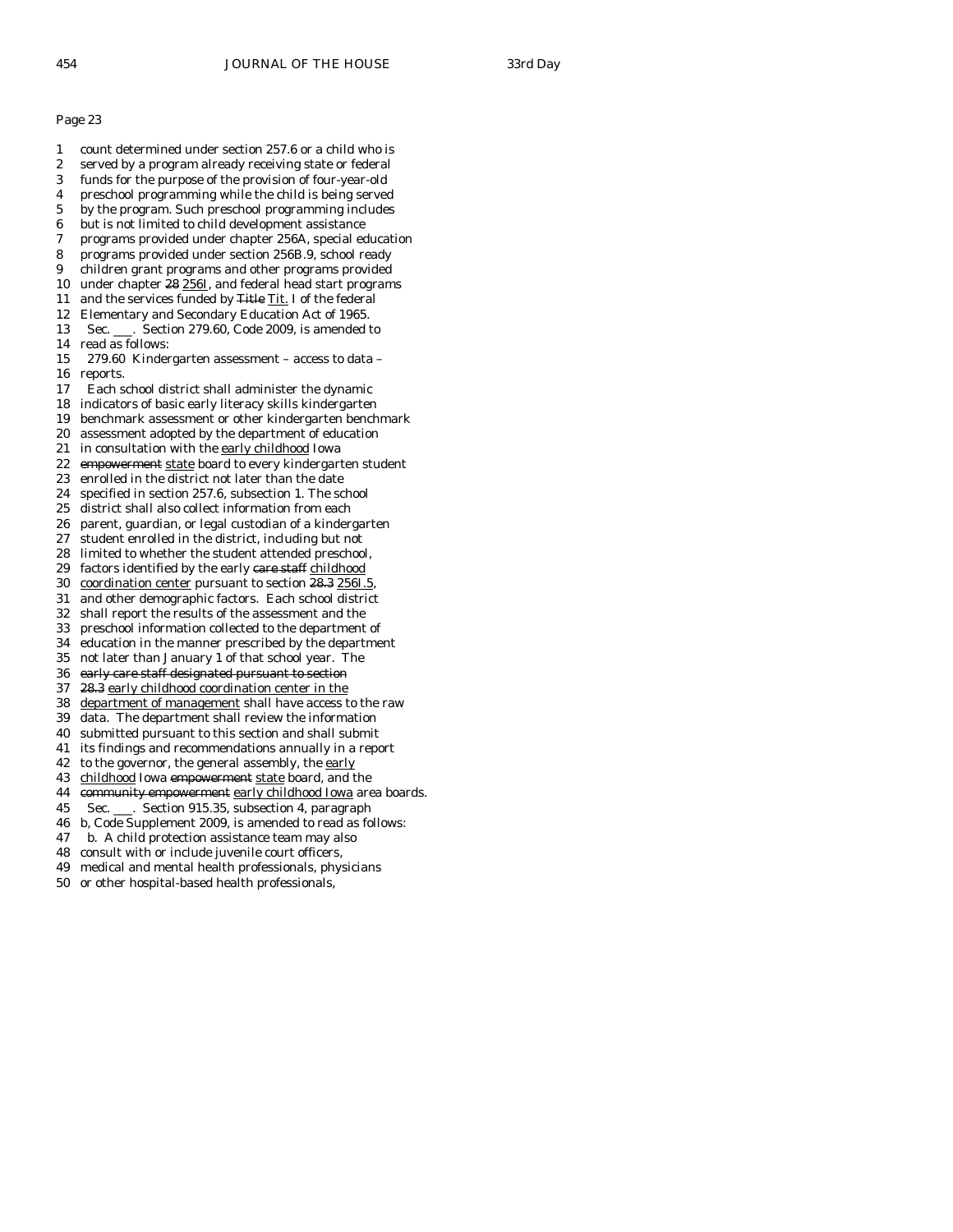- 1 count determined under section 257.6 or a child who is
- 2 served by a program already receiving state or federal
- 3 funds for the purpose of the provision of four-year-old
- 4 preschool programming while the child is being served
- 5 by the program. Such preschool programming includes
- 6 but is not limited to child development assistance
- 7 programs provided under chapter 256A, special education
- 8 programs provided under section 256B.9, school ready
- 9 children grant programs and other programs provided
- 10 under chapter 28 256I, and federal head start programs
- 11 and the services funded by Title Tit. I of the federal
- 12 Elementary and Secondary Education Act of 1965. 13 Sec. \_\_\_. Section 279.60, Code 2009, is amended to
- 14 read as follows:
- 15 279.60 Kindergarten assessment access to data 16 reports.
- 17 Each school district shall administer the dynamic
- 18 indicators of basic early literacy skills kindergarten
- 19 benchmark assessment or other kindergarten benchmark
- 20 assessment adopted by the department of education
- 21 in consultation with the early childhood Iowa
- 22 empowerment state board to every kindergarten student
- 23 enrolled in the district not later than the date
- 24 specified in section 257.6, subsection 1. The school
- 25 district shall also collect information from each
- 26 parent, guardian, or legal custodian of a kindergarten
- 27 student enrolled in the district, including but not
- 28 limited to whether the student attended preschool,
- 29 factors identified by the early care staff childhood
- 30 coordination center pursuant to section 28.3 256I.5,
- 31 and other demographic factors. Each school district 32 shall report the results of the assessment and the
- 33 preschool information collected to the department of
- 
- 34 education in the manner prescribed by the department not later than January 1 of that school year. The
- 36 early care staff designated pursuant to section
- 37 28.3 early childhood coordination center in the
- 38 department of management shall have access to the raw
- 39 data. The department shall review the information
- 40 submitted pursuant to this section and shall submit
- 41 its findings and recommendations annually in a report
- 42 to the governor, the general assembly, the early
- 43 childhood Iowa empowerment state board, and the
- 44 community empowerment early childhood Iowa area boards.
- 45 Sec. \_\_\_. Section 915.35, subsection 4, paragraph
- 46 b, Code Supplement 2009, is amended to read as follows:
- 47 b. A child protection assistance team may also
- 48 consult with or include juvenile court officers,
- 49 medical and mental health professionals, physicians
- 50 or other hospital-based health professionals,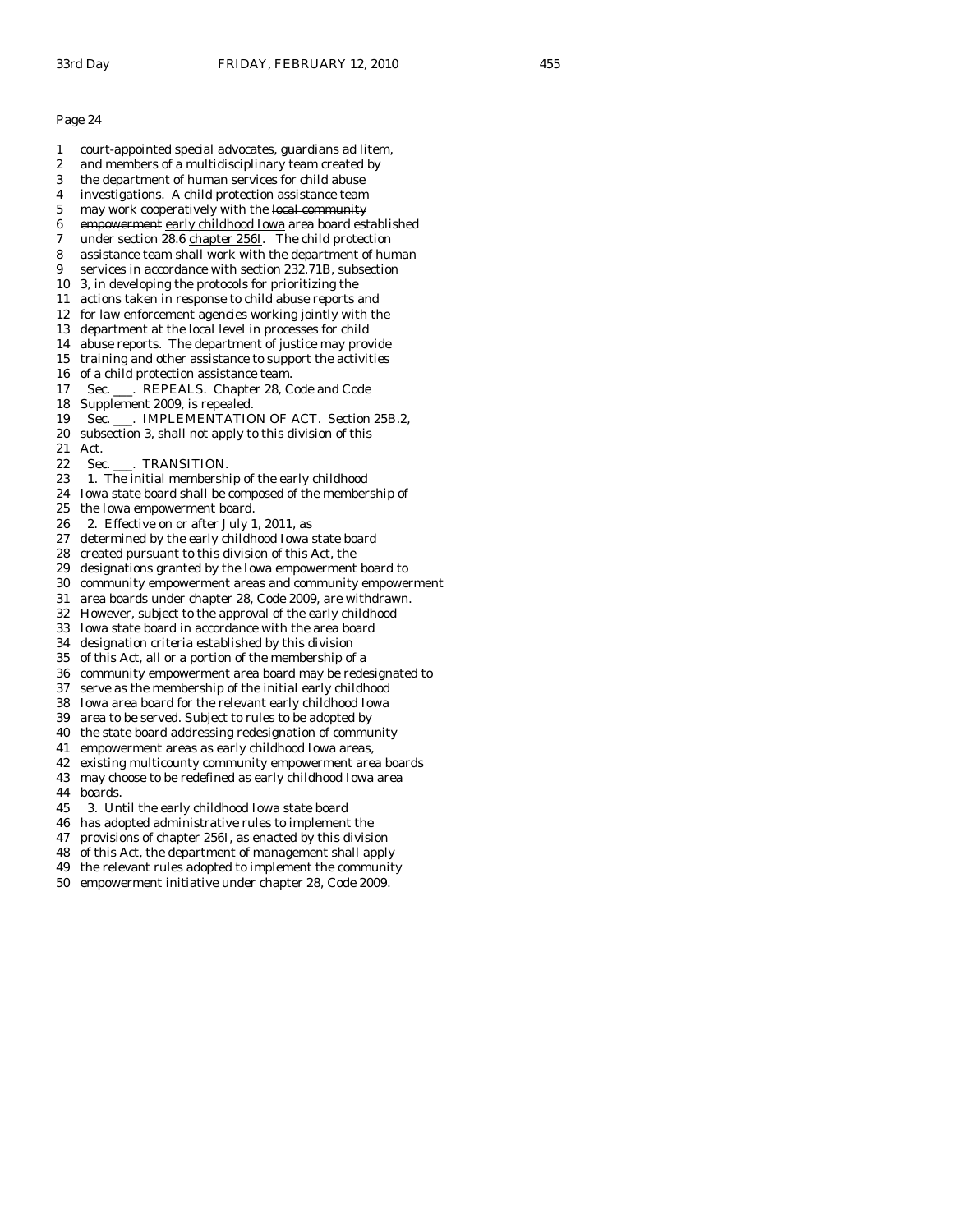- 1 court-appointed special advocates, guardians ad litem,
- 2 and members of a multidisciplinary team created by
- 3 the department of human services for child abuse
- 4 investigations. A child protection assistance team 5 may work cooperatively with the local community
- 
- 6 empowerment early childhood Iowa area board established
- 7 under section 28.6 chapter 256I. The child protection 8 assistance team shall work with the department of human
- 9 services in accordance with section 232.71B, subsection
- 10 3, in developing the protocols for prioritizing the
- 11 actions taken in response to child abuse reports and
- 12 for law enforcement agencies working jointly with the
- 13 department at the local level in processes for child
- 14 abuse reports. The department of justice may provide
- 15 training and other assistance to support the activities
- 16 of a child protection assistance team.
- 17 Sec. \_\_\_. REPEALS. Chapter 28, Code and Code
- 18 Supplement 2009, is repealed.
- 19 Sec. \_\_\_. IMPLEMENTATION OF ACT. Section 25B.2,
- 20 subsection 3, shall not apply to this division of this 21 Act.
- 22 Sec. \_\_\_. TRANSITION.
- 23 1. The initial membership of the early childhood
- 24 Iowa state board shall be composed of the membership of
- 25 the Iowa empowerment board.
- 26 2. Effective on or after July 1, 2011, as
- 27 determined by the early childhood Iowa state board
- 28 created pursuant to this division of this Act, the
- 29 designations granted by the Iowa empowerment board to
- 30 community empowerment areas and community empowerment
- 31 area boards under chapter 28, Code 2009, are withdrawn.
- 32 However, subject to the approval of the early childhood
- 33 Iowa state board in accordance with the area board
- 34 designation criteria established by this division
- of this Act, all or a portion of the membership of a
- 36 community empowerment area board may be redesignated to
- 37 serve as the membership of the initial early childhood
- 38 Iowa area board for the relevant early childhood Iowa
- 39 area to be served. Subject to rules to be adopted by
- 40 the state board addressing redesignation of community
- 41 empowerment areas as early childhood Iowa areas,
- 42 existing multicounty community empowerment area boards
- 43 may choose to be redefined as early childhood Iowa area 44 boards.
- 45 3. Until the early childhood Iowa state board
- 46 has adopted administrative rules to implement the
- 47 provisions of chapter 256I, as enacted by this division
- 48 of this Act, the department of management shall apply
- 49 the relevant rules adopted to implement the community
- 50 empowerment initiative under chapter 28, Code 2009.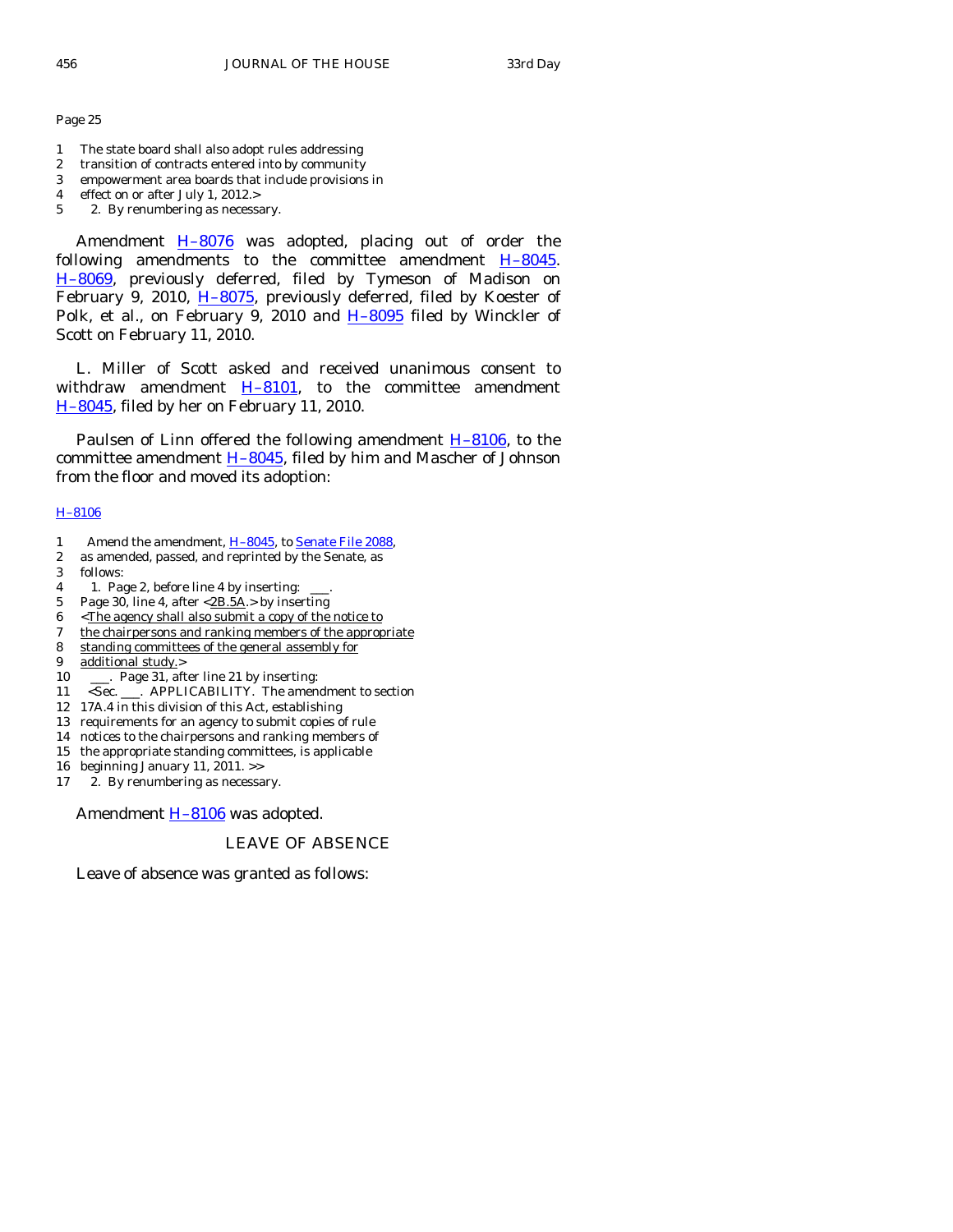- 1 The state board shall also adopt rules addressing
- 2 transition of contracts entered into by community
- 3 empowerment area boards that include provisions in
- 4 effect on or after July 1, 2012.>
- 5 2. By renumbering as necessary.

Amendment  $H-8076$  was adopted, placing out of order the following amendments to the committee amendment  $H-8045$ . [H–8069](http://coolice.legis.state.ia.us/Cool-ICE/default.asp?Category=billinfo&Service=Billbook&frame=1&GA=83&hbill=H8069), previously deferred, filed by Tymeson of Madison on February 9, 2010, H-8075, previously deferred, filed by Koester of Polk, et al., on February 9, 2010 and H-8095 filed by Winckler of Scott on February 11, 2010.

 L. Miller of Scott asked and received unanimous consent to withdraw amendment  $H-8101$ , to the committee amendment [H–8045](http://coolice.legis.state.ia.us/Cool-ICE/default.asp?Category=billinfo&Service=Billbook&frame=1&GA=83&hbill=H8045), filed by her on February 11, 2010.

Paulsen of Linn offered the following amendment  $H-8106$ , to the committee amendment  $H-8045$ , filed by him and Mascher of Johnson from the floor and moved its adoption:

## [H–8106](http://coolice.legis.state.ia.us/Cool-ICE/default.asp?Category=billinfo&Service=Billbook&frame=1&GA=83&hbill=H8106)

- 1 Amend the amendment, H-8045, to [Senate File 2088](http://coolice.legis.state.ia.us/Cool-ICE/default.asp?Category=billinfo&Service=Billbook&frame=1&GA=83&hbill=SF2088),
- 2 as amended, passed, and reprinted by the Senate, as
- 3 follows:
- 4 1. Page 2, before line 4 by inserting:
- 5 Page 30, line 4, after  $\langle 2B.5A. \rangle$  by inserting
- 6 <The agency shall also submit a copy of the notice to
- 7 the chairpersons and ranking members of the appropriate
- 8 standing committees of the general assembly for
- 9 additional study.>
- 10 \_\_\_\_. Page 31, after line 21 by inserting:
- 11 <Sec. \_\_\_. APPLICABILITY. The amendment to section
- 12 17A.4 in this division of this Act, establishing
- 13 requirements for an agency to submit copies of rule
- 14 notices to the chairpersons and ranking members of
- 15 the appropriate standing committees, is applicable
- 16 beginning January 11, 2011. >>
- 17 2. By renumbering as necessary.

Amendment H-8106 was adopted.

# LEAVE OF ABSENCE

Leave of absence was granted as follows: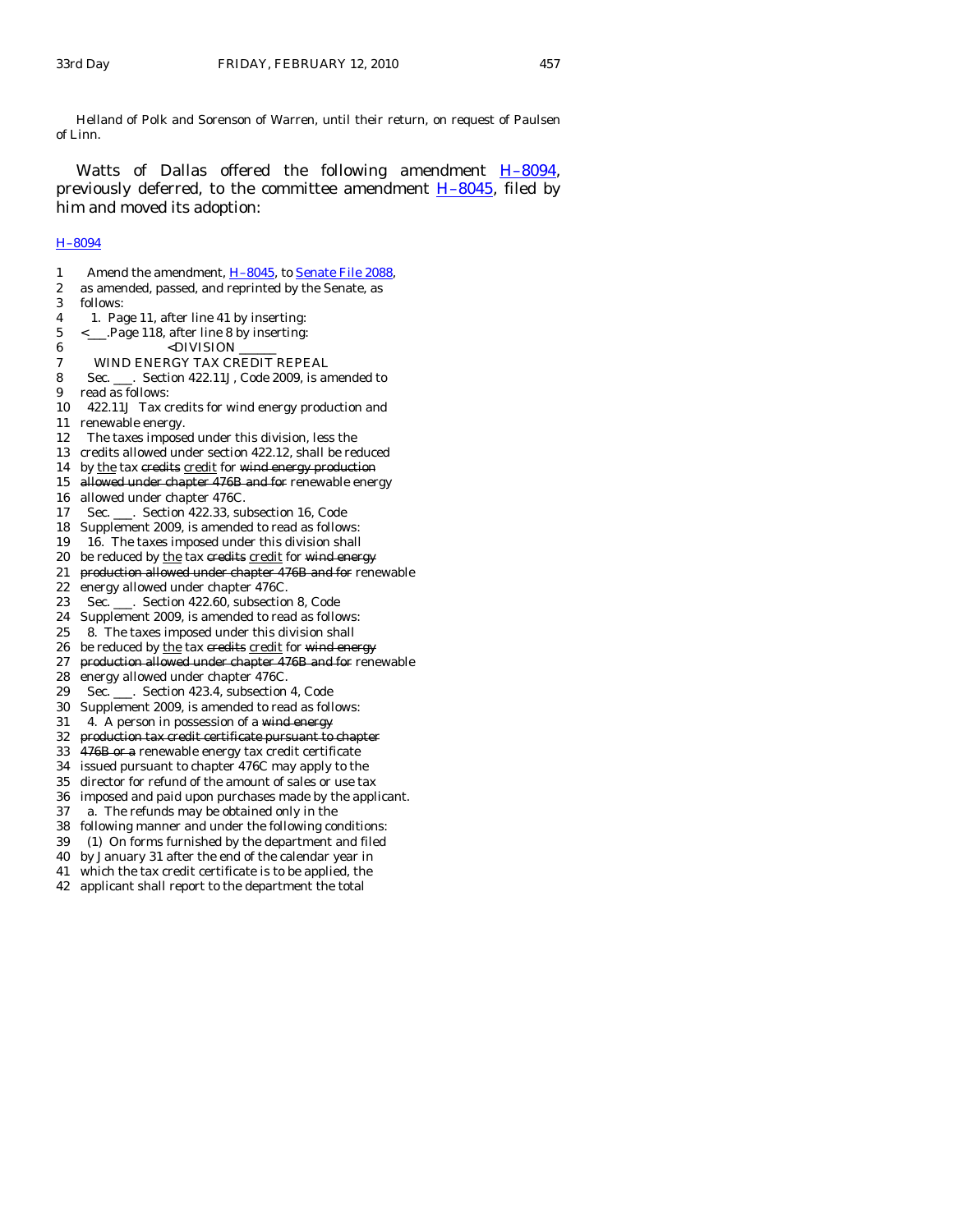Helland of Polk and Sorenson of Warren, until their return, on request of Paulsen of Linn.

Watts of Dallas offered the following amendment H-8094, previously deferred, to the committee amendment [H–8045,](http://coolice.legis.state.ia.us/Cool-ICE/default.asp?Category=billinfo&Service=Billbook&frame=1&GA=83&hbill=H8045) filed by him and moved its adoption:

# [H–8094](http://coolice.legis.state.ia.us/Cool-ICE/default.asp?Category=billinfo&Service=Billbook&frame=1&GA=83&hbill=H8094)

1 Amend the amendment, H-8045, to [Senate File 2088](http://coolice.legis.state.ia.us/Cool-ICE/default.asp?Category=billinfo&Service=Billbook&frame=1&GA=83&hbill=SF2088), 2 as amended, passed, and reprinted by the Senate, as 3 follows: 4 1. Page 11, after line 41 by inserting: 5 <\_\_\_.Page 118, after line 8 by inserting: 6 <DIVISION 7 WIND ENERGY TAX CREDIT REPEAL 8 Sec. \_\_\_. Section 422.11J, Code 2009, is amended to 9 read as follows: 10 422.11J Tax credits for wind energy production and 11 renewable energy. 12 The taxes imposed under this division, less the 13 credits allowed under section 422.12, shall be reduced 14 by the tax credits credit for wind energy production 15 allowed under chapter 476B and for renewable energy 16 allowed under chapter 476C. 17 Sec. \_\_\_. Section 422.33, subsection 16, Code 18 Supplement 2009, is amended to read as follows: 19 16. The taxes imposed under this division shall 20 be reduced by the tax credits credit for wind energy 21 production allowed under chapter 476B and for renewable 22 energy allowed under chapter 476C. 23 Sec. \_\_\_. Section 422.60, subsection 8, Code 24 Supplement 2009, is amended to read as follows: 25 8. The taxes imposed under this division shall 26 be reduced by the tax credits credit for wind energy 27 production allowed under chapter 476B and for renewable 28 energy allowed under chapter 476C. 29 Sec. \_\_\_. Section 423.4, subsection 4, Code 30 Supplement 2009, is amended to read as follows: 31 4. A person in possession of a wind energy 32 production tax credit certificate pursuant to chapter 33 476B or a renewable energy tax credit certificate 34 issued pursuant to chapter 476C may apply to the 35 director for refund of the amount of sales or use tax 36 imposed and paid upon purchases made by the applicant. 37 a. The refunds may be obtained only in the 38 following manner and under the following conditions: 39 (1) On forms furnished by the department and filed 40 by January 31 after the end of the calendar year in 41 which the tax credit certificate is to be applied, the 42 applicant shall report to the department the total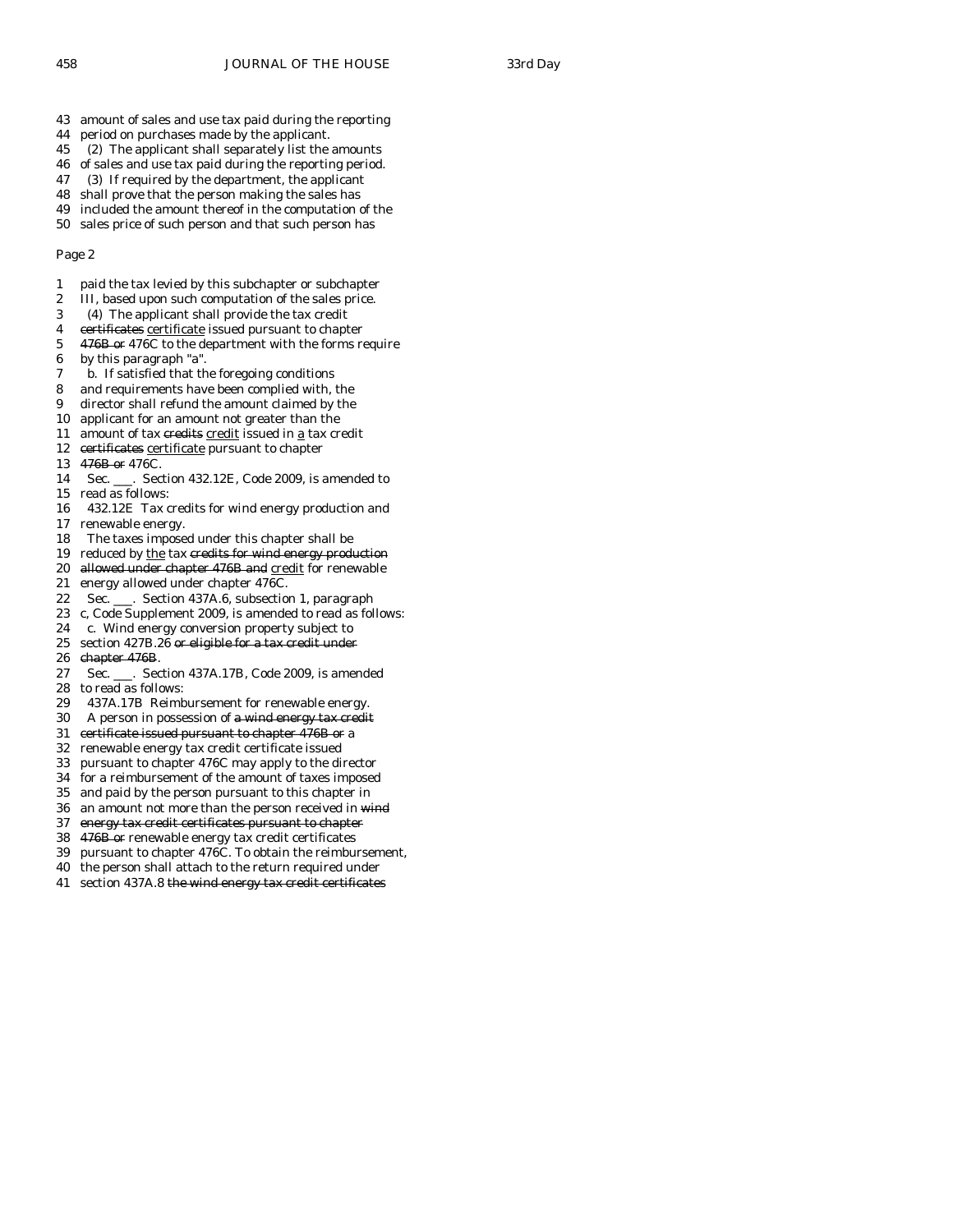- 43 amount of sales and use tax paid during the reporting
- 44 period on purchases made by the applicant.
- 45 (2) The applicant shall separately list the amounts
- 46 of sales and use tax paid during the reporting period.
- 47 (3) If required by the department, the applicant
- 48 shall prove that the person making the sales has 49 included the amount thereof in the computation of the
- 50 sales price of such person and that such person has

- 1 paid the tax levied by this subchapter or subchapter
- 2 III, based upon such computation of the sales price.
- 3 (4) The applicant shall provide the tax credit
- 4 certificates certificate issued pursuant to chapter
- 5 476B or 476C to the department with the forms require
- 6 by this paragraph "a".
- 7 b. If satisfied that the foregoing conditions
- 8 and requirements have been complied with, the
- 9 director shall refund the amount claimed by the
- 10 applicant for an amount not greater than the
- 11 amount of tax credits credit issued in a tax credit
- 12 certificates certificate pursuant to chapter
- 13 476B or 476C.
- 14 Sec. \_\_\_. Section 432.12E, Code 2009, is amended to 15 read as follows:
- 16 432.12E Tax credits for wind energy production and 17 renewable energy.
- 18 The taxes imposed under this chapter shall be
- 19 reduced by the tax credits for wind energy production
- 20 allowed under chapter 476B and credit for renewable
- 21 energy allowed under chapter 476C.
- 22 Sec. \_\_\_. Section 437A.6, subsection 1, paragraph
- 23 c, Code Supplement 2009, is amended to read as follows:
- 24 c. Wind energy conversion property subject to
- 25 section 427B.26 or eligible for a tax credit under 26 chapter 476B.
- chapter 476B.
- 27 Sec. \_\_\_. Section 437A.17B, Code 2009, is amended 28 to read as follows:
- 29 437A.17B Reimbursement for renewable energy.
- 30 A person in possession of a wind energy tax credit
- 31 certificate issued pursuant to chapter 476B or a
- 32 renewable energy tax credit certificate issued
- 33 pursuant to chapter 476C may apply to the director
- 34 for a reimbursement of the amount of taxes imposed
- 35 and paid by the person pursuant to this chapter in
- 36 an amount not more than the person received in wind
- 37 energy tax credit certificates pursuant to chapter
- 38 476B or renewable energy tax credit certificates
- 39 pursuant to chapter 476C. To obtain the reimbursement,
- 40 the person shall attach to the return required under
- 41 section 437A.8 the wind energy tax credit certificates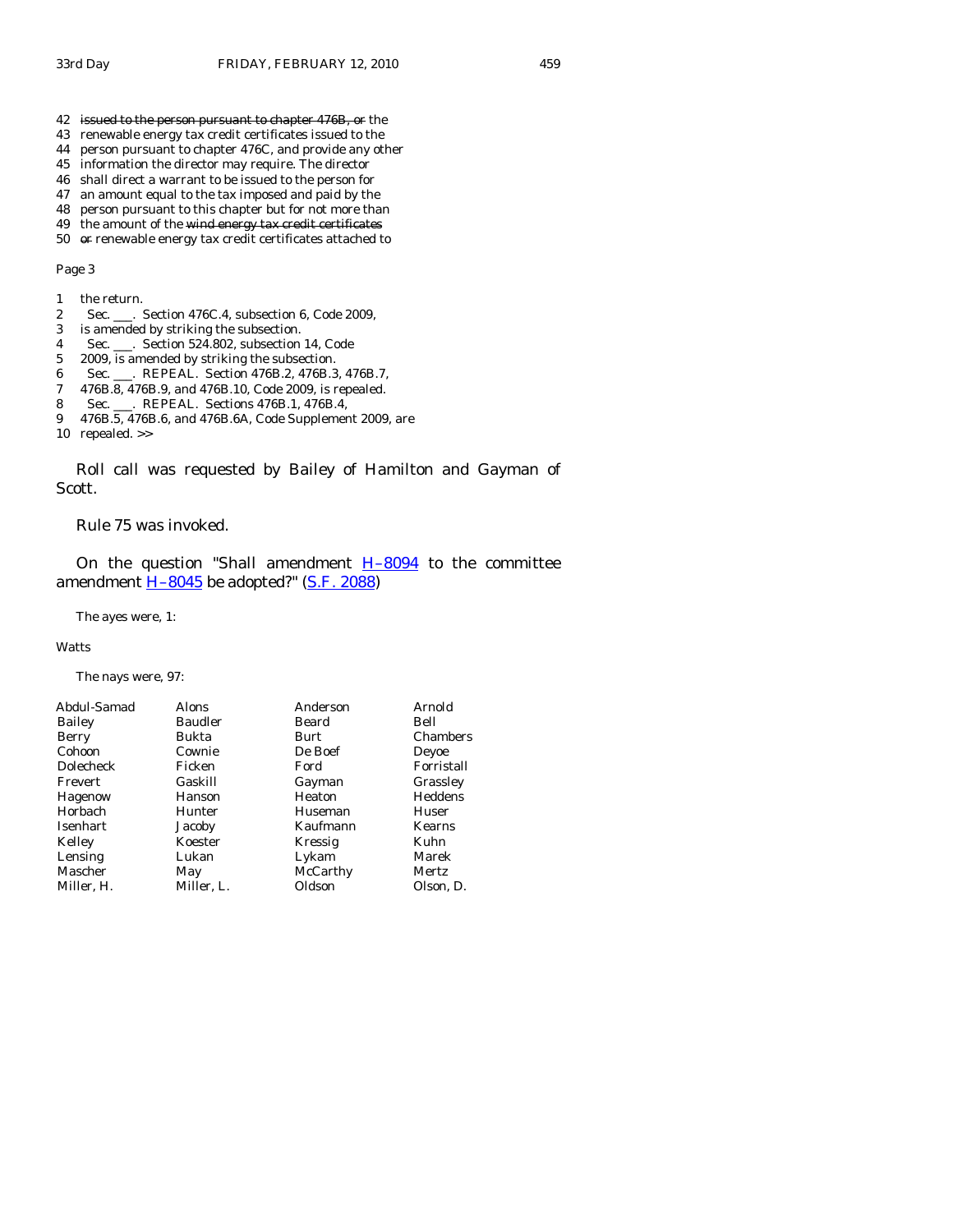- 42 issued to the person pursuant to chapter 476B, or the
- 43 renewable energy tax credit certificates issued to the
- 44 person pursuant to chapter 476C, and provide any other
- 45 information the director may require. The director
- 46 shall direct a warrant to be issued to the person for
- 47 an amount equal to the tax imposed and paid by the
- 48 person pursuant to this chapter but for not more than 49 the amount of the wind energy tax credit certificates
- 50 or renewable energy tax credit certificates attached to

- 1 the return.
- 2 Sec. \_\_\_. Section 476C.4, subsection 6, Code 2009,
- 3 is amended by striking the subsection.
- 4 Sec. \_\_\_. Section 524.802, subsection 14, Code
- 5 2009, is amended by striking the subsection.
- 6 Sec. \_\_\_. REPEAL. Section 476B.2, 476B.3, 476B.7,
- 7 476B.8, 476B.9, and 476B.10, Code 2009, is repealed.
- 8 Sec. \_\_\_. REPEAL. Sections 476B.1, 476B.4,
- 9 476B.5, 476B.6, and 476B.6A, Code Supplement 2009, are
- 10 repealed. >>

 Roll call was requested by Bailey of Hamilton and Gayman of Scott.

Rule 75 was invoked.

On the question "Shall amendment  $H-8094$  to the committee amendment  $H-8045$  be adopted?" [\(S.F. 2088\)](http://coolice.legis.state.ia.us/Cool-ICE/default.asp?Category=billinfo&Service=Billbook&frame=1&GA=83&hbill=SF2088)

The ayes were, 1:

## **Watts**

The nays were, 97:

| Abdul-Samad     | Alons      | Anderson | Arnold        |
|-----------------|------------|----------|---------------|
| Bailey          | Baudler    | Beard    | Bell          |
| Berry           | Bukta      | Burt     | Chambers      |
| Cohoon          | Cownie     | De Boef  | Deyoe         |
| Dolecheck       | Ficken     | Ford     | Forristall    |
| Frevert         | Gaskill    | Gayman   | Grassley      |
| Hagenow         | Hanson     | Heaton   | Heddens       |
| Horbach         | Hunter     | Huseman  | Huser         |
| <b>Isenhart</b> | Jacoby     | Kaufmann | <b>Kearns</b> |
| Kelley          | Koester    | Kressig  | Kuhn          |
| Lensing         | Lukan      | Lykam    | Marek         |
| Mascher         | May        | McCarthy | Mertz         |
| Miller, H.      | Miller, L. | Oldson   | Olson, D.     |
|                 |            |          |               |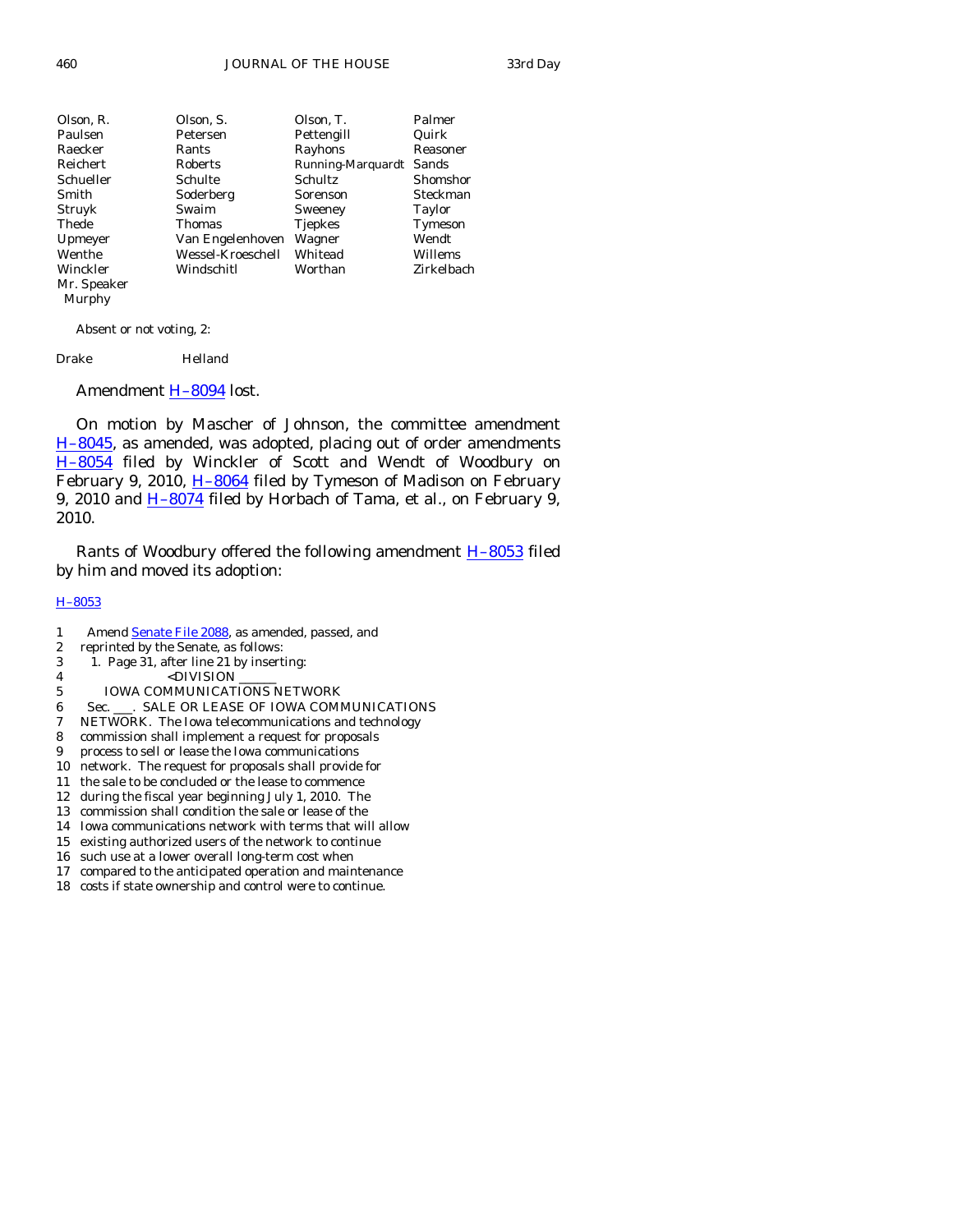| Olson, R.   | Olson, S.         | Olson, T.         | Palmer     |
|-------------|-------------------|-------------------|------------|
| Paulsen     | Petersen          | Pettengill        | Quirk      |
| Raecker     | Rants             | Rayhons           | Reasoner   |
| Reichert    | Roberts           | Running-Marquardt | Sands      |
| Schueller   | Schulte           | Schultz           | Shomshor   |
| Smith       | Soderberg         | Sorenson          | Steckman   |
| Struyk      | Swaim             | Sweeney           | Taylor     |
| Thede       | Thomas            | <b>Tjepkes</b>    | Tymeson    |
| Upmeyer     | Van Engelenhoven  | Wagner            | Wendt      |
| Wenthe      | Wessel-Kroeschell | Whitead           | Willems    |
| Winckler    | Windschitl        | Worthan           | Zirkelbach |
| Mr. Speaker |                   |                   |            |

Murphy

Absent or not voting, 2:

Drake Helland

Amendment **H-8094** lost.

 On motion by Mascher of Johnson, the committee amendment [H–8045](http://coolice.legis.state.ia.us/Cool-ICE/default.asp?Category=billinfo&Service=Billbook&frame=1&GA=83&hbill=H8045), as amended, was adopted, placing out of order amendments [H–8054](http://coolice.legis.state.ia.us/Cool-ICE/default.asp?Category=billinfo&Service=Billbook&frame=1&GA=83&hbill=H8054) filed by Winckler of Scott and Wendt of Woodbury on February 9, 2010, H-8064 filed by Tymeson of Madison on February 9, 2010 and H-8074 filed by Horbach of Tama, et al., on February 9, 2010.

Rants of Woodbury offered the following amendment **H**–8053 filed by him and moved its adoption:

## [H–8053](http://coolice.legis.state.ia.us/Cool-ICE/default.asp?Category=billinfo&Service=Billbook&frame=1&GA=83&hbill=H8053)

- 1 Amend **Senate File 2088**, as amended, passed, and
- 2 reprinted by the Senate, as follows:
- 3 1. Page 31, after line 21 by inserting:
- 4 <DIVISION
- 5 IOWA COMMUNICATIONS NETWORK
- 6 Sec. \_\_\_. SALE OR LEASE OF IOWA COMMUNICATIONS
- 7 NETWORK. The Iowa telecommunications and technology
- 8 commission shall implement a request for proposals
- 9 process to sell or lease the Iowa communications
- 10 network. The request for proposals shall provide for
- 11 the sale to be concluded or the lease to commence
- 12 during the fiscal year beginning July 1, 2010. The
- 13 commission shall condition the sale or lease of the 14 Iowa communications network with terms that will allow
- 
- 15 existing authorized users of the network to continue
- 16 such use at a lower overall long-term cost when 17 compared to the anticipated operation and maintenance
- 18 costs if state ownership and control were to continue.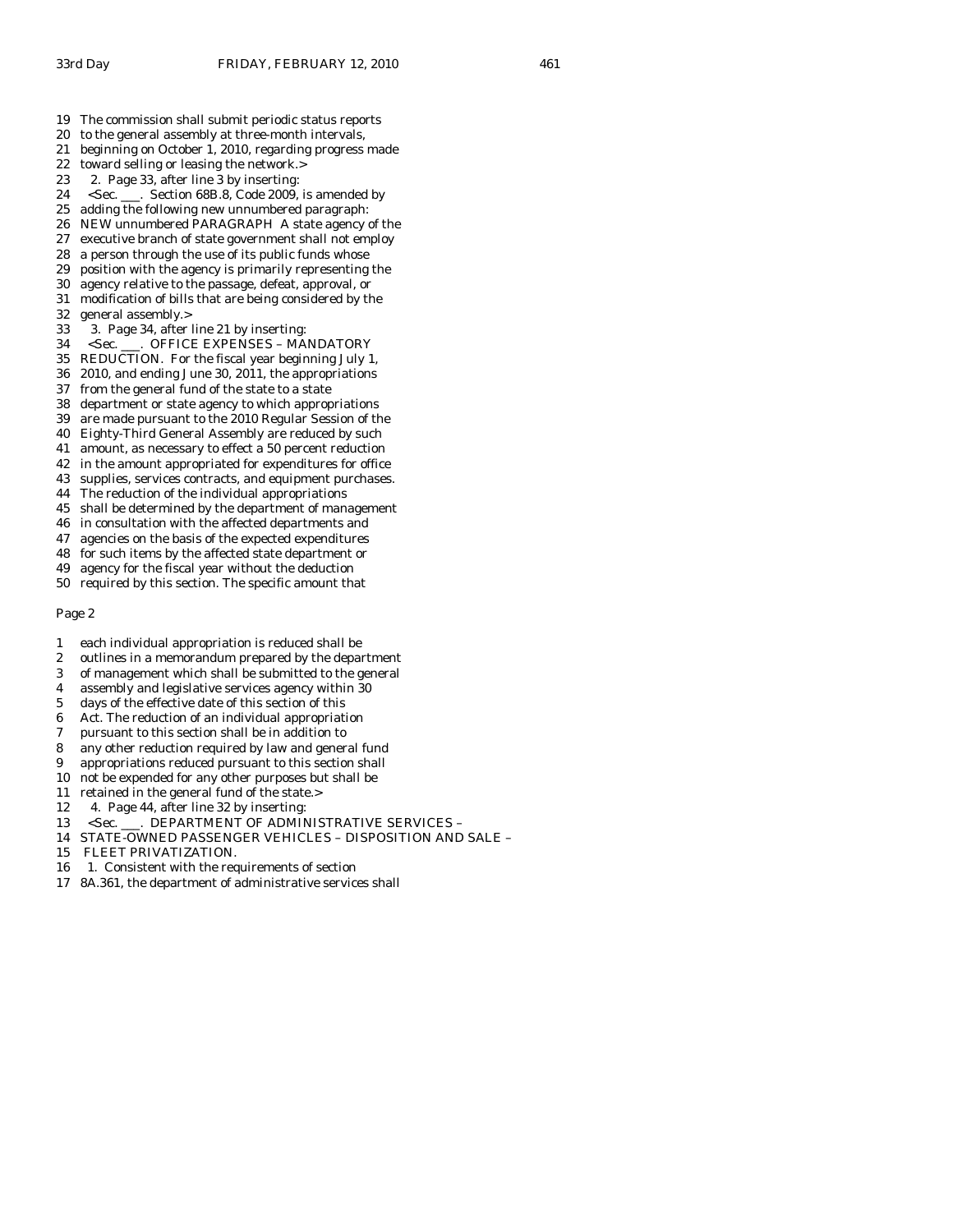- 20 to the general assembly at three-month intervals,
- 21 beginning on October 1, 2010, regarding progress made
- 22 toward selling or leasing the network.>
- 23 2. Page 33, after line 3 by inserting:
- 24 <Sec. \_\_\_. Section 68B.8, Code 2009, is amended by
- 25 adding the following new unnumbered paragraph:
- 26 NEW unnumbered PARAGRAPH A state agency of the
- 27 executive branch of state government shall not employ
- 28 a person through the use of its public funds whose
- 29 position with the agency is primarily representing the 30 agency relative to the passage, defeat, approval, or
- 31 modification of bills that are being considered by the
- 32 general assembly.>
- 33 3. Page 34, after line 21 by inserting:
- 34 <Sec. \_\_\_. OFFICE EXPENSES MANDATORY
- 35 REDUCTION. For the fiscal year beginning July 1,
- 36 2010, and ending June 30, 2011, the appropriations
- 37 from the general fund of the state to a state
- 38 department or state agency to which appropriations
- 39 are made pursuant to the 2010 Regular Session of the
- 40 Eighty-Third General Assembly are reduced by such
- 41 amount, as necessary to effect a 50 percent reduction
- 42 in the amount appropriated for expenditures for office
- 43 supplies, services contracts, and equipment purchases.
- 44 The reduction of the individual appropriations
- 45 shall be determined by the department of management
- 46 in consultation with the affected departments and
- 47 agencies on the basis of the expected expenditures
- 48 for such items by the affected state department or
- 49 agency for the fiscal year without the deduction 50 required by this section. The specific amount that

- 1 each individual appropriation is reduced shall be
- 2 outlines in a memorandum prepared by the department
- 3 of management which shall be submitted to the general
- 4 assembly and legislative services agency within 30
- 5 days of the effective date of this section of this
- 6 Act. The reduction of an individual appropriation
- 7 pursuant to this section shall be in addition to
- 8 any other reduction required by law and general fund
- 9 appropriations reduced pursuant to this section shall
- 10 not be expended for any other purposes but shall be
- 11 retained in the general fund of the state.>
- 12 4. Page 44, after line 32 by inserting:
- 13 <Sec. \_\_\_. DEPARTMENT OF ADMINISTRATIVE SERVICES –
- 14 STATE-OWNED PASSENGER VEHICLES DISPOSITION AND SALE –
- 15 FLEET PRIVATIZATION.
- 16 1. Consistent with the requirements of section
- 17 8A.361, the department of administrative services shall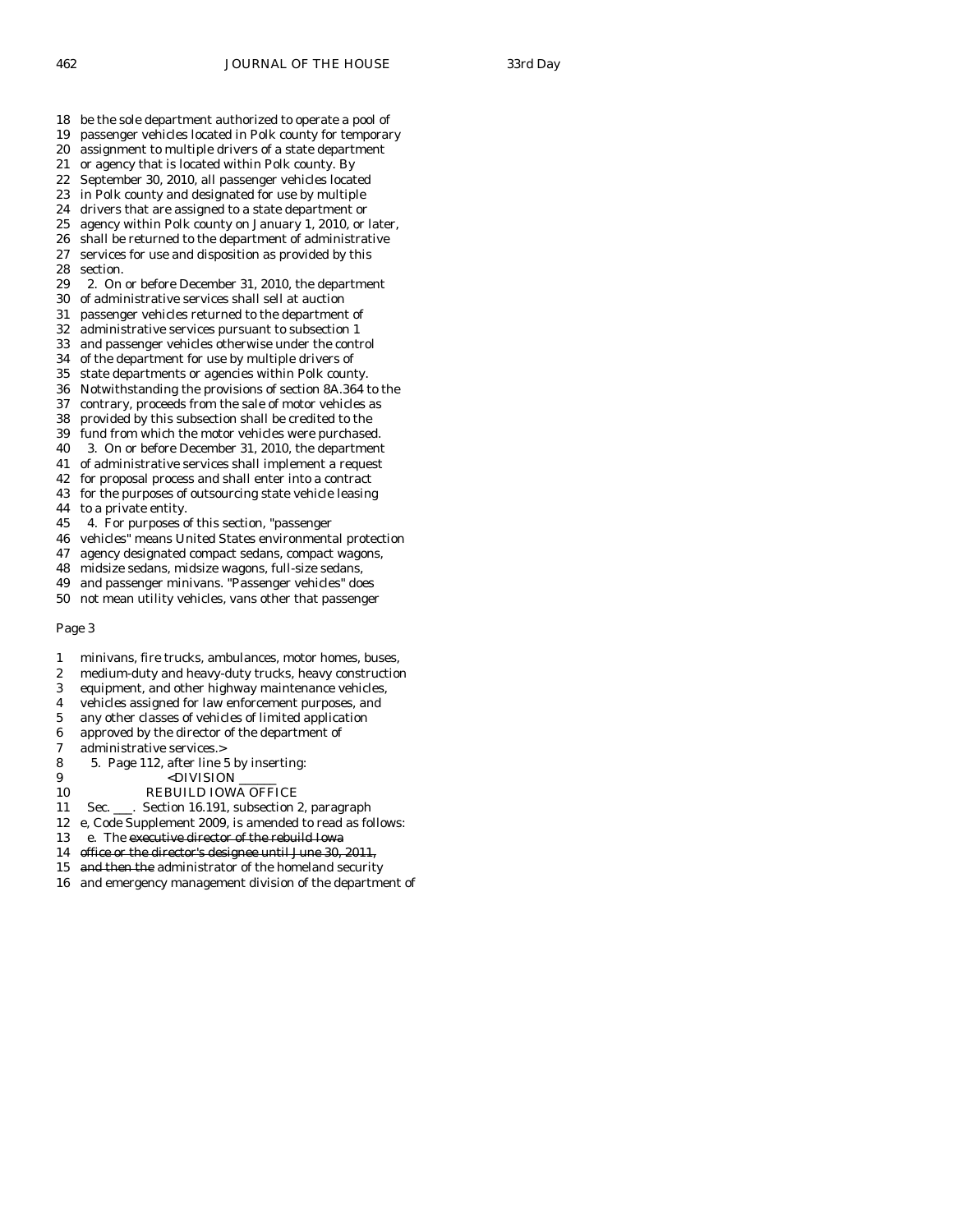- 18 be the sole department authorized to operate a pool of
- 19 passenger vehicles located in Polk county for temporary
- 20 assignment to multiple drivers of a state department
- 21 or agency that is located within Polk county. By 22 September 30, 2010, all passenger vehicles located
- 23 in Polk county and designated for use by multiple
- 24 drivers that are assigned to a state department or
- 
- 25 agency within Polk county on January 1, 2010, or later, 26 shall be returned to the department of administrative shall be returned to the department of administrative
- 27 services for use and disposition as provided by this 28 section.
- 29 2. On or before December 31, 2010, the department
- 30 of administrative services shall sell at auction
- 31 passenger vehicles returned to the department of
- 32 administrative services pursuant to subsection 1
- 33 and passenger vehicles otherwise under the control
- 34 of the department for use by multiple drivers of 35 state departments or agencies within Polk county.
- 36 Notwithstanding the provisions of section 8A.364 to the
- 37 contrary, proceeds from the sale of motor vehicles as
- 38 provided by this subsection shall be credited to the
- 39 fund from which the motor vehicles were purchased.
- 40 3. On or before December 31, 2010, the department
- 41 of administrative services shall implement a request
- 42 for proposal process and shall enter into a contract
- 43 for the purposes of outsourcing state vehicle leasing
- 44 to a private entity.
- 45 4. For purposes of this section, "passenger
- 46 vehicles" means United States environmental protection
- 47 agency designated compact sedans, compact wagons,
- 48 midsize sedans, midsize wagons, full-size sedans,
- 49 and passenger minivans. "Passenger vehicles" does
- 50 not mean utility vehicles, vans other that passenger

- 1 minivans, fire trucks, ambulances, motor homes, buses,
- 2 medium-duty and heavy-duty trucks, heavy construction
- 3 equipment, and other highway maintenance vehicles,
- 4 vehicles assigned for law enforcement purposes, and
- 5 any other classes of vehicles of limited application
- 6 approved by the director of the department of
- 7 administrative services.>
- 8 5. Page 112, after line 5 by inserting:
- 9 <DIVISION
- 10 REBUILD IOWA OFFICE
- 11 Sec. \_\_\_. Section 16.191, subsection 2, paragraph
- 12 e, Code Supplement 2009, is amended to read as follows:
- 13 e. The executive director of the rebuild Iowa
- 14 office or the director's designee until June 30, 2011,
- 15 and then the administrator of the homeland security
- 16 and emergency management division of the department of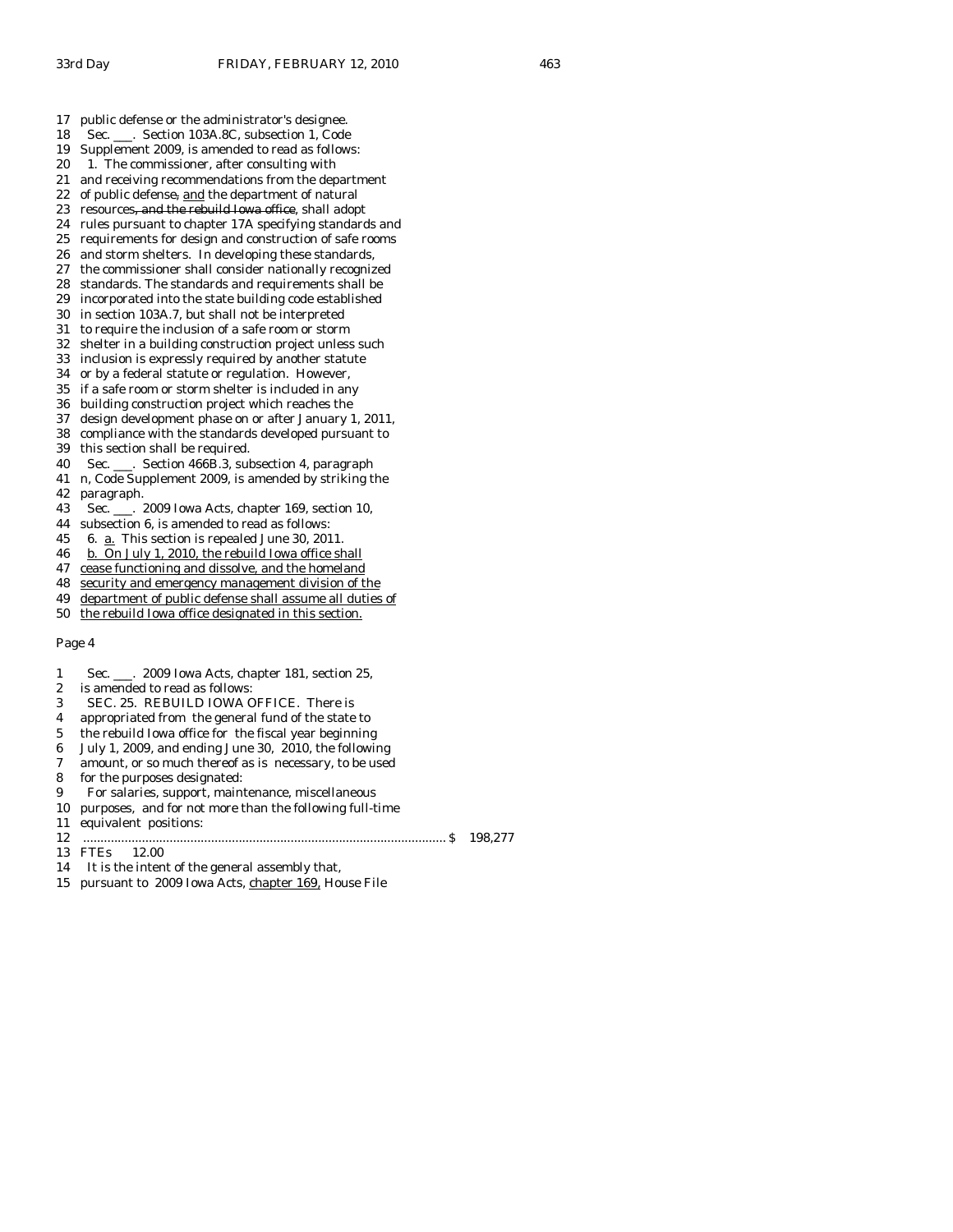17 public defense or the administrator's designee.

- 18 Sec. \_\_\_. Section 103A.8C, subsection 1, Code
- 19 Supplement 2009, is amended to read as follows:
- 20 1. The commissioner, after consulting with
- 21 and receiving recommendations from the department
- 22 of public defense, and the department of natural 23 resources, and the rebuild Iowa office, shall adopt
- 
- 24 rules pursuant to chapter 17A specifying standards and requirements for design and construction of safe rooms
- 26 and storm shelters. In developing these standards,
- 27 the commissioner shall consider nationally recognized
- 28 standards. The standards and requirements shall be
- 29 incorporated into the state building code established
- 30 in section 103A.7, but shall not be interpreted
- 31 to require the inclusion of a safe room or storm
- 32 shelter in a building construction project unless such
- 33 inclusion is expressly required by another statute
- 34 or by a federal statute or regulation. However,
- 35 if a safe room or storm shelter is included in any
- 36 building construction project which reaches the
- 37 design development phase on or after January 1, 2011,
- 38 compliance with the standards developed pursuant to 39 this section shall be required.
- 
- 40 Sec. \_\_\_. Section 466B.3, subsection 4, paragraph 41 n, Code Supplement 2009, is amended by striking the
- 42 paragraph.
- 43 Sec. \_\_\_. 2009 Iowa Acts, chapter 169, section 10,
- 44 subsection 6, is amended to read as follows:
- 45 6. a. This section is repealed June 30, 2011.
- 46 b. On July 1, 2010, the rebuild Iowa office shall
- 47 cease functioning and dissolve, and the homeland
- 48 security and emergency management division of the
- 49 department of public defense shall assume all duties of
- 50 the rebuild Iowa office designated in this section.

- 1 Sec. \_\_\_. 2009 Iowa Acts, chapter 181, section 25,
- 2 is amended to read as follows:
- 3 SEC. 25. REBUILD IOWA OFFICE. There is
- 4 appropriated from the general fund of the state to
- 5 the rebuild Iowa office for the fiscal year beginning
- 6 July 1, 2009, and ending June 30, 2010, the following
- 7 amount, or so much thereof as is necessary, to be used
- 8 for the purposes designated:
- 9 For salaries, support, maintenance, miscellaneous
- 10 purposes, and for not more than the following full-time
- 11 equivalent positions:
- 12 ......................................................................................................... \$ 198,277
- 13 FTEs 12.00

- 14 It is the intent of the general assembly that,
- 15 pursuant to 2009 Iowa Acts, chapter 169, House File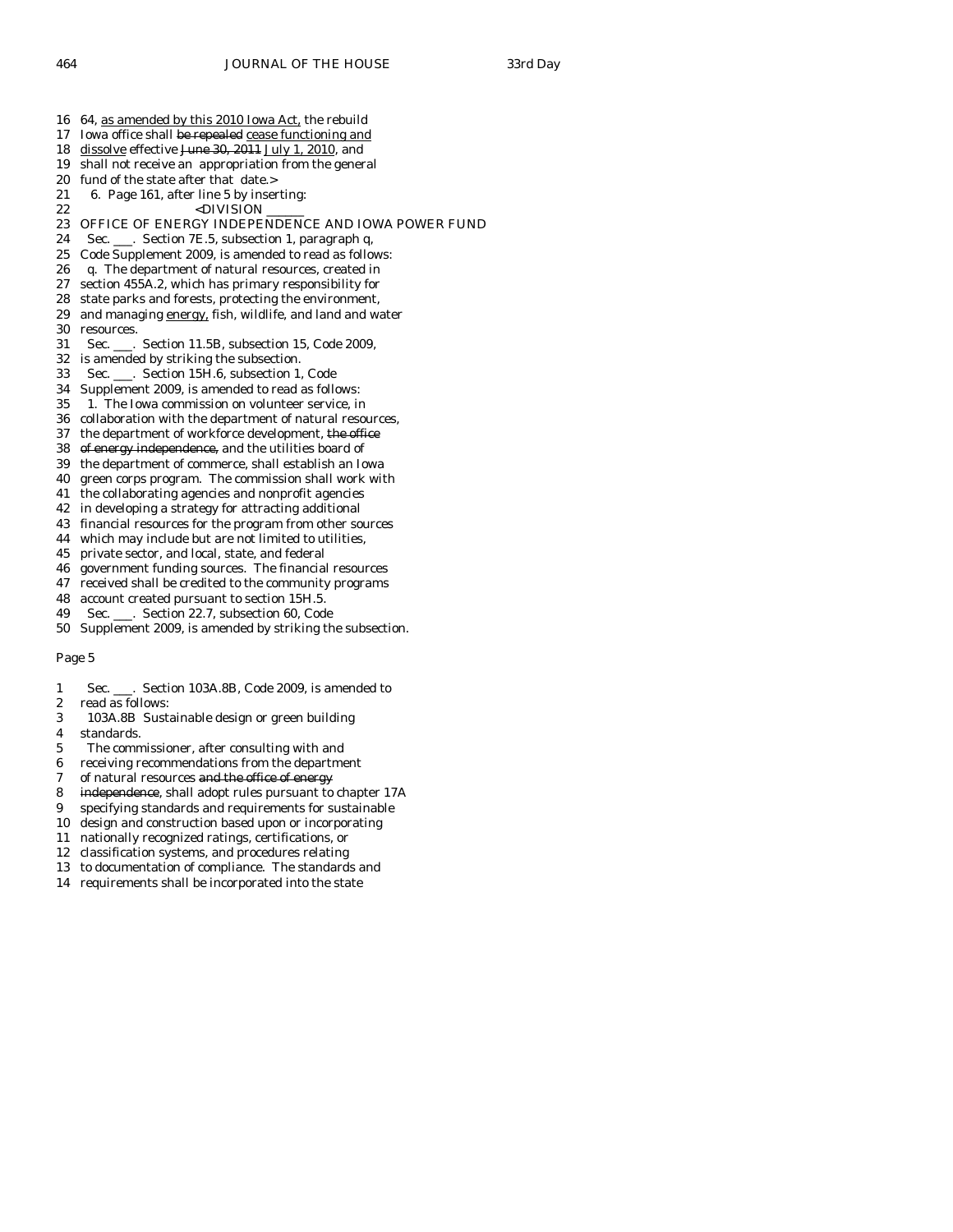- 16 64, as amended by this 2010 Iowa Act, the rebuild
- 17 Iowa office shall be repealed cease functioning and
- 18 dissolve effective June 30, 2011 July 1, 2010, and
- 19 shall not receive an appropriation from the general
- 20 fund of the state after that date.>
- 21 6. Page 161, after line 5 by inserting: 22 <br/>  $$\mbox{{\sc {\small  
CDIVISION}}$$
- 23 OFFICE OF ENERGY INDEPENDENCE AND IOWA POWER FUND<br>24 Sec. Section 7E.5. subsection 1. paragraph q.
- Sec. \_\_\_. Section 7E.5, subsection 1, paragraph q,
- 25 Code Supplement 2009, is amended to read as follows:
- 26 q. The department of natural resources, created in
- 27 section 455A.2, which has primary responsibility for
- 28 state parks and forests, protecting the environment, 29 and managing energy, fish, wildlife, and land and water
- 30 resources.
- 31 Sec. \_\_\_. Section 11.5B, subsection 15, Code 2009,
- 32 is amended by striking the subsection.
- 33 Sec. \_\_\_. Section 15H.6, subsection 1, Code
- 34 Supplement 2009, is amended to read as follows:
- 35 1. The Iowa commission on volunteer service, in
- 36 collaboration with the department of natural resources,
- 37 the department of workforce development, the office
- 38 of energy independence, and the utilities board of
- 39 the department of commerce, shall establish an Iowa
- 40 green corps program. The commission shall work with
- 41 the collaborating agencies and nonprofit agencies
- 42 in developing a strategy for attracting additional
- 43 financial resources for the program from other sources
- 44 which may include but are not limited to utilities,
- 45 private sector, and local, state, and federal
- 46 government funding sources. The financial resources 47 received shall be credited to the community programs
- 48 account created pursuant to section 15H.5.
- 49 Sec. \_\_\_. Section 22.7, subsection 60, Code
- 50 Supplement 2009, is amended by striking the subsection.

- 1 Sec. \_\_\_. Section 103A.8B, Code 2009, is amended to
- 2 read as follows:
- 3 103A.8B Sustainable design or green building
- 4 standards.
- 5 The commissioner, after consulting with and
- 6 receiving recommendations from the department
- 7 of natural resources and the office of energy
- 8 independence, shall adopt rules pursuant to chapter 17A
- 9 specifying standards and requirements for sustainable
- 10 design and construction based upon or incorporating
- 11 nationally recognized ratings, certifications, or
- 12 classification systems, and procedures relating
- 13 to documentation of compliance. The standards and
- 14 requirements shall be incorporated into the state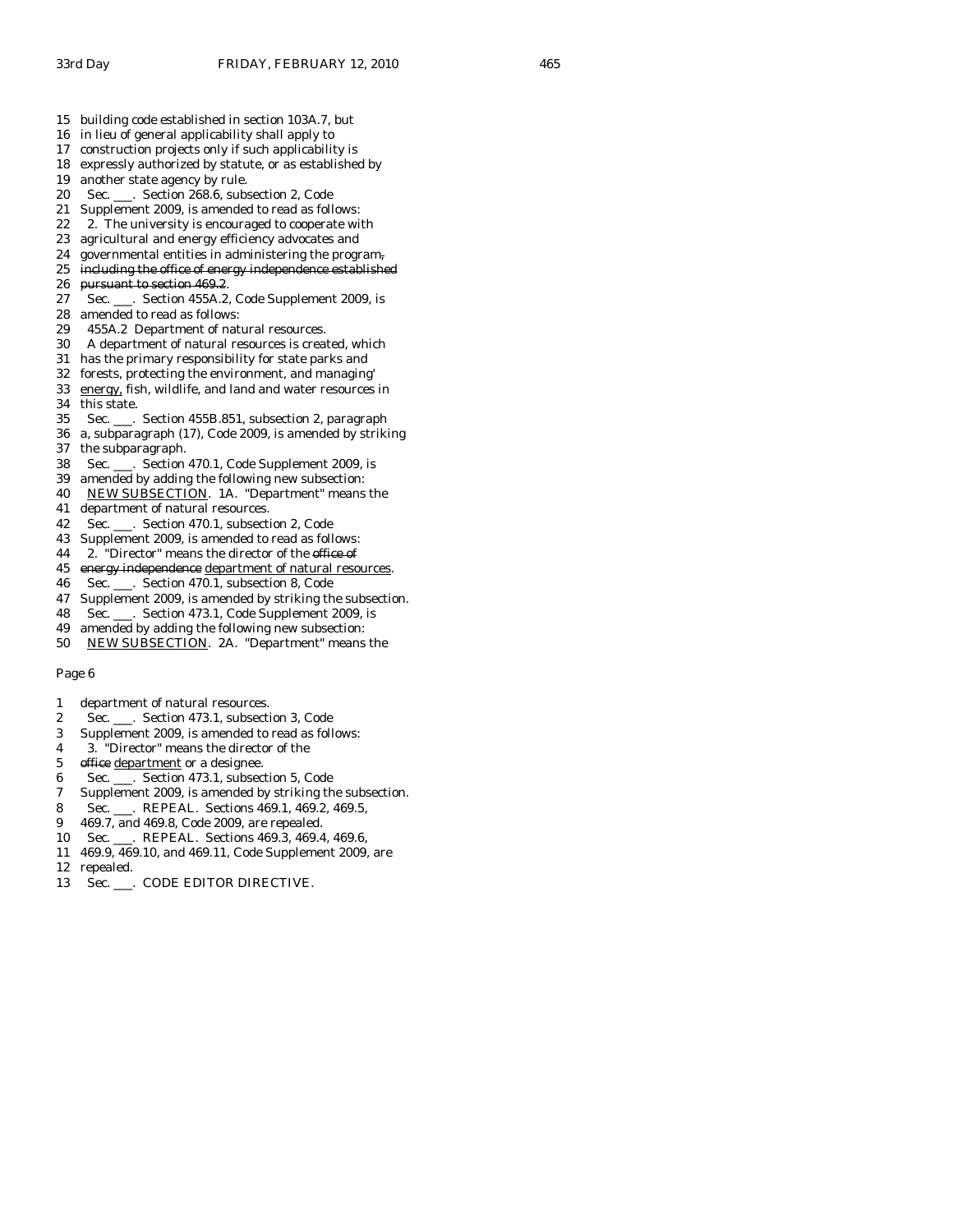- 16 in lieu of general applicability shall apply to
- 17 construction projects only if such applicability is
- 18 expressly authorized by statute, or as established by
- 19 another state agency by rule.
- 20 Sec. \_\_\_. Section 268.6, subsection 2, Code
- 21 Supplement 2009, is amended to read as follows:
- 22 2. The university is encouraged to cooperate with<br>23 agricultural and energy efficiency advocates and
- agricultural and energy efficiency advocates and
- 24 governmental entities in administering the program,
- 25 including the office of energy independence established
- 26 pursuant to section 469.2.
- 27 Sec. \_\_\_. Section 455A.2, Code Supplement 2009, is
- 28 amended to read as follows:
- 29 455A.2 Department of natural resources.
- 30 A department of natural resources is created, which
- 31 has the primary responsibility for state parks and
- 32 forests, protecting the environment, and managing'
- 33 energy, fish, wildlife, and land and water resources in 34 this state.
- 35 Sec. \_\_\_. Section 455B.851, subsection 2, paragraph
- 36 a, subparagraph (17), Code 2009, is amended by striking 37 the subparagraph.
- 38 Sec. \_\_\_. Section 470.1, Code Supplement 2009, is
- 39 amended by adding the following new subsection:
- 40 NEW SUBSECTION. 1A. "Department" means the
- 41 department of natural resources.
- 42 Sec. \_\_\_. Section 470.1, subsection 2, Code
- 43 Supplement 2009, is amended to read as follows:
- 44 2. "Director" means the director of the office of
- 45 energy independence department of natural resources.
- 46 Sec. \_\_\_. Section 470.1, subsection 8, Code
- 47 Supplement 2009, is amended by striking the subsection.
- 48 Sec. \_\_\_. Section 473.1, Code Supplement 2009, is
- 49 amended by adding the following new subsection:
- 50 NEW SUBSECTION. 2A. "Department" means the

- 1 department of natural resources.
- 2 Sec. \_\_\_. Section 473.1, subsection 3, Code
- 3 Supplement 2009, is amended to read as follows:
- 4 3. "Director" means the director of the
- 5 office department or a designee.
- 6 Sec. \_\_\_. Section 473.1, subsection 5, Code
- 7 Supplement 2009, is amended by striking the subsection.
- 8 Sec. \_\_\_. REPEAL. Sections 469.1, 469.2, 469.5,
- 9 469.7, and 469.8, Code 2009, are repealed.
- 10 Sec. \_\_\_. REPEAL. Sections 469.3, 469.4, 469.6,
- 11 469.9, 469.10, and 469.11, Code Supplement 2009, are
- 12 repealed.
- 13 Sec. \_\_\_. CODE EDITOR DIRECTIVE.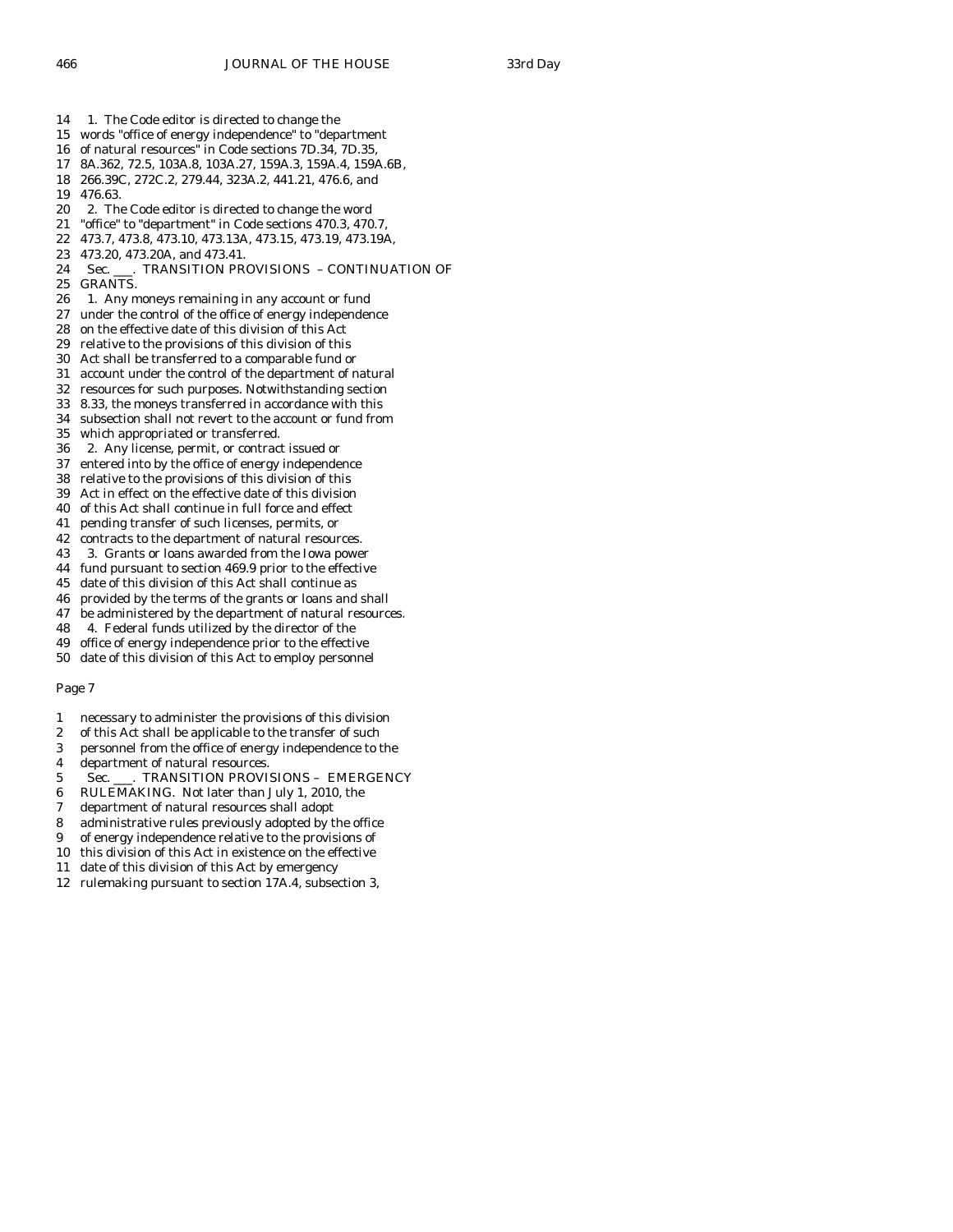14 1. The Code editor is directed to change the

- 15 words "office of energy independence" to "department
- 16 of natural resources" in Code sections 7D.34, 7D.35,
- 17 8A.362, 72.5, 103A.8, 103A.27, 159A.3, 159A.4, 159A.6B,
- 18 266.39C, 272C.2, 279.44, 323A.2, 441.21, 476.6, and
- 19 476.63.
- 20 2. The Code editor is directed to change the word
- 21 "office" to "department" in Code sections 470.3, 470.7,
- 22 473.7, 473.8, 473.10, 473.13A, 473.15, 473.19, 473.19A,
- 23 473.20, 473.20A, and 473.41.
- 24 Sec. \_\_\_. TRANSITION PROVISIONS CONTINUATION OF
- 25 GRANTS.
- 26 1. Any moneys remaining in any account or fund
- 27 under the control of the office of energy independence
- 28 on the effective date of this division of this Act
- 29 relative to the provisions of this division of this
- 30 Act shall be transferred to a comparable fund or
- 31 account under the control of the department of natural
- 32 resources for such purposes. Notwithstanding section
- 33 8.33, the moneys transferred in accordance with this
- 34 subsection shall not revert to the account or fund from
- 35 which appropriated or transferred.
- 36 2. Any license, permit, or contract issued or
- 37 entered into by the office of energy independence
- 38 relative to the provisions of this division of this
- 39 Act in effect on the effective date of this division
- 40 of this Act shall continue in full force and effect
- 41 pending transfer of such licenses, permits, or
- 42 contracts to the department of natural resources.
- 43 3. Grants or loans awarded from the Iowa power
- 44 fund pursuant to section 469.9 prior to the effective
- 45 date of this division of this Act shall continue as
- 46 provided by the terms of the grants or loans and shall
- 47 be administered by the department of natural resources.
- 48 4. Federal funds utilized by the director of the
- 49 office of energy independence prior to the effective 50 date of this division of this Act to employ personnel

- 1 necessary to administer the provisions of this division
- 2 of this Act shall be applicable to the transfer of such
- 3 personnel from the office of energy independence to the
- 4 department of natural resources.
- 5 Sec. \_\_\_. TRANSITION PROVISIONS EMERGENCY
- 6 RULEMAKING. Not later than July 1, 2010, the
- 7 department of natural resources shall adopt
- 8 administrative rules previously adopted by the office
- 9 of energy independence relative to the provisions of
- 10 this division of this Act in existence on the effective
- 11 date of this division of this Act by emergency
- 12 rulemaking pursuant to section 17A.4, subsection 3,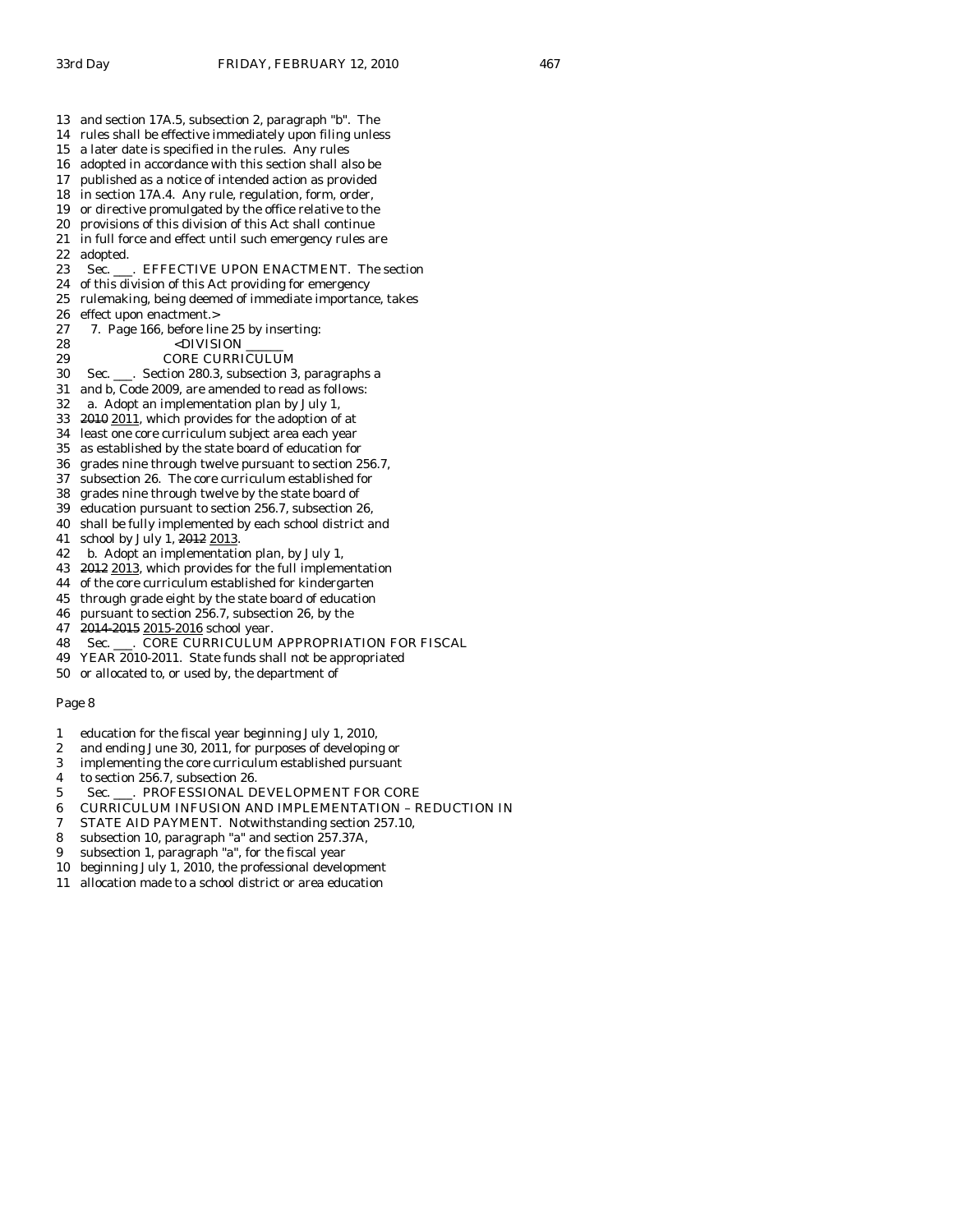- 14 rules shall be effective immediately upon filing unless
- 15 a later date is specified in the rules. Any rules
- 16 adopted in accordance with this section shall also be
- 17 published as a notice of intended action as provided 18 in section 17A.4. Any rule, regulation, form, order,
- 19 or directive promulgated by the office relative to the
- 
- 20 provisions of this division of this Act shall continue in full force and effect until such emergency rules are
- 22 adopted.
- 23 Sec. \_\_\_. EFFECTIVE UPON ENACTMENT. The section
- 24 of this division of this Act providing for emergency
- 25 rulemaking, being deemed of immediate importance, takes
- 26 effect upon enactment.>
- 27 7. Page 166, before line 25 by inserting:
- 28 <DIVISION
- 29 CORE CURRICULUM
- 30 Sec. \_\_\_. Section 280.3, subsection 3, paragraphs a
- 31 and b, Code 2009, are amended to read as follows:
- 32 a. Adopt an implementation plan by July 1,
- 33 2010 2011, which provides for the adoption of at
- 34 least one core curriculum subject area each year
- 35 as established by the state board of education for
- 36 grades nine through twelve pursuant to section 256.7,
- 37 subsection 26. The core curriculum established for
- 38 grades nine through twelve by the state board of
- 39 education pursuant to section 256.7, subsection 26,
- 40 shall be fully implemented by each school district and
- 41 school by July 1, 2012 2013.
- 42 b. Adopt an implementation plan, by July 1,
- 43 2012 2013, which provides for the full implementation
- 44 of the core curriculum established for kindergarten
- 45 through grade eight by the state board of education
- 46 pursuant to section 256.7, subsection 26, by the
- 47 2014-2015 2015-2016 school year.
- 48 Sec. \_\_\_. CORE CURRICULUM APPROPRIATION FOR FISCAL
- 49 YEAR 2010-2011. State funds shall not be appropriated
- 50 or allocated to, or used by, the department of

- 1 education for the fiscal year beginning July 1, 2010,
- 2 and ending June 30, 2011, for purposes of developing or
- 3 implementing the core curriculum established pursuant
- 4 to section 256.7, subsection 26.
- 5 Sec. . PROFESSIONAL DEVELOPMENT FOR CORE
- 6 CURRICULUM INFUSION AND IMPLEMENTATION REDUCTION IN
- 7 STATE AID PAYMENT. Notwithstanding section 257.10,
- 8 subsection 10, paragraph "a" and section 257.37A,
- 9 subsection 1, paragraph "a", for the fiscal year
- 10 beginning July 1, 2010, the professional development
- 11 allocation made to a school district or area education
-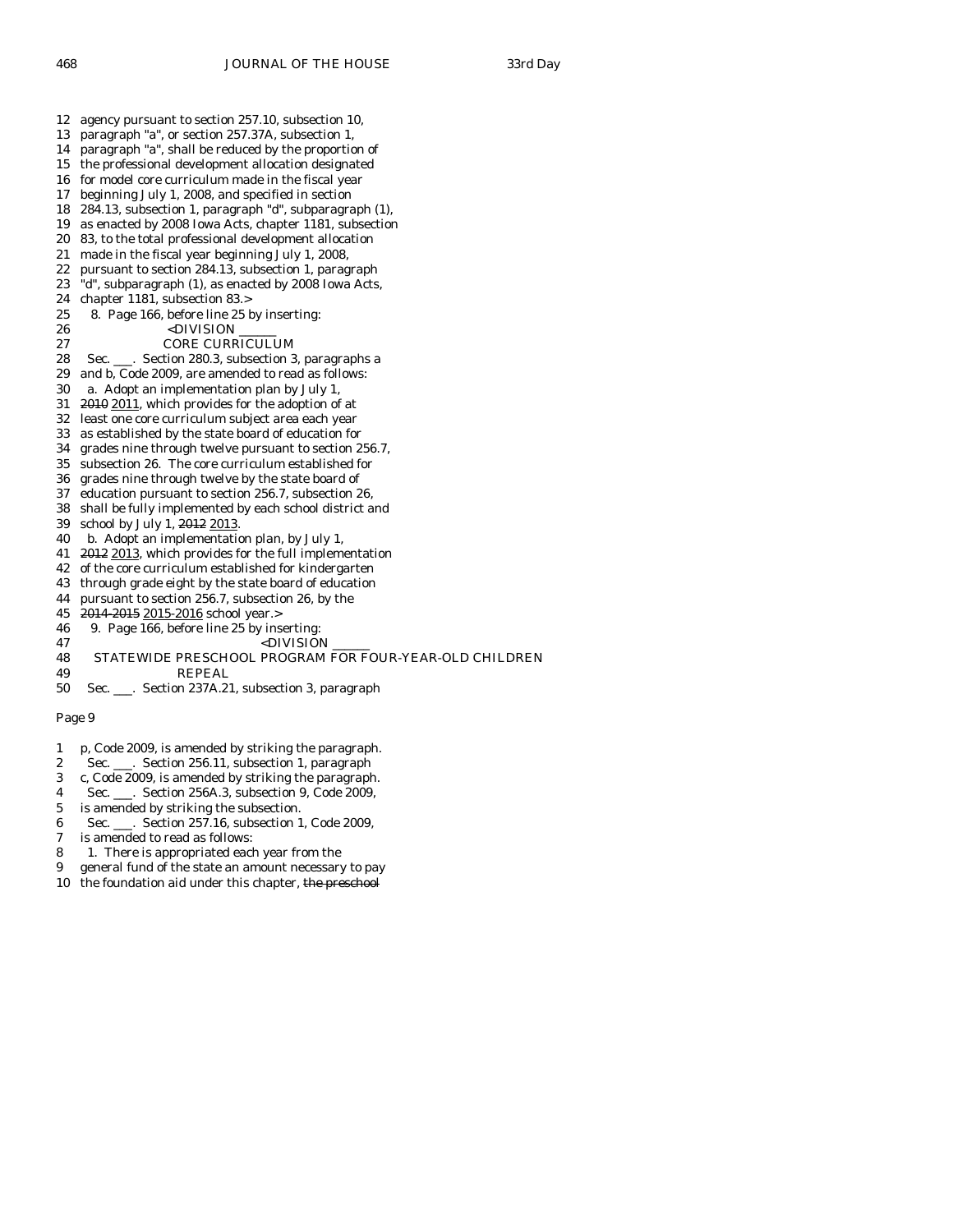12 agency pursuant to section 257.10, subsection 10, 13 paragraph "a", or section 257.37A, subsection 1, 14 paragraph "a", shall be reduced by the proportion of 15 the professional development allocation designated 16 for model core curriculum made in the fiscal year 17 beginning July 1, 2008, and specified in section 18 284.13, subsection 1, paragraph "d", subparagraph (1), 19 as enacted by 2008 Iowa Acts, chapter 1181, subsection 20 83, to the total professional development allocation 21 made in the fiscal year beginning July 1, 2008, 22 pursuant to section 284.13, subsection 1, paragraph 23 "d", subparagraph (1), as enacted by 2008 Iowa Acts, 24 chapter 1181, subsection 83.> 25 8. Page 166, before line 25 by inserting: 26 <DIVISION 27 CORE CURRICULUM 28 Sec. \_\_\_. Section 280.3, subsection 3, paragraphs a 29 and b, Code 2009, are amended to read as follows: 30 a. Adopt an implementation plan by July 1, 31 2010 2011, which provides for the adoption of at 32 least one core curriculum subject area each year 33 as established by the state board of education for 34 grades nine through twelve pursuant to section 256.7, 35 subsection 26. The core curriculum established for 36 grades nine through twelve by the state board of 37 education pursuant to section 256.7, subsection 26, 38 shall be fully implemented by each school district and 39 school by July 1, 2012 2013. 40 b. Adopt an implementation plan, by July 1, 41 2012 2013, which provides for the full implementation 42 of the core curriculum established for kindergarten 43 through grade eight by the state board of education 44 pursuant to section 256.7, subsection 26, by the 45 2014 2015 2015-2016 school year.> 46 9. Page 166, before line 25 by inserting: 47 <DIVISION 48 STATEWIDE PRESCHOOL PROGRAM FOR FOUR-YEAR-OLD CHILDREN 49 REPEAL

- 50 Sec. \_\_\_. Section 237A.21, subsection 3, paragraph
- Page 9
- 1 p, Code 2009, is amended by striking the paragraph.
- 2 Sec. \_\_\_. Section 256.11, subsection 1, paragraph
- 3 c, Code 2009, is amended by striking the paragraph.
- 4 Sec. \_\_\_. Section 256A.3, subsection 9, Code 2009,
- 5 is amended by striking the subsection.
- 6 Sec. \_\_\_. Section 257.16, subsection 1, Code 2009,
- 7 is amended to read as follows:
- 8 1. There is appropriated each year from the
- 9 general fund of the state an amount necessary to pay
- 10 the foundation aid under this chapter, the preschool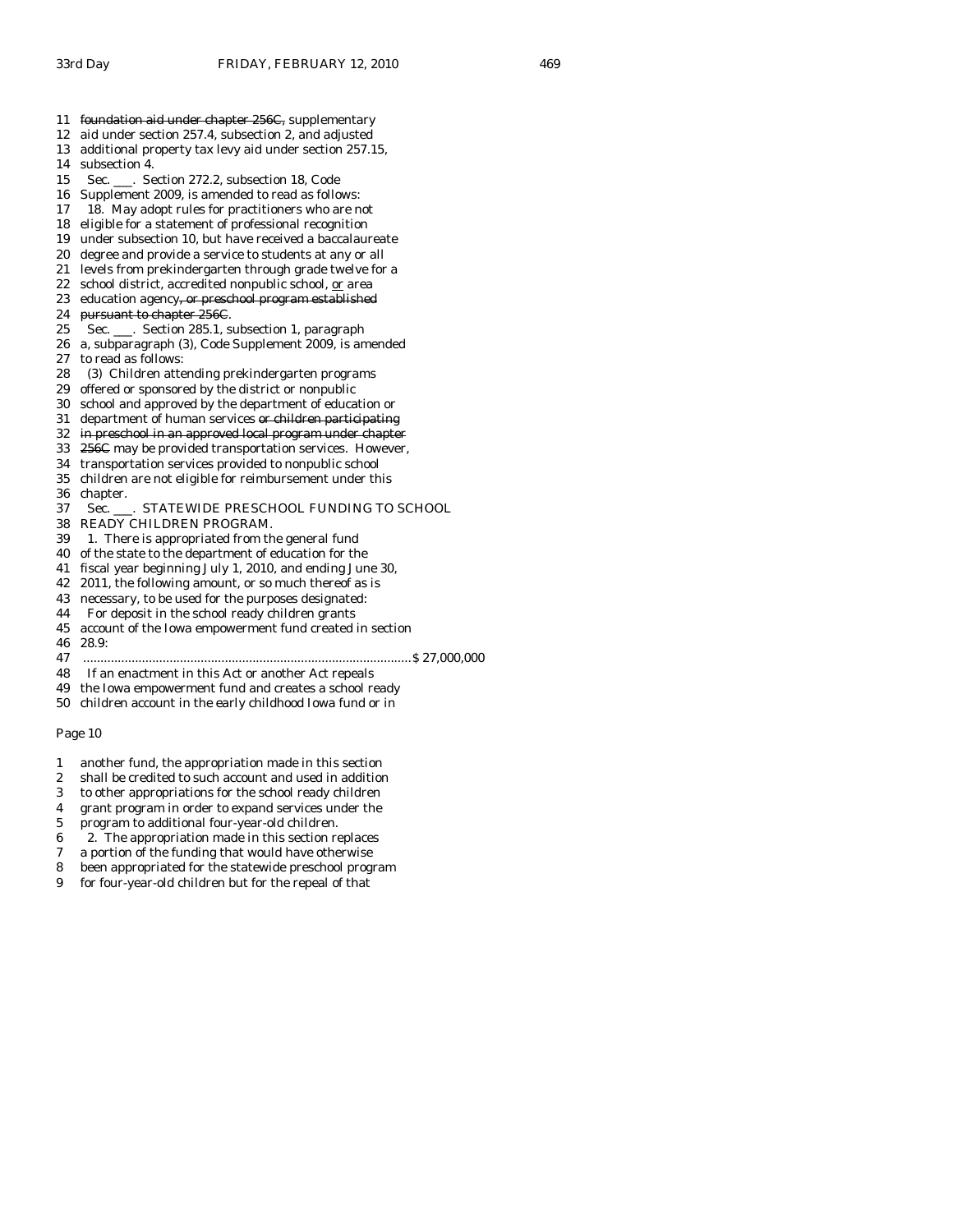- 11 foundation aid under chapter 256C, supplementary
- 12 aid under section 257.4, subsection 2, and adjusted
- 13 additional property tax levy aid under section 257.15,
- 14 subsection 4.
- 15 Sec. \_\_\_. Section 272.2, subsection 18, Code
- 16 Supplement 2009, is amended to read as follows:
- 17 18. May adopt rules for practitioners who are not
- 18 eligible for a statement of professional recognition
- 19 under subsection 10, but have received a baccalaureate
- 20 degree and provide a service to students at any or all
- 21 levels from prekindergarten through grade twelve for a
- 22 school district, accredited nonpublic school, or area
- 23 education agency<del>, or preschool program established</del>
- 24 pursuant to chapter 256C.
- 25 Sec. \_\_\_. Section 285.1, subsection 1, paragraph
- 26 a, subparagraph (3), Code Supplement 2009, is amended 27 to read as follows:
- 28 (3) Children attending prekindergarten programs
- 29 offered or sponsored by the district or nonpublic
- 30 school and approved by the department of education or
- 31 department of human services or children participating
- 32 in preschool in an approved local program under chapter
- 33 256C may be provided transportation services. However,
- 34 transportation services provided to nonpublic school
- 35 children are not eligible for reimbursement under this
- 36 chapter.

#### 37 Sec. \_\_\_. STATEWIDE PRESCHOOL FUNDING TO SCHOOL

- 38 READY CHILDREN PROGRAM.
- 39 1. There is appropriated from the general fund
- 40 of the state to the department of education for the
- 41 fiscal year beginning July 1, 2010, and ending June 30,
- 42 2011, the following amount, or so much thereof as is
- 43 necessary, to be used for the purposes designated:
- 44 For deposit in the school ready children grants
- 45 account of the Iowa empowerment fund created in section
- 46 28.9:
- 47 ...............................................................................................\$ 27,000,000
- 48 If an enactment in this Act or another Act repeals
- 49 the Iowa empowerment fund and creates a school ready
- 50 children account in the early childhood Iowa fund or in

- 1 another fund, the appropriation made in this section
- 2 shall be credited to such account and used in addition
- 3 to other appropriations for the school ready children
- 4 grant program in order to expand services under the
- 5 program to additional four-year-old children.
- 6 2. The appropriation made in this section replaces
- 7 a portion of the funding that would have otherwise
- 8 been appropriated for the statewide preschool program
- 9 for four-year-old children but for the repeal of that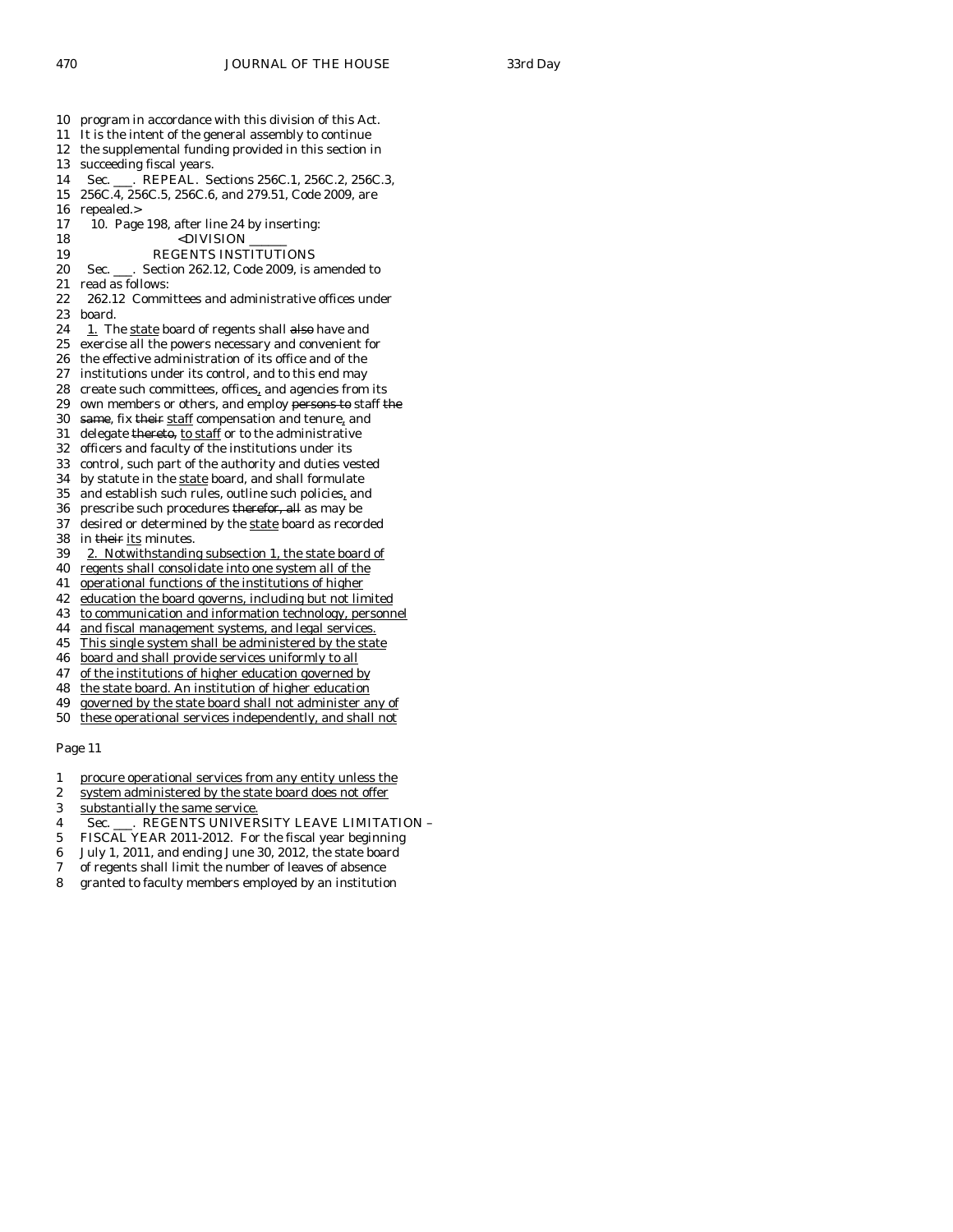- 10 program in accordance with this division of this Act.
- 11 It is the intent of the general assembly to continue
- 12 the supplemental funding provided in this section in
- 13 succeeding fiscal years.
- 14 Sec. \_\_\_. REPEAL. Sections 256C.1, 256C.2, 256C.3,
- 15 256C.4, 256C.5, 256C.6, and 279.51, Code 2009, are
- 16 repealed.>
- 17 10. Page 198, after line 24 by inserting:<br>18 <DIVISION
	- $<$ DIVISION
- 19 REGENTS INSTITUTIONS
- 20 Sec. \_\_\_. Section 262.12, Code 2009, is amended to
- 21 read as follows:
- 22 262.12 Committees and administrative offices under 23 board.
- $24$  1. The state board of regents shall also have and
- 25 exercise all the powers necessary and convenient for
- 26 the effective administration of its office and of the
- 27 institutions under its control, and to this end may
- 28 create such committees, offices, and agencies from its
- 29 own members or others, and employ persons to staff the
- 30 same, fix their staff compensation and tenure, and
- 31 delegate thereto, to staff or to the administrative
- 32 officers and faculty of the institutions under its 33 control, such part of the authority and duties vested
- 34 by statute in the state board, and shall formulate
- 35 and establish such rules, outline such policies, and
- 36 prescribe such procedures therefor, all as may be
- 37 desired or determined by the state board as recorded
- 38 in their its minutes.
- 39 2. Notwithstanding subsection 1, the state board of
- 40 regents shall consolidate into one system all of the
- 41 operational functions of the institutions of higher
- 42 education the board governs, including but not limited
- 43 to communication and information technology, personnel
- 44 and fiscal management systems, and legal services.
- 45 This single system shall be administered by the state
- 46 board and shall provide services uniformly to all
- 47 of the institutions of higher education governed by
- 48 the state board. An institution of higher education
- 49 governed by the state board shall not administer any of 50 these operational services independently, and shall not

- 1 procure operational services from any entity unless the
- 2 system administered by the state board does not offer
- 3 substantially the same service.
- 4 Sec. \_\_\_. REGENTS UNIVERSITY LEAVE LIMITATION –
- 5 FISCAL YEAR 2011-2012. For the fiscal year beginning
- 6 July 1, 2011, and ending June 30, 2012, the state board
- 7 of regents shall limit the number of leaves of absence
- 8 granted to faculty members employed by an institution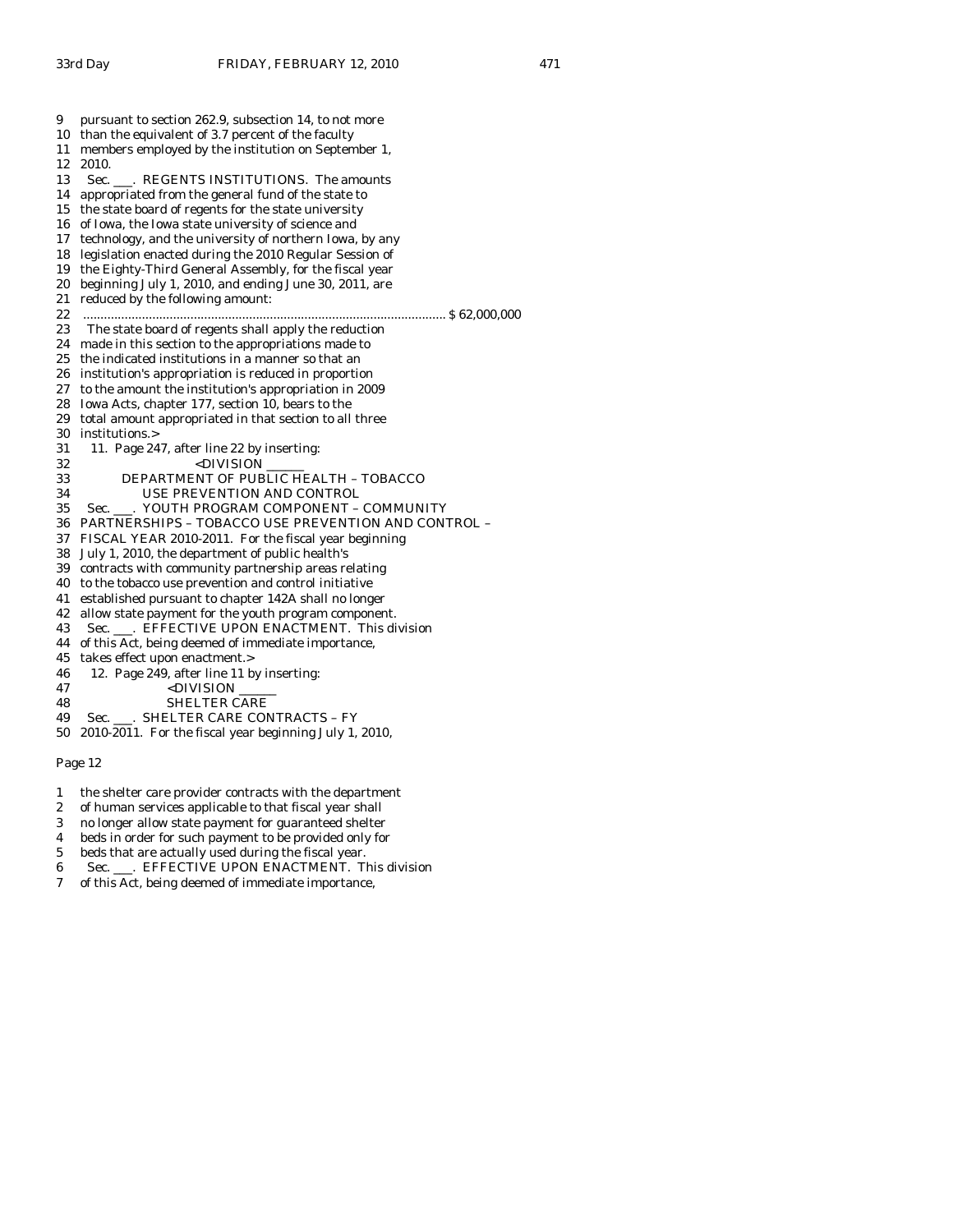| 9  | pursuant to section 262.9, subsection 14, to not more                                           |
|----|-------------------------------------------------------------------------------------------------|
| 10 | than the equivalent of 3.7 percent of the faculty                                               |
| 11 | members employed by the institution on September 1,                                             |
| 12 | 2010.                                                                                           |
| 13 | Sec. ___. REGENTS INSTITUTIONS. The amounts                                                     |
| 14 | appropriated from the general fund of the state to                                              |
| 15 | the state board of regents for the state university                                             |
| 16 | of Iowa, the Iowa state university of science and                                               |
| 17 | technology, and the university of northern Iowa, by any                                         |
| 18 | legislation enacted during the 2010 Regular Session of                                          |
| 19 | the Eighty-Third General Assembly, for the fiscal year                                          |
| 20 | beginning July 1, 2010, and ending June 30, 2011, are                                           |
| 21 | reduced by the following amount:                                                                |
| 22 |                                                                                                 |
| 23 | The state board of regents shall apply the reduction                                            |
| 24 | made in this section to the appropriations made to                                              |
| 25 | the indicated institutions in a manner so that an                                               |
| 26 | institution's appropriation is reduced in proportion                                            |
| 27 | to the amount the institution's appropriation in 2009                                           |
| 28 | Iowa Acts, chapter 177, section 10, bears to the                                                |
| 29 | total amount appropriated in that section to all three                                          |
| 30 | institutions.>                                                                                  |
| 31 | 11. Page 247, after line 22 by inserting:                                                       |
| 32 | <division< td=""></division<>                                                                   |
| 33 | DEPARTMENT OF PUBLIC HEALTH - TOBACCO                                                           |
| 34 | USE PREVENTION AND CONTROL                                                                      |
| 35 | YOUTH PROGRAM COMPONENT - COMMUNITY<br>Sec. .                                                   |
| 36 | PARTNERSHIPS - TOBACCO USE PREVENTION AND CONTROL -                                             |
| 37 | FISCAL YEAR 2010-2011. For the fiscal year beginning                                            |
| 38 | July 1, 2010, the department of public health's                                                 |
| 39 | contracts with community partnership areas relating                                             |
| 40 | to the tobacco use prevention and control initiative                                            |
| 41 | established pursuant to chapter 142A shall no longer                                            |
| 42 | allow state payment for the youth program component.                                            |
| 43 | Sec. ___. EFFECTIVE UPON ENACTMENT. This division                                               |
| 44 | of this Act, being deemed of immediate importance,                                              |
| 45 | takes effect upon enactment.>                                                                   |
| 46 | 12. Page 249, after line 11 by inserting:                                                       |
| 47 | <division< td=""></division<>                                                                   |
| 48 | <b>SHELTER CARE</b>                                                                             |
| 49 | Sec. ___. SHELTER CARE CONTRACTS - FY<br>2010-2011. For the fiscal year beginning July 1, 2010, |
| 50 |                                                                                                 |

- 1 the shelter care provider contracts with the department
- 2 of human services applicable to that fiscal year shall<br>3 no longer allow state payment for guaranteed shelter
- no longer allow state payment for guaranteed shelter
- 4 beds in order for such payment to be provided only for
- 5 beds that are actually used during the fiscal year.
- 6 Sec. \_\_\_. EFFECTIVE UPON ENACTMENT. This division
- 7 of this Act, being deemed of immediate importance,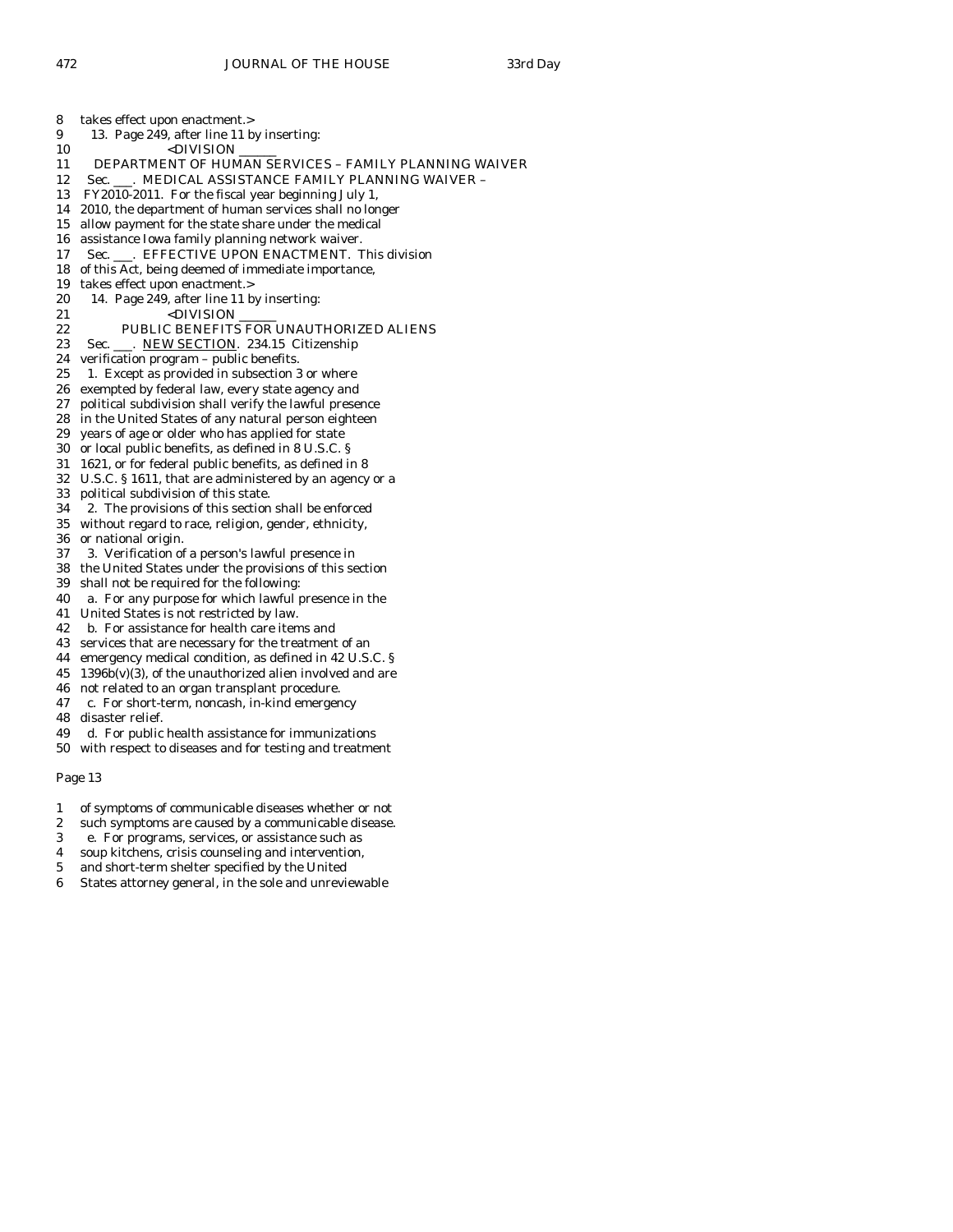- 9 13. Page 249, after line 11 by inserting:<br>10 <br/>>
>>>>>> <DIVISION 11 DEPARTMENT OF HUMAN SERVICES – FAMILY PLANNING WAIVER 12 Sec. \_\_\_. MEDICAL ASSISTANCE FAMILY PLANNING WAIVER -13 FY2010-2011. For the fiscal year beginning July 1, 14 2010, the department of human services shall no longer 15 allow payment for the state share under the medical 16 assistance Iowa family planning network waiver. 17 Sec. \_\_\_. EFFECTIVE UPON ENACTMENT. This division 18 of this Act, being deemed of immediate importance, 19 takes effect upon enactment.> 20 14. Page 249, after line 11 by inserting: 21 <DIVISION 22 PUBLIC BENEFITS FOR UNAUTHORIZED ALIENS 23 Sec. \_\_\_. NEW SECTION. 234.15 Citizenship 24 verification program – public benefits. 25 1. Except as provided in subsection 3 or where 26 exempted by federal law, every state agency and 27 political subdivision shall verify the lawful presence 28 in the United States of any natural person eighteen 29 years of age or older who has applied for state 30 or local public benefits, as defined in 8 U.S.C. § 31 1621, or for federal public benefits, as defined in 8 32 U.S.C. § 1611, that are administered by an agency or a 33 political subdivision of this state. 34 2. The provisions of this section shall be enforced 35 without regard to race, religion, gender, ethnicity, 36 or national origin. 37 3. Verification of a person's lawful presence in 38 the United States under the provisions of this section 39 shall not be required for the following: 40 a. For any purpose for which lawful presence in the 41 United States is not restricted by law. 42 b. For assistance for health care items and 43 services that are necessary for the treatment of an
	-
- 44 emergency medical condition, as defined in 42 U.S.C. §  $45$  1396b(v)(3), of the unauthorized alien involved and are
- 46 not related to an organ transplant procedure.
- 47 c. For short-term, noncash, in-kind emergency
- 48 disaster relief.
- 49 d. For public health assistance for immunizations
- 50 with respect to diseases and for testing and treatment

- 1 of symptoms of communicable diseases whether or not
- 2 such symptoms are caused by a communicable disease.
- 3 e. For programs, services, or assistance such as
- 4 soup kitchens, crisis counseling and intervention,
- 5 and short-term shelter specified by the United
- 6 States attorney general, in the sole and unreviewable

8 takes effect upon enactment.>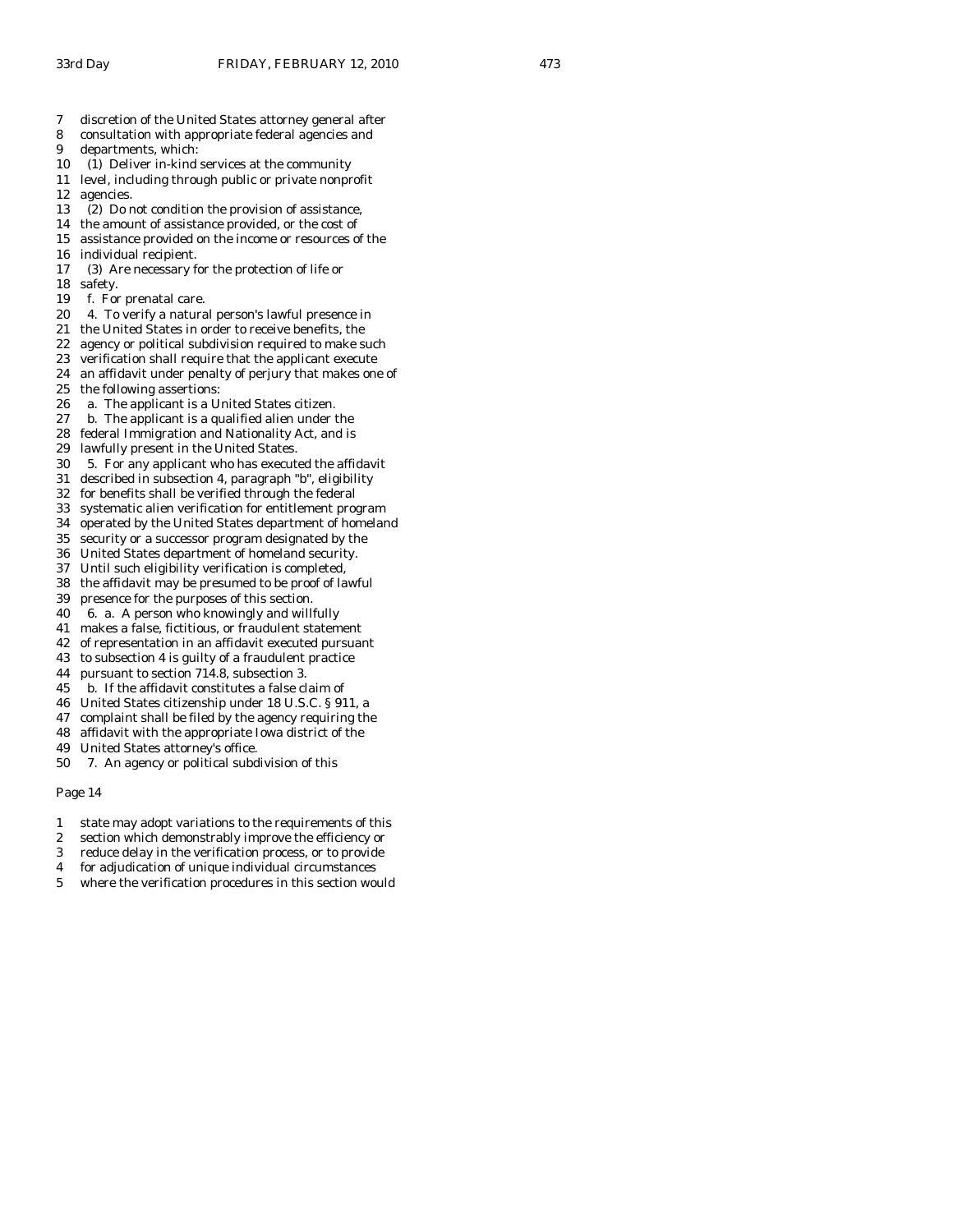- 7 discretion of the United States attorney general after
- 8 consultation with appropriate federal agencies and
- 9 departments, which:
- 10 (1) Deliver in-kind services at the community
- 11 level, including through public or private nonprofit 12 agencies.
- 13 (2) Do not condition the provision of assistance,
- 14 the amount of assistance provided, or the cost of
- 15 assistance provided on the income or resources of the 16 individual recipient.
- 17 (3) Are necessary for the protection of life or
- 18 safety.
- 19 f. For prenatal care.
- 20 4. To verify a natural person's lawful presence in
- 21 the United States in order to receive benefits, the
- 22 agency or political subdivision required to make such
- 23 verification shall require that the applicant execute
- 24 an affidavit under penalty of perjury that makes one of
- 25 the following assertions:<br>26 a. The applicant is a U<sub>1</sub>
- a. The applicant is a United States citizen.
- 27 b. The applicant is a qualified alien under the
- 28 federal Immigration and Nationality Act, and is
- 29 lawfully present in the United States.
- 30 5. For any applicant who has executed the affidavit
- 31 described in subsection 4, paragraph "b", eligibility
- 32 for benefits shall be verified through the federal
- 33 systematic alien verification for entitlement program
- 34 operated by the United States department of homeland
- 35 security or a successor program designated by the
- 36 United States department of homeland security. 37 Until such eligibility verification is completed,
- 38 the affidavit may be presumed to be proof of lawful
- 39 presence for the purposes of this section.
- 40 6. a. A person who knowingly and willfully
- 41 makes a false, fictitious, or fraudulent statement
- 42 of representation in an affidavit executed pursuant
- 43 to subsection 4 is guilty of a fraudulent practice
- 44 pursuant to section 714.8, subsection 3.
- 45 b. If the affidavit constitutes a false claim of
- 46 United States citizenship under 18 U.S.C. § 911, a
- 47 complaint shall be filed by the agency requiring the
- 48 affidavit with the appropriate Iowa district of the
- 49 United States attorney's office.
- 50 7. An agency or political subdivision of this

- 1 state may adopt variations to the requirements of this
- 2 section which demonstrably improve the efficiency or
- 3 reduce delay in the verification process, or to provide
- 4 for adjudication of unique individual circumstances
- 5 where the verification procedures in this section would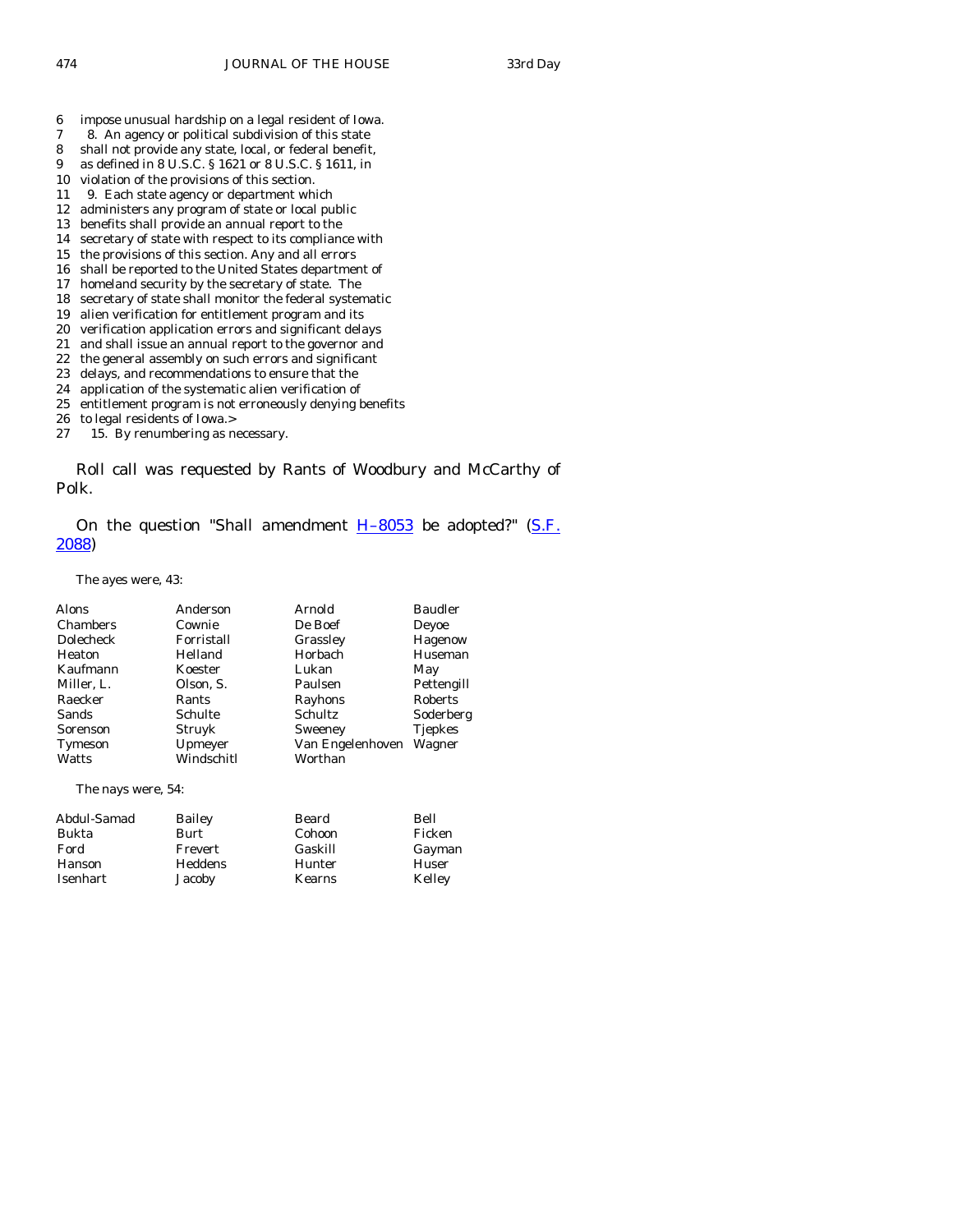- 6 impose unusual hardship on a legal resident of Iowa.
- 7 8. An agency or political subdivision of this state
- 8 shall not provide any state, local, or federal benefit,
- 9 as defined in 8 U.S.C. § 1621 or 8 U.S.C. § 1611, in
- 10 violation of the provisions of this section.
- 11 9. Each state agency or department which
- 12 administers any program of state or local public 13 benefits shall provide an annual report to the
- 14 secretary of state with respect to its compliance with
- 15 the provisions of this section. Any and all errors
- 16 shall be reported to the United States department of
- 17 homeland security by the secretary of state. The
- 18 secretary of state shall monitor the federal systematic
- 19 alien verification for entitlement program and its
- 20 verification application errors and significant delays
- 21 and shall issue an annual report to the governor and
- 22 the general assembly on such errors and significant
- 23 delays, and recommendations to ensure that the
- 24 application of the systematic alien verification of<br>25 entitlement program is not erroneously denving b
- entitlement program is not erroneously denying benefits
- 26 to legal residents of Iowa.>
- 27 15. By renumbering as necessary.

 Roll call was requested by Rants of Woodbury and McCarthy of Polk.

On the question "Shall amendment  $H-8053$  be adopted?" (S.F. [2088](http://coolice.legis.state.ia.us/Cool-ICE/default.asp?Category=billinfo&Service=Billbook&frame=1&GA=83&hbill=SF2088))

The ayes were, 43:

| Alons              | Anderson   | Arnold           | <b>Baudler</b> |
|--------------------|------------|------------------|----------------|
| <b>Chambers</b>    | Cownie     | De Boef          | Deyoe          |
| <b>Dolecheck</b>   | Forristall | Grassley         | Hagenow        |
| Heaton             | Helland    | Horbach          | Huseman        |
| Kaufmann           | Koester    | Lukan            | May            |
| Miller, L.         | Olson, S.  | Paulsen          | Pettengill     |
| Raecker            | Rants      | Rayhons          | Roberts        |
| Sands              | Schulte    | Schultz          | Soderberg      |
| Sorenson           | Struyk     | Sweeney          | <b>Tiepkes</b> |
| Tymeson            | Upmeyer    | Van Engelenhoven | Wagner         |
| Watts              | Windschitl | Worthan          |                |
| The nays were, 54: |            |                  |                |

| Abdul-Samad | Bailey  | Beard   | Bell   |
|-------------|---------|---------|--------|
| Bukta       | Burt    | Cohoon  | Ficken |
| Ford        | Frevert | Gaskill | Gayman |
| Hanson      | Heddens | Hunter  | Huser  |
| Isenhart    | Jacoby  | Kearns  | Kelley |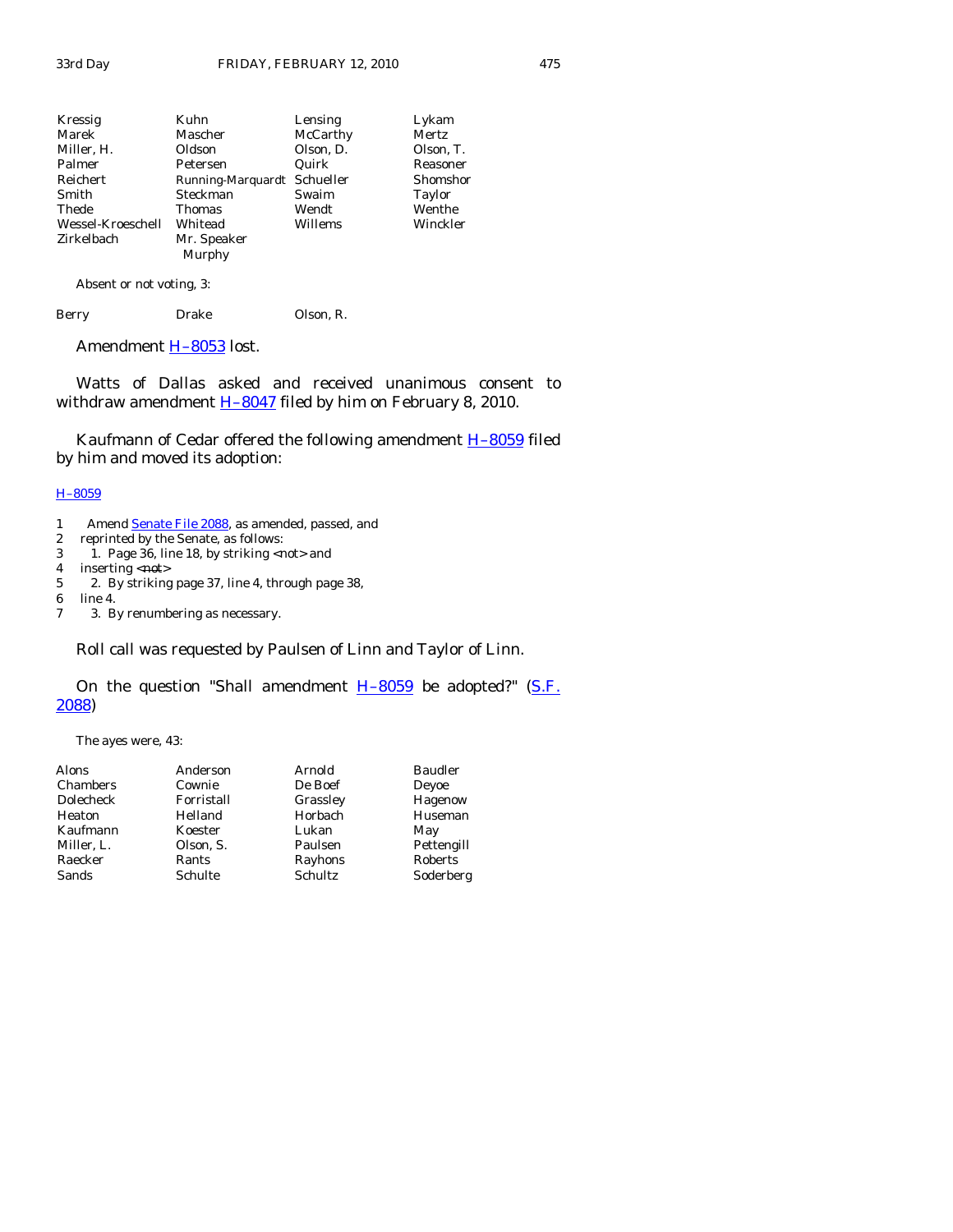| Kressig           | Kuhn                        | Lensing   | Lykam     |
|-------------------|-----------------------------|-----------|-----------|
| Marek             | Mascher                     | McCarthy  | Mertz     |
| Miller, H.        | Oldson                      | Olson, D. | Olson, T. |
| Palmer            | Petersen                    | Quirk     | Reasoner  |
| Reichert          | Running-Marquardt Schueller |           | Shomshor  |
| Smith             | Steckman                    | Swaim     | Taylor    |
| Thede             | Thomas                      | Wendt     | Wenthe    |
| Wessel-Kroeschell | Whitead                     | Willems   | Winckler  |
| Zirkelbach        | Mr. Speaker                 |           |           |
|                   | Murphy                      |           |           |

Absent or not voting, 3:

| Berry | Drake | Olson, R. |
|-------|-------|-----------|
|       |       |           |

Amendment **H-8053** lost.

 Watts of Dallas asked and received unanimous consent to withdraw amendment  $H-8047$  filed by him on February 8, 2010.

Kaufmann of Cedar offered the following amendment **H-8059** filed by him and moved its adoption:

## [H–8059](http://coolice.legis.state.ia.us/Cool-ICE/default.asp?Category=billinfo&Service=Billbook&frame=1&GA=83&hbill=H8059)

- 1 Amend **Senate File 2088**, as amended, passed, and
- 2 reprinted by the Senate, as follows:
- 3 1. Page 36, line 18, by striking  $\langle \text{not} \rangle$  and 4 inserting  $\langle \text{not} \rangle$
- 4 inserting  $\langle \text{not} \rangle$ <br>5 2. By striking
- 5 2. By striking page 37, line 4, through page 38,
- 6 line 4.
- 7 3. By renumbering as necessary.

Roll call was requested by Paulsen of Linn and Taylor of Linn.

# On the question "Shall amendment  $H-8059$  be adopted?" (S.F. [2088](http://coolice.legis.state.ia.us/Cool-ICE/default.asp?Category=billinfo&Service=Billbook&frame=1&GA=83&hbill=SF2088))

The ayes were, 43:

| Alons      | Anderson   | Arnold   | <b>Baudler</b> |
|------------|------------|----------|----------------|
| Chambers   | Cownie     | De Boef  | Deyoe          |
| Dolecheck  | Forristall | Grassley | Hagenow        |
| Heaton     | Helland    | Horbach  | Huseman        |
| Kaufmann   | Koester    | Lukan    | May            |
| Miller. L. | Olson, S.  | Paulsen  | Pettengill     |
| Raecker    | Rants      | Rayhons  | Roberts        |
| Sands      | Schulte    | Schultz  | Soderberg      |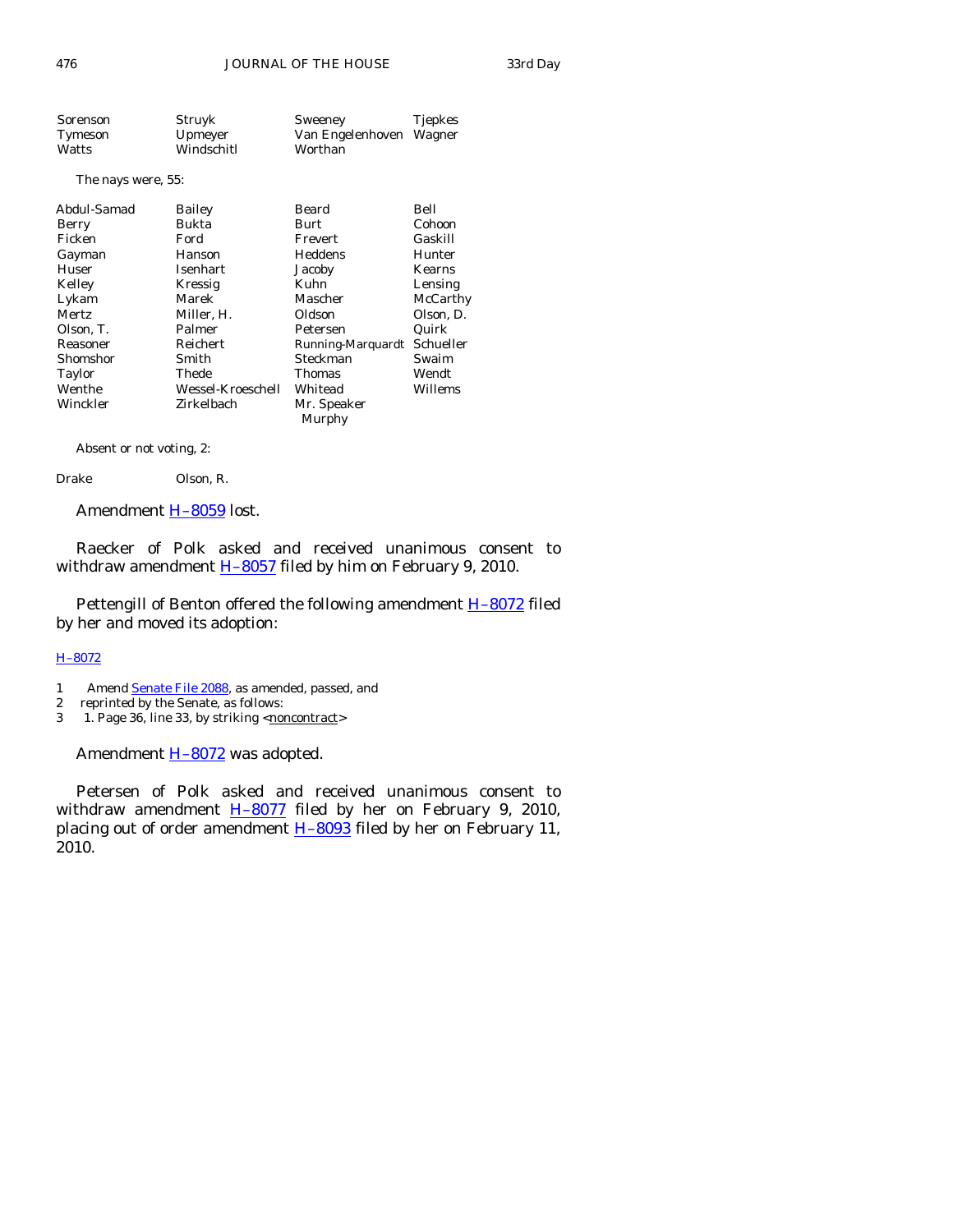| Sorenson | Struyk     | Sweeney                 | <b>Tjepkes</b> |
|----------|------------|-------------------------|----------------|
| Tymeson  | Upmeyer    | Van Engelenhoven Wagner |                |
| Watts    | Windschitl | Worthan                 |                |

The nays were, 55:

| Abdul-Samad  | Bailey            | Beard             | Bell          |
|--------------|-------------------|-------------------|---------------|
| Berry        | Bukta             | Burt              | Cohoon        |
| Ficken       | Ford              | Frevert           | Gaskill       |
| Gayman       | Hanson            | Heddens           | Hunter        |
| Huser        | Isenhart          | Jacoby            | <b>Kearns</b> |
| Kelley       | Kressig           | Kuhn              | Lensing       |
| Lykam        | Marek             | Mascher           | McCarthy      |
| <b>Mertz</b> | Miller, H.        | Oldson            | Olson, D.     |
| Olson, T.    | Palmer            | Petersen          | Quirk         |
| Reasoner     | Reichert          | Running-Marquardt | Schueller     |
| Shomshor     | Smith             | Steckman          | Swaim         |
| Taylor       | Thede             | <b>Thomas</b>     | Wendt         |
| Wenthe       | Wessel-Kroeschell | Whitead           | Willems       |
| Winckler     | Zirkelbach        | Mr. Speaker       |               |
|              |                   | Murphy            |               |
|              |                   |                   |               |

Absent or not voting, 2:

Drake Olson, R.

Amendment [H–8059](http://coolice.legis.state.ia.us/Cool-ICE/default.asp?Category=billinfo&Service=Billbook&frame=1&GA=83&hbill=H8059) lost.

 Raecker of Polk asked and received unanimous consent to withdraw amendment  $H-8057$  filed by him on February 9, 2010.

Pettengill of Benton offered the following amendment **H-8072** filed by her and moved its adoption:

## [H–8072](http://coolice.legis.state.ia.us/Cool-ICE/default.asp?Category=billinfo&Service=Billbook&frame=1&GA=83&hbill=H8072)

- 1 Amend **Senate File 2088**, as amended, passed, and
- 2 reprinted by the Senate, as follows:
- 3 1. Page 36, line 33, by striking <noncontract>

Amendment **H-8072** was adopted.

 Petersen of Polk asked and received unanimous consent to withdraw amendment  $H-8077$  filed by her on February 9, 2010, placing out of order amendment  $H-8093$  filed by her on February 11, 2010.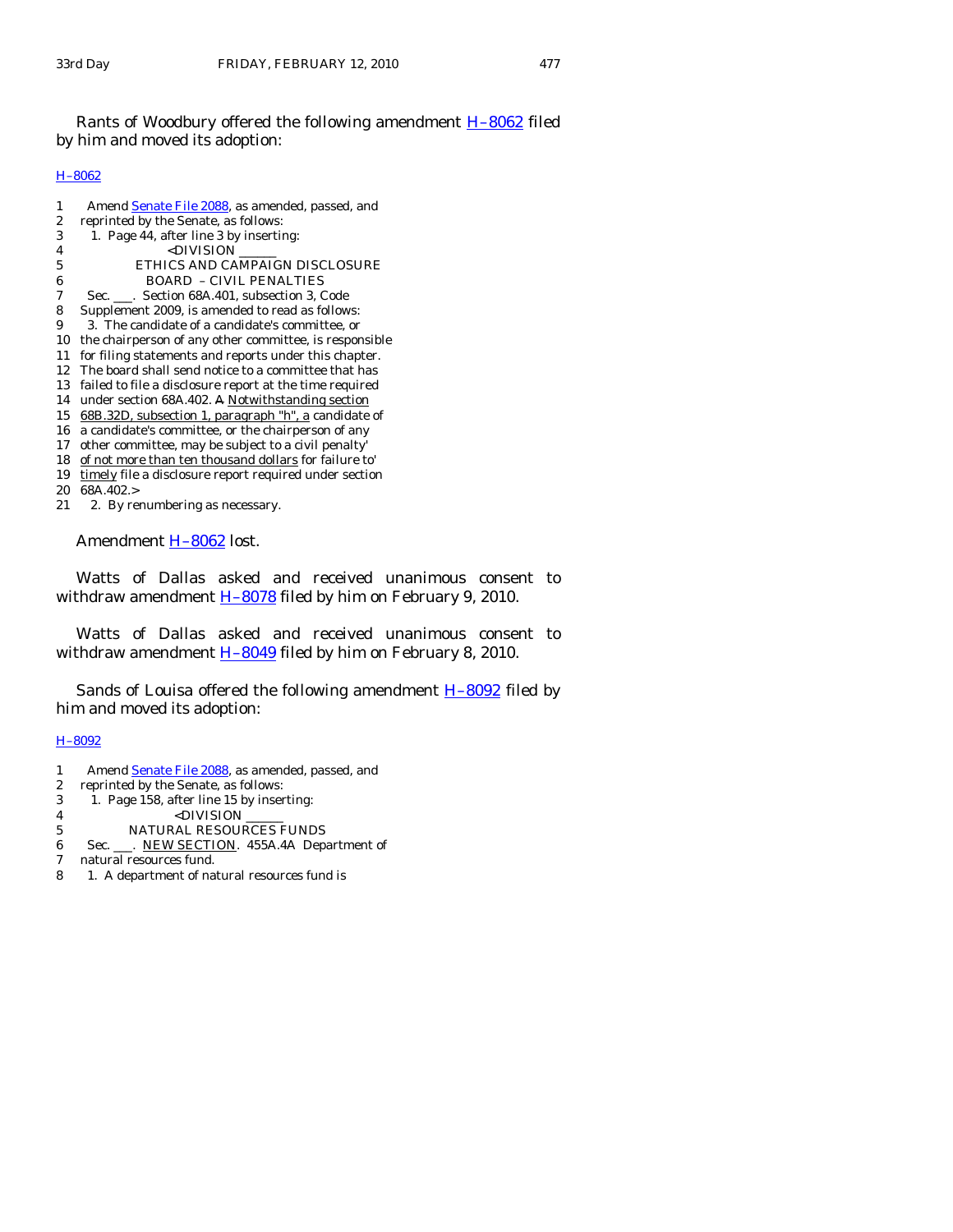Rants of Woodbury offered the following amendment **H-8062** filed by him and moved its adoption:

## [H–8062](http://coolice.legis.state.ia.us/Cool-ICE/default.asp?Category=billinfo&Service=Billbook&frame=1&GA=83&hbill=H8062)

| 1                | Amend Senate File 2088, as amended, passed, and         |
|------------------|---------------------------------------------------------|
| $\boldsymbol{2}$ | reprinted by the Senate, as follows:                    |
| 3                | 1. Page 44, after line 3 by inserting:                  |
| 4                | <division< td=""></division<>                           |
| 5                | ETHICS AND CAMPAIGN DISCLOSURE                          |
| 6                | <b>BOARD - CIVIL PENALTIES</b>                          |
| 7                | Sec. ___. Section 68A.401, subsection 3, Code           |
| 8                | Supplement 2009, is amended to read as follows:         |
| 9                | 3. The candidate of a candidate's committee, or         |
| 10               | the chairperson of any other committee, is responsible  |
| 11               | for filing statements and reports under this chapter.   |
| 12               | The board shall send notice to a committee that has     |
| 13               | failed to file a disclosure report at the time required |
| 14               | under section 68A.402. A Notwithstanding section        |
| 15               | 68B.32D, subsection 1, paragraph "h", a candidate of    |
| 16               | a candidate's committee, or the chairperson of any      |
| 17               | other committee, may be subject to a civil penalty'     |
| 18               | of not more than ten thousand dollars for failure to'   |
| 19               | timely file a disclosure report required under section  |
| 20               | 68A.402.>                                               |
| 21               | 2. By renumbering as necessary.                         |

Amendment [H–8062](http://coolice.legis.state.ia.us/Cool-ICE/default.asp?Category=billinfo&Service=Billbook&frame=1&GA=83&hbill=H8062) lost.

 Watts of Dallas asked and received unanimous consent to withdraw amendment  $H$ -8078 filed by him on February 9, 2010.

 Watts of Dallas asked and received unanimous consent to withdraw amendment  $H-8049$  filed by him on February 8, 2010.

Sands of Louisa offered the following amendment **H-8092** filed by him and moved its adoption:

# [H–8092](http://coolice.legis.state.ia.us/Cool-ICE/default.asp?Category=billinfo&Service=Billbook&frame=1&GA=83&hbill=H8092)

1 Amend [Senate File 2088,](http://coolice.legis.state.ia.us/Cool-ICE/default.asp?Category=billinfo&Service=Billbook&frame=1&GA=83&hbill=SF2088) as amended, passed, and<br>2 reprinted by the Senate, as follows:

2 reprinted by the Senate, as follows:

- 3 1. Page 158, after line 15 by inserting:
- 4 <DIVISION
- 5 NATURAL RESOURCES FUNDS
- 6 Sec. \_\_\_. NEW SECTION. 455A.4A Department of
- 7 natural resources fund.
- 8 1. A department of natural resources fund is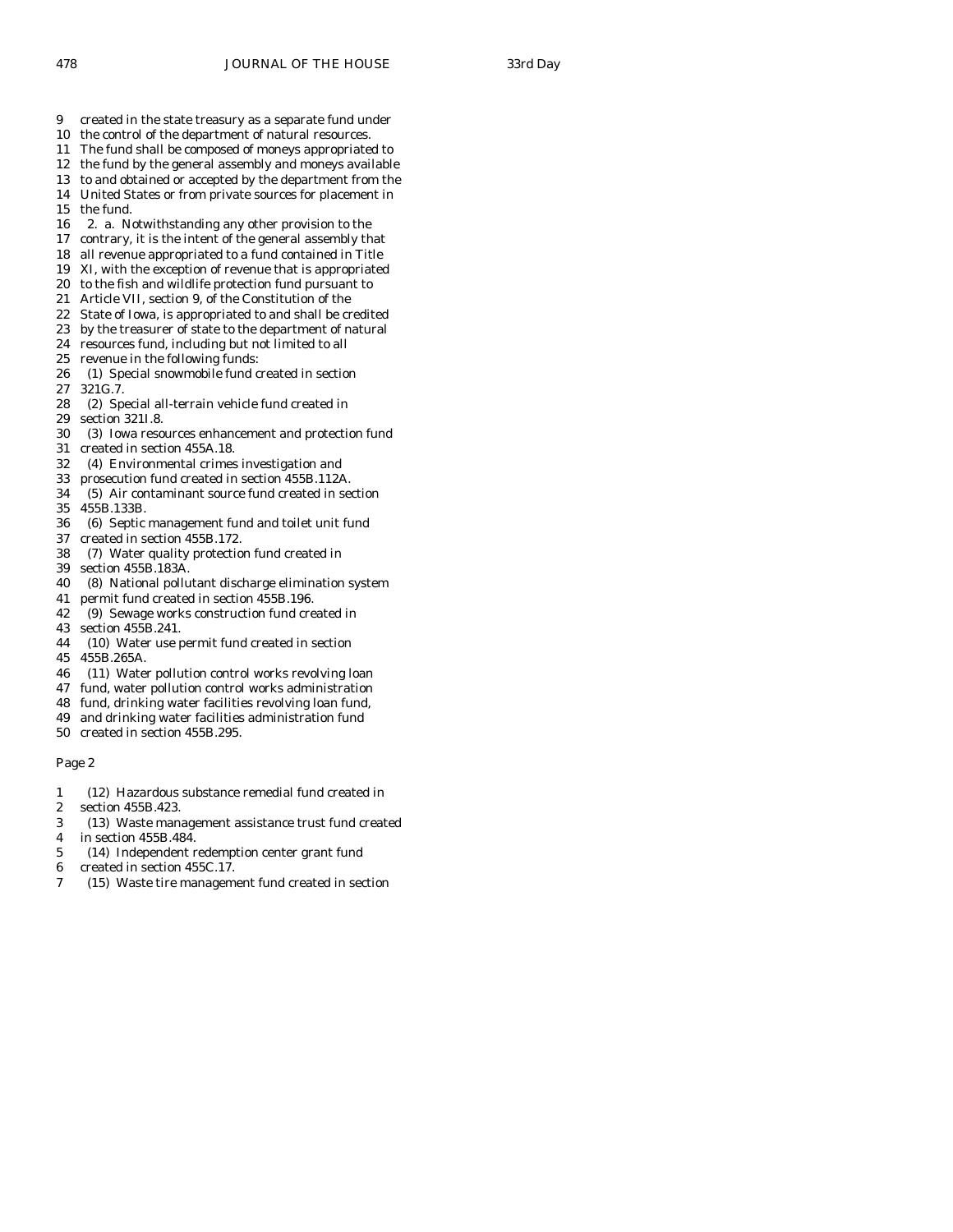- 9 created in the state treasury as a separate fund under
- 10 the control of the department of natural resources.
- 11 The fund shall be composed of moneys appropriated to
- 12 the fund by the general assembly and moneys available
- 13 to and obtained or accepted by the department from the 14 United States or from private sources for placement in
- 15 the fund.
- 16 2. a. Notwithstanding any other provision to the
- 17 contrary, it is the intent of the general assembly that
- 18 all revenue appropriated to a fund contained in Title
- 19 XI, with the exception of revenue that is appropriated
- 20 to the fish and wildlife protection fund pursuant to
- 21 Article VII, section 9, of the Constitution of the
- 22 State of Iowa, is appropriated to and shall be credited
- 23 by the treasurer of state to the department of natural
- 24 resources fund, including but not limited to all
- 25 revenue in the following funds:
- 26 (1) Special snowmobile fund created in section
- 27 321G.7.
- 28 (2) Special all-terrain vehicle fund created in
- 29 section 321I.8.
- 30 (3) Iowa resources enhancement and protection fund
- 31 created in section 455A.18.
- 32 (4) Environmental crimes investigation and
- 33 prosecution fund created in section 455B.112A.
- 34 (5) Air contaminant source fund created in section
- 35 455B.133B.
- 36 (6) Septic management fund and toilet unit fund
- 37 created in section 455B.172. 38 (7) Water quality protection fund created in
- 39 section 455B.183A.
- 40 (8) National pollutant discharge elimination system
- 41 permit fund created in section 455B.196.
- 42 (9) Sewage works construction fund created in
- 43 section 455B.241.
- 44 (10) Water use permit fund created in section
- 45 455B.265A.
- 46 (11) Water pollution control works revolving loan
- 47 fund, water pollution control works administration
- 48 fund, drinking water facilities revolving loan fund,
- 49 and drinking water facilities administration fund
- 50 created in section 455B.295.

- 1 (12) Hazardous substance remedial fund created in
- 2 section 455B.423.
- 3 (13) Waste management assistance trust fund created
- 4 in section 455B.484.
- 5 (14) Independent redemption center grant fund
- 6 created in section 455C.17.
- 7 (15) Waste tire management fund created in section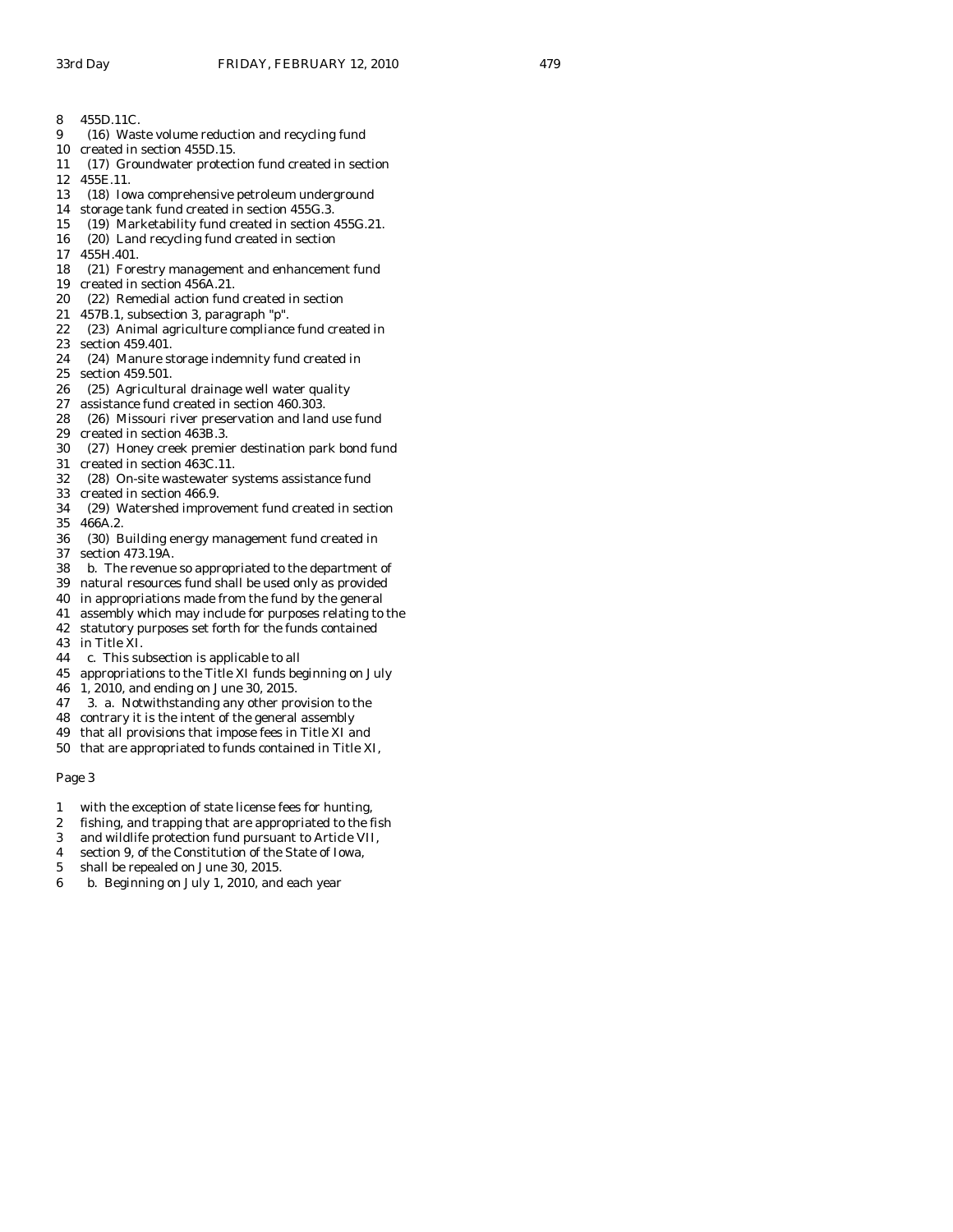- 9 (16) Waste volume reduction and recycling fund
- 10 created in section 455D.15.
- 11 (17) Groundwater protection fund created in section
- 12 455E.11.
- 13 (18) Iowa comprehensive petroleum underground
- 14 storage tank fund created in section 455G.3.
- 15 (19) Marketability fund created in section 455G.21.
- 16 (20) Land recycling fund created in section
- 17 455H.401.
- 18 (21) Forestry management and enhancement fund
- 19 created in section 456A.21.
- 20 (22) Remedial action fund created in section
- 21 457B.1, subsection 3, paragraph "p".
- 22 (23) Animal agriculture compliance fund created in
- 23 section 459.401.
- 24 (24) Manure storage indemnity fund created in
- 25 section 459.501.
- 26 (25) Agricultural drainage well water quality<br>27 assistance fund created in section 460.303.
- assistance fund created in section 460.303.
- 28 (26) Missouri river preservation and land use fund
- 29 created in section 463B.3.
- 30 (27) Honey creek premier destination park bond fund
- 31 created in section 463C.11.
- 32 (28) On-site wastewater systems assistance fund
- 33 created in section 466.9.
- 34 (29) Watershed improvement fund created in section 35 466A.2.
- 36 (30) Building energy management fund created in 37 section 473.19A.
- 38 b. The revenue so appropriated to the department of
- 39 natural resources fund shall be used only as provided
- 40 in appropriations made from the fund by the general
- 41 assembly which may include for purposes relating to the
- 42 statutory purposes set forth for the funds contained
- 43 in Title XI.
- 44 c. This subsection is applicable to all
- 45 appropriations to the Title XI funds beginning on July
- 46 1, 2010, and ending on June 30, 2015.
- 47 3. a. Notwithstanding any other provision to the
- 48 contrary it is the intent of the general assembly
- 49 that all provisions that impose fees in Title XI and
- 50 that are appropriated to funds contained in Title XI,

- 1 with the exception of state license fees for hunting,
- 2 fishing, and trapping that are appropriated to the fish
- 3 and wildlife protection fund pursuant to Article VII,
- 4 section 9, of the Constitution of the State of Iowa,
- 5 shall be repealed on June 30, 2015.
- 6 b. Beginning on July 1, 2010, and each year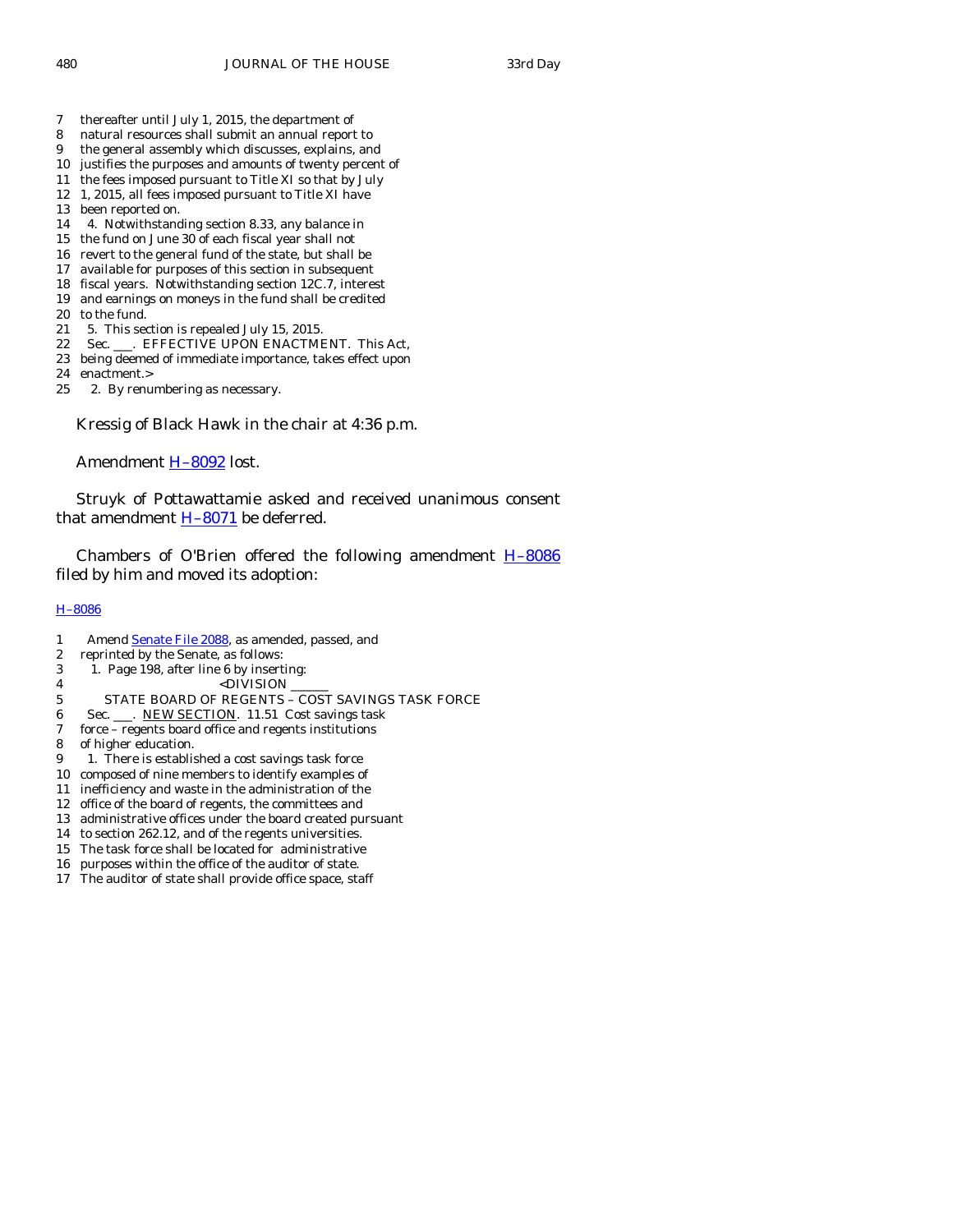- 7 thereafter until July 1, 2015, the department of
- 8 natural resources shall submit an annual report to
- 9 the general assembly which discusses, explains, and
- 10 justifies the purposes and amounts of twenty percent of
- 11 the fees imposed pursuant to Title XI so that by July 12 1, 2015, all fees imposed pursuant to Title XI have
- 13 been reported on.
- 14 4. Notwithstanding section 8.33, any balance in
- 15 the fund on June 30 of each fiscal year shall not
- 16 revert to the general fund of the state, but shall be
- 17 available for purposes of this section in subsequent
- 18 fiscal years. Notwithstanding section 12C.7, interest
- 19 and earnings on moneys in the fund shall be credited
- 20 to the fund.
- 21 5. This section is repealed July 15, 2015.
- 22 Sec. \_\_\_. EFFECTIVE UPON ENACTMENT. This Act,
- 23 being deemed of immediate importance, takes effect upon
- 24 enactment.>
- 25 2. By renumbering as necessary.

Kressig of Black Hawk in the chair at 4:36 p.m.

Amendment H-8092 lost.

 Struyk of Pottawattamie asked and received unanimous consent that amendment  $H-8071$  be deferred.

Chambers of O'Brien offered the following amendment  $H-8086$ filed by him and moved its adoption:

## [H–8086](http://coolice.legis.state.ia.us/Cool-ICE/default.asp?Category=billinfo&Service=Billbook&frame=1&GA=83&hbill=H8086)

- 1 Amend [Senate File 2088,](http://coolice.legis.state.ia.us/Cool-ICE/default.asp?Category=billinfo&Service=Billbook&frame=1&GA=83&hbill=SF2088) as amended, passed, and
- 2 reprinted by the Senate, as follows:
- 3 1. Page 198, after line 6 by inserting:
- 4 <DIVISION
- 5 STATE BOARD OF REGENTS COST SAVINGS TASK FORCE
- 6 Sec. \_\_\_. NEW SECTION. 11.51 Cost savings task
- 7 force regents board office and regents institutions
- 8 of higher education.
- 9 1. There is established a cost savings task force
- 10 composed of nine members to identify examples of
- 11 inefficiency and waste in the administration of the
- 12 office of the board of regents, the committees and
- 13 administrative offices under the board created pursuant
- 14 to section 262.12, and of the regents universities.
- 15 The task force shall be located for administrative
- 16 purposes within the office of the auditor of state.
- 17 The auditor of state shall provide office space, staff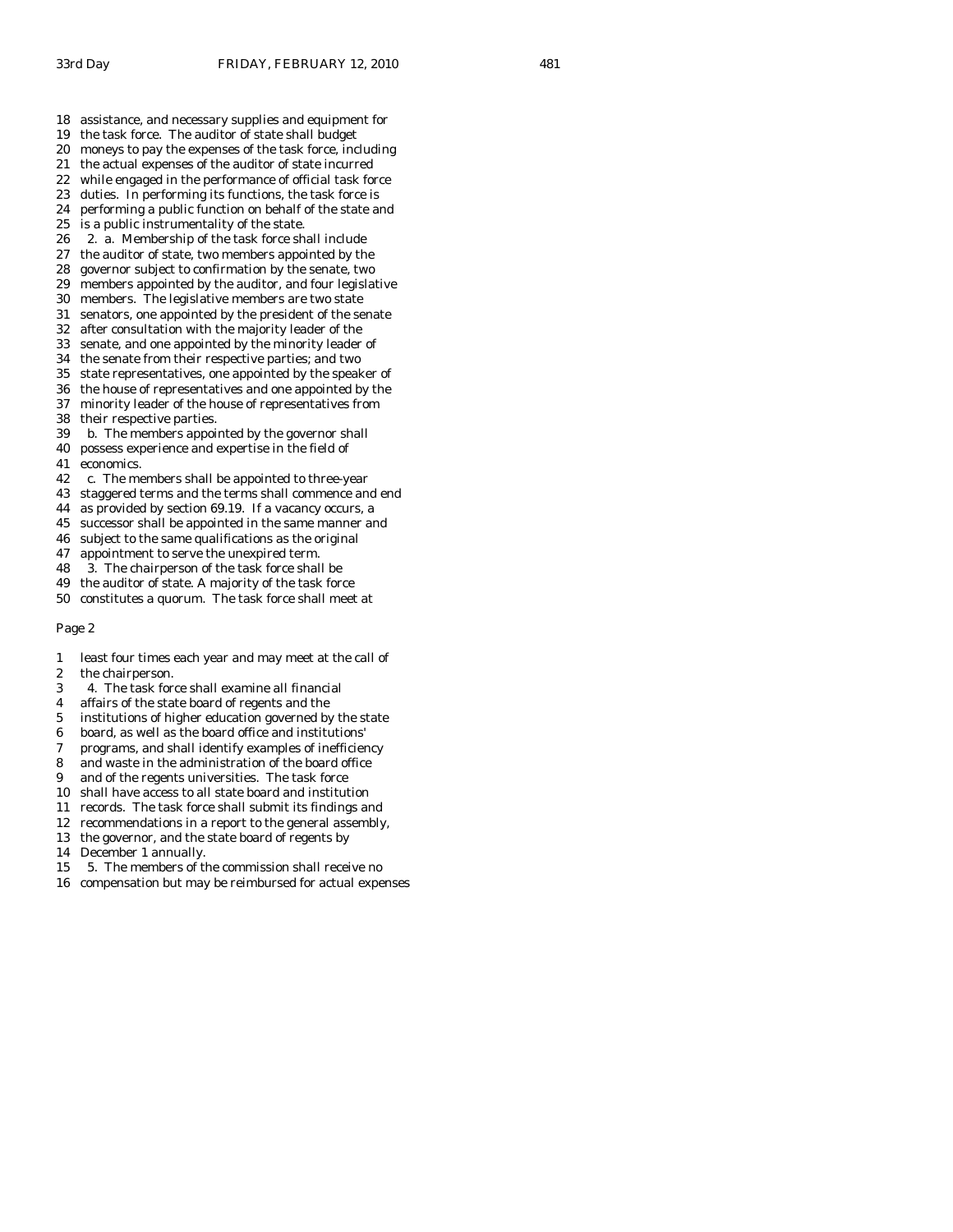- 18 assistance, and necessary supplies and equipment for
- 19 the task force. The auditor of state shall budget
- 20 moneys to pay the expenses of the task force, including
- 21 the actual expenses of the auditor of state incurred
- 22 while engaged in the performance of official task force
- 23 duties. In performing its functions, the task force is 24 performing a public function on behalf of the state and
- 
- 25 is a public instrumentality of the state.<br>26 2. a. Membership of the task force sh 2. a. Membership of the task force shall include
- 27 the auditor of state, two members appointed by the
- 28 governor subject to confirmation by the senate, two
- 29 members appointed by the auditor, and four legislative
- 30 members. The legislative members are two state
- 31 senators, one appointed by the president of the senate
- 32 after consultation with the majority leader of the
- 33 senate, and one appointed by the minority leader of
- 34 the senate from their respective parties; and two
- 35 state representatives, one appointed by the speaker of
- 36 the house of representatives and one appointed by the
- 37 minority leader of the house of representatives from
- 38 their respective parties.
- 39 b. The members appointed by the governor shall
- 40 possess experience and expertise in the field of
- 41 economics.
- 42 c. The members shall be appointed to three-year
- 43 staggered terms and the terms shall commence and end
- 44 as provided by section 69.19. If a vacancy occurs, a
- 45 successor shall be appointed in the same manner and
- 46 subject to the same qualifications as the original
- 47 appointment to serve the unexpired term.
- 48 3. The chairperson of the task force shall be
- 49 the auditor of state. A majority of the task force
- 50 constitutes a quorum. The task force shall meet at

- 1 least four times each year and may meet at the call of 2 the chairperson.
- 
- 3 4. The task force shall examine all financial
- 4 affairs of the state board of regents and the
- 5 institutions of higher education governed by the state
- 6 board, as well as the board office and institutions'
- 7 programs, and shall identify examples of inefficiency
- 8 and waste in the administration of the board office
- 9 and of the regents universities. The task force
- 10 shall have access to all state board and institution
- 11 records. The task force shall submit its findings and
- 12 recommendations in a report to the general assembly,
- 13 the governor, and the state board of regents by
- 14 December 1 annually.
- 15 5. The members of the commission shall receive no
- 16 compensation but may be reimbursed for actual expenses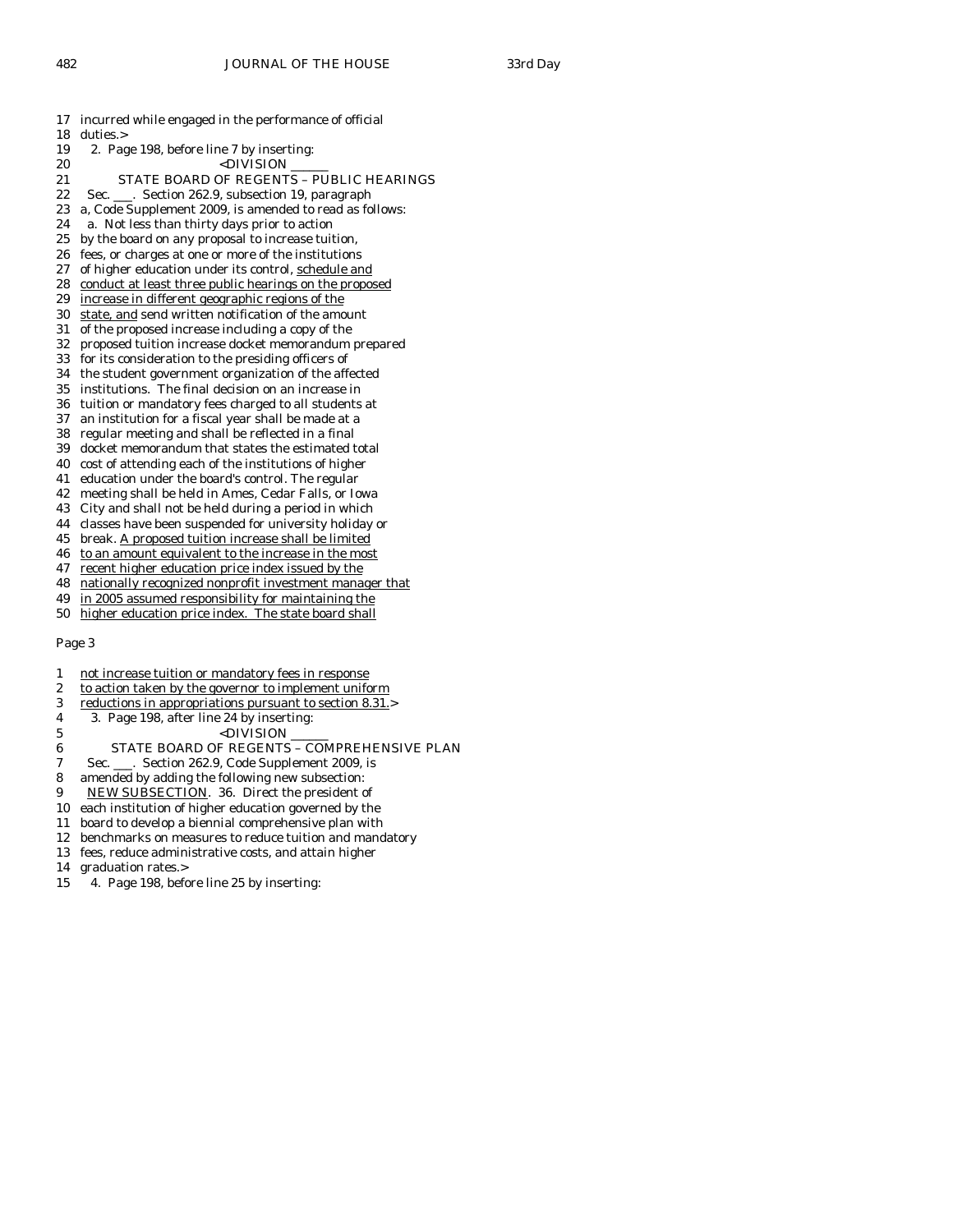18 duties.> 19 2. Page 198, before line 7 by inserting: 20 <DIVISION 21 STATE BOARD OF REGENTS – PUBLIC HEARINGS 22 Sec. \_\_\_. Section 262.9, subsection 19, paragraph 23 a, Code Supplement 2009, is amended to read as follows: 24 a. Not less than thirty days prior to action<br>25 by the board on any proposal to increase tuit by the board on any proposal to increase tuition, 26 fees, or charges at one or more of the institutions 27 of higher education under its control, schedule and 28 conduct at least three public hearings on the proposed 29 increase in different geographic regions of the 30 state, and send written notification of the amount 31 of the proposed increase including a copy of the 32 proposed tuition increase docket memorandum prepared 33 for its consideration to the presiding officers of 34 the student government organization of the affected 35 institutions. The final decision on an increase in 36 tuition or mandatory fees charged to all students at 37 an institution for a fiscal year shall be made at a 38 regular meeting and shall be reflected in a final 39 docket memorandum that states the estimated total 40 cost of attending each of the institutions of higher 41 education under the board's control. The regular 42 meeting shall be held in Ames, Cedar Falls, or Iowa 43 City and shall not be held during a period in which 44 classes have been suspended for university holiday or 45 break. A proposed tuition increase shall be limited 46 to an amount equivalent to the increase in the most 47 recent higher education price index issued by the 48 nationally recognized nonprofit investment manager that 49 in 2005 assumed responsibility for maintaining the 50 higher education price index. The state board shall Page 3 1 not increase tuition or mandatory fees in response 2 to action taken by the governor to implement uniform

17 incurred while engaged in the performance of official

- 3 reductions in appropriations pursuant to section 8.31.>
- 4 3. Page 198, after line 24 by inserting:
- 5 <DIVISION \_\_\_\_\_\_
- 6 STATE BOARD OF REGENTS COMPREHENSIVE PLAN
- 7 Sec. \_\_\_. Section 262.9, Code Supplement 2009, is
- 8 amended by adding the following new subsection:
- 9 NEW SUBSECTION. 36. Direct the president of
- 10 each institution of higher education governed by the
- 11 board to develop a biennial comprehensive plan with
- 12 benchmarks on measures to reduce tuition and mandatory
- 13 fees, reduce administrative costs, and attain higher
- 14 graduation rates.>
- 15 4. Page 198, before line 25 by inserting: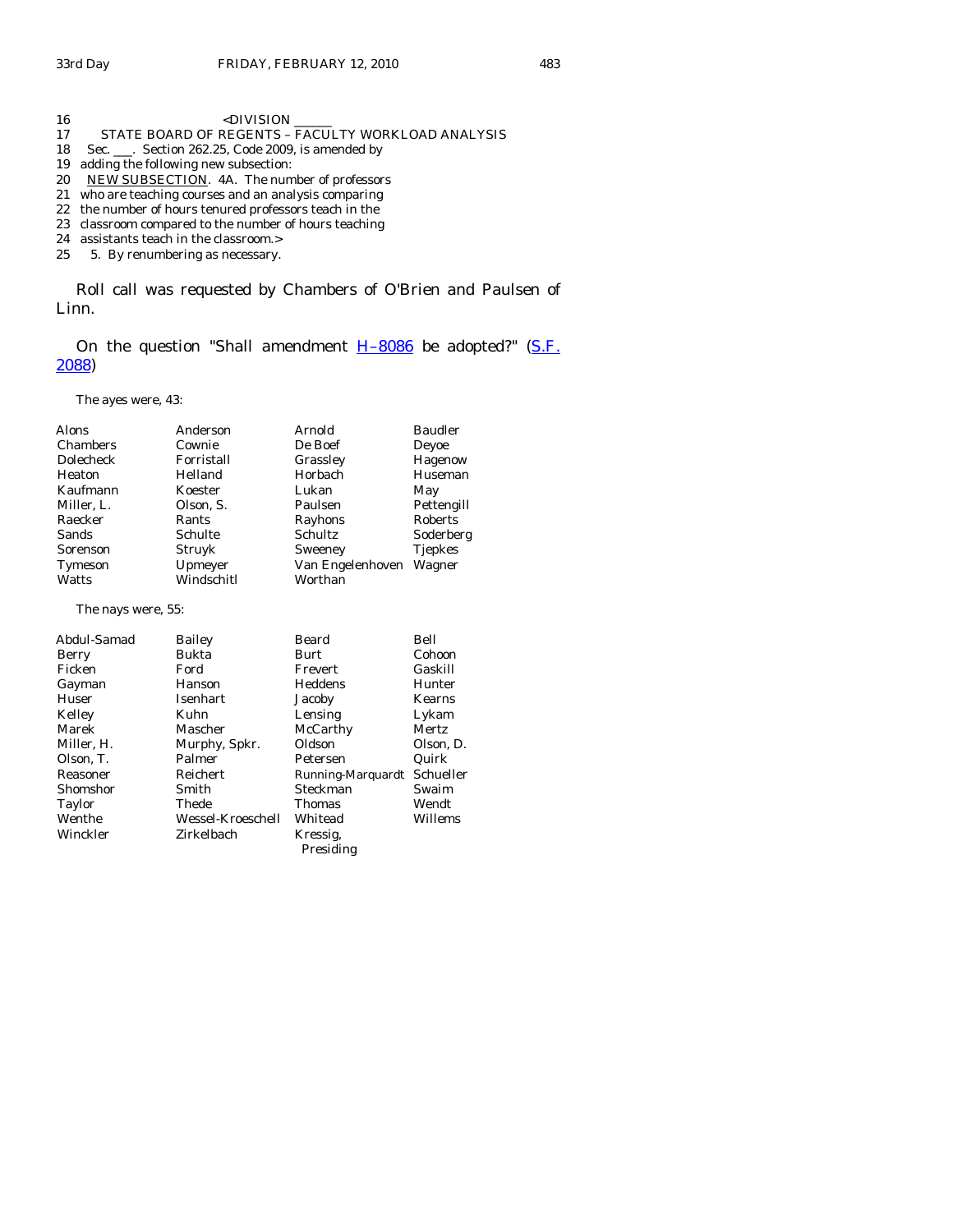16 <br/>  $$\mbox{{\sc {\small  
}}$~<}$  DIVISION 17 STATE BOARD OF REGENTS - FACULTY WORKLOAD ANALYSIS 18 Sec. \_\_\_. Section 262.25, Code 2009, is amended by 19 adding the following new subsection: 20 NEW SUBSECTION. 4A. The number of professors 21 who are teaching courses and an analysis comparing 22 the number of hours tenured professors teach in the 23 classroom compared to the number of hours teaching 24 assistants teach in the classroom.>

25 5. By renumbering as necessary.

 Roll call was requested by Chambers of O'Brien and Paulsen of Linn.

On the question "Shall amendment  $H-8086$  be adopted?" (S.F. [2088](http://coolice.legis.state.ia.us/Cool-ICE/default.asp?Category=billinfo&Service=Billbook&frame=1&GA=83&hbill=SF2088))

The ayes were, 43:

| <b>Alons</b> | Anderson   | Arnold           | <b>Baudler</b>  |
|--------------|------------|------------------|-----------------|
| Chambers     | Cownie     | De Boef          | Devoe           |
| Dolecheck    | Forristall | Grassley         |                 |
| Heaton       | Helland    | Horbach          | Huseman         |
| Kaufmann     | Koester    | Lukan            | May             |
| Miller, L.   | Olson, S.  | Paulsen          | Pettengill      |
| Raecker      | Rants      | Rayhons          | Roberts         |
| <b>Sands</b> | Schulte    | Schultz          | Soderberg       |
| Sorenson     | Struyk     | Sweeney          | <b>T</b> jepkes |
| Tymeson      | Upmeyer    | Van Engelenhoven | Wagner          |
| Watts        | Windschitl | Worthan          |                 |

The nays were, 55:

| Abdul-Samad | <b>Bailey</b>      | Beard             | Bell      |
|-------------|--------------------|-------------------|-----------|
| Berry       | Bukta              | Burt              | Cohoon    |
| Ficken      | Ford<br>Frevert    |                   | Gaskill   |
| Gayman      | Heddens<br>Hanson  |                   | Hunter    |
| Huser       | Isenhart<br>Jacoby |                   | Kearns    |
| Kelley      | Kuhn               | Lensing           | Lykam     |
| Marek       | Mascher            | McCarthy          | Mertz     |
| Miller, H.  | Murphy, Spkr.      | Oldson            | Olson, D. |
| Olson, T.   | Palmer             | Petersen          | Quirk     |
| Reasoner    | Reichert           | Running-Marquardt | Schueller |
| Shomshor    | Smith              | Steckman          | Swaim     |
| Taylor      | Thede              | Thomas            | Wendt     |
| Wenthe      | Wessel-Kroeschell  | Whitead           | Willems   |
| Winckler    | Zirkelbach         | Kressig.          |           |
|             |                    | Presiding         |           |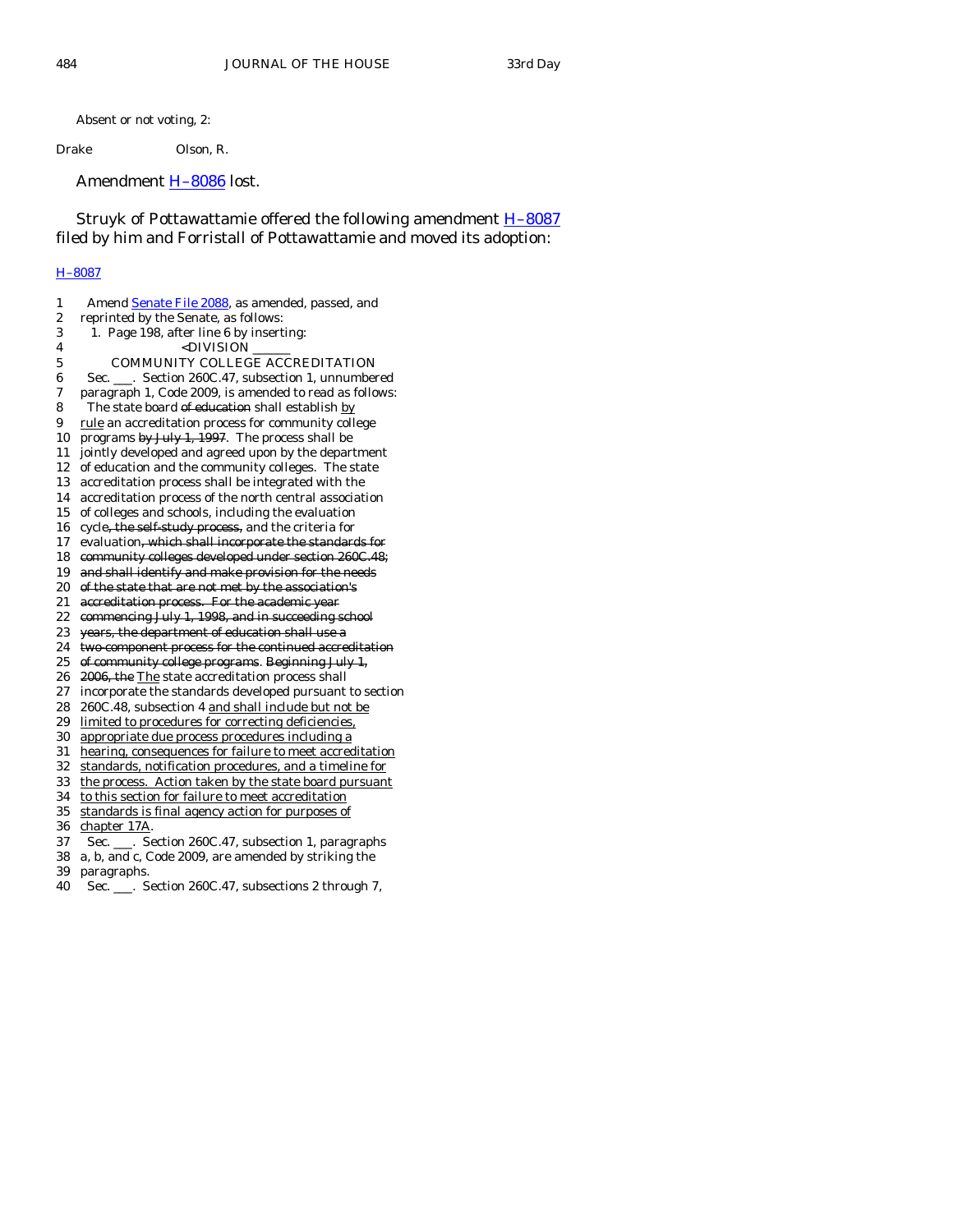Absent or not voting, 2:

Drake Olson, R.

Amendment **H-8086** lost.

Struyk of Pottawattamie offered the following amendment **H-8087** filed by him and Forristall of Pottawattamie and moved its adoption:

## [H–8087](http://coolice.legis.state.ia.us/Cool-ICE/default.asp?Category=billinfo&Service=Billbook&frame=1&GA=83&hbill=H8087)

| 1  | Amend Senate File 2088, as amended, passed, and         |
|----|---------------------------------------------------------|
| 2  | reprinted by the Senate, as follows:                    |
| 3  | 1. Page 198, after line 6 by inserting:                 |
| 4  | <division< td=""></division<>                           |
| 5  | COMMUNITY COLLEGE ACCREDITATION                         |
| 6  | Sec. ___. Section 260C.47, subsection 1, unnumbered     |
| 7  | paragraph 1, Code 2009, is amended to read as follows:  |
| 8  | The state board of education shall establish by         |
| 9  | rule an accreditation process for community college     |
| 10 | programs by July 1, 1997. The process shall be          |
| 11 | jointly developed and agreed upon by the department     |
| 12 | of education and the community colleges. The state      |
| 13 | accreditation process shall be integrated with the      |
| 14 | accreditation process of the north central association  |
| 15 | of colleges and schools, including the evaluation       |
| 16 | cycle, the self study process, and the criteria for     |
| 17 | evaluation, which shall incorporate the standards for   |
| 18 | community colleges developed under section 260C.48;     |
| 19 | and shall identify and make provision for the needs     |
| 20 | of the state that are not met by the association's      |
| 21 | accreditation process. For the academic year            |
| 22 | commencing July 1, 1998, and in succeeding school       |
| 23 | years, the department of education shall use a          |
| 24 | two component process for the continued accreditation   |
| 25 | of community college programs. Beginning July 1,        |
| 26 | 2006, the The state accreditation process shall         |
| 27 | incorporate the standards developed pursuant to section |
| 28 | 260C.48, subsection 4 and shall include but not be      |
| 29 | limited to procedures for correcting deficiencies,      |
| 30 | appropriate due process procedures including a          |
| 31 | hearing, consequences for failure to meet accreditation |
| 32 | standards, notification procedures, and a timeline for  |
| 33 | the process. Action taken by the state board pursuant   |
| 34 | to this section for failure to meet accreditation       |
| 35 | standards is final agency action for purposes of        |
| 36 | chapter 17A.                                            |
| 37 | Sec. ___. Section 260C.47, subsection 1, paragraphs     |
| 38 | a, b, and c, Code 2009, are amended by striking the     |
| 39 | paragraphs.                                             |
| 40 | Sec. ___. Section 260C.47, subsections 2 through 7,     |
|    |                                                         |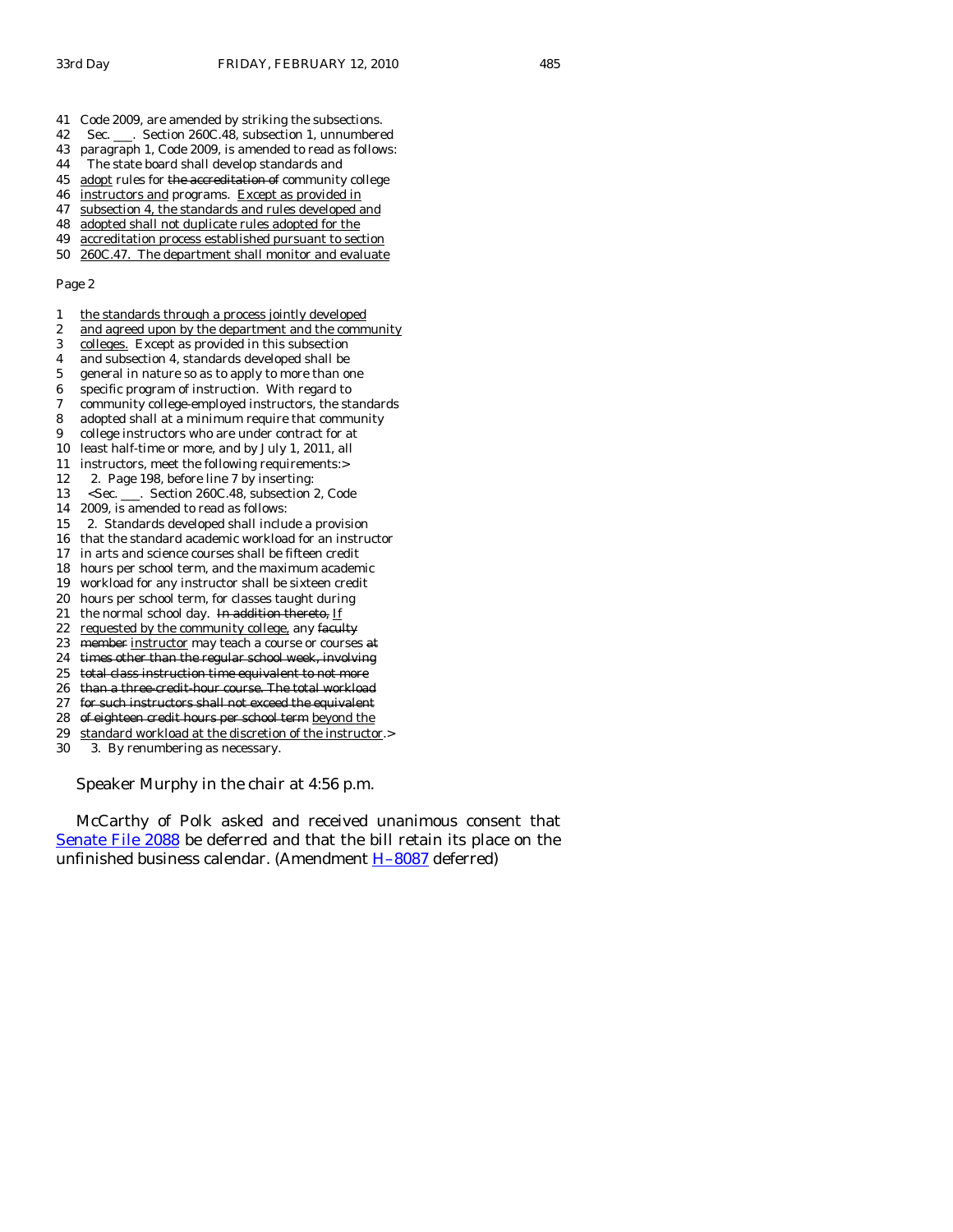- 41 Code 2009, are amended by striking the subsections.
- 42 Sec. \_\_\_. Section 260C.48, subsection 1, unnumbered
- 43 paragraph 1, Code 2009, is amended to read as follows:
- 44 The state board shall develop standards and
- 45 adopt rules for the accreditation of community college
- 46 instructors and programs. Except as provided in 47 subsection 4, the standards and rules developed and
- 
- 48 adopted shall not duplicate rules adopted for the 49 accreditation process established pursuant to section
- 50 260C.47. The department shall monitor and evaluate
- 

#### Page 2

- 1 the standards through a process jointly developed
- 2 and agreed upon by the department and the community
- 3 colleges. Except as provided in this subsection
- 4 and subsection 4, standards developed shall be
- 5 general in nature so as to apply to more than one
- 6 specific program of instruction. With regard to 7 community college-employed instructors, the standards
- 8 adopted shall at a minimum require that community
- 9 college instructors who are under contract for at
- 10 least half-time or more, and by July 1, 2011, all
- 11 instructors, meet the following requirements:>
- 12 2. Page 198, before line 7 by inserting:
- 13 <Sec. \_\_\_. Section 260C.48, subsection 2, Code
- 14 2009, is amended to read as follows:
- 15 2. Standards developed shall include a provision
- 16 that the standard academic workload for an instructor
- 17 in arts and science courses shall be fifteen credit
- 18 hours per school term, and the maximum academic
- 19 workload for any instructor shall be sixteen credit
- 20 hours per school term, for classes taught during
- 21 the normal school day. In addition thereto,  $\underline{If}$
- 22 requested by the community college, any faculty
- 23 member instructor may teach a course or courses at 24 times other than the regular school week, involving
- 25 total class instruction time equivalent to not more
- 26 than a three credit hour course. The total workload
- 27 for such instructors shall not exceed the equivalent
- 28 of eighteen credit hours per school term beyond the
- 29 standard workload at the discretion of the instructor.>
- 30 3. By renumbering as necessary.

Speaker Murphy in the chair at 4:56 p.m.

 McCarthy of Polk asked and received unanimous consent that [Senate File 2088](http://coolice.legis.state.ia.us/Cool-ICE/default.asp?Category=billinfo&Service=Billbook&frame=1&GA=83&hbill=SF2088) be deferred and that the bill retain its place on the unfinished business calendar. (Amendment [H–8087](http://coolice.legis.state.ia.us/Cool-ICE/default.asp?Category=billinfo&Service=Billbook&frame=1&GA=83&hbill=H8087) deferred)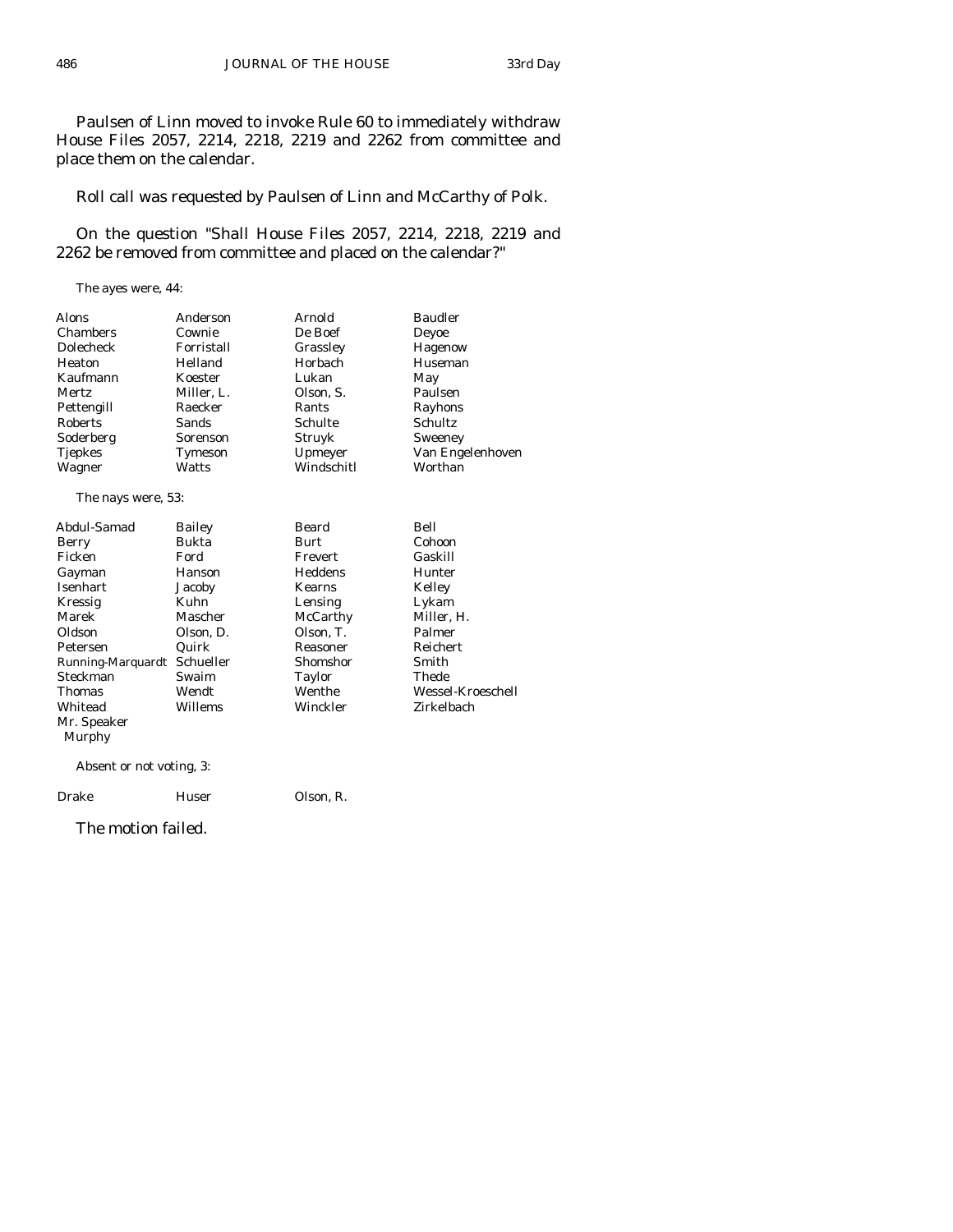Paulsen of Linn moved to invoke Rule 60 to immediately withdraw House Files 2057, 2214, 2218, 2219 and 2262 from committee and place them on the calendar.

Roll call was requested by Paulsen of Linn and McCarthy of Polk.

 On the question "Shall House Files 2057, 2214, 2218, 2219 and 2262 be removed from committee and placed on the calendar?"

The ayes were, 44:

| Alons              | Anderson   | Arnold        | <b>Baudler</b>    |
|--------------------|------------|---------------|-------------------|
| Chambers           | Cownie     | De Boef       | Deyoe             |
| Dolecheck          | Forristall | Grassley      | Hagenow           |
| Heaton             | Helland    | Horbach       | Huseman           |
| Kaufmann           | Koester    | Lukan         | May               |
| Mertz              | Miller, L. | Olson, S.     | Paulsen           |
| Pettengill         | Raecker    | Rants         | Rayhons           |
| <b>Roberts</b>     | Sands      | Schulte       | Schultz           |
| Soderberg          | Sorenson   | Struyk        | Sweeney           |
| Tjepkes            | Tymeson    | Upmeyer       | Van Engelenhoven  |
| Wagner             | Watts      | Windschitl    | Worthan           |
| The nays were, 53: |            |               |                   |
| Abdul-Samad        | Bailey     | Beard         | Bell              |
| Berry              | Bukta      | Burt          | Cohoon            |
| Ficken             | Ford       | Frevert       | Gaskill           |
| Gayman             | Hanson     | Heddens       | Hunter            |
| <b>Isenhart</b>    | Jacoby     | <b>Kearns</b> | Kelley            |
| Kressig            | Kuhn       | Lensing       | Lykam             |
| Marek              | Mascher    | McCarthy      | Miller, H.        |
| Oldson             | Olson, D.  | Olson, T.     | Palmer            |
| Petersen           | Quirk      | Reasoner      | Reichert          |
| Running-Marquardt  | Schueller  | Shomshor      | Smith             |
| Steckman           | Swaim      | Taylor        | Thede             |
| Thomas             | Wendt      | Wenthe        | Wessel-Kroeschell |
| Whitead            | Willems    | Winckler      | Zirkelbach        |
| Mr. Speaker        |            |               |                   |
| Murphy             |            |               |                   |

Absent or not voting, 3:

Drake Huser Olson, R.

The motion failed.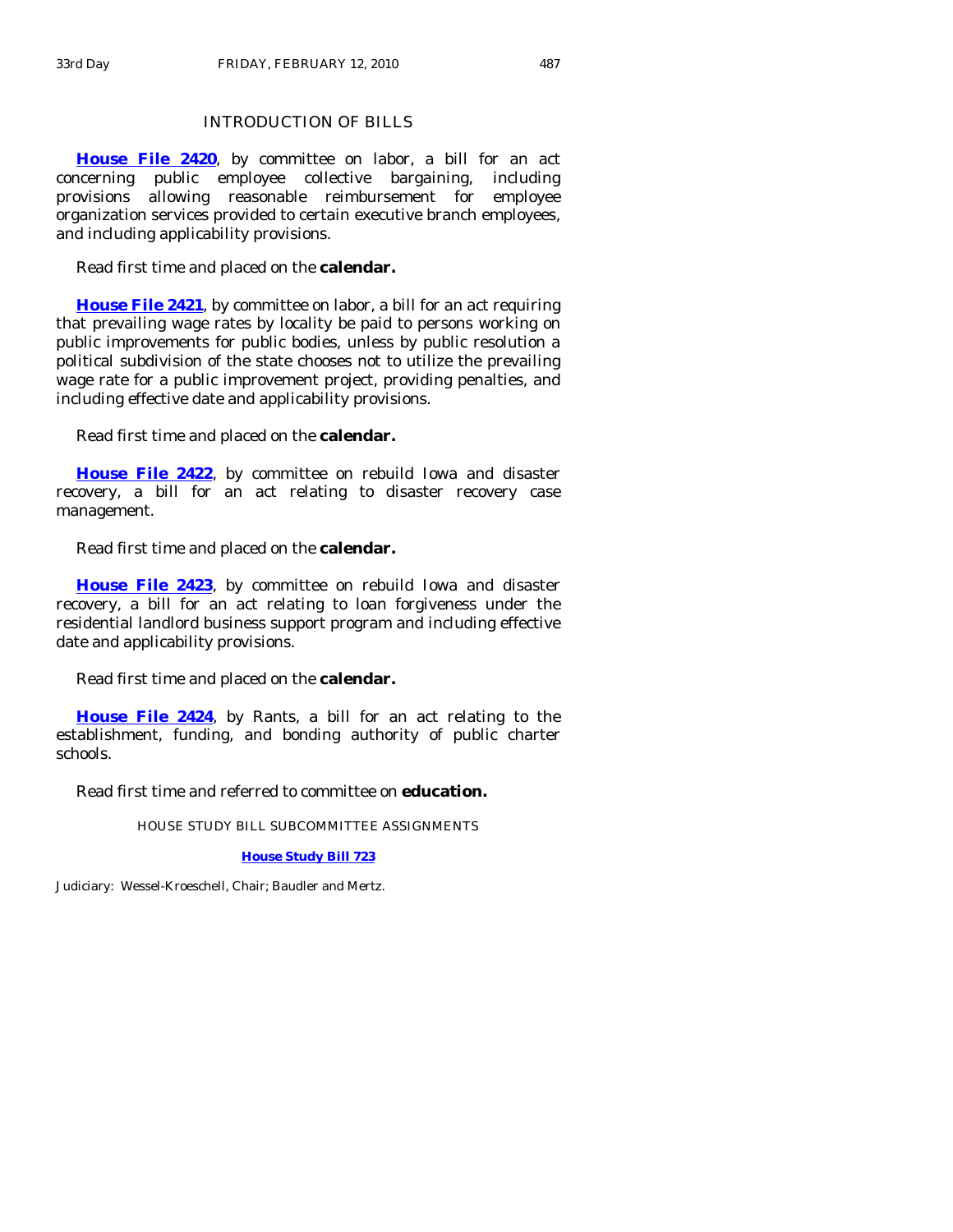# INTRODUCTION OF BILLS

**[House File 2420](http://coolice.legis.state.ia.us/Cool-ICE/default.asp?Category=billinfo&Service=Billbook&frame=1&GA=83&hbill=HF2420)**, by committee on labor, a bill for an act concerning public employee collective bargaining, including provisions allowing reasonable reimbursement for employee organization services provided to certain executive branch employees, and including applicability provisions.

Read first time and placed on the **calendar.** 

**[House File 2421](http://coolice.legis.state.ia.us/Cool-ICE/default.asp?Category=billinfo&Service=Billbook&frame=1&GA=83&hbill=HF2421)**, by committee on labor, a bill for an act requiring that prevailing wage rates by locality be paid to persons working on public improvements for public bodies, unless by public resolution a political subdivision of the state chooses not to utilize the prevailing wage rate for a public improvement project, providing penalties, and including effective date and applicability provisions.

Read first time and placed on the **calendar.** 

**[House File 2422](http://coolice.legis.state.ia.us/Cool-ICE/default.asp?Category=billinfo&Service=Billbook&frame=1&GA=83&hbill=HF2422)**, by committee on rebuild Iowa and disaster recovery, a bill for an act relating to disaster recovery case management.

Read first time and placed on the **calendar.** 

**[House File 2423](http://coolice.legis.state.ia.us/Cool-ICE/default.asp?Category=billinfo&Service=Billbook&frame=1&GA=83&hbill=HF2423)**, by committee on rebuild Iowa and disaster recovery, a bill for an act relating to loan forgiveness under the residential landlord business support program and including effective date and applicability provisions.

Read first time and placed on the **calendar.** 

**[House File 2424](http://coolice.legis.state.ia.us/Cool-ICE/default.asp?Category=billinfo&Service=Billbook&frame=1&GA=83&hbill=HF2424)**, by Rants, a bill for an act relating to the establishment, funding, and bonding authority of public charter schools.

Read first time and referred to committee on **education.** 

HOUSE STUDY BILL SUBCOMMITTEE ASSIGNMENTS

**[House Study Bill 723](http://coolice.legis.state.ia.us/Cool-ICE/default.asp?Category=billinfo&Service=Billbook&frame=1&GA=83&hbill=HSB723)**

Judiciary: Wessel-Kroeschell, Chair; Baudler and Mertz.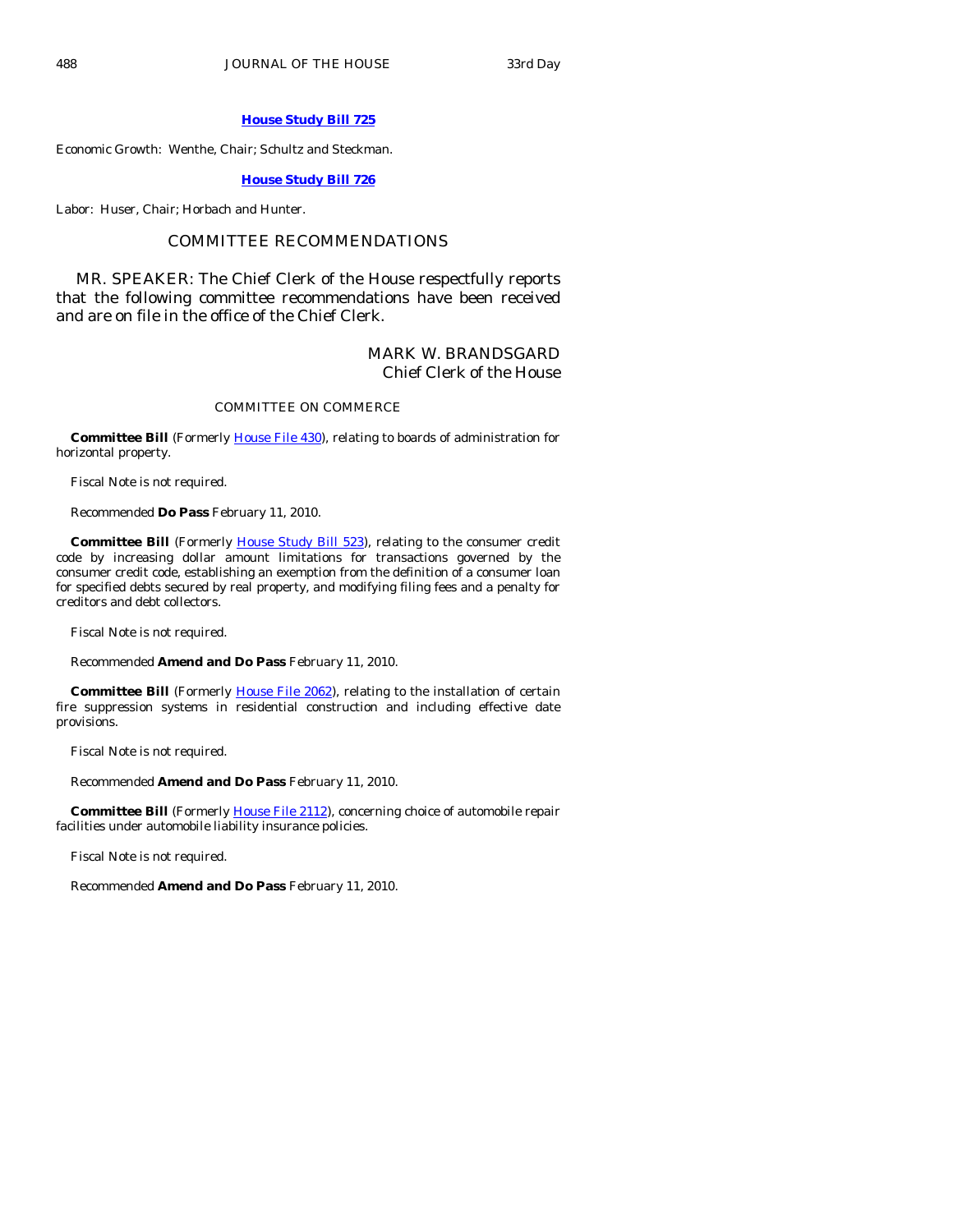### **[House Study Bill 725](http://coolice.legis.state.ia.us/Cool-ICE/default.asp?Category=billinfo&Service=Billbook&frame=1&GA=83&hbill=HSB725)**

Economic Growth: Wenthe, Chair; Schultz and Steckman.

### **[House Study Bill 726](http://coolice.legis.state.ia.us/Cool-ICE/default.asp?Category=billinfo&Service=Billbook&frame=1&GA=83&hbill=HSB726)**

Labor: Huser, Chair; Horbach and Hunter.

## COMMITTEE RECOMMENDATIONS

 MR. SPEAKER: The Chief Clerk of the House respectfully reports that the following committee recommendations have been received and are on file in the office of the Chief Clerk.

## MARK W. BRANDSGARD Chief Clerk of the House

### COMMITTEE ON COMMERCE

 **Committee Bill** (Formerly [House File 430](http://coolice.legis.state.ia.us/Cool-ICE/default.asp?Category=billinfo&Service=Billbook&frame=1&GA=83&hbill=HF430)), relating to boards of administration for horizontal property.

Fiscal Note is not required.

Recommended **Do Pass** February 11, 2010.

Committee Bill (Formerly [House Study Bill 523\)](http://coolice.legis.state.ia.us/Cool-ICE/default.asp?Category=billinfo&Service=Billbook&frame=1&GA=83&hbill=HSB523), relating to the consumer credit code by increasing dollar amount limitations for transactions governed by the consumer credit code, establishing an exemption from the definition of a consumer loan for specified debts secured by real property, and modifying filing fees and a penalty for creditors and debt collectors.

Fiscal Note is not required.

Recommended **Amend and Do Pass** February 11, 2010.

**Committee Bill** (Formerly [House File 2062](http://coolice.legis.state.ia.us/Cool-ICE/default.asp?Category=billinfo&Service=Billbook&frame=1&GA=83&hbill=HF2062)), relating to the installation of certain fire suppression systems in residential construction and including effective date provisions.

Fiscal Note is not required.

Recommended **Amend and Do Pass** February 11, 2010.

**Committee Bill** (Formerly *[House File 2112](http://coolice.legis.state.ia.us/Cool-ICE/default.asp?Category=billinfo&Service=Billbook&frame=1&GA=83&hbill=HF2112)*), concerning choice of automobile repair facilities under automobile liability insurance policies.

Fiscal Note is not required.

Recommended **Amend and Do Pass** February 11, 2010.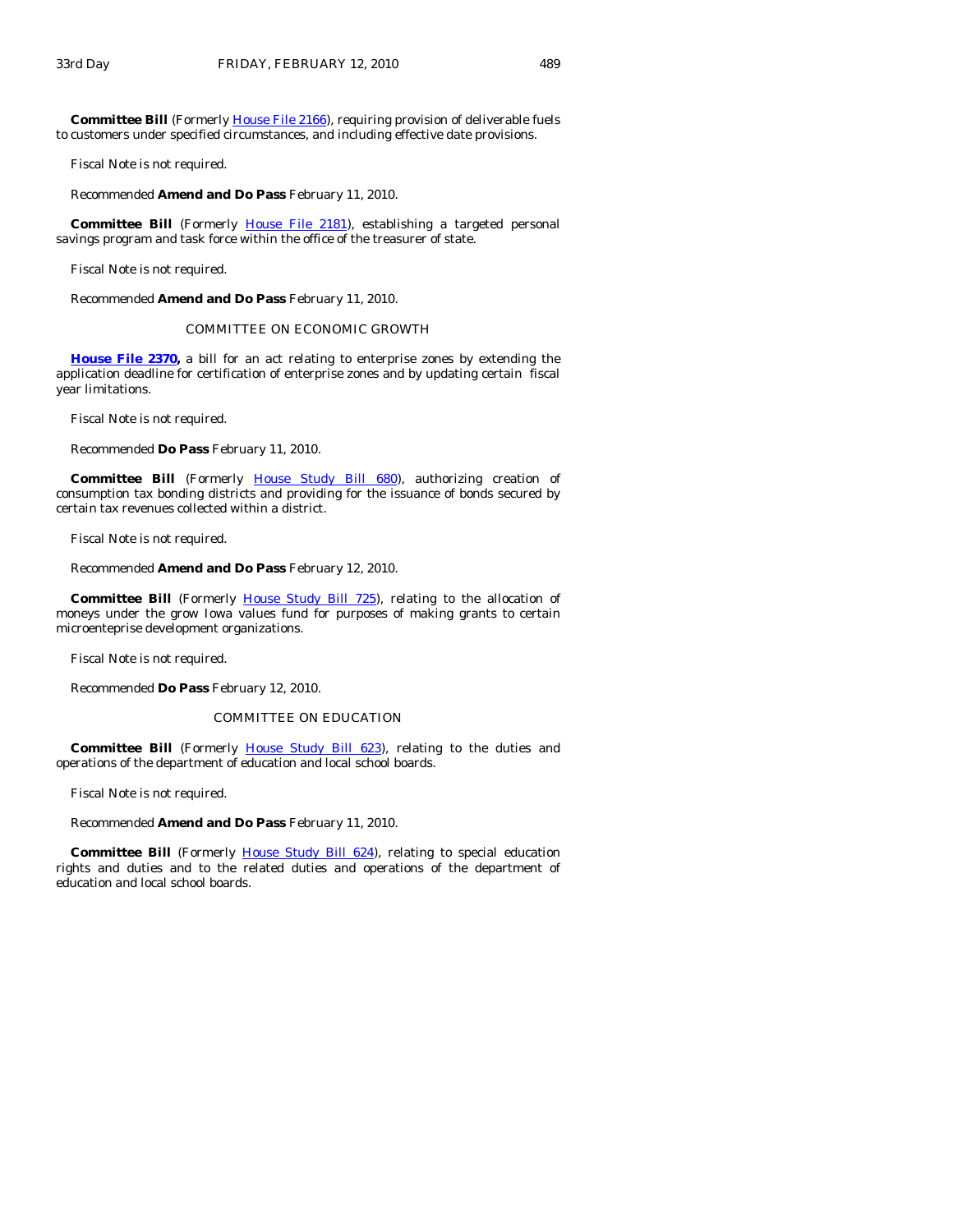**Committee Bill** (Formerly *House File 2166*), requiring provision of deliverable fuels to customers under specified circumstances, and including effective date provisions.

Fiscal Note is not required.

Recommended **Amend and Do Pass** February 11, 2010.

 **Committee Bill** (Formerly [House File 2181\)](http://coolice.legis.state.ia.us/Cool-ICE/default.asp?Category=billinfo&Service=Billbook&frame=1&GA=83&hbill=HF2181), establishing a targeted personal savings program and task force within the office of the treasurer of state.

Fiscal Note is not required.

Recommended **Amend and Do Pass** February 11, 2010.

### COMMITTEE ON ECONOMIC GROWTH

**[House File 2370](http://coolice.legis.state.ia.us/Cool-ICE/default.asp?Category=billinfo&Service=Billbook&frame=1&GA=83&hbill=HF2370),** a bill for an act relating to enterprise zones by extending the application deadline for certification of enterprise zones and by updating certain fiscal year limitations.

Fiscal Note is not required.

Recommended **Do Pass** February 11, 2010.

Committee Bill (Formerly [House Study Bill 680](http://coolice.legis.state.ia.us/Cool-ICE/default.asp?Category=billinfo&Service=Billbook&frame=1&GA=83&hbill=HSB680)), authorizing creation of consumption tax bonding districts and providing for the issuance of bonds secured by certain tax revenues collected within a district.

Fiscal Note is not required.

Recommended **Amend and Do Pass** February 12, 2010.

**Committee Bill** (Formerly [House Study Bill 725\)](http://coolice.legis.state.ia.us/Cool-ICE/default.asp?Category=billinfo&Service=Billbook&frame=1&GA=83&hbill=HSB725), relating to the allocation of moneys under the grow Iowa values fund for purposes of making grants to certain microenteprise development organizations.

Fiscal Note is not required.

Recommended **Do Pass** February 12, 2010.

#### COMMITTEE ON EDUCATION

Committee Bill (Formerly [House Study Bill 623\)](http://coolice.legis.state.ia.us/Cool-ICE/default.asp?Category=billinfo&Service=Billbook&frame=1&GA=83&hbill=HSB623), relating to the duties and operations of the department of education and local school boards.

Fiscal Note is not required.

Recommended **Amend and Do Pass** February 11, 2010.

**Committee Bill** (Formerly [House Study Bill 624](http://coolice.legis.state.ia.us/Cool-ICE/default.asp?Category=billinfo&Service=Billbook&frame=1&GA=83&hbill=HSB624)), relating to special education rights and duties and to the related duties and operations of the department of education and local school boards.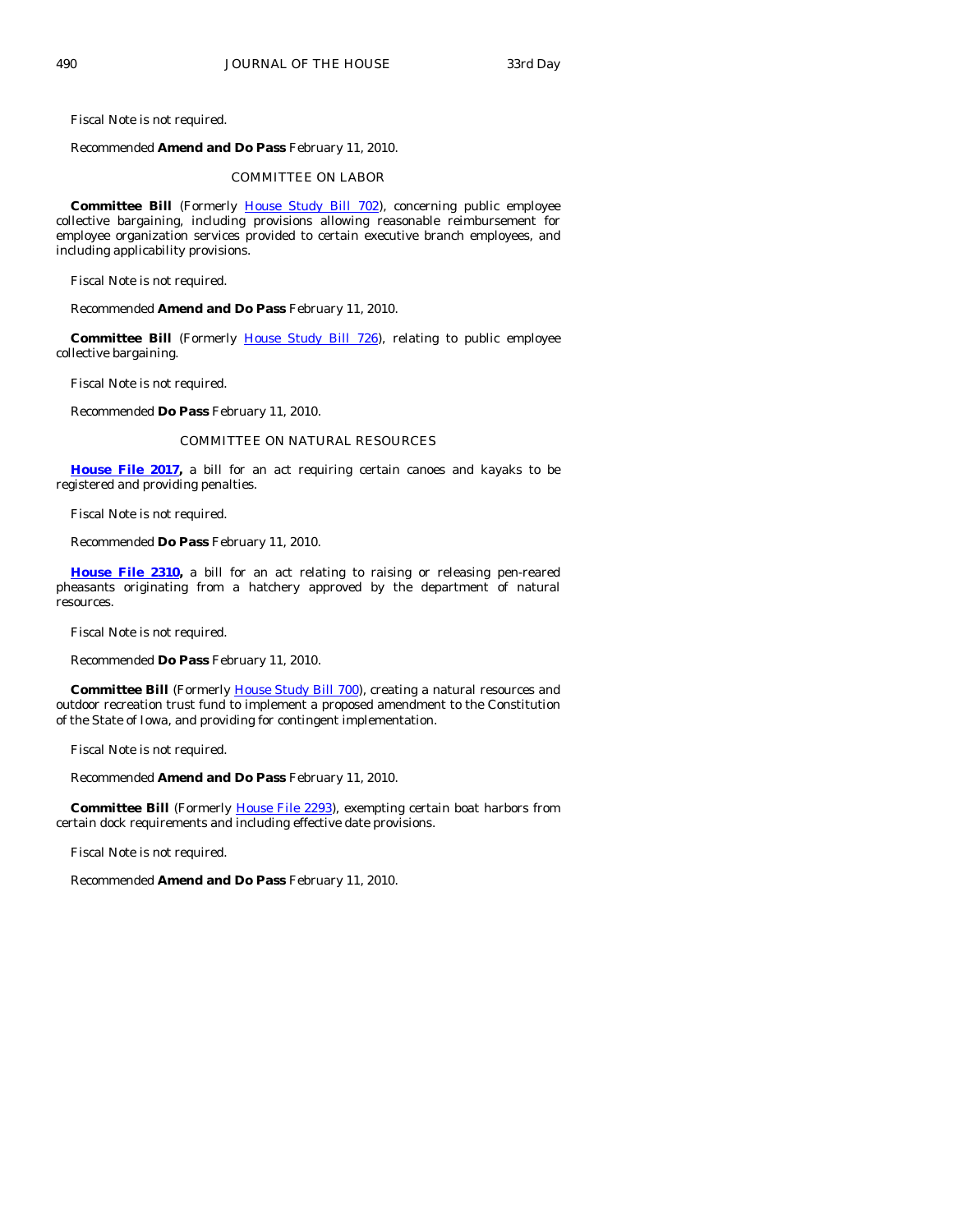Fiscal Note is not required.

Recommended **Amend and Do Pass** February 11, 2010.

### COMMITTEE ON LABOR

**Committee Bill** (Formerly [House Study Bill 702](http://coolice.legis.state.ia.us/Cool-ICE/default.asp?Category=billinfo&Service=Billbook&frame=1&GA=83&hbill=HSB702)), concerning public employee collective bargaining, including provisions allowing reasonable reimbursement for employee organization services provided to certain executive branch employees, and including applicability provisions.

Fiscal Note is not required.

Recommended **Amend and Do Pass** February 11, 2010.

**Committee Bill** (Formerly [House Study Bill 726\)](http://coolice.legis.state.ia.us/Cool-ICE/default.asp?Category=billinfo&Service=Billbook&frame=1&GA=83&hbill=HSB726), relating to public employee collective bargaining.

Fiscal Note is not required.

Recommended **Do Pass** February 11, 2010.

### COMMITTEE ON NATURAL RESOURCES

**[House File 2017,](http://coolice.legis.state.ia.us/Cool-ICE/default.asp?Category=billinfo&Service=Billbook&frame=1&GA=83&hbill=HF2017)** a bill for an act requiring certain canoes and kayaks to be registered and providing penalties.

Fiscal Note is not required.

Recommended **Do Pass** February 11, 2010.

**[House File 2310](http://coolice.legis.state.ia.us/Cool-ICE/default.asp?Category=billinfo&Service=Billbook&frame=1&GA=83&hbill=HF2310),** a bill for an act relating to raising or releasing pen-reared pheasants originating from a hatchery approved by the department of natural resources.

Fiscal Note is not required.

Recommended **Do Pass** February 11, 2010.

**Committee Bill** (Formerly [House Study Bill 700](http://coolice.legis.state.ia.us/Cool-ICE/default.asp?Category=billinfo&Service=Billbook&frame=1&GA=83&hbill=HSB700)), creating a natural resources and outdoor recreation trust fund to implement a proposed amendment to the Constitution of the State of Iowa, and providing for contingent implementation.

Fiscal Note is not required.

Recommended **Amend and Do Pass** February 11, 2010.

**Committee Bill** (Formerly [House File 2293](http://coolice.legis.state.ia.us/Cool-ICE/default.asp?Category=billinfo&Service=Billbook&frame=1&GA=83&hbill=HF2293)), exempting certain boat harbors from certain dock requirements and including effective date provisions.

Fiscal Note is not required.

Recommended **Amend and Do Pass** February 11, 2010.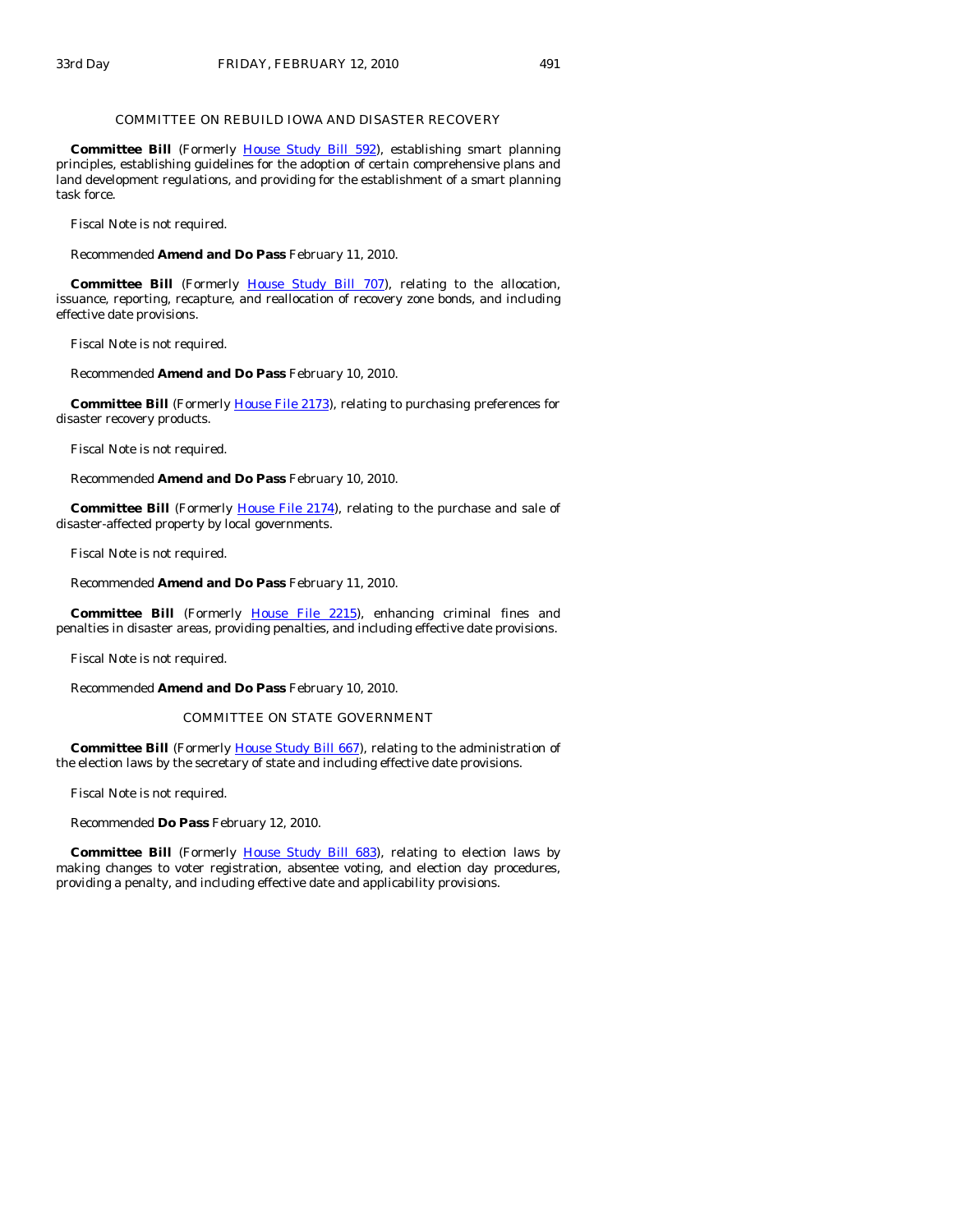#### COMMITTEE ON REBUILD IOWA AND DISASTER RECOVERY

Committee Bill (Formerly [House Study Bill 592\)](http://coolice.legis.state.ia.us/Cool-ICE/default.asp?Category=billinfo&Service=Billbook&frame=1&GA=83&hbill=HSB592), establishing smart planning principles, establishing guidelines for the adoption of certain comprehensive plans and land development regulations, and providing for the establishment of a smart planning task force.

Fiscal Note is not required.

Recommended **Amend and Do Pass** February 11, 2010.

Committee Bill (Formerly [House Study Bill 707\)](http://coolice.legis.state.ia.us/Cool-ICE/default.asp?Category=billinfo&Service=Billbook&frame=1&GA=83&hbill=HSB707), relating to the allocation, issuance, reporting, recapture, and reallocation of recovery zone bonds, and including effective date provisions.

Fiscal Note is not required.

Recommended **Amend and Do Pass** February 10, 2010.

**Committee Bill** (Formerly *[House File 2173](http://coolice.legis.state.ia.us/Cool-ICE/default.asp?Category=billinfo&Service=Billbook&frame=1&GA=83&hbill=HF2173)*), relating to purchasing preferences for disaster recovery products.

Fiscal Note is not required.

Recommended **Amend and Do Pass** February 10, 2010.

**Committee Bill** (Formerly [House File 2174\)](http://coolice.legis.state.ia.us/Cool-ICE/default.asp?Category=billinfo&Service=Billbook&frame=1&GA=83&hbill=HF2174), relating to the purchase and sale of disaster-affected property by local governments.

Fiscal Note is not required.

Recommended **Amend and Do Pass** February 11, 2010.

 **Committee Bill** (Formerly [House File 2215](http://coolice.legis.state.ia.us/Cool-ICE/default.asp?Category=billinfo&Service=Billbook&frame=1&GA=83&hbill=HF2215)), enhancing criminal fines and penalties in disaster areas, providing penalties, and including effective date provisions.

Fiscal Note is not required.

Recommended **Amend and Do Pass** February 10, 2010.

#### COMMITTEE ON STATE GOVERNMENT

**Committee Bill** (Formerly [House Study Bill 667\)](http://coolice.legis.state.ia.us/Cool-ICE/default.asp?Category=billinfo&Service=Billbook&frame=1&GA=83&hbill=HSB667), relating to the administration of the election laws by the secretary of state and including effective date provisions.

Fiscal Note is not required.

Recommended **Do Pass** February 12, 2010.

**Committee Bill** (Formerly [House Study Bill 683\)](http://coolice.legis.state.ia.us/Cool-ICE/default.asp?Category=billinfo&Service=Billbook&frame=1&GA=83&hbill=HSB683), relating to election laws by making changes to voter registration, absentee voting, and election day procedures, providing a penalty, and including effective date and applicability provisions.